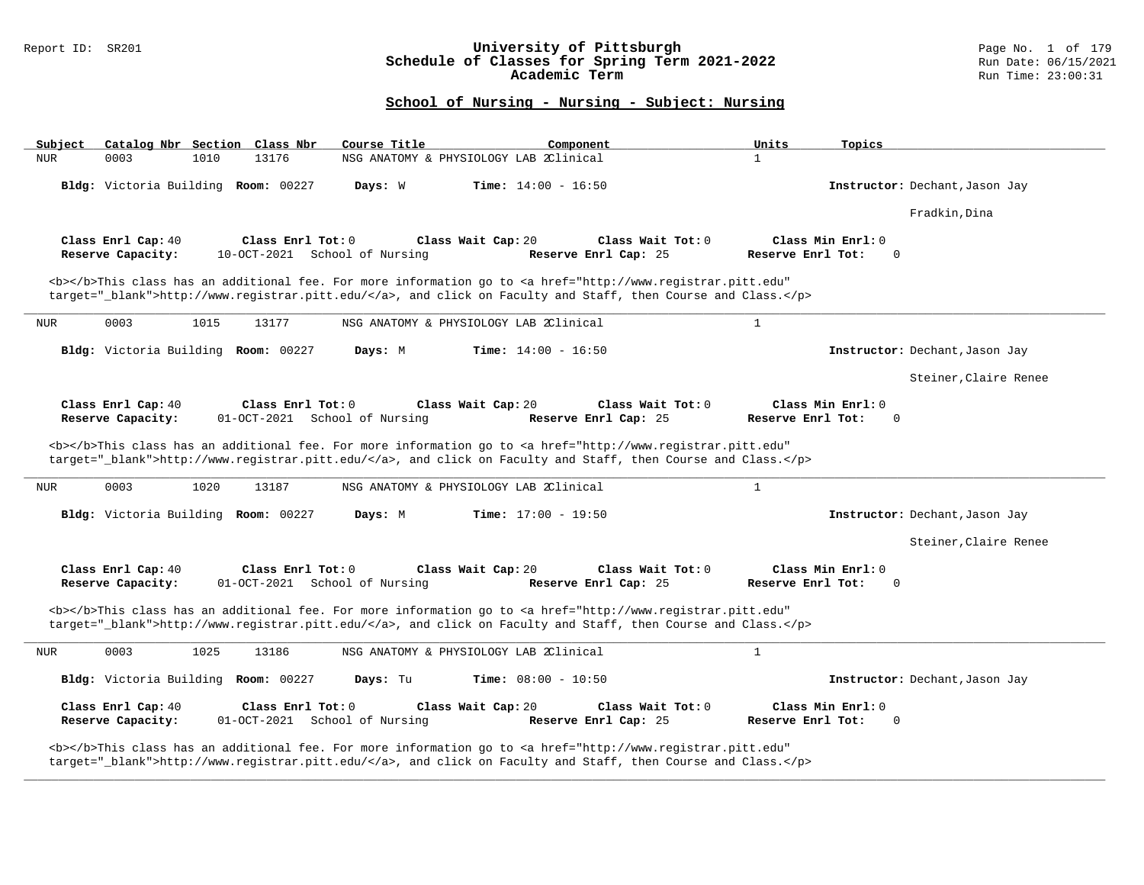### Report ID: SR201 **University of Pittsburgh** Page No. 1 of 179 **Schedule of Classes for Spring Term 2021-2022** Run Date: 06/15/2021 **Academic Term** Run Time: 23:00:31

# **School of Nursing - Nursing - Subject: Nursing**

| Subject    |                                         |      | Catalog Nbr Section Class Nbr | Course Title                  |                                        | Component                                                                                                                                                                                                                          | Units             | Topics                         |
|------------|-----------------------------------------|------|-------------------------------|-------------------------------|----------------------------------------|------------------------------------------------------------------------------------------------------------------------------------------------------------------------------------------------------------------------------------|-------------------|--------------------------------|
| <b>NUR</b> | 0003                                    | 1010 | 13176                         |                               | NSG ANATOMY & PHYSIOLOGY LAB 2Clinical |                                                                                                                                                                                                                                    | $\mathbf{1}$      |                                |
|            | Bldg: Victoria Building Room: 00227     |      |                               | Days: W                       | <b>Time:</b> $14:00 - 16:50$           |                                                                                                                                                                                                                                    |                   | Instructor: Dechant, Jason Jay |
|            |                                         |      |                               |                               |                                        |                                                                                                                                                                                                                                    |                   | Fradkin, Dina                  |
|            | Class Enrl Cap: 40<br>Reserve Capacity: |      | Class Enrl Tot: 0             | 10-OCT-2021 School of Nursing | Class Wait Cap: 20                     | Class Wait Tot: 0<br>Reserve Enrl Cap: 25                                                                                                                                                                                          | Reserve Enrl Tot: | Class Min Enrl: 0<br>$\Omega$  |
|            |                                         |      |                               |                               |                                        | <b></b> This class has an additional fee. For more information go to <a <br="" href="http://www.registrar.pitt.edu">target="_blank"&gt;http://www.registrar.pitt.edu/</a> , and click on Faculty and Staff, then Course and Class. |                   |                                |
| NUR        | 0003                                    | 1015 | 13177                         |                               | NSG ANATOMY & PHYSIOLOGY LAB 2Clinical |                                                                                                                                                                                                                                    | $\mathbf{1}$      |                                |
|            | Bldg: Victoria Building Room: 00227     |      |                               | Days: M                       | <b>Time:</b> $14:00 - 16:50$           |                                                                                                                                                                                                                                    |                   | Instructor: Dechant, Jason Jay |
|            |                                         |      |                               |                               |                                        |                                                                                                                                                                                                                                    |                   | Steiner, Claire Renee          |
|            | Class Enrl Cap: 40<br>Reserve Capacity: |      | Class Enrl Tot: 0             | 01-OCT-2021 School of Nursing | Class Wait Cap: 20                     | Class Wait Tot: 0<br>Reserve Enrl Cap: 25                                                                                                                                                                                          | Reserve Enrl Tot: | Class Min Enrl: 0<br>0         |
| <b>NUR</b> | 0003                                    | 1020 | 13187                         |                               | NSG ANATOMY & PHYSIOLOGY LAB 2Clinical | target="_blank">http://www.registrar.pitt.edu/, and click on Faculty and Staff, then Course and Class.                                                                                                                             | $\mathbf{1}$      |                                |
|            | Bldg: Victoria Building Room: 00227     |      |                               | Days: M                       | <b>Time:</b> $17:00 - 19:50$           |                                                                                                                                                                                                                                    |                   | Instructor: Dechant, Jason Jay |
|            |                                         |      |                               |                               |                                        |                                                                                                                                                                                                                                    |                   | Steiner, Claire Renee          |
|            | Class Enrl Cap: 40<br>Reserve Capacity: |      | Class Enrl Tot: 0             | 01-OCT-2021 School of Nursing | Class Wait Cap: 20                     | Class Wait Tot: 0<br>Reserve Enrl Cap: 25                                                                                                                                                                                          | Reserve Enrl Tot: | Class Min Enrl: 0<br>$\Omega$  |
|            |                                         |      |                               |                               |                                        | <b></b> This class has an additional fee. For more information go to <a <br="" href="http://www.registrar.pitt.edu">target="_blank"&gt;http://www.registrar.pitt.edu/</a> , and click on Faculty and Staff, then Course and Class. |                   |                                |
| <b>NUR</b> | 0003                                    | 1025 | 13186                         |                               | NSG ANATOMY & PHYSIOLOGY LAB 2Clinical |                                                                                                                                                                                                                                    | $\mathbf{1}$      |                                |
|            | Bldg: Victoria Building Room: 00227     |      |                               | Days: Tu                      | <b>Time:</b> $08:00 - 10:50$           |                                                                                                                                                                                                                                    |                   | Instructor: Dechant, Jason Jay |
|            | Class Enrl Cap: 40<br>Reserve Capacity: |      | Class Enrl Tot: 0             | 01-OCT-2021 School of Nursing | Class Wait Cap: 20                     | Class Wait Tot: 0<br>Reserve Enrl Cap: 25                                                                                                                                                                                          | Reserve Enrl Tot: | Class Min Enrl: 0<br>$\Omega$  |
|            |                                         |      |                               |                               |                                        | <b></b> This class has an additional fee. For more information go to <a <br="" href="http://www.registrar.pitt.edu">target="_blank"&gt;http://www.registrar.pitt.edu/</a> , and click on Faculty and Staff, then Course and Class. |                   |                                |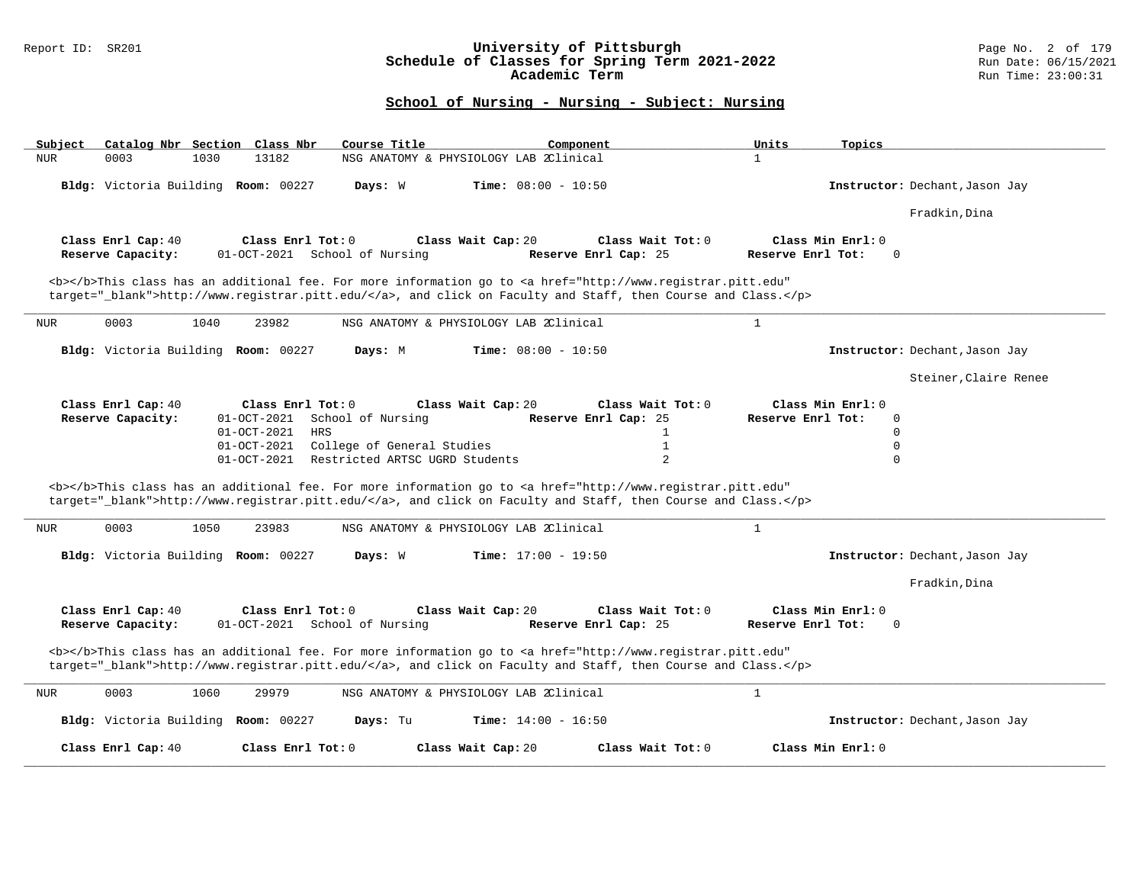### Report ID: SR201 **University of Pittsburgh** Page No. 2 of 179 **Schedule of Classes for Spring Term 2021-2022** Run Date: 06/15/2021 **Academic Term** Run Time: 23:00:31

| Catalog Nbr Section Class Nbr<br>Course Title<br>Component<br>Subject                                                                                                                                                                                                                                               | Units<br>Topics                                       |
|---------------------------------------------------------------------------------------------------------------------------------------------------------------------------------------------------------------------------------------------------------------------------------------------------------------------|-------------------------------------------------------|
| 13182<br>NSG ANATOMY & PHYSIOLOGY LAB 2Clinical<br><b>NUR</b><br>0003<br>1030                                                                                                                                                                                                                                       | $\mathbf{1}$                                          |
| Bldg: Victoria Building Room: 00227<br><b>Time:</b> $08:00 - 10:50$<br>Days: W                                                                                                                                                                                                                                      | Instructor: Dechant, Jason Jay                        |
|                                                                                                                                                                                                                                                                                                                     | Fradkin, Dina                                         |
| Class Enrl Cap: 40<br>Class Enrl Tot: 0<br>Class Wait Cap: 20<br>Class Wait Tot: 0<br>Reserve Capacity:<br>01-OCT-2021 School of Nursing<br>Reserve Enrl Cap: 25                                                                                                                                                    | Class Min Enrl: 0<br>$\Omega$<br>Reserve Enrl Tot:    |
| <b></b> This class has an additional fee. For more information go to <a <br="" href="http://www.registrar.pitt.edu">target="_blank"&gt;http://www.registrar.pitt.edu/</a> , and click on Faculty and Staff, then Course and Class.                                                                                  |                                                       |
| 0003<br>1040<br>23982<br>NSG ANATOMY & PHYSIOLOGY LAB 2Clinical<br><b>NUR</b>                                                                                                                                                                                                                                       | $\mathbf{1}$                                          |
| Bldg: Victoria Building Room: 00227<br>Days: M<br><b>Time:</b> $08:00 - 10:50$                                                                                                                                                                                                                                      | Instructor: Dechant, Jason Jay                        |
|                                                                                                                                                                                                                                                                                                                     | Steiner, Claire Renee                                 |
| Class Enrl Cap: 40<br>Class Wait Cap: 20<br>Class Wait Tot: 0<br>Class Enrl Tot: 0                                                                                                                                                                                                                                  | Class Min Enrl: 0                                     |
| Reserve Capacity:<br>01-OCT-2021 School of Nursing<br>Reserve Enrl Cap: 25<br>$01 - OCT - 2021$<br><b>HRS</b><br>$\mathbf{1}$                                                                                                                                                                                       | Reserve Enrl Tot:<br>0<br>$\Omega$                    |
| $\mathbf{1}$<br>01-OCT-2021 College of General Studies                                                                                                                                                                                                                                                              | $\mathbf 0$                                           |
| 2<br>01-OCT-2021 Restricted ARTSC UGRD Students                                                                                                                                                                                                                                                                     | $\Omega$                                              |
| <b></b> This class has an additional fee. For more information go to <a <br="" href="http://www.registrar.pitt.edu">target="_blank"&gt;http://www.registrar.pitt.edu/</a> , and click on Faculty and Staff, then Course and Class.<br>0003<br>1050<br>23983<br>NSG ANATOMY & PHYSIOLOGY LAB 2Clinical<br><b>NUR</b> | $\mathbf{1}$                                          |
|                                                                                                                                                                                                                                                                                                                     |                                                       |
| Bldg: Victoria Building Room: 00227<br>Days: W<br><b>Time:</b> $17:00 - 19:50$                                                                                                                                                                                                                                      | Instructor: Dechant, Jason Jay                        |
|                                                                                                                                                                                                                                                                                                                     | Fradkin, Dina                                         |
| Class Enrl Cap: 40<br>Class Enrl Tot: 0<br>Class Wait Tot: 0<br>Class Wait Cap: 20<br>Reserve Capacity:<br>01-OCT-2021 School of Nursing<br>Reserve Enrl Cap: 25                                                                                                                                                    | Class Min Enrl: 0<br>Reserve Enrl Tot:<br>$\mathbf 0$ |
| <b></b> This class has an additional fee. For more information go to <a <br="" href="http://www.registrar.pitt.edu">target="_blank"&gt;http://www.registrar.pitt.edu/</a> , and click on Faculty and Staff, then Course and Class.                                                                                  |                                                       |
| 0003<br>1060<br>29979<br><b>NUR</b><br>NSG ANATOMY & PHYSIOLOGY LAB 2Clinical                                                                                                                                                                                                                                       | $\mathbf{1}$                                          |
| Bldg: Victoria Building Room: 00227<br><b>Time:</b> $14:00 - 16:50$<br>Days: Tu                                                                                                                                                                                                                                     | Instructor: Dechant, Jason Jay                        |
| Class Enrl Cap: 40<br>Class Enrl Tot: 0<br>Class Wait Tot: 0<br>Class Wait Cap: 20                                                                                                                                                                                                                                  | Class Min Enrl: 0                                     |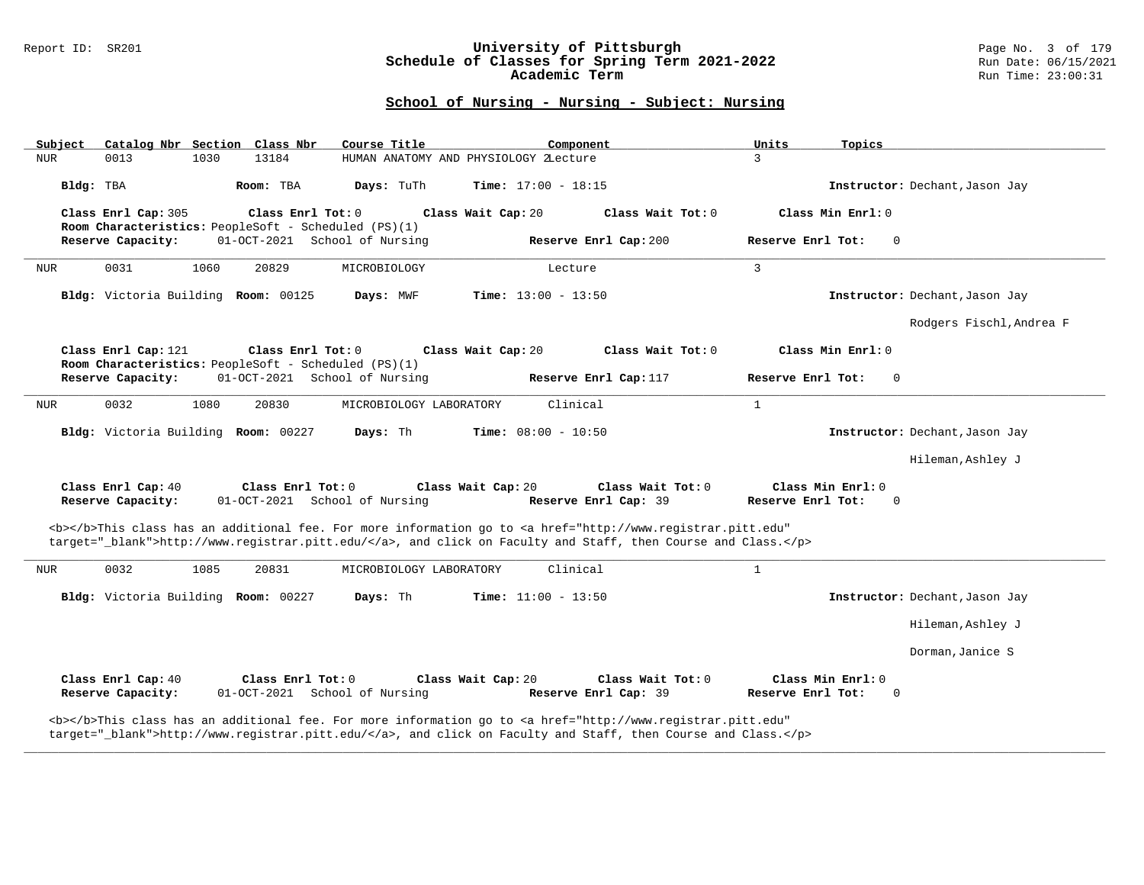#### Report ID: SR201 **University of Pittsburgh** Page No. 3 of 179 **Schedule of Classes for Spring Term 2021-2022** Run Date: 06/15/2021 **Academic Term** Run Time: 23:00:31

# **School of Nursing - Nursing - Subject: Nursing**

| Catalog Nbr Section Class Nbr<br>Subject                                                                                                                                                                                           | Course Title                               | Component                                 | Units<br>Topics                                       |                                |
|------------------------------------------------------------------------------------------------------------------------------------------------------------------------------------------------------------------------------------|--------------------------------------------|-------------------------------------------|-------------------------------------------------------|--------------------------------|
| <b>NUR</b><br>13184<br>0013<br>1030                                                                                                                                                                                                | HUMAN ANATOMY AND PHYSIOLOGY ZLecture      |                                           | 3                                                     |                                |
| Bldg: TBA<br>Room: TBA                                                                                                                                                                                                             | Days: TuTh<br><b>Time:</b> $17:00 - 18:15$ |                                           |                                                       | Instructor: Dechant, Jason Jay |
| Class Enrl Cap: 305<br>Class Enrl Tot: 0<br>Room Characteristics: PeopleSoft - Scheduled (PS)(1)                                                                                                                                   | Class Wait Cap: 20                         | Class Wait Tot: 0                         | Class Min Enrl: 0                                     |                                |
| Reserve Capacity:<br>01-OCT-2021 School of Nursing                                                                                                                                                                                 |                                            | Reserve Enrl Cap: 200                     | $\Omega$<br>Reserve Enrl Tot:                         |                                |
| 0031<br>1060<br>20829<br><b>NUR</b>                                                                                                                                                                                                | MICROBIOLOGY                               | Lecture                                   | $\overline{3}$                                        |                                |
| Bldg: Victoria Building Room: 00125                                                                                                                                                                                                | Days: MWF<br><b>Time:</b> $13:00 - 13:50$  |                                           |                                                       | Instructor: Dechant, Jason Jay |
|                                                                                                                                                                                                                                    |                                            |                                           |                                                       | Rodgers Fischl, Andrea F       |
| Class Enrl Cap: 121<br>Class Enrl Tot: 0                                                                                                                                                                                           | Class Wait Cap: 20                         | Class Wait Tot: 0                         | Class Min Enrl: 0                                     |                                |
| Room Characteristics: PeopleSoft - Scheduled (PS)(1)<br>Reserve Capacity:<br>01-OCT-2021 School of Nursing                                                                                                                         |                                            | Reserve Enrl Cap: 117                     | $\mathbf 0$<br>Reserve Enrl Tot:                      |                                |
| 0032<br>1080<br>20830<br><b>NUR</b>                                                                                                                                                                                                | MICROBIOLOGY LABORATORY                    | Clinical                                  | $\mathbf{1}$                                          |                                |
| Bldg: Victoria Building Room: 00227                                                                                                                                                                                                | Days: Th<br><b>Time:</b> $08:00 - 10:50$   |                                           |                                                       | Instructor: Dechant, Jason Jay |
|                                                                                                                                                                                                                                    |                                            |                                           |                                                       | Hileman, Ashley J              |
| Class Enrl Cap: 40<br>Class Enrl Tot: 0<br>Reserve Capacity:<br>01-OCT-2021 School of Nursing                                                                                                                                      | Class Wait Cap: 20                         | Class Wait Tot: 0<br>Reserve Enrl Cap: 39 | Class Min Enrl: 0<br>Reserve Enrl Tot:<br>$\Omega$    |                                |
| <b></b> This class has an additional fee. For more information go to <a <br="" href="http://www.registrar.pitt.edu">target="_blank"&gt;http://www.registrar.pitt.edu/</a> , and click on Faculty and Staff, then Course and Class. |                                            |                                           |                                                       |                                |
| 0032<br>20831<br>1085<br>NUR                                                                                                                                                                                                       | MICROBIOLOGY LABORATORY                    | Clinical                                  | $\mathbf{1}$                                          |                                |
| Bldg: Victoria Building Room: 00227                                                                                                                                                                                                | Days: Th<br><b>Time:</b> $11:00 - 13:50$   |                                           |                                                       | Instructor: Dechant, Jason Jay |
|                                                                                                                                                                                                                                    |                                            |                                           |                                                       | Hileman, Ashley J              |
|                                                                                                                                                                                                                                    |                                            |                                           |                                                       | Dorman, Janice S               |
| Class Enrl Cap: 40<br>Class Enrl Tot: 0<br>01-OCT-2021 School of Nursing<br>Reserve Capacity:                                                                                                                                      | Class Wait Cap: 20                         | Class Wait Tot: 0<br>Reserve Enrl Cap: 39 | Class Min Enrl: 0<br>Reserve Enrl Tot:<br>$\mathbf 0$ |                                |
| <b></b> This class has an additional fee. For more information go to <a <br="" href="http://www.registrar.pitt.edu">target="_blank"&gt;http://www.registrar.pitt.edu/</a> , and click on Faculty and Staff, then Course and Class. |                                            |                                           |                                                       |                                |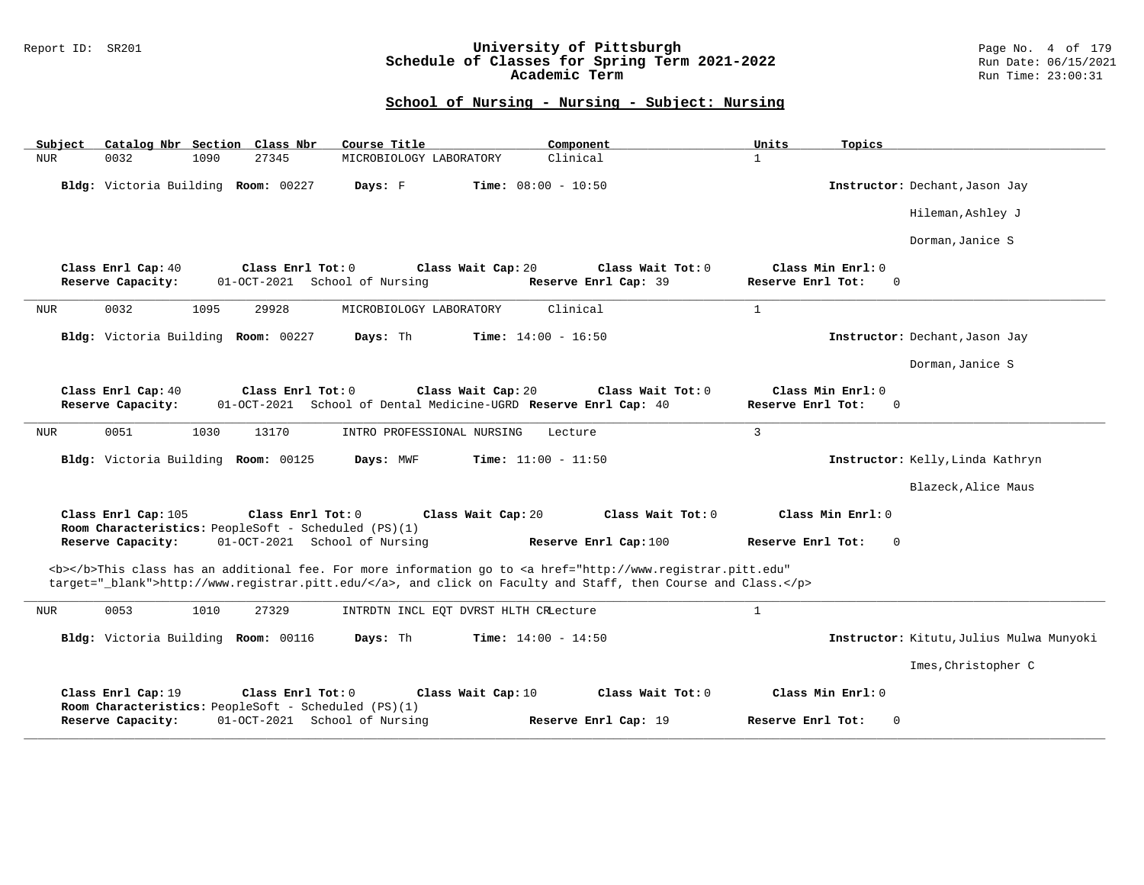### Report ID: SR201 **University of Pittsburgh** Page No. 4 of 179 **Schedule of Classes for Spring Term 2021-2022** Run Date: 06/15/2021 **Academic Term** Run Time: 23:00:31

| Subject<br>Catalog Nbr Section Class Nbr                                                                                                                                                                                            | Course Title                                                                          | Component                                 | Units<br>Topics                                    |                                          |
|-------------------------------------------------------------------------------------------------------------------------------------------------------------------------------------------------------------------------------------|---------------------------------------------------------------------------------------|-------------------------------------------|----------------------------------------------------|------------------------------------------|
| <b>NUR</b><br>0032<br>27345<br>1090                                                                                                                                                                                                 | MICROBIOLOGY LABORATORY                                                               | Clinical                                  | $\mathbf{1}$                                       |                                          |
| Bldg: Victoria Building Room: 00227                                                                                                                                                                                                 | <b>Time:</b> $08:00 - 10:50$<br>Days: F                                               |                                           |                                                    | Instructor: Dechant, Jason Jay           |
|                                                                                                                                                                                                                                     |                                                                                       |                                           |                                                    | Hileman, Ashley J                        |
|                                                                                                                                                                                                                                     |                                                                                       |                                           |                                                    | Dorman, Janice S                         |
| Class Enrl Cap: 40<br>Class Enrl Tot: 0<br>Reserve Capacity:<br>01-OCT-2021 School of Nursing                                                                                                                                       | Class Wait Cap: 20                                                                    | Class Wait Tot: 0<br>Reserve Enrl Cap: 39 | Class Min Enrl: 0<br>Reserve Enrl Tot:<br>$\Omega$ |                                          |
| 0032<br>NUR<br>1095<br>29928                                                                                                                                                                                                        | MICROBIOLOGY LABORATORY                                                               | Clinical                                  | $\mathbf{1}$                                       |                                          |
| Bldg: Victoria Building Room: 00227                                                                                                                                                                                                 | Days: Th<br><b>Time:</b> $14:00 - 16:50$                                              |                                           |                                                    | Instructor: Dechant, Jason Jay           |
|                                                                                                                                                                                                                                     |                                                                                       |                                           |                                                    | Dorman, Janice S                         |
| Class Enrl Cap: 40<br>Class Enrl Tot: 0<br>Reserve Capacity:                                                                                                                                                                        | Class Wait Cap: 20<br>01-OCT-2021 School of Dental Medicine-UGRD Reserve Enrl Cap: 40 | Class Wait Tot: 0                         | Class Min Enrl: 0<br>Reserve Enrl Tot:<br>$\Omega$ |                                          |
| 0051<br>1030<br>13170<br><b>NUR</b>                                                                                                                                                                                                 | INTRO PROFESSIONAL NURSING                                                            | Lecture                                   | $\overline{3}$                                     |                                          |
| Bldg: Victoria Building Room: 00125                                                                                                                                                                                                 | Days: MWF<br><b>Time:</b> $11:00 - 11:50$                                             |                                           |                                                    | Instructor: Kelly, Linda Kathryn         |
|                                                                                                                                                                                                                                     |                                                                                       |                                           |                                                    | Blazeck, Alice Maus                      |
| Class Enrl Cap: 105<br>Class Enrl Tot: 0<br>Room Characteristics: PeopleSoft - Scheduled (PS)(1)                                                                                                                                    | Class Wait Cap: 20                                                                    | Class Wait Tot: 0                         | Class Min Enrl: 0                                  |                                          |
| Reserve Capacity:<br>01-OCT-2021 School of Nursing                                                                                                                                                                                  |                                                                                       | Reserve Enrl Cap: 100                     | Reserve Enrl Tot:<br>$\Omega$                      |                                          |
| <b></b> >This class has an additional fee. For more information go to <a <br="" href="http://www.registrar.pitt.edu">target="_blank"&gt;http://www.registrar.pitt.edu/</a> , and click on Faculty and Staff, then Course and Class. |                                                                                       |                                           |                                                    |                                          |
| 0053<br>1010<br>27329<br>NUR                                                                                                                                                                                                        | INTRDTN INCL EOT DVRST HLTH CRLecture                                                 |                                           | $\mathbf{1}$                                       |                                          |
| Bldg: Victoria Building Room: 00116                                                                                                                                                                                                 | Days: Th<br><b>Time:</b> $14:00 - 14:50$                                              |                                           |                                                    | Instructor: Kitutu, Julius Mulwa Munyoki |
|                                                                                                                                                                                                                                     |                                                                                       |                                           |                                                    | Imes, Christopher C                      |
| Class Enrl Cap: 19<br>Class Enrl Tot: 0                                                                                                                                                                                             | Class Wait Cap: 10                                                                    | Class Wait Tot: 0                         | Class Min Enrl: 0                                  |                                          |
| Room Characteristics: PeopleSoft - Scheduled (PS)(1)<br>Reserve Capacity:<br>01-OCT-2021 School of Nursing                                                                                                                          |                                                                                       | Reserve Enrl Cap: 19                      | $\mathbf 0$<br>Reserve Enrl Tot:                   |                                          |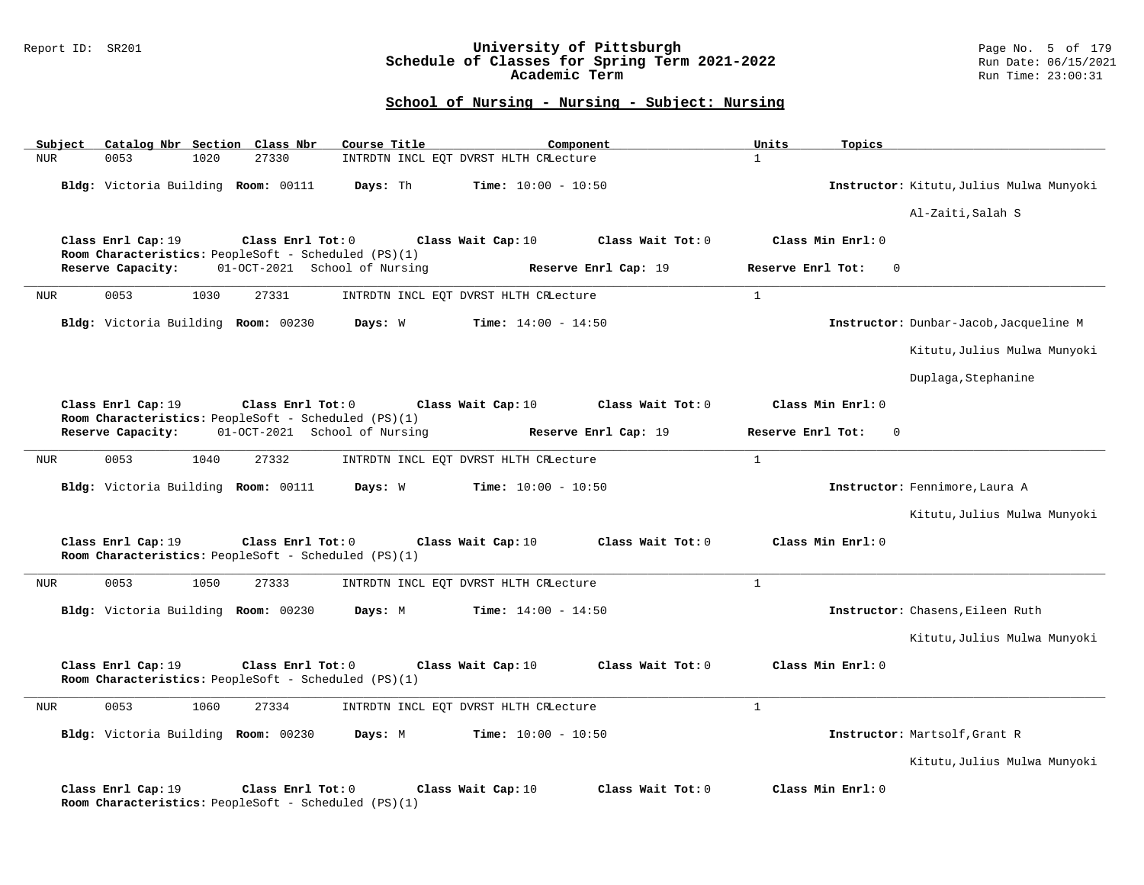#### Report ID: SR201 **University of Pittsburgh** Page No. 5 of 179 **Schedule of Classes for Spring Term 2021-2022** Run Date: 06/15/2021 **Academic Term** Run Time: 23:00:31

| Subject    |                    |      | Catalog Nbr Section Class Nbr                                               | Course Title                  |                                       | Component            | Units             | Topics            |                                          |
|------------|--------------------|------|-----------------------------------------------------------------------------|-------------------------------|---------------------------------------|----------------------|-------------------|-------------------|------------------------------------------|
| <b>NUR</b> | 0053               | 1020 | 27330                                                                       |                               | INTRDTN INCL EOT DVRST HLTH CRLecture |                      | $\mathbf{1}$      |                   |                                          |
|            |                    |      | Bldg: Victoria Building Room: 00111                                         | Days: Th                      | Time: $10:00 - 10:50$                 |                      |                   |                   | Instructor: Kitutu, Julius Mulwa Munyoki |
|            |                    |      |                                                                             |                               |                                       |                      |                   |                   | Al-Zaiti, Salah S                        |
|            | Class Enrl Cap: 19 |      | Class Enrl Tot: $0$<br>Room Characteristics: PeopleSoft - Scheduled (PS)(1) |                               | Class Wait Cap: 10                    | Class Wait Tot: 0    |                   | Class Min Enrl: 0 |                                          |
|            | Reserve Capacity:  |      |                                                                             | 01-OCT-2021 School of Nursing |                                       | Reserve Enrl Cap: 19 | Reserve Enrl Tot: | $\Omega$          |                                          |
| <b>NUR</b> | 0053               | 1030 | 27331                                                                       |                               | INTRDTN INCL EQT DVRST HLTH CRLecture |                      | $\mathbf{1}$      |                   |                                          |
|            |                    |      | Bldg: Victoria Building Room: 00230                                         | Days: W                       | <b>Time:</b> $14:00 - 14:50$          |                      |                   |                   | Instructor: Dunbar-Jacob, Jacqueline M   |
|            |                    |      |                                                                             |                               |                                       |                      |                   |                   | Kitutu, Julius Mulwa Munyoki             |
|            |                    |      |                                                                             |                               |                                       |                      |                   |                   | Duplaga, Stephanine                      |
|            | Class Enrl Cap: 19 |      | Class Enrl Tot: 0                                                           |                               | Class Wait Cap: 10                    | Class Wait Tot: 0    |                   | Class Min Enrl: 0 |                                          |
|            | Reserve Capacity:  |      | Room Characteristics: PeopleSoft - Scheduled (PS)(1)                        | 01-OCT-2021 School of Nursing |                                       | Reserve Enrl Cap: 19 | Reserve Enrl Tot: | $\Omega$          |                                          |
| NUR        | 0053               | 1040 | 27332                                                                       |                               | INTRDTN INCL EOT DVRST HLTH CRLecture |                      | $\mathbf{1}$      |                   |                                          |
|            |                    |      | Bldg: Victoria Building Room: 00111                                         | Days: W                       | <b>Time:</b> $10:00 - 10:50$          |                      |                   |                   | Instructor: Fennimore, Laura A           |
|            |                    |      |                                                                             |                               |                                       |                      |                   |                   | Kitutu, Julius Mulwa Munyoki             |
|            | Class Enrl Cap: 19 |      | Class Enrl Tot: 0<br>Room Characteristics: PeopleSoft - Scheduled (PS)(1)   |                               | Class Wait Cap: 10                    | Class Wait Tot: 0    |                   | Class Min Enrl: 0 |                                          |
| <b>NUR</b> | 0053               | 1050 | 27333                                                                       |                               | INTRDTN INCL EQT DVRST HLTH CRLecture |                      | $\mathbf{1}$      |                   |                                          |
|            |                    |      | Bldg: Victoria Building Room: 00230                                         | Days: M                       | <b>Time:</b> $14:00 - 14:50$          |                      |                   |                   | Instructor: Chasens, Eileen Ruth         |
|            |                    |      |                                                                             |                               |                                       |                      |                   |                   | Kitutu, Julius Mulwa Munyoki             |
|            | Class Enrl Cap: 19 |      | Class Enrl Tot: 0<br>Room Characteristics: PeopleSoft - Scheduled (PS)(1)   |                               | Class Wait Cap: 10                    | Class Wait $Tot: 0$  |                   | Class Min Enrl: 0 |                                          |
| <b>NUR</b> | 0053               | 1060 | 27334                                                                       |                               | INTRDTN INCL EQT DVRST HLTH CRLecture |                      | $\mathbf{1}$      |                   |                                          |
|            |                    |      | Bldg: Victoria Building Room: 00230                                         | Days: M                       | <b>Time:</b> $10:00 - 10:50$          |                      |                   |                   | Instructor: Martsolf, Grant R            |
|            |                    |      |                                                                             |                               |                                       |                      |                   |                   | Kitutu, Julius Mulwa Munyoki             |
|            | Class Enrl Cap: 19 |      | Class Enrl Tot: 0<br>Room Characteristics: PeopleSoft - Scheduled (PS)(1)   |                               | Class Wait Cap: 10                    | Class Wait Tot: 0    |                   | Class Min Enrl: 0 |                                          |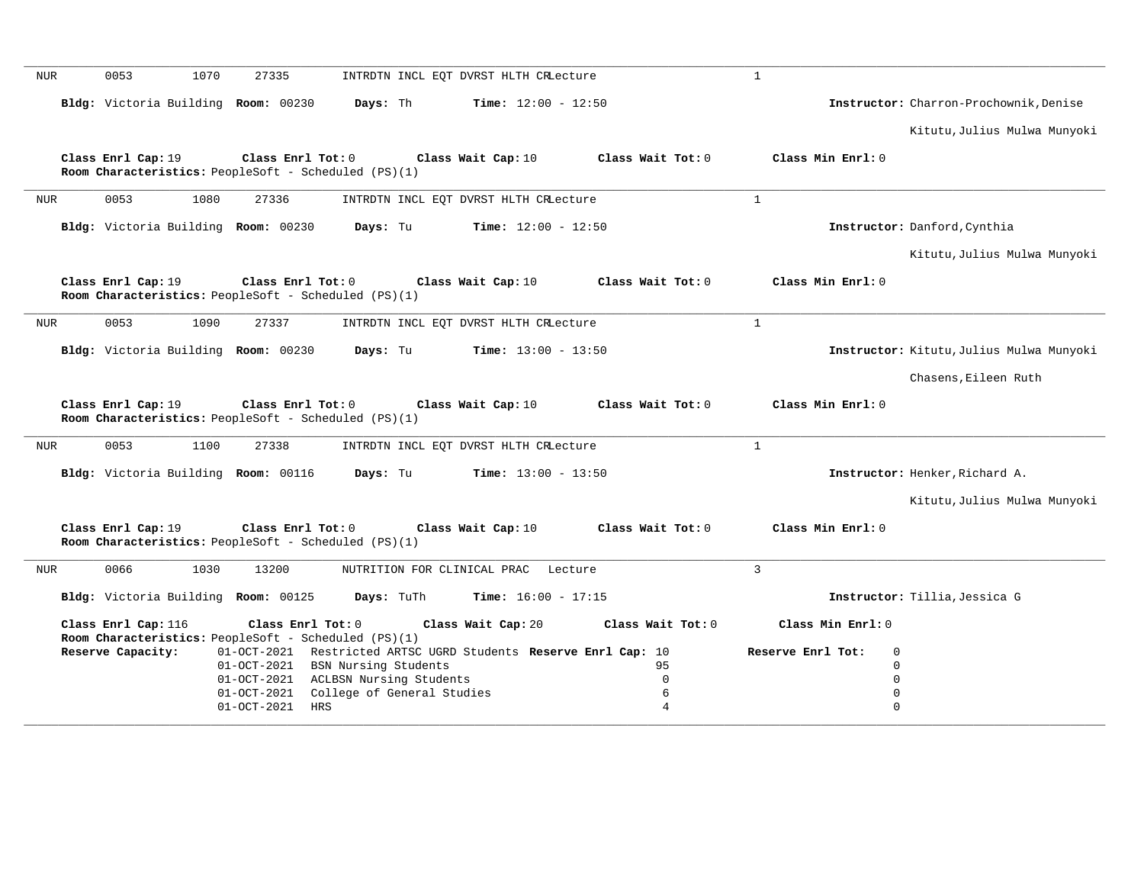| <b>NUR</b> | 0053                | 1070                                                 | 27335                               |                   |                                     | INTRDTN INCL EQT DVRST HLTH CRLecture                           |                   | $\mathbf{1}$ |                   |                                          |
|------------|---------------------|------------------------------------------------------|-------------------------------------|-------------------|-------------------------------------|-----------------------------------------------------------------|-------------------|--------------|-------------------|------------------------------------------|
|            |                     | Bldg: Victoria Building Room: 00230                  |                                     |                   | Days: Th                            | Time: $12:00 - 12:50$                                           |                   |              |                   | Instructor: Charron-Prochownik, Denise   |
|            |                     |                                                      |                                     |                   |                                     |                                                                 |                   |              |                   | Kitutu, Julius Mulwa Munyoki             |
|            | Class Enrl Cap: 19  | Room Characteristics: PeopleSoft - Scheduled (PS)(1) |                                     | Class Enrl Tot: 0 |                                     | Class Wait Cap: 10                                              | Class Wait Tot: 0 |              | Class Min Enrl: 0 |                                          |
| <b>NUR</b> | 0053                | 1080                                                 | 27336                               |                   |                                     | INTRDTN INCL EQT DVRST HLTH CRLecture                           |                   | $\mathbf{1}$ |                   |                                          |
|            |                     | Bldg: Victoria Building Room: 00230                  |                                     |                   | Days: Tu                            | Time: $12:00 - 12:50$                                           |                   |              |                   | Instructor: Danford, Cynthia             |
|            |                     |                                                      |                                     |                   |                                     |                                                                 |                   |              |                   | Kitutu, Julius Mulwa Munyoki             |
|            | Class Enrl Cap: 19  | Room Characteristics: PeopleSoft - Scheduled (PS)(1) |                                     | Class Enrl Tot: 0 |                                     | Class Wait Cap: 10                                              | Class Wait Tot: 0 |              | Class Min Enrl: 0 |                                          |
| <b>NUR</b> | 0053                | 1090                                                 | 27337                               |                   |                                     | INTRDTN INCL EQT DVRST HLTH CRLecture                           |                   | $\mathbf{1}$ |                   |                                          |
|            |                     |                                                      | Bldg: Victoria Building Room: 00230 |                   | Days: Tu                            | <b>Time:</b> $13:00 - 13:50$                                    |                   |              |                   | Instructor: Kitutu, Julius Mulwa Munyoki |
|            |                     |                                                      |                                     |                   |                                     |                                                                 |                   |              |                   |                                          |
|            |                     |                                                      |                                     |                   |                                     |                                                                 |                   |              |                   | Chasens, Eileen Ruth                     |
|            | Class Enrl Cap: 19  | Room Characteristics: PeopleSoft - Scheduled (PS)(1) |                                     | Class Enrl Tot: 0 |                                     | Class Wait Cap: 10                                              | Class Wait Tot: 0 |              | Class Min Enrl: 0 |                                          |
| NUR        | 0053                | 1100                                                 | 27338                               |                   |                                     | INTRDTN INCL EQT DVRST HLTH CRLecture                           |                   | $\mathbf{1}$ |                   |                                          |
|            |                     | Bldg: Victoria Building Room: 00116                  |                                     |                   | Days: Tu                            | <b>Time:</b> $13:00 - 13:50$                                    |                   |              |                   | Instructor: Henker, Richard A.           |
|            |                     |                                                      |                                     |                   |                                     |                                                                 |                   |              |                   | Kitutu, Julius Mulwa Munyoki             |
|            | Class Enrl Cap: 19  | Room Characteristics: PeopleSoft - Scheduled (PS)(1) |                                     | Class Enrl Tot: 0 |                                     | Class Wait Cap: 10                                              | Class Wait Tot: 0 |              | Class Min Enrl: 0 |                                          |
| <b>NUR</b> | 0066                | 1030                                                 | 13200                               |                   |                                     | NUTRITION FOR CLINICAL PRAC Lecture                             |                   | $\mathbf{3}$ |                   |                                          |
|            |                     | Bldg: Victoria Building Room: 00125                  |                                     |                   | Days: TuTh                          | <b>Time:</b> $16:00 - 17:15$                                    |                   |              |                   | Instructor: Tillia, Jessica G            |
|            | Class Enrl Cap: 116 | Room Characteristics: PeopleSoft - Scheduled (PS)(1) |                                     | Class Enrl Tot: 0 |                                     | Class Wait Cap: 20                                              | Class Wait Tot: 0 |              | Class Min Enrl: 0 |                                          |
|            | Reserve Capacity:   |                                                      |                                     |                   |                                     | 01-OCT-2021 Restricted ARTSC UGRD Students Reserve Enrl Cap: 10 |                   |              | Reserve Enrl Tot: | $\Omega$                                 |
|            |                     |                                                      |                                     |                   | 01-OCT-2021 BSN Nursing Students    |                                                                 | 95                |              |                   | $\Omega$                                 |
|            |                     |                                                      |                                     |                   | 01-OCT-2021 ACLBSN Nursing Students |                                                                 | $\mathbf 0$       |              |                   | $\Omega$                                 |
|            |                     |                                                      | $01-0CT-2021$<br>01-OCT-2021 HRS    |                   | College of General Studies          |                                                                 | 6<br>4            |              |                   | $\mathbf 0$<br>$\Omega$                  |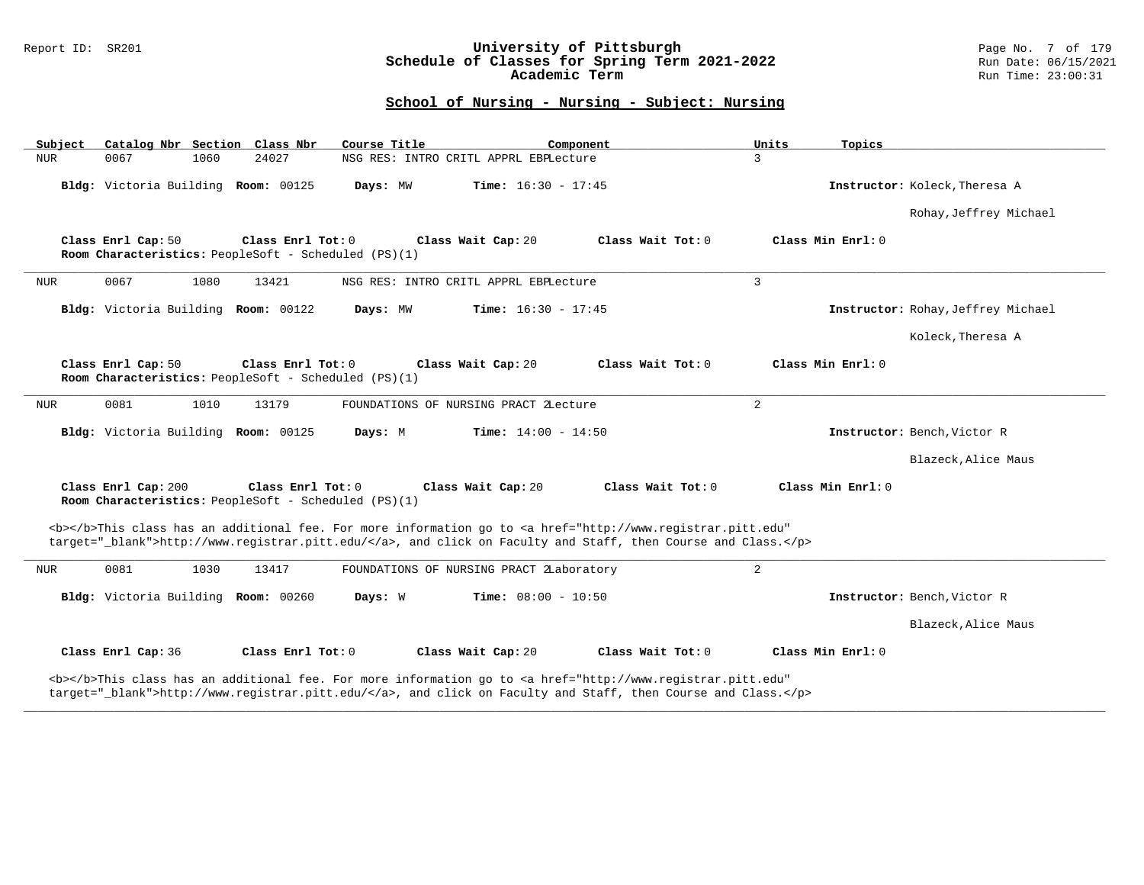### Report ID: SR201 **University of Pittsburgh** Page No. 7 of 179 **Schedule of Classes for Spring Term 2021-2022** Run Date: 06/15/2021 **Academic Term** Run Time: 23:00:31

# **School of Nursing - Nursing - Subject: Nursing**

| Subject                             | Catalog Nbr Section Class Nbr<br>Course Title                             | Component                                                                                                                                                                                                                          | Units<br>Topics                    |
|-------------------------------------|---------------------------------------------------------------------------|------------------------------------------------------------------------------------------------------------------------------------------------------------------------------------------------------------------------------------|------------------------------------|
| <b>NUR</b><br>0067<br>1060          | 24027                                                                     | NSG RES: INTRO CRITL APPRL EBPLecture                                                                                                                                                                                              | 3                                  |
| Bldg: Victoria Building Room: 00125 | Days: MW                                                                  | <b>Time:</b> $16:30 - 17:45$                                                                                                                                                                                                       | Instructor: Koleck, Theresa A      |
|                                     |                                                                           |                                                                                                                                                                                                                                    | Rohay, Jeffrey Michael             |
| Class Enrl Cap: 50                  | Class Enrl Tot: 0<br>Room Characteristics: PeopleSoft - Scheduled (PS)(1) | Class Wait $Tot: 0$<br>Class Wait Cap: 20                                                                                                                                                                                          | Class Min Enrl: 0                  |
| 0067<br><b>NUR</b><br>1080          | 13421                                                                     | NSG RES: INTRO CRITL APPRL EBPLecture                                                                                                                                                                                              | $\overline{3}$                     |
| Bldg: Victoria Building Room: 00122 | Days: MW                                                                  | <b>Time:</b> $16:30 - 17:45$                                                                                                                                                                                                       | Instructor: Rohay, Jeffrey Michael |
|                                     |                                                                           |                                                                                                                                                                                                                                    | Koleck, Theresa A                  |
| Class Enrl Cap: 50                  | Class Enrl Tot: 0<br>Room Characteristics: PeopleSoft - Scheduled (PS)(1) | Class Wait Cap: 20<br>Class Wait Tot: 0                                                                                                                                                                                            | Class Min Enrl: 0                  |
| 0081<br>1010<br>NUR                 | 13179                                                                     | FOUNDATIONS OF NURSING PRACT ZLecture                                                                                                                                                                                              | $\overline{a}$                     |
| Bldg: Victoria Building Room: 00125 | Days: M                                                                   | <b>Time:</b> $14:00 - 14:50$                                                                                                                                                                                                       | Instructor: Bench, Victor R        |
|                                     |                                                                           |                                                                                                                                                                                                                                    | Blazeck, Alice Maus                |
| Class Enrl Cap: 200                 | Class Enrl Tot: 0<br>Room Characteristics: PeopleSoft - Scheduled (PS)(1) | Class Wait Tot: 0<br>Class Wait Cap: 20                                                                                                                                                                                            | Class Min Enrl: 0                  |
|                                     |                                                                           | <b></b> This class has an additional fee. For more information go to <a <br="" href="http://www.registrar.pitt.edu">target="_blank"&gt;http://www.registrar.pitt.edu/</a> , and click on Faculty and Staff, then Course and Class. |                                    |
| 0081<br>1030<br><b>NUR</b>          | 13417                                                                     | FOUNDATIONS OF NURSING PRACT ZLaboratory                                                                                                                                                                                           | $\overline{a}$                     |
| Bldg: Victoria Building Room: 00260 | Days: W                                                                   | <b>Time:</b> $08:00 - 10:50$                                                                                                                                                                                                       | Instructor: Bench, Victor R        |
|                                     |                                                                           |                                                                                                                                                                                                                                    | Blazeck, Alice Maus                |
| Class Enrl Cap: 36                  | Class Enrl Tot: 0                                                         | Class Wait Cap: 20<br>Class Wait Tot: 0                                                                                                                                                                                            | Class Min Enrl: 0                  |
|                                     |                                                                           | <b></b> This class has an additional fee. For more information go to <a <br="" href="http://www.registrar.pitt.edu">target="_blank"&gt;http://www.registrar.pitt.edu/</a> , and click on Faculty and Staff, then Course and Class. |                                    |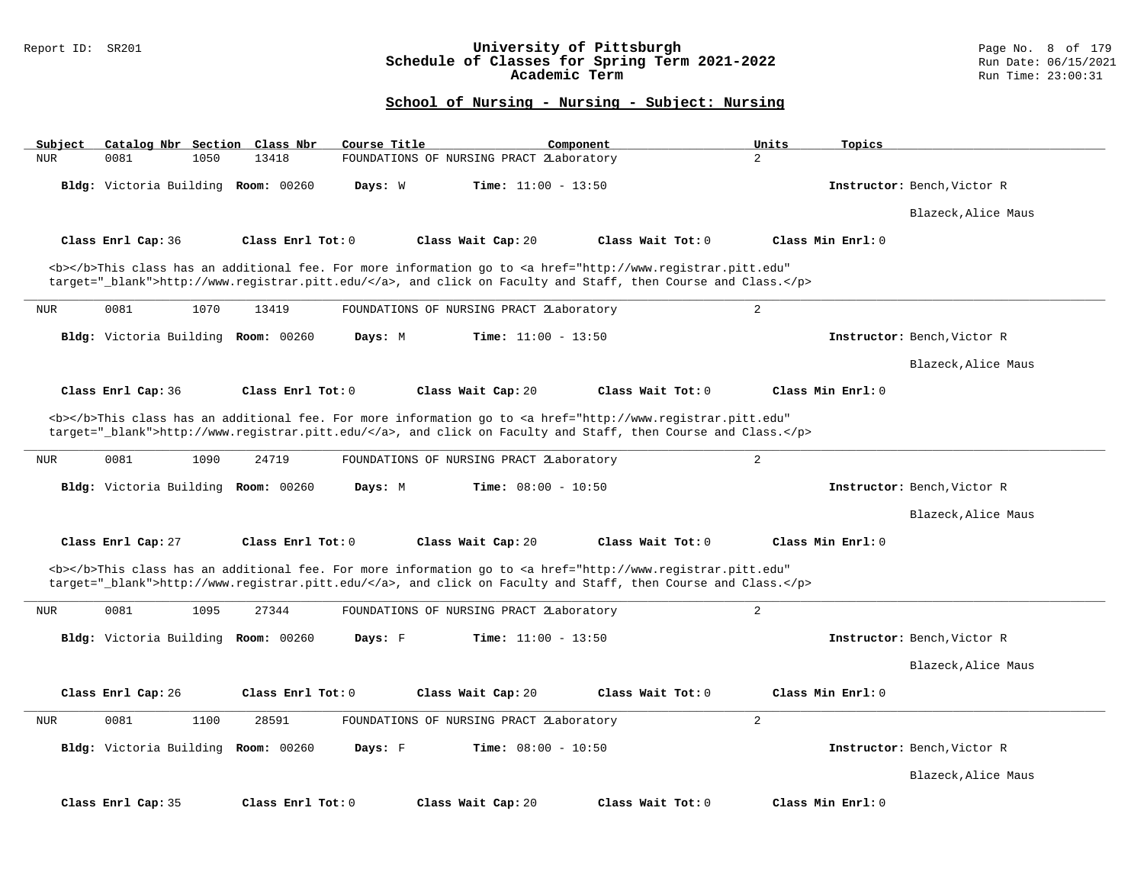### Report ID: SR201 **University of Pittsburgh** Page No. 8 of 179 **Schedule of Classes for Spring Term 2021-2022** Run Date: 06/15/2021 **Academic Term** Run Time: 23:00:31

| Subject    | Catalog Nbr Section Class Nbr       |                         | Course Title                             |                              | Component                                                                                                                                                                                                                          | Units          | Topics            |                             |
|------------|-------------------------------------|-------------------------|------------------------------------------|------------------------------|------------------------------------------------------------------------------------------------------------------------------------------------------------------------------------------------------------------------------------|----------------|-------------------|-----------------------------|
| <b>NUR</b> | 0081<br>1050                        | 13418                   | FOUNDATIONS OF NURSING PRACT ZLaboratory |                              |                                                                                                                                                                                                                                    | $\overline{a}$ |                   |                             |
|            | Bldg: Victoria Building Room: 00260 |                         | Days: W                                  | <b>Time:</b> $11:00 - 13:50$ |                                                                                                                                                                                                                                    |                |                   | Instructor: Bench, Victor R |
|            |                                     |                         |                                          |                              |                                                                                                                                                                                                                                    |                |                   | Blazeck, Alice Maus         |
|            | Class Enrl Cap: 36                  | Class Enrl Tot: 0       |                                          | Class Wait Cap: 20           | Class Wait Tot: 0                                                                                                                                                                                                                  |                | Class Min Enrl: 0 |                             |
|            |                                     |                         |                                          |                              | <b></b> This class has an additional fee. For more information go to <a <br="" href="http://www.registrar.pitt.edu">target="_blank"&gt;http://www.registrar.pitt.edu/</a> , and click on Faculty and Staff, then Course and Class. |                |                   |                             |
| <b>NUR</b> | 0081<br>1070                        | 13419                   | FOUNDATIONS OF NURSING PRACT ZLaboratory |                              |                                                                                                                                                                                                                                    | $\overline{2}$ |                   |                             |
|            | Bldg: Victoria Building Room: 00260 |                         | Days: M                                  | Time: $11:00 - 13:50$        |                                                                                                                                                                                                                                    |                |                   | Instructor: Bench, Victor R |
|            |                                     |                         |                                          |                              |                                                                                                                                                                                                                                    |                |                   | Blazeck, Alice Maus         |
|            | Class Enrl Cap: 36                  | Class Enrl Tot: 0       |                                          | Class Wait Cap: 20           | Class Wait Tot: 0                                                                                                                                                                                                                  |                | Class Min Enrl: 0 |                             |
|            |                                     |                         |                                          |                              | <b></b> This class has an additional fee. For more information go to <a <br="" href="http://www.registrar.pitt.edu">target="_blank"&gt;http://www.registrar.pitt.edu/</a> , and click on Faculty and Staff, then Course and Class. |                |                   |                             |
| <b>NUR</b> | 0081<br>1090                        | 24719                   | FOUNDATIONS OF NURSING PRACT ZLaboratory |                              |                                                                                                                                                                                                                                    | $\overline{a}$ |                   |                             |
|            | Bldg: Victoria Building Room: 00260 |                         | Days: M                                  | Time: $08:00 - 10:50$        |                                                                                                                                                                                                                                    |                |                   | Instructor: Bench, Victor R |
|            |                                     |                         |                                          |                              |                                                                                                                                                                                                                                    |                |                   | Blazeck, Alice Maus         |
|            | Class Enrl Cap: 27                  | Class Enrl Tot: 0       |                                          | Class Wait Cap: 20           | Class Wait Tot: 0                                                                                                                                                                                                                  |                | Class Min Enrl: 0 |                             |
|            |                                     |                         |                                          |                              | <b></b> This class has an additional fee. For more information go to <a <br="" href="http://www.registrar.pitt.edu">target="_blank"&gt;http://www.registrar.pitt.edu/</a> , and click on Faculty and Staff, then Course and Class. |                |                   |                             |
| <b>NUR</b> | 0081<br>1095                        | 27344                   | FOUNDATIONS OF NURSING PRACT ZLaboratory |                              |                                                                                                                                                                                                                                    | $\overline{a}$ |                   |                             |
|            | Bldg: Victoria Building Room: 00260 |                         | Days: F                                  | <b>Time:</b> $11:00 - 13:50$ |                                                                                                                                                                                                                                    |                |                   | Instructor: Bench, Victor R |
|            |                                     |                         |                                          |                              |                                                                                                                                                                                                                                    |                |                   | Blazeck, Alice Maus         |
|            | Class Enrl Cap: 26                  | $Class$ $Enr1$ $Tot: 0$ |                                          | Class Wait Cap: 20           | Class Wait Tot: 0                                                                                                                                                                                                                  |                | Class Min Enrl: 0 |                             |
| NUR        | 0081<br>1100                        | 28591                   | FOUNDATIONS OF NURSING PRACT ZLaboratory |                              |                                                                                                                                                                                                                                    | 2              |                   |                             |
|            | Bldg: Victoria Building Room: 00260 |                         | Days: F                                  | Time: $08:00 - 10:50$        |                                                                                                                                                                                                                                    |                |                   | Instructor: Bench, Victor R |
|            |                                     |                         |                                          |                              |                                                                                                                                                                                                                                    |                |                   | Blazeck, Alice Maus         |
|            | Class Enrl Cap: 35                  | Class Enrl Tot: 0       |                                          | Class Wait Cap: 20           | Class Wait Tot: 0                                                                                                                                                                                                                  |                | Class Min Enrl: 0 |                             |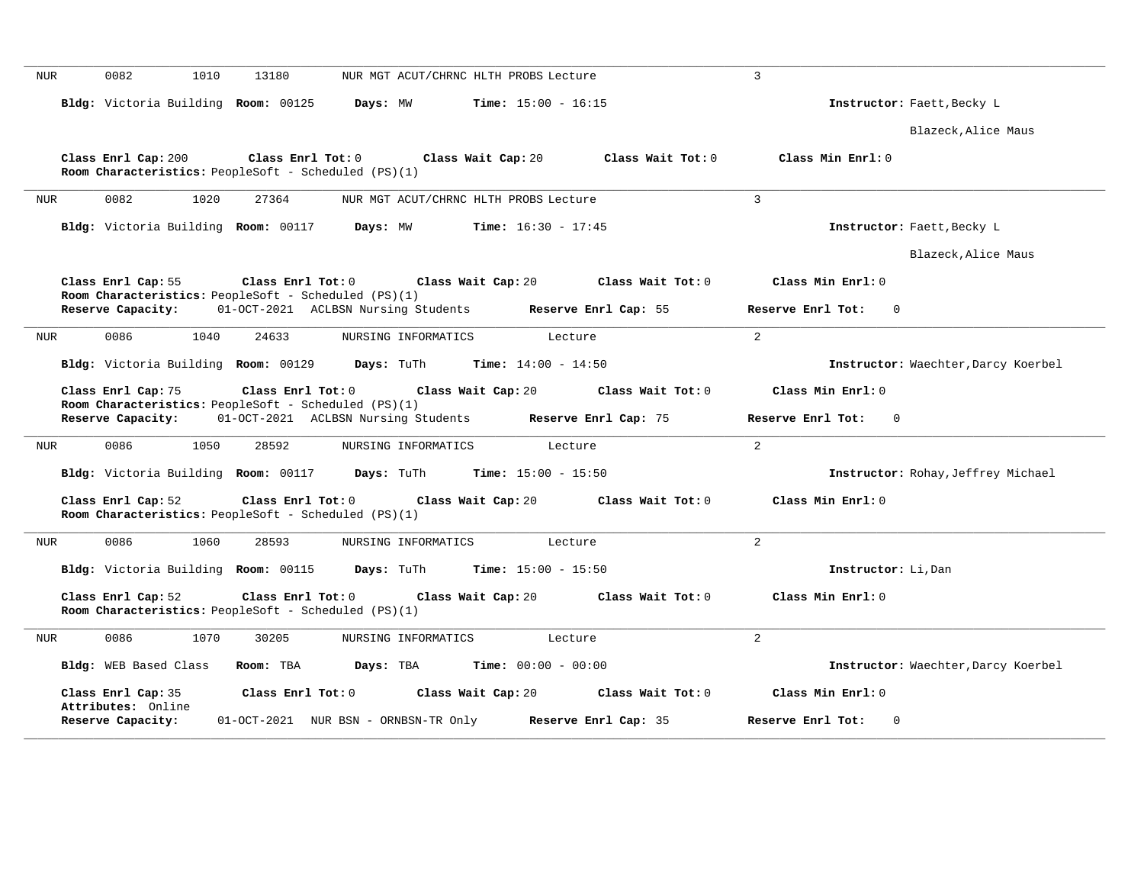| 0082<br>1010<br>13180<br>NUR MGT ACUT/CHRNC HLTH PROBS Lecture<br><b>NUR</b>                                                                 | 3                                   |
|----------------------------------------------------------------------------------------------------------------------------------------------|-------------------------------------|
| Bldg: Victoria Building Room: 00125<br>Days: MW<br><b>Time:</b> $15:00 - 16:15$                                                              | Instructor: Faett, Becky L          |
|                                                                                                                                              | Blazeck, Alice Maus                 |
| Class Wait Tot: 0<br>Class Enrl Cap: 200<br>Class Enrl Tot: 0<br>Class Wait Cap: 20<br>Room Characteristics: PeopleSoft - Scheduled (PS)(1)  | Class Min Enrl: 0                   |
| 0082<br>1020<br>27364<br>NUR MGT ACUT/CHRNC HLTH PROBS Lecture<br><b>NUR</b>                                                                 | $\overline{3}$                      |
| Bldg: Victoria Building Room: 00117<br><b>Time:</b> $16:30 - 17:45$<br>Days: MW                                                              | Instructor: Faett, Becky L          |
|                                                                                                                                              | Blazeck, Alice Maus                 |
| Class Wait Cap: 20<br>Class Wait $Tot: 0$<br>Class Enrl Cap: 55<br>Class Enrl Tot: 0<br>Room Characteristics: PeopleSoft - Scheduled (PS)(1) | Class Min Enrl: 0                   |
| 01-OCT-2021 ACLBSN Nursing Students<br>Reserve Capacity:<br>Reserve Enrl Cap: 55                                                             | Reserve Enrl Tot:<br>$\mathbf 0$    |
| 0086<br>1040<br>24633<br>NURSING INFORMATICS<br>Lecture<br>NUR                                                                               | $\overline{2}$                      |
| Bldg: Victoria Building Room: 00129<br>Days: TuTh<br><b>Time:</b> $14:00 - 14:50$                                                            | Instructor: Waechter, Darcy Koerbel |
| Class Enrl Cap: 75<br>Class Enrl Tot: 0<br>Class Wait Cap: 20<br>Class Wait $Tot: 0$                                                         | Class Min Enrl: 0                   |
| Room Characteristics: PeopleSoft - Scheduled (PS)(1)<br>01-OCT-2021 ACLBSN Nursing Students<br>Reserve Capacity:<br>Reserve Enrl Cap: 75     | Reserve Enrl Tot:<br>$\Omega$       |
| 0086<br>1050<br>28592<br><b>NUR</b><br>NURSING INFORMATICS<br>Lecture                                                                        | 2                                   |
| Bldg: Victoria Building Room: 00117<br>Days: TuTh<br><b>Time:</b> $15:00 - 15:50$                                                            | Instructor: Rohay, Jeffrey Michael  |
| Class Enrl Cap: 52<br>Class Enrl Tot: 0<br>Class Wait Cap: 20<br>Class Wait Tot: 0<br>Room Characteristics: PeopleSoft - Scheduled (PS)(1)   | Class Min Enrl: 0                   |
| 0086<br>1060<br>28593<br>NURSING INFORMATICS<br>NUR<br>Lecture                                                                               | $\overline{2}$                      |
| Bldg: Victoria Building Room: 00115<br>Days: TuTh<br><b>Time:</b> $15:00 - 15:50$                                                            | Instructor: Li, Dan                 |
| Class Enrl Cap: 52<br>Class Enrl Tot: 0<br>Class Wait Cap: 20<br>Class Wait Tot: 0<br>Room Characteristics: PeopleSoft - Scheduled (PS)(1)   | Class Min Enrl: 0                   |
| 0086<br>1070<br>30205<br><b>NUR</b><br>NURSING INFORMATICS<br>Lecture                                                                        | $\overline{2}$                      |
| Bldg: WEB Based Class<br>Room: TBA<br>Days: TBA<br><b>Time:</b> $00:00 - 00:00$                                                              | Instructor: Waechter, Darcy Koerbel |
| Class Enrl Cap: 35<br>Class Enrl Tot: 0<br>Class Wait Cap: 20<br>Class Wait Tot: 0                                                           | Class Min Enrl: 0                   |
| Attributes: Online<br>Reserve Capacity:<br>01-OCT-2021 NUR BSN - ORNBSN-TR Only<br>Reserve Enrl Cap: 35                                      | Reserve Enrl Tot:<br>$\mathbf 0$    |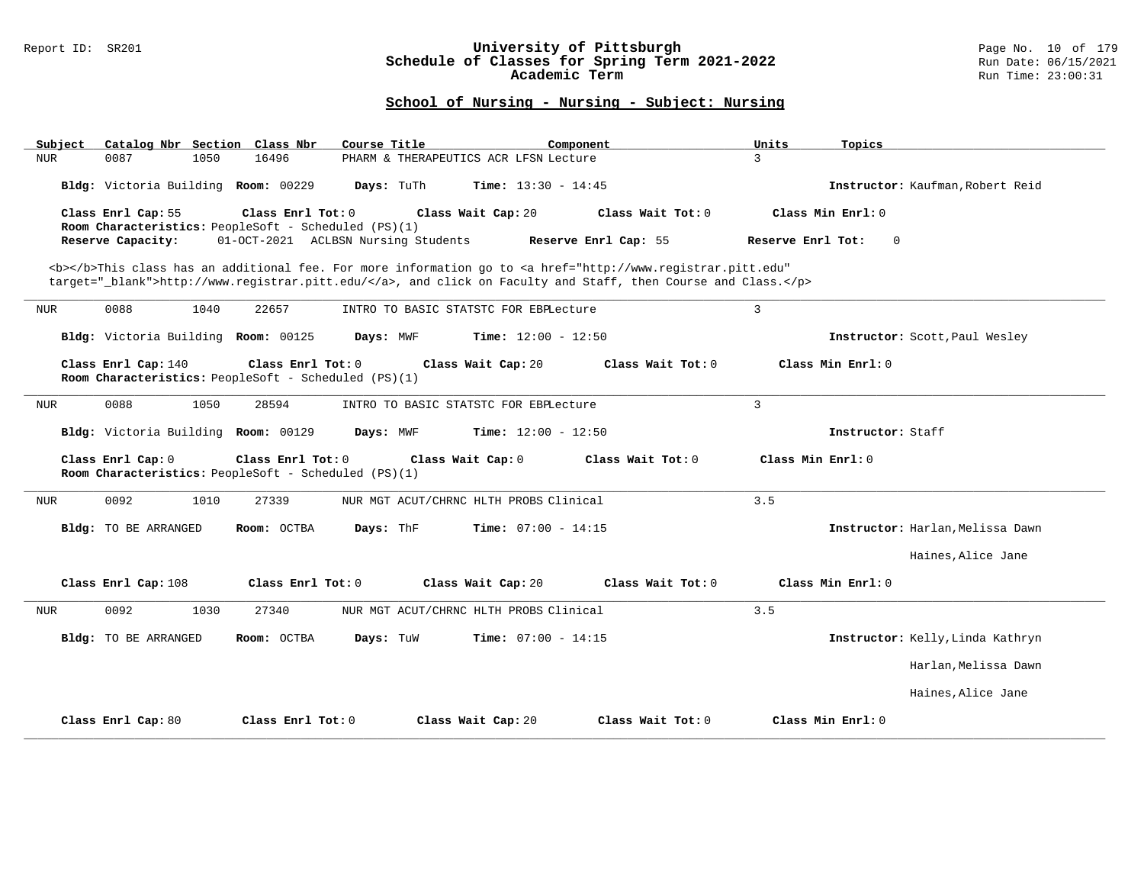#### Report ID: SR201 **University of Pittsburgh** Page No. 10 of 179 **Schedule of Classes for Spring Term 2021-2022** Run Date: 06/15/2021 **Academic Term** Run Time: 23:00:31

| Catalog Nbr Section Class Nbr<br>Subject | Course Title                                                                                                                                   | Component                    | Units<br>Topics                     |
|------------------------------------------|------------------------------------------------------------------------------------------------------------------------------------------------|------------------------------|-------------------------------------|
| 0087<br>1050<br>NUR                      | 16496<br>PHARM & THERAPEUTICS ACR LFSN Lecture                                                                                                 |                              | 3                                   |
| Bldg: Victoria Building Room: 00229      | Days: TuTh                                                                                                                                     | <b>Time:</b> $13:30 - 14:45$ | Instructor: Kaufman, Robert Reid    |
| Class Enrl Cap: 55                       | Class Enrl Tot: 0<br>Class Wait Cap: 20                                                                                                        | Class Wait Tot: $0$          | Class Min Enrl: 0                   |
| Reserve Capacity:                        | Room Characteristics: PeopleSoft - Scheduled (PS)(1)<br>01-OCT-2021 ACLBSN Nursing Students                                                    | Reserve Enrl Cap: 55         | Reserve Enrl Tot:<br>$\overline{0}$ |
|                                          | <b></b> This class has an additional fee. For more information go to <a <="" href="http://www.registrar.pitt.edu" td=""><td></td><td></td></a> |                              |                                     |
|                                          | target="_blank">http://www.registrar.pitt.edu/, and click on Faculty and Staff, then Course and Class.                                         |                              |                                     |
| 0088<br>1040<br>NUR                      | 22657<br>INTRO TO BASIC STATSTC FOR EBPLecture                                                                                                 |                              | 3                                   |
| Bldg: Victoria Building Room: 00125      | Days: MWF                                                                                                                                      | Time: $12:00 - 12:50$        | Instructor: Scott, Paul Wesley      |
| Class Enrl Cap: 140                      | Class Enrl Tot: 0<br>Class Wait Cap: 20<br>Room Characteristics: PeopleSoft - Scheduled (PS)(1)                                                | Class Wait Tot: 0            | Class Min Enrl: 0                   |
| 0088<br>1050<br>NUR                      | 28594<br>INTRO TO BASIC STATSTC FOR EBPLecture                                                                                                 |                              | $\overline{3}$                      |
| Bldg: Victoria Building Room: 00129      | Days: MWF                                                                                                                                      | <b>Time:</b> $12:00 - 12:50$ | Instructor: Staff                   |
| Class Enrl Cap: 0                        | Class Enrl Tot: $0$<br>Class Wait Cap: 0<br>Room Characteristics: PeopleSoft - Scheduled (PS)(1)                                               | Class Wait Tot: 0            | Class Min Enrl: 0                   |
| 0092<br>1010<br>NUR                      | 27339<br>NUR MGT ACUT/CHRNC HLTH PROBS Clinical                                                                                                |                              | 3.5                                 |
| Bldg: TO BE ARRANGED                     | Room: OCTBA<br>Days: ThF                                                                                                                       | <b>Time:</b> $07:00 - 14:15$ | Instructor: Harlan, Melissa Dawn    |
|                                          |                                                                                                                                                |                              | Haines, Alice Jane                  |
| Class Enrl Cap: 108                      | Class Enrl Tot: 0<br>Class Wait Cap: 20                                                                                                        | Class Wait Tot: 0            | Class Min Enrl: 0                   |
| 0092<br>1030<br>NUR                      | 27340<br>NUR MGT ACUT/CHRNC HLTH PROBS Clinical                                                                                                |                              | 3.5                                 |
| Bldg: TO BE ARRANGED                     | Days: TuW<br>Room: OCTBA                                                                                                                       | <b>Time:</b> $07:00 - 14:15$ | Instructor: Kelly, Linda Kathryn    |
|                                          |                                                                                                                                                |                              | Harlan, Melissa Dawn                |
|                                          |                                                                                                                                                |                              | Haines, Alice Jane                  |
| Class Enrl Cap: 80                       | Class Enrl Tot: 0<br>Class Wait Cap: 20                                                                                                        | Class Wait Tot: 0            | Class Min Enrl: 0                   |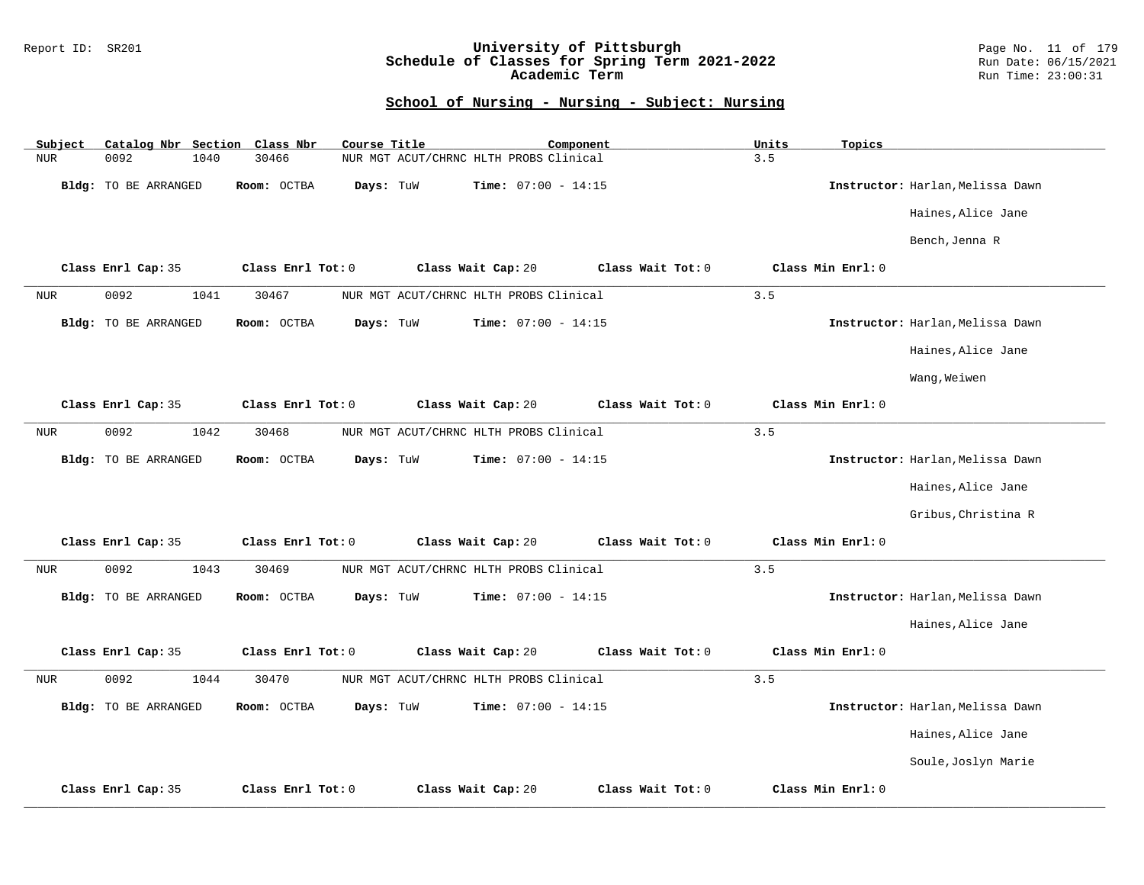### Report ID: SR201 **University of Pittsburgh** Page No. 11 of 179 **Schedule of Classes for Spring Term 2021-2022** Run Date: 06/15/2021 **Academic Term** Run Time: 23:00:31

| Subject    | Catalog Nbr Section  | Class Nbr<br>Course Title |                                        | Component         | Units<br>Topics   |                                  |
|------------|----------------------|---------------------------|----------------------------------------|-------------------|-------------------|----------------------------------|
| <b>NUR</b> | 0092<br>1040         | 30466                     | NUR MGT ACUT/CHRNC HLTH PROBS Clinical |                   | 3.5               |                                  |
|            | Bldg: TO BE ARRANGED | Room: OCTBA<br>Days: TuW  | Time: $07:00 - 14:15$                  |                   |                   | Instructor: Harlan, Melissa Dawn |
|            |                      |                           |                                        |                   |                   | Haines, Alice Jane               |
|            |                      |                           |                                        |                   |                   | Bench, Jenna R                   |
|            | Class Enrl Cap: 35   | Class Enrl Tot: 0         | Class Wait Cap: 20                     | Class Wait Tot: 0 | Class Min Enrl: 0 |                                  |
| NUR        | 0092<br>1041         | 30467                     | NUR MGT ACUT/CHRNC HLTH PROBS Clinical |                   | 3.5               |                                  |
|            | Bldg: TO BE ARRANGED | Days: TuW<br>Room: OCTBA  | <b>Time:</b> $07:00 - 14:15$           |                   |                   | Instructor: Harlan, Melissa Dawn |
|            |                      |                           |                                        |                   |                   | Haines, Alice Jane               |
|            |                      |                           |                                        |                   |                   | Wang, Weiwen                     |
|            | Class Enrl Cap: 35   | Class Enrl Tot: 0         | Class Wait Cap: 20                     | Class Wait Tot: 0 | Class Min Enrl: 0 |                                  |
| <b>NUR</b> | 0092<br>1042         | 30468                     | NUR MGT ACUT/CHRNC HLTH PROBS Clinical |                   | 3.5               |                                  |
|            | Bldg: TO BE ARRANGED | Room: OCTBA<br>Days: TuW  | Time: $07:00 - 14:15$                  |                   |                   | Instructor: Harlan, Melissa Dawn |
|            |                      |                           |                                        |                   |                   | Haines, Alice Jane               |
|            |                      |                           |                                        |                   |                   | Gribus, Christina R              |
|            | Class Enrl Cap: 35   | Class Enrl Tot: 0         | Class Wait Cap: 20                     | Class Wait Tot: 0 | Class Min Enrl: 0 |                                  |
| <b>NUR</b> | 0092<br>1043         | 30469                     | NUR MGT ACUT/CHRNC HLTH PROBS Clinical |                   | 3.5               |                                  |
|            | Bldg: TO BE ARRANGED | Room: OCTBA<br>Days: TuW  | <b>Time:</b> $07:00 - 14:15$           |                   |                   | Instructor: Harlan, Melissa Dawn |
|            |                      |                           |                                        |                   |                   | Haines, Alice Jane               |
|            | Class Enrl Cap: 35   | Class Enrl Tot: 0         | Class Wait Cap: 20                     | Class Wait Tot: 0 | Class Min Enrl: 0 |                                  |
| <b>NUR</b> | 0092<br>1044         | 30470                     | NUR MGT ACUT/CHRNC HLTH PROBS Clinical |                   | 3.5               |                                  |
|            | Bldg: TO BE ARRANGED | Room: OCTBA<br>Days: TuW  | <b>Time:</b> $07:00 - 14:15$           |                   |                   | Instructor: Harlan, Melissa Dawn |
|            |                      |                           |                                        |                   |                   | Haines, Alice Jane               |
|            |                      |                           |                                        |                   |                   | Soule, Joslyn Marie              |
|            | Class Enrl Cap: 35   | Class Enrl Tot: 0         | Class Wait Cap: 20                     | Class Wait Tot: 0 | Class Min Enrl: 0 |                                  |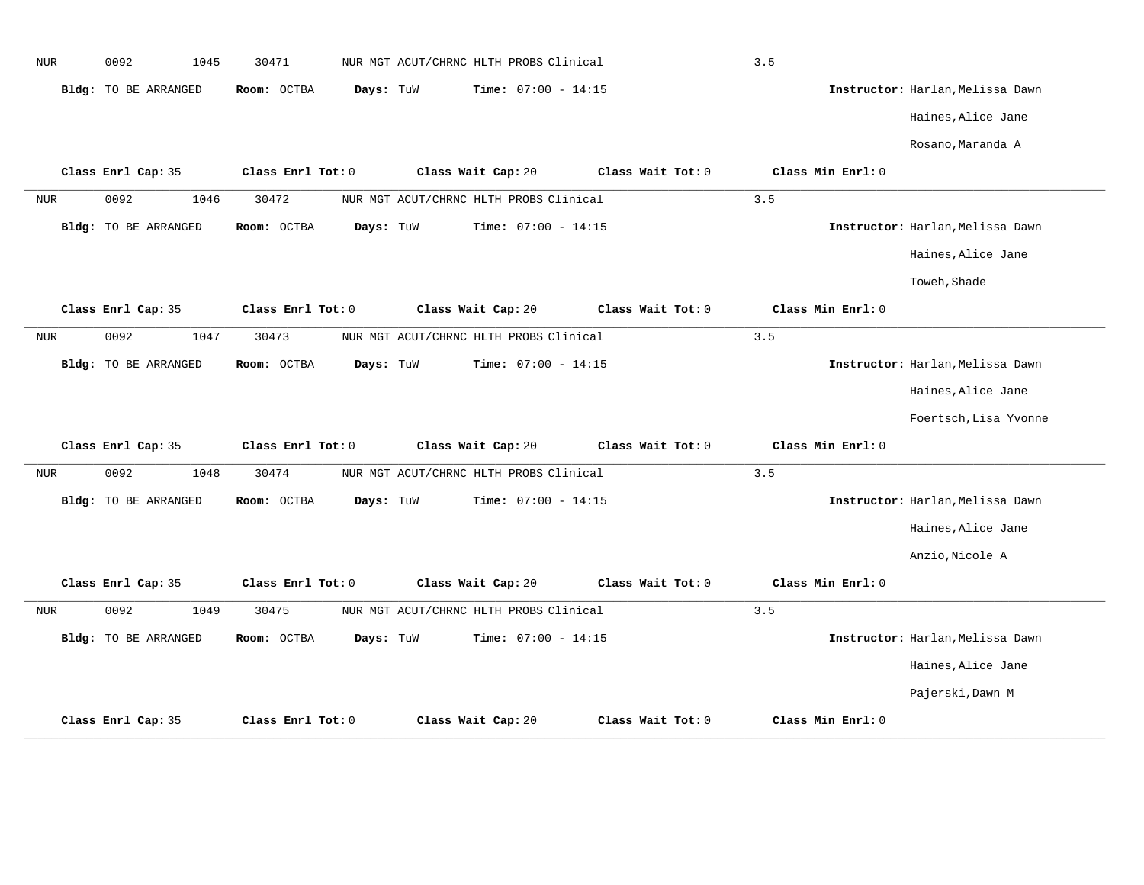| $\rm NUR$  | 0092<br>1045                | 30471                    | NUR MGT ACUT/CHRNC HLTH PROBS Clinical    |                   | 3.5               |                                  |
|------------|-----------------------------|--------------------------|-------------------------------------------|-------------------|-------------------|----------------------------------|
|            | Bldg: TO BE ARRANGED        | Room: OCTBA              | Days: TuW<br><b>Time:</b> $07:00 - 14:15$ |                   |                   | Instructor: Harlan, Melissa Dawn |
|            |                             |                          |                                           |                   |                   | Haines, Alice Jane               |
|            |                             |                          |                                           |                   |                   | Rosano, Maranda A                |
|            | Class Enrl Cap: 35          | Class Enrl Tot: 0        | Class Wait Cap: 20                        | Class Wait Tot: 0 | Class Min Enrl: 0 |                                  |
| <b>NUR</b> | 0092<br>1046                | 30472                    | NUR MGT ACUT/CHRNC HLTH PROBS Clinical    |                   | 3.5               |                                  |
|            | <b>Bldg:</b> TO BE ARRANGED | Room: OCTBA              | <b>Time:</b> $07:00 - 14:15$<br>Days: TuW |                   |                   | Instructor: Harlan, Melissa Dawn |
|            |                             |                          |                                           |                   |                   | Haines, Alice Jane               |
|            |                             |                          |                                           |                   |                   | Toweh, Shade                     |
|            | Class Enrl Cap: 35          | Class Enrl Tot: 0        | Class Wait Cap: 20                        | Class Wait Tot: 0 | Class Min Enrl: 0 |                                  |
| <b>NUR</b> | 0092<br>1047                | 30473                    | NUR MGT ACUT/CHRNC HLTH PROBS Clinical    |                   | 3.5               |                                  |
|            | <b>Bldg:</b> TO BE ARRANGED | Room: OCTBA              | Time: $07:00 - 14:15$<br>Days: TuW        |                   |                   | Instructor: Harlan, Melissa Dawn |
|            |                             |                          |                                           |                   |                   | Haines, Alice Jane               |
|            |                             |                          |                                           |                   |                   | Foertsch, Lisa Yvonne            |
|            | Class Enrl Cap: 35          | Class Enrl Tot: 0        | Class Wait Cap: 20                        | Class Wait Tot: 0 | Class Min Enrl: 0 |                                  |
| <b>NUR</b> | 0092<br>1048                | 30474                    | NUR MGT ACUT/CHRNC HLTH PROBS Clinical    |                   | 3.5               |                                  |
|            | Bldg: TO BE ARRANGED        | Room: OCTBA              | Time: $07:00 - 14:15$<br>Days: TuW        |                   |                   | Instructor: Harlan, Melissa Dawn |
|            |                             |                          |                                           |                   |                   | Haines, Alice Jane               |
|            |                             |                          |                                           |                   |                   | Anzio, Nicole A                  |
|            | Class Enrl Cap: 35          | Class Enrl Tot: 0        | Class Wait Cap: 20                        | Class Wait Tot: 0 | Class Min Enrl: 0 |                                  |
| <b>NUR</b> | 0092<br>1049                | 30475                    | NUR MGT ACUT/CHRNC HLTH PROBS Clinical    |                   | 3.5               |                                  |
|            | <b>Bldg:</b> TO BE ARRANGED | Room: OCTBA<br>Days: TuW | Time: $07:00 - 14:15$                     |                   |                   | Instructor: Harlan, Melissa Dawn |
|            |                             |                          |                                           |                   |                   | Haines, Alice Jane               |
|            |                             |                          |                                           |                   |                   | Pajerski, Dawn M                 |
|            | Class Enrl Cap: 35          | Class Enrl Tot: 0        | Class Wait Cap: 20                        | Class Wait Tot: 0 | Class Min Enrl: 0 |                                  |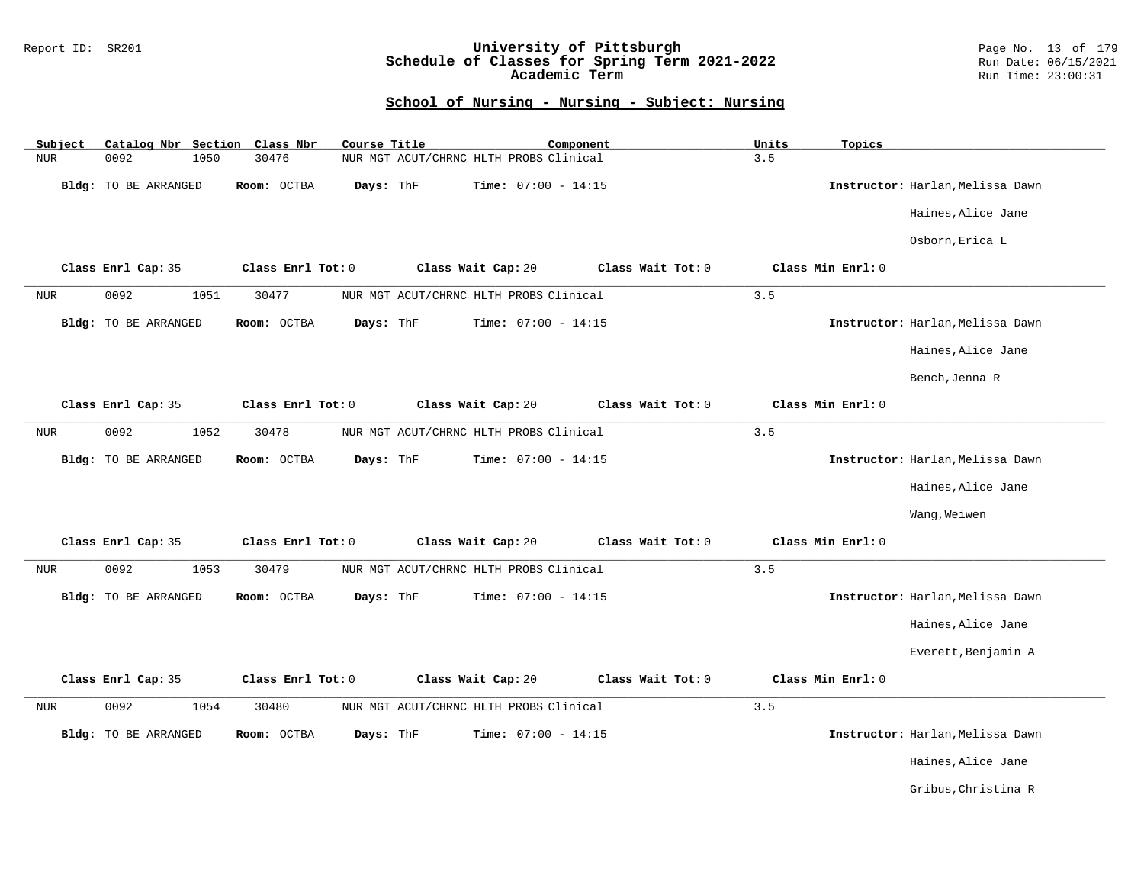### Report ID: SR201 **University of Pittsburgh** Page No. 13 of 179 **Schedule of Classes for Spring Term 2021-2022** Run Date: 06/15/2021 **Academic Term** Run Time: 23:00:31

| Subject<br>Catalog Nbr Section | Class Nbr<br>Course Title                       | Component                    | Units<br>Topics   |                                  |
|--------------------------------|-------------------------------------------------|------------------------------|-------------------|----------------------------------|
| <b>NUR</b><br>0092<br>1050     | 30476<br>NUR MGT ACUT/CHRNC HLTH PROBS Clinical |                              | 3.5               |                                  |
| Bldg: TO BE ARRANGED           | Room: OCTBA<br>Days: ThF                        | Time: $07:00 - 14:15$        |                   | Instructor: Harlan, Melissa Dawn |
|                                |                                                 |                              |                   | Haines, Alice Jane               |
|                                |                                                 |                              |                   | Osborn, Erica L                  |
| Class Enrl Cap: 35             | Class Enrl Tot: 0<br>Class Wait Cap: 20         | Class Wait Tot: 0            | Class Min Enrl: 0 |                                  |
| 0092<br>1051<br><b>NUR</b>     | 30477<br>NUR MGT ACUT/CHRNC HLTH PROBS Clinical |                              | 3.5               |                                  |
| Bldg: TO BE ARRANGED           | Days: ThF<br>Room: OCTBA                        | <b>Time:</b> $07:00 - 14:15$ |                   | Instructor: Harlan, Melissa Dawn |
|                                |                                                 |                              |                   | Haines, Alice Jane               |
|                                |                                                 |                              |                   | Bench, Jenna R                   |
| Class Enrl Cap: 35             | Class Enrl Tot: 0<br>Class Wait Cap: 20         | Class Wait Tot: 0            | Class Min Enrl: 0 |                                  |
| 0092<br><b>NUR</b><br>1052     | 30478<br>NUR MGT ACUT/CHRNC HLTH PROBS Clinical |                              | 3.5               |                                  |
| Bldg: TO BE ARRANGED           | Room: OCTBA<br>Days: ThF                        | Time: $07:00 - 14:15$        |                   | Instructor: Harlan, Melissa Dawn |
|                                |                                                 |                              |                   | Haines, Alice Jane               |
|                                |                                                 |                              |                   | Wang, Weiwen                     |
| Class Enrl Cap: 35             | Class Enrl Tot: 0<br>Class Wait Cap: 20         | Class Wait Tot: 0            | Class Min Enrl: 0 |                                  |
| 0092<br><b>NUR</b><br>1053     | 30479<br>NUR MGT ACUT/CHRNC HLTH PROBS Clinical |                              | 3.5               |                                  |
| Bldg: TO BE ARRANGED           | Room: OCTBA<br>Days: ThF                        | <b>Time:</b> $07:00 - 14:15$ |                   | Instructor: Harlan, Melissa Dawn |
|                                |                                                 |                              |                   | Haines, Alice Jane               |
|                                |                                                 |                              |                   | Everett, Benjamin A              |
| Class Enrl Cap: 35             | Class Enrl Tot: 0<br>Class Wait Cap: 20         | Class Wait Tot: 0            | Class Min Enrl: 0 |                                  |
| 0092<br>1054<br><b>NUR</b>     | 30480<br>NUR MGT ACUT/CHRNC HLTH PROBS Clinical |                              | 3.5               |                                  |
| <b>Bldg:</b> TO BE ARRANGED    | Room: OCTBA<br>Days: ThF                        | Time: $07:00 - 14:15$        |                   | Instructor: Harlan, Melissa Dawn |
|                                |                                                 |                              |                   | Haines, Alice Jane               |
|                                |                                                 |                              |                   | Gribus, Christina R              |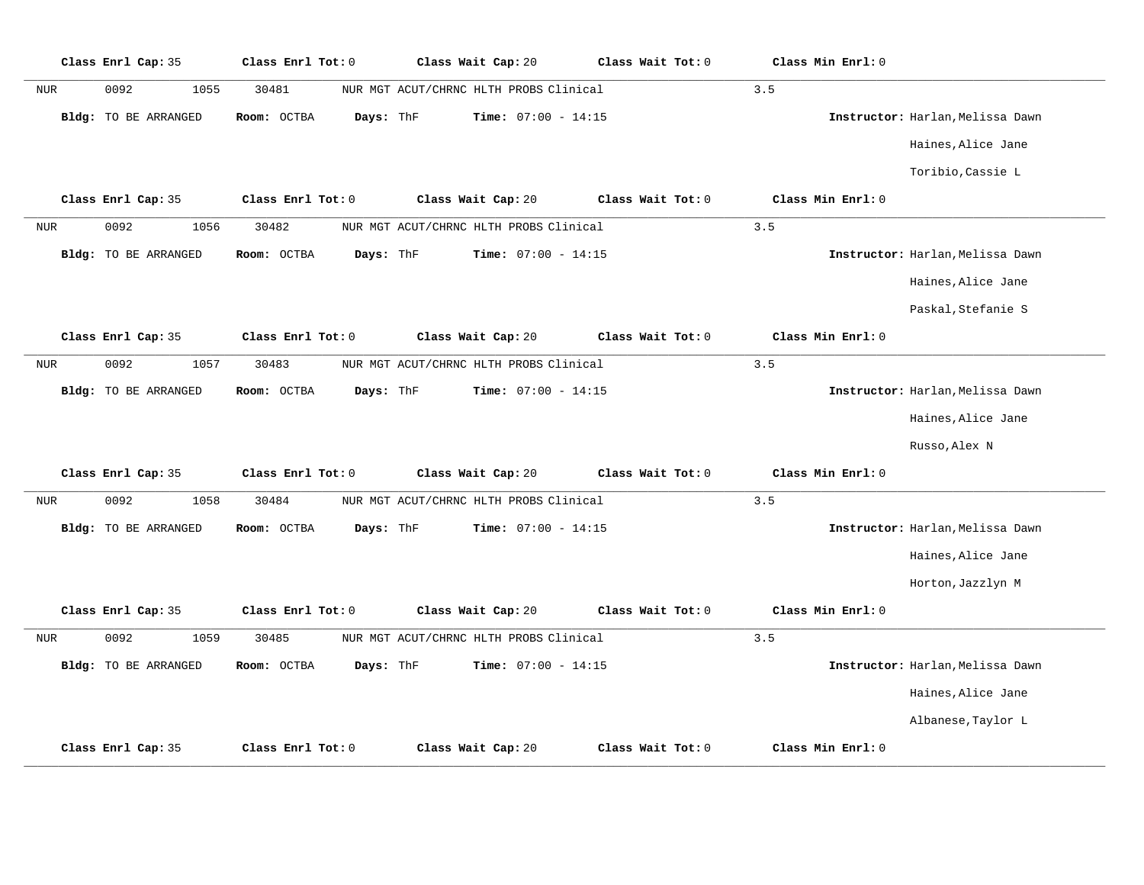|             | Class Enrl Cap: 35          | Class Enrl Tot: 0 | Class Wait Cap: 20                        | Class Wait Tot: 0 | Class Min Enrl: 0 |                                  |
|-------------|-----------------------------|-------------------|-------------------------------------------|-------------------|-------------------|----------------------------------|
| ${\tt NUR}$ | 0092<br>1055                | 30481             | NUR MGT ACUT/CHRNC HLTH PROBS Clinical    |                   | 3.5               |                                  |
|             | <b>Bldg:</b> TO BE ARRANGED | Room: OCTBA       | Days: ThF<br><b>Time:</b> $07:00 - 14:15$ |                   |                   | Instructor: Harlan, Melissa Dawn |
|             |                             |                   |                                           |                   |                   | Haines, Alice Jane               |
|             |                             |                   |                                           |                   |                   | Toribio, Cassie L                |
|             | Class Enrl Cap: 35          | Class Enrl Tot: 0 | Class Wait Cap: 20                        | Class Wait Tot: 0 | Class Min Enrl: 0 |                                  |
| NUR         | 0092<br>1056                | 30482             | NUR MGT ACUT/CHRNC HLTH PROBS Clinical    |                   | 3.5               |                                  |
|             | Bldg: TO BE ARRANGED        | Room: OCTBA       | Days: ThF<br>Time: $07:00 - 14:15$        |                   |                   | Instructor: Harlan, Melissa Dawn |
|             |                             |                   |                                           |                   |                   | Haines, Alice Jane               |
|             |                             |                   |                                           |                   |                   | Paskal, Stefanie S               |
|             | Class Enrl Cap: 35          | Class Enrl Tot: 0 | Class Wait Cap: 20                        | Class Wait Tot: 0 | Class Min Enrl: 0 |                                  |
| <b>NUR</b>  | 0092<br>1057                | 30483             | NUR MGT ACUT/CHRNC HLTH PROBS Clinical    |                   | 3.5               |                                  |
|             | <b>Bldg:</b> TO BE ARRANGED | Room: OCTBA       | Days: ThF<br><b>Time:</b> $07:00 - 14:15$ |                   |                   | Instructor: Harlan, Melissa Dawn |
|             |                             |                   |                                           |                   |                   | Haines, Alice Jane               |
|             |                             |                   |                                           |                   |                   | Russo, Alex N                    |
|             | Class Enrl Cap: 35          | Class Enrl Tot: 0 | Class Wait Cap: 20                        | Class Wait Tot: 0 | Class Min Enrl: 0 |                                  |
| <b>NUR</b>  | 0092<br>1058                | 30484             | NUR MGT ACUT/CHRNC HLTH PROBS Clinical    |                   | 3.5               |                                  |
|             | <b>Bldg:</b> TO BE ARRANGED | Room: OCTBA       | Time: $07:00 - 14:15$<br>Days: ThF        |                   |                   | Instructor: Harlan, Melissa Dawn |
|             |                             |                   |                                           |                   |                   | Haines, Alice Jane               |
|             |                             |                   |                                           |                   |                   | Horton, Jazzlyn M                |
|             | Class Enrl Cap: 35          | Class Enrl Tot: 0 | Class Wait Cap: 20                        | Class Wait Tot: 0 | Class Min Enrl: 0 |                                  |
| NUR         | 0092<br>1059                | 30485             | NUR MGT ACUT/CHRNC HLTH PROBS Clinical    |                   | 3.5               |                                  |
|             | <b>Bldg:</b> TO BE ARRANGED | Room: OCTBA       | Days: ThF<br><b>Time:</b> $07:00 - 14:15$ |                   |                   | Instructor: Harlan, Melissa Dawn |
|             |                             |                   |                                           |                   |                   | Haines, Alice Jane               |
|             |                             |                   |                                           |                   |                   | Albanese, Taylor L               |
|             | Class Enrl Cap: 35          | Class Enrl Tot: 0 | Class Wait Cap: 20                        | Class Wait Tot: 0 | Class Min Enrl: 0 |                                  |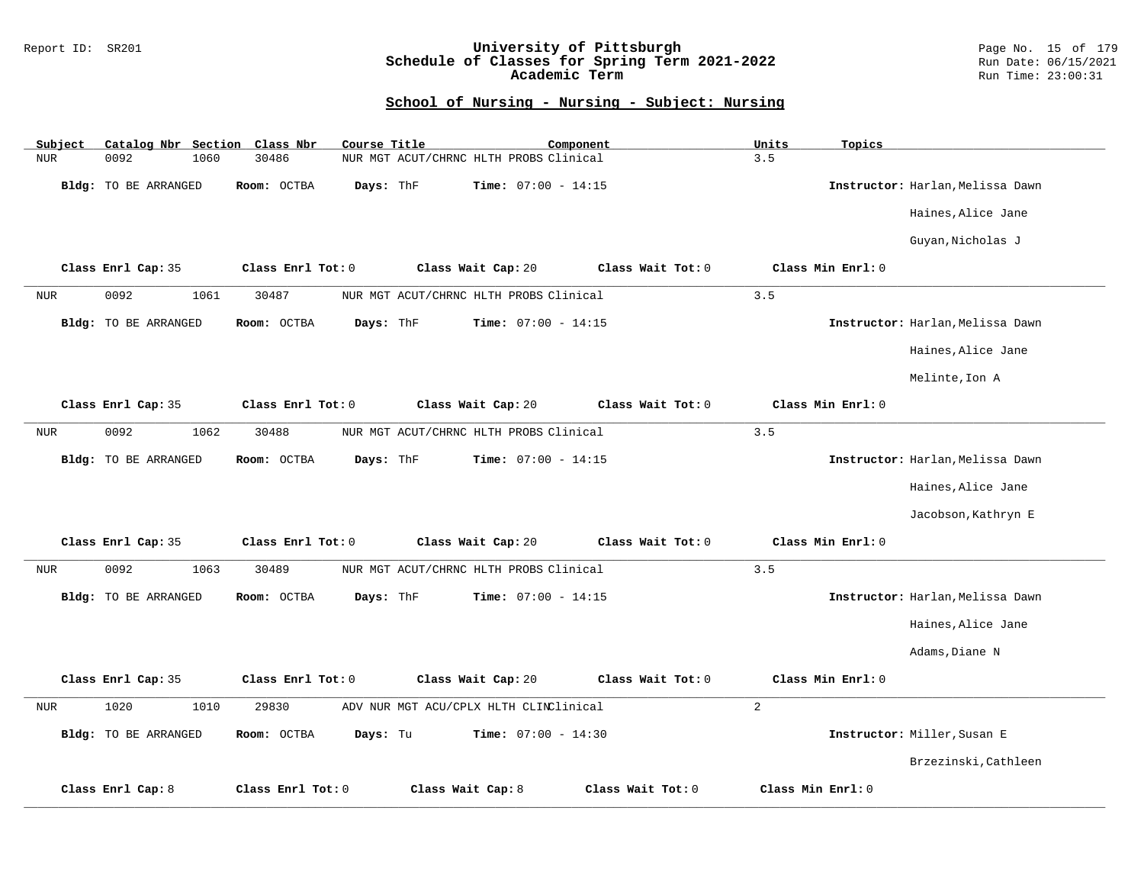### Report ID: SR201 **University of Pittsburgh** Page No. 15 of 179 **Schedule of Classes for Spring Term 2021-2022** Run Date: 06/15/2021 **Academic Term** Run Time: 23:00:31

| Subject    | Catalog Nbr Section Class Nbr | Course Title             |                                           | Component         | Units<br>Topics   |                                  |
|------------|-------------------------------|--------------------------|-------------------------------------------|-------------------|-------------------|----------------------------------|
| <b>NUR</b> | 0092<br>1060                  | 30486                    | NUR MGT ACUT/CHRNC HLTH PROBS Clinical    |                   | 3.5               |                                  |
|            | <b>Bldg:</b> TO BE ARRANGED   | Room: OCTBA              | Days: ThF<br><b>Time:</b> $07:00 - 14:15$ |                   |                   | Instructor: Harlan, Melissa Dawn |
|            |                               |                          |                                           |                   |                   | Haines, Alice Jane               |
|            |                               |                          |                                           |                   |                   | Guyan, Nicholas J                |
|            | Class Enrl Cap: 35            | Class Enrl Tot: 0        | Class Wait Cap: 20                        | Class Wait Tot: 0 | Class Min Enrl: 0 |                                  |
| <b>NUR</b> | 0092<br>1061                  | 30487                    | NUR MGT ACUT/CHRNC HLTH PROBS Clinical    |                   | 3.5               |                                  |
|            | Bldg: TO BE ARRANGED          | Days: ThF<br>Room: OCTBA | Time: $07:00 - 14:15$                     |                   |                   | Instructor: Harlan, Melissa Dawn |
|            |                               |                          |                                           |                   |                   | Haines, Alice Jane               |
|            |                               |                          |                                           |                   |                   | Melinte, Ion A                   |
|            | Class Enrl Cap: 35            | Class Enrl Tot: 0        | Class Wait Cap: 20                        | Class Wait Tot: 0 | Class Min Enrl: 0 |                                  |
| <b>NUR</b> | 0092<br>1062                  | 30488                    | NUR MGT ACUT/CHRNC HLTH PROBS Clinical    |                   | 3.5               |                                  |
|            | Bldg: TO BE ARRANGED          | Room: OCTBA              | Days: ThF<br><b>Time:</b> $07:00 - 14:15$ |                   |                   | Instructor: Harlan, Melissa Dawn |
|            |                               |                          |                                           |                   |                   | Haines, Alice Jane               |
|            |                               |                          |                                           |                   |                   | Jacobson, Kathryn E              |
|            | Class Enrl Cap: 35            | Class Enrl Tot: 0        | Class Wait Cap: 20                        | Class Wait Tot: 0 | Class Min Enrl: 0 |                                  |
| <b>NUR</b> | 0092<br>1063                  | 30489                    | NUR MGT ACUT/CHRNC HLTH PROBS Clinical    |                   | 3.5               |                                  |
|            | Bldg: TO BE ARRANGED          | Room: OCTBA              | Time: $07:00 - 14:15$<br>Days: ThF        |                   |                   | Instructor: Harlan, Melissa Dawn |
|            |                               |                          |                                           |                   |                   | Haines, Alice Jane               |
|            |                               |                          |                                           |                   |                   | Adams, Diane N                   |
|            | Class Enrl Cap: 35            | Class Enrl Tot: 0        | Class Wait Cap: 20                        | Class Wait Tot: 0 | Class Min Enrl: 0 |                                  |
| <b>NUR</b> | 1020<br>1010                  | 29830                    | ADV NUR MGT ACU/CPLX HLTH CLINClinical    |                   | $\overline{a}$    |                                  |
|            | Bldg: TO BE ARRANGED          | Room: OCTBA<br>Days: Tu  | Time: $07:00 - 14:30$                     |                   |                   | Instructor: Miller, Susan E      |
|            |                               |                          |                                           |                   |                   | Brzezinski, Cathleen             |
|            | Class Enrl Cap: 8             | Class Enrl Tot: 0        | Class Wait Cap: 8                         | Class Wait Tot: 0 | Class Min Enrl: 0 |                                  |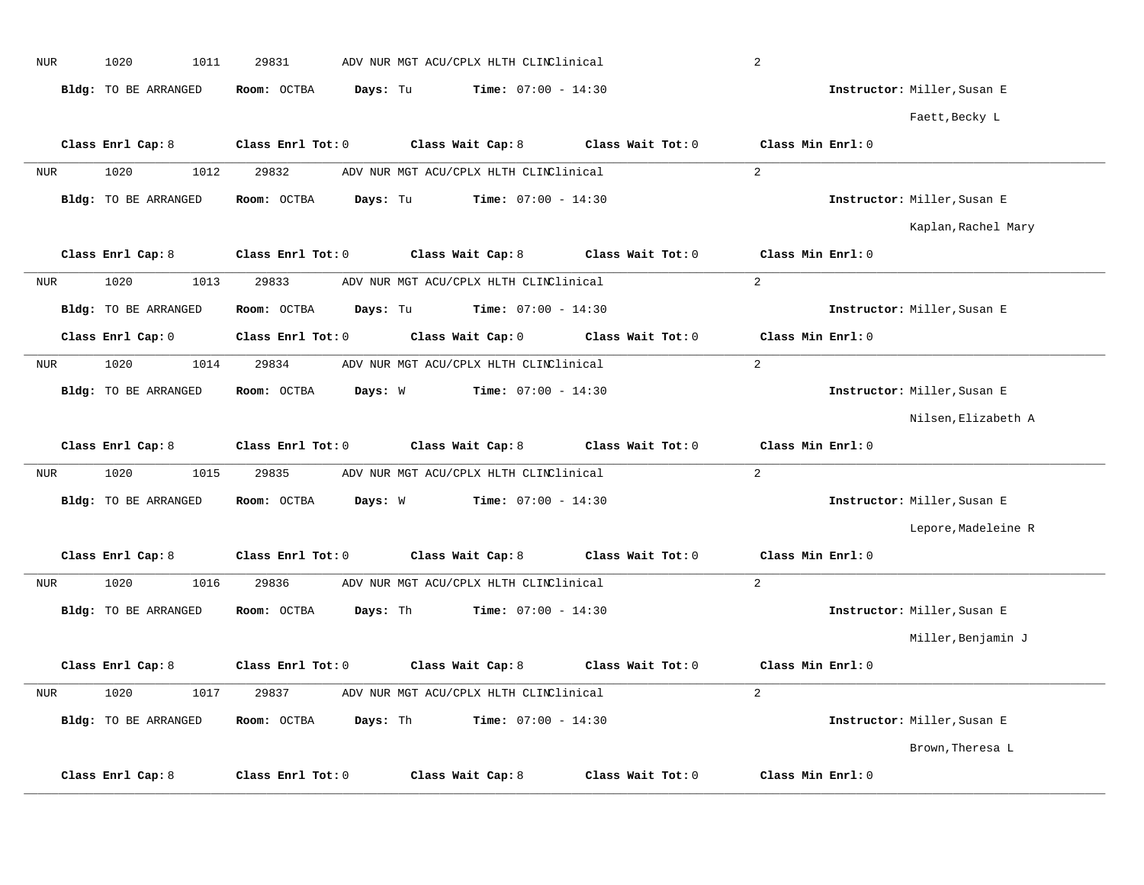| <b>NUR</b> | 1020<br>1011                | 29831             | ADV NUR MGT ACU/CPLX HLTH CLINClinical   |                   | $\overline{a}$              |
|------------|-----------------------------|-------------------|------------------------------------------|-------------------|-----------------------------|
|            | Bldg: TO BE ARRANGED        | Room: OCTBA       | Time: $07:00 - 14:30$<br>Days: Tu        |                   | Instructor: Miller, Susan E |
|            |                             |                   |                                          |                   | Faett, Becky L              |
|            | Class Enrl Cap: 8           | Class Enrl Tot: 0 | Class Wait Cap: 8                        | Class Wait Tot: 0 | Class Min Enrl: 0           |
| <b>NUR</b> | 1020<br>1012                | 29832             | ADV NUR MGT ACU/CPLX HLTH CLINClinical   |                   | $\overline{2}$              |
|            | Bldg: TO BE ARRANGED        | Room: OCTBA       | <b>Time:</b> $07:00 - 14:30$<br>Days: Tu |                   | Instructor: Miller, Susan E |
|            |                             |                   |                                          |                   | Kaplan, Rachel Mary         |
|            | Class Enrl Cap: 8           | Class Enrl Tot: 0 | Class Wait Cap: 8                        | Class Wait Tot: 0 | Class Min Enrl: 0           |
| NUR        | 1020<br>1013                | 29833             | ADV NUR MGT ACU/CPLX HLTH CLINClinical   |                   | $\overline{2}$              |
|            | <b>Bldg:</b> TO BE ARRANGED | Room: OCTBA       | Days: Tu<br><b>Time:</b> $07:00 - 14:30$ |                   | Instructor: Miller, Susan E |
|            | Class Enrl Cap: 0           | Class Enrl Tot: 0 | Class Wait Cap: 0                        | Class Wait Tot: 0 | Class Min Enrl: 0           |
| <b>NUR</b> | 1020<br>1014                | 29834             | ADV NUR MGT ACU/CPLX HLTH CLINClinical   |                   | $\overline{2}$              |
|            | Bldg: TO BE ARRANGED        | Room: OCTBA       | <b>Time:</b> $07:00 - 14:30$<br>Days: W  |                   | Instructor: Miller, Susan E |
|            |                             |                   |                                          |                   | Nilsen, Elizabeth A         |
|            |                             |                   |                                          |                   |                             |
|            | Class Enrl Cap: 8           | Class Enrl Tot: 0 | Class Wait Cap: 8                        | Class Wait Tot: 0 | Class Min Enrl: 0           |
| <b>NUR</b> | 1020<br>1015                | 29835             | ADV NUR MGT ACU/CPLX HLTH CLINClinical   |                   | $\overline{2}$              |
|            | Bldg: TO BE ARRANGED        | Room: OCTBA       | Days: W<br><b>Time:</b> $07:00 - 14:30$  |                   | Instructor: Miller, Susan E |
|            |                             |                   |                                          |                   | Lepore, Madeleine R         |
|            | Class Enrl Cap: 8           | Class Enrl Tot: 0 | Class Wait Cap: 8                        | Class Wait Tot: 0 | Class Min Enrl: 0           |
| <b>NUR</b> | 1020<br>1016                | 29836             | ADV NUR MGT ACU/CPLX HLTH CLINClinical   |                   | 2                           |
|            | Bldg: TO BE ARRANGED        | Room: OCTBA       | Days: Th<br><b>Time:</b> $07:00 - 14:30$ |                   | Instructor: Miller, Susan E |
|            |                             |                   |                                          |                   | Miller, Benjamin J          |
|            | Class Enrl Cap: 8           | Class Enrl Tot: 0 | Class Wait Cap: 8                        | Class Wait Tot: 0 | Class Min Enrl: 0           |
| <b>NUR</b> | 1020<br>1017                | 29837             | ADV NUR MGT ACU/CPLX HLTH CLINClinical   |                   | 2                           |
|            | Bldg: TO BE ARRANGED        | Room: OCTBA       | Days: Th<br><b>Time:</b> $07:00 - 14:30$ |                   | Instructor: Miller, Susan E |
|            |                             |                   |                                          |                   | Brown, Theresa L            |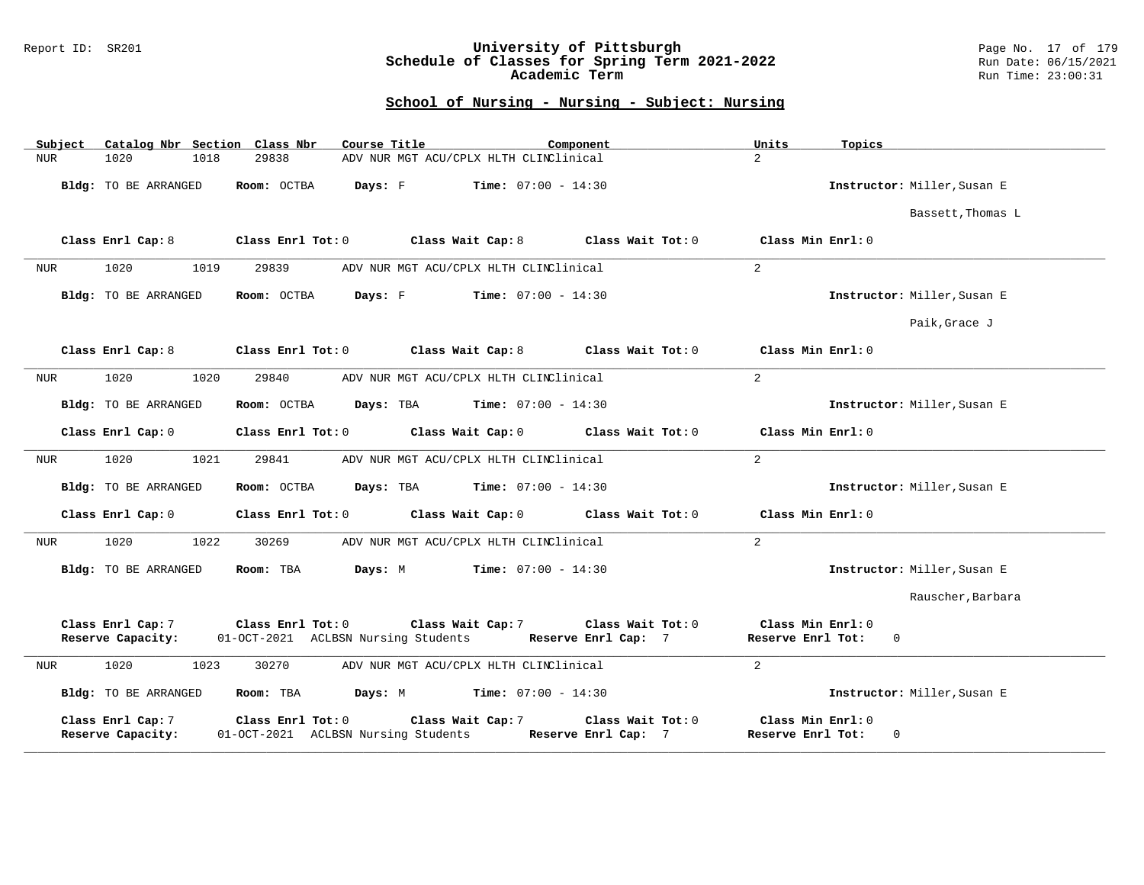### Report ID: SR201 **University of Pittsburgh** Page No. 17 of 179 **Schedule of Classes for Spring Term 2021-2022** Run Date: 06/15/2021 **Academic Term** Run Time: 23:00:31

| Catalog Nbr Section Class Nbr<br>Subject | Course Title<br>Component                                                                                                   | Units<br>Topics                                       |
|------------------------------------------|-----------------------------------------------------------------------------------------------------------------------------|-------------------------------------------------------|
| <b>NUR</b><br>1020<br>1018               | 29838<br>ADV NUR MGT ACU/CPLX HLTH CLINClinical                                                                             | $\overline{a}$                                        |
| Bldg: TO BE ARRANGED                     | Room: OCTBA<br>Days: F<br><b>Time:</b> $07:00 - 14:30$                                                                      | Instructor: Miller, Susan E                           |
|                                          |                                                                                                                             | Bassett, Thomas L                                     |
| Class Enrl Cap: 8                        | Class Wait Cap: 8<br>Class Enrl Tot: 0<br>Class Wait Tot: 0                                                                 | Class Min Enrl: 0                                     |
| 1020<br><b>NUR</b><br>1019               | 29839<br>ADV NUR MGT ACU/CPLX HLTH CLINClinical                                                                             | $\overline{a}$                                        |
| Bldg: TO BE ARRANGED                     | Room: OCTBA<br>Days: F<br>$Time: 07:00 - 14:30$                                                                             | Instructor: Miller, Susan E                           |
|                                          |                                                                                                                             | Paik, Grace J                                         |
| Class Enrl Cap: 8                        | Class Enrl Tot: 0<br>Class Wait Cap: 8<br>Class Wait Tot: 0                                                                 | Class Min Enrl: 0                                     |
| 1020<br>1020<br><b>NUR</b>               | 29840<br>ADV NUR MGT ACU/CPLX HLTH CLINClinical                                                                             | $\overline{a}$                                        |
| Bldg: TO BE ARRANGED                     | Room: OCTBA<br>Days: TBA<br>$Time: 07:00 - 14:30$                                                                           | Instructor: Miller, Susan E                           |
| Class Enrl Cap: 0                        | Class Enrl Tot: 0<br>Class Wait Cap: 0<br>Class Wait Tot: 0                                                                 | Class Min Enrl: 0                                     |
| 1020<br>1021<br><b>NUR</b>               | 29841<br>ADV NUR MGT ACU/CPLX HLTH CLINClinical                                                                             | $\overline{a}$                                        |
| Bldg: TO BE ARRANGED                     | Room: OCTBA<br>Days: TBA<br><b>Time:</b> $07:00 - 14:30$                                                                    | Instructor: Miller, Susan E                           |
| Class Enrl Cap: 0                        | Class Enrl Tot: 0<br>Class Wait Cap: 0<br>Class Wait Tot: 0                                                                 | Class Min Enrl: 0                                     |
| 1020<br>1022<br>NUR                      | 30269<br>ADV NUR MGT ACU/CPLX HLTH CLINClinical                                                                             | 2                                                     |
| Bldg: TO BE ARRANGED                     | $Time: 07:00 - 14:30$<br>Room: TBA<br>Days: M                                                                               | Instructor: Miller, Susan E                           |
|                                          |                                                                                                                             | Rauscher, Barbara                                     |
| Class Enrl Cap: 7<br>Reserve Capacity:   | Class Enrl Tot: $0$<br>Class Wait Cap: 7<br>Class Wait Tot: 0<br>01-OCT-2021 ACLBSN Nursing Students<br>Reserve Enrl Cap: 7 | Class Min Enrl: 0<br>Reserve Enrl Tot:<br>$\mathbf 0$ |
| 1020<br>1023<br>NUR                      | 30270<br>ADV NUR MGT ACU/CPLX HLTH CLINClinical                                                                             | 2                                                     |
| Bldg: TO BE ARRANGED                     | Room: TBA<br>Days: M<br>$Time: 07:00 - 14:30$                                                                               | Instructor: Miller, Susan E                           |
| Class Enrl Cap: 7<br>Reserve Capacity:   | Class Enrl Tot: 0<br>Class Wait Cap: 7<br>Class Wait Tot: 0<br>01-OCT-2021 ACLBSN Nursing Students<br>Reserve Enrl Cap: 7   | Class Min Enrl: 0<br>Reserve Enrl Tot:<br>$\mathbf 0$ |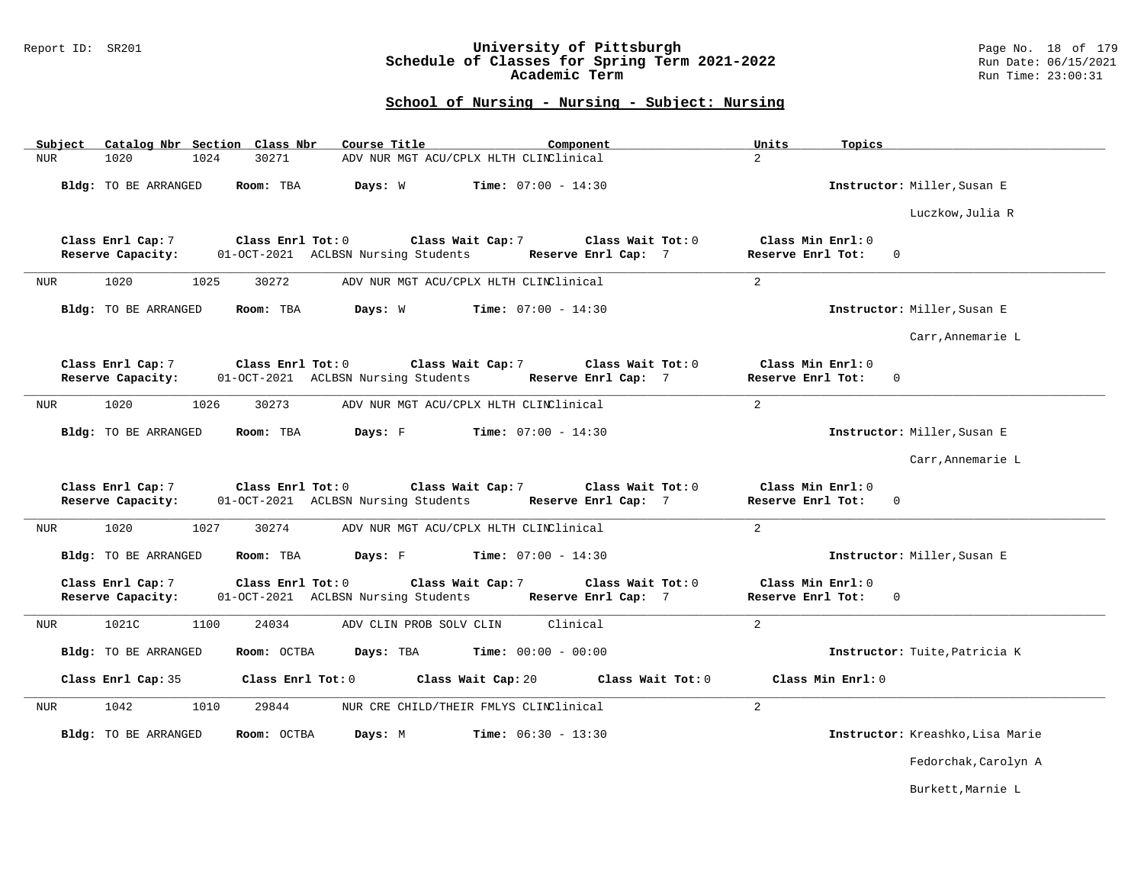#### Report ID: SR201 **University of Pittsburgh** Page No. 18 of 179 **Schedule of Classes for Spring Term 2021-2022** Run Date: 06/15/2021 **Academic Term** Run Time: 23:00:31

# **School of Nursing - Nursing - Subject: Nursing**

| Catalog Nbr Section Class Nbr<br>Course Title<br>Component<br>Subject                                                                                               | Units<br>Topics                                    |
|---------------------------------------------------------------------------------------------------------------------------------------------------------------------|----------------------------------------------------|
| 1020<br>30271<br>ADV NUR MGT ACU/CPLX HLTH CLINClinical<br><b>NUR</b><br>1024                                                                                       | $\overline{a}$                                     |
| Room: TBA<br>Days: W<br><b>Time:</b> $07:00 - 14:30$<br>Bldg: TO BE ARRANGED                                                                                        | Instructor: Miller, Susan E                        |
|                                                                                                                                                                     | Luczkow, Julia R                                   |
| Class Enrl Cap: 7<br>Class Enrl Tot: 0<br>Class Wait Cap: 7<br>Class Wait Tot: 0<br>Reserve Capacity:<br>01-OCT-2021 ACLBSN Nursing Students<br>Reserve Enrl Cap: 7 | Class Min Enrl: 0<br>Reserve Enrl Tot:<br>$\Omega$ |
| 1020<br>1025<br>30272<br>ADV NUR MGT ACU/CPLX HLTH CLINClinical<br>NUR                                                                                              | 2                                                  |
| <b>Time:</b> $07:00 - 14:30$<br>Bldg: TO BE ARRANGED<br>Room: TBA<br>Days: W                                                                                        | Instructor: Miller, Susan E                        |
|                                                                                                                                                                     | Carr, Annemarie L                                  |
| Class Enrl Cap: 7<br>Class Enrl Tot: 0<br>Class Wait Cap: 7<br>Class Wait Tot: 0<br>Reserve Capacity:<br>01-OCT-2021 ACLBSN Nursing Students<br>Reserve Enrl Cap: 7 | Class Min Enrl: 0<br>Reserve Enrl Tot:<br>0        |
| 1020<br>30273<br>ADV NUR MGT ACU/CPLX HLTH CLINClinical<br>NUR<br>1026                                                                                              | 2                                                  |
| Days: F<br>Bldg: TO BE ARRANGED<br>Room: TBA<br><b>Time:</b> $07:00 - 14:30$                                                                                        | Instructor: Miller, Susan E                        |
|                                                                                                                                                                     | Carr, Annemarie L                                  |
| Class Enrl Cap: 7<br>Class Enrl Tot: 0<br>Class Wait Cap: 7<br>Class Wait Tot: 0<br>Reserve Capacity:<br>01-OCT-2021 ACLBSN Nursing Students<br>Reserve Enrl Cap: 7 | Class Min Enrl: 0<br>Reserve Enrl Tot:<br>$\Omega$ |
| 1020<br>1027<br>30274<br>ADV NUR MGT ACU/CPLX HLTH CLINClinical<br>NUR                                                                                              | 2                                                  |
| <b>Time:</b> $07:00 - 14:30$<br>Bldg: TO BE ARRANGED<br>Room: TBA<br>Days: F                                                                                        | Instructor: Miller, Susan E                        |
| Class Enrl Cap: 7<br>Class Enrl Tot: 0<br>Class Wait Cap: 7<br>Class Wait Tot: 0<br>01-OCT-2021 ACLBSN Nursing Students<br>Reserve Enrl Cap: 7<br>Reserve Capacity: | Class Min Enrl: 0<br>Reserve Enrl Tot:<br>$\Omega$ |
| Clinical<br>1021C<br>24034<br><b>NUR</b><br>1100<br>ADV CLIN PROB SOLV CLIN                                                                                         | $\overline{2}$                                     |
| Bldg: TO BE ARRANGED<br>Room: OCTBA<br>Days: TBA<br><b>Time:</b> $00:00 - 00:00$                                                                                    | Instructor: Tuite, Patricia K                      |
| Class Wait Tot: 0<br>Class Enrl Cap: 35<br>Class Enrl Tot: 0<br>Class Wait Cap: 20                                                                                  | Class Min Enrl: 0                                  |
| 1042<br>1010<br>29844<br>NUR CRE CHILD/THEIR FMLYS CLINClinical<br>NUR                                                                                              | $\overline{a}$                                     |
| <b>Time:</b> $06:30 - 13:30$<br>Bldg: TO BE ARRANGED<br>Room: OCTBA<br>Days: M                                                                                      | Instructor: Kreashko, Lisa Marie                   |
|                                                                                                                                                                     | Fedorchak, Carolyn A                               |

Burkett,Marnie L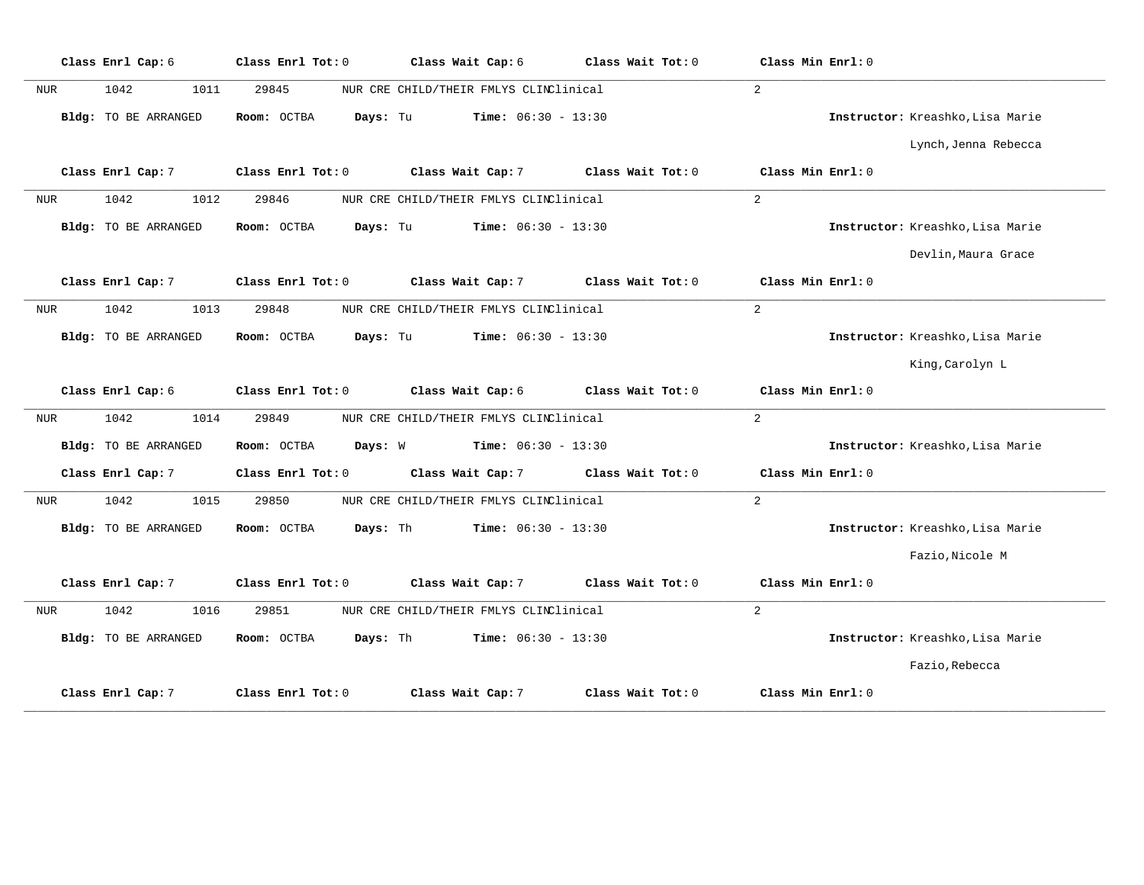| Class Enrl Cap: 6          | Class Enrl Tot: 0       | Class Wait Cap: 6                      | Class Wait Tot: 0 | Class Min Enrl: 0                |
|----------------------------|-------------------------|----------------------------------------|-------------------|----------------------------------|
| 1042<br><b>NUR</b><br>1011 | 29845                   | NUR CRE CHILD/THEIR FMLYS CLINClinical |                   | $\overline{a}$                   |
| Bldg: TO BE ARRANGED       | Room: OCTBA<br>Days: Tu | <b>Time:</b> $06:30 - 13:30$           |                   | Instructor: Kreashko, Lisa Marie |
|                            |                         |                                        |                   | Lynch, Jenna Rebecca             |
| Class Enrl Cap: 7          | Class Enrl Tot: 0       | Class Wait Cap: 7                      | Class Wait Tot: 0 | Class Min Enrl: 0                |
| 1042<br>1012<br>NUR        | 29846                   | NUR CRE CHILD/THEIR FMLYS CLINClinical |                   | $\overline{a}$                   |
| Bldg: TO BE ARRANGED       | Room: OCTBA<br>Days: Tu | <b>Time:</b> $06:30 - 13:30$           |                   | Instructor: Kreashko, Lisa Marie |
|                            |                         |                                        |                   | Devlin, Maura Grace              |
| Class Enrl Cap: 7          | Class Enrl Tot: 0       | Class Wait Cap: 7                      | Class Wait Tot: 0 | Class Min Enrl: 0                |
| 1042<br>1013<br>NUR        | 29848                   | NUR CRE CHILD/THEIR FMLYS CLINClinical |                   | $\overline{a}$                   |
| Bldg: TO BE ARRANGED       | Room: OCTBA<br>Days: Tu | <b>Time:</b> $06:30 - 13:30$           |                   | Instructor: Kreashko, Lisa Marie |
|                            |                         |                                        |                   | King, Carolyn L                  |
| Class Enrl Cap: 6          | Class Enrl Tot: 0       | Class Wait Cap: 6                      | Class Wait Tot: 0 | Class Min Enrl: 0                |
| 1042<br>1014<br>NUR        | 29849                   | NUR CRE CHILD/THEIR FMLYS CLINClinical |                   | $\overline{a}$                   |
| Bldg: TO BE ARRANGED       | Room: OCTBA<br>Days: W  | <b>Time:</b> $06:30 - 13:30$           |                   | Instructor: Kreashko, Lisa Marie |
| Class Enrl Cap: 7          | Class Enrl Tot: 0       | Class Wait Cap: 7                      | Class Wait Tot: 0 | Class Min Enrl: 0                |
| 1042<br>1015<br>NUR        | 29850                   | NUR CRE CHILD/THEIR FMLYS CLINClinical |                   | $\overline{a}$                   |
| Bldg: TO BE ARRANGED       | Room: OCTBA<br>Days: Th | $Time: 06:30 - 13:30$                  |                   | Instructor: Kreashko, Lisa Marie |
|                            |                         |                                        |                   | Fazio, Nicole M                  |
| Class Enrl Cap: 7          | Class Enrl Tot: 0       | Class Wait Cap: 7                      | Class Wait Tot: 0 | Class Min Enrl: 0                |
| 1042<br>1016<br>NUR        | 29851                   | NUR CRE CHILD/THEIR FMLYS CLINClinical |                   | $\overline{2}$                   |
| Bldg: TO BE ARRANGED       | Room: OCTBA<br>Days: Th | <b>Time:</b> $06:30 - 13:30$           |                   | Instructor: Kreashko, Lisa Marie |
|                            |                         |                                        |                   | Fazio, Rebecca                   |
| Class Enrl Cap: 7          | Class Enrl Tot: 0       | Class Wait Cap: 7                      | Class Wait Tot: 0 | Class Min Enrl: 0                |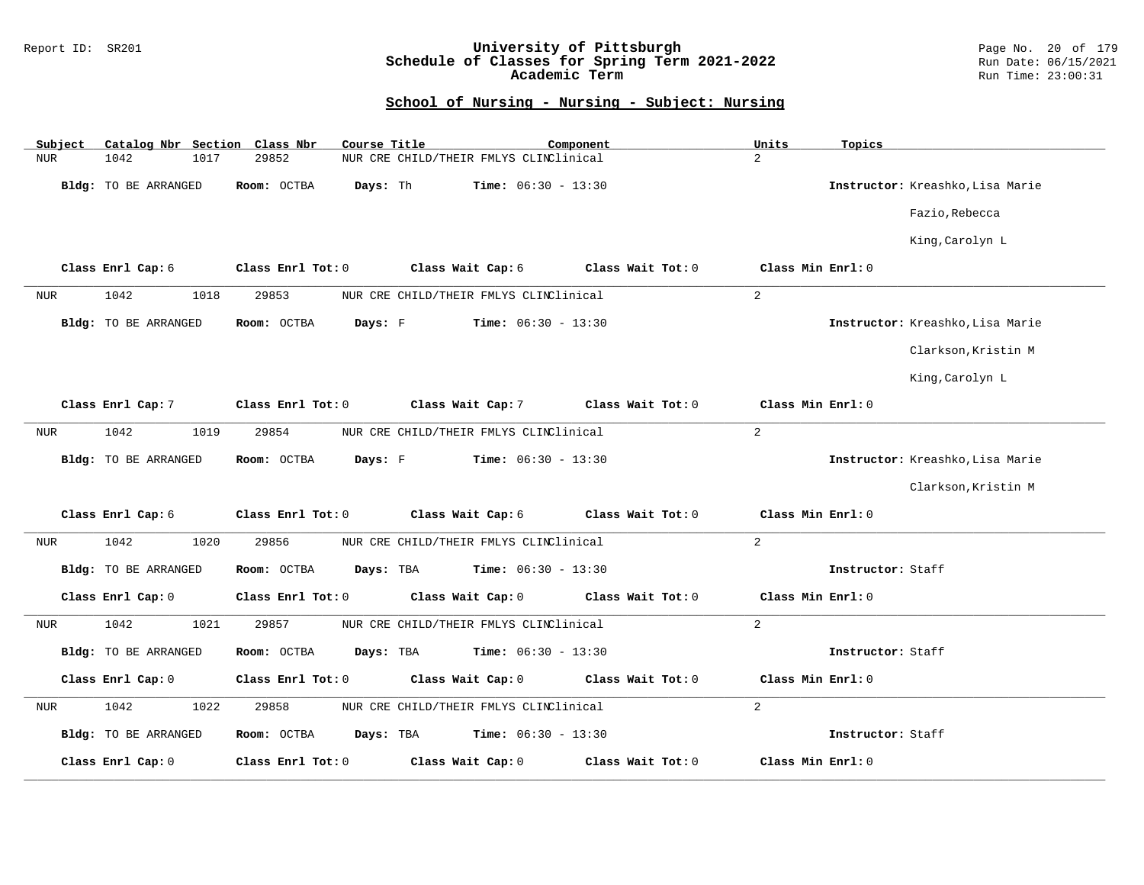### Report ID: SR201 **University of Pittsburgh** Page No. 20 of 179 **Schedule of Classes for Spring Term 2021-2022** Run Date: 06/15/2021 **Academic Term** Run Time: 23:00:31

| Catalog Nbr Section<br>Subject | Class Nbr<br>Course Title | Component                              |                   | Units<br>Topics   |                                  |
|--------------------------------|---------------------------|----------------------------------------|-------------------|-------------------|----------------------------------|
| 1042<br>NUR<br>1017            | 29852                     | NUR CRE CHILD/THEIR FMLYS CLINClinical |                   | $\overline{a}$    |                                  |
| Bldg: TO BE ARRANGED           | Room: OCTBA<br>Days: Th   | <b>Time:</b> $06:30 - 13:30$           |                   |                   | Instructor: Kreashko, Lisa Marie |
|                                |                           |                                        |                   |                   | Fazio, Rebecca                   |
|                                |                           |                                        |                   |                   | King, Carolyn L                  |
| Class Enrl Cap: 6              | Class Enrl Tot: 0         | Class Wait Cap: 6                      | Class Wait Tot: 0 | Class Min Enrl: 0 |                                  |
| 1042<br>1018<br><b>NUR</b>     | 29853                     | NUR CRE CHILD/THEIR FMLYS CLINClinical |                   | 2                 |                                  |
| Bldg: TO BE ARRANGED           | Days: F<br>Room: OCTBA    | <b>Time:</b> $06:30 - 13:30$           |                   |                   | Instructor: Kreashko, Lisa Marie |
|                                |                           |                                        |                   |                   | Clarkson, Kristin M              |
|                                |                           |                                        |                   |                   | King, Carolyn L                  |
| Class Enrl Cap: 7              | Class Enrl Tot: 0         | Class Wait Cap: 7                      | Class Wait Tot: 0 | Class Min Enrl: 0 |                                  |
| 1042<br>1019<br><b>NUR</b>     | 29854                     | NUR CRE CHILD/THEIR FMLYS CLINClinical |                   | $\overline{a}$    |                                  |
| Bldg: TO BE ARRANGED           | Days: F<br>Room: OCTBA    | <b>Time:</b> $06:30 - 13:30$           |                   |                   | Instructor: Kreashko, Lisa Marie |
|                                |                           |                                        |                   |                   | Clarkson, Kristin M              |
| Class Enrl Cap: 6              | Class Enrl Tot: 0         | Class Wait Cap: 6                      | Class Wait Tot: 0 | Class Min Enrl: 0 |                                  |
| 1042<br>1020<br>NUR            | 29856                     | NUR CRE CHILD/THEIR FMLYS CLINClinical |                   | $\overline{2}$    |                                  |
| Bldg: TO BE ARRANGED           | Room: OCTBA<br>Days: TBA  | <b>Time:</b> $06:30 - 13:30$           |                   | Instructor: Staff |                                  |
| Class Enrl Cap: 0              | Class Enrl Tot: 0         | Class Wait Cap: 0                      | Class Wait Tot: 0 | Class Min Enrl: 0 |                                  |
| 1042<br>1021<br><b>NUR</b>     | 29857                     | NUR CRE CHILD/THEIR FMLYS CLINClinical |                   | $\overline{a}$    |                                  |
| Bldg: TO BE ARRANGED           | Room: OCTBA<br>Days: TBA  | <b>Time:</b> $06:30 - 13:30$           |                   | Instructor: Staff |                                  |
| Class Enrl Cap: 0              | Class Enrl Tot: 0         | Class Wait Cap: 0                      | Class Wait Tot: 0 | Class Min Enrl: 0 |                                  |
| 1042<br>1022<br>NUR            | 29858                     | NUR CRE CHILD/THEIR FMLYS CLINClinical |                   | $\overline{a}$    |                                  |
| Bldg: TO BE ARRANGED           | Room: OCTBA<br>Days: TBA  | <b>Time:</b> $06:30 - 13:30$           |                   | Instructor: Staff |                                  |
| Class Enrl Cap: 0              | Class Enrl Tot: 0         | Class Wait Cap: 0                      | Class Wait Tot: 0 | Class Min Enrl: 0 |                                  |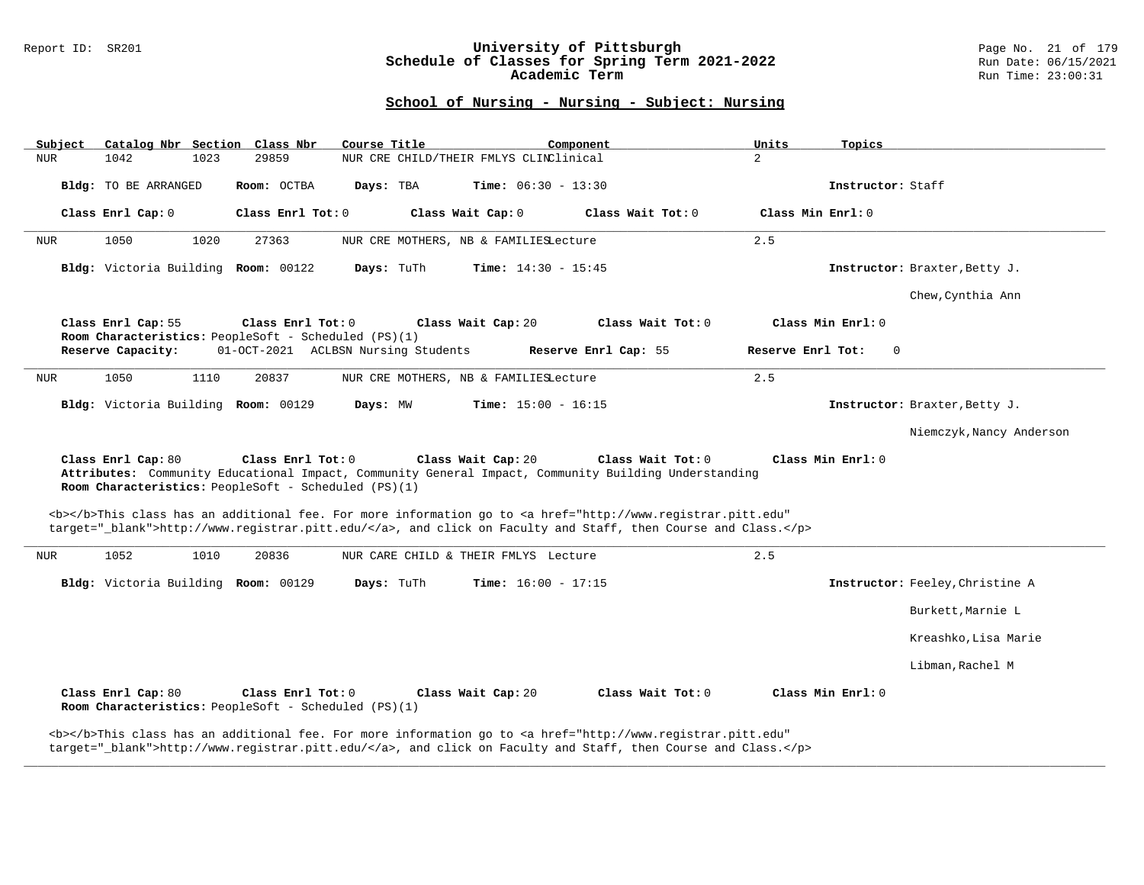#### Report ID: SR201 **University of Pittsburgh** Page No. 21 of 179 **Schedule of Classes for Spring Term 2021-2022** Run Date: 06/15/2021 **Academic Term** Run Time: 23:00:31

# **School of Nursing - Nursing - Subject: Nursing**

| Subject                             | Catalog Nbr Section Class Nbr                                             | Course Title                               | Component                                                                                                                                                                                                                          | Units<br>Topics   |                                 |
|-------------------------------------|---------------------------------------------------------------------------|--------------------------------------------|------------------------------------------------------------------------------------------------------------------------------------------------------------------------------------------------------------------------------------|-------------------|---------------------------------|
| 1042<br><b>NUR</b>                  | 1023<br>29859                                                             | NUR CRE CHILD/THEIR FMLYS CLINClinical     |                                                                                                                                                                                                                                    | $\overline{2}$    |                                 |
| Bldg: TO BE ARRANGED                | Room: OCTBA                                                               | Days: TBA<br><b>Time:</b> $06:30 - 13:30$  |                                                                                                                                                                                                                                    |                   | Instructor: Staff               |
| Class Enrl Cap: 0                   | Class Enrl Tot: 0                                                         | Class Wait Cap: 0                          | Class Wait Tot: 0                                                                                                                                                                                                                  | Class Min Enrl: 0 |                                 |
| 1050<br>NUR                         | 1020<br>27363                                                             | NUR CRE MOTHERS, NB & FAMILIESLecture      |                                                                                                                                                                                                                                    | 2.5               |                                 |
| Bldg: Victoria Building Room: 00122 |                                                                           | Days: TuTh<br><b>Time:</b> $14:30 - 15:45$ |                                                                                                                                                                                                                                    |                   | Instructor: Braxter, Betty J.   |
|                                     |                                                                           |                                            |                                                                                                                                                                                                                                    |                   | Chew, Cynthia Ann               |
| Class Enrl Cap: 55                  | Class Enrl Tot: 0<br>Room Characteristics: PeopleSoft - Scheduled (PS)(1) | Class Wait Cap: 20                         | Class Wait Tot: 0                                                                                                                                                                                                                  | Class Min Enrl: 0 |                                 |
| Reserve Capacity:                   | 01-OCT-2021 ACLBSN Nursing Students                                       |                                            | Reserve Enrl Cap: 55                                                                                                                                                                                                               | Reserve Enrl Tot: | $\mathbf 0$                     |
| 1050<br><b>NUR</b>                  | 1110<br>20837                                                             | NUR CRE MOTHERS, NB & FAMILIESLecture      |                                                                                                                                                                                                                                    | 2.5               |                                 |
| Bldg: Victoria Building Room: 00129 |                                                                           | Days: MW<br><b>Time:</b> $15:00 - 16:15$   |                                                                                                                                                                                                                                    |                   | Instructor: Braxter, Betty J.   |
|                                     |                                                                           |                                            |                                                                                                                                                                                                                                    |                   | Niemczyk, Nancy Anderson        |
|                                     |                                                                           |                                            |                                                                                                                                                                                                                                    |                   |                                 |
| Class Enrl Cap: 80                  | Class Enrl Tot: 0<br>Room Characteristics: PeopleSoft - Scheduled (PS)(1) | Class Wait Cap: 20                         | Class Wait Tot: 0<br>Attributes: Community Educational Impact, Community General Impact, Community Building Understanding                                                                                                          | Class Min Enrl: 0 |                                 |
|                                     |                                                                           |                                            | <b></b> This class has an additional fee. For more information go to <a <br="" href="http://www.registrar.pitt.edu">target="_blank"&gt;http://www.registrar.pitt.edu/</a> , and click on Faculty and Staff, then Course and Class. |                   |                                 |
| 1052<br>NUR                         | 1010<br>20836                                                             | NUR CARE CHILD & THEIR FMLYS Lecture       |                                                                                                                                                                                                                                    | 2.5               |                                 |
| Bldg: Victoria Building Room: 00129 |                                                                           | Days: TuTh<br><b>Time:</b> $16:00 - 17:15$ |                                                                                                                                                                                                                                    |                   | Instructor: Feeley, Christine A |
|                                     |                                                                           |                                            |                                                                                                                                                                                                                                    |                   | Burkett, Marnie L               |
|                                     |                                                                           |                                            |                                                                                                                                                                                                                                    |                   | Kreashko, Lisa Marie            |
|                                     |                                                                           |                                            |                                                                                                                                                                                                                                    |                   | Libman, Rachel M                |
| Class Enrl Cap: 80                  | Class Enrl Tot: 0<br>Room Characteristics: PeopleSoft - Scheduled (PS)(1) | Class Wait Cap: 20                         | Class Wait Tot: 0                                                                                                                                                                                                                  | Class Min Enrl: 0 |                                 |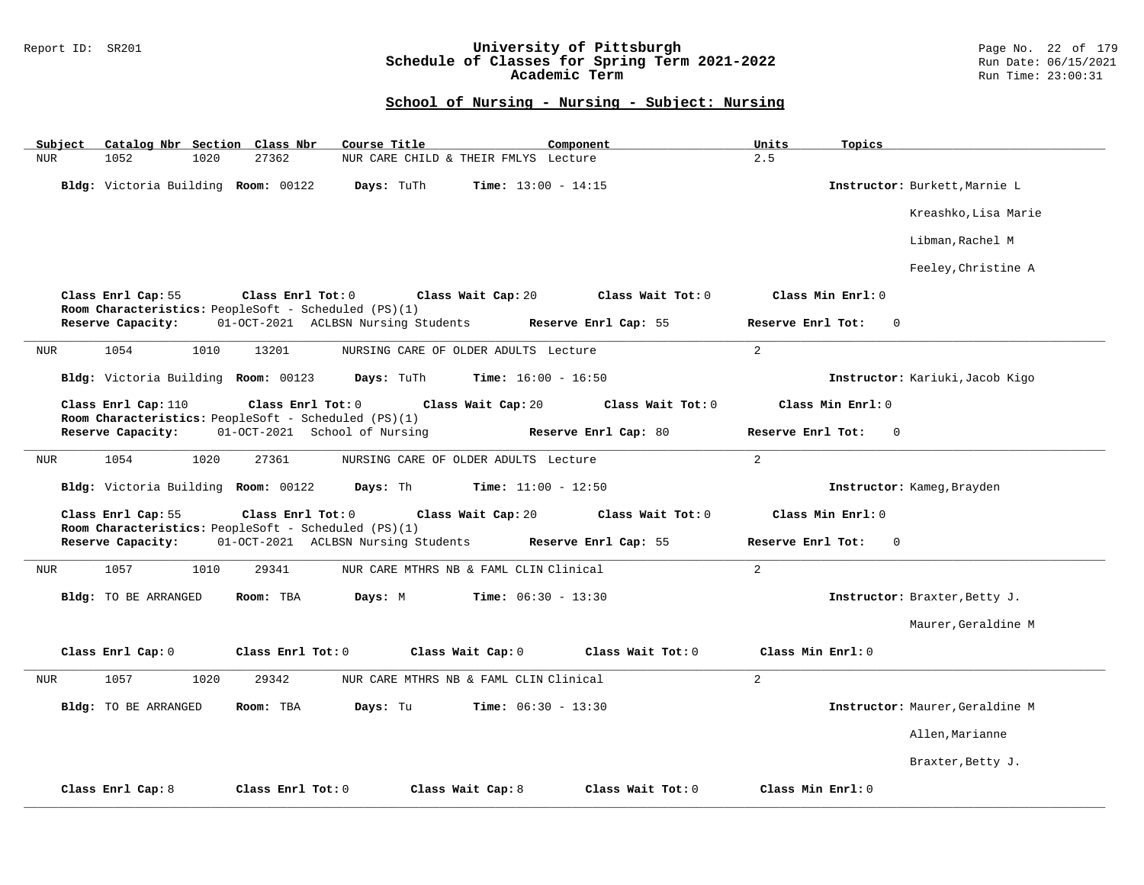### Report ID: SR201 **University of Pittsburgh** Page No. 22 of 179 **Schedule of Classes for Spring Term 2021-2022** Run Date: 06/15/2021 **Academic Term** Run Time: 23:00:31

| Catalog Nbr Section Class Nbr<br>Course Title<br>Component<br><u>Subject</u>                                           | Units<br>Topics                        |
|------------------------------------------------------------------------------------------------------------------------|----------------------------------------|
| 1020<br>27362<br><b>NUR</b><br>1052<br>NUR CARE CHILD & THEIR FMLYS Lecture                                            | 2.5                                    |
| Bldg: Victoria Building Room: 00122<br>Days: TuTh<br><b>Time:</b> $13:00 - 14:15$                                      | Instructor: Burkett, Marnie L          |
|                                                                                                                        | Kreashko, Lisa Marie                   |
|                                                                                                                        | Libman, Rachel M                       |
|                                                                                                                        | Feeley, Christine A                    |
| Class Enrl Cap: 55<br>Class Enrl Tot: 0<br>Class Wait Cap: 20<br>Room Characteristics: PeopleSoft - Scheduled (PS)(1)  | Class Wait Tot: 0<br>Class Min Enrl: 0 |
| 01-OCT-2021 ACLBSN Nursing Students Reserve Enrl Cap: 55<br>Reserve Capacity:                                          | Reserve Enrl Tot: 0                    |
| 1054<br>1010<br>13201<br>NURSING CARE OF OLDER ADULTS Lecture<br>NUR                                                   | $\overline{2}$                         |
| Bldg: Victoria Building Room: 00123<br>Days: TuTh<br><b>Time:</b> $16:00 - 16:50$                                      | Instructor: Kariuki, Jacob Kigo        |
| Class Enrl Cap: 110<br>Class Enrl Tot: 0<br>Class Wait Cap: 20<br>Room Characteristics: PeopleSoft - Scheduled (PS)(1) | Class Wait Tot: 0<br>Class Min Enrl: 0 |
| 01-OCT-2021 School of Nursing<br>Reserve Capacity:<br>Reserve Enrl Cap: 80                                             | Reserve Enrl Tot: 0                    |
| 1054<br>1020<br>27361<br>NURSING CARE OF OLDER ADULTS Lecture<br>NUR                                                   | $\overline{2}$                         |
| Bldg: Victoria Building Room: 00122<br>Days: Th<br><b>Time:</b> $11:00 - 12:50$                                        | Instructor: Kameg, Brayden             |
| Class Enrl Cap: 55<br>Class Enrl Tot: 0<br>Class Wait Cap: 20<br>Room Characteristics: PeopleSoft - Scheduled (PS)(1)  | Class Wait Tot: 0<br>Class Min Enrl: 0 |
| 01-OCT-2021 ACLBSN Nursing Students Reserve Enrl Cap: 55<br>Reserve Capacity:                                          | Reserve Enrl Tot:<br>$\Omega$          |
| 1057<br>29341<br>NUR CARE MTHRS NB & FAML CLIN Clinical<br><b>NUR</b><br>1010                                          | $\overline{a}$                         |
| Room: TBA<br>Days: M<br><b>Time:</b> $06:30 - 13:30$<br>Bldg: TO BE ARRANGED                                           | Instructor: Braxter, Betty J.          |
|                                                                                                                        | Maurer, Geraldine M                    |
| Class Enrl Cap: 0<br>Class Enrl Tot: 0<br>Class Wait Cap: 0                                                            | Class Wait Tot: 0<br>Class Min Enrl: 0 |
| 1057<br>29342<br><b>NUR</b><br>1020<br>NUR CARE MTHRS NB & FAML CLIN Clinical                                          |                                        |
|                                                                                                                        | $\overline{2}$                         |
| Days: Tu<br>Bldg: TO BE ARRANGED<br>Room: TBA<br><b>Time:</b> $06:30 - 13:30$                                          | Instructor: Maurer, Geraldine M        |
|                                                                                                                        | Allen, Marianne                        |
|                                                                                                                        | Braxter, Betty J.                      |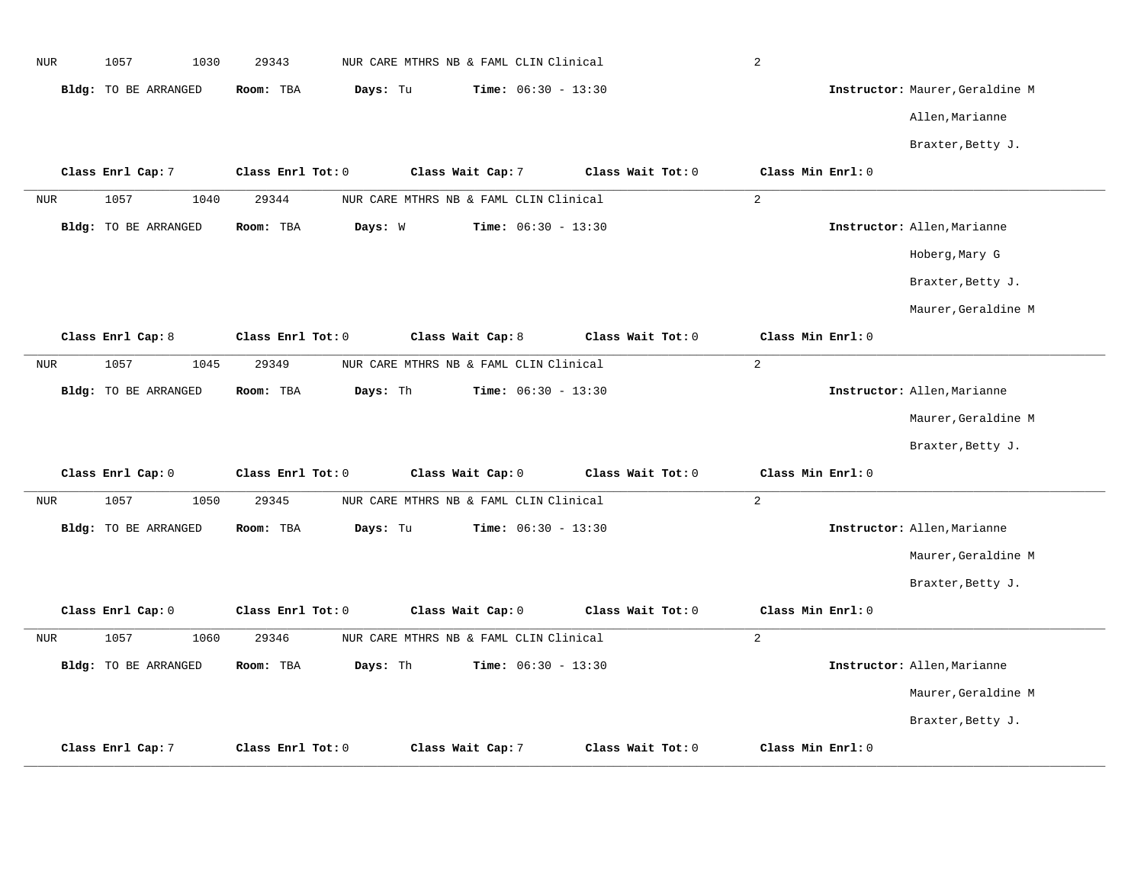| $\rm NUR$  | 1057                        | 1030 | 29343     |                   | NUR CARE MTHRS NB & FAML CLIN Clinical |                   |                              |                   | $\sqrt{2}$ |                   |                                 |
|------------|-----------------------------|------|-----------|-------------------|----------------------------------------|-------------------|------------------------------|-------------------|------------|-------------------|---------------------------------|
|            | <b>Bldg:</b> TO BE ARRANGED |      | Room: TBA |                   | Days: Tu                               |                   | <b>Time:</b> $06:30 - 13:30$ |                   |            |                   | Instructor: Maurer, Geraldine M |
|            |                             |      |           |                   |                                        |                   |                              |                   |            |                   | Allen, Marianne                 |
|            |                             |      |           |                   |                                        |                   |                              |                   |            |                   | Braxter, Betty J.               |
|            | Class Enrl Cap: 7           |      |           | Class Enrl Tot: 0 |                                        | Class Wait Cap: 7 |                              | Class Wait Tot: 0 |            | Class Min Enrl: 0 |                                 |
| NUR        | 1057                        | 1040 | 29344     |                   | NUR CARE MTHRS NB & FAML CLIN Clinical |                   |                              |                   | 2          |                   |                                 |
|            | <b>Bldg:</b> TO BE ARRANGED |      | Room: TBA |                   | Days: W                                |                   | <b>Time:</b> $06:30 - 13:30$ |                   |            |                   | Instructor: Allen, Marianne     |
|            |                             |      |           |                   |                                        |                   |                              |                   |            |                   | Hoberg, Mary G                  |
|            |                             |      |           |                   |                                        |                   |                              |                   |            |                   | Braxter, Betty J.               |
|            |                             |      |           |                   |                                        |                   |                              |                   |            |                   | Maurer, Geraldine M             |
|            | Class Enrl Cap: 8           |      |           | Class Enrl Tot: 0 |                                        | Class Wait Cap: 8 |                              | Class Wait Tot: 0 |            | Class Min Enrl: 0 |                                 |
| NUR        | 1057                        | 1045 | 29349     |                   | NUR CARE MTHRS NB & FAML CLIN Clinical |                   |                              |                   | $\sqrt{2}$ |                   |                                 |
|            | <b>Bldg:</b> TO BE ARRANGED |      | Room: TBA |                   | Days: Th                               |                   | Time: $06:30 - 13:30$        |                   |            |                   | Instructor: Allen, Marianne     |
|            |                             |      |           |                   |                                        |                   |                              |                   |            |                   | Maurer, Geraldine M             |
|            |                             |      |           |                   |                                        |                   |                              |                   |            |                   | Braxter, Betty J.               |
|            | Class Enrl Cap: 0           |      |           | Class Enrl Tot: 0 |                                        | Class Wait Cap: 0 |                              | Class Wait Tot: 0 |            | Class Min Enrl: 0 |                                 |
| <b>NUR</b> | 1057                        | 1050 | 29345     |                   | NUR CARE MTHRS NB & FAML CLIN Clinical |                   |                              |                   | 2          |                   |                                 |
|            | <b>Bldg:</b> TO BE ARRANGED |      | Room: TBA |                   | Days: Tu                               |                   | <b>Time:</b> $06:30 - 13:30$ |                   |            |                   | Instructor: Allen, Marianne     |
|            |                             |      |           |                   |                                        |                   |                              |                   |            |                   | Maurer, Geraldine M             |
|            |                             |      |           |                   |                                        |                   |                              |                   |            |                   | Braxter, Betty J.               |
|            | Class Enrl Cap: 0           |      |           | Class Enrl Tot: 0 |                                        | Class Wait Cap: 0 |                              | Class Wait Tot: 0 |            | Class Min Enrl: 0 |                                 |
| <b>NUR</b> | 1057                        | 1060 | 29346     |                   | NUR CARE MTHRS NB & FAML CLIN Clinical |                   |                              |                   | 2          |                   |                                 |
|            | <b>Bldg:</b> TO BE ARRANGED |      | Room: TBA |                   | Days: Th                               |                   | <b>Time:</b> $06:30 - 13:30$ |                   |            |                   | Instructor: Allen, Marianne     |
|            |                             |      |           |                   |                                        |                   |                              |                   |            |                   | Maurer, Geraldine M             |
|            |                             |      |           |                   |                                        |                   |                              |                   |            |                   | Braxter, Betty J.               |
|            | Class Enrl Cap: 7           |      |           | Class Enrl Tot: 0 |                                        | Class Wait Cap: 7 |                              | Class Wait Tot: 0 |            | Class Min Enrl: 0 |                                 |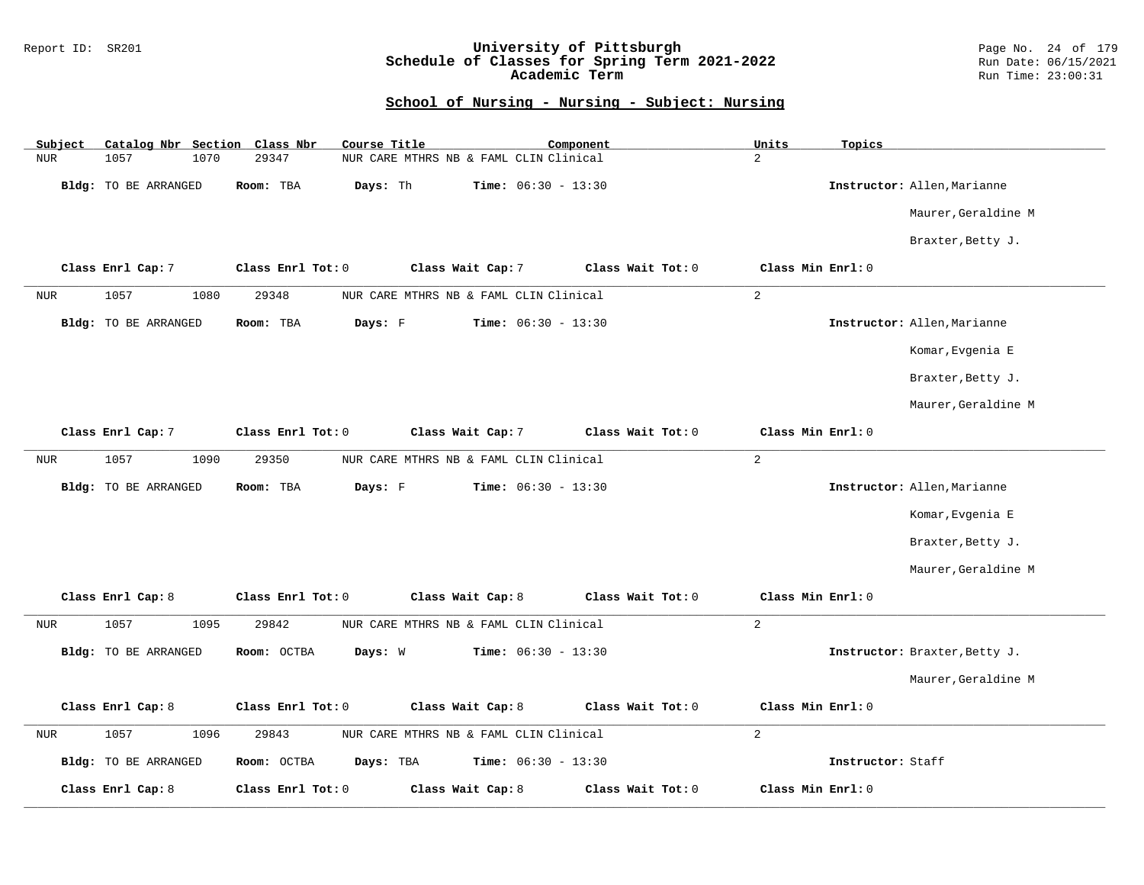### Report ID: SR201 **University of Pittsburgh** Page No. 24 of 179 **Schedule of Classes for Spring Term 2021-2022** Run Date: 06/15/2021 **Academic Term** Run Time: 23:00:31

| Subject    | Catalog Nbr Section Class Nbr | Course Title                                    | Component                    | Units<br>Topics   |                               |
|------------|-------------------------------|-------------------------------------------------|------------------------------|-------------------|-------------------------------|
| <b>NUR</b> | 1057<br>1070                  | 29347<br>NUR CARE MTHRS NB & FAML CLIN Clinical |                              | $\overline{a}$    |                               |
|            | Bldg: TO BE ARRANGED          | Days: Th<br>Room: TBA                           | <b>Time:</b> $06:30 - 13:30$ |                   | Instructor: Allen, Marianne   |
|            |                               |                                                 |                              |                   | Maurer, Geraldine M           |
|            |                               |                                                 |                              |                   | Braxter, Betty J.             |
|            | Class Enrl Cap: 7             | Class Enrl Tot: 0<br>Class Wait Cap: 7          | Class Wait Tot: 0            | Class Min Enrl: 0 |                               |
| <b>NUR</b> | 1057<br>1080                  | 29348<br>NUR CARE MTHRS NB & FAML CLIN Clinical |                              | $\overline{a}$    |                               |
|            | Bldg: TO BE ARRANGED          | Room: TBA<br>Days: F                            | <b>Time:</b> $06:30 - 13:30$ |                   | Instructor: Allen, Marianne   |
|            |                               |                                                 |                              |                   | Komar, Evgenia E              |
|            |                               |                                                 |                              |                   | Braxter, Betty J.             |
|            |                               |                                                 |                              |                   | Maurer, Geraldine M           |
|            | Class Enrl Cap: 7             | Class Enrl Tot: 0<br>Class Wait Cap: 7          | Class Wait Tot: 0            | Class Min Enrl: 0 |                               |
| <b>NUR</b> | 1057<br>1090                  | 29350<br>NUR CARE MTHRS NB & FAML CLIN Clinical |                              | $\overline{a}$    |                               |
|            | Bldg: TO BE ARRANGED          | Room: TBA<br>Days: F                            | <b>Time:</b> $06:30 - 13:30$ |                   | Instructor: Allen, Marianne   |
|            |                               |                                                 |                              |                   | Komar, Evgenia E              |
|            |                               |                                                 |                              |                   | Braxter, Betty J.             |
|            |                               |                                                 |                              |                   | Maurer, Geraldine M           |
|            | Class Enrl Cap: 8             | Class Enrl Tot: 0<br>Class Wait Cap: 8          | Class Wait Tot: 0            | Class Min Enrl: 0 |                               |
| NUR        | 1057<br>1095                  | 29842<br>NUR CARE MTHRS NB & FAML CLIN Clinical |                              | $\overline{a}$    |                               |
|            | Bldg: TO BE ARRANGED          | Room: OCTBA<br>Days: W                          | <b>Time:</b> $06:30 - 13:30$ |                   | Instructor: Braxter, Betty J. |
|            |                               |                                                 |                              |                   | Maurer, Geraldine M           |
|            | Class Enrl Cap: 8             | Class Enrl Tot: 0<br>Class Wait Cap: 8          | Class Wait Tot: 0            | Class Min Enrl: 0 |                               |
| <b>NUR</b> | 1057<br>1096                  | 29843<br>NUR CARE MTHRS NB & FAML CLIN Clinical |                              | $\overline{a}$    |                               |
|            | Bldg: TO BE ARRANGED          | Room: OCTBA<br>Days: TBA                        | Time: $06:30 - 13:30$        | Instructor: Staff |                               |
|            | Class Enrl Cap: 8             | Class Enrl Tot: 0<br>Class Wait Cap: 8          | Class Wait Tot: 0            | Class Min Enrl: 0 |                               |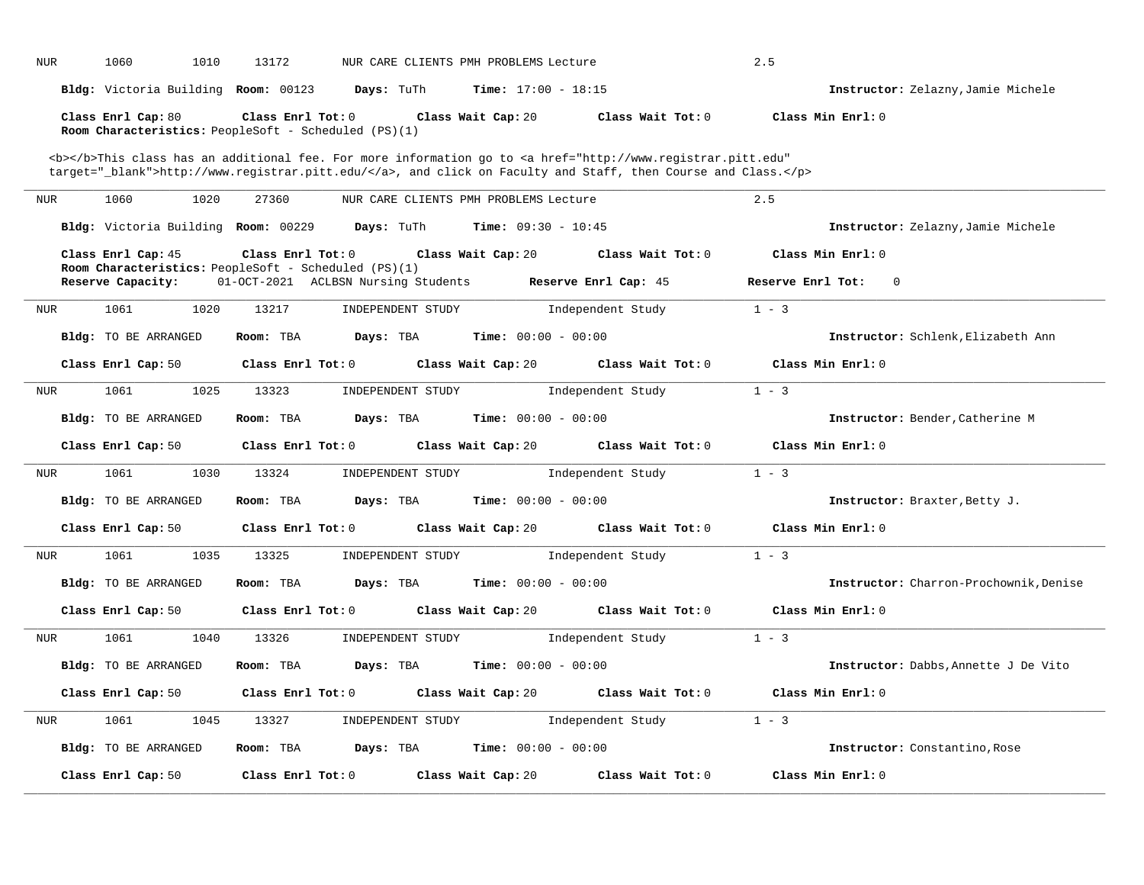| <b>NUR</b> | 1060<br>1010                        | 13172                                                                     | NUR CARE CLIENTS PMH PROBLEMS Lecture                                                                                                                                                                                              | 2.5                                    |
|------------|-------------------------------------|---------------------------------------------------------------------------|------------------------------------------------------------------------------------------------------------------------------------------------------------------------------------------------------------------------------------|----------------------------------------|
|            | Bldg: Victoria Building Room: 00123 | <b>Days:</b> TuTh                                                         | <b>Time:</b> $17:00 - 18:15$                                                                                                                                                                                                       | Instructor: Zelazny, Jamie Michele     |
|            | Class Enrl Cap: 80                  | Class Enrl Tot: 0<br>Room Characteristics: PeopleSoft - Scheduled (PS)(1) | Class Wait Cap: 20<br>Class Wait Tot: 0                                                                                                                                                                                            | Class Min Enrl: 0                      |
|            |                                     |                                                                           | <b></b> This class has an additional fee. For more information go to <a <br="" href="http://www.registrar.pitt.edu">target="_blank"&gt;http://www.registrar.pitt.edu/</a> , and click on Faculty and Staff, then Course and Class. |                                        |
| NUR        | 1060<br>1020                        | 27360                                                                     | NUR CARE CLIENTS PMH PROBLEMS Lecture                                                                                                                                                                                              | 2.5                                    |
|            |                                     | Bldg: Victoria Building Room: 00229 Days: TuTh                            | <b>Time:</b> $09:30 - 10:45$                                                                                                                                                                                                       | Instructor: Zelazny, Jamie Michele     |
|            | Class Enrl Cap: 45                  | Class Enrl Tot: 0<br>Room Characteristics: PeopleSoft - Scheduled (PS)(1) | Class Wait Cap: 20<br>Class Wait Tot: 0                                                                                                                                                                                            | Class Min Enrl: 0                      |
|            | Reserve Capacity:                   |                                                                           | 01-OCT-2021 ACLBSN Nursing Students Reserve Enrl Cap: 45                                                                                                                                                                           | Reserve Enrl Tot:<br>$\Omega$          |
| NUR        | 1061<br>1020                        | 13217<br>INDEPENDENT STUDY                                                | Independent Study                                                                                                                                                                                                                  | $1 - 3$                                |
|            | <b>Bldg:</b> TO BE ARRANGED         | Room: TBA<br>Days: TBA                                                    | <b>Time:</b> $00:00 - 00:00$                                                                                                                                                                                                       | Instructor: Schlenk, Elizabeth Ann     |
|            | Class Enrl Cap: 50                  | Class Enrl Tot: 0                                                         | Class Wait Cap: 20<br>Class Wait Tot: 0                                                                                                                                                                                            | Class Min Enrl: 0                      |
| NUR        | 1061<br>1025                        | 13323<br>INDEPENDENT STUDY                                                | Independent Study                                                                                                                                                                                                                  | $1 - 3$                                |
|            | <b>Bldg:</b> TO BE ARRANGED         | Room: TBA<br>Days: TBA                                                    | <b>Time:</b> $00:00 - 00:00$                                                                                                                                                                                                       | Instructor: Bender, Catherine M        |
|            | Class Enrl Cap: 50                  | Class Enrl Tot: 0                                                         | Class Wait Cap: 20<br>Class Wait Tot: 0                                                                                                                                                                                            | Class Min Enrl: 0                      |
| NUR        | 1061<br>1030                        | 13324<br>INDEPENDENT STUDY                                                | Independent Study                                                                                                                                                                                                                  | $1 - 3$                                |
|            | Bldg: TO BE ARRANGED                | Days: TBA<br>Room: TBA                                                    | <b>Time:</b> $00:00 - 00:00$                                                                                                                                                                                                       | Instructor: Braxter, Betty J.          |
|            | Class Enrl Cap: 50                  | Class Enrl Tot: 0                                                         | Class Wait Cap: 20<br>Class Wait Tot: 0                                                                                                                                                                                            | Class Min Enrl: 0                      |
| NUR        | 1035<br>1061                        | 13325<br>INDEPENDENT STUDY                                                | Independent Study                                                                                                                                                                                                                  | $1 - 3$                                |
|            | Bldg: TO BE ARRANGED                | Room: TBA<br>Days: TBA                                                    | <b>Time:</b> $00:00 - 00:00$                                                                                                                                                                                                       | Instructor: Charron-Prochownik, Denise |
|            | Class Enrl Cap: 50                  | Class Enrl Tot: 0                                                         | Class Wait Cap: 20<br>Class Wait Tot: 0                                                                                                                                                                                            | Class Min Enrl: 0                      |
| NUR        | 1061<br>1040                        | 13326<br>INDEPENDENT STUDY                                                | Independent Study                                                                                                                                                                                                                  | $1 - 3$                                |
|            | <b>Bldg:</b> TO BE ARRANGED         | Days: TBA<br>Room: TBA                                                    | <b>Time:</b> $00:00 - 00:00$                                                                                                                                                                                                       | Instructor: Dabbs, Annette J De Vito   |
|            | Class Enrl Cap: 50                  | Class Enrl Tot: 0                                                         | Class Wait Cap: 20<br>Class Wait Tot: 0                                                                                                                                                                                            | Class Min Enrl: 0                      |
| NUR        | 1061<br>1045                        | 13327<br>INDEPENDENT STUDY                                                | Independent Study                                                                                                                                                                                                                  | $1 - 3$                                |
|            | Bldg: TO BE ARRANGED                | Room: TBA<br>Days: TBA                                                    | <b>Time:</b> $00:00 - 00:00$                                                                                                                                                                                                       | Instructor: Constantino, Rose          |
|            | Class Enrl Cap: 50                  | Class Enrl Tot: 0                                                         | Class Wait Cap: 20<br>Class Wait Tot: 0                                                                                                                                                                                            | Class Min Enrl: 0                      |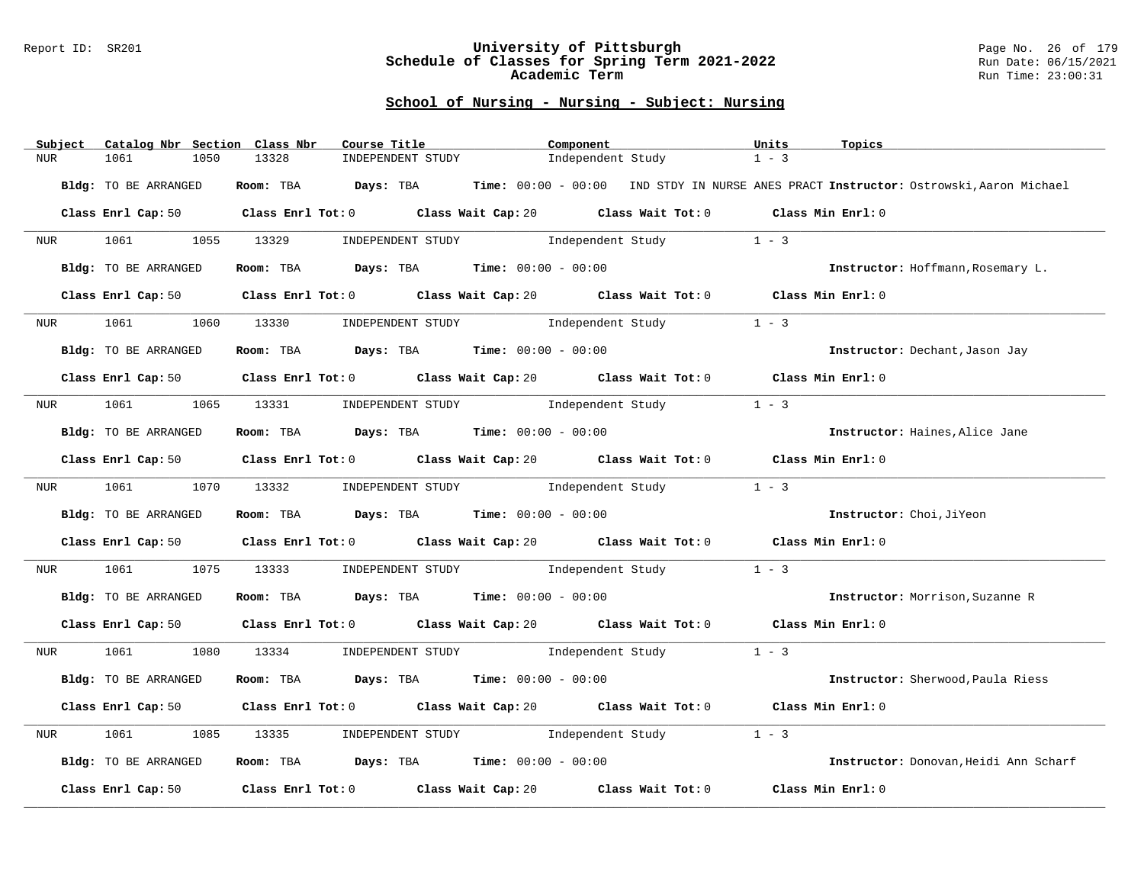#### Report ID: SR201 **University of Pittsburgh** Page No. 26 of 179 **Schedule of Classes for Spring Term 2021-2022** Run Date: 06/15/2021 **Academic Term** Run Time: 23:00:31

| Subject          |      |                      | Catalog Nbr Section Class Nbr | Course Title                                                                          | Component |                                                                                             | Units             | Topics                                                                                          |
|------------------|------|----------------------|-------------------------------|---------------------------------------------------------------------------------------|-----------|---------------------------------------------------------------------------------------------|-------------------|-------------------------------------------------------------------------------------------------|
| <b>NUR</b>       | 1061 | 1050                 | 13328                         | INDEPENDENT STUDY                                                                     |           | Independent Study                                                                           | $1 - 3$           |                                                                                                 |
|                  |      | Bldg: TO BE ARRANGED | Room: TBA                     |                                                                                       |           |                                                                                             |                   | Days: TBA Time: 00:00 - 00:00 IND STDY IN NURSE ANES PRACT Instructor: Ostrowski, Aaron Michael |
|                  |      | Class Enrl Cap: 50   |                               |                                                                                       |           | Class Enrl Tot: $0$ Class Wait Cap: $20$ Class Wait Tot: $0$ Class Min Enrl: $0$            |                   |                                                                                                 |
| NUR <sub>p</sub> |      | 1061 700             | 1055 13329                    |                                                                                       |           | INDEPENDENT STUDY 1 - 3                                                                     |                   |                                                                                                 |
|                  |      | Bldg: TO BE ARRANGED |                               | Room: TBA $Days:$ TBA $Time: 00:00 - 00:00$                                           |           |                                                                                             |                   | Instructor: Hoffmann, Rosemary L.                                                               |
|                  |      | Class Enrl Cap: 50   |                               |                                                                                       |           | Class Enrl Tot: 0 Class Wait Cap: 20 Class Wait Tot: 0 Class Min Enrl: 0                    |                   |                                                                                                 |
| NUR <sub>p</sub> | 1061 | 1060                 | 13330                         |                                                                                       |           | INDEPENDENT STUDY 1ndependent Study                                                         | $1 - 3$           |                                                                                                 |
|                  |      | Bldg: TO BE ARRANGED |                               | Room: TBA $Days:$ TBA $Time: 00:00 - 00:00$                                           |           |                                                                                             |                   | Instructor: Dechant, Jason Jay                                                                  |
|                  |      | Class Enrl Cap: 50   |                               |                                                                                       |           | Class Enrl Tot: $0$ Class Wait Cap: $20$ Class Wait Tot: $0$ Class Min Enrl: $0$            |                   |                                                                                                 |
|                  |      |                      |                               |                                                                                       |           | NUR 1061 1065 13331 INDEPENDENT STUDY Independent Study                                     | $1 - 3$           |                                                                                                 |
|                  |      | Bldg: TO BE ARRANGED |                               | Room: TBA $\rule{1em}{0.15mm}$ Days: TBA $\rule{1.5mm}{0.15mm}$ Time: $00:00 - 00:00$ |           |                                                                                             |                   | Instructor: Haines, Alice Jane                                                                  |
|                  |      | Class Enrl Cap: 50   |                               |                                                                                       |           | Class Enrl Tot: $0$ Class Wait Cap: $20$ Class Wait Tot: $0$ Class Min Enrl: $0$            |                   |                                                                                                 |
| NUR <sub>e</sub> |      | 1061 700             |                               | 1070 13332 INDEPENDENT STUDY 1ndependent Study                                        |           |                                                                                             | $1 - 3$           |                                                                                                 |
|                  |      | Bldg: TO BE ARRANGED |                               | <b>Room:</b> TBA $Days: TBA$ <b>Time:</b> $00:00 - 00:00$                             |           |                                                                                             |                   | Instructor: Choi, JiYeon                                                                        |
|                  |      |                      |                               |                                                                                       |           | Class Enrl Cap: 50 Class Enrl Tot: 0 Class Wait Cap: 20 Class Wait Tot: 0 Class Min Enrl: 0 |                   |                                                                                                 |
| NUR              |      | 1061 200<br>1075     | 13333                         |                                                                                       |           | INDEPENDENT STUDY 1ndependent Study                                                         | $1 - 3$           |                                                                                                 |
|                  |      | Bldg: TO BE ARRANGED |                               | Room: TBA $Days:$ TBA Time: $00:00 - 00:00$                                           |           |                                                                                             |                   | Instructor: Morrison, Suzanne R                                                                 |
|                  |      |                      |                               |                                                                                       |           | Class Enrl Cap: 50 Class Enrl Tot: 0 Class Wait Cap: 20 Class Wait Tot: 0 Class Min Enrl: 0 |                   |                                                                                                 |
| NUR              |      | 1061                 |                               |                                                                                       |           | 1080 13334 INDEPENDENT STUDY Independent Study 1 - 3                                        |                   |                                                                                                 |
|                  |      | Bldg: TO BE ARRANGED |                               | Room: TBA $Days:$ TBA $Time: 00:00 - 00:00$                                           |           |                                                                                             |                   | Instructor: Sherwood, Paula Riess                                                               |
|                  |      | Class Enrl Cap: 50   |                               |                                                                                       |           | Class Enrl Tot: $0$ Class Wait Cap: $20$ Class Wait Tot: $0$ Class Min Enrl: $0$            |                   |                                                                                                 |
| NUR              | 1061 | 1085                 | 13335                         |                                                                                       |           | INDEPENDENT STUDY 1ndependent Study                                                         | $1 - 3$           |                                                                                                 |
|                  |      | Bldg: TO BE ARRANGED |                               | Room: TBA $Days:$ TBA $Time: 00:00 - 00:00$                                           |           |                                                                                             |                   | Instructor: Donovan, Heidi Ann Scharf                                                           |
|                  |      | Class Enrl Cap: 50   |                               | Class Enrl Tot: 0 Class Wait Cap: 20                                                  |           | Class Wait Tot: 0                                                                           | Class Min Enrl: 0 |                                                                                                 |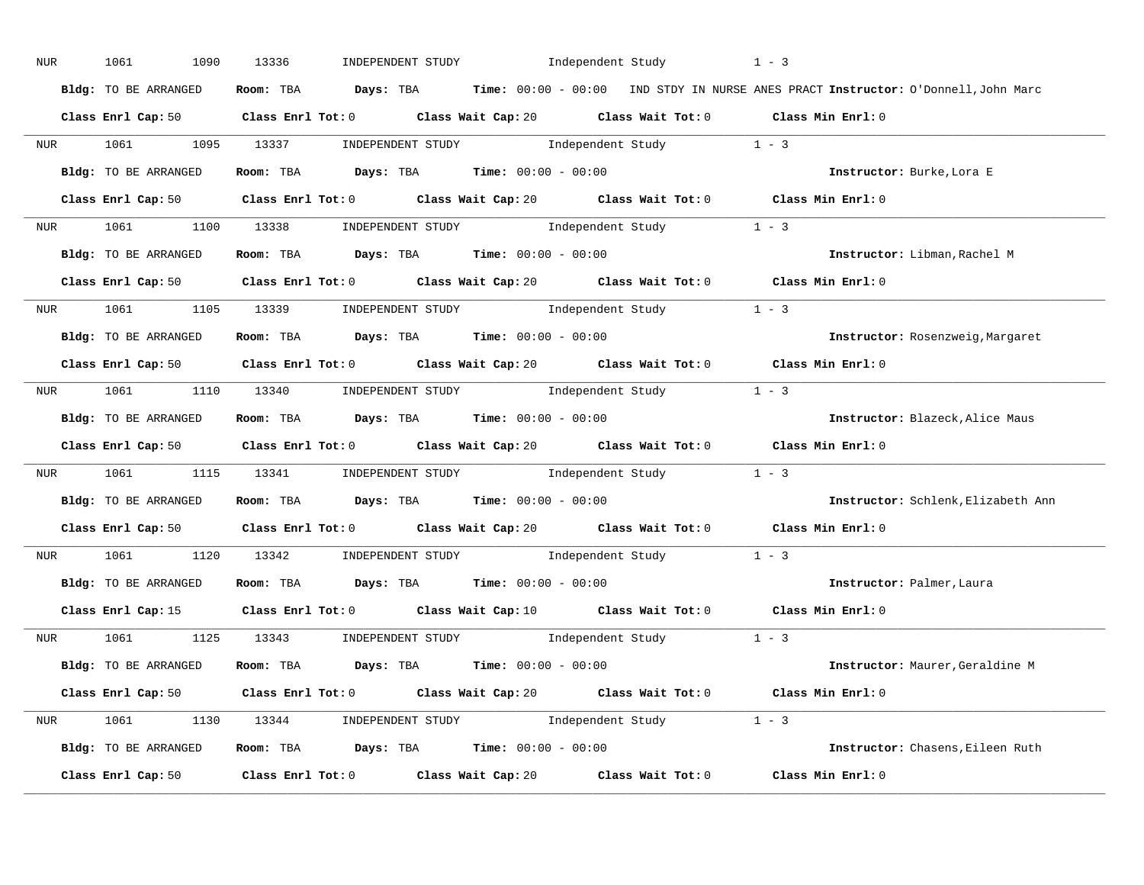| NUR |            | 1061<br>1090         | 13336                                                                                   | INDEPENDENT STUDY 1 - 3                                                                                                         |                                                                                                       |
|-----|------------|----------------------|-----------------------------------------------------------------------------------------|---------------------------------------------------------------------------------------------------------------------------------|-------------------------------------------------------------------------------------------------------|
|     |            | Bldg: TO BE ARRANGED |                                                                                         |                                                                                                                                 | Room: TBA Days: TBA Time: 00:00 - 00:00 IND STDY IN NURSE ANES PRACT Instructor: 0'Donnell, John Marc |
|     |            |                      |                                                                                         | Class Enrl Cap: 50 Class Enrl Tot: 0 Class Wait Cap: 20 Class Wait Tot: 0 Class Min Enrl: 0                                     |                                                                                                       |
|     |            |                      |                                                                                         | NUR 1061 1095 13337 INDEPENDENT STUDY Independent Study 1 - 3                                                                   |                                                                                                       |
|     |            | Bldg: TO BE ARRANGED | Room: TBA $\rule{1em}{0.15mm}$ Days: TBA Time: $00:00 - 00:00$                          |                                                                                                                                 | Instructor: Burke, Lora E                                                                             |
|     |            |                      |                                                                                         | Class Enrl Cap: 50 Class Enrl Tot: 0 Class Wait Cap: 20 Class Wait Tot: 0 Class Min Enrl: 0                                     |                                                                                                       |
|     |            |                      |                                                                                         | NUR 1061 1100 13338 INDEPENDENT STUDY Independent Study 1 - 3                                                                   |                                                                                                       |
|     |            | Bldg: TO BE ARRANGED | Room: TBA $Days:$ TBA $Time: 00:00 - 00:00$                                             |                                                                                                                                 | Instructor: Libman, Rachel M                                                                          |
|     |            |                      |                                                                                         | Class Enrl Cap: 50 Class Enrl Tot: 0 Class Wait Cap: 20 Class Wait Tot: 0 Class Min Enrl: 0                                     |                                                                                                       |
|     |            |                      |                                                                                         | NUR 1061 1105 13339 INDEPENDENT STUDY Independent Study 1 - 3                                                                   |                                                                                                       |
|     |            | Bldg: TO BE ARRANGED | Room: TBA $Days:$ TBA Time: $00:00 - 00:00$                                             |                                                                                                                                 | Instructor: Rosenzweig, Margaret                                                                      |
|     |            |                      |                                                                                         | Class Enrl Cap: 50 Class Enrl Tot: 0 Class Wait Cap: 20 Class Wait Tot: 0 Class Min Enrl: 0                                     |                                                                                                       |
|     |            |                      |                                                                                         | NUR 1061 1110 13340 INDEPENDENT STUDY Independent Study 1 - 3                                                                   |                                                                                                       |
|     |            | Bldg: TO BE ARRANGED | Room: TBA $\rule{1em}{0.15mm}$ Days: TBA Time: $00:00 - 00:00$                          |                                                                                                                                 | Instructor: Blazeck, Alice Maus                                                                       |
|     |            |                      |                                                                                         | Class Enrl Cap: 50 Class Enrl Tot: 0 Class Wait Cap: 20 Class Wait Tot: 0 Class Min Enrl: 0                                     |                                                                                                       |
|     |            |                      |                                                                                         | NUR 1061 1115 13341 INDEPENDENT STUDY Independent Study 1 - 3                                                                   |                                                                                                       |
|     |            | Bldg: TO BE ARRANGED | Room: TBA $\rule{1em}{0.15mm}$ Days: TBA $\rule{1.5mm}{0.15mm}$ Time: $00:00 - 00:00$   |                                                                                                                                 | Instructor: Schlenk, Elizabeth Ann                                                                    |
|     |            |                      |                                                                                         | Class Enrl Cap: 50 $\qquad$ Class Enrl Tot: 0 $\qquad$ Class Wait Cap: 20 $\qquad$ Class Wait Tot: 0 $\qquad$ Class Min Enrl: 0 |                                                                                                       |
|     | <b>NUR</b> |                      |                                                                                         | 1061 1120 13342 INDEPENDENT STUDY Independent Study 1 - 3                                                                       |                                                                                                       |
|     |            | Bldg: TO BE ARRANGED | Room: TBA $\rule{1em}{0.15mm}$ Days: TBA $\rule{1.15mm}]{0.15mm}$ Time: $00:00 - 00:00$ |                                                                                                                                 | Instructor: Palmer, Laura                                                                             |
|     |            |                      |                                                                                         | Class Enrl Cap: 15 Class Enrl Tot: 0 Class Wait Cap: 10 Class Wait Tot: 0 Class Min Enrl: 0                                     |                                                                                                       |
|     |            |                      |                                                                                         | NUR 1061 1125 13343 INDEPENDENT STUDY Independent Study 1 - 3                                                                   |                                                                                                       |
|     |            |                      | Bldg: TO BE ARRANGED Room: TBA Days: TBA Time: 00:00 - 00:00                            |                                                                                                                                 | Instructor: Maurer, Geraldine M                                                                       |
|     |            |                      |                                                                                         | Class Enrl Cap: 50 $\qquad$ Class Enrl Tot: 0 $\qquad$ Class Wait Cap: 20 $\qquad$ Class Wait Tot: 0 $\qquad$ Class Min Enrl: 0 |                                                                                                       |
|     |            |                      |                                                                                         | NUR 1061 1130 13344 INDEPENDENT STUDY Independent Study 1 - 3                                                                   |                                                                                                       |
|     |            |                      |                                                                                         | Bldg: TO BE ARRANGED Room: TBA Days: TBA Time: 00:00 - 00:00                                                                    | Instructor: Chasens, Eileen Ruth                                                                      |
|     |            |                      |                                                                                         | Class Enrl Cap: 50 Class Enrl Tot: 0 Class Wait Cap: 20 Class Wait Tot: 0                                                       | Class Min Enrl: 0                                                                                     |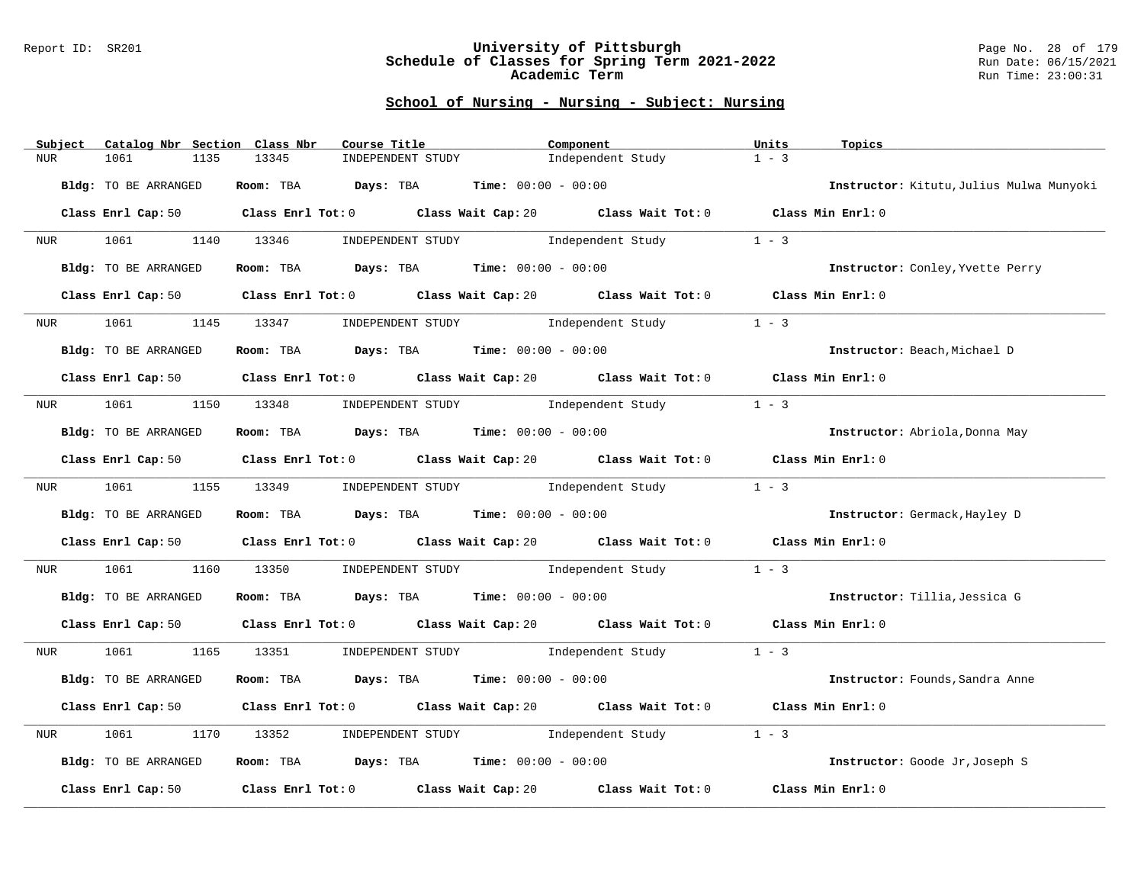#### Report ID: SR201 **University of Pittsburgh** Page No. 28 of 179 **Schedule of Classes for Spring Term 2021-2022** Run Date: 06/15/2021 **Academic Term** Run Time: 23:00:31

| Subject                | Catalog Nbr Section  | Class Nbr | Course Title                                                   | Component                                                                                   | Units<br>Topics                          |
|------------------------|----------------------|-----------|----------------------------------------------------------------|---------------------------------------------------------------------------------------------|------------------------------------------|
| NUR<br>1061            | 1135                 | 13345     | INDEPENDENT STUDY                                              | Independent Study                                                                           | $1 - 3$                                  |
|                        | Bldg: TO BE ARRANGED |           | Room: TBA $Days:$ TBA $Time: 00:00 - 00:00$                    |                                                                                             | Instructor: Kitutu, Julius Mulwa Munyoki |
|                        |                      |           |                                                                | Class Enrl Cap: 50 Class Enrl Tot: 0 Class Wait Cap: 20 Class Wait Tot: 0 Class Min Enrl: 0 |                                          |
| <b>NUR</b>             |                      |           |                                                                | 1061 1140 13346 INDEPENDENT STUDY Independent Study                                         | $1 - 3$                                  |
|                        | Bldg: TO BE ARRANGED |           | Room: TBA $Days:$ TBA $Time: 00:00 - 00:00$                    |                                                                                             | Instructor: Conley, Yvette Perry         |
|                        | Class Enrl Cap: 50   |           |                                                                | Class Enrl Tot: 0 Class Wait Cap: 20 Class Wait Tot: 0 Class Min Enrl: 0                    |                                          |
| 1061<br>NUR <b>NUR</b> | 1145                 |           |                                                                | 13347 INDEPENDENT STUDY Independent Study                                                   | $1 - 3$                                  |
|                        | Bldg: TO BE ARRANGED |           | Room: TBA $Days:$ TBA $Time: 00:00 - 00:00$                    |                                                                                             | Instructor: Beach, Michael D             |
|                        |                      |           |                                                                | Class Enrl Cap: 50 Class Enrl Tot: 0 Class Wait Cap: 20 Class Wait Tot: 0 Class Min Enrl: 0 |                                          |
|                        |                      |           |                                                                | NUR 1061 1150 13348 INDEPENDENT STUDY Independent Study                                     | $1 - 3$                                  |
|                        | Bldg: TO BE ARRANGED |           | Room: TBA $Days:$ TBA $Time: 00:00 - 00:00$                    |                                                                                             | Instructor: Abriola, Donna May           |
|                        |                      |           |                                                                | Class Enrl Cap: 50 Class Enrl Tot: 0 Class Wait Cap: 20 Class Wait Tot: 0 Class Min Enrl: 0 |                                          |
| NUR <sub>p</sub>       |                      |           |                                                                | 1061 1155 13349 INDEPENDENT STUDY 1ndependent Study                                         | $1 - 3$                                  |
|                        | Bldg: TO BE ARRANGED |           | Room: TBA $\rule{1em}{0.15mm}$ Days: TBA Time: $00:00 - 00:00$ |                                                                                             | Instructor: Germack, Hayley D            |
|                        |                      |           |                                                                | Class Enrl Cap: 50 Class Enrl Tot: 0 Class Wait Cap: 20 Class Wait Tot: 0 Class Min Enrl: 0 |                                          |
| NUR                    | 1061 700<br>1160     | 13350     |                                                                | INDEPENDENT STUDY 1ndependent Study                                                         | $1 - 3$                                  |
|                        | Bldg: TO BE ARRANGED |           | Room: TBA $\rule{1em}{0.15mm}$ Days: TBA Time: $00:00 - 00:00$ |                                                                                             | Instructor: Tillia, Jessica G            |
|                        |                      |           |                                                                | Class Enrl Cap: 50 Class Enrl Tot: 0 Class Wait Cap: 20 Class Wait Tot: 0 Class Min Enrl: 0 |                                          |
| NUR <sub>p</sub>       |                      |           |                                                                | 1061 1165 13351 INDEPENDENT STUDY Independent Study 1 - 3                                   |                                          |
|                        | Bldg: TO BE ARRANGED |           | Room: TBA $Days:$ TBA $Time: 00:00 - 00:00$                    |                                                                                             | Instructor: Founds, Sandra Anne          |
|                        |                      |           |                                                                | Class Enrl Cap: 50 Class Enrl Tot: 0 Class Wait Cap: 20 Class Wait Tot: 0 Class Min Enrl: 0 |                                          |
| 1061<br>NUR            | 1170                 | 13352     |                                                                | INDEPENDENT STUDY 1ndependent Study                                                         | $1 - 3$                                  |
|                        | Bldg: TO BE ARRANGED |           | Room: TBA $Days:$ TBA $Time: 00:00 - 00:00$                    |                                                                                             | Instructor: Goode Jr, Joseph S           |
|                        | Class Enrl Cap: 50   |           | Class Enrl Tot: 0 Class Wait Cap: 20                           | Class Wait Tot: 0                                                                           | Class Min Enrl: 0                        |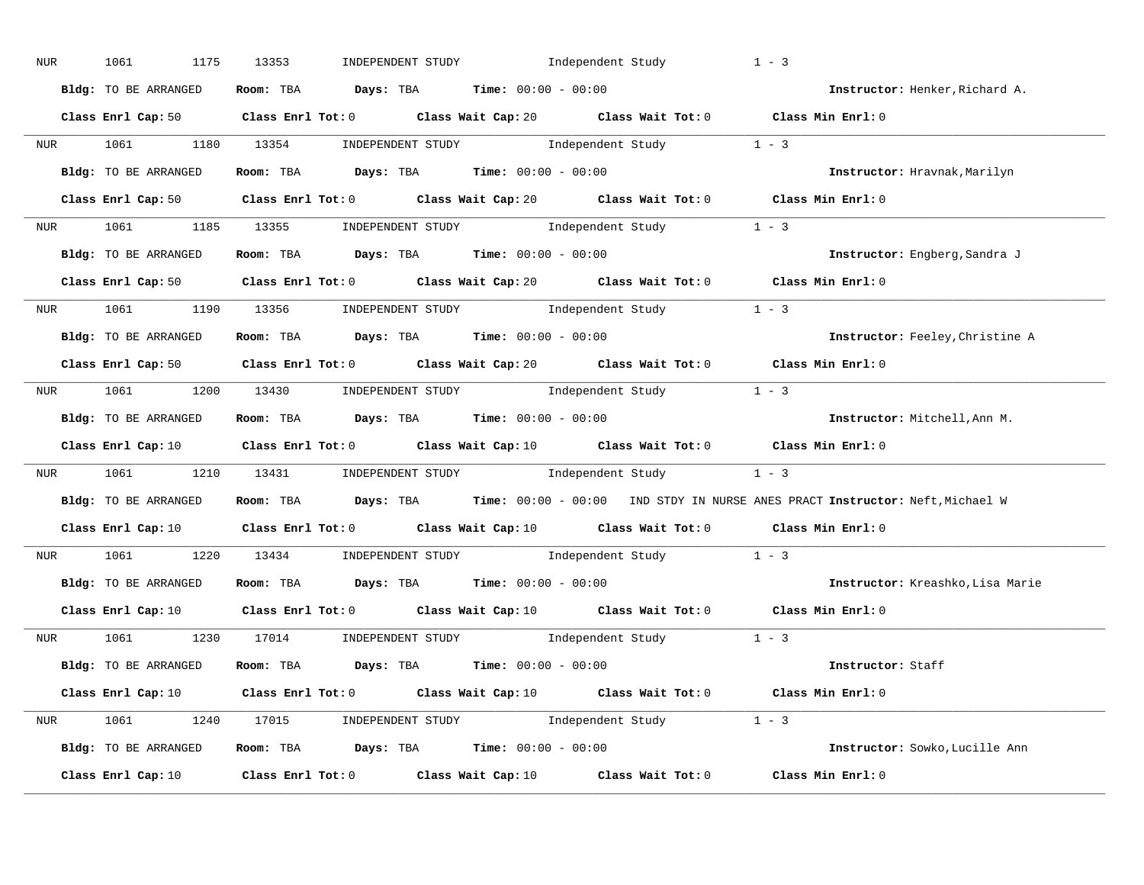| NUR | 1061<br>1175         | INDEPENDENT STUDY 1ndependent Study<br>13353                                                                                    | $1 - 3$                          |
|-----|----------------------|---------------------------------------------------------------------------------------------------------------------------------|----------------------------------|
|     | Bldg: TO BE ARRANGED | Room: TBA $Days:$ TBA $Time:$ $00:00 - 00:00$                                                                                   | Instructor: Henker, Richard A.   |
|     |                      | Class Enrl Cap: 50 Class Enrl Tot: 0 Class Wait Cap: 20 Class Wait Tot: 0 Class Min Enrl: 0                                     |                                  |
|     |                      | NUR 1061 1180 13354 INDEPENDENT STUDY Independent Study 1 - 3                                                                   |                                  |
|     | Bldg: TO BE ARRANGED | Room: TBA $Days: TBA$ Time: $00:00 - 00:00$                                                                                     | Instructor: Hravnak, Marilyn     |
|     |                      | Class Enrl Cap: 50 Class Enrl Tot: 0 Class Wait Cap: 20 Class Wait Tot: 0 Class Min Enrl: 0                                     |                                  |
|     |                      | NUR 1061 1185 13355 INDEPENDENT STUDY Independent Study 1 - 3                                                                   |                                  |
|     |                      | Bldg: TO BE ARRANGED Room: TBA Days: TBA Time: 00:00 - 00:00                                                                    | Instructor: Engberg, Sandra J    |
|     |                      | Class Enrl Cap: 50 Class Enrl Tot: 0 Class Wait Cap: 20 Class Wait Tot: 0 Class Min Enrl: 0                                     |                                  |
|     |                      | NUR 1061 1190 13356 INDEPENDENT STUDY Independent Study 1 - 3                                                                   |                                  |
|     | Bldg: TO BE ARRANGED | Room: TBA Days: TBA Time: $00:00 - 00:00$                                                                                       | Instructor: Feeley, Christine A  |
|     |                      | Class Enrl Cap: 50 Class Enrl Tot: 0 Class Wait Cap: 20 Class Wait Tot: 0 Class Min Enrl: 0                                     |                                  |
|     |                      | NUR 1061 1200 13430 INDEPENDENT STUDY Independent Study 1 - 3                                                                   |                                  |
|     | Bldg: TO BE ARRANGED | Room: TBA $Days:$ TBA $Time: 00:00 - 00:00$                                                                                     | Instructor: Mitchell, Ann M.     |
|     |                      |                                                                                                                                 |                                  |
|     |                      | Class Enrl Cap: 10 $\qquad$ Class Enrl Tot: 0 $\qquad$ Class Wait Cap: 10 $\qquad$ Class Wait Tot: 0 $\qquad$ Class Min Enrl: 0 |                                  |
|     |                      | NUR 1061 1210 13431 INDEPENDENT STUDY Independent Study 1 - 3                                                                   |                                  |
|     | Bldg: TO BE ARRANGED | Room: TBA Days: TBA Time: 00:00 - 00:00 IND STDY IN NURSE ANES PRACT Instructor: Neft, Michael W                                |                                  |
|     |                      | Class Enrl Cap: 10 Class Enrl Tot: 0 Class Wait Cap: 10 Class Wait Tot: 0 Class Min Enrl: 0                                     |                                  |
|     |                      | NUR 1061 1220 13434 INDEPENDENT STUDY Independent Study 1 - 3                                                                   |                                  |
|     | Bldg: TO BE ARRANGED | Room: TBA $Days: TBA$ Time: $00:00 - 00:00$                                                                                     | Instructor: Kreashko, Lisa Marie |
|     | Class Enrl Cap: 10   | Class Enrl Tot: 0 $\qquad$ Class Wait Cap: 10 $\qquad$ Class Wait Tot: 0 $\qquad$ Class Min Enrl: 0                             |                                  |
|     |                      | NUR 1061 1230 17014 INDEPENDENT STUDY Independent Study 1 - 3                                                                   |                                  |
|     | Bldg: TO BE ARRANGED | Room: TBA $Days:$ TBA $Time: 00:00 - 00:00$                                                                                     | <b>Instructor:</b> Staff         |
|     |                      | Class Enrl Cap: 10 $\qquad$ Class Enrl Tot: 0 $\qquad$ Class Wait Cap: 10 $\qquad$ Class Wait Tot: 0 $\qquad$ Class Min Enrl: 0 |                                  |
|     |                      | NUR 1061 1240 17015 INDEPENDENT STUDY Independent Study 1 - 3                                                                   |                                  |
|     |                      | Bldg: TO BE ARRANGED Room: TBA Days: TBA Time: 00:00 - 00:00                                                                    | Instructor: Sowko, Lucille Ann   |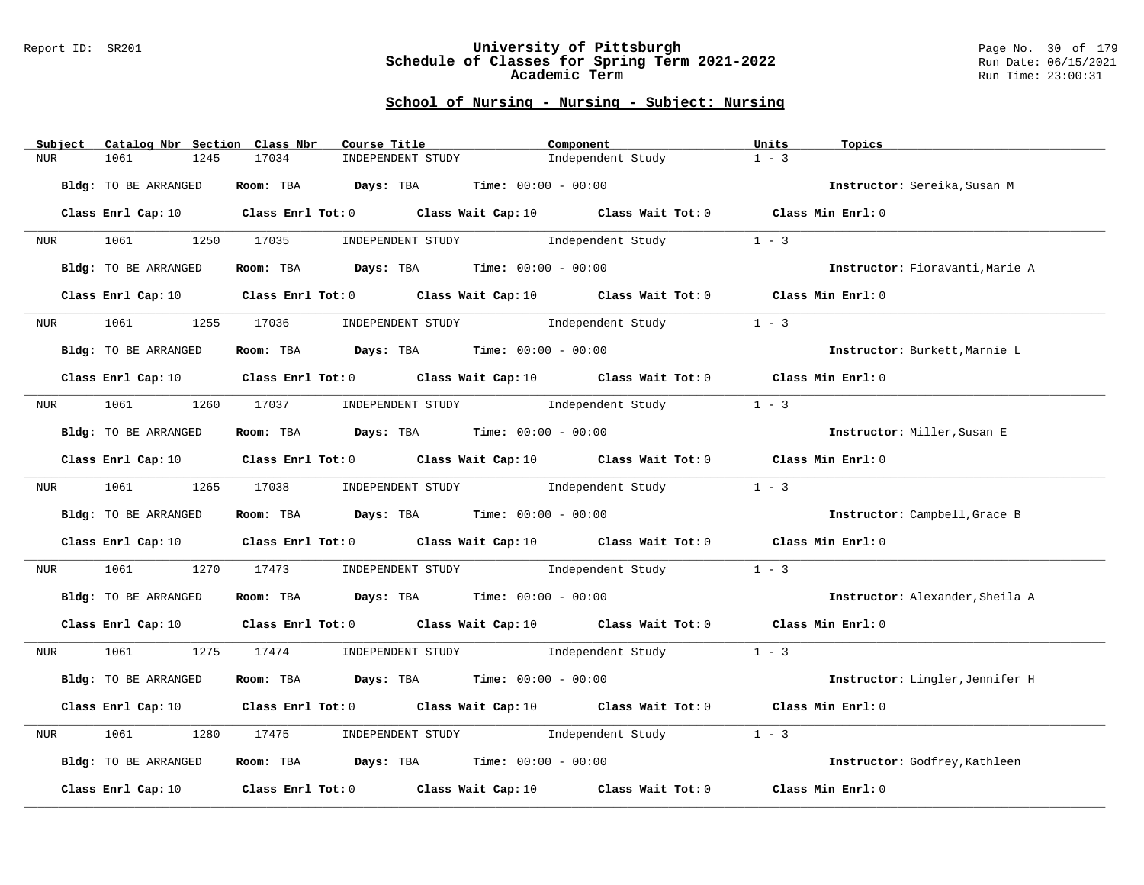#### Report ID: SR201 **University of Pittsburgh** Page No. 30 of 179 **Schedule of Classes for Spring Term 2021-2022** Run Date: 06/15/2021 **Academic Term** Run Time: 23:00:31

| Subject          | Catalog Nbr Section Class Nbr | Course Title                                | Component                                                                                                                       | Units<br>Topics                 |
|------------------|-------------------------------|---------------------------------------------|---------------------------------------------------------------------------------------------------------------------------------|---------------------------------|
| <b>NUR</b>       | 1245<br>1061                  | 17034<br>INDEPENDENT STUDY                  | Independent Study                                                                                                               | $1 - 3$                         |
|                  | Bldg: TO BE ARRANGED          | Room: TBA                                   | $\texttt{Days:}$ TBA $\texttt{Time:}$ 00:00 - 00:00                                                                             | Instructor: Sereika, Susan M    |
|                  |                               |                                             | Class Enrl Cap: 10 Class Enrl Tot: 0 Class Wait Cap: 10 Class Wait Tot: 0 Class Min Enrl: 0                                     |                                 |
| NUR <sub>p</sub> | 1061 700                      | 1250 17035                                  | INDEPENDENT STUDY 1 - 3                                                                                                         |                                 |
|                  | Bldg: TO BE ARRANGED          | Room: TBA $Days:$ TBA $Time: 00:00 - 00:00$ |                                                                                                                                 | Instructor: Fioravanti, Marie A |
|                  | Class Enrl Cap: 10            |                                             | Class Enrl Tot: 0 Class Wait Cap: 10 Class Wait Tot: 0 Class Min Enrl: 0                                                        |                                 |
| NUR <sub>p</sub> | 1255<br>1061                  | 17036                                       | INDEPENDENT STUDY Independent Study                                                                                             | $1 - 3$                         |
|                  | Bldg: TO BE ARRANGED          | Room: TBA $Days:$ TBA $Time: 00:00 - 00:00$ |                                                                                                                                 | Instructor: Burkett, Marnie L   |
|                  | Class Enrl Cap: 10            |                                             | Class Enrl Tot: $0$ Class Wait Cap: $10$ Class Wait Tot: $0$ Class Min Enrl: $0$                                                |                                 |
|                  |                               |                                             | NUR 1061 1260 17037 INDEPENDENT STUDY Independent Study                                                                         | $1 - 3$                         |
|                  | Bldg: TO BE ARRANGED          | Room: TBA $Days:$ TBA $Time: 00:00 - 00:00$ |                                                                                                                                 | Instructor: Miller, Susan E     |
|                  |                               |                                             | Class Enrl Cap: 10 Class Enrl Tot: 0 Class Wait Cap: 10 Class Wait Tot: 0 Class Min Enrl: 0                                     |                                 |
| NUR <sub>e</sub> |                               |                                             | 1061 1265 17038 INDEPENDENT STUDY Independent Study                                                                             | $1 - 3$                         |
|                  | Bldg: TO BE ARRANGED          | Room: TBA $Days:$ TBA $Time: 00:00 - 00:00$ |                                                                                                                                 | Instructor: Campbell, Grace B   |
|                  |                               |                                             | Class Enrl Cap: 10 Class Enrl Tot: 0 Class Wait Cap: 10 Class Wait Tot: 0 Class Min Enrl: 0                                     |                                 |
| NUR              | 1061 700                      | 1270 17473                                  | INDEPENDENT STUDY 1ndependent Study                                                                                             | $1 - 3$                         |
|                  | Bldg: TO BE ARRANGED          | Room: TBA $Days:$ TBA Time: $00:00 - 00:00$ |                                                                                                                                 | Instructor: Alexander, Sheila A |
|                  |                               |                                             | Class Enrl Cap: 10 $\qquad$ Class Enrl Tot: 0 $\qquad$ Class Wait Cap: 10 $\qquad$ Class Wait Tot: 0 $\qquad$ Class Min Enrl: 0 |                                 |
| NUR <sub>p</sub> |                               |                                             | 1061    1275    17474    INDEPENDENT STUDY    Independent Study    1 - 3                                                        |                                 |
|                  | Bldg: TO BE ARRANGED          | Room: TBA $Days: TBA$ Time: $00:00 - 00:00$ |                                                                                                                                 | Instructor: Lingler, Jennifer H |
|                  |                               |                                             | Class Enrl Cap: 10 $\qquad$ Class Enrl Tot: 0 $\qquad$ Class Wait Cap: 10 $\qquad$ Class Wait Tot: 0 $\qquad$ Class Min Enrl: 0 |                                 |
| NUR              | 1061<br>1280                  | 17475                                       | INDEPENDENT STUDY 1ndependent Study                                                                                             | $1 - 3$                         |
|                  | Bldg: TO BE ARRANGED          | Room: TBA $Days:$ TBA $Time:$ 00:00 - 00:00 |                                                                                                                                 | Instructor: Godfrey, Kathleen   |
|                  | Class Enrl Cap: 10            | Class Enrl Tot: 0 Class Wait Cap: 10        | Class Wait Tot: 0                                                                                                               | Class Min Enrl: 0               |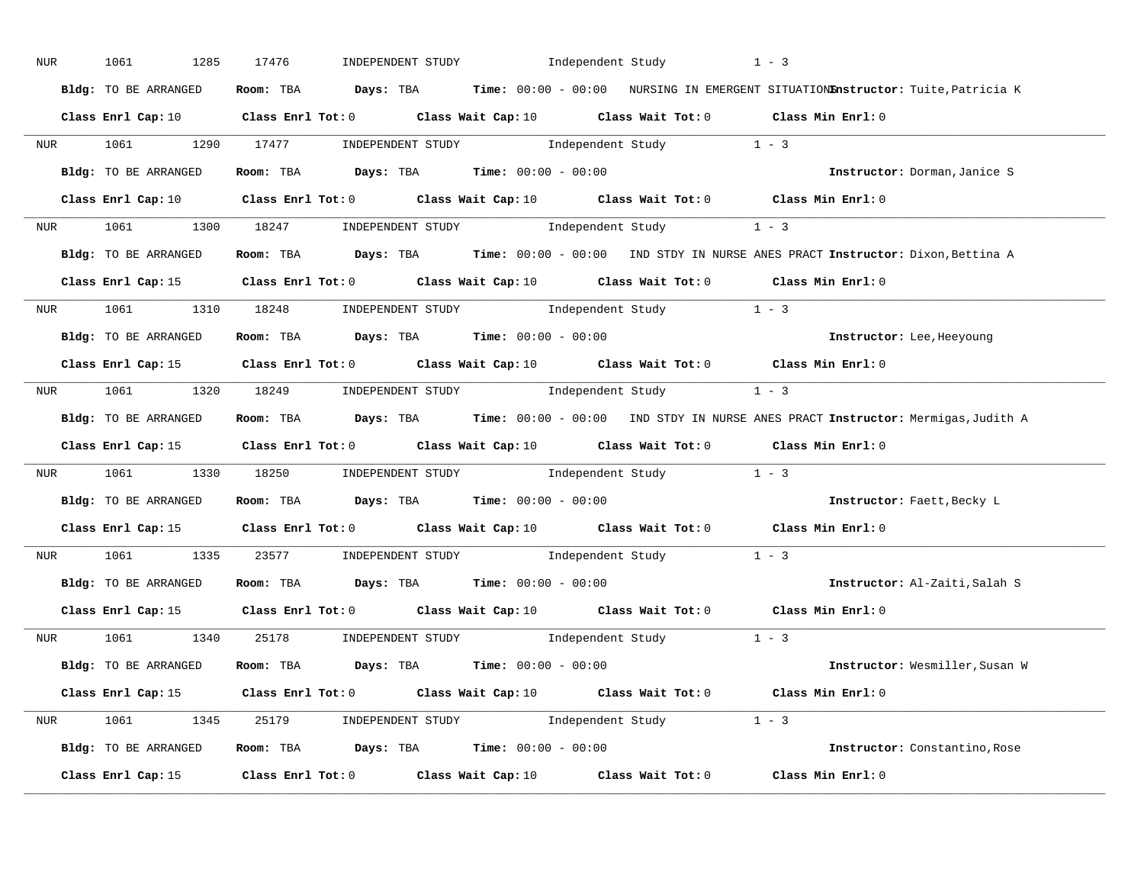| NUR | 1061<br>1285         | 17476 |  |                                             | $\begin{minipage}[c]{0.9\linewidth} \textbf{INDEX} & \textbf{STUDY} \\ \textbf{Independent Study} & 1 - 3 \\ \end{minipage}$ |                                                                                                                                 |
|-----|----------------------|-------|--|---------------------------------------------|------------------------------------------------------------------------------------------------------------------------------|---------------------------------------------------------------------------------------------------------------------------------|
|     | Bldg: TO BE ARRANGED |       |  |                                             |                                                                                                                              | Room: TBA Days: TBA Time: 00:00 - 00:00 NURSING IN EMERGENT SITUATIONEnstructor: Tuite, Patricia K                              |
|     |                      |       |  |                                             |                                                                                                                              | Class Enrl Cap: 10 $\qquad$ Class Enrl Tot: 0 $\qquad$ Class Wait Cap: 10 $\qquad$ Class Wait Tot: 0 $\qquad$ Class Min Enrl: 0 |
|     |                      |       |  |                                             | NUR 1061 1290 17477 INDEPENDENT STUDY Independent Study 1 - 3                                                                |                                                                                                                                 |
|     | Bldg: TO BE ARRANGED |       |  | Room: TBA $Days: TBA$ Time: $00:00 - 00:00$ |                                                                                                                              | Instructor: Dorman, Janice S                                                                                                    |
|     |                      |       |  |                                             |                                                                                                                              | Class Enrl Cap: 10 $\qquad$ Class Enrl Tot: 0 $\qquad$ Class Wait Cap: 10 $\qquad$ Class Wait Tot: 0 $\qquad$ Class Min Enrl: 0 |
|     |                      |       |  |                                             | NUR 1061 1300 18247 INDEPENDENT STUDY Independent Study 1 - 3                                                                |                                                                                                                                 |
|     |                      |       |  |                                             |                                                                                                                              | Bldg: TO BE ARRANGED Room: TBA Days: TBA Time: 00:00 - 00:00 IND STDY IN NURSE ANES PRACT Instructor: Dixon, Bettina A          |
|     |                      |       |  |                                             |                                                                                                                              | Class Enrl Cap: 15 Class Enrl Tot: 0 Class Wait Cap: 10 Class Wait Tot: 0 Class Min Enrl: 0                                     |
|     |                      |       |  |                                             | NUR 1061 1310 18248 INDEPENDENT STUDY Independent Study 1 - 3                                                                |                                                                                                                                 |
|     | Bldg: TO BE ARRANGED |       |  |                                             | Room: TBA $\rule{1em}{0.15mm}$ Days: TBA $\rule{1.15mm}]{0.15mm}$ Time: $0.000 - 0.000$                                      | Instructor: Lee, Heeyoung                                                                                                       |
|     |                      |       |  |                                             |                                                                                                                              | Class Enrl Cap: 15 Class Enrl Tot: 0 Class Wait Cap: 10 Class Wait Tot: 0 Class Min Enrl: 0                                     |
|     |                      |       |  |                                             | NUR 1061 1320 18249 INDEPENDENT STUDY Independent Study 1 - 3                                                                |                                                                                                                                 |
|     | Bldg: TO BE ARRANGED |       |  |                                             |                                                                                                                              | Room: TBA Days: TBA Time: 00:00 - 00:00 IND STDY IN NURSE ANES PRACT Instructor: Mermigas, Judith A                             |
|     |                      |       |  |                                             |                                                                                                                              |                                                                                                                                 |
|     |                      |       |  |                                             |                                                                                                                              | Class Enrl Cap: 15 Class Enrl Tot: 0 Class Wait Cap: 10 Class Wait Tot: 0 Class Min Enrl: 0                                     |
|     |                      |       |  |                                             | NUR 1061 1330 18250 INDEPENDENT STUDY Independent Study 1 - 3                                                                |                                                                                                                                 |
|     | Bldg: TO BE ARRANGED |       |  | Room: TBA Days: TBA Time: $00:00 - 00:00$   |                                                                                                                              | Instructor: Faett, Becky L                                                                                                      |
|     |                      |       |  |                                             |                                                                                                                              | Class Enrl Cap: 15 Class Enrl Tot: 0 Class Wait Cap: 10 Class Wait Tot: 0 Class Min Enrl: 0                                     |
|     |                      |       |  |                                             | NUR 1061 1335 23577 INDEPENDENT STUDY Independent Study 1 - 3                                                                |                                                                                                                                 |
|     | Bldg: TO BE ARRANGED |       |  | Room: TBA $Days: TBA$ Time: $00:00 - 00:00$ |                                                                                                                              | Instructor: Al-Zaiti, Salah S                                                                                                   |
|     |                      |       |  |                                             |                                                                                                                              | Class Enrl Cap: 15 Class Enrl Tot: 0 Class Wait Cap: 10 Class Wait Tot: 0 Class Min Enrl: 0                                     |
|     |                      |       |  |                                             | NUR 1061 1340 25178 INDEPENDENT STUDY Independent Study 1 - 3                                                                |                                                                                                                                 |
|     | Bldg: TO BE ARRANGED |       |  | Room: TBA $Days:$ TBA $Time: 00:00 - 00:00$ |                                                                                                                              | Instructor: Wesmiller, Susan W                                                                                                  |
|     |                      |       |  |                                             |                                                                                                                              | Class Enrl Cap: 15 Class Enrl Tot: 0 Class Wait Cap: 10 Class Wait Tot: 0 Class Min Enrl: 0                                     |
|     |                      |       |  |                                             | NUR 1061 1345 25179 INDEPENDENT STUDY Independent Study 1 - 3                                                                |                                                                                                                                 |
|     |                      |       |  |                                             | <b>Bldg:</b> TO BE ARRANGED <b>ROOM:</b> TBA <b>Days:</b> TBA <b>Time:</b> $00:00 - 00:00$                                   | Instructor: Constantino, Rose                                                                                                   |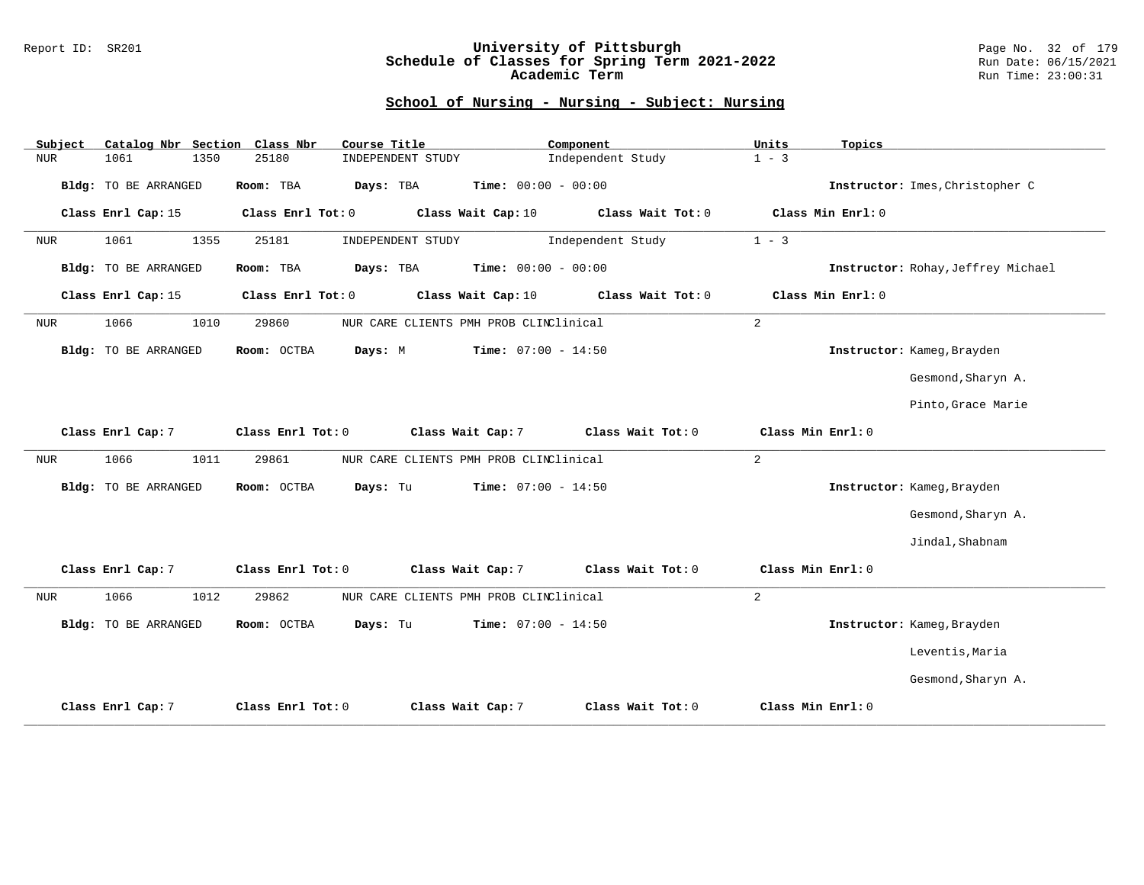### Report ID: SR201 **University of Pittsburgh** Page No. 32 of 179 **Schedule of Classes for Spring Term 2021-2022** Run Date: 06/15/2021 **Academic Term** Run Time: 23:00:31

| Subject    | Catalog Nbr Section Class Nbr | Course Title               | Component                               | Units<br>Topics                    |
|------------|-------------------------------|----------------------------|-----------------------------------------|------------------------------------|
| <b>NUR</b> | 1061<br>1350                  | 25180<br>INDEPENDENT STUDY | Independent Study                       | $1 - 3$                            |
|            | Bldg: TO BE ARRANGED          | Days: TBA<br>Room: TBA     | Time: $00:00 - 00:00$                   | Instructor: Imes, Christopher C    |
|            | Class Enrl Cap: 15            | Class Enrl Tot: 0          | Class Wait Cap: 10<br>Class Wait Tot: 0 | Class Min Enrl: 0                  |
| <b>NUR</b> | 1061<br>1355                  | 25181<br>INDEPENDENT STUDY | Independent Study                       | $1 - 3$                            |
|            | Bldg: TO BE ARRANGED          | Room: TBA<br>Days: TBA     | <b>Time:</b> $00:00 - 00:00$            | Instructor: Rohay, Jeffrey Michael |
|            | Class Enrl Cap: 15            | Class Enrl Tot: 0          | Class Wait Cap: 10<br>Class Wait Tot: 0 | Class Min Enrl: 0                  |
| NUR        | 1066<br>1010                  | 29860                      | NUR CARE CLIENTS PMH PROB CLINClinical  | $\overline{a}$                     |
|            | Bldg: TO BE ARRANGED          | Room: OCTBA<br>Days: M     | <b>Time:</b> $07:00 - 14:50$            | Instructor: Kameg, Brayden         |
|            |                               |                            |                                         | Gesmond, Sharyn A.                 |
|            |                               |                            |                                         | Pinto, Grace Marie                 |
|            | Class Enrl Cap: 7             | Class Enrl Tot: 0          | Class Wait Cap: 7<br>Class Wait Tot: 0  | Class Min Enrl: 0                  |
| NUR        | 1066<br>1011                  | 29861                      | NUR CARE CLIENTS PMH PROB CLINClinical  | $\overline{a}$                     |
|            | Bldg: TO BE ARRANGED          | Room: OCTBA<br>Days: Tu    | Time: $07:00 - 14:50$                   | Instructor: Kameg, Brayden         |
|            |                               |                            |                                         | Gesmond, Sharyn A.                 |
|            |                               |                            |                                         | Jindal, Shabnam                    |
|            | Class Enrl Cap: 7             | Class Enrl Tot: 0          | Class Wait Cap: 7<br>Class Wait Tot: 0  | Class Min Enrl: 0                  |
| $\rm NUR$  | 1066<br>1012                  | 29862                      | NUR CARE CLIENTS PMH PROB CLINClinical  | $\overline{a}$                     |
|            | Bldg: TO BE ARRANGED          | Room: OCTBA<br>Days: Tu    | <b>Time:</b> $07:00 - 14:50$            | Instructor: Kameg, Brayden         |
|            |                               |                            |                                         | Leventis, Maria                    |
|            |                               |                            |                                         | Gesmond, Sharyn A.                 |
|            | Class Enrl Cap: 7             | Class Enrl Tot: 0          | Class Wait Cap: 7<br>Class Wait Tot: 0  | Class Min Enrl: 0                  |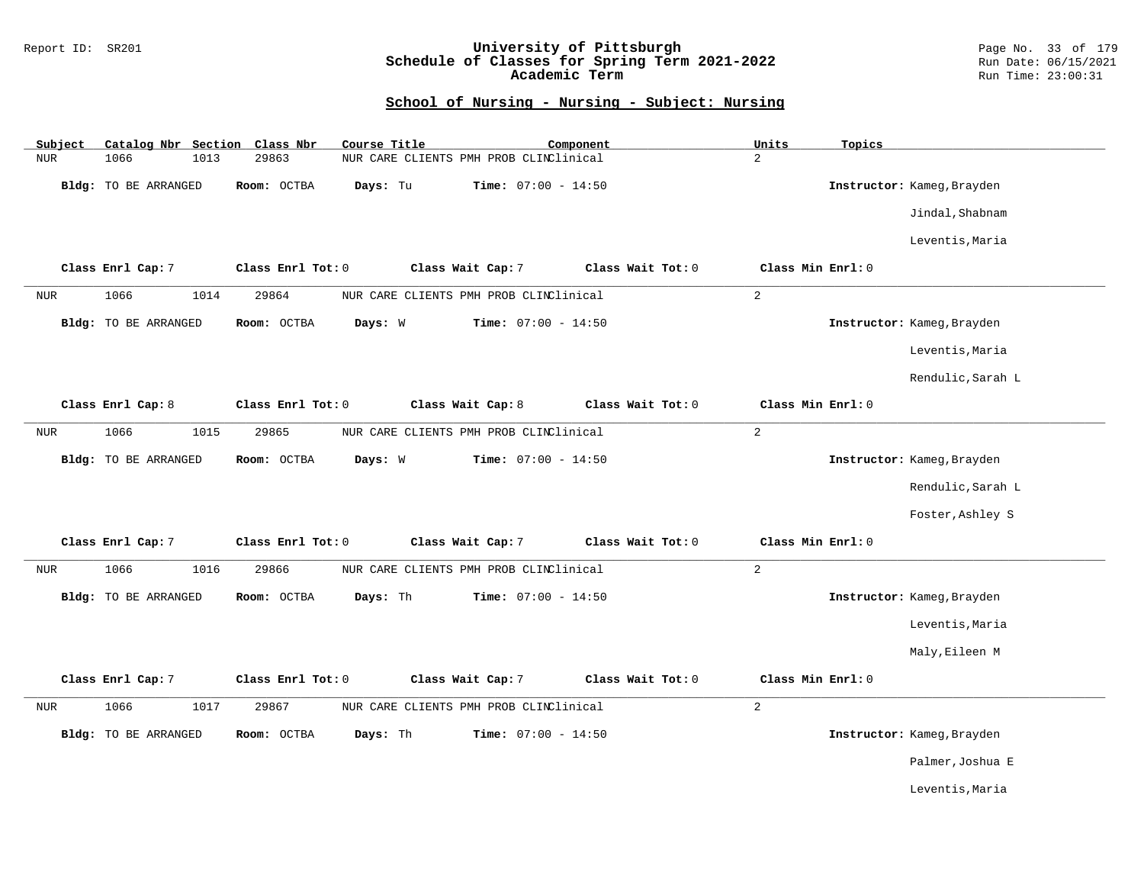### Report ID: SR201 **University of Pittsburgh** Page No. 33 of 179 **Schedule of Classes for Spring Term 2021-2022** Run Date: 06/15/2021 **Academic Term** Run Time: 23:00:31

| Catalog Nbr Section Class Nbr<br>Subject | Course Title<br>Component                                   | Units<br>Topics            |
|------------------------------------------|-------------------------------------------------------------|----------------------------|
| 1066<br>1013<br><b>NUR</b>               | 29863<br>NUR CARE CLIENTS PMH PROB CLINClinical             | $\overline{a}$             |
| Bldg: TO BE ARRANGED                     | Time: $07:00 - 14:50$<br>Room: OCTBA<br>Days: Tu            | Instructor: Kameg, Brayden |
|                                          |                                                             | Jindal, Shabnam            |
|                                          |                                                             | Leventis, Maria            |
| Class Enrl Cap: 7                        | Class Wait Cap: 7<br>Class Wait Tot: 0<br>Class Enrl Tot: 0 | Class Min Enrl: 0          |
| 1066<br>1014<br><b>NUR</b>               | 29864<br>NUR CARE CLIENTS PMH PROB CLINClinical             | $\overline{a}$             |
| <b>Bldg:</b> TO BE ARRANGED              | <b>Time:</b> $07:00 - 14:50$<br>Room: OCTBA<br>Days: W      | Instructor: Kameg, Brayden |
|                                          |                                                             | Leventis, Maria            |
|                                          |                                                             | Rendulic, Sarah L          |
| Class Enrl Cap: 8                        | Class Enrl Tot: 0<br>Class Wait Cap: 8<br>Class Wait Tot: 0 | Class Min Enrl: 0          |
| 1066<br>1015<br>NUR                      | 29865<br>NUR CARE CLIENTS PMH PROB CLINClinical             | $\overline{a}$             |
| <b>Bldg:</b> TO BE ARRANGED              | Room: OCTBA<br>Days: W<br><b>Time:</b> $07:00 - 14:50$      | Instructor: Kameg, Brayden |
|                                          |                                                             | Rendulic, Sarah L          |
|                                          |                                                             | Foster, Ashley S           |
| Class Enrl Cap: 7                        | Class Enrl Tot: 0<br>Class Wait Cap: 7<br>Class Wait Tot: 0 | Class Min Enrl: 0          |
| 1066<br>1016<br><b>NUR</b>               | 29866<br>NUR CARE CLIENTS PMH PROB CLINClinical             | $\overline{2}$             |
| <b>Bldg:</b> TO BE ARRANGED              | Room: OCTBA<br>Days: Th<br><b>Time:</b> $07:00 - 14:50$     | Instructor: Kameg, Brayden |
|                                          |                                                             | Leventis, Maria            |
|                                          |                                                             | Maly, Eileen M             |
| Class Enrl Cap: 7                        | Class Enrl Tot: 0<br>Class Wait Cap: 7<br>Class Wait Tot: 0 | Class Min Enrl: 0          |
| 1066<br>1017<br><b>NUR</b>               | 29867<br>NUR CARE CLIENTS PMH PROB CLINClinical             | $\overline{a}$             |
| <b>Bldg:</b> TO BE ARRANGED              | Days: Th<br>Room: OCTBA<br><b>Time:</b> $07:00 - 14:50$     | Instructor: Kameg, Brayden |
|                                          |                                                             | Palmer, Joshua E           |
|                                          |                                                             | Leventis, Maria            |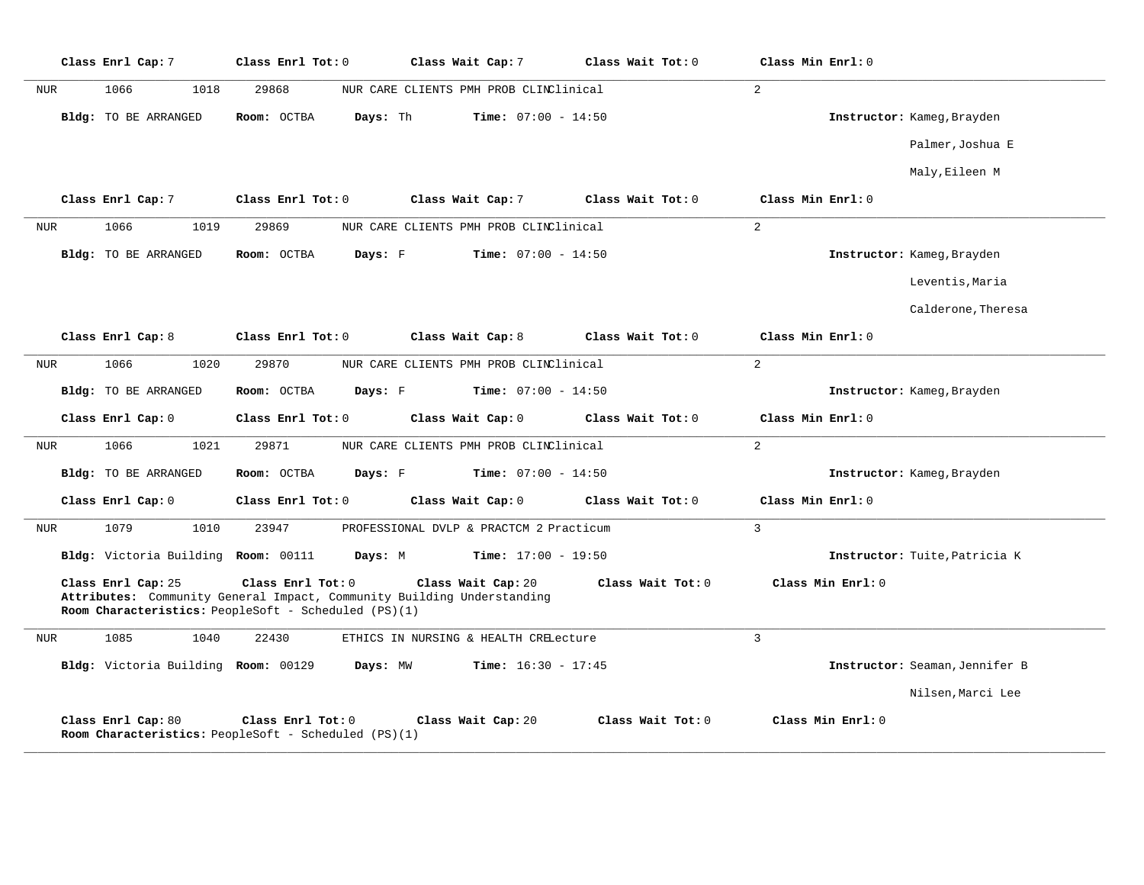|            | Class Enrl Cap: 7                   | Class Enrl Tot: 0                                                                                                                                   | Class Wait Cap: 7                       | Class Wait Tot: 0 | Class Min Enrl: 0             |                                |
|------------|-------------------------------------|-----------------------------------------------------------------------------------------------------------------------------------------------------|-----------------------------------------|-------------------|-------------------------------|--------------------------------|
| <b>NUR</b> | 1066<br>1018                        | 29868                                                                                                                                               | NUR CARE CLIENTS PMH PROB CLINClinical  |                   | 2                             |                                |
|            | Bldg: TO BE ARRANGED                | Room: OCTBA<br>Days: Th                                                                                                                             | <b>Time:</b> $07:00 - 14:50$            |                   | Instructor: Kameg, Brayden    |                                |
|            |                                     |                                                                                                                                                     |                                         |                   |                               | Palmer, Joshua E               |
|            |                                     |                                                                                                                                                     |                                         |                   |                               | Maly, Eileen M                 |
|            | Class Enrl Cap: 7                   | Class Enrl Tot: 0                                                                                                                                   | Class Wait Cap: 7                       | Class Wait Tot: 0 | Class Min Enrl: 0             |                                |
| NUR        | 1066<br>1019                        | 29869                                                                                                                                               | NUR CARE CLIENTS PMH PROB CLINClinical  |                   | 2                             |                                |
|            | <b>Bldg:</b> TO BE ARRANGED         | Room: OCTBA<br>Days: F                                                                                                                              | <b>Time:</b> $07:00 - 14:50$            |                   | Instructor: Kameg, Brayden    |                                |
|            |                                     |                                                                                                                                                     |                                         |                   |                               | Leventis, Maria                |
|            |                                     |                                                                                                                                                     |                                         |                   |                               | Calderone, Theresa             |
|            | Class Enrl Cap: 8                   | Class Enrl Tot: 0                                                                                                                                   | Class Wait Cap: 8                       | Class Wait Tot: 0 | Class Min Enrl: 0             |                                |
| NUR        | 1066<br>1020                        | 29870                                                                                                                                               | NUR CARE CLIENTS PMH PROB CLINClinical  |                   | $\overline{2}$                |                                |
|            | Bldg: TO BE ARRANGED                | Room: OCTBA<br>Days: F                                                                                                                              | <b>Time:</b> $07:00 - 14:50$            |                   | Instructor: Kameg, Brayden    |                                |
|            | Class Enrl Cap: 0                   | Class Enrl Tot: 0                                                                                                                                   | Class Wait Cap: 0                       | Class Wait Tot: 0 | Class Min Enrl: 0             |                                |
| NUR        | 1066<br>1021                        | 29871                                                                                                                                               | NUR CARE CLIENTS PMH PROB CLINClinical  |                   | $\overline{a}$                |                                |
|            | Bldg: TO BE ARRANGED                | Room: OCTBA<br>Days: F                                                                                                                              | Time: $07:00 - 14:50$                   |                   | Instructor: Kameg, Brayden    |                                |
|            | Class Enrl Cap: 0                   | Class Enrl Tot: 0                                                                                                                                   | Class Wait Cap: 0                       | Class Wait Tot: 0 | Class Min Enrl: 0             |                                |
| NUR        | 1079<br>1010                        | 23947                                                                                                                                               | PROFESSIONAL DVLP & PRACTCM 2 Practicum |                   | $\overline{3}$                |                                |
|            | Bldg: Victoria Building Room: 00111 | Days: M                                                                                                                                             | <b>Time:</b> $17:00 - 19:50$            |                   | Instructor: Tuite, Patricia K |                                |
|            | Class Enrl Cap: 25                  | Class Enrl Tot: 0<br>Attributes: Community General Impact, Community Building Understanding<br>Room Characteristics: PeopleSoft - Scheduled (PS)(1) | Class Wait Cap: 20                      | Class Wait Tot: 0 | Class Min Enrl: 0             |                                |
| NUR        | 1085<br>1040                        | 22430                                                                                                                                               | ETHICS IN NURSING & HEALTH CRELecture   |                   | $\mathbf{3}$                  |                                |
|            | Bldg: Victoria Building Room: 00129 | Days: MW                                                                                                                                            | <b>Time:</b> $16:30 - 17:45$            |                   |                               | Instructor: Seaman, Jennifer B |
|            |                                     |                                                                                                                                                     |                                         |                   |                               | Nilsen, Marci Lee              |
|            | Class Enrl Cap: 80                  | Class Enrl Tot: 0<br>Room Characteristics: PeopleSoft - Scheduled (PS)(1)                                                                           | Class Wait Cap: 20                      | Class Wait Tot: 0 | Class Min Enrl: 0             |                                |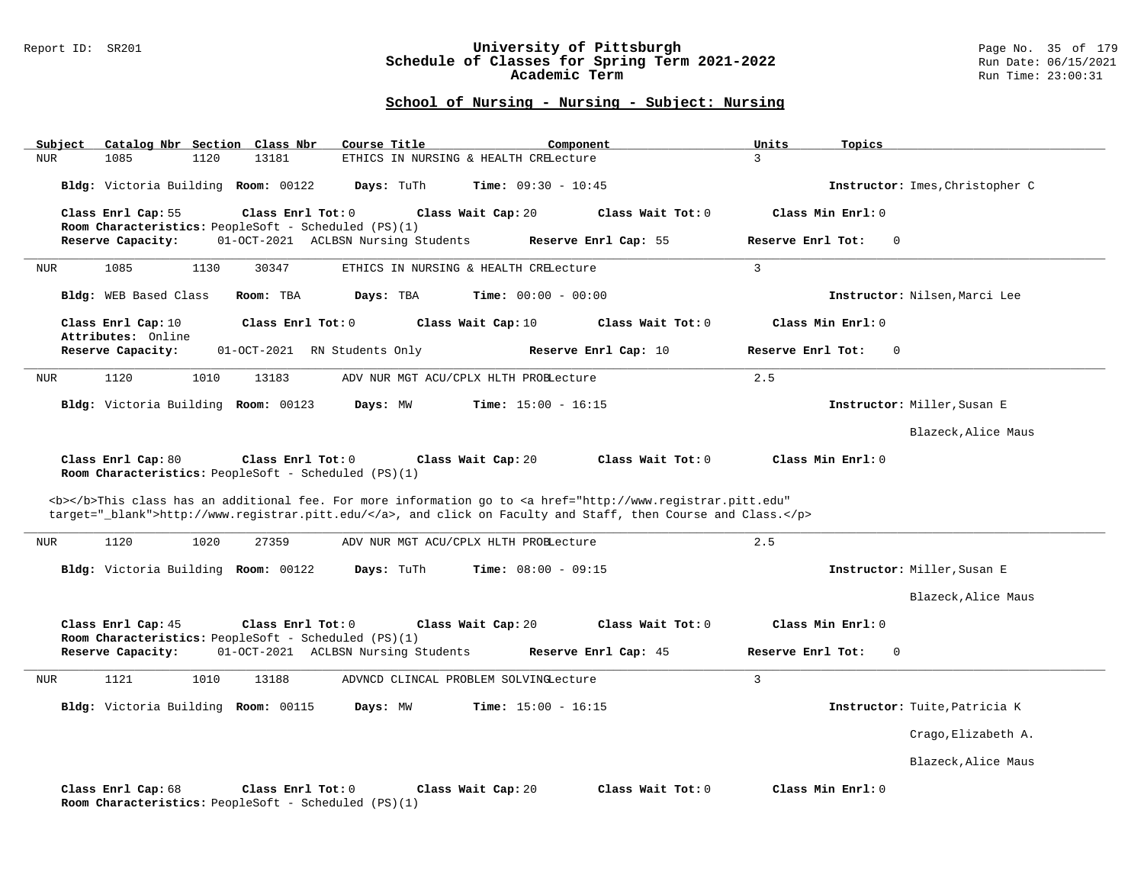#### Report ID: SR201 **University of Pittsburgh** Page No. 35 of 179 **Schedule of Classes for Spring Term 2021-2022** Run Date: 06/15/2021 **Academic Term** Run Time: 23:00:31

| Catalog Nbr Section Class Nbr<br>Course Title<br>Subject<br>Component                                                                                                                                                                                                                                 | Units<br>Topics                        |
|-------------------------------------------------------------------------------------------------------------------------------------------------------------------------------------------------------------------------------------------------------------------------------------------------------|----------------------------------------|
| <b>NUR</b><br>1085<br>1120<br>13181<br>ETHICS IN NURSING & HEALTH CRELecture                                                                                                                                                                                                                          | $\overline{3}$                         |
| Bldg: Victoria Building Room: 00122<br>Days: TuTh<br><b>Time:</b> $09:30 - 10:45$                                                                                                                                                                                                                     | Instructor: Imes, Christopher C        |
| Class Enrl Cap: 55<br>Class Enrl Tot: 0<br>Class Wait Cap: 20<br>Room Characteristics: PeopleSoft - Scheduled (PS)(1)                                                                                                                                                                                 | Class Wait Tot: 0<br>Class Min Enrl: 0 |
| 01-OCT-2021 ACLBSN Nursing Students<br>Reserve Capacity:<br>Reserve Enrl Cap: 55                                                                                                                                                                                                                      | Reserve Enrl Tot:<br>$\Omega$          |
| 1085<br>1130<br>30347<br>ETHICS IN NURSING & HEALTH CRELecture<br><b>NUR</b>                                                                                                                                                                                                                          | $\overline{3}$                         |
| Bldg: WEB Based Class<br>Days: TBA<br><b>Time:</b> $00:00 - 00:00$<br>Room: TBA                                                                                                                                                                                                                       | Instructor: Nilsen, Marci Lee          |
| Class Enrl Cap: 10<br>Class Enrl Tot: 0<br>Class Wait Cap: 10<br>Attributes: Online                                                                                                                                                                                                                   | Class Wait Tot: 0<br>Class Min Enrl: 0 |
| Reserve Capacity:<br>01-OCT-2021 RN Students Only<br>Reserve Enrl Cap: 10                                                                                                                                                                                                                             | Reserve Enrl Tot:<br>$\Omega$          |
| 1120<br>1010<br><b>NUR</b><br>13183<br>ADV NUR MGT ACU/CPLX HLTH PROBLecture                                                                                                                                                                                                                          | 2.5                                    |
| Bldg: Victoria Building Room: 00123<br>Days: MW<br><b>Time:</b> $15:00 - 16:15$                                                                                                                                                                                                                       | Instructor: Miller, Susan E            |
|                                                                                                                                                                                                                                                                                                       | Blazeck, Alice Maus                    |
| Class Enrl Cap: 80<br>Class Enrl Tot: 0<br>Class Wait Cap: 20<br>Room Characteristics: PeopleSoft - Scheduled (PS)(1)<br><b></b> This class has an additional fee. For more information go to <a <="" href="http://www.registrar.pitt.edu" th=""><th>Class Wait Tot: 0<br/>Class Min Enrl: 0</th></a> | Class Wait Tot: 0<br>Class Min Enrl: 0 |
| target="_blank">http://www.registrar.pitt.edu/, and click on Faculty and Staff, then Course and Class.                                                                                                                                                                                                |                                        |
| 1120<br>1020<br>27359<br><b>NUR</b><br>ADV NUR MGT ACU/CPLX HLTH PROBLecture                                                                                                                                                                                                                          | 2.5                                    |
| Bldg: Victoria Building Room: 00122<br>Days: TuTh<br><b>Time:</b> $08:00 - 09:15$                                                                                                                                                                                                                     | Instructor: Miller, Susan E            |
|                                                                                                                                                                                                                                                                                                       | Blazeck, Alice Maus                    |
| Class Enrl Cap: 45<br>Class Enrl Tot: 0<br>Class Wait Cap: 20<br>Room Characteristics: PeopleSoft - Scheduled (PS)(1)                                                                                                                                                                                 | Class Min Enrl: 0<br>Class Wait Tot: 0 |
| Reserve Capacity:<br>01-OCT-2021 ACLBSN Nursing Students<br>Reserve Enrl Cap: 45                                                                                                                                                                                                                      | Reserve Enrl Tot:<br>$\overline{0}$    |
| 1121<br>1010<br>13188<br>ADVNCD CLINCAL PROBLEM SOLVINGLecture<br>NUR                                                                                                                                                                                                                                 | $\overline{3}$                         |
| Bldg: Victoria Building Room: 00115<br><b>Time:</b> $15:00 - 16:15$<br>Days: MW                                                                                                                                                                                                                       | Instructor: Tuite, Patricia K          |
|                                                                                                                                                                                                                                                                                                       | Crago, Elizabeth A.                    |
|                                                                                                                                                                                                                                                                                                       | Blazeck, Alice Maus                    |
| Class Enrl Cap: 68<br>Class Wait Cap: 20<br>Class Enrl Tot: 0<br>Room Characteristics: PeopleSoft - Scheduled (PS)(1)                                                                                                                                                                                 | Class Wait Tot: 0<br>Class Min Enrl: 0 |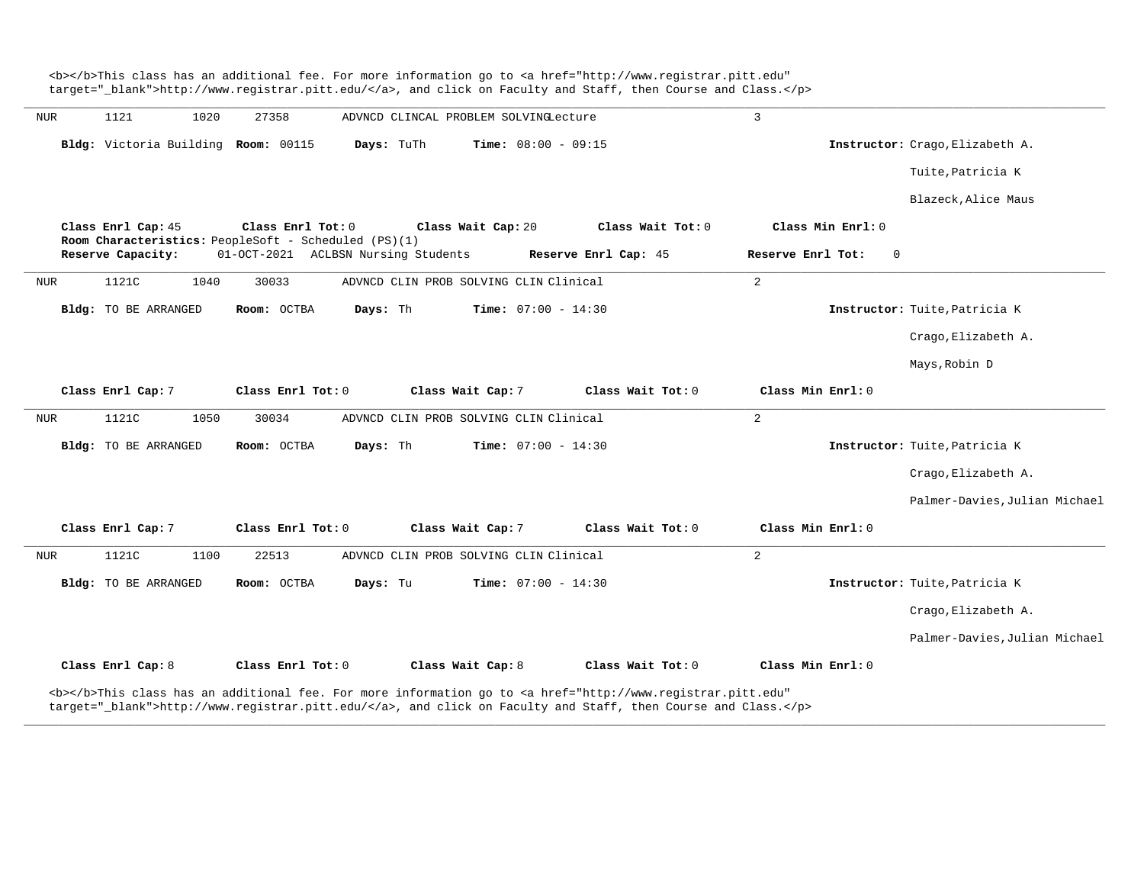|            |                                     |                                                                           |            |                                        | <b></b> This class has an additional fee. For more information go to <a <br="" href="http://www.registrar.pitt.edu">target="_blank"&gt;http://www.registrar.pitt.edu/</a> , and click on Faculty and Staff, then Course and Class. |                                  |                                 |
|------------|-------------------------------------|---------------------------------------------------------------------------|------------|----------------------------------------|------------------------------------------------------------------------------------------------------------------------------------------------------------------------------------------------------------------------------------|----------------------------------|---------------------------------|
| <b>NUR</b> | 1121<br>1020                        | 27358                                                                     |            | ADVNCD CLINCAL PROBLEM SOLVINGLecture  |                                                                                                                                                                                                                                    | $\overline{3}$                   |                                 |
|            | Bldg: Victoria Building Room: 00115 |                                                                           | Days: TuTh | <b>Time:</b> $08:00 - 09:15$           |                                                                                                                                                                                                                                    |                                  | Instructor: Crago, Elizabeth A. |
|            |                                     |                                                                           |            |                                        |                                                                                                                                                                                                                                    |                                  | Tuite, Patricia K               |
|            |                                     |                                                                           |            |                                        |                                                                                                                                                                                                                                    |                                  | Blazeck, Alice Maus             |
|            | Class Enrl Cap: 45                  | Class Enrl Tot: 0<br>Room Characteristics: PeopleSoft - Scheduled (PS)(1) |            | Class Wait Cap: 20                     | Class Wait Tot: 0                                                                                                                                                                                                                  | Class Min Enrl: 0                |                                 |
|            | Reserve Capacity:                   | 01-OCT-2021 ACLBSN Nursing Students                                       |            |                                        | Reserve Enrl Cap: 45                                                                                                                                                                                                               | Reserve Enrl Tot:<br>$\mathbf 0$ |                                 |
| <b>NUR</b> | 1121C<br>1040                       | 30033                                                                     |            | ADVNCD CLIN PROB SOLVING CLIN Clinical |                                                                                                                                                                                                                                    | 2                                |                                 |
|            | Bldg: TO BE ARRANGED                | Room: OCTBA                                                               | Days: Th   | <b>Time:</b> $07:00 - 14:30$           |                                                                                                                                                                                                                                    |                                  | Instructor: Tuite, Patricia K   |
|            |                                     |                                                                           |            |                                        |                                                                                                                                                                                                                                    |                                  | Crago, Elizabeth A.             |
|            |                                     |                                                                           |            |                                        |                                                                                                                                                                                                                                    |                                  | Mays, Robin D                   |
|            | Class Enrl Cap: 7                   | Class Enrl Tot: 0                                                         |            | Class Wait Cap: 7                      | Class Wait Tot: 0                                                                                                                                                                                                                  | Class Min Enrl: 0                |                                 |
| <b>NUR</b> | 1121C<br>1050                       | 30034                                                                     |            | ADVNCD CLIN PROB SOLVING CLIN Clinical |                                                                                                                                                                                                                                    | 2                                |                                 |
|            | Bldg: TO BE ARRANGED                | Room: OCTBA                                                               | Days: Th   | <b>Time:</b> $07:00 - 14:30$           |                                                                                                                                                                                                                                    |                                  | Instructor: Tuite, Patricia K   |
|            |                                     |                                                                           |            |                                        |                                                                                                                                                                                                                                    |                                  | Crago, Elizabeth A.             |
|            |                                     |                                                                           |            |                                        |                                                                                                                                                                                                                                    |                                  | Palmer-Davies, Julian Michael   |
|            | Class Enrl Cap: 7                   | Class Enrl Tot: 0                                                         |            | Class Wait Cap: 7                      | Class Wait Tot: 0                                                                                                                                                                                                                  | Class Min Enrl: 0                |                                 |
| NUR        | 1121C<br>1100                       | 22513                                                                     |            | ADVNCD CLIN PROB SOLVING CLIN Clinical |                                                                                                                                                                                                                                    | 2                                |                                 |
|            | Bldg: TO BE ARRANGED                | Room: OCTBA                                                               | Days: Tu   | <b>Time:</b> $07:00 - 14:30$           |                                                                                                                                                                                                                                    |                                  | Instructor: Tuite, Patricia K   |
|            |                                     |                                                                           |            |                                        |                                                                                                                                                                                                                                    |                                  | Crago, Elizabeth A.             |
|            |                                     |                                                                           |            |                                        |                                                                                                                                                                                                                                    |                                  | Palmer-Davies, Julian Michael   |
|            | Class Enrl Cap: 8                   | Class Enrl Tot: 0                                                         |            | Class Wait Cap: 8                      | Class Wait Tot: 0                                                                                                                                                                                                                  | Class Min Enrl: 0                |                                 |
|            |                                     |                                                                           |            |                                        | <b></b> This class has an additional fee. For more information go to <a <br="" href="http://www.registrar.pitt.edu">target="_blank"&gt;http://www.registrar.pitt.edu/</a> , and click on Faculty and Staff, then Course and Class. |                                  |                                 |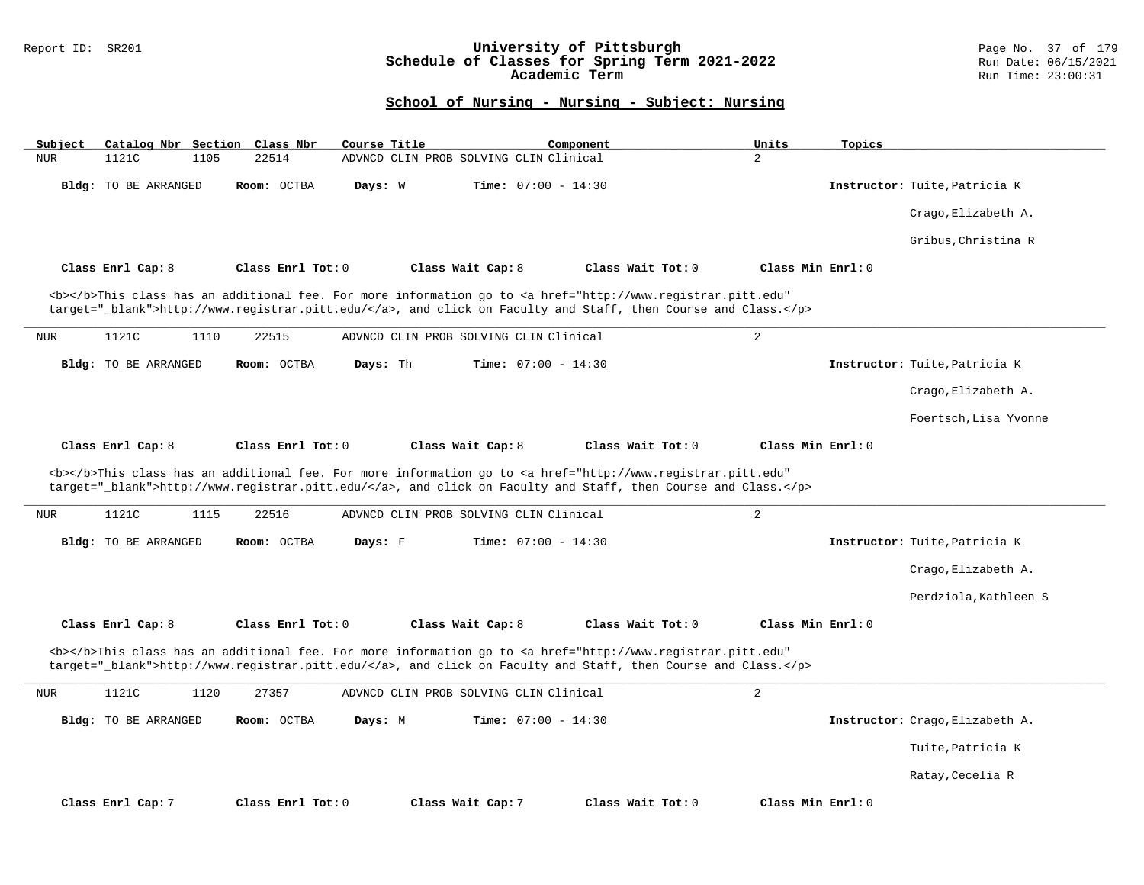### Report ID: SR201 **University of Pittsburgh** Page No. 37 of 179 **Schedule of Classes for Spring Term 2021-2022** Run Date: 06/15/2021 **Academic Term** Run Time: 23:00:31

| Subject<br>Catalog Nbr Section Class Nbr                                                                                                                                                                                           |                   | Course Title                                                                                                                                                                                                                       | Component                                                                                                                                      | Units<br>Topics   |                                 |  |  |  |  |
|------------------------------------------------------------------------------------------------------------------------------------------------------------------------------------------------------------------------------------|-------------------|------------------------------------------------------------------------------------------------------------------------------------------------------------------------------------------------------------------------------------|------------------------------------------------------------------------------------------------------------------------------------------------|-------------------|---------------------------------|--|--|--|--|
| 1121C<br>1105<br><b>NUR</b>                                                                                                                                                                                                        | 22514             | ADVNCD CLIN PROB SOLVING CLIN Clinical                                                                                                                                                                                             |                                                                                                                                                | 2                 |                                 |  |  |  |  |
| Bldg: TO BE ARRANGED                                                                                                                                                                                                               | Room: OCTBA       | <b>Time:</b> $07:00 - 14:30$<br>Days: W                                                                                                                                                                                            |                                                                                                                                                |                   | Instructor: Tuite, Patricia K   |  |  |  |  |
|                                                                                                                                                                                                                                    |                   |                                                                                                                                                                                                                                    |                                                                                                                                                |                   | Crago, Elizabeth A.             |  |  |  |  |
|                                                                                                                                                                                                                                    |                   |                                                                                                                                                                                                                                    |                                                                                                                                                |                   | Gribus, Christina R             |  |  |  |  |
| Class Enrl Cap: 8                                                                                                                                                                                                                  | Class Enrl Tot: 0 | Class Wait Cap: 8                                                                                                                                                                                                                  | Class Wait Tot: 0                                                                                                                              | Class Min Enrl: 0 |                                 |  |  |  |  |
| <b></b> This class has an additional fee. For more information go to <a <br="" href="http://www.registrar.pitt.edu">target="_blank"&gt;http://www.registrar.pitt.edu/</a> , and click on Faculty and Staff, then Course and Class. |                   |                                                                                                                                                                                                                                    |                                                                                                                                                |                   |                                 |  |  |  |  |
| 1121C<br>1110<br><b>NUR</b>                                                                                                                                                                                                        | 22515             | ADVNCD CLIN PROB SOLVING CLIN Clinical                                                                                                                                                                                             |                                                                                                                                                | $\overline{a}$    |                                 |  |  |  |  |
| Bldg: TO BE ARRANGED                                                                                                                                                                                                               | Room: OCTBA       | Days: Th<br><b>Time:</b> $07:00 - 14:30$                                                                                                                                                                                           |                                                                                                                                                |                   | Instructor: Tuite, Patricia K   |  |  |  |  |
|                                                                                                                                                                                                                                    |                   |                                                                                                                                                                                                                                    |                                                                                                                                                |                   | Crago, Elizabeth A.             |  |  |  |  |
|                                                                                                                                                                                                                                    |                   |                                                                                                                                                                                                                                    |                                                                                                                                                |                   | Foertsch, Lisa Yvonne           |  |  |  |  |
| Class Enrl Cap: 8                                                                                                                                                                                                                  | Class Enrl Tot: 0 | Class Wait Cap: 8                                                                                                                                                                                                                  | Class Wait Tot: 0                                                                                                                              | Class Min Enrl: 0 |                                 |  |  |  |  |
|                                                                                                                                                                                                                                    |                   |                                                                                                                                                                                                                                    |                                                                                                                                                |                   |                                 |  |  |  |  |
|                                                                                                                                                                                                                                    |                   | target="_blank">http://www.registrar.pitt.edu/, and click on Faculty and Staff, then Course and Class.                                                                                                                             | <b></b> This class has an additional fee. For more information go to <a <="" href="http://www.registrar.pitt.edu" td=""><td></td><td></td></a> |                   |                                 |  |  |  |  |
| 1121C<br>1115<br><b>NUR</b>                                                                                                                                                                                                        | 22516             | ADVNCD CLIN PROB SOLVING CLIN Clinical                                                                                                                                                                                             |                                                                                                                                                | $\overline{a}$    |                                 |  |  |  |  |
| Bldg: TO BE ARRANGED                                                                                                                                                                                                               | Room: OCTBA       | <b>Time:</b> $07:00 - 14:30$<br>Days: F                                                                                                                                                                                            |                                                                                                                                                |                   | Instructor: Tuite, Patricia K   |  |  |  |  |
|                                                                                                                                                                                                                                    |                   |                                                                                                                                                                                                                                    |                                                                                                                                                |                   | Crago, Elizabeth A.             |  |  |  |  |
|                                                                                                                                                                                                                                    |                   |                                                                                                                                                                                                                                    |                                                                                                                                                |                   | Perdziola, Kathleen S           |  |  |  |  |
| Class Enrl Cap: 8                                                                                                                                                                                                                  | Class Enrl Tot: 0 | Class Wait Cap: 8                                                                                                                                                                                                                  | Class Wait Tot: 0                                                                                                                              | Class Min Enrl: 0 |                                 |  |  |  |  |
|                                                                                                                                                                                                                                    |                   | <b></b> This class has an additional fee. For more information go to <a <br="" href="http://www.registrar.pitt.edu">target="_blank"&gt;http://www.registrar.pitt.edu/</a> , and click on Faculty and Staff, then Course and Class. |                                                                                                                                                |                   |                                 |  |  |  |  |
| 1121C<br>1120<br><b>NUR</b>                                                                                                                                                                                                        | 27357             | ADVNCD CLIN PROB SOLVING CLIN Clinical                                                                                                                                                                                             |                                                                                                                                                | $\overline{a}$    |                                 |  |  |  |  |
| Bldg: TO BE ARRANGED                                                                                                                                                                                                               | Room: OCTBA       | <b>Time:</b> $07:00 - 14:30$<br>Days: M                                                                                                                                                                                            |                                                                                                                                                |                   | Instructor: Crago, Elizabeth A. |  |  |  |  |
|                                                                                                                                                                                                                                    |                   |                                                                                                                                                                                                                                    |                                                                                                                                                |                   | Tuite, Patricia K               |  |  |  |  |
|                                                                                                                                                                                                                                    |                   |                                                                                                                                                                                                                                    |                                                                                                                                                |                   | Ratay, Cecelia R                |  |  |  |  |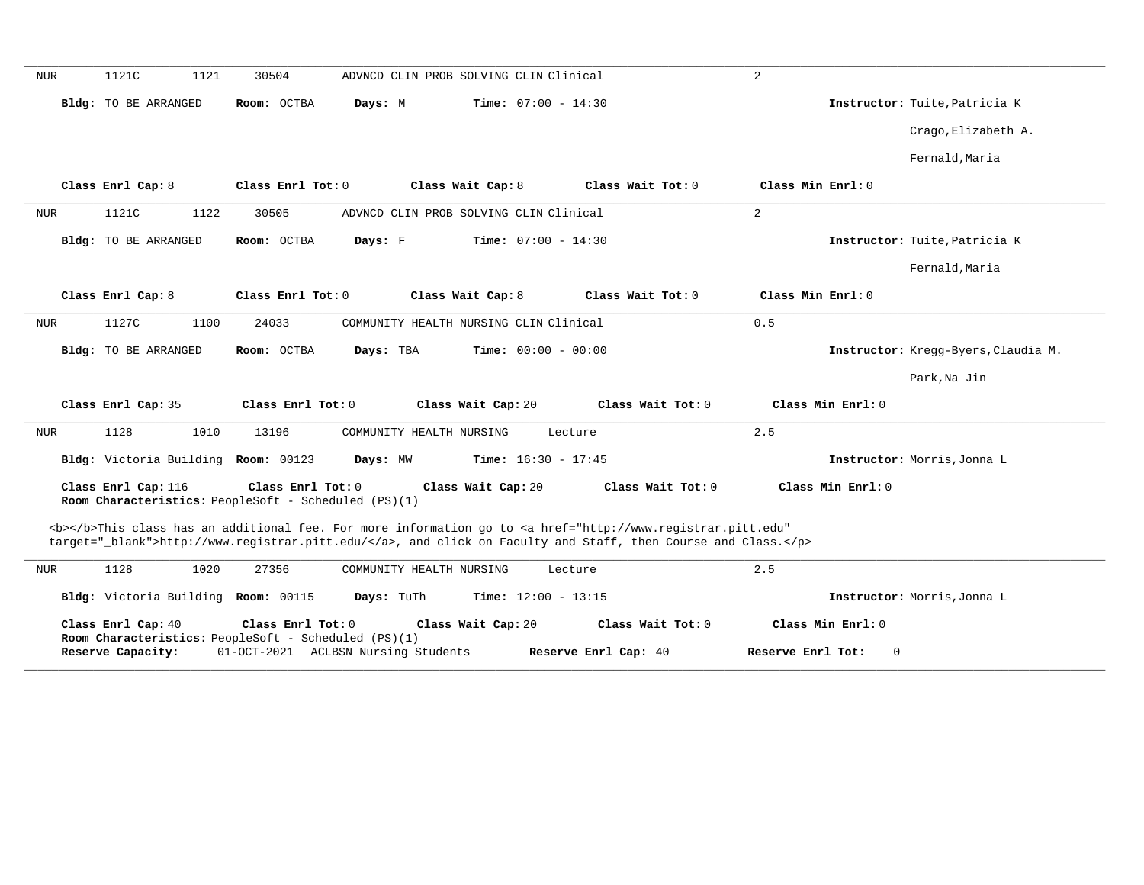| <b>NUR</b> | 1121C                               | 1121 | 30504                                                                     |                                     | ADVNCD CLIN PROB SOLVING CLIN Clinical |                                                                                                                                                                                                                                    | 2                                |                                     |
|------------|-------------------------------------|------|---------------------------------------------------------------------------|-------------------------------------|----------------------------------------|------------------------------------------------------------------------------------------------------------------------------------------------------------------------------------------------------------------------------------|----------------------------------|-------------------------------------|
|            | Bldg: TO BE ARRANGED                |      | Room: OCTBA                                                               | Days: M                             | <b>Time:</b> $07:00 - 14:30$           |                                                                                                                                                                                                                                    |                                  | Instructor: Tuite, Patricia K       |
|            |                                     |      |                                                                           |                                     |                                        |                                                                                                                                                                                                                                    |                                  | Crago, Elizabeth A.                 |
|            |                                     |      |                                                                           |                                     |                                        |                                                                                                                                                                                                                                    |                                  | Fernald, Maria                      |
|            | Class Enrl Cap: 8                   |      | Class Enrl Tot: 0                                                         |                                     | Class Wait Cap: 8                      | Class Wait Tot: 0                                                                                                                                                                                                                  | Class Min Enrl: 0                |                                     |
| NUR        | 1121C                               | 1122 | 30505                                                                     |                                     | ADVNCD CLIN PROB SOLVING CLIN Clinical |                                                                                                                                                                                                                                    | $\overline{2}$                   |                                     |
|            | <b>Bldg:</b> TO BE ARRANGED         |      | Room: OCTBA                                                               | Days: F                             | <b>Time:</b> $07:00 - 14:30$           |                                                                                                                                                                                                                                    |                                  | Instructor: Tuite, Patricia K       |
|            |                                     |      |                                                                           |                                     |                                        |                                                                                                                                                                                                                                    |                                  | Fernald, Maria                      |
|            | Class Enrl Cap: 8                   |      | Class Enrl Tot: 0                                                         |                                     | Class Wait Cap: 8                      | Class Wait Tot: 0                                                                                                                                                                                                                  | Class Min Enrl: 0                |                                     |
| NUR        | 1127C                               | 1100 | 24033                                                                     |                                     | COMMUNITY HEALTH NURSING CLIN Clinical |                                                                                                                                                                                                                                    | 0.5                              |                                     |
|            | Bldg: TO BE ARRANGED                |      | Room: OCTBA                                                               | Days: TBA                           | <b>Time:</b> $00:00 - 00:00$           |                                                                                                                                                                                                                                    |                                  | Instructor: Kregg-Byers, Claudia M. |
|            |                                     |      |                                                                           |                                     |                                        |                                                                                                                                                                                                                                    |                                  | Park, Na Jin                        |
|            | Class Enrl Cap: 35                  |      | Class Enrl Tot: 0                                                         |                                     | Class Wait Cap: 20                     | Class Wait Tot: 0                                                                                                                                                                                                                  | Class Min Enrl: 0                |                                     |
| <b>NUR</b> | 1128                                | 1010 | 13196                                                                     | COMMUNITY HEALTH NURSING            |                                        | Lecture                                                                                                                                                                                                                            | 2.5                              |                                     |
|            | Bldg: Victoria Building Room: 00123 |      |                                                                           | Days: MW                            | <b>Time:</b> $16:30 - 17:45$           |                                                                                                                                                                                                                                    |                                  | Instructor: Morris, Jonna L         |
|            | Class Enrl Cap: 116                 |      | Class Enrl Tot: 0<br>Room Characteristics: PeopleSoft - Scheduled (PS)(1) |                                     | Class Wait Cap: 20                     | Class Wait Tot: 0                                                                                                                                                                                                                  | Class Min Enrl: 0                |                                     |
|            |                                     |      |                                                                           |                                     |                                        | <b></b> This class has an additional fee. For more information go to <a <br="" href="http://www.registrar.pitt.edu">target="_blank"&gt;http://www.registrar.pitt.edu/</a> , and click on Faculty and Staff, then Course and Class. |                                  |                                     |
| NUR        | 1128                                | 1020 | 27356                                                                     | COMMUNITY HEALTH NURSING            |                                        | Lecture                                                                                                                                                                                                                            | 2.5                              |                                     |
|            | Bldg: Victoria Building Room: 00115 |      |                                                                           | Days: TuTh                          | <b>Time:</b> $12:00 - 13:15$           |                                                                                                                                                                                                                                    |                                  | Instructor: Morris, Jonna L         |
|            | Class Enrl Cap: 40                  |      | Class Enrl Tot: 0<br>Room Characteristics: PeopleSoft - Scheduled (PS)(1) |                                     | Class Wait Cap: 20                     | Class Wait Tot: 0                                                                                                                                                                                                                  | Class Min Enrl: 0                |                                     |
|            | Reserve Capacity:                   |      |                                                                           | 01-OCT-2021 ACLBSN Nursing Students |                                        | Reserve Enrl Cap: 40                                                                                                                                                                                                               | Reserve Enrl Tot:<br>$\mathbf 0$ |                                     |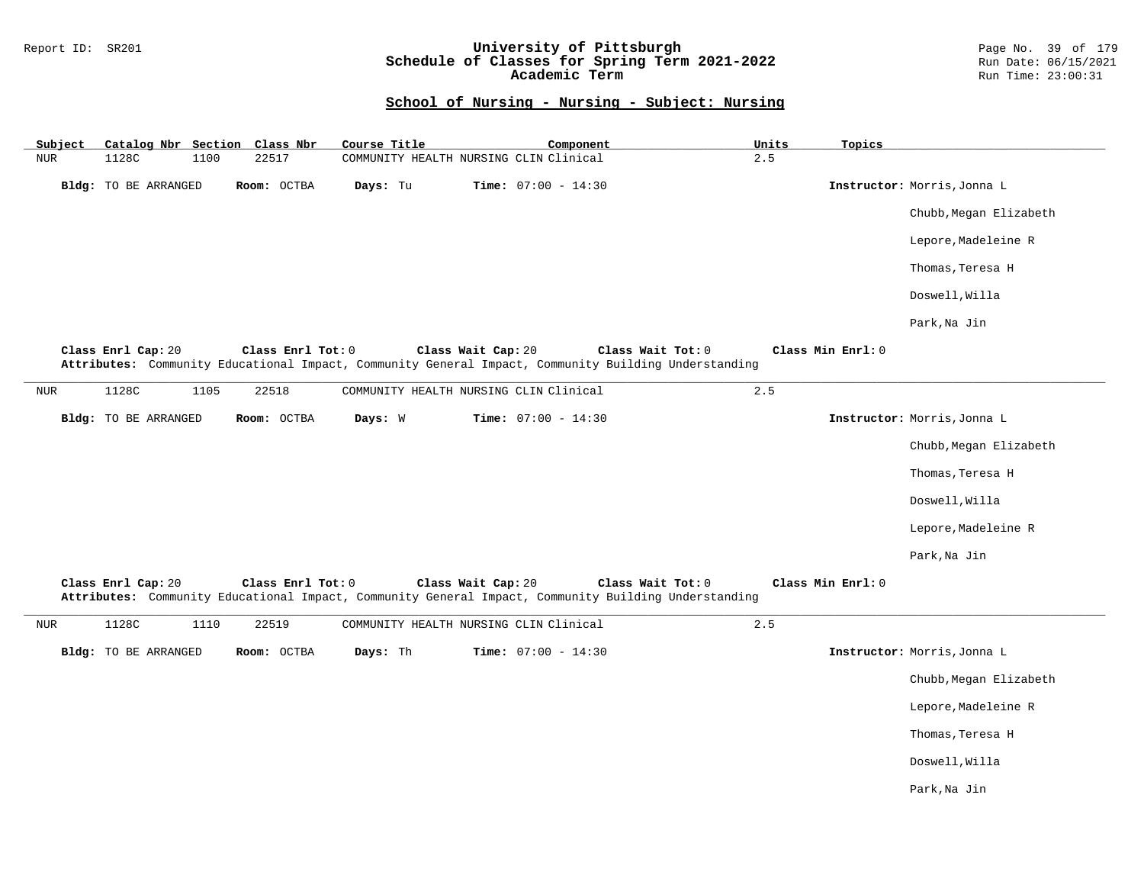### Report ID: SR201 **University of Pittsburgh** Page No. 39 of 179 **Schedule of Classes for Spring Term 2021-2022** Run Date: 06/15/2021 **Academic Term** Run Time: 23:00:31

| Subject    |                             |      | Catalog Nbr Section Class Nbr | Course Title | Component                                                                                                                                       | Units | Topics            |                             |
|------------|-----------------------------|------|-------------------------------|--------------|-------------------------------------------------------------------------------------------------------------------------------------------------|-------|-------------------|-----------------------------|
| <b>NUR</b> | 1128C                       | 1100 | 22517                         |              | COMMUNITY HEALTH NURSING CLIN Clinical                                                                                                          | 2.5   |                   |                             |
|            | <b>Bldg:</b> TO BE ARRANGED |      | Room: OCTBA                   | Days: Tu     | Time: $07:00 - 14:30$                                                                                                                           |       |                   | Instructor: Morris, Jonna L |
|            |                             |      |                               |              |                                                                                                                                                 |       |                   | Chubb, Megan Elizabeth      |
|            |                             |      |                               |              |                                                                                                                                                 |       |                   | Lepore, Madeleine R         |
|            |                             |      |                               |              |                                                                                                                                                 |       |                   | Thomas, Teresa H            |
|            |                             |      |                               |              |                                                                                                                                                 |       |                   | Doswell, Willa              |
|            |                             |      |                               |              |                                                                                                                                                 |       |                   | Park, Na Jin                |
|            | Class Enrl Cap: 20          |      | Class Enrl Tot: 0             |              | Class Wait Cap: 20<br>Class Wait Tot: 0<br>Attributes: Community Educational Impact, Community General Impact, Community Building Understanding |       | Class Min Enrl: 0 |                             |
| <b>NUR</b> | 1128C                       | 1105 | 22518                         |              | COMMUNITY HEALTH NURSING CLIN Clinical                                                                                                          | 2.5   |                   |                             |
|            | <b>Bldg:</b> TO BE ARRANGED |      | Room: OCTBA                   | Days: W      | Time: $07:00 - 14:30$                                                                                                                           |       |                   | Instructor: Morris, Jonna L |
|            |                             |      |                               |              |                                                                                                                                                 |       |                   | Chubb, Megan Elizabeth      |
|            |                             |      |                               |              |                                                                                                                                                 |       |                   | Thomas, Teresa H            |
|            |                             |      |                               |              |                                                                                                                                                 |       |                   | Doswell, Willa              |
|            |                             |      |                               |              |                                                                                                                                                 |       |                   | Lepore, Madeleine R         |
|            |                             |      |                               |              |                                                                                                                                                 |       |                   | Park, Na Jin                |
|            | Class Enrl Cap: 20          |      | Class Enrl Tot: 0             |              | Class Wait Cap: 20<br>Class Wait Tot: 0<br>Attributes: Community Educational Impact, Community General Impact, Community Building Understanding |       | Class Min Enrl: 0 |                             |
| NUR        | 1128C                       | 1110 | 22519                         |              | COMMUNITY HEALTH NURSING CLIN Clinical                                                                                                          | 2.5   |                   |                             |
|            | <b>Bldg:</b> TO BE ARRANGED |      | Room: OCTBA                   | Days: Th     | <b>Time:</b> $07:00 - 14:30$                                                                                                                    |       |                   | Instructor: Morris, Jonna L |
|            |                             |      |                               |              |                                                                                                                                                 |       |                   | Chubb, Megan Elizabeth      |
|            |                             |      |                               |              |                                                                                                                                                 |       |                   | Lepore, Madeleine R         |
|            |                             |      |                               |              |                                                                                                                                                 |       |                   | Thomas, Teresa H            |
|            |                             |      |                               |              |                                                                                                                                                 |       |                   | Doswell, Willa              |
|            |                             |      |                               |              |                                                                                                                                                 |       |                   | Park, Na Jin                |
|            |                             |      |                               |              |                                                                                                                                                 |       |                   |                             |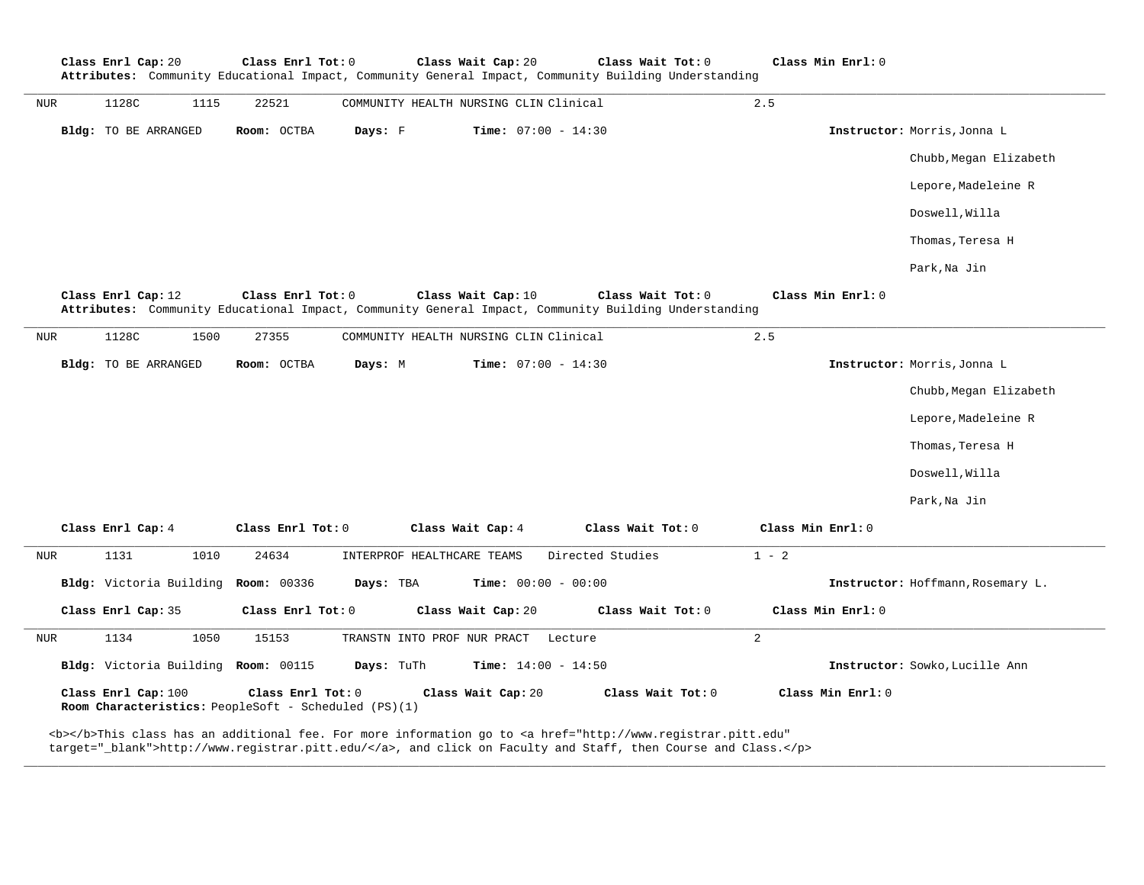| 22521                                             | COMMUNITY HEALTH NURSING CLIN Clinical  | 2.5                                                                                                                                                                  |
|---------------------------------------------------|-----------------------------------------|----------------------------------------------------------------------------------------------------------------------------------------------------------------------|
| Days: F<br>Room: OCTBA                            | <b>Time:</b> $07:00 - 14:30$            | Instructor: Morris, Jonna L                                                                                                                                          |
|                                                   |                                         | Chubb, Megan Elizabeth                                                                                                                                               |
|                                                   |                                         | Lepore, Madeleine R                                                                                                                                                  |
|                                                   |                                         | Doswell, Willa                                                                                                                                                       |
|                                                   |                                         | Thomas, Teresa H                                                                                                                                                     |
|                                                   |                                         | Park, Na Jin                                                                                                                                                         |
| Class Enrl Tot: 0                                 | Class Wait Tot: 0                       | Class Min Enrl: 0                                                                                                                                                    |
| 27355                                             |                                         | 2.5                                                                                                                                                                  |
| Room: OCTBA<br>Days: M                            | <b>Time:</b> $07:00 - 14:30$            | Instructor: Morris, Jonna L                                                                                                                                          |
|                                                   |                                         | Chubb, Megan Elizabeth                                                                                                                                               |
|                                                   |                                         | Lepore, Madeleine R                                                                                                                                                  |
|                                                   |                                         | Thomas, Teresa H                                                                                                                                                     |
|                                                   |                                         | Doswell, Willa                                                                                                                                                       |
|                                                   |                                         |                                                                                                                                                                      |
|                                                   |                                         | Park, Na Jin                                                                                                                                                         |
| Class Enrl Tot: 0                                 | Class Wait Cap: 4<br>Class Wait Tot: 0  | Class Min Enrl: 0                                                                                                                                                    |
| 24634<br>INTERPROF HEALTHCARE TEAMS               | Directed Studies                        | $1 - 2$                                                                                                                                                              |
| Bldg: Victoria Building Room: 00336<br>Days: TBA  | Time: $00:00 - 00:00$                   | Instructor: Hoffmann, Rosemary L.                                                                                                                                    |
| Class Enrl Tot: 0                                 | Class Wait Cap: 20<br>Class Wait Tot: 0 | Class Min Enrl: 0                                                                                                                                                    |
| 15153                                             | TRANSTN INTO PROF NUR PRACT Lecture     | 2                                                                                                                                                                    |
| Bldg: Victoria Building Room: 00115<br>Days: TuTh | <b>Time:</b> $14:00 - 14:50$            | Instructor: Sowko, Lucille Ann                                                                                                                                       |
| 1500                                              |                                         | Class Wait Cap: 10<br>Attributes: Community Educational Impact, Community General Impact, Community Building Understanding<br>COMMUNITY HEALTH NURSING CLIN Clinical |

**\_\_\_\_\_\_\_\_\_\_\_\_\_\_\_\_\_\_\_\_\_\_\_\_\_\_\_\_\_\_\_\_\_\_\_\_\_\_\_\_\_\_\_\_\_\_\_\_\_\_\_\_\_\_\_\_\_\_\_\_\_\_\_\_\_\_\_\_\_\_\_\_\_\_\_\_\_\_\_\_\_\_\_\_\_\_\_\_\_\_\_\_\_\_\_\_\_\_\_\_\_\_\_\_\_\_\_\_\_\_\_\_\_\_\_\_\_\_\_\_\_\_\_\_\_\_\_\_\_\_\_\_\_\_\_\_\_\_\_\_\_\_\_\_\_\_\_\_\_\_\_\_\_\_\_\_**

target="\_blank">http://www.registrar.pitt.edu/</a>, and click on Faculty and Staff, then Course and Class.</p>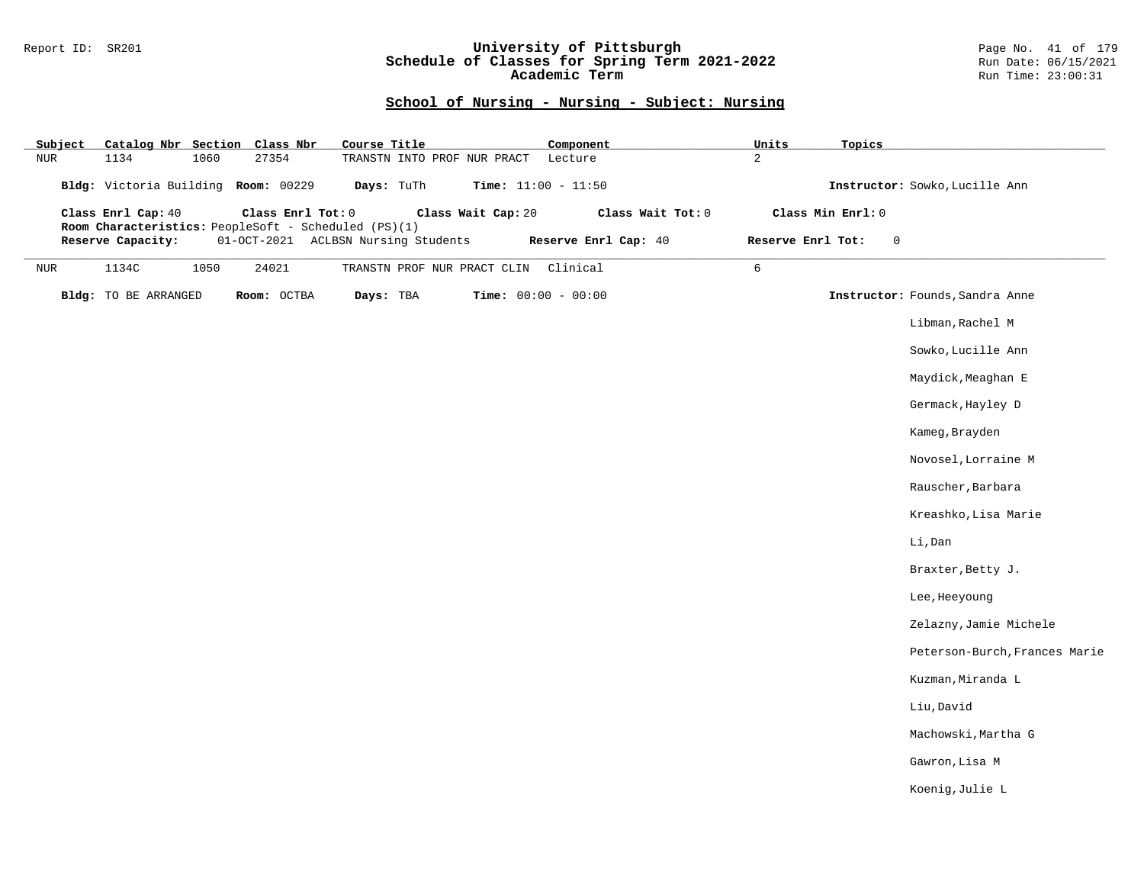#### Report ID: SR201 **University of Pittsburgh** Page No. 41 of 179 **Schedule of Classes for Spring Term 2021-2022** Run Date: 06/15/2021 **Academic Term** Run Time: 23:00:31

| Subject    |                                     |      | Catalog Nbr Section Class Nbr                                             | Course Title |                             | Component             |                   | Units             | Topics            |                                 |
|------------|-------------------------------------|------|---------------------------------------------------------------------------|--------------|-----------------------------|-----------------------|-------------------|-------------------|-------------------|---------------------------------|
| <b>NUR</b> | 1134                                | 1060 | 27354                                                                     |              | TRANSTN INTO PROF NUR PRACT | Lecture               |                   | $\overline{a}$    |                   |                                 |
|            | Bldg: Victoria Building Room: 00229 |      |                                                                           | Days: TuTh   |                             | Time: $11:00 - 11:50$ |                   |                   |                   | Instructor: Sowko, Lucille Ann  |
|            | Class Enrl Cap: 40                  |      | Class Enrl Tot: 0<br>Room Characteristics: PeopleSoft - Scheduled (PS)(1) |              | Class Wait Cap: 20          |                       | Class Wait Tot: 0 |                   | Class Min Enrl: 0 |                                 |
|            | Reserve Capacity:                   |      | 01-OCT-2021 ACLBSN Nursing Students                                       |              |                             | Reserve Enrl Cap: 40  |                   | Reserve Enrl Tot: |                   | $\mathbf 0$                     |
| <b>NUR</b> | 1134C                               | 1050 | 24021                                                                     |              | TRANSTN PROF NUR PRACT CLIN | Clinical              |                   | 6                 |                   |                                 |
|            | Bldg: TO BE ARRANGED                |      | Room: OCTBA                                                               | Days: TBA    |                             | Time: $00:00 - 00:00$ |                   |                   |                   | Instructor: Founds, Sandra Anne |
|            |                                     |      |                                                                           |              |                             |                       |                   |                   |                   | Libman, Rachel M                |
|            |                                     |      |                                                                           |              |                             |                       |                   |                   |                   | Sowko, Lucille Ann              |
|            |                                     |      |                                                                           |              |                             |                       |                   |                   |                   | Maydick, Meaghan E              |
|            |                                     |      |                                                                           |              |                             |                       |                   |                   |                   | Germack, Hayley D               |
|            |                                     |      |                                                                           |              |                             |                       |                   |                   |                   | Kameg, Brayden                  |
|            |                                     |      |                                                                           |              |                             |                       |                   |                   |                   | Novosel, Lorraine M             |
|            |                                     |      |                                                                           |              |                             |                       |                   |                   |                   | Rauscher, Barbara               |
|            |                                     |      |                                                                           |              |                             |                       |                   |                   |                   | Kreashko, Lisa Marie            |
|            |                                     |      |                                                                           |              |                             |                       |                   |                   |                   | Li, Dan                         |
|            |                                     |      |                                                                           |              |                             |                       |                   |                   |                   | Braxter, Betty J.               |
|            |                                     |      |                                                                           |              |                             |                       |                   |                   |                   | Lee, Heeyoung                   |
|            |                                     |      |                                                                           |              |                             |                       |                   |                   |                   | Zelazny, Jamie Michele          |
|            |                                     |      |                                                                           |              |                             |                       |                   |                   |                   | Peterson-Burch, Frances Marie   |
|            |                                     |      |                                                                           |              |                             |                       |                   |                   |                   | Kuzman, Miranda L               |
|            |                                     |      |                                                                           |              |                             |                       |                   |                   |                   | Liu, David                      |
|            |                                     |      |                                                                           |              |                             |                       |                   |                   |                   | Machowski, Martha G             |
|            |                                     |      |                                                                           |              |                             |                       |                   |                   |                   | Gawron, Lisa M                  |
|            |                                     |      |                                                                           |              |                             |                       |                   |                   |                   | Koenig, Julie L                 |
|            |                                     |      |                                                                           |              |                             |                       |                   |                   |                   |                                 |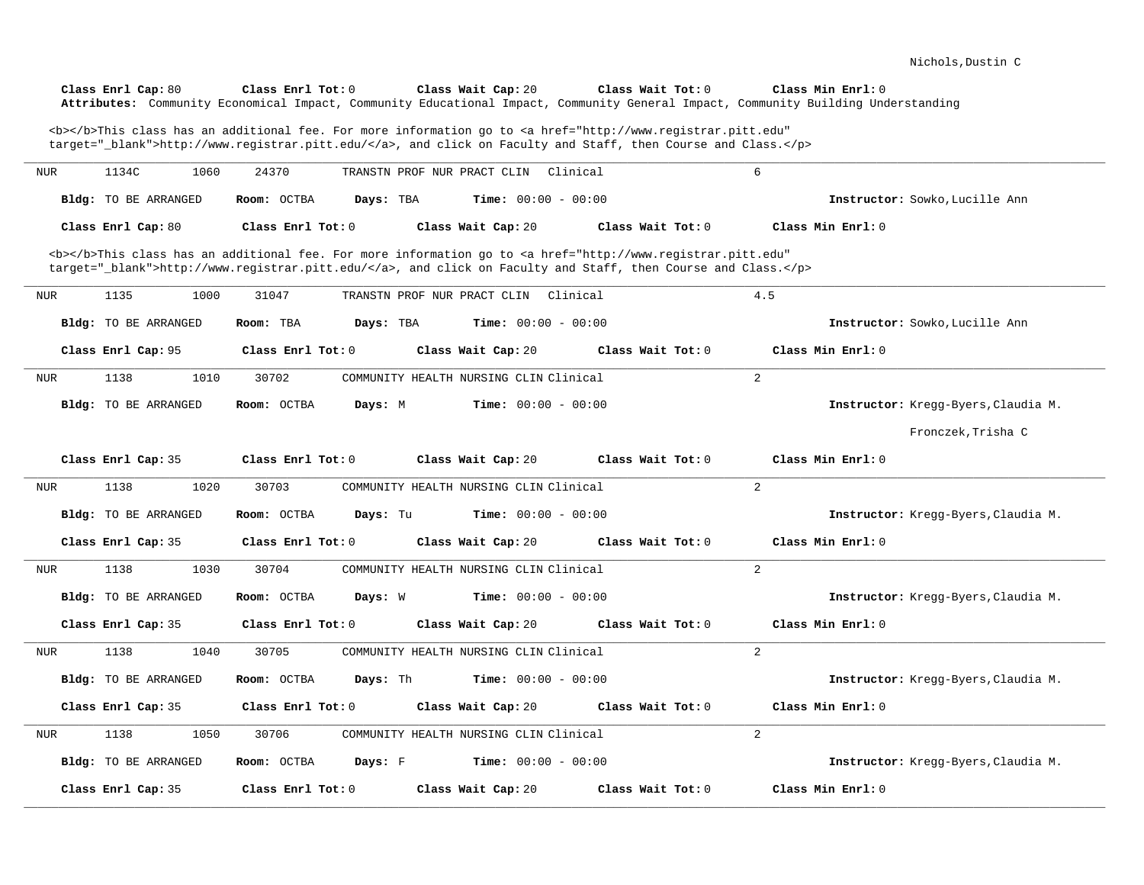|                                                                                                                                                                                                                                    | Class Enrl Cap: 80                                                                                                                                                                                                                 | Class Enrl Tot: 0        | Class Wait Cap: 20                      | Class Wait Tot: 0 | Class Min Enrl: 0<br>Attributes: Community Economical Impact, Community Educational Impact, Community General Impact, Community Building Understanding |  |  |  |  |  |
|------------------------------------------------------------------------------------------------------------------------------------------------------------------------------------------------------------------------------------|------------------------------------------------------------------------------------------------------------------------------------------------------------------------------------------------------------------------------------|--------------------------|-----------------------------------------|-------------------|--------------------------------------------------------------------------------------------------------------------------------------------------------|--|--|--|--|--|
| <b></b> This class has an additional fee. For more information go to <a <br="" href="http://www.registrar.pitt.edu">target="_blank"&gt;http://www.registrar.pitt.edu/</a> , and click on Faculty and Staff, then Course and Class. |                                                                                                                                                                                                                                    |                          |                                         |                   |                                                                                                                                                        |  |  |  |  |  |
| <b>NUR</b>                                                                                                                                                                                                                         | 1134C<br>1060                                                                                                                                                                                                                      | 24370                    | TRANSTN PROF NUR PRACT CLIN<br>Clinical | 6                 |                                                                                                                                                        |  |  |  |  |  |
|                                                                                                                                                                                                                                    | Bldg: TO BE ARRANGED                                                                                                                                                                                                               | Room: OCTBA<br>Days: TBA | <b>Time:</b> $00:00 - 00:00$            |                   | Instructor: Sowko, Lucille Ann                                                                                                                         |  |  |  |  |  |
|                                                                                                                                                                                                                                    | Class Enrl Cap: 80                                                                                                                                                                                                                 | Class Enrl Tot: 0        | Class Wait Cap: 20                      | Class Wait Tot: 0 | Class Min Enrl: 0                                                                                                                                      |  |  |  |  |  |
|                                                                                                                                                                                                                                    | <b></b> This class has an additional fee. For more information go to <a <br="" href="http://www.registrar.pitt.edu">target="_blank"&gt;http://www.registrar.pitt.edu/</a> , and click on Faculty and Staff, then Course and Class. |                          |                                         |                   |                                                                                                                                                        |  |  |  |  |  |
| NUR                                                                                                                                                                                                                                | 1135<br>1000                                                                                                                                                                                                                       | 31047                    | TRANSTN PROF NUR PRACT CLIN<br>Clinical |                   | 4.5                                                                                                                                                    |  |  |  |  |  |
|                                                                                                                                                                                                                                    | <b>Bldg:</b> TO BE ARRANGED                                                                                                                                                                                                        | Room: TBA<br>Days: TBA   | Time: $00:00 - 00:00$                   |                   | Instructor: Sowko, Lucille Ann                                                                                                                         |  |  |  |  |  |
|                                                                                                                                                                                                                                    | Class Enrl Cap: 95                                                                                                                                                                                                                 | Class Enrl Tot: 0        | Class Wait Cap: 20                      | Class Wait Tot: 0 | Class Min Enrl: 0                                                                                                                                      |  |  |  |  |  |
| <b>NUR</b>                                                                                                                                                                                                                         | 1138<br>1010                                                                                                                                                                                                                       | 30702                    | COMMUNITY HEALTH NURSING CLIN Clinical  | 2                 |                                                                                                                                                        |  |  |  |  |  |
|                                                                                                                                                                                                                                    | <b>Bldg:</b> TO BE ARRANGED                                                                                                                                                                                                        | Days: M<br>Room: OCTBA   | <b>Time:</b> $00:00 - 00:00$            |                   | Instructor: Kregg-Byers, Claudia M.                                                                                                                    |  |  |  |  |  |
|                                                                                                                                                                                                                                    |                                                                                                                                                                                                                                    |                          |                                         |                   | Fronczek, Trisha C                                                                                                                                     |  |  |  |  |  |
|                                                                                                                                                                                                                                    | Class Enrl Cap: 35                                                                                                                                                                                                                 | Class Enrl Tot: 0        | Class Wait Cap: 20                      | Class Wait Tot: 0 | Class Min Enrl: 0                                                                                                                                      |  |  |  |  |  |
| NUR                                                                                                                                                                                                                                | 1138<br>1020                                                                                                                                                                                                                       | 30703                    | COMMUNITY HEALTH NURSING CLIN Clinical  | 2                 |                                                                                                                                                        |  |  |  |  |  |
|                                                                                                                                                                                                                                    |                                                                                                                                                                                                                                    |                          |                                         |                   |                                                                                                                                                        |  |  |  |  |  |
|                                                                                                                                                                                                                                    | <b>Bldg:</b> TO BE ARRANGED                                                                                                                                                                                                        | Room: OCTBA<br>Days: Tu  | Time: $00:00 - 00:00$                   |                   | Instructor: Kregg-Byers, Claudia M.                                                                                                                    |  |  |  |  |  |
|                                                                                                                                                                                                                                    | Class Enrl Cap: 35                                                                                                                                                                                                                 | Class Enrl Tot: 0        | Class Wait Cap: 20                      | Class Wait Tot: 0 | Class Min Enrl: 0                                                                                                                                      |  |  |  |  |  |
| <b>NUR</b>                                                                                                                                                                                                                         | 1138<br>1030                                                                                                                                                                                                                       | 30704                    | COMMUNITY HEALTH NURSING CLIN Clinical  | 2                 |                                                                                                                                                        |  |  |  |  |  |
|                                                                                                                                                                                                                                    | Bldg: TO BE ARRANGED                                                                                                                                                                                                               | Room: OCTBA<br>Days: W   | <b>Time:</b> $00:00 - 00:00$            |                   | <b>Instructor:</b> Kregg-Byers, Claudia M.                                                                                                             |  |  |  |  |  |
|                                                                                                                                                                                                                                    | Class Enrl Cap: 35                                                                                                                                                                                                                 | Class Enrl Tot: 0        | Class Wait Cap: 20                      | Class Wait Tot: 0 | Class Min Enrl: 0                                                                                                                                      |  |  |  |  |  |
| <b>NUR</b>                                                                                                                                                                                                                         | 1138<br>1040                                                                                                                                                                                                                       | 30705                    | COMMUNITY HEALTH NURSING CLIN Clinical  | 2                 |                                                                                                                                                        |  |  |  |  |  |
|                                                                                                                                                                                                                                    | <b>Bldg:</b> TO BE ARRANGED                                                                                                                                                                                                        | Room: OCTBA<br>Days: Th  | <b>Time:</b> $00:00 - 00:00$            |                   | Instructor: Kregg-Byers, Claudia M.                                                                                                                    |  |  |  |  |  |
|                                                                                                                                                                                                                                    | Class Enrl Cap: 35                                                                                                                                                                                                                 | Class Enrl Tot: 0        | Class Wait Cap: 20                      | Class Wait Tot: 0 | Class Min Enrl: 0                                                                                                                                      |  |  |  |  |  |
| NUR                                                                                                                                                                                                                                | 1138<br>1050                                                                                                                                                                                                                       | 30706                    | COMMUNITY HEALTH NURSING CLIN Clinical  | 2                 |                                                                                                                                                        |  |  |  |  |  |
|                                                                                                                                                                                                                                    | Bldg: TO BE ARRANGED                                                                                                                                                                                                               | Room: OCTBA<br>Days: F   | Time: $00:00 - 00:00$                   |                   | Instructor: Kregg-Byers, Claudia M.                                                                                                                    |  |  |  |  |  |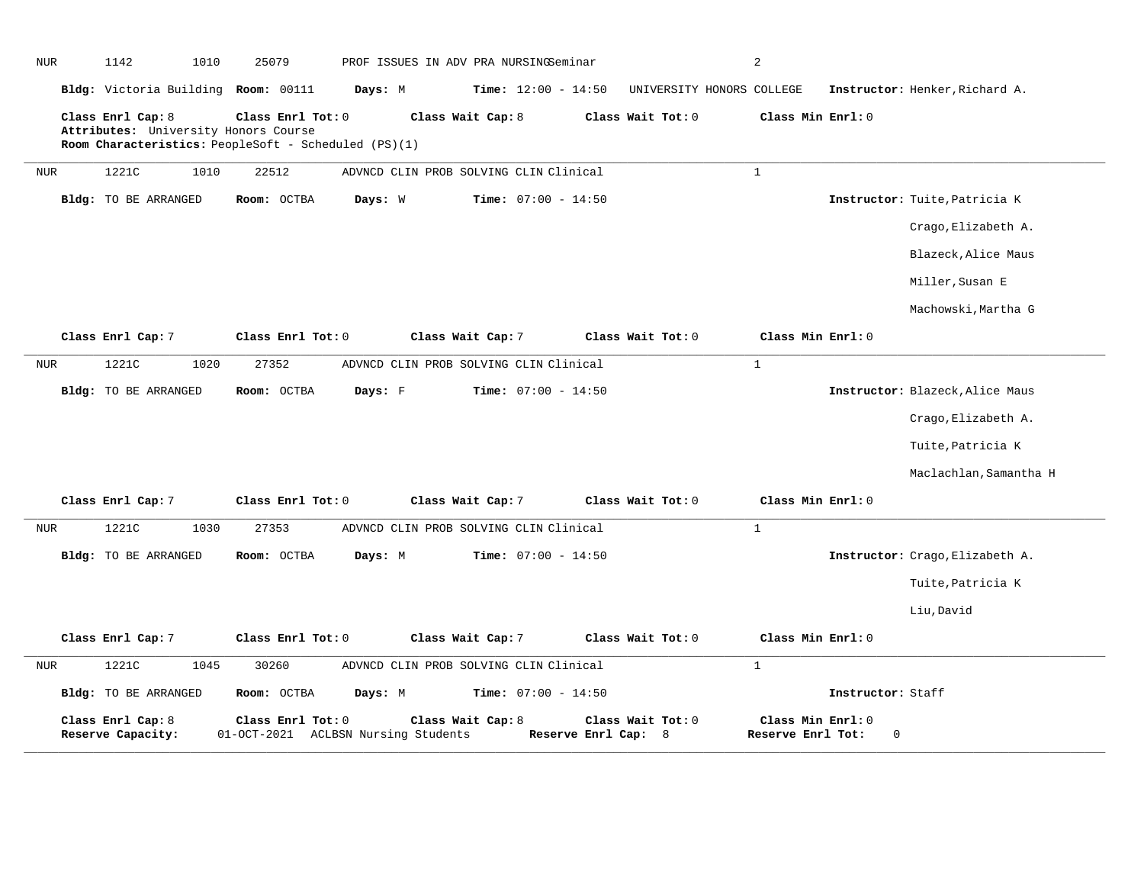| <b>NUR</b> | 1142                                                                                                              | 1010 | 25079       |                   |         | PROF ISSUES IN ADV PRA NURSINGSeminar  |                   |                              |                           | 2                                      |                   |                                 |
|------------|-------------------------------------------------------------------------------------------------------------------|------|-------------|-------------------|---------|----------------------------------------|-------------------|------------------------------|---------------------------|----------------------------------------|-------------------|---------------------------------|
|            | Bldg: Victoria Building Room: 00111                                                                               |      |             |                   | Days: M |                                        |                   | <b>Time:</b> $12:00 - 14:50$ | UNIVERSITY HONORS COLLEGE |                                        |                   | Instructor: Henker, Richard A.  |
|            | Class Enrl Cap: 8<br>Attributes: University Honors Course<br>Room Characteristics: PeopleSoft - Scheduled (PS)(1) |      |             | Class Enrl Tot: 0 |         |                                        | Class Wait Cap: 8 |                              | Class Wait Tot: 0         | Class Min Enrl: 0                      |                   |                                 |
| <b>NUR</b> | 1221C                                                                                                             | 1010 | 22512       |                   |         | ADVNCD CLIN PROB SOLVING CLIN Clinical |                   |                              |                           | $\mathbf{1}$                           |                   |                                 |
|            | <b>Bldg:</b> TO BE ARRANGED                                                                                       |      | Room: OCTBA |                   | Days: W |                                        |                   | <b>Time:</b> $07:00 - 14:50$ |                           |                                        |                   | Instructor: Tuite, Patricia K   |
|            |                                                                                                                   |      |             |                   |         |                                        |                   |                              |                           |                                        |                   | Crago, Elizabeth A.             |
|            |                                                                                                                   |      |             |                   |         |                                        |                   |                              |                           |                                        |                   | Blazeck, Alice Maus             |
|            |                                                                                                                   |      |             |                   |         |                                        |                   |                              |                           |                                        |                   | Miller, Susan E                 |
|            |                                                                                                                   |      |             |                   |         |                                        |                   |                              |                           |                                        |                   | Machowski, Martha G             |
|            | Class Enrl Cap: 7                                                                                                 |      |             | Class Enrl Tot: 0 |         |                                        | Class Wait Cap: 7 |                              | Class Wait Tot: 0         | Class Min Enrl: 0                      |                   |                                 |
| NUR        | 1221C                                                                                                             | 1020 | 27352       |                   |         | ADVNCD CLIN PROB SOLVING CLIN Clinical |                   |                              |                           | $\mathbf{1}$                           |                   |                                 |
|            | <b>Bldg:</b> TO BE ARRANGED                                                                                       |      | Room: OCTBA |                   | Days: F |                                        |                   | Time: $07:00 - 14:50$        |                           |                                        |                   | Instructor: Blazeck, Alice Maus |
|            |                                                                                                                   |      |             |                   |         |                                        |                   |                              |                           |                                        |                   | Crago, Elizabeth A.             |
|            |                                                                                                                   |      |             |                   |         |                                        |                   |                              |                           |                                        |                   | Tuite, Patricia K               |
|            |                                                                                                                   |      |             |                   |         |                                        |                   |                              |                           |                                        |                   | Maclachlan, Samantha H          |
|            | Class Enrl Cap: 7                                                                                                 |      |             | Class Enrl Tot: 0 |         |                                        | Class Wait Cap: 7 |                              | Class Wait Tot: 0         | Class Min Enrl: 0                      |                   |                                 |
| NUR        | 1221C                                                                                                             | 1030 | 27353       |                   |         | ADVNCD CLIN PROB SOLVING CLIN Clinical |                   |                              |                           | $\mathbf{1}$                           |                   |                                 |
|            | <b>Bldg:</b> TO BE ARRANGED                                                                                       |      | Room: OCTBA |                   | Days: M |                                        |                   | Time: $07:00 - 14:50$        |                           |                                        |                   | Instructor: Crago, Elizabeth A. |
|            |                                                                                                                   |      |             |                   |         |                                        |                   |                              |                           |                                        |                   | Tuite, Patricia K               |
|            |                                                                                                                   |      |             |                   |         |                                        |                   |                              |                           |                                        |                   | Liu, David                      |
|            | Class Enrl Cap: 7                                                                                                 |      |             | Class Enrl Tot: 0 |         |                                        | Class Wait Cap: 7 |                              | Class Wait Tot: 0         | Class Min Enrl: 0                      |                   |                                 |
| <b>NUR</b> | 1221C                                                                                                             | 1045 | 30260       |                   |         | ADVNCD CLIN PROB SOLVING CLIN Clinical |                   |                              |                           | $\mathbf{1}$                           |                   |                                 |
|            | Bldg: TO BE ARRANGED                                                                                              |      | Room: OCTBA |                   | Days: M |                                        |                   | <b>Time:</b> $07:00 - 14:50$ |                           |                                        | Instructor: Staff |                                 |
|            | Class Enrl Cap: 8<br>Reserve Capacity:                                                                            |      |             | Class Enrl Tot: 0 |         | 01-OCT-2021 ACLBSN Nursing Students    | Class Wait Cap: 8 | Reserve Enrl Cap: 8          | Class Wait Tot: 0         | Class Min Enrl: 0<br>Reserve Enrl Tot: | $\mathbf 0$       |                                 |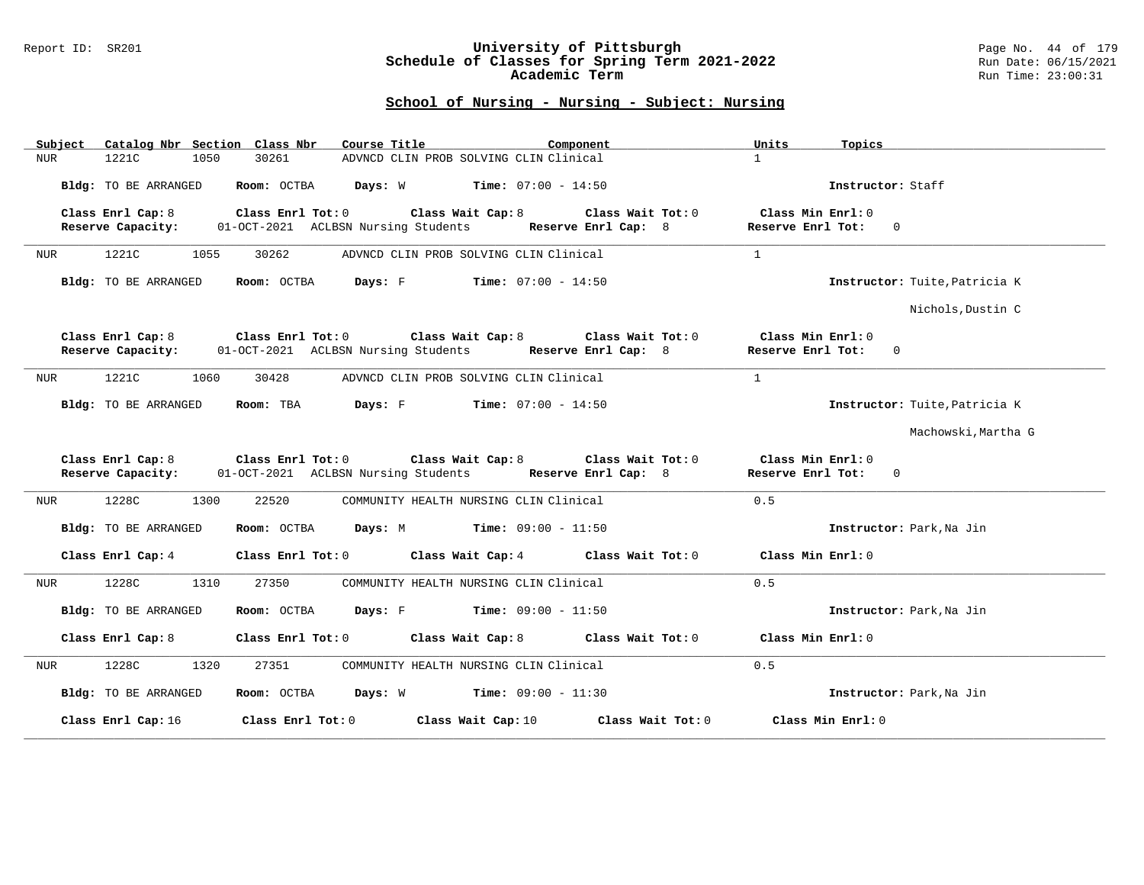#### Report ID: SR201 **University of Pittsburgh** Page No. 44 of 179 **Schedule of Classes for Spring Term 2021-2022** Run Date: 06/15/2021 **Academic Term** Run Time: 23:00:31

| Catalog Nbr Section Class Nbr<br>Subject | Course Title<br>Component                                                                                               | Units<br>Topics                                          |
|------------------------------------------|-------------------------------------------------------------------------------------------------------------------------|----------------------------------------------------------|
| 1221C<br>1050<br><b>NUR</b>              | 30261<br>ADVNCD CLIN PROB SOLVING CLIN Clinical                                                                         | $\mathbf{1}$                                             |
| Bldg: TO BE ARRANGED                     | Room: OCTBA $Days: W$ Time: 07:00 - 14:50                                                                               | Instructor: Staff                                        |
| Class Enrl Cap: 8<br>Reserve Capacity:   | Class Enrl Tot: 0 Class Wait Cap: 8<br>Class Wait Tot: 0<br>01-OCT-2021 ACLBSN Nursing Students<br>Reserve Enrl Cap: 8  | Class Min Enrl: 0<br>Reserve Enrl Tot:<br>$\Omega$       |
| 1221C<br><b>NUR</b><br>1055              | 30262<br>ADVNCD CLIN PROB SOLVING CLIN Clinical                                                                         | $\mathbf{1}$                                             |
| Bldg: TO BE ARRANGED                     | Room: OCTBA<br>Days: F<br>$Time: 07:00 - 14:50$                                                                         | Instructor: Tuite, Patricia K                            |
|                                          |                                                                                                                         | Nichols, Dustin C                                        |
| Class Enrl Cap: 8<br>Reserve Capacity:   | Class Enrl Tot: $0$ Class Wait Cap: $8$<br>Class Wait Tot: 0<br>01-OCT-2021 ACLBSN Nursing Students Reserve Enrl Cap: 8 | Class Min Enrl: 0<br>Reserve Enrl Tot:<br>$\mathbf 0$    |
| 1221C<br>1060<br>NUR                     | ADVNCD CLIN PROB SOLVING CLIN Clinical<br>30428                                                                         | $\mathbf{1}$                                             |
| Bldg: TO BE ARRANGED                     | <b>Days:</b> F Time: $07:00 - 14:50$<br>Room: TBA                                                                       | Instructor: Tuite, Patricia K                            |
|                                          |                                                                                                                         | Machowski, Martha G                                      |
| Class Enrl Cap: 8<br>Reserve Capacity:   | Class Enrl Tot: 0 Class Wait Cap: 8 Class Wait Tot: 0<br>01-OCT-2021 ACLBSN Nursing Students Reserve Enrl Cap: 8        | Class Min Enrl: 0<br>Reserve Enrl Tot:<br>$\overline{0}$ |
| 1228C<br>1300<br>NUR                     | 22520<br>COMMUNITY HEALTH NURSING CLIN Clinical                                                                         | 0.5                                                      |
| <b>Bldg:</b> TO BE ARRANGED              | <b>Days:</b> M <b>Time:</b> $09:00 - 11:50$<br>Room: OCTBA                                                              | Instructor: Park, Na Jin                                 |
| Class Enrl Cap: 4                        | Class Enrl Tot: 0 Class Wait Cap: 4<br>Class Wait Tot: 0                                                                | Class Min Enrl: 0                                        |
| 1228C<br>1310<br>NUR                     | 27350<br>COMMUNITY HEALTH NURSING CLIN Clinical                                                                         | 0.5                                                      |
| Bldg: TO BE ARRANGED                     | Room: OCTBA $Days: F$ Time: $09:00 - 11:50$                                                                             | Instructor: Park, Na Jin                                 |
| Class Enrl Cap: 8                        | $Class$ $Enr1$ $Tot: 0$<br>Class Wait Cap: 8<br>Class Wait Tot: 0                                                       | Class Min Enrl: 0                                        |
| 1228C<br>1320<br>NUR                     | 27351<br>COMMUNITY HEALTH NURSING CLIN Clinical                                                                         | 0.5                                                      |
| Bldg: TO BE ARRANGED                     | Room: OCTBA<br><b>Days:</b> W <b>Time:</b> $09:00 - 11:30$                                                              | Instructor: Park, Na Jin                                 |
| Class Enrl Cap: 16                       | Class Enrl Tot: 0<br>Class Wait Cap: 10<br>Class Wait Tot: 0                                                            | Class Min Enrl: 0                                        |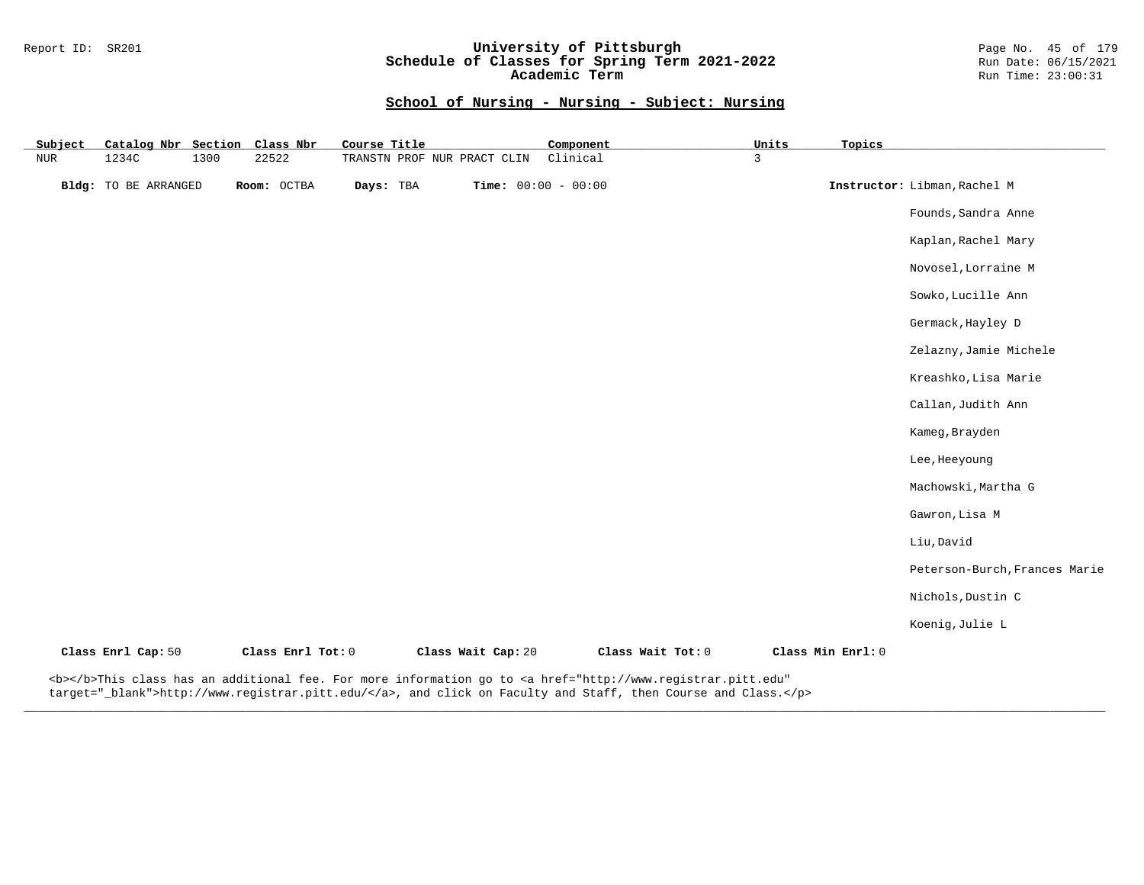### Report ID: SR201 **University of Pittsburgh** Page No. 45 of 179 **Schedule of Classes for Spring Term 2021-2022** Run Date: 06/15/2021 **Academic Term** Run Time: 23:00:31

# **School of Nursing - Nursing - Subject: Nursing**

| Subject    | Catalog Nbr Section         |      | Class Nbr         | Course Title |                             |                       | Component |                                                                                                                 | Units | Topics            |                               |
|------------|-----------------------------|------|-------------------|--------------|-----------------------------|-----------------------|-----------|-----------------------------------------------------------------------------------------------------------------|-------|-------------------|-------------------------------|
| <b>NUR</b> | 1234C                       | 1300 | 22522             |              | TRANSTN PROF NUR PRACT CLIN |                       | Clinical  |                                                                                                                 | 3     |                   |                               |
|            | <b>Bldg:</b> TO BE ARRANGED |      | Room: OCTBA       | Days: TBA    |                             | Time: $00:00 - 00:00$ |           |                                                                                                                 |       |                   | Instructor: Libman, Rachel M  |
|            |                             |      |                   |              |                             |                       |           |                                                                                                                 |       |                   | Founds, Sandra Anne           |
|            |                             |      |                   |              |                             |                       |           |                                                                                                                 |       |                   | Kaplan, Rachel Mary           |
|            |                             |      |                   |              |                             |                       |           |                                                                                                                 |       |                   | Novosel, Lorraine M           |
|            |                             |      |                   |              |                             |                       |           |                                                                                                                 |       |                   | Sowko, Lucille Ann            |
|            |                             |      |                   |              |                             |                       |           |                                                                                                                 |       |                   | Germack, Hayley D             |
|            |                             |      |                   |              |                             |                       |           |                                                                                                                 |       |                   | Zelazny, Jamie Michele        |
|            |                             |      |                   |              |                             |                       |           |                                                                                                                 |       |                   | Kreashko, Lisa Marie          |
|            |                             |      |                   |              |                             |                       |           |                                                                                                                 |       |                   | Callan, Judith Ann            |
|            |                             |      |                   |              |                             |                       |           |                                                                                                                 |       |                   | Kameg, Brayden                |
|            |                             |      |                   |              |                             |                       |           |                                                                                                                 |       |                   | Lee, Heeyoung                 |
|            |                             |      |                   |              |                             |                       |           |                                                                                                                 |       |                   | Machowski, Martha G           |
|            |                             |      |                   |              |                             |                       |           |                                                                                                                 |       |                   | Gawron, Lisa M                |
|            |                             |      |                   |              |                             |                       |           |                                                                                                                 |       |                   | Liu, David                    |
|            |                             |      |                   |              |                             |                       |           |                                                                                                                 |       |                   | Peterson-Burch, Frances Marie |
|            |                             |      |                   |              |                             |                       |           |                                                                                                                 |       |                   | Nichols, Dustin C             |
|            |                             |      |                   |              |                             |                       |           |                                                                                                                 |       |                   | Koenig, Julie L               |
|            | Class Enrl Cap: 50          |      | Class Enrl Tot: 0 |              |                             | Class Wait Cap: 20    |           | Class Wait Tot: 0                                                                                               |       | Class Min Enrl: 0 |                               |
|            |                             |      |                   |              |                             |                       |           | del 1760 Metals algun des cu caddinismel fac Mac Maccalantellan de la ce bicaf Mbhing (76000 concluiren Adien a |       |                   |                               |

**\_\_\_\_\_\_\_\_\_\_\_\_\_\_\_\_\_\_\_\_\_\_\_\_\_\_\_\_\_\_\_\_\_\_\_\_\_\_\_\_\_\_\_\_\_\_\_\_\_\_\_\_\_\_\_\_\_\_\_\_\_\_\_\_\_\_\_\_\_\_\_\_\_\_\_\_\_\_\_\_\_\_\_\_\_\_\_\_\_\_\_\_\_\_\_\_\_\_\_\_\_\_\_\_\_\_\_\_\_\_\_\_\_\_\_\_\_\_\_\_\_\_\_\_\_\_\_\_\_\_\_\_\_\_\_\_\_\_\_\_\_\_\_\_\_\_\_\_\_\_\_\_\_\_\_\_**

<b></b>This class has an additional fee. For more information go to <a href="http://www.registrar.pitt.edu" target="\_blank">http://www.registrar.pitt.edu/</a>, and click on Faculty and Staff, then Course and Class.</p>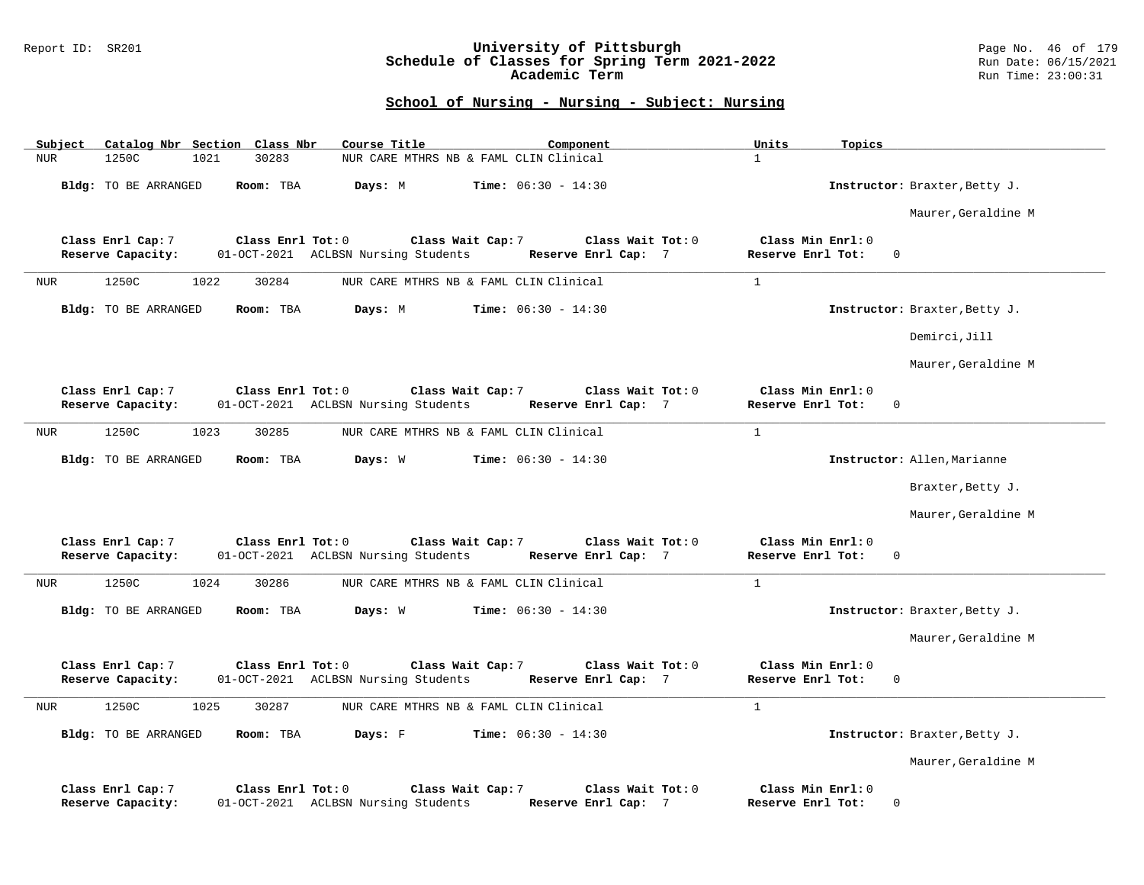#### Report ID: SR201 **University of Pittsburgh** Page No. 46 of 179 **Schedule of Classes for Spring Term 2021-2022** Run Date: 06/15/2021 **Academic Term** Run Time: 23:00:31

| Subject<br>Catalog Nbr Section Class Nbr                    | Course Title<br>Component                                                                            | Units<br>Topics                                       |
|-------------------------------------------------------------|------------------------------------------------------------------------------------------------------|-------------------------------------------------------|
| 1250C<br>30283<br><b>NUR</b><br>1021                        | NUR CARE MTHRS NB & FAML CLIN Clinical                                                               | $\mathbf{1}$                                          |
| Bldg: TO BE ARRANGED<br>Room: TBA                           | Days: M<br><b>Time:</b> $06:30 - 14:30$                                                              | Instructor: Braxter, Betty J.                         |
|                                                             |                                                                                                      | Maurer, Geraldine M                                   |
| Class Enrl Cap: 7<br>Class Enrl Tot: 0<br>Reserve Capacity: | Class Wait Tot: 0<br>Class Wait Cap: 7<br>Reserve Enrl Cap: 7<br>01-OCT-2021 ACLBSN Nursing Students | Class Min Enrl: 0<br>Reserve Enrl Tot:<br>$\mathbf 0$ |
| <b>NUR</b><br>1250C<br>1022<br>30284                        | NUR CARE MTHRS NB & FAML CLIN Clinical                                                               | $\mathbf{1}$                                          |
| Bldg: TO BE ARRANGED<br>Room: TBA                           | Days: M<br><b>Time:</b> $06:30 - 14:30$                                                              | Instructor: Braxter, Betty J.                         |
|                                                             |                                                                                                      | Demirci, Jill                                         |
|                                                             |                                                                                                      | Maurer, Geraldine M                                   |
| Class Enrl Cap: 7<br>Class Enrl Tot: 0<br>Reserve Capacity: | Class Wait Cap: 7<br>Class Wait Tot: 0<br>01-OCT-2021 ACLBSN Nursing Students<br>Reserve Enrl Cap: 7 | Class Min Enrl: 0<br>Reserve Enrl Tot:<br>$\Omega$    |
| 1250C<br>1023<br>30285<br>NUR                               | NUR CARE MTHRS NB & FAML CLIN Clinical                                                               | $\mathbf{1}$                                          |
| Bldg: TO BE ARRANGED<br>Room: TBA                           | <b>Time:</b> $06:30 - 14:30$<br>Days: W                                                              | Instructor: Allen, Marianne                           |
|                                                             |                                                                                                      | Braxter, Betty J.                                     |
|                                                             |                                                                                                      | Maurer, Geraldine M                                   |
| Class Enrl Cap: 7<br>Class Enrl Tot: 0<br>Reserve Capacity: | Class Wait Cap: 7<br>Class Wait Tot: 0<br>01-OCT-2021 ACLBSN Nursing Students<br>Reserve Enrl Cap: 7 | Class Min Enrl: 0<br>Reserve Enrl Tot:<br>$\Omega$    |
| 1250C<br>1024<br>30286<br><b>NUR</b>                        | NUR CARE MTHRS NB & FAML CLIN Clinical                                                               | <sup>1</sup>                                          |
| Bldg: TO BE ARRANGED<br>Room: TBA                           | Days: W<br><b>Time:</b> $06:30 - 14:30$                                                              | Instructor: Braxter, Betty J.                         |
|                                                             |                                                                                                      | Maurer, Geraldine M                                   |
| Class Enrl Cap: 7<br>Class Enrl Tot: 0<br>Reserve Capacity: | Class Wait Cap: 7<br>Class Wait Tot: 0<br>01-OCT-2021 ACLBSN Nursing Students<br>Reserve Enrl Cap: 7 | Class Min Enrl: 0<br>Reserve Enrl Tot:<br>$\Omega$    |
| 1250C<br>1025<br>30287<br><b>NUR</b>                        | NUR CARE MTHRS NB & FAML CLIN Clinical                                                               | $\mathbf{1}$                                          |
| <b>Bldg:</b> TO BE ARRANGED<br>Room: TBA                    | Days: F<br><b>Time:</b> $06:30 - 14:30$                                                              | Instructor: Braxter, Betty J.                         |
|                                                             |                                                                                                      | Maurer, Geraldine M                                   |
| Class Enrl Cap: 7<br>Class Enrl Tot: 0<br>Reserve Capacity: | Class Wait Cap: 7<br>Class Wait Tot: 0<br>Reserve Enrl Cap: 7<br>01-OCT-2021 ACLBSN Nursing Students | Class Min Enrl: 0<br>Reserve Enrl Tot:<br>$\Omega$    |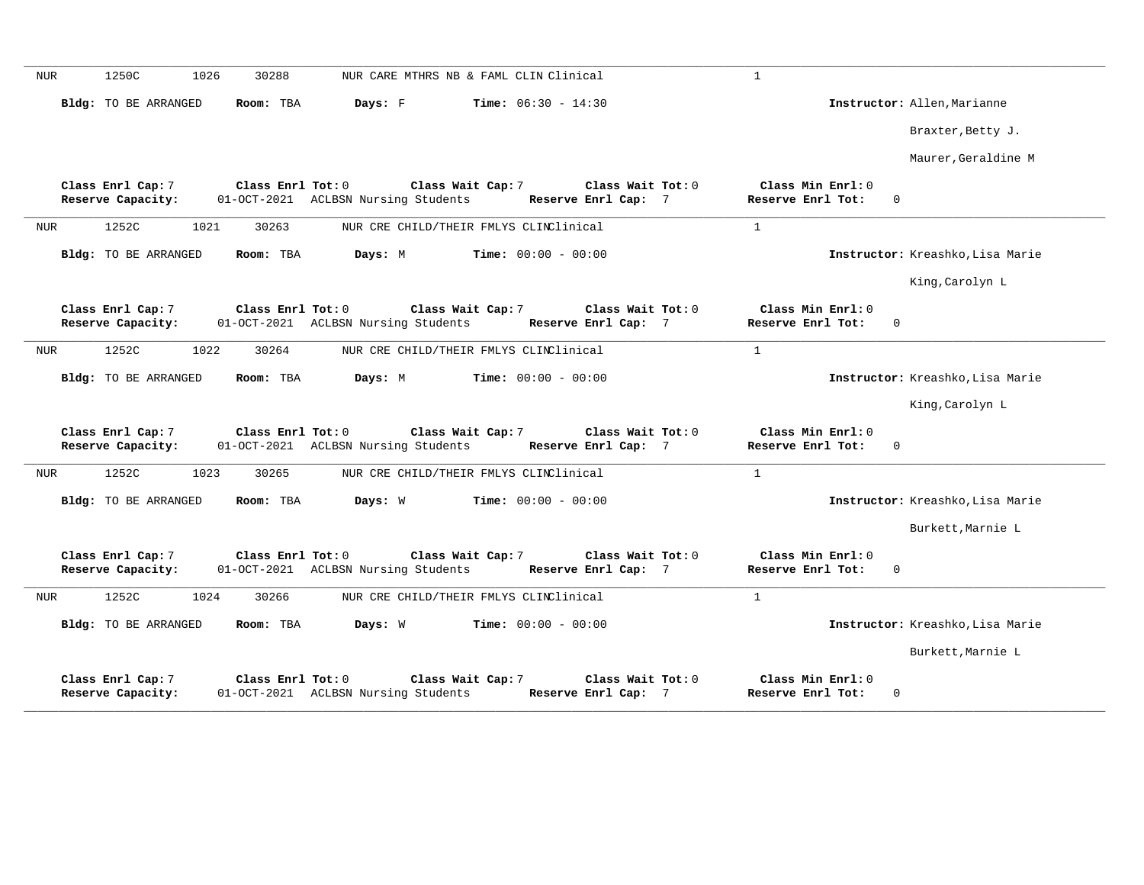| NUR        | 1250C                                  | 1026<br>30288     | NUR CARE MTHRS NB & FAML CLIN Clinical                   |                                          | $\mathbf{1}$                           |                                  |
|------------|----------------------------------------|-------------------|----------------------------------------------------------|------------------------------------------|----------------------------------------|----------------------------------|
|            | Bldg: TO BE ARRANGED                   | Room: TBA         | Days: F                                                  | <b>Time:</b> $06:30 - 14:30$             |                                        | Instructor: Allen, Marianne      |
|            |                                        |                   |                                                          |                                          |                                        | Braxter, Betty J.                |
|            |                                        |                   |                                                          |                                          |                                        | Maurer, Geraldine M              |
|            | Class Enrl Cap: 7<br>Reserve Capacity: | Class Enrl Tot: 0 | Class Wait Cap: 7<br>01-OCT-2021 ACLBSN Nursing Students | Class Wait Tot: 0<br>Reserve Enrl Cap: 7 | Class Min Enrl: 0<br>Reserve Enrl Tot: | $\mathbf 0$                      |
| NUR        | 1252C                                  | 1021<br>30263     | NUR CRE CHILD/THEIR FMLYS CLINClinical                   |                                          | $\mathbf{1}$                           |                                  |
|            | Bldg: TO BE ARRANGED                   | Room: TBA         | Days: M                                                  | Time: $00:00 - 00:00$                    |                                        | Instructor: Kreashko, Lisa Marie |
|            |                                        |                   |                                                          |                                          |                                        | King, Carolyn L                  |
|            | Class Enrl Cap: 7<br>Reserve Capacity: | Class Enrl Tot: 0 | Class Wait Cap: 7<br>01-OCT-2021 ACLBSN Nursing Students | Class Wait Tot: 0<br>Reserve Enrl Cap: 7 | Class Min Enrl: 0<br>Reserve Enrl Tot: | $\Omega$                         |
| NUR        | 1252C                                  | 1022<br>30264     | NUR CRE CHILD/THEIR FMLYS CLINClinical                   |                                          | $\mathbf{1}$                           |                                  |
|            | Bldg: TO BE ARRANGED                   | Room: TBA         | Days: M                                                  | <b>Time:</b> $00:00 - 00:00$             |                                        | Instructor: Kreashko, Lisa Marie |
|            |                                        |                   |                                                          |                                          |                                        | King, Carolyn L                  |
|            | Class Enrl Cap: 7<br>Reserve Capacity: | Class Enrl Tot: 0 | Class Wait Cap: 7<br>01-OCT-2021 ACLBSN Nursing Students | Class Wait Tot: 0<br>Reserve Enrl Cap: 7 | Class Min Enrl: 0<br>Reserve Enrl Tot: | 0                                |
| <b>NUR</b> | 1252C                                  | 1023<br>30265     | NUR CRE CHILD/THEIR FMLYS CLINClinical                   |                                          | $\mathbf{1}$                           |                                  |
|            | Bldg: TO BE ARRANGED                   | Room: TBA         | Days: W                                                  | Time: $00:00 - 00:00$                    |                                        | Instructor: Kreashko, Lisa Marie |
|            |                                        |                   |                                                          |                                          |                                        | Burkett, Marnie L                |
|            | Class Enrl Cap: 7<br>Reserve Capacity: | Class Enrl Tot: 0 | Class Wait Cap: 7<br>01-OCT-2021 ACLBSN Nursing Students | Class Wait Tot: 0<br>Reserve Enrl Cap: 7 | Class Min Enrl: 0<br>Reserve Enrl Tot: | $\mathbf 0$                      |
| <b>NUR</b> | 1252C                                  | 1024<br>30266     | NUR CRE CHILD/THEIR FMLYS CLINClinical                   |                                          | $\mathbf{1}$                           |                                  |
|            | Bldg: TO BE ARRANGED                   | Room: TBA         | Days: W                                                  | Time: $00:00 - 00:00$                    |                                        | Instructor: Kreashko, Lisa Marie |
|            |                                        |                   |                                                          |                                          |                                        | Burkett, Marnie L                |
|            | Class Enrl Cap: 7<br>Reserve Capacity: | Class Enrl Tot: 0 | Class Wait Cap: 7<br>01-OCT-2021 ACLBSN Nursing Students | Class Wait Tot: 0<br>Reserve Enrl Cap: 7 | Class Min Enrl: 0<br>Reserve Enrl Tot: | $\mathbf 0$                      |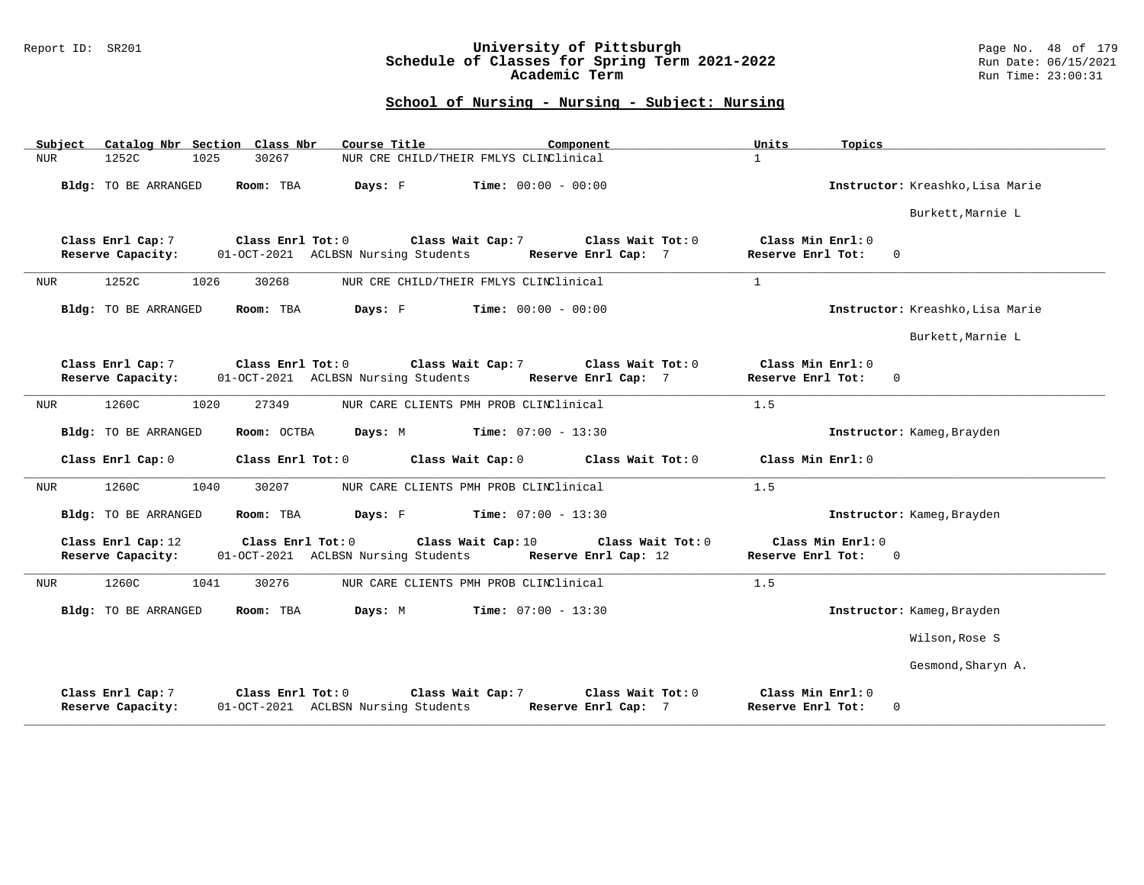### Report ID: SR201 **University of Pittsburgh** Page No. 48 of 179 **Schedule of Classes for Spring Term 2021-2022** Run Date: 06/15/2021 **Academic Term** Run Time: 23:00:31

| Catalog Nbr Section Class Nbr<br>Course Title<br>Subject                                                                                 | Component                                 | Units<br>Topics                        |                                  |
|------------------------------------------------------------------------------------------------------------------------------------------|-------------------------------------------|----------------------------------------|----------------------------------|
| 1252C<br>1025<br>30267<br>NUR CRE CHILD/THEIR FMLYS CLINClinical<br><b>NUR</b>                                                           |                                           | $\mathbf{1}$                           |                                  |
| Bldg: TO BE ARRANGED<br>Room: TBA<br>Days: F                                                                                             | <b>Time:</b> $00:00 - 00:00$              |                                        | Instructor: Kreashko, Lisa Marie |
|                                                                                                                                          |                                           |                                        | Burkett, Marnie L                |
| Class Enrl Cap: 7<br>Class Wait Cap: 7<br>Class Enrl Tot: 0<br>01-OCT-2021 ACLBSN Nursing Students<br>Reserve Capacity:                  | Class Wait Tot: 0<br>Reserve Enrl Cap: 7  | Class Min Enrl: 0<br>Reserve Enrl Tot: | $\Omega$                         |
| 1252C<br>NUR CRE CHILD/THEIR FMLYS CLINClinical<br>1026<br>30268<br><b>NUR</b>                                                           |                                           | $\mathbf{1}$                           |                                  |
| Days: F<br>$Time: 00:00 - 00:00$<br>Bldg: TO BE ARRANGED<br>Room: TBA                                                                    |                                           |                                        | Instructor: Kreashko, Lisa Marie |
|                                                                                                                                          |                                           |                                        | Burkett, Marnie L                |
| Class Enrl Cap: 7<br>Class Enrl Tot: 0 Class Wait Cap: 7<br>Reserve Capacity:<br>01-OCT-2021 ACLBSN Nursing Students Reserve Enrl Cap: 7 | Class Wait Tot: 0                         | Class Min Enrl: 0<br>Reserve Enrl Tot: | $\mathbf{0}$                     |
| NUR CARE CLIENTS PMH PROB CLINClinical<br>1260C<br>1020<br>27349<br><b>NUR</b>                                                           |                                           | 1.5                                    |                                  |
| Bldg: TO BE ARRANGED<br>Room: OCTBA<br>Days: M<br><b>Time:</b> $07:00 - 13:30$                                                           |                                           |                                        | Instructor: Kameg, Brayden       |
| Class Enrl Cap: 0<br>Class Enrl Tot: 0<br>Class Wait Cap: 0                                                                              | Class Wait Tot: $0$                       | Class Min Enrl: 0                      |                                  |
| 1260C<br>1040<br>30207<br>NUR CARE CLIENTS PMH PROB CLINClinical<br><b>NUR</b>                                                           |                                           | 1.5                                    |                                  |
| $Time: 07:00 - 13:30$<br>Bldg: TO BE ARRANGED<br>Room: TBA<br>Days: F                                                                    |                                           |                                        | Instructor: Kameg, Brayden       |
| Class Enrl Cap: 12<br>Class Wait Cap: 10<br>Class Enrl Tot: 0<br>01-OCT-2021 ACLBSN Nursing Students<br>Reserve Capacity:                | Class Wait Tot: 0<br>Reserve Enrl Cap: 12 | Class Min Enrl: 0<br>Reserve Enrl Tot: | $\Omega$                         |
| 1260C<br>1041<br>30276<br>NUR CARE CLIENTS PMH PROB CLINClinical<br><b>NUR</b>                                                           |                                           | 1.5                                    |                                  |
| Bldg: TO BE ARRANGED<br>Room: TBA<br>Days: M<br><b>Time:</b> $07:00 - 13:30$                                                             |                                           |                                        | Instructor: Kameg, Brayden       |
|                                                                                                                                          |                                           |                                        | Wilson, Rose S                   |
|                                                                                                                                          |                                           |                                        | Gesmond, Sharyn A.               |
| Class Enrl Tot: 0<br>Class Wait Cap: 7<br>Class Enrl Cap: 7<br>Reserve Capacity:<br>01-OCT-2021 ACLBSN Nursing Students                  | Class Wait Tot: 0<br>Reserve Enrl Cap: 7  | Class Min Enrl: 0<br>Reserve Enrl Tot: | 0                                |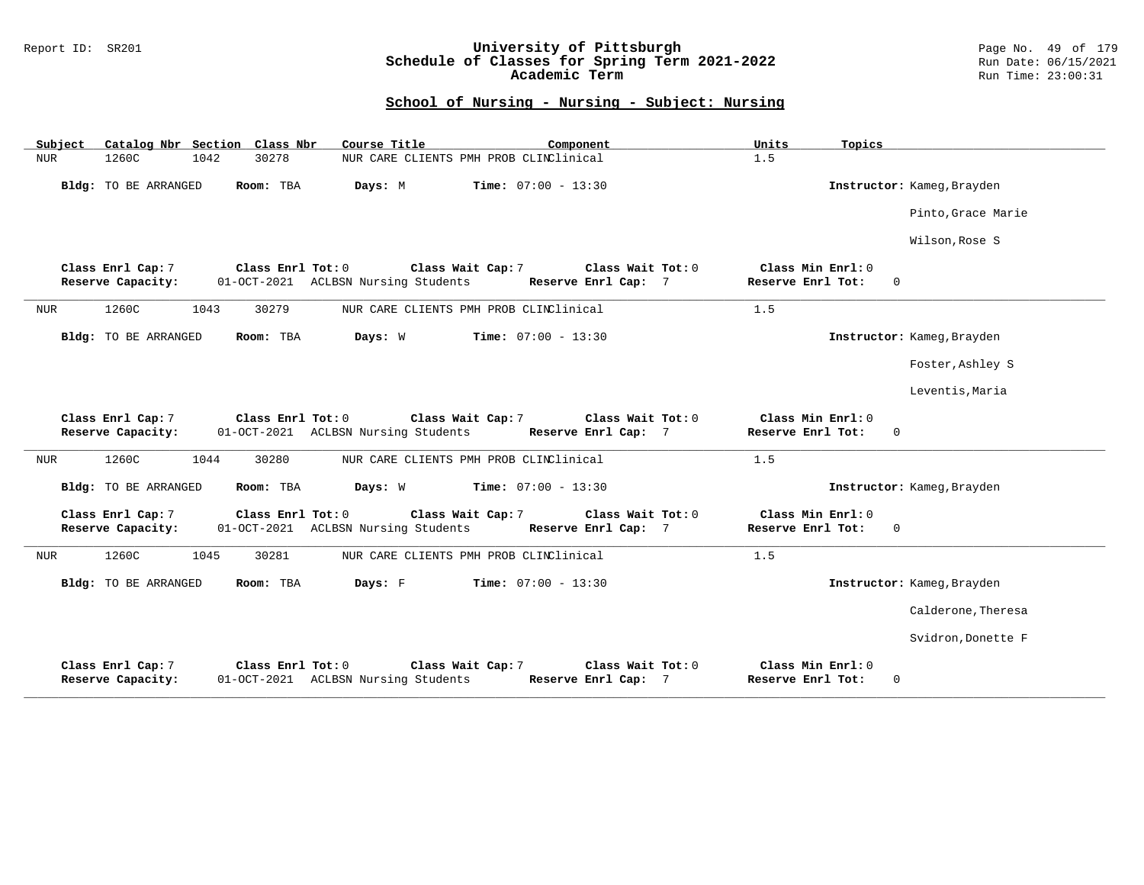### Report ID: SR201 **University of Pittsburgh** Page No. 49 of 179 **Schedule of Classes for Spring Term 2021-2022** Run Date: 06/15/2021 **Academic Term** Run Time: 23:00:31

| Subject                                | Catalog Nbr Section Class Nbr<br>Course Title            | Component                                                     | Units<br>Topics                                    |  |
|----------------------------------------|----------------------------------------------------------|---------------------------------------------------------------|----------------------------------------------------|--|
| 1260C<br><b>NUR</b>                    | 1042<br>30278                                            | NUR CARE CLIENTS PMH PROB CLINClinical                        | 1.5                                                |  |
| Bldg: TO BE ARRANGED                   | Days: M<br>Room: TBA                                     | <b>Time:</b> $07:00 - 13:30$                                  | Instructor: Kameg, Brayden                         |  |
|                                        |                                                          |                                                               | Pinto, Grace Marie                                 |  |
|                                        |                                                          |                                                               | Wilson, Rose S                                     |  |
| Class Enrl Cap: 7                      | Class Enrl Tot: 0                                        | Class Wait Cap: 7<br>Class Wait Tot: 0                        | Class Min Enrl: 0                                  |  |
| Reserve Capacity:                      | 01-OCT-2021 ACLBSN Nursing Students                      | Reserve Enrl Cap: 7                                           | Reserve Enrl Tot:<br>$\mathbf{0}$                  |  |
| 1260C<br><b>NUR</b>                    | 30279<br>1043                                            | NUR CARE CLIENTS PMH PROB CLINClinical                        | 1.5                                                |  |
| Bldg: TO BE ARRANGED                   | Room: TBA<br>Days: W                                     | <b>Time:</b> $07:00 - 13:30$                                  | Instructor: Kameg, Brayden                         |  |
|                                        |                                                          |                                                               | Foster, Ashley S                                   |  |
|                                        |                                                          |                                                               | Leventis, Maria                                    |  |
| Class Enrl Cap: 7<br>Reserve Capacity: | Class Enrl Tot: 0<br>01-OCT-2021 ACLBSN Nursing Students | Class Wait Cap: 7<br>Class Wait Tot: 0<br>Reserve Enrl Cap: 7 | Class Min Enrl: 0<br>Reserve Enrl Tot:<br>$\Omega$ |  |
| 1260C<br><b>NUR</b>                    | 1044<br>30280                                            | NUR CARE CLIENTS PMH PROB CLINClinical                        | 1.5                                                |  |
| Bldg: TO BE ARRANGED                   | Room: TBA<br>Days: W                                     | <b>Time:</b> $07:00 - 13:30$                                  | Instructor: Kameg, Brayden                         |  |
| Class Enrl Cap: 7<br>Reserve Capacity: | Class Enrl Tot: 0<br>01-OCT-2021 ACLBSN Nursing Students | Class Wait Cap: 7<br>Class Wait Tot: 0<br>Reserve Enrl Cap: 7 | Class Min Enrl: 0<br>Reserve Enrl Tot:<br>$\Omega$ |  |
| 1260C<br><b>NUR</b>                    | 30281<br>1045                                            | NUR CARE CLIENTS PMH PROB CLINClinical                        | 1.5                                                |  |
| Bldg: TO BE ARRANGED                   | Days: F<br>Room: TBA                                     | Time: $07:00 - 13:30$                                         | Instructor: Kameg, Brayden                         |  |
|                                        |                                                          |                                                               | Calderone, Theresa                                 |  |
|                                        |                                                          |                                                               | Svidron, Donette F                                 |  |
| Class Enrl Cap: 7<br>Reserve Capacity: | Class Enrl Tot: 0<br>01-OCT-2021 ACLBSN Nursing Students | Class Wait Cap: 7<br>Class Wait Tot: 0<br>Reserve Enrl Cap: 7 | Class Min Enrl: 0<br>Reserve Enrl Tot:<br>$\Omega$ |  |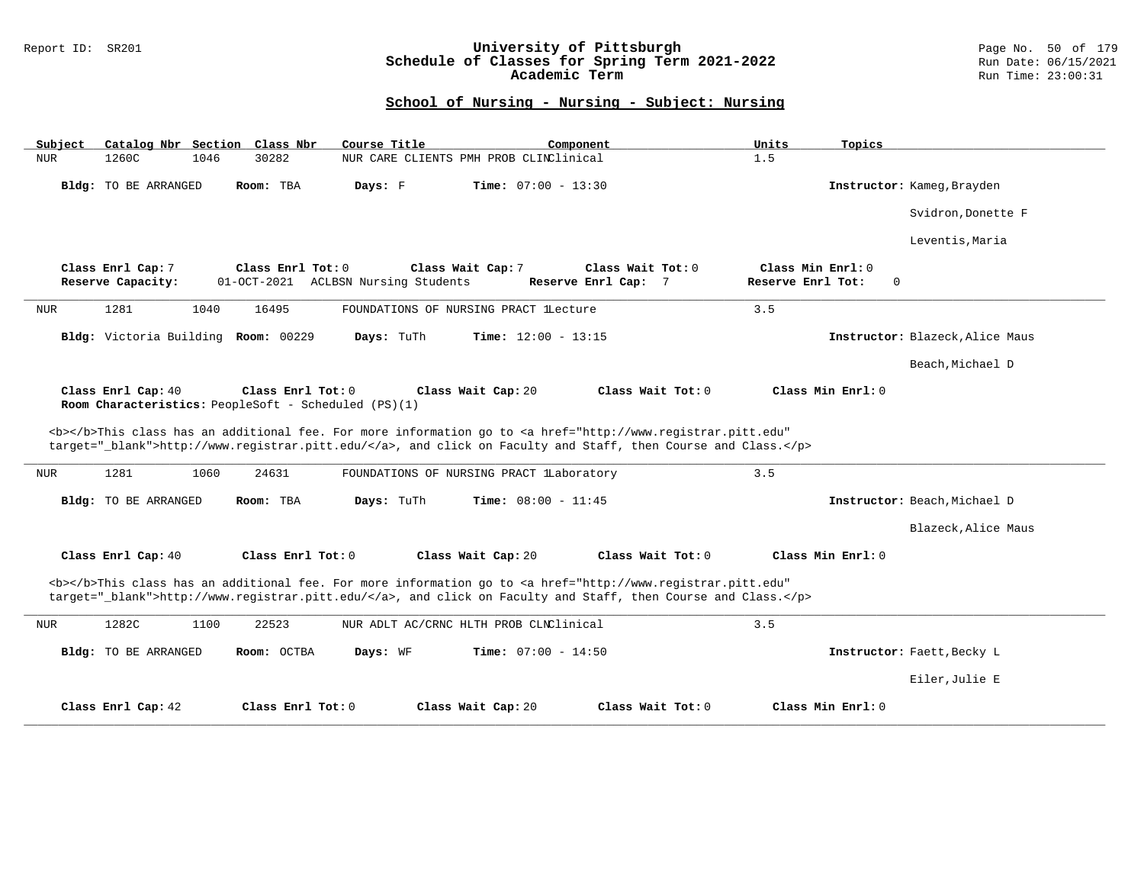### Report ID: SR201 **University of Pittsburgh** Page No. 50 of 179 **Schedule of Classes for Spring Term 2021-2022** Run Date: 06/15/2021 **Academic Term** Run Time: 23:00:31

| Subject<br>Catalog Nbr Section Class Nbr | Course Title                                                                                                                                                                                                                       | Units<br>Component                                            | Topics                          |
|------------------------------------------|------------------------------------------------------------------------------------------------------------------------------------------------------------------------------------------------------------------------------------|---------------------------------------------------------------|---------------------------------|
| <b>NUR</b><br>1260C<br>1046              | NUR CARE CLIENTS PMH PROB CLINClinical<br>30282                                                                                                                                                                                    | 1.5                                                           |                                 |
| Bldg: TO BE ARRANGED                     | Room: TBA<br>Days: F                                                                                                                                                                                                               | <b>Time:</b> $07:00 - 13:30$                                  | Instructor: Kameg, Brayden      |
|                                          |                                                                                                                                                                                                                                    |                                                               | Svidron, Donette F              |
|                                          |                                                                                                                                                                                                                                    |                                                               | Leventis, Maria                 |
| Class Enrl Cap: 7<br>Reserve Capacity:   | Class Enrl Tot: 0<br>Class Wait Cap: 7<br>01-OCT-2021 ACLBSN Nursing Students                                                                                                                                                      | Class Wait Tot: 0<br>Reserve Enrl Cap: 7<br>Reserve Enrl Tot: | Class Min Enrl: 0<br>0          |
| 1281<br>1040<br>NUR                      | 16495<br>FOUNDATIONS OF NURSING PRACT ILecture                                                                                                                                                                                     | 3.5                                                           |                                 |
| Bldg: Victoria Building Room: 00229      | Days: TuTh                                                                                                                                                                                                                         | Time: $12:00 - 13:15$                                         | Instructor: Blazeck, Alice Maus |
|                                          |                                                                                                                                                                                                                                    |                                                               | Beach, Michael D                |
| Class Enrl Cap: 40                       | Class Enrl Tot: 0<br>Class Wait Cap: 20<br>Room Characteristics: PeopleSoft - Scheduled (PS)(1)                                                                                                                                    | Class Wait Tot: 0                                             | Class Min Enrl: 0               |
|                                          | <b></b> This class has an additional fee. For more information go to <a <br="" href="http://www.registrar.pitt.edu">target="_blank"&gt;http://www.registrar.pitt.edu/</a> , and click on Faculty and Staff, then Course and Class. |                                                               |                                 |
| 1281<br>1060<br><b>NUR</b>               | 24631<br>FOUNDATIONS OF NURSING PRACT lLaboratory                                                                                                                                                                                  | 3.5                                                           |                                 |
| Bldg: TO BE ARRANGED                     | Days: TuTh<br>Room: TBA                                                                                                                                                                                                            | Time: $08:00 - 11:45$                                         | Instructor: Beach, Michael D    |
|                                          |                                                                                                                                                                                                                                    |                                                               | Blazeck, Alice Maus             |
| Class Enrl Cap: 40                       | Class Enrl Tot: 0<br>Class Wait Cap: 20                                                                                                                                                                                            | Class Wait Tot: 0                                             | Class Min Enrl: 0               |
|                                          | <b></b> This class has an additional fee. For more information go to <a <br="" href="http://www.registrar.pitt.edu">target="_blank"&gt;http://www.registrar.pitt.edu/</a> , and click on Faculty and Staff, then Course and Class. |                                                               |                                 |
| 1282C<br>1100<br><b>NUR</b>              | 22523<br>NUR ADLT AC/CRNC HLTH PROB CLNClinical                                                                                                                                                                                    | 3.5                                                           |                                 |
| Bldg: TO BE ARRANGED                     | Room: OCTBA<br>Days: WF                                                                                                                                                                                                            | <b>Time:</b> $07:00 - 14:50$                                  | Instructor: Faett, Becky L      |
|                                          |                                                                                                                                                                                                                                    |                                                               | Eiler, Julie E                  |
| Class Enrl Cap: 42                       | Class Enrl Tot: $0$<br>Class Wait Cap: 20                                                                                                                                                                                          | Class Wait Tot: 0                                             | Class Min Enrl: 0               |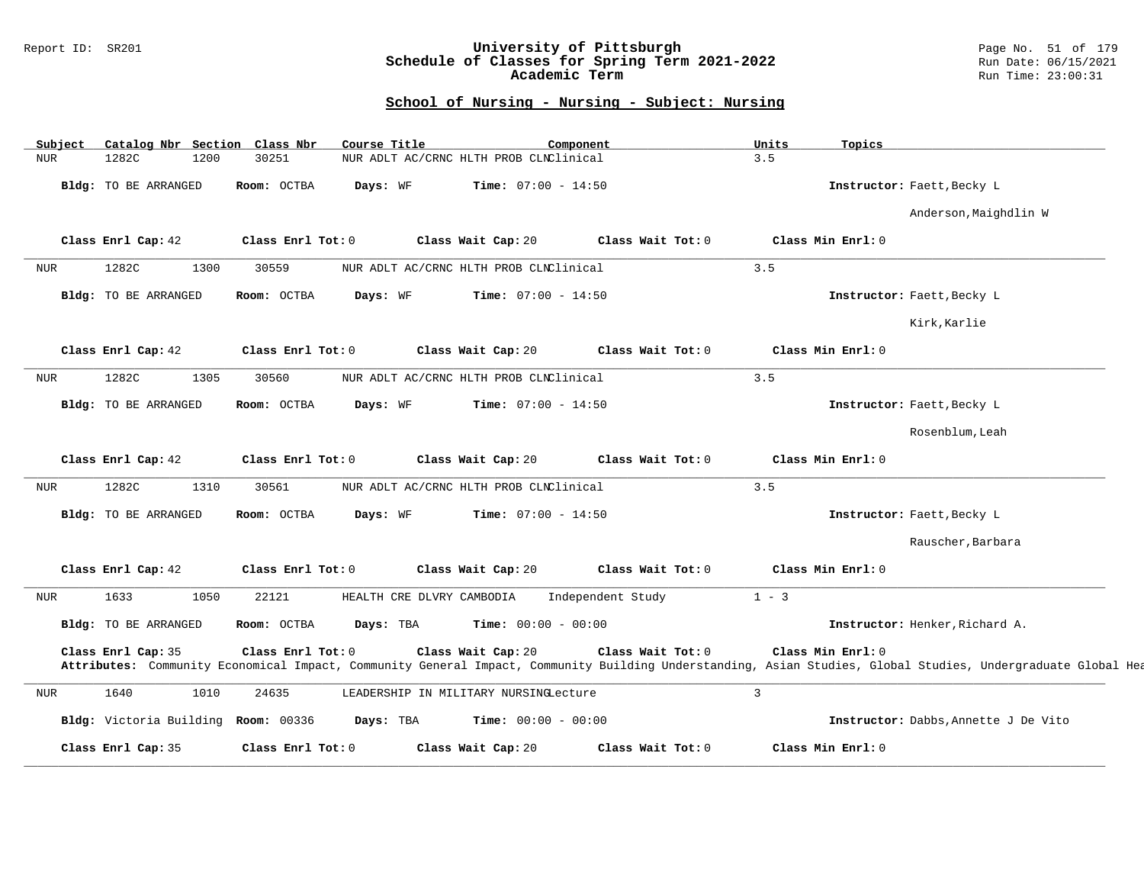### Report ID: SR201 **University of Pittsburgh** Page No. 51 of 179 **Schedule of Classes for Spring Term 2021-2022** Run Date: 06/15/2021 **Academic Term** Run Time: 23:00:31

| Subject    |                                     |      | Catalog Nbr Section Class Nbr | Course Title |                                        | Component         | Units<br>Topics   |                                                                                                                                                              |
|------------|-------------------------------------|------|-------------------------------|--------------|----------------------------------------|-------------------|-------------------|--------------------------------------------------------------------------------------------------------------------------------------------------------------|
| <b>NUR</b> | 1282C                               | 1200 | 30251                         |              | NUR ADLT AC/CRNC HLTH PROB CLNClinical |                   | 3.5               |                                                                                                                                                              |
|            | Bldg: TO BE ARRANGED                |      | Room: OCTBA                   | Days: WF     | <b>Time:</b> $07:00 - 14:50$           |                   |                   | Instructor: Faett, Becky L                                                                                                                                   |
|            |                                     |      |                               |              |                                        |                   |                   | Anderson, Maighdlin W                                                                                                                                        |
|            | Class Enrl Cap: 42                  |      | Class Enrl Tot: 0             |              | Class Wait Cap: 20                     | Class Wait Tot: 0 | Class Min Enrl: 0 |                                                                                                                                                              |
| NUR        | 1282C                               | 1300 | 30559                         |              | NUR ADLT AC/CRNC HLTH PROB CLNClinical |                   | 3.5               |                                                                                                                                                              |
|            | Bldg: TO BE ARRANGED                |      | Room: OCTBA                   | Days: WF     | <b>Time:</b> $07:00 - 14:50$           |                   |                   | Instructor: Faett, Becky L                                                                                                                                   |
|            |                                     |      |                               |              |                                        |                   |                   | Kirk, Karlie                                                                                                                                                 |
|            | Class Enrl Cap: 42                  |      | Class Enrl Tot: 0             |              | Class Wait Cap: 20                     | Class Wait Tot: 0 | Class Min Enrl: 0 |                                                                                                                                                              |
| NUR        | 1282C                               | 1305 | 30560                         |              | NUR ADLT AC/CRNC HLTH PROB CLNClinical |                   | 3.5               |                                                                                                                                                              |
|            | Bldg: TO BE ARRANGED                |      | Room: OCTBA                   | Days: WF     | <b>Time:</b> $07:00 - 14:50$           |                   |                   | Instructor: Faett, Becky L                                                                                                                                   |
|            |                                     |      |                               |              |                                        |                   |                   | Rosenblum, Leah                                                                                                                                              |
|            | Class Enrl Cap: 42                  |      | Class Enrl Tot: 0             |              | Class Wait Cap: 20                     | Class Wait Tot: 0 | Class Min Enrl: 0 |                                                                                                                                                              |
| NUR        | 1282C                               | 1310 | 30561                         |              | NUR ADLT AC/CRNC HLTH PROB CLNClinical |                   | 3.5               |                                                                                                                                                              |
|            | <b>Bldg:</b> TO BE ARRANGED         |      | Room: OCTBA                   | Days: WF     | <b>Time:</b> $07:00 - 14:50$           |                   |                   | Instructor: Faett, Becky L                                                                                                                                   |
|            |                                     |      |                               |              |                                        |                   |                   | Rauscher, Barbara                                                                                                                                            |
|            | Class Enrl Cap: 42                  |      | Class Enrl Tot: 0             |              | Class Wait Cap: 20                     | Class Wait Tot: 0 | Class Min Enrl: 0 |                                                                                                                                                              |
| <b>NUR</b> | 1633                                | 1050 | 22121                         |              | HEALTH CRE DLVRY CAMBODIA              | Independent Study | $1 - 3$           |                                                                                                                                                              |
|            | Bldg: TO BE ARRANGED                |      | Room: OCTBA                   | Days: TBA    | Time: $00:00 - 00:00$                  |                   |                   | Instructor: Henker, Richard A.                                                                                                                               |
|            | Class Enrl Cap: 35                  |      | Class Enrl Tot: 0             |              | Class Wait Cap: 20                     | Class Wait Tot: 0 | Class Min Enrl: 0 | Attributes: Community Economical Impact, Community General Impact, Community Building Understanding, Asian Studies, Global Studies, Undergraduate Global Hea |
| <b>NUR</b> | 1640                                | 1010 | 24635                         |              | LEADERSHIP IN MILITARY NURSINGLecture  |                   | $\overline{3}$    |                                                                                                                                                              |
|            | Bldg: Victoria Building Room: 00336 |      |                               | Days: TBA    | Time: $00:00 - 00:00$                  |                   |                   | Instructor: Dabbs, Annette J De Vito                                                                                                                         |
|            | Class Enrl Cap: 35                  |      | Class Enrl Tot: 0             |              | Class Wait Cap: 20                     | Class Wait Tot: 0 | Class Min Enrl: 0 |                                                                                                                                                              |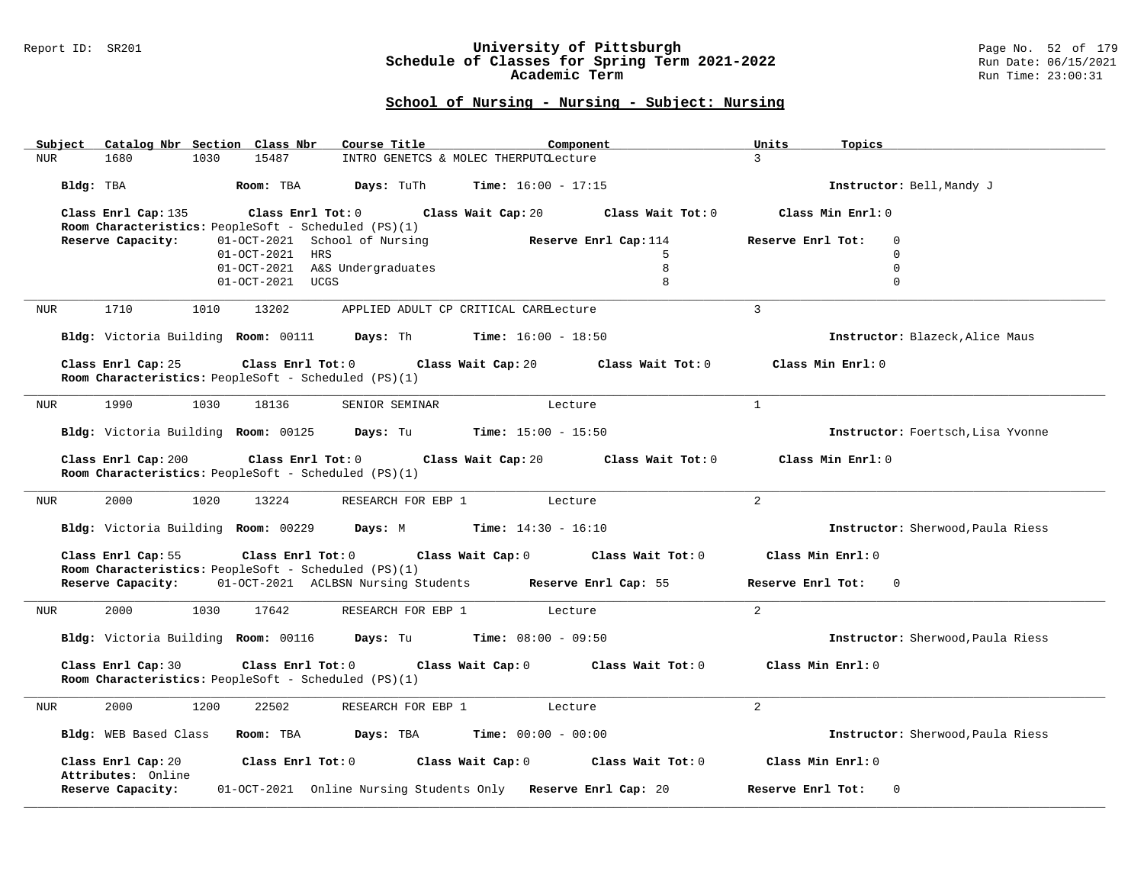#### Report ID: SR201 **University of Pittsburgh** Page No. 52 of 179 **Schedule of Classes for Spring Term 2021-2022** Run Date: 06/15/2021 **Academic Term** Run Time: 23:00:31

| Subject Catalog Nbr Section Class Nbr                                                            | Course Title<br>Component                                                  | Units<br>Topics                     |
|--------------------------------------------------------------------------------------------------|----------------------------------------------------------------------------|-------------------------------------|
| <b>NUR</b><br>1680<br>1030<br>15487                                                              | INTRO GENETCS & MOLEC THERPUTCLecture                                      | $\mathcal{L}$                       |
| Bldg: TBA<br>Room: TBA                                                                           | Days: TuTh<br><b>Time:</b> $16:00 - 17:15$                                 | Instructor: Bell, Mandy J           |
| Class Enrl Cap: 135<br>Room Characteristics: PeopleSoft - Scheduled (PS)(1)                      | Class Enrl Tot: 0 Class Wait Cap: 20<br>Class Wait Tot: 0                  | Class Min Enrl: 0                   |
| Reserve Capacity:<br>01-OCT-2021                                                                 | School of Nursing<br>Reserve Enrl Cap: 114                                 | Reserve Enrl Tot:<br>$\Omega$       |
| $01-OCT-2021$                                                                                    | 5<br>HRS                                                                   | $\Omega$                            |
|                                                                                                  | 8<br>01-OCT-2021 A&S Undergraduates                                        | $\mathbf 0$                         |
| $01-0CT-2021$ UCGS                                                                               | 8                                                                          | $\mathbf 0$                         |
| 1710<br>1010<br>13202<br>NUR                                                                     | APPLIED ADULT CP CRITICAL CARELecture                                      | $\mathbf{3}$                        |
| Bldg: Victoria Building Room: 00111 Days: Th                                                     | $Time: 16:00 - 18:50$                                                      | Instructor: Blazeck, Alice Maus     |
| Class Enrl Cap: 25<br>Class Enrl Tot: 0<br>Room Characteristics: PeopleSoft - Scheduled (PS)(1)  | Class Wait Cap: 20<br>Class Wait Tot: 0                                    | Class Min Enrl: 0                   |
| <b>NUR</b><br>1990<br>1030<br>18136                                                              | SENIOR SEMINAR<br>Lecture                                                  | $\mathbf{1}$                        |
| Bldg: Victoria Building Room: 00125                                                              | <b>Days:</b> Tu <b>Time:</b> $15:00 - 15:50$                               | Instructor: Foertsch, Lisa Yvonne   |
| Class Enrl Cap: 200<br>Class Enrl Tot: 0<br>Room Characteristics: PeopleSoft - Scheduled (PS)(1) | Class Wait Cap: 20                                                         | Class Wait Tot: 0 Class Min Enrl: 0 |
| 2000<br>1020<br>13224<br>NUR                                                                     | RESEARCH FOR EBP 1<br>Lecture                                              | $\overline{2}$                      |
| Bldg: Victoria Building Room: 00229                                                              | <b>Days:</b> M <b>Time:</b> $14:30 - 16:10$                                | Instructor: Sherwood, Paula Riess   |
| Class Enrl Cap: 55<br>Room Characteristics: PeopleSoft - Scheduled (PS)(1)                       | $Class$ $Enrl$ $Tot: 0$<br>Class Wait Cap: 0 Class Wait Tot: 0             | Class Min Enrl: 0                   |
|                                                                                                  | Reserve Capacity: 01-OCT-2021 ACLBSN Nursing Students Reserve Enrl Cap: 55 | Reserve Enrl Tot:<br>$\overline{0}$ |
| 17642<br>2000<br>1030<br>NUR                                                                     | RESEARCH FOR EBP 1<br>Lecture                                              | 2                                   |
|                                                                                                  | Bldg: Victoria Building Room: 00116 Days: Tu Time: 08:00 - 09:50           | Instructor: Sherwood, Paula Riess   |
| Class Enrl Cap: 30<br>Room Characteristics: PeopleSoft - Scheduled (PS)(1)                       | $Class$ $Enrl$ $Tot: 0$<br>Class Wait Cap: 0<br>Class Wait Tot: 0          | Class Min Enrl: 0                   |
| 2000<br><b>NUR</b><br>1200<br>22502                                                              | RESEARCH FOR EBP 1<br>Lecture                                              | 2                                   |
| Bldg: WEB Based Class<br>Room: TBA                                                               | <b>Time:</b> $00:00 - 00:00$<br>Days: TBA                                  | Instructor: Sherwood, Paula Riess   |
| Class Enrl Cap: 20<br>Attributes: Online                                                         | Class Wait Cap: 0<br>Class Wait Tot: 0<br>Class Enrl Tot: 0                | Class Min Enrl: 0                   |
| Reserve Capacity:                                                                                | 01-OCT-2021 Online Nursing Students Only Reserve Enrl Cap: 20              | Reserve Enrl Tot:<br>0              |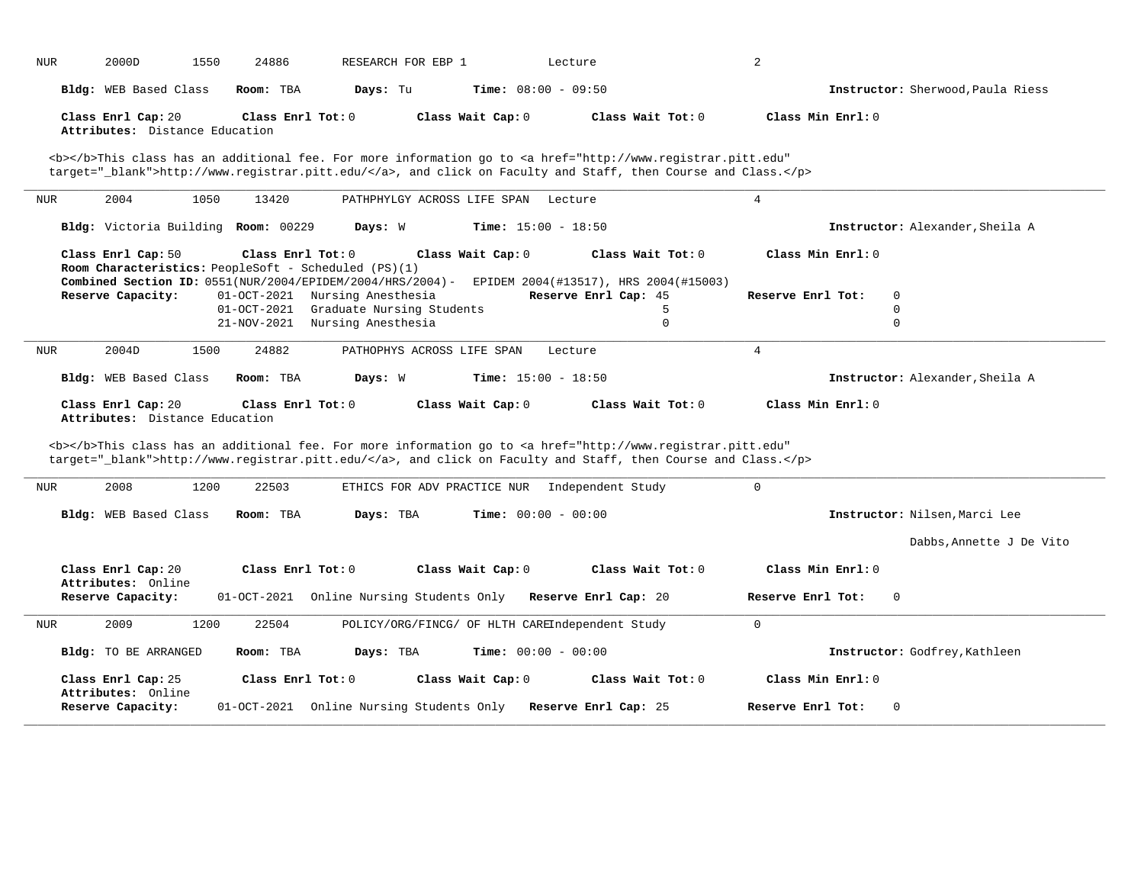| 2000D<br><b>NUR</b>                                  | 1550<br>24886<br>RESEARCH FOR EBP 1                                                                                          | Lecture                                                                                                                                                                                                                            | $\overline{a}$                    |  |  |  |  |  |
|------------------------------------------------------|------------------------------------------------------------------------------------------------------------------------------|------------------------------------------------------------------------------------------------------------------------------------------------------------------------------------------------------------------------------------|-----------------------------------|--|--|--|--|--|
| Bldg: WEB Based Class                                | Room: TBA<br>Days: Tu                                                                                                        | <b>Time:</b> $08:00 - 09:50$                                                                                                                                                                                                       | Instructor: Sherwood, Paula Riess |  |  |  |  |  |
| Class Enrl Cap: 20<br>Attributes: Distance Education | Class Enrl Tot: $0$                                                                                                          | Class Wait Cap: 0<br>Class Wait $Tot: 0$                                                                                                                                                                                           | Class Min Enrl: 0                 |  |  |  |  |  |
|                                                      | <b></b> This class has an additional fee. For more information go to <a <="" href="http://www.registrar.pitt.edu" td=""></a> |                                                                                                                                                                                                                                    |                                   |  |  |  |  |  |
|                                                      |                                                                                                                              | target="_blank">http://www.registrar.pitt.edu/, and click on Faculty and Staff, then Course and Class.                                                                                                                             |                                   |  |  |  |  |  |
| 2004<br>NUR                                          | 1050<br>13420<br>PATHPHYLGY ACROSS LIFE SPAN                                                                                 | Lecture                                                                                                                                                                                                                            | $\overline{4}$                    |  |  |  |  |  |
| Bldg: Victoria Building Room: 00229                  | Days: W                                                                                                                      | <b>Time:</b> $15:00 - 18:50$                                                                                                                                                                                                       | Instructor: Alexander, Sheila A   |  |  |  |  |  |
| Class Enrl Cap: 50                                   | Class Enrl Tot: 0<br>Room Characteristics: PeopleSoft - Scheduled (PS)(1)                                                    | Class Wait Cap: 0<br>Class Wait Tot: 0                                                                                                                                                                                             | Class Min Enrl: 0                 |  |  |  |  |  |
| Reserve Capacity:                                    | 01-OCT-2021 Nursing Anesthesia                                                                                               | Combined Section ID: 0551(NUR/2004/EPIDEM/2004/HRS/2004) - EPIDEM 2004(#13517), HRS 2004(#15003)<br>Reserve Enrl Cap: 45                                                                                                           | $\Omega$<br>Reserve Enrl Tot:     |  |  |  |  |  |
|                                                      | 01-OCT-2021 Graduate Nursing Students                                                                                        | 5                                                                                                                                                                                                                                  | $\Omega$                          |  |  |  |  |  |
|                                                      | 21-NOV-2021 Nursing Anesthesia                                                                                               | $\Omega$                                                                                                                                                                                                                           | $\Omega$                          |  |  |  |  |  |
| 2004D<br><b>NUR</b>                                  | 1500<br>24882<br>PATHOPHYS ACROSS LIFE SPAN                                                                                  | Lecture                                                                                                                                                                                                                            | $\overline{4}$                    |  |  |  |  |  |
| Bldg: WEB Based Class                                | Room: TBA<br>Days: W                                                                                                         | <b>Time:</b> $15:00 - 18:50$                                                                                                                                                                                                       | Instructor: Alexander, Sheila A   |  |  |  |  |  |
| Class Enrl Cap: 20                                   | Class Enrl Tot: 0                                                                                                            | Class Wait Cap: 0<br>Class Wait Tot: 0                                                                                                                                                                                             | Class Min Enrl: 0                 |  |  |  |  |  |
| Attributes: Distance Education                       |                                                                                                                              |                                                                                                                                                                                                                                    |                                   |  |  |  |  |  |
|                                                      |                                                                                                                              | <b></b> This class has an additional fee. For more information go to <a <br="" href="http://www.registrar.pitt.edu">target="_blank"&gt;http://www.registrar.pitt.edu/</a> , and click on Faculty and Staff, then Course and Class. |                                   |  |  |  |  |  |
|                                                      |                                                                                                                              |                                                                                                                                                                                                                                    |                                   |  |  |  |  |  |
| 2008<br><b>NUR</b>                                   | 22503<br>1200                                                                                                                | ETHICS FOR ADV PRACTICE NUR Independent Study                                                                                                                                                                                      | $\mathbf 0$                       |  |  |  |  |  |
| Bldg: WEB Based Class                                | Room: TBA<br>Days: TBA                                                                                                       | <b>Time:</b> $00:00 - 00:00$                                                                                                                                                                                                       | Instructor: Nilsen, Marci Lee     |  |  |  |  |  |
|                                                      |                                                                                                                              |                                                                                                                                                                                                                                    | Dabbs, Annette J De Vito          |  |  |  |  |  |
| Class Enrl Cap: 20                                   | Class Enrl Tot: 0                                                                                                            | Class Wait Cap: 0<br>Class Wait Tot: 0                                                                                                                                                                                             | Class Min Enrl: 0                 |  |  |  |  |  |
| Reserve Capacity:                                    | 01-OCT-2021 Online Nursing Students Only Reserve Enrl Cap: 20                                                                |                                                                                                                                                                                                                                    | Reserve Enrl Tot:<br>$\Omega$     |  |  |  |  |  |
| 2009<br>NUR                                          | 1200<br>22504                                                                                                                | POLICY/ORG/FINCG/ OF HLTH CAREIndependent Study                                                                                                                                                                                    | $\Omega$                          |  |  |  |  |  |
| <b>Bldg:</b> TO BE ARRANGED                          | Room: TBA<br>Days: TBA                                                                                                       | <b>Time:</b> $00:00 - 00:00$                                                                                                                                                                                                       | Instructor: Godfrey, Kathleen     |  |  |  |  |  |
| Class Enrl Cap: 25                                   | Class Enrl Tot: 0                                                                                                            | Class Wait Cap: 0<br>Class Wait $Tot: 0$                                                                                                                                                                                           | Class Min Enrl: 0                 |  |  |  |  |  |
| Reserve Capacity:                                    | 01-OCT-2021 Online Nursing Students Only                                                                                     | Reserve Enrl Cap: 25                                                                                                                                                                                                               | Reserve Enrl Tot:<br>$\Omega$     |  |  |  |  |  |
| Attributes: Online<br>Attributes: Online             |                                                                                                                              |                                                                                                                                                                                                                                    |                                   |  |  |  |  |  |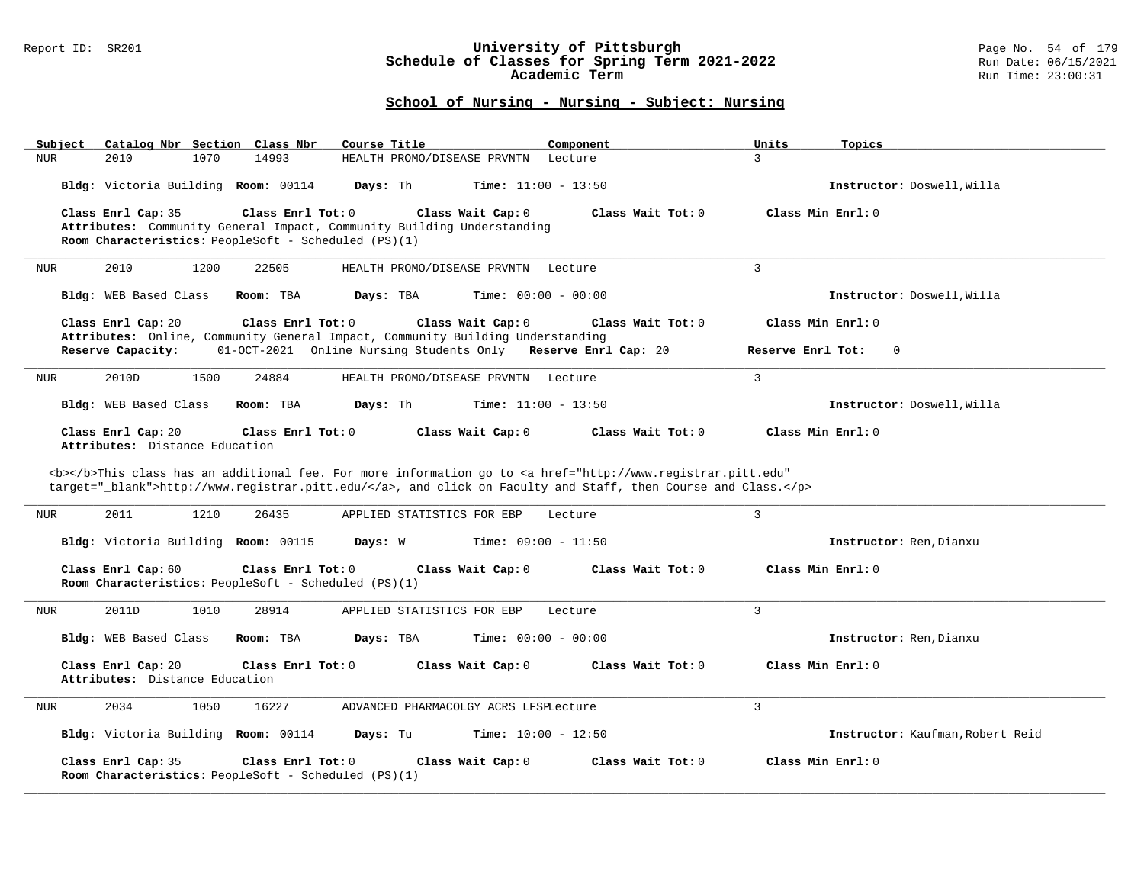#### Report ID: SR201 **University of Pittsburgh** Page No. 54 of 179 **Schedule of Classes for Spring Term 2021-2022** Run Date: 06/15/2021 **Academic Term** Run Time: 23:00:31

| Catalog Nbr Section Class Nbr<br>Subject                                   | Course Title                                                                                                                                                                                                                       | Units<br>Component        | Topics                           |
|----------------------------------------------------------------------------|------------------------------------------------------------------------------------------------------------------------------------------------------------------------------------------------------------------------------------|---------------------------|----------------------------------|
| 14993<br><b>NUR</b><br>2010<br>1070                                        | HEALTH PROMO/DISEASE PRVNTN                                                                                                                                                                                                        | 3<br>Lecture              |                                  |
| Bldg: Victoria Building Room: 00114                                        | <b>Time:</b> $11:00 - 13:50$<br>Days: Th                                                                                                                                                                                           |                           | Instructor: Doswell, Willa       |
| Class Enrl Cap: 35<br>Room Characteristics: PeopleSoft - Scheduled (PS)(1) | Class Enrl Tot: $0$<br>Class Wait Cap: 0<br>Attributes: Community General Impact, Community Building Understanding                                                                                                                 | Class Wait Tot: 0         | Class Min Enrl: 0                |
| 2010<br>1200<br>22505<br><b>NUR</b>                                        | HEALTH PROMO/DISEASE PRVNTN                                                                                                                                                                                                        | $\overline{3}$<br>Lecture |                                  |
| Bldg: WEB Based Class<br>Room: TBA                                         | Days: TBA<br><b>Time:</b> $00:00 - 00:00$                                                                                                                                                                                          |                           | Instructor: Doswell, Willa       |
| Class Enrl Cap: 20                                                         | Class Enrl Tot: 0<br>Class Wait Cap: 0                                                                                                                                                                                             | Class Wait $Tot: 0$       | Class Min $Err1:0$               |
| Reserve Capacity:                                                          | Attributes: Online, Community General Impact, Community Building Understanding<br>01-OCT-2021 Online Nursing Students Only Reserve Enrl Cap: 20                                                                                    |                           | Reserve Enrl Tot:<br>$\mathbf 0$ |
| 2010D<br>1500<br>24884<br>NUR                                              | HEALTH PROMO/DISEASE PRVNTN Lecture                                                                                                                                                                                                | 3                         |                                  |
| Bldg: WEB Based Class<br>Room: TBA                                         | Days: Th<br><b>Time:</b> $11:00 - 13:50$                                                                                                                                                                                           |                           | Instructor: Doswell, Willa       |
| Class Enrl Cap: 20<br>Attributes: Distance Education                       | Class Wait Cap: 0<br>Class Enrl Tot: 0                                                                                                                                                                                             | Class Wait Tot: 0         | Class Min Enrl: 0                |
|                                                                            |                                                                                                                                                                                                                                    |                           |                                  |
|                                                                            | <b></b> This class has an additional fee. For more information go to <a <br="" href="http://www.registrar.pitt.edu">target="_blank"&gt;http://www.registrar.pitt.edu/</a> , and click on Faculty and Staff, then Course and Class. |                           |                                  |
|                                                                            |                                                                                                                                                                                                                                    |                           |                                  |
| 2011<br>1210<br>26435<br>NUR                                               | APPLIED STATISTICS FOR EBP                                                                                                                                                                                                         | 3<br>Lecture              |                                  |
| Bldg: Victoria Building Room: 00115                                        | <b>Time:</b> $09:00 - 11:50$<br>Days: W                                                                                                                                                                                            |                           | Instructor: Ren, Dianxu          |
| Class Enrl Cap: 60<br>Room Characteristics: PeopleSoft - Scheduled (PS)(1) | Class Enrl Tot: 0<br>Class Wait Cap: 0                                                                                                                                                                                             | Class Wait Tot: 0         | Class Min Enrl: 0                |
|                                                                            |                                                                                                                                                                                                                                    |                           |                                  |
| <b>NUR</b><br>2011D<br>1010<br>28914                                       | APPLIED STATISTICS FOR EBP                                                                                                                                                                                                         | 3<br>Lecture              |                                  |
| Bldg: WEB Based Class<br>Room: TBA                                         | Days: TBA<br><b>Time:</b> $00:00 - 00:00$                                                                                                                                                                                          |                           | Instructor: Ren, Dianxu          |
| Class Enrl Cap: 20<br>Attributes: Distance Education                       | Class Enrl Tot: 0<br>Class Wait Cap: 0                                                                                                                                                                                             | Class Wait Tot: 0         | Class Min Enrl: 0                |
| 2034<br>1050<br>16227<br>NUR                                               | ADVANCED PHARMACOLGY ACRS LFSPLecture                                                                                                                                                                                              | 3                         |                                  |
| Bldg: Victoria Building Room: 00114                                        | Days: Tu<br><b>Time:</b> $10:00 - 12:50$                                                                                                                                                                                           |                           | Instructor: Kaufman, Robert Reid |
| Class Enrl Cap: 35<br>Room Characteristics: PeopleSoft - Scheduled (PS)(1) | Class Enrl Tot: $0$<br>Class Wait Cap: 0                                                                                                                                                                                           | Class Wait Tot: 0         | Class Min Enrl: 0                |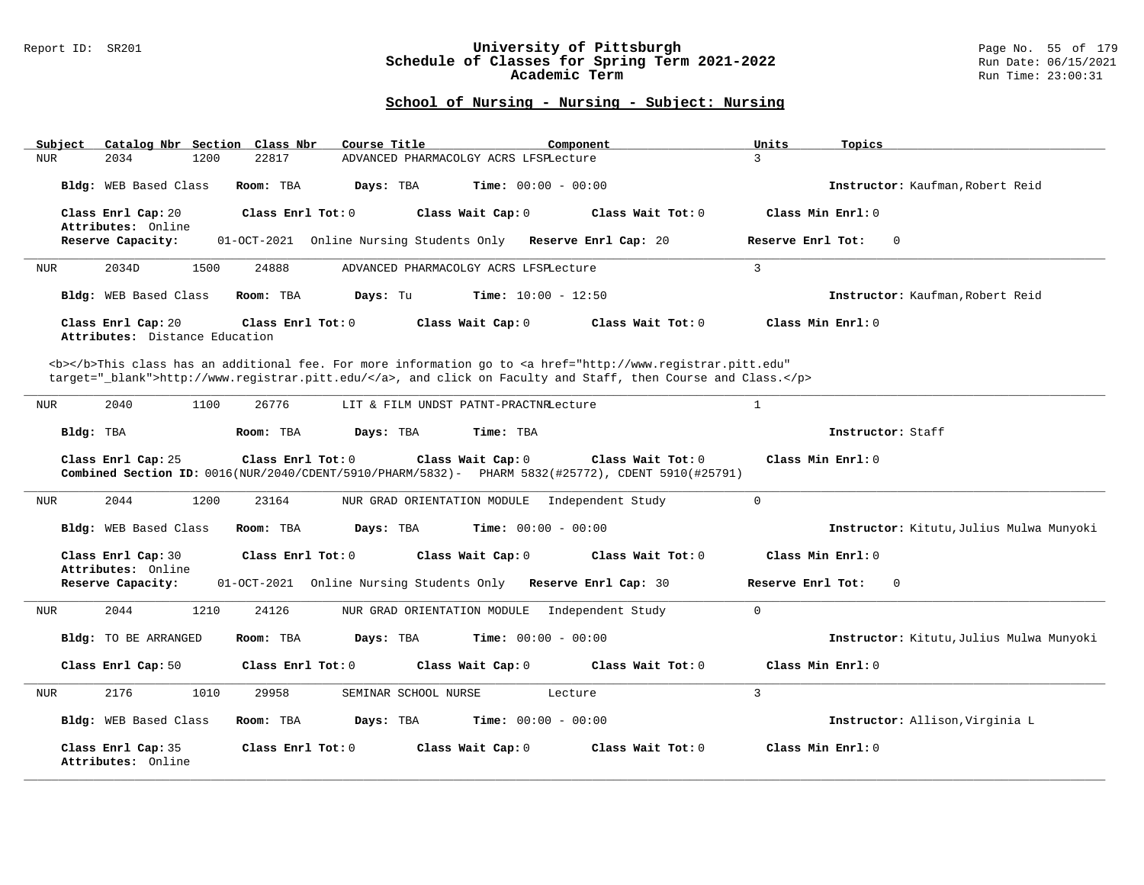#### Report ID: SR201 **University of Pittsburgh** Page No. 55 of 179 **Schedule of Classes for Spring Term 2021-2022** Run Date: 06/15/2021 **Academic Term** Run Time: 23:00:31

| Catalog Nbr Section Class Nbr<br>Subject                                  | Course Title<br>Component                                                                                                                   | Units<br>Topics                          |
|---------------------------------------------------------------------------|---------------------------------------------------------------------------------------------------------------------------------------------|------------------------------------------|
| 22817<br><b>NUR</b><br>2034<br>1200                                       | ADVANCED PHARMACOLGY ACRS LFSPLecture                                                                                                       | 3                                        |
| Bldg: WEB Based Class<br>Room: TBA                                        | <b>Time:</b> $00:00 - 00:00$<br>Days: TBA                                                                                                   | Instructor: Kaufman, Robert Reid         |
| Class Enrl Cap: 20<br>Class Enrl Tot: 0<br>Attributes: Online             | Class Wait Cap: 0<br>Class Wait Tot: 0                                                                                                      | Class Min Enrl: 0                        |
| Reserve Capacity:<br>01-OCT-2021                                          | Online Nursing Students Only Reserve Enrl Cap: 20                                                                                           | Reserve Enrl Tot:<br>$\Omega$            |
| 2034D<br>1500<br>24888<br>NUR                                             | ADVANCED PHARMACOLGY ACRS LFSPLecture                                                                                                       | $\overline{3}$                           |
| Bldg: WEB Based Class<br>Room: TBA                                        | Days: Tu<br>Time: $10:00 - 12:50$                                                                                                           | Instructor: Kaufman, Robert Reid         |
| Class Enrl Cap: 20<br>Class Enrl Tot: 0<br>Attributes: Distance Education | Class Wait Cap: 0<br>Class Wait Tot: 0                                                                                                      | Class Min Enrl: 0                        |
|                                                                           | <b></b> This class has an additional fee. For more information go to <a <="" href="http://www.registrar.pitt.edu" td=""><td></td></a>       |                                          |
|                                                                           | target="_blank">http://www.registrar.pitt.edu/, and click on Faculty and Staff, then Course and Class.                                      |                                          |
| 2040<br>1100<br>26776<br><b>NUR</b>                                       | LIT & FILM UNDST PATNT-PRACTNRLecture                                                                                                       | 1                                        |
| Bldg: TBA<br>Room: TBA                                                    | Days: TBA<br>Time: TBA                                                                                                                      | Instructor: Staff                        |
| Class Enrl Cap: 25<br>Class Enrl Tot: 0                                   | Class Wait Cap: 0<br>Class Wait Tot: 0<br>Combined Section ID: 0016(NUR/2040/CDENT/5910/PHARM/5832)- PHARM 5832(#25772), CDENT 5910(#25791) | Class Min Enrl: 0                        |
| 2044<br>1200<br>23164<br><b>NUR</b>                                       | NUR GRAD ORIENTATION MODULE Independent Study                                                                                               | $\mathbf 0$                              |
| Bldg: WEB Based Class<br>Room: TBA                                        | <b>Time:</b> $00:00 - 00:00$<br>Days: TBA                                                                                                   | Instructor: Kitutu, Julius Mulwa Munyoki |
| Class Enrl Cap: 30<br>Class Enrl Tot: 0                                   | Class Wait Cap: 0<br>Class Wait Tot: 0                                                                                                      | Class Min Enrl: 0                        |
| Attributes: Online<br>Reserve Capacity:                                   | 01-OCT-2021 Online Nursing Students Only Reserve Enrl Cap: 30                                                                               | Reserve Enrl Tot:<br>$\mathbf 0$         |
| 2044<br>1210<br>24126<br><b>NUR</b>                                       | NUR GRAD ORIENTATION MODULE<br>Independent Study                                                                                            | $\Omega$                                 |
| Bldg: TO BE ARRANGED<br>Room: TBA                                         | Days: TBA<br><b>Time:</b> $00:00 - 00:00$                                                                                                   | Instructor: Kitutu, Julius Mulwa Munyoki |
| Class Enrl Cap: 50<br>Class Enrl Tot: 0                                   | Class Wait Cap: 0<br>Class Wait Tot: 0                                                                                                      | Class Min Enrl: 0                        |
| 2176<br>1010<br>29958<br><b>NUR</b>                                       | SEMINAR SCHOOL NURSE<br>Lecture                                                                                                             | 3                                        |
| Bldg: WEB Based Class<br>Room: TBA                                        | <b>Time:</b> $00:00 - 00:00$<br>Days: TBA                                                                                                   | Instructor: Allison, Virginia L          |
| Class Enrl Cap: 35<br>Class Enrl Tot: 0<br>Attributes: Online             | Class Wait Cap: 0<br>Class Wait Tot: 0                                                                                                      | Class Min Enrl: 0                        |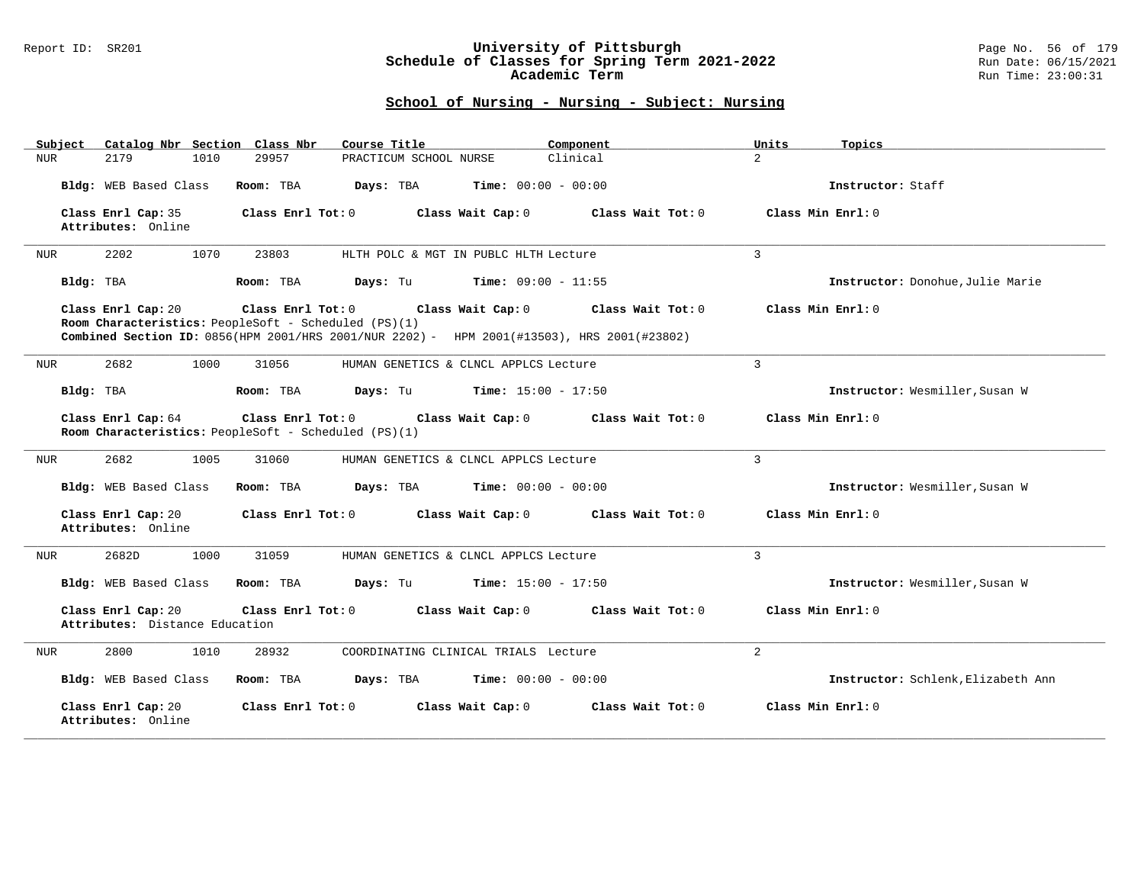#### Report ID: SR201 **University of Pittsburgh** Page No. 56 of 179 **Schedule of Classes for Spring Term 2021-2022** Run Date: 06/15/2021 **Academic Term** Run Time: 23:00:31

| Catalog Nbr Section Class Nbr<br>Subject                                                                                           | Course Title                                                                                                    | Component                  | Units<br>Topics                    |
|------------------------------------------------------------------------------------------------------------------------------------|-----------------------------------------------------------------------------------------------------------------|----------------------------|------------------------------------|
| 29957<br>2179<br>1010<br>NUR                                                                                                       | PRACTICUM SCHOOL NURSE                                                                                          | $\overline{a}$<br>Clinical |                                    |
| Bldg: WEB Based Class<br>Room: TBA                                                                                                 | <b>Time:</b> $00:00 - 00:00$<br>Days: TBA                                                                       |                            | Instructor: Staff                  |
| Class Enrl Cap: 35<br>Attributes: Online                                                                                           | Class Enrl Tot: 0<br>Class Wait Cap: 0                                                                          | Class Wait Tot: 0          | Class Min Enrl: 0                  |
| 2202<br>1070<br>23803<br>NUR                                                                                                       | HLTH POLC & MGT IN PUBLC HLTH Lecture                                                                           | $\overline{3}$             |                                    |
| Bldg: TBA<br>Room: TBA                                                                                                             | <b>Time:</b> $09:00 - 11:55$<br>Days: Tu                                                                        |                            | Instructor: Donohue, Julie Marie   |
| Class Enrl Cap: 20<br>$\texttt{Class}$ $\texttt{Enrl}$ $\texttt{Tot:}$ $0$<br>Room Characteristics: PeopleSoft - Scheduled (PS)(1) | Class Wait Cap: 0<br>Combined Section ID: 0856(HPM 2001/HRS 2001/NUR 2202) - HPM 2001(#13503), HRS 2001(#23802) | Class Wait Tot: 0          | Class Min Enrl: 0                  |
| 2682<br>1000<br>31056<br>NUR                                                                                                       | HUMAN GENETICS & CLNCL APPLCS Lecture                                                                           | $\mathbf{3}$               |                                    |
| Bldg: TBA<br>Room: TBA                                                                                                             | Days: Tu<br>$Time: 15:00 - 17:50$                                                                               |                            | Instructor: Wesmiller, Susan W     |
| Class Enrl Cap: 64<br>Room Characteristics: PeopleSoft - Scheduled (PS)(1)                                                         | Class Enrl Tot: 0<br>Class Wait Cap: 0                                                                          | Class Wait Tot: 0          | Class Min Enrl: 0                  |
| 2682<br>1005<br>31060<br>NUR                                                                                                       | HUMAN GENETICS & CLNCL APPLCS Lecture                                                                           | 3                          |                                    |
| Bldg: WEB Based Class<br>Room: TBA                                                                                                 | <b>Time:</b> $00:00 - 00:00$<br>Days: TBA                                                                       |                            | Instructor: Wesmiller, Susan W     |
| Class Enrl Cap: 20<br>Attributes: Online                                                                                           | Class Enrl Tot: 0<br>Class Wait Cap: 0                                                                          | Class Wait Tot: 0          | Class Min Enrl: 0                  |
| 2682D<br>1000<br>31059<br>NUR                                                                                                      | HUMAN GENETICS & CLNCL APPLCS Lecture                                                                           | $\mathbf{3}$               |                                    |
| Bldg: WEB Based Class<br>Room: TBA                                                                                                 | Days: Tu<br><b>Time:</b> $15:00 - 17:50$                                                                        |                            | Instructor: Wesmiller, Susan W     |
| Class Enrl Cap: 20<br>Attributes: Distance Education                                                                               | Class Wait Cap: 0<br>Class Enrl Tot: 0                                                                          | Class Wait Tot: 0          | Class Min Enrl: 0                  |
| 2800<br>1010<br>28932<br>NUR                                                                                                       | COORDINATING CLINICAL TRIALS Lecture                                                                            | $\overline{2}$             |                                    |
| Bldg: WEB Based Class<br>Room: TBA                                                                                                 | <b>Time:</b> $00:00 - 00:00$<br>Days: TBA                                                                       |                            | Instructor: Schlenk, Elizabeth Ann |
| Class Enrl Cap: 20<br>Attributes: Online                                                                                           | Class Enrl Tot: 0<br>Class Wait Cap: 0                                                                          | Class Wait Tot: 0          | Class Min Enrl: 0                  |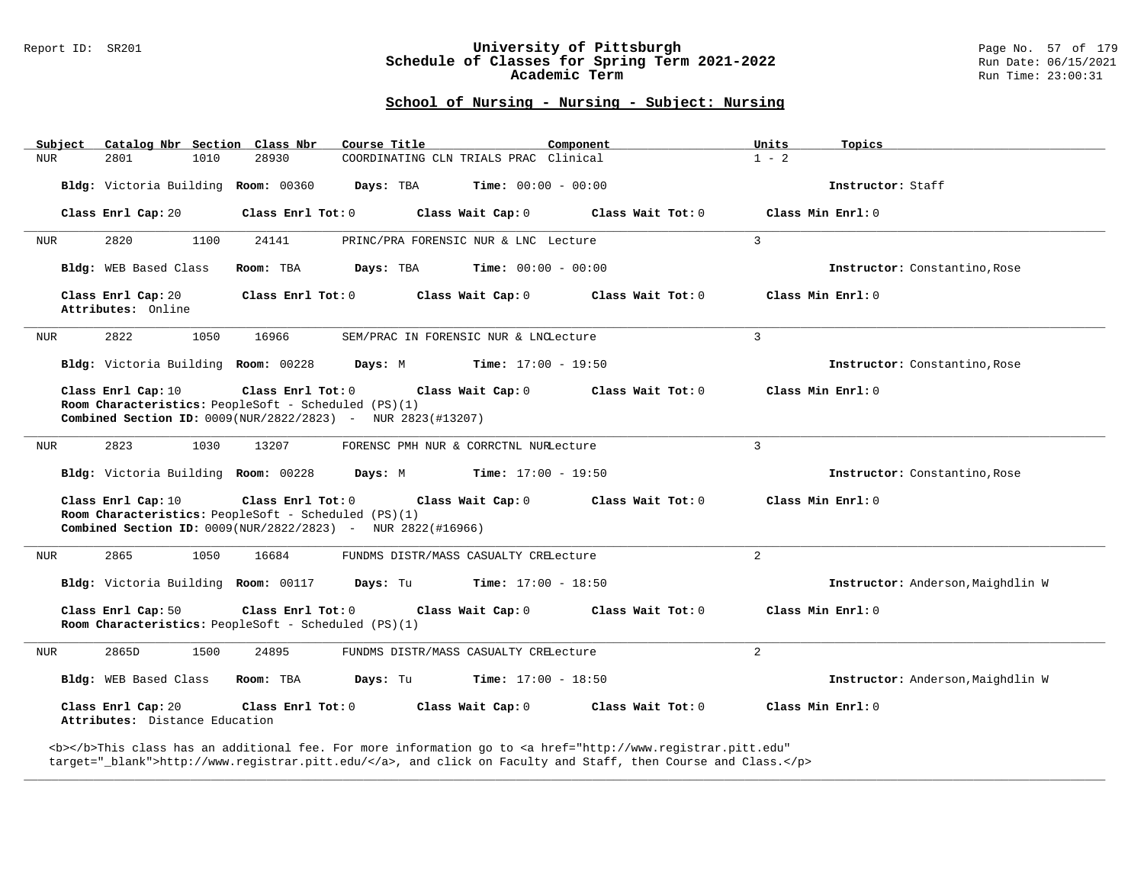#### Report ID: SR201 **University of Pittsburgh** Page No. 57 of 179 **Schedule of Classes for Spring Term 2021-2022** Run Date: 06/15/2021 **Academic Term** Run Time: 23:00:31

# **School of Nursing - Nursing - Subject: Nursing**

| Subject | Catalog Nbr Section Class Nbr                                                                                                                    |                   | Course Title                                                                                           |                              | Component                                                                                                                                      | Units          | Topics                            |
|---------|--------------------------------------------------------------------------------------------------------------------------------------------------|-------------------|--------------------------------------------------------------------------------------------------------|------------------------------|------------------------------------------------------------------------------------------------------------------------------------------------|----------------|-----------------------------------|
| NUR     | 2801<br>1010                                                                                                                                     | 28930             | COORDINATING CLN TRIALS PRAC Clinical                                                                  |                              |                                                                                                                                                | $1 - 2$        |                                   |
|         | Bldg: Victoria Building Room: 00360                                                                                                              |                   | Days: TBA                                                                                              | <b>Time:</b> $00:00 - 00:00$ |                                                                                                                                                |                | Instructor: Staff                 |
|         | Class Enrl Cap: 20                                                                                                                               | Class Enrl Tot: 0 |                                                                                                        | Class Wait Cap: 0            | Class Wait Tot: 0                                                                                                                              |                | Class Min Enrl: 0                 |
| NUR     | 2820<br>1100                                                                                                                                     | 24141             | PRINC/PRA FORENSIC NUR & LNC Lecture                                                                   |                              |                                                                                                                                                | 3              |                                   |
|         | Bldg: WEB Based Class                                                                                                                            | Room: TBA         | Days: TBA                                                                                              | <b>Time:</b> $00:00 - 00:00$ |                                                                                                                                                |                | Instructor: Constantino, Rose     |
|         | Class Enrl Cap: 20<br>Attributes: Online                                                                                                         | Class Enrl Tot: 0 |                                                                                                        | Class Wait Cap: 0            | Class Wait Tot: 0                                                                                                                              |                | Class Min Enrl: 0                 |
| NUR     | 2822<br>1050                                                                                                                                     | 16966             | SEM/PRAC IN FORENSIC NUR & LNCLecture                                                                  |                              |                                                                                                                                                | $\overline{3}$ |                                   |
|         | Bldg: Victoria Building Room: 00228                                                                                                              |                   | Days: M                                                                                                | <b>Time:</b> $17:00 - 19:50$ |                                                                                                                                                |                | Instructor: Constantino, Rose     |
|         | Class Enrl Cap: 10<br>Room Characteristics: PeopleSoft - Scheduled (PS)(1)<br><b>Combined Section ID:</b> 0009(NUR/2822/2823) - NUR 2823(#13207) | Class Enrl Tot: 0 |                                                                                                        | Class Wait Cap: 0            | Class Wait Tot: 0                                                                                                                              |                | Class Min Enrl: 0                 |
| NUR     | 2823<br>1030                                                                                                                                     | 13207             | FORENSC PMH NUR & CORRCTNL NURLecture                                                                  |                              |                                                                                                                                                | 3              |                                   |
|         | Bldg: Victoria Building Room: 00228                                                                                                              |                   | Days: M                                                                                                | $Time: 17:00 - 19:50$        |                                                                                                                                                |                | Instructor: Constantino, Rose     |
|         | Class Enrl Cap: 10<br>Room Characteristics: PeopleSoft - Scheduled (PS)(1)<br><b>Combined Section ID:</b> 0009(NUR/2822/2823) - NUR 2822(#16966) | Class Enrl Tot: 0 |                                                                                                        | Class Wait Cap: 0            | Class Wait Tot: 0                                                                                                                              |                | Class Min Enrl: 0                 |
| NUR     | 2865<br>1050                                                                                                                                     | 16684             | FUNDMS DISTR/MASS CASUALTY CRELecture                                                                  |                              |                                                                                                                                                | $\overline{2}$ |                                   |
|         | Bldg: Victoria Building Room: 00117                                                                                                              |                   | Days: Tu                                                                                               | <b>Time:</b> $17:00 - 18:50$ |                                                                                                                                                |                | Instructor: Anderson, Maighdlin W |
|         | Class Enrl Cap: 50<br>Room Characteristics: PeopleSoft - Scheduled (PS)(1)                                                                       | Class Enrl Tot: 0 |                                                                                                        | Class Wait Cap: 0            | Class Wait Tot: 0                                                                                                                              |                | Class Min Enrl: 0                 |
| NUR     | 2865D<br>1500                                                                                                                                    | 24895             | FUNDMS DISTR/MASS CASUALTY CRELecture                                                                  |                              |                                                                                                                                                | $\overline{2}$ |                                   |
|         | Bldg: WEB Based Class                                                                                                                            | Room: TBA         | Days: Tu                                                                                               | <b>Time:</b> $17:00 - 18:50$ |                                                                                                                                                |                | Instructor: Anderson, Maighdlin W |
|         | Class Enrl Cap: 20<br>Attributes: Distance Education                                                                                             | Class Enrl Tot: 0 |                                                                                                        | Class Wait Cap: 0            | Class Wait Tot: 0                                                                                                                              |                | Class Min Enrl: 0                 |
|         |                                                                                                                                                  |                   | target="_blank">http://www.registrar.pitt.edu/, and click on Faculty and Staff, then Course and Class. |                              | <b></b> This class has an additional fee. For more information go to <a <="" href="http://www.registrar.pitt.edu" td=""><td></td><td></td></a> |                |                                   |

**\_\_\_\_\_\_\_\_\_\_\_\_\_\_\_\_\_\_\_\_\_\_\_\_\_\_\_\_\_\_\_\_\_\_\_\_\_\_\_\_\_\_\_\_\_\_\_\_\_\_\_\_\_\_\_\_\_\_\_\_\_\_\_\_\_\_\_\_\_\_\_\_\_\_\_\_\_\_\_\_\_\_\_\_\_\_\_\_\_\_\_\_\_\_\_\_\_\_\_\_\_\_\_\_\_\_\_\_\_\_\_\_\_\_\_\_\_\_\_\_\_\_\_\_\_\_\_\_\_\_\_\_\_\_\_\_\_\_\_\_\_\_\_\_\_\_\_\_\_\_\_\_\_\_\_\_**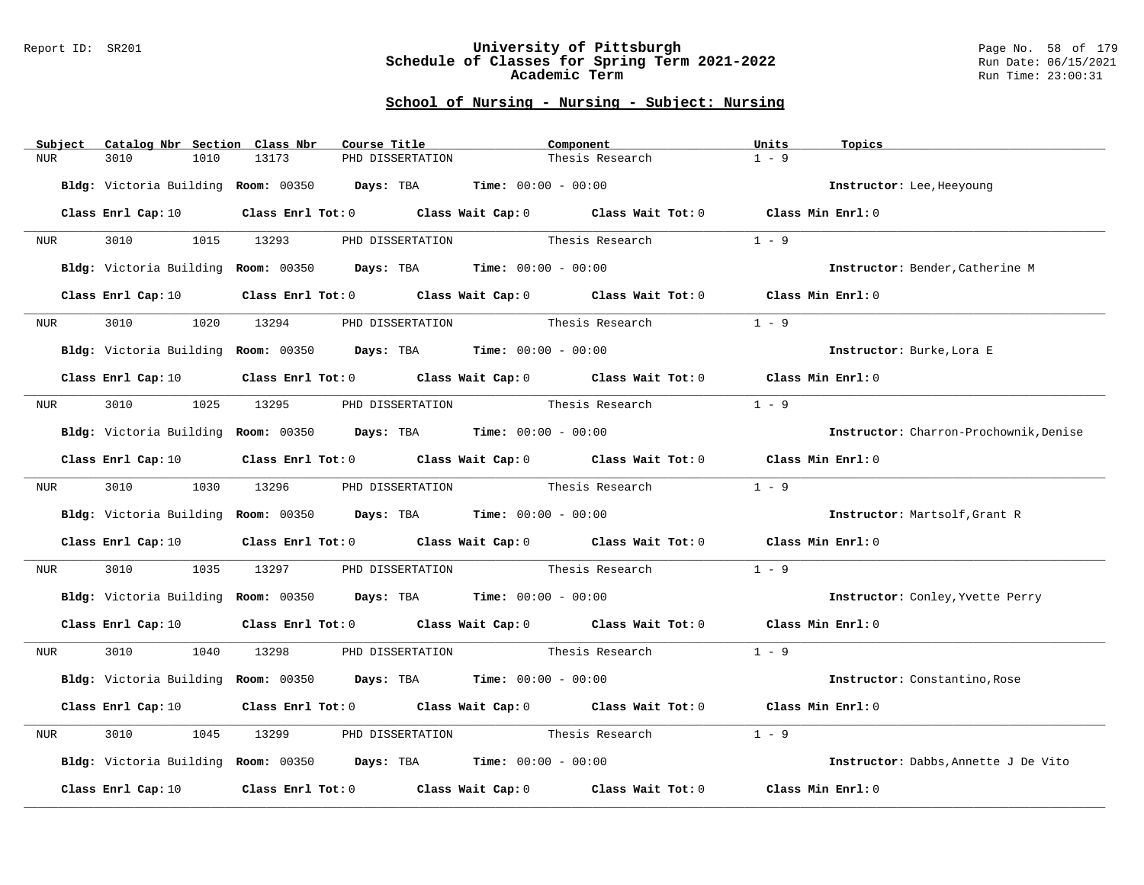#### Report ID: SR201 **University of Pittsburgh** Page No. 58 of 179 **Schedule of Classes for Spring Term 2021-2022** Run Date: 06/15/2021 **Academic Term** Run Time: 23:00:31

| Subject          | Catalog Nbr Section Class Nbr | Course Title                                                      | Component                                                                       | Units<br>Topics                        |
|------------------|-------------------------------|-------------------------------------------------------------------|---------------------------------------------------------------------------------|----------------------------------------|
| NUR.             | 3010<br>1010                  | 13173<br>PHD DISSERTATION                                         | Thesis Research                                                                 | $1 - 9$                                |
|                  |                               | Bldg: Victoria Building Room: 00350 Days: TBA Time: 00:00 - 00:00 |                                                                                 | Instructor: Lee, Heeyoung              |
|                  | Class Enrl Cap: 10            |                                                                   | Class Enrl Tot: 0 Class Wait Cap: 0 Class Wait Tot: 0 Class Min Enrl: 0         |                                        |
| NUR              | 3010 1015 13293               |                                                                   | PHD DISSERTATION Thesis Research                                                | $1 - 9$                                |
|                  |                               | Bldg: Victoria Building Room: 00350 Days: TBA Time: 00:00 - 00:00 |                                                                                 | Instructor: Bender, Catherine M        |
|                  | Class Enrl Cap: 10            |                                                                   | Class Enrl Tot: 0 Class Wait Cap: 0 Class Wait Tot: 0 Class Min Enrl: 0         |                                        |
| NUR              | 3010<br>1020                  | 13294                                                             | PHD DISSERTATION<br>Thesis Research                                             | $1 - 9$                                |
|                  |                               | Bldg: Victoria Building Room: 00350 Days: TBA Time: 00:00 - 00:00 |                                                                                 | Instructor: Burke, Lora E              |
|                  | Class Enrl Cap: 10            |                                                                   | Class Enrl Tot: 0 Class Wait Cap: 0 Class Wait Tot: 0 Class Min Enrl: 0         |                                        |
| NUR              | 3010 1025 13295               |                                                                   | PHD DISSERTATION Thesis Research                                                | $1 - 9$                                |
|                  |                               | Bldg: Victoria Building Room: 00350 Days: TBA Time: 00:00 - 00:00 |                                                                                 | Instructor: Charron-Prochownik, Denise |
|                  | Class Enrl Cap: 10            |                                                                   | Class Enrl Tot: $0$ Class Wait Cap: $0$ Class Wait Tot: $0$ Class Min Enrl: $0$ |                                        |
| NUR <sub>p</sub> | 3010 1030                     |                                                                   |                                                                                 | $1 - 9$                                |
|                  |                               | Bldg: Victoria Building Room: 00350 Days: TBA Time: 00:00 - 00:00 |                                                                                 | Instructor: Martsolf, Grant R          |
|                  | Class Enrl Cap: 10            |                                                                   | Class Enrl Tot: $0$ Class Wait Cap: $0$ Class Wait Tot: $0$                     | Class Min Enrl: 0                      |
| NUR              | 3010 300<br>1035              | 13297                                                             | PHD DISSERTATION Thesis Research                                                | $1 - 9$                                |
|                  |                               | Bldg: Victoria Building Room: 00350 Days: TBA Time: 00:00 - 00:00 |                                                                                 | Instructor: Conley, Yvette Perry       |
|                  | Class Enrl Cap: 10            |                                                                   | Class Enrl Tot: $0$ Class Wait Cap: $0$ Class Wait Tot: $0$ Class Min Enrl: $0$ |                                        |
| NUR              | 3010 1040                     | 13298                                                             | PHD DISSERTATION Thesis Research                                                | $1 - 9$                                |
|                  |                               | Bldg: Victoria Building Room: 00350 Days: TBA Time: 00:00 - 00:00 |                                                                                 | Instructor: Constantino, Rose          |
|                  | Class Enrl Cap: 10            |                                                                   | Class Enrl Tot: 0 Class Wait Cap: 0 Class Wait Tot: 0 Class Min Enrl: 0         |                                        |
| NUR              | 3010<br>1045                  | 13299                                                             | PHD DISSERTATION Thesis Research                                                | $1 - 9$                                |
|                  |                               | Bldg: Victoria Building Room: 00350 Days: TBA Time: 00:00 - 00:00 |                                                                                 | Instructor: Dabbs, Annette J De Vito   |
|                  | Class Enrl Cap: 10            |                                                                   | Class Enrl Tot: $0$ Class Wait Cap: $0$ Class Wait Tot: $0$                     | Class Min Enrl: 0                      |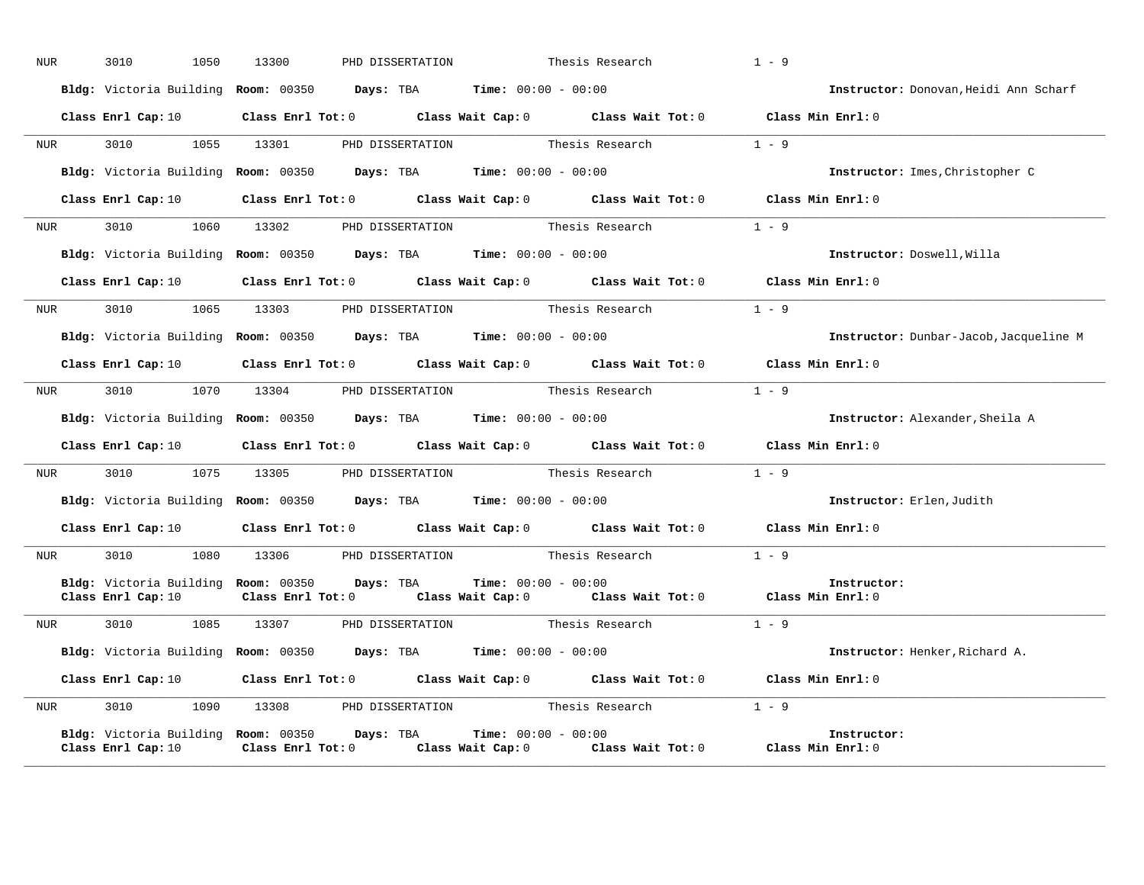| NUR              | 3010<br>1050                                                        | 13300 | PHD DISSERTATION       |                                        | Thesis Research                                        | $1 - 9$                                                                                                           |  |
|------------------|---------------------------------------------------------------------|-------|------------------------|----------------------------------------|--------------------------------------------------------|-------------------------------------------------------------------------------------------------------------------|--|
|                  | Bldg: Victoria Building Room: 00350 Days: TBA Time: 00:00 - 00:00   |       |                        |                                        |                                                        | Instructor: Donovan, Heidi Ann Scharf                                                                             |  |
|                  | Class Enrl Cap: 10                                                  |       |                        |                                        |                                                        | Class Enrl Tot: 0 $\qquad$ Class Wait Cap: 0 $\qquad$ Class Wait Tot: 0 $\qquad$ Class Min Enrl: 0                |  |
| NUR              |                                                                     |       |                        |                                        | 3010 1055 13301 PHD DISSERTATION Thesis Research 1 - 9 |                                                                                                                   |  |
|                  | Bldg: Victoria Building Room: 00350 Days: TBA Time: 00:00 - 00:00   |       |                        |                                        |                                                        | Instructor: Imes, Christopher C                                                                                   |  |
|                  | Class Enrl Cap: 10                                                  |       |                        |                                        |                                                        | Class Enrl Tot: $0$ Class Wait Cap: $0$ Class Wait Tot: $0$ Class Min Enrl: $0$                                   |  |
| NUR              |                                                                     |       |                        |                                        | 3010 1060 13302 PHD DISSERTATION Thesis Research       | $1 - 9$                                                                                                           |  |
|                  | Bldg: Victoria Building Room: 00350 Days: TBA Time: 00:00 - 00:00   |       |                        |                                        |                                                        | Instructor: Doswell, Willa                                                                                        |  |
|                  | Class Enrl Cap: 10                                                  |       |                        |                                        |                                                        | Class Enrl Tot: $0$ Class Wait Cap: $0$ Class Wait Tot: $0$ Class Min Enrl: $0$                                   |  |
| NUR <sub>e</sub> | 3010 300<br>1065                                                    |       |                        | 13303 PHD DISSERTATION Thesis Research |                                                        | $1 - 9$                                                                                                           |  |
|                  | Bldg: Victoria Building Room: 00350 Days: TBA Time: 00:00 - 00:00   |       |                        |                                        |                                                        | Instructor: Dunbar-Jacob, Jacqueline M                                                                            |  |
|                  | Class Enrl Cap: 10                                                  |       |                        |                                        |                                                        | Class Enrl Tot: 0 Class Wait Cap: 0 Class Wait Tot: 0 Class Min Enrl: 0                                           |  |
| NUR <sub>i</sub> |                                                                     |       |                        |                                        | 3010 1070 13304 PHD DISSERTATION Thesis Research 1 - 9 |                                                                                                                   |  |
|                  | Bldg: Victoria Building Room: 00350 Days: TBA Time: 00:00 - 00:00   |       |                        |                                        |                                                        | Instructor: Alexander, Sheila A                                                                                   |  |
|                  |                                                                     |       |                        |                                        |                                                        | Class Enrl Cap: 10 Class Enrl Tot: 0 Class Wait Cap: 0 Class Wait Tot: 0 Class Min Enrl: 0                        |  |
| NUR <sub>p</sub> |                                                                     |       |                        |                                        | 3010 1075 13305 PHD DISSERTATION Thesis Research       | $1 - 9$                                                                                                           |  |
|                  | Bldg: Victoria Building Room: 00350 Days: TBA Time: 00:00 - 00:00   |       |                        |                                        |                                                        | Instructor: Erlen, Judith                                                                                         |  |
|                  | Class Enrl Cap: 10                                                  |       |                        |                                        |                                                        | Class Enrl Tot: 0 $\qquad$ Class Wait Cap: 0 $\qquad$ Class Wait Tot: 0 $\qquad$ Class Min Enrl: 0                |  |
| NUR              | 3010<br>1080                                                        |       | 13306 PHD DISSERTATION |                                        | Thesis Research                                        | $1 - 9$                                                                                                           |  |
|                  | Bldg: Victoria Building Room: 00350 Days: TBA<br>Class Enrl Cap: 10 |       |                        | <b>Time:</b> $00:00 - 00:00$           |                                                        | Instructor:<br>Class Enrl Tot: 0 Class Wait Cap: 0 Class Wait Tot: 0 Class Min Enrl: 0                            |  |
|                  |                                                                     |       |                        |                                        |                                                        |                                                                                                                   |  |
| <b>NUR</b>       | 3010 1085 13307 PHD DISSERTATION Thesis Research                    |       |                        |                                        |                                                        | $1 - 9$                                                                                                           |  |
|                  | Bldg: Victoria Building Room: 00350 Days: TBA Time: 00:00 - 00:00   |       |                        |                                        |                                                        | Instructor: Henker, Richard A.                                                                                    |  |
|                  | Class Enrl Cap: 10                                                  |       |                        |                                        |                                                        | Class Enrl Tot: 0 $\qquad$ Class Wait Cap: 0 $\qquad$ Class Wait Tot: 0 $\qquad$ Class Min Enrl: 0                |  |
| NUR              | 1090<br>3010                                                        |       |                        |                                        | 13308 PHD DISSERTATION Thesis Research 1 - 9           |                                                                                                                   |  |
|                  | Bldg: Victoria Building Room: 00350 Days: TBA<br>Class Enrl Cap: 10 |       |                        | <b>Time:</b> $00:00 - 00:00$           |                                                        | Instructor:<br>Class Enrl Tot: 0 $\qquad$ Class Wait Cap: 0 $\qquad$ Class Wait Tot: 0 $\qquad$ Class Min Enrl: 0 |  |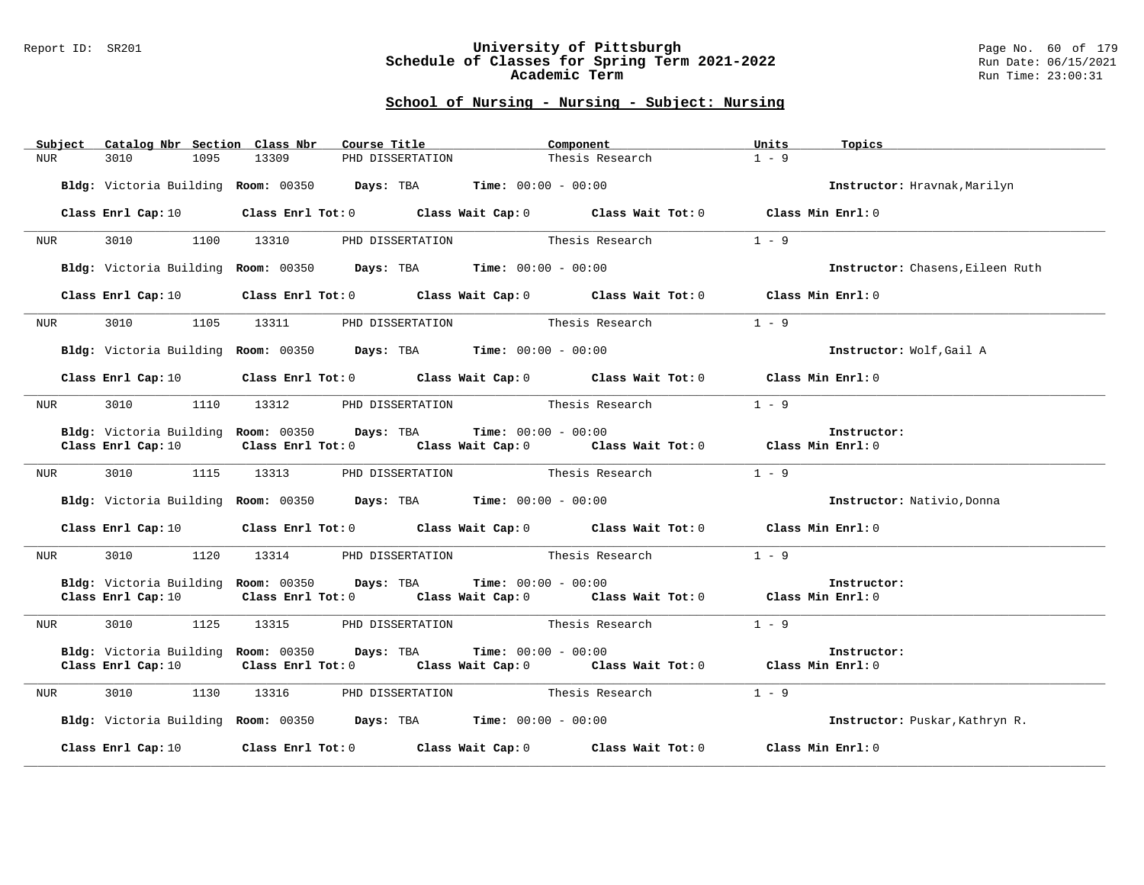#### Report ID: SR201 **University of Pittsburgh** Page No. 60 of 179 **Schedule of Classes for Spring Term 2021-2022** Run Date: 06/15/2021 **Academic Term** Run Time: 23:00:31

| Subject          | Catalog Nbr Section Class Nbr | Course Title <b>Source Search</b>                                 | Component                                                                                                                      | Units<br>Topics                  |
|------------------|-------------------------------|-------------------------------------------------------------------|--------------------------------------------------------------------------------------------------------------------------------|----------------------------------|
| <b>NUR</b>       | 3010<br>1095                  | 13309<br>PHD DISSERTATION                                         | Thesis Research                                                                                                                | $1 - 9$                          |
|                  |                               | Bldg: Victoria Building Room: 00350 Days: TBA Time: 00:00 - 00:00 |                                                                                                                                | Instructor: Hravnak, Marilyn     |
|                  |                               |                                                                   | Class Enrl Cap: 10 $\qquad$ Class Enrl Tot: 0 $\qquad$ Class Wait Cap: 0 $\qquad$ Class Wait Tot: 0 $\qquad$ Class Min Enrl: 0 |                                  |
| NUR              | 3010<br>1100                  | 13310                                                             | PHD DISSERTATION Thesis Research                                                                                               | $1 - 9$                          |
|                  |                               | Bldg: Victoria Building Room: 00350 Days: TBA Time: 00:00 - 00:00 |                                                                                                                                | Instructor: Chasens, Eileen Ruth |
|                  |                               |                                                                   | Class Enrl Cap: 10 $\qquad$ Class Enrl Tot: 0 $\qquad$ Class Wait Cap: 0 $\qquad$ Class Wait Tot: 0 $\qquad$ Class Min Enrl: 0 |                                  |
| NUR              | 3010 1105                     | 13311<br>PHD DISSERTATION                                         | Thesis Research                                                                                                                | $1 - 9$                          |
|                  |                               | Bldg: Victoria Building Room: 00350 Days: TBA Time: 00:00 - 00:00 |                                                                                                                                | Instructor: Wolf, Gail A         |
|                  | Class Enrl Cap: 10            |                                                                   | Class Enrl Tot: 0 $\qquad$ Class Wait Cap: 0 $\qquad$ Class Wait Tot: 0 $\qquad$ Class Min Enrl: 0                             |                                  |
| NUR <sub>p</sub> |                               | 3010 1110 13312 PHD DISSERTATION Thesis Research                  |                                                                                                                                | $1 - 9$                          |
|                  |                               | Bldg: Victoria Building Room: 00350 Days: TBA Time: 00:00 - 00:00 |                                                                                                                                | Instructor:                      |
|                  | Class Enrl Cap: 10            |                                                                   | Class Enrl Tot: 0 $\qquad$ Class Wait Cap: 0 $\qquad$ Class Wait Tot: 0 $\qquad$ Class Min Enrl: 0                             |                                  |
| NUR <sub>p</sub> | 3010 1115                     |                                                                   | 13313 PHD DISSERTATION Thesis Research                                                                                         | $1 - 9$                          |
|                  |                               | Bldg: Victoria Building Room: 00350 Days: TBA Time: 00:00 - 00:00 |                                                                                                                                | Instructor: Nativio, Donna       |
|                  | Class Enrl Cap: 10            |                                                                   | Class Enrl Tot: 0 $\qquad$ Class Wait Cap: 0 $\qquad$ Class Wait Tot: 0 $\qquad$ Class Min Enrl: 0                             |                                  |
| NUR <sub>p</sub> | 3010 1120                     |                                                                   | 13314 PHD DISSERTATION Thesis Research                                                                                         | $1 - 9$                          |
|                  |                               | Bldg: Victoria Building Room: 00350 Days: TBA Time: 00:00 - 00:00 |                                                                                                                                | Instructor:                      |
|                  | Class Enrl Cap: 10            |                                                                   | Class Enrl Tot: 0 $\qquad$ Class Wait Cap: 0 $\qquad$ Class Wait Tot: 0 $\qquad$ Class Min Enrl: 0                             |                                  |
| NUR <sub>p</sub> |                               | 3010 1125 13315 PHD DISSERTATION Thesis Research                  |                                                                                                                                | $1 - 9$                          |
|                  |                               | Bldg: Victoria Building Room: 00350 Days: TBA                     | <b>Time:</b> $00:00 - 00:00$                                                                                                   | Instructor:                      |
|                  | Class Enrl Cap: 10            |                                                                   | Class Enrl Tot: 0 Class Wait Cap: 0 Class Wait Tot: 0 Class Min Enrl: 0                                                        |                                  |
| NUR              | 3010 1130 13316               |                                                                   | PHD DISSERTATION Thesis Research                                                                                               | $1 - 9$                          |
|                  |                               | Bldg: Victoria Building Room: 00350 Days: TBA Time: 00:00 - 00:00 |                                                                                                                                | Instructor: Puskar, Kathryn R.   |
|                  | Class Enrl Cap: 10            |                                                                   | Class Enrl Tot: $0$ Class Wait Cap: $0$ Class Wait Tot: $0$                                                                    | Class Min Enrl: 0                |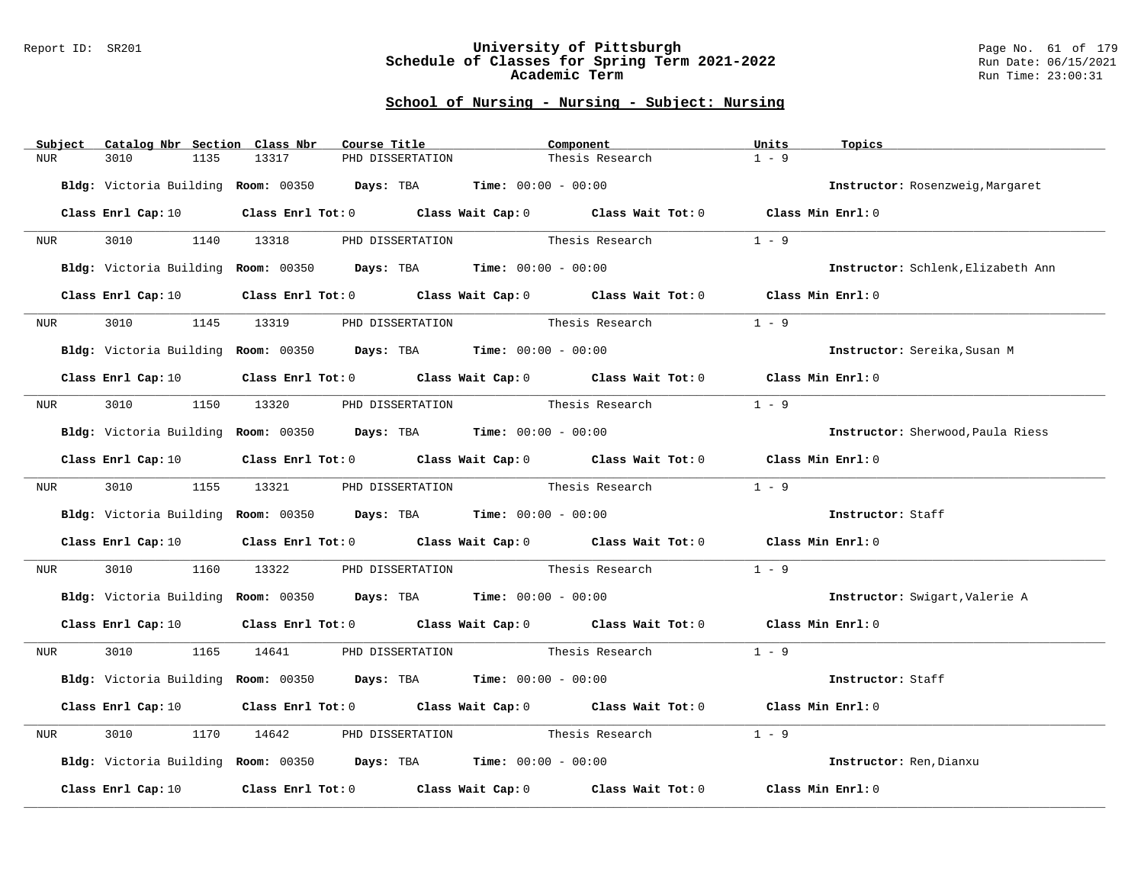#### Report ID: SR201 **University of Pittsburgh** Page No. 61 of 179 **Schedule of Classes for Spring Term 2021-2022** Run Date: 06/15/2021 **Academic Term** Run Time: 23:00:31

| Subject             | Catalog Nbr Section Class Nbr | Course Title                                                                                                                   | Component                                                               |                 | Units<br>Topics                    |
|---------------------|-------------------------------|--------------------------------------------------------------------------------------------------------------------------------|-------------------------------------------------------------------------|-----------------|------------------------------------|
| NUR                 | 3010<br>1135                  | 13317<br>PHD DISSERTATION                                                                                                      |                                                                         | Thesis Research | $1 - 9$                            |
|                     |                               | Bldg: Victoria Building Room: 00350 Days: TBA Time: 00:00 - 00:00                                                              |                                                                         |                 | Instructor: Rosenzweig, Margaret   |
|                     |                               | Class Enrl Cap: 10 $\qquad$ Class Enrl Tot: 0 $\qquad$ Class Wait Cap: 0 $\qquad$ Class Wait Tot: 0 $\qquad$ Class Min Enrl: 0 |                                                                         |                 |                                    |
| NUR                 | 3010 1140 13318               |                                                                                                                                | PHD DISSERTATION Thesis Research                                        |                 | $1 - 9$                            |
|                     |                               | Bldg: Victoria Building Room: 00350 Days: TBA Time: 00:00 - 00:00                                                              |                                                                         |                 | Instructor: Schlenk, Elizabeth Ann |
|                     | Class Enrl Cap: 10            |                                                                                                                                | Class Enrl Tot: 0 Class Wait Cap: 0 Class Wait Tot: 0 Class Min Enrl: 0 |                 |                                    |
| NUR                 | 3010<br>1145                  | 13319                                                                                                                          | PHD DISSERTATION Thesis Research                                        |                 | $1 - 9$                            |
|                     |                               | Bldg: Victoria Building Room: 00350 Days: TBA Time: 00:00 - 00:00                                                              |                                                                         |                 | Instructor: Sereika, Susan M       |
|                     |                               | Class Enrl Cap: 10 $\qquad$ Class Enrl Tot: 0 $\qquad$ Class Wait Cap: 0 $\qquad$ Class Wait Tot: 0 $\qquad$ Class Min Enrl: 0 |                                                                         |                 |                                    |
| NUR <sub>u</sub>    |                               | 3010 1150 13320 PHD DISSERTATION Thesis Research                                                                               |                                                                         |                 | $1 - 9$                            |
|                     |                               | Bldg: Victoria Building Room: 00350 Days: TBA Time: 00:00 - 00:00                                                              |                                                                         |                 | Instructor: Sherwood, Paula Riess  |
|                     |                               | Class Enrl Cap: 10 Class Enrl Tot: 0 Class Wait Cap: 0 Class Wait Tot: 0 Class Min Enrl: 0                                     |                                                                         |                 |                                    |
| NUR <sub>tion</sub> | 3010 2010                     | 1155 13321                                                                                                                     | PHD DISSERTATION Thesis Research                                        |                 | $1 - 9$                            |
|                     |                               | Bldg: Victoria Building Room: 00350 Days: TBA Time: 00:00 - 00:00                                                              |                                                                         |                 | Instructor: Staff                  |
|                     |                               | Class Enrl Cap: 10 $\qquad$ Class Enrl Tot: 0 $\qquad$ Class Wait Cap: 0 $\qquad$ Class Wait Tot: 0 $\qquad$ Class Min Enrl: 0 |                                                                         |                 |                                    |
| NUR                 | 3010<br>1160                  | 13322                                                                                                                          | PHD DISSERTATION Thesis Research                                        |                 | $1 - 9$                            |
|                     |                               | Bldg: Victoria Building Room: 00350 Days: TBA Time: 00:00 - 00:00                                                              |                                                                         |                 | Instructor: Swigart, Valerie A     |
|                     |                               | Class Enrl Cap: 10 $\qquad$ Class Enrl Tot: 0 $\qquad$ Class Wait Cap: 0 $\qquad$ Class Wait Tot: 0 $\qquad$ Class Min Enrl: 0 |                                                                         |                 |                                    |
| NUR                 |                               | 3010 1165 14641 PHD DISSERTATION Thesis Research 1 - 9                                                                         |                                                                         |                 |                                    |
|                     |                               | Bldg: Victoria Building Room: 00350 Days: TBA Time: 00:00 - 00:00                                                              |                                                                         |                 | Instructor: Staff                  |
|                     |                               | Class Enrl Cap: 10 $\qquad$ Class Enrl Tot: 0 $\qquad$ Class Wait Cap: 0 $\qquad$ Class Wait Tot: 0 $\qquad$ Class Min Enrl: 0 |                                                                         |                 |                                    |
| NUR                 | 3010<br>1170                  | 14642                                                                                                                          | PHD DISSERTATION Thesis Research                                        |                 | $1 - 9$                            |
|                     |                               | Bldg: Victoria Building Room: 00350 Days: TBA Time: 00:00 - 00:00                                                              |                                                                         |                 | Instructor: Ren, Dianxu            |
|                     | Class Enrl Cap: 10            | Class Enrl Tot: 0 Class Wait Cap: 0 Class Wait Tot: 0                                                                          |                                                                         |                 | Class Min Enrl: 0                  |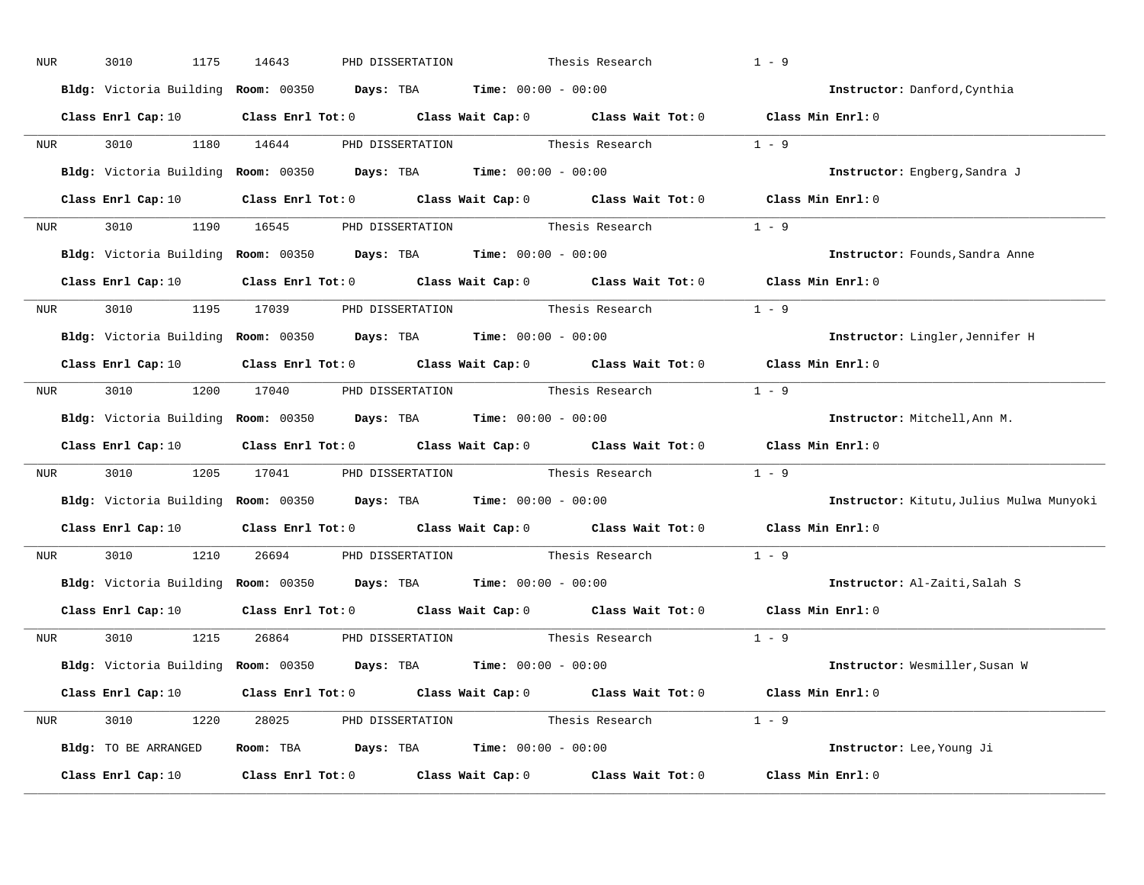| NUR              | 3010<br>1175       | 14643<br>PHD DISSERTATION                                         | Thesis Research                                                                                                                | $1 - 9$                                  |
|------------------|--------------------|-------------------------------------------------------------------|--------------------------------------------------------------------------------------------------------------------------------|------------------------------------------|
|                  |                    | Bldg: Victoria Building Room: 00350 Days: TBA Time: 00:00 - 00:00 |                                                                                                                                | Instructor: Danford, Cynthia             |
|                  | Class Enrl Cap: 10 |                                                                   | Class Enrl Tot: 0 Class Wait Cap: 0 Class Wait Tot: 0 Class Min Enrl: 0                                                        |                                          |
| <b>NUR</b>       | 3010 1180 14644    |                                                                   | PHD DISSERTATION Thesis Research 1 - 9                                                                                         |                                          |
|                  |                    | Bldg: Victoria Building Room: 00350 Days: TBA Time: 00:00 - 00:00 |                                                                                                                                | Instructor: Engberg, Sandra J            |
|                  |                    |                                                                   | Class Enrl Cap: 10 $\qquad$ Class Enrl Tot: 0 $\qquad$ Class Wait Cap: 0 $\qquad$ Class Wait Tot: 0 $\qquad$ Class Min Enrl: 0 |                                          |
|                  |                    |                                                                   | NUR 3010 1190 16545 PHD DISSERTATION Thesis Research 1 - 9                                                                     |                                          |
|                  |                    | Bldg: Victoria Building Room: 00350 Days: TBA Time: 00:00 - 00:00 |                                                                                                                                | Instructor: Founds, Sandra Anne          |
|                  |                    |                                                                   | Class Enrl Cap: 10 $\qquad$ Class Enrl Tot: 0 $\qquad$ Class Wait Cap: 0 $\qquad$ Class Wait Tot: 0 $\qquad$ Class Min Enrl: 0 |                                          |
| <b>NUR</b>       |                    |                                                                   | 3010 1195 17039 PHD DISSERTATION Thesis Research 1 - 9                                                                         |                                          |
|                  |                    | Bldg: Victoria Building Room: 00350 Days: TBA Time: 00:00 - 00:00 |                                                                                                                                | Instructor: Lingler, Jennifer H          |
|                  |                    |                                                                   | Class Enrl Cap: 10 $\qquad$ Class Enrl Tot: 0 $\qquad$ Class Wait Cap: 0 $\qquad$ Class Wait Tot: 0 $\qquad$ Class Min Enrl: 0 |                                          |
|                  |                    |                                                                   | NUR 3010 1200 17040 PHD DISSERTATION Thesis Research 1 - 9                                                                     |                                          |
|                  |                    | Bldg: Victoria Building Room: 00350 Days: TBA Time: 00:00 - 00:00 |                                                                                                                                | Instructor: Mitchell, Ann M.             |
|                  | Class Enrl Cap: 10 |                                                                   | Class Enrl Tot: 0 $\qquad$ Class Wait Cap: 0 $\qquad$ Class Wait Tot: 0 $\qquad$ Class Min Enrl: 0                             |                                          |
| NUR <sub>p</sub> |                    |                                                                   | 3010 1205 17041 PHD DISSERTATION Thesis Research 1 - 9                                                                         |                                          |
|                  |                    |                                                                   |                                                                                                                                |                                          |
|                  |                    | Bldg: Victoria Building Room: 00350 Days: TBA Time: 00:00 - 00:00 |                                                                                                                                | Instructor: Kitutu, Julius Mulwa Munyoki |
|                  |                    |                                                                   | Class Enrl Cap: 10 $\qquad$ Class Enrl Tot: 0 $\qquad$ Class Wait Cap: 0 $\qquad$ Class Wait Tot: 0                            | Class Min Enrl: 0                        |
| NUR <sub>p</sub> | 3010<br>1210       | 26694 PHD DISSERTATION                                            | Thesis Research                                                                                                                | $1 - 9$                                  |
|                  |                    | Bldg: Victoria Building Room: 00350 Days: TBA Time: 00:00 - 00:00 |                                                                                                                                | Instructor: Al-Zaiti, Salah S            |
|                  | Class Enrl Cap: 10 |                                                                   | Class Enrl Tot: $0$ Class Wait Cap: $0$ Class Wait Tot: $0$                                                                    | Class Min Enrl: 0                        |
|                  |                    |                                                                   | NUR 3010 1215 26864 PHD DISSERTATION Thesis Research 1 - 9                                                                     |                                          |
|                  |                    | Bldg: Victoria Building Room: 00350 Days: TBA Time: 00:00 - 00:00 |                                                                                                                                | Instructor: Wesmiller,Susan W            |
|                  |                    |                                                                   | Class Enrl Cap: 10 $\qquad$ Class Enrl Tot: 0 $\qquad$ Class Wait Cap: 0 $\qquad$ Class Wait Tot: 0 $\qquad$ Class Min Enrl: 0 |                                          |
|                  |                    |                                                                   | NUR 3010 1220 28025 PHD DISSERTATION Thesis Research 1 - 9                                                                     |                                          |
|                  |                    | Bldg: TO BE ARRANGED Room: TBA Days: TBA Time: 00:00 - 00:00      |                                                                                                                                | Instructor: Lee, Young Ji                |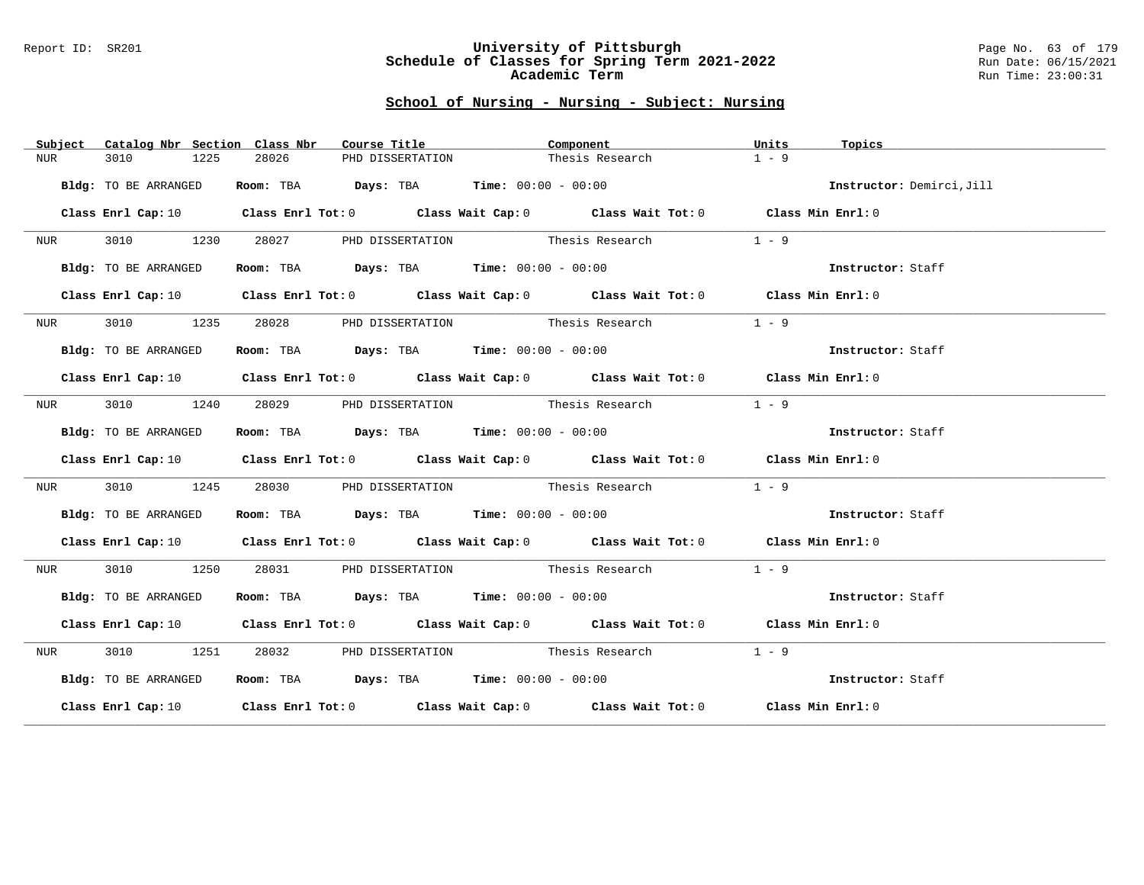#### Report ID: SR201 **University of Pittsburgh** Page No. 63 of 179 **Schedule of Classes for Spring Term 2021-2022** Run Date: 06/15/2021 **Academic Term** Run Time: 23:00:31

| Subject          | Catalog Nbr Section Class Nbr | Course Title                                                                            | Component                                                                                                                      | Units<br>Topics           |
|------------------|-------------------------------|-----------------------------------------------------------------------------------------|--------------------------------------------------------------------------------------------------------------------------------|---------------------------|
| NUR              | 3010<br>1225                  | 28026<br>PHD DISSERTATION                                                               | Thesis Research                                                                                                                | $1 - 9$                   |
|                  | Bldg: TO BE ARRANGED          | Room: TBA $Days:$ TBA $Time: 00:00 - 00:00$                                             |                                                                                                                                | Instructor: Demirci, Jill |
|                  |                               |                                                                                         | Class Enrl Cap: 10 $\qquad$ Class Enrl Tot: 0 $\qquad$ Class Wait Cap: 0 $\qquad$ Class Wait Tot: 0 $\qquad$ Class Min Enrl: 0 |                           |
| NUR <sub>p</sub> | 3010 1230                     | 28027                                                                                   | PHD DISSERTATION Thesis Research                                                                                               | $1 - 9$                   |
|                  | Bldg: TO BE ARRANGED          |                                                                                         | <b>ROOM:</b> TBA <b>Days:</b> TBA <b>Time:</b> 00:00 - 00:00                                                                   | Instructor: Staff         |
|                  |                               |                                                                                         | Class Enrl Cap: 10 $\qquad$ Class Enrl Tot: 0 $\qquad$ Class Wait Cap: 0 $\qquad$ Class Wait Tot: 0 $\qquad$ Class Min Enrl: 0 |                           |
| NUR <b>NUR</b>   | 3010 1235                     | 28028                                                                                   | PHD DISSERTATION Thesis Research                                                                                               | $1 - 9$                   |
|                  | Bldg: TO BE ARRANGED          | Room: TBA $Days:$ TBA Time: $00:00 - 00:00$                                             |                                                                                                                                | Instructor: Staff         |
|                  |                               |                                                                                         | Class Enrl Cap: 10 $\qquad$ Class Enrl Tot: 0 $\qquad$ Class Wait Cap: 0 $\qquad$ Class Wait Tot: 0 $\qquad$ Class Min Enrl: 0 |                           |
| NUR <sub>p</sub> | 3010 1240                     | 28029                                                                                   | PHD DISSERTATION Thesis Research                                                                                               | $1 - 9$                   |
|                  | Bldg: TO BE ARRANGED          | Room: TBA $\rule{1em}{0.15mm}$ Days: TBA $\rule{1.15mm}]{0.15mm}$ Time: $00:00 - 00:00$ |                                                                                                                                | Instructor: Staff         |
|                  |                               |                                                                                         | Class Enrl Cap: 10 $\qquad$ Class Enrl Tot: 0 $\qquad$ Class Wait Cap: 0 $\qquad$ Class Wait Tot: 0 $\qquad$ Class Min Enrl: 0 |                           |
| NUR <sub>u</sub> | 3010 1245                     | 28030                                                                                   | PHD DISSERTATION Thesis Research                                                                                               | $1 - 9$                   |
|                  | Bldg: TO BE ARRANGED          | Room: TBA $Days:$ TBA $Time: 00:00 - 00:00$                                             |                                                                                                                                | Instructor: Staff         |
|                  |                               |                                                                                         | Class Enrl Cap: 10 $\qquad$ Class Enrl Tot: 0 $\qquad$ Class Wait Cap: 0 $\qquad$ Class Wait Tot: 0 $\qquad$ Class Min Enrl: 0 |                           |
| NUR <sub>i</sub> | 3010 1250                     | 28031                                                                                   | PHD DISSERTATION Thesis Research                                                                                               | $1 - 9$                   |
|                  | Bldg: TO BE ARRANGED          |                                                                                         | Room: TBA $Days:$ TBA $Time: 00:00 - 00:00$                                                                                    | Instructor: Staff         |
|                  |                               |                                                                                         | Class Enrl Cap: 10 $\qquad$ Class Enrl Tot: 0 $\qquad$ Class Wait Cap: 0 $\qquad$ Class Wait Tot: 0 $\qquad$ Class Min Enrl: 0 |                           |
| NUR <sub>e</sub> | 3010 1251                     |                                                                                         | 28032 PHD DISSERTATION Thesis Research 1 - 9                                                                                   |                           |
|                  | Bldg: TO BE ARRANGED          | Room: TBA $Days:$ TBA Time: $00:00 - 00:00$                                             |                                                                                                                                | Instructor: Staff         |
|                  |                               |                                                                                         | Class Enrl Cap: 10 $\qquad$ Class Enrl Tot: 0 $\qquad$ Class Wait Cap: 0 $\qquad$ Class Wait Tot: 0 $\qquad$ Class Min Enrl: 0 |                           |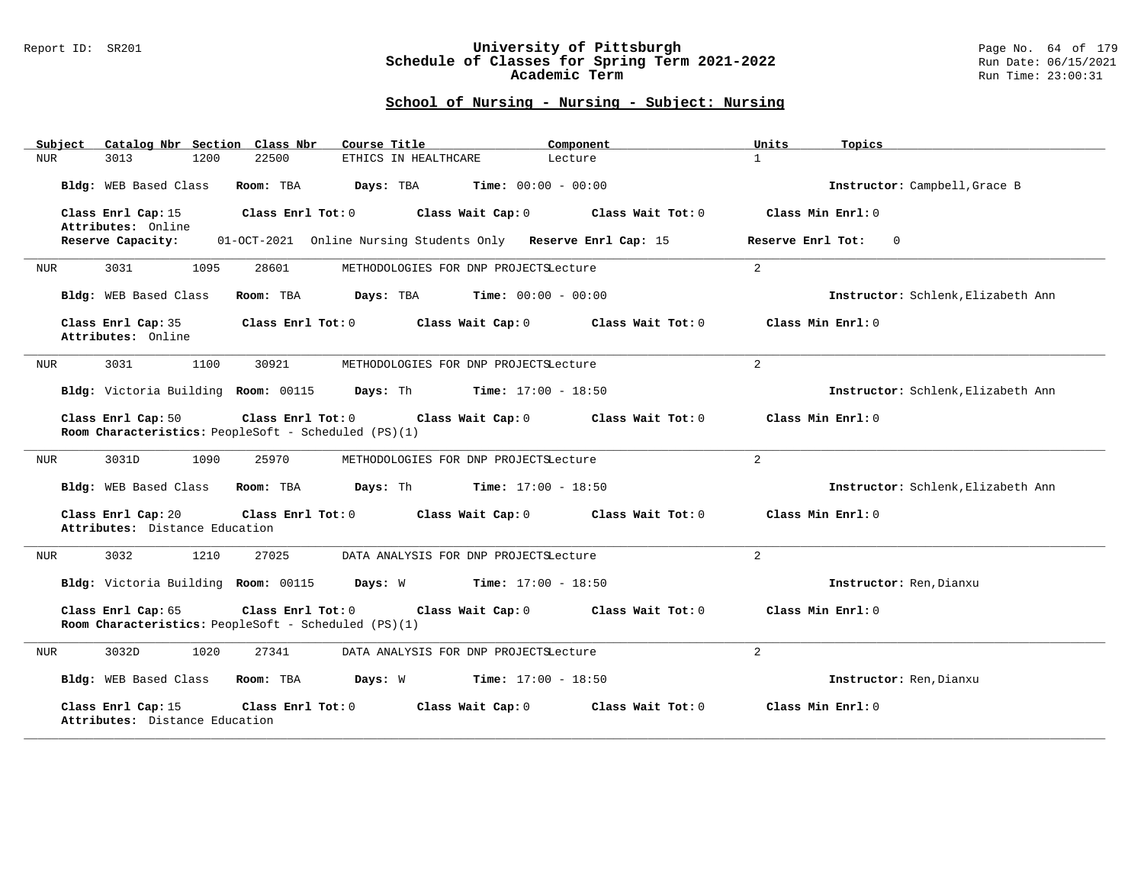#### Report ID: SR201 **University of Pittsburgh** Page No. 64 of 179 **Schedule of Classes for Spring Term 2021-2022** Run Date: 06/15/2021 **Academic Term** Run Time: 23:00:31

| Catalog Nbr Section Class Nbr<br>Subject                                   | Course Title                                                  | Component               | Topics<br>Units                    |
|----------------------------------------------------------------------------|---------------------------------------------------------------|-------------------------|------------------------------------|
| 22500<br>3013<br>1200<br>NUR                                               | ETHICS IN HEALTHCARE                                          | $\mathbf{1}$<br>Lecture |                                    |
| Bldg: WEB Based Class<br>Room: TBA                                         | Days: TBA<br><b>Time:</b> $00:00 - 00:00$                     |                         | Instructor: Campbell, Grace B      |
| Class Enrl Cap: 15<br>Attributes: Online                                   | Class Enrl Tot: 0<br>Class Wait Cap: 0                        | Class Wait Tot: 0       | Class Min Enrl: 0                  |
| Reserve Capacity:                                                          | 01-OCT-2021 Online Nursing Students Only Reserve Enrl Cap: 15 |                         | Reserve Enrl Tot:<br>$\Omega$      |
| 3031<br>1095<br>28601<br>NUR                                               | METHODOLOGIES FOR DNP PROJECTSLecture                         | 2                       |                                    |
| Bldg: WEB Based Class<br>Room: TBA                                         | $Time: 00:00 - 00:00$<br>Days: TBA                            |                         | Instructor: Schlenk, Elizabeth Ann |
| Class Enrl Cap: 35<br>Attributes: Online                                   | Class Enrl Tot: 0<br>Class Wait Cap: 0                        | Class Wait Tot: 0       | Class Min Enrl: 0                  |
| 3031<br>1100<br>30921<br>NUR                                               | METHODOLOGIES FOR DNP PROJECTSLecture                         | $\overline{a}$          |                                    |
| Bldg: Victoria Building Room: 00115                                        | $Time: 17:00 - 18:50$<br>Days: Th                             |                         | Instructor: Schlenk, Elizabeth Ann |
| Class Enrl Cap: 50<br>Room Characteristics: PeopleSoft - Scheduled (PS)(1) | Class Enrl Tot: 0<br>Class Wait Cap: 0                        | Class Wait Tot: 0       | Class Min Enrl: 0                  |
| 3031D<br>1090<br>25970<br><b>NUR</b>                                       | METHODOLOGIES FOR DNP PROJECTSLecture                         | $\overline{2}$          |                                    |
| Bldg: WEB Based Class<br>Room: TBA                                         | Days: Th<br><b>Time:</b> $17:00 - 18:50$                      |                         | Instructor: Schlenk, Elizabeth Ann |
| Class Enrl Cap: 20<br>Attributes: Distance Education                       | Class Enrl Tot: 0<br>Class Wait Cap: 0                        | Class Wait Tot: 0       | Class Min Enrl: 0                  |
| 3032<br>1210<br>27025<br>NUR                                               | DATA ANALYSIS FOR DNP PROJECTSLecture                         | 2                       |                                    |
| Bldg: Victoria Building Room: 00115                                        | Days: W<br>$Time: 17:00 - 18:50$                              |                         | Instructor: Ren, Dianxu            |
| Class Enrl Cap: 65<br>Room Characteristics: PeopleSoft - Scheduled (PS)(1) | Class Enrl Tot: 0<br>Class Wait Cap: 0                        | Class Wait Tot: 0       | Class Min Enrl: 0                  |
| 3032D<br>1020<br>27341<br>NUR                                              | DATA ANALYSIS FOR DNP PROJECTSLecture                         | 2                       |                                    |
| Bldg: WEB Based Class<br>Room: TBA                                         | $Time: 17:00 - 18:50$<br>Days: W                              |                         | Instructor: Ren, Dianxu            |
| Class Enrl Cap: 15<br>Attributes: Distance Education                       | Class Enrl Tot: 0<br>Class Wait Cap: 0                        | Class Wait Tot: 0       | Class Min Enrl: 0                  |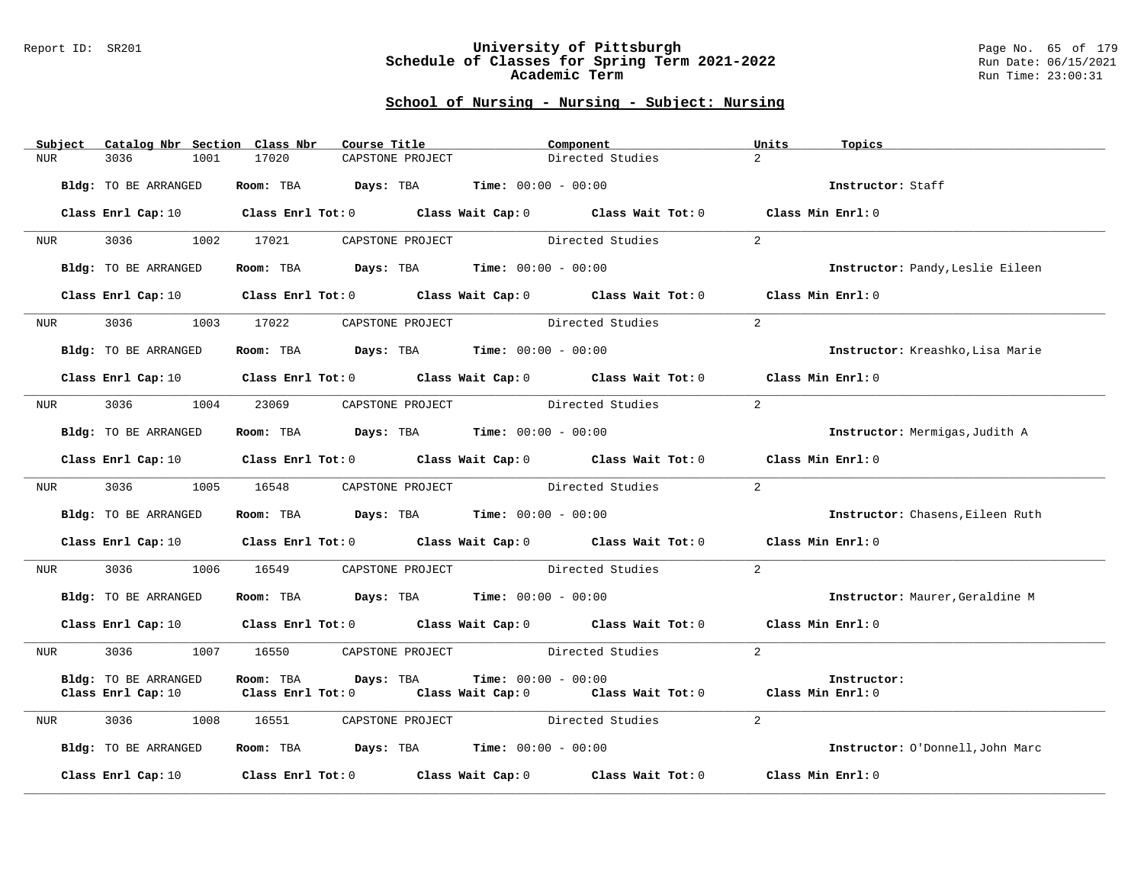#### Report ID: SR201 **University of Pittsburgh** Page No. 65 of 179 **Schedule of Classes for Spring Term 2021-2022** Run Date: 06/15/2021 **Academic Term** Run Time: 23:00:31

| Subject             | Catalog Nbr Section Class Nbr | Course Title                                                                           | Component                                                                                                                      | Units<br>Topics                  |
|---------------------|-------------------------------|----------------------------------------------------------------------------------------|--------------------------------------------------------------------------------------------------------------------------------|----------------------------------|
| NUR                 | 3036<br>1001                  | 17020<br>CAPSTONE PROJECT                                                              | Directed Studies                                                                                                               | $2^{\circ}$                      |
|                     | Bldg: TO BE ARRANGED          | Room: TBA $\rule{1em}{0.15mm}$ Days: TBA Time: $00:00 - 00:00$                         |                                                                                                                                | Instructor: Staff                |
|                     |                               |                                                                                        | Class Enrl Cap: 10 $\qquad$ Class Enrl Tot: 0 $\qquad$ Class Wait Cap: 0 $\qquad$ Class Wait Tot: 0 $\qquad$ Class Min Enrl: 0 |                                  |
|                     |                               |                                                                                        | NUR 3036 1002 17021 CAPSTONE PROJECT Directed Studies                                                                          | 2                                |
|                     | Bldg: TO BE ARRANGED          | Room: TBA $Days:$ TBA $Time: 00:00 - 00:00$                                            |                                                                                                                                | Instructor: Pandy, Leslie Eileen |
|                     |                               |                                                                                        | Class Enrl Cap: 10 $\qquad$ Class Enrl Tot: 0 $\qquad$ Class Wait Cap: 0 $\qquad$ Class Wait Tot: 0 $\qquad$ Class Min Enrl: 0 |                                  |
|                     |                               | NUR 3036 1003 17022 CAPSTONE PROJECT                                                   | Directed Studies                                                                                                               | $\overline{2}$                   |
|                     | Bldg: TO BE ARRANGED          | Room: TBA $Days:$ TBA $Time: 00:00 - 00:00$                                            |                                                                                                                                | Instructor: Kreashko, Lisa Marie |
|                     |                               |                                                                                        | Class Enrl Cap: 10 $\qquad$ Class Enrl Tot: 0 $\qquad$ Class Wait Cap: 0 $\qquad$ Class Wait Tot: 0 $\qquad$ Class Min Enrl: 0 |                                  |
| NUR <sub>tion</sub> | 3036                          | 1004 23069                                                                             | CAPSTONE PROJECT Directed Studies                                                                                              | 2                                |
|                     | Bldg: TO BE ARRANGED          | Room: TBA $\rule{1em}{0.15mm}$ Days: TBA $\rule{1.15mm}{0.15mm}$ Time: $00:00 - 00:00$ |                                                                                                                                | Instructor: Mermigas, Judith A   |
|                     |                               |                                                                                        | Class Enrl Cap: 10 $\qquad$ Class Enrl Tot: 0 $\qquad$ Class Wait Cap: 0 $\qquad$ Class Wait Tot: 0 $\qquad$ Class Min Enrl: 0 |                                  |
|                     |                               |                                                                                        | NUR 3036 1005 16548 CAPSTONE PROJECT Directed Studies                                                                          | 2                                |
|                     | Bldg: TO BE ARRANGED          | Room: TBA $Days:$ TBA $Time: 00:00 - 00:00$                                            |                                                                                                                                | Instructor: Chasens, Eileen Ruth |
|                     |                               |                                                                                        | Class Enrl Cap: 10 $\qquad$ Class Enrl Tot: 0 $\qquad$ Class Wait Cap: 0 $\qquad$ Class Wait Tot: 0 $\qquad$ Class Min Enrl: 0 |                                  |
|                     |                               |                                                                                        | NUR 3036 1006 16549 CAPSTONE PROJECT Directed Studies                                                                          | 2                                |
|                     | Bldg: TO BE ARRANGED          | Room: TBA $Days:$ TBA Time: $00:00 - 00:00$                                            |                                                                                                                                | Instructor: Maurer, Geraldine M  |
|                     |                               |                                                                                        | Class Enrl Cap: 10 $\qquad$ Class Enrl Tot: 0 $\qquad$ Class Wait Cap: 0 $\qquad$ Class Wait Tot: 0 $\qquad$ Class Min Enrl: 0 |                                  |
| NUR                 | 3036<br>1007                  |                                                                                        | 16550 CAPSTONE PROJECT Directed Studies                                                                                        | $\overline{2}$                   |
|                     | Bldg: TO BE ARRANGED          | Room: TBA Days: TBA                                                                    | <b>Time:</b> $00:00 - 00:00$                                                                                                   | Instructor:                      |
|                     |                               |                                                                                        | Class Enrl Cap: 10 $\qquad$ Class Enrl Tot: 0 $\qquad$ Class Wait Cap: 0 $\qquad$ Class Wait Tot: 0 $\qquad$ Class Min Enrl: 0 |                                  |
| NUR                 | 3036 300                      | 1008 16551                                                                             | CAPSTONE PROJECT Directed Studies                                                                                              | $\overline{2}$                   |
|                     | Bldg: TO BE ARRANGED          | Room: TBA $\rule{1em}{0.15mm}$ Days: TBA $\rule{1.5mm}{0.15mm}$ Time: $00:00 - 00:00$  |                                                                                                                                | Instructor: O'Donnell, John Marc |
|                     |                               |                                                                                        | Class Enrl Cap: 10 $\qquad$ Class Enrl Tot: 0 $\qquad$ Class Wait Cap: 0 $\qquad$ Class Wait Tot: 0                            | Class Min Enrl: 0                |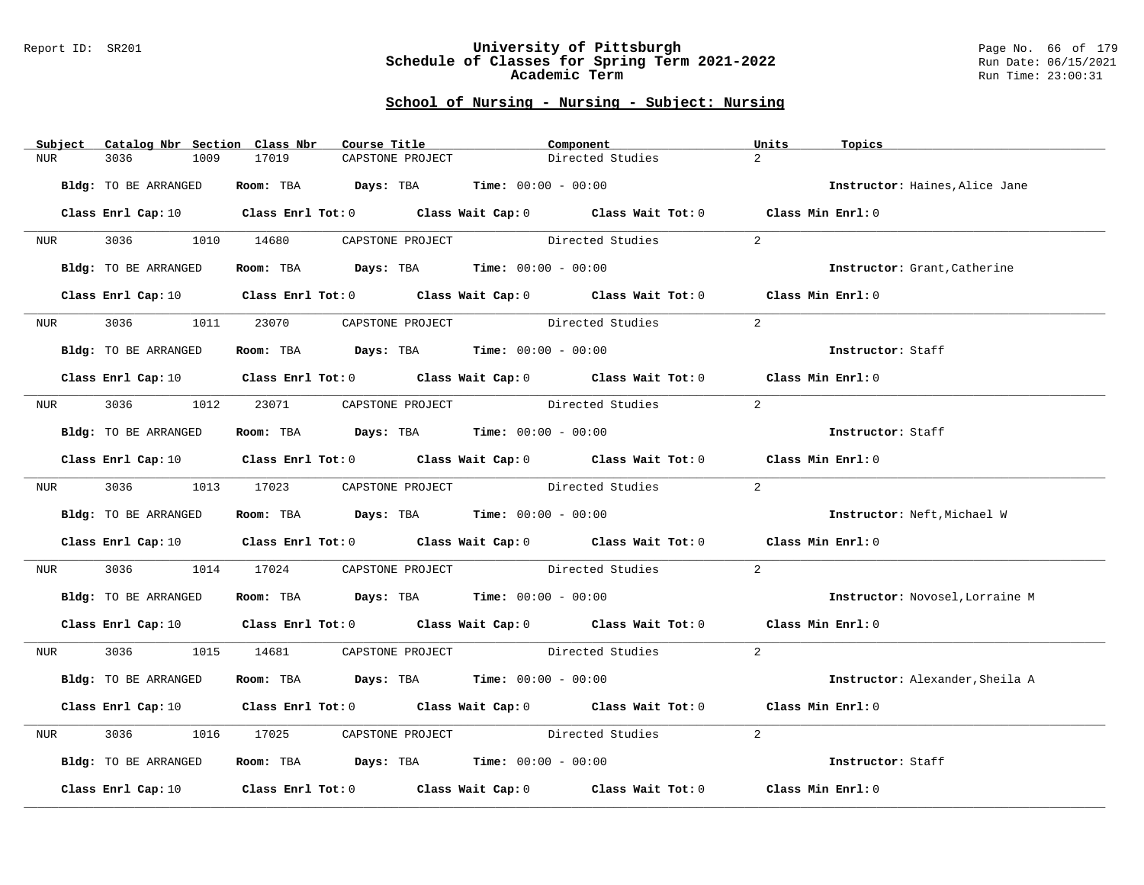#### Report ID: SR201 **University of Pittsburgh** Page No. 66 of 179 **Schedule of Classes for Spring Term 2021-2022** Run Date: 06/15/2021 **Academic Term** Run Time: 23:00:31

|            | Subject        | Catalog Nbr Section Class Nbr                         |      |       | Course Title |                  |                                                                | Component        |                                                                                                                                | Units          | Topics                          |
|------------|----------------|-------------------------------------------------------|------|-------|--------------|------------------|----------------------------------------------------------------|------------------|--------------------------------------------------------------------------------------------------------------------------------|----------------|---------------------------------|
| <b>NUR</b> |                | 3036                                                  | 1009 | 17019 |              | CAPSTONE PROJECT |                                                                | Directed Studies |                                                                                                                                | $\overline{2}$ |                                 |
|            |                | Bldg: TO BE ARRANGED                                  |      |       |              |                  | Room: TBA $Days:$ TBA $Time: 00:00 - 00:00$                    |                  |                                                                                                                                |                | Instructor: Haines, Alice Jane  |
|            |                |                                                       |      |       |              |                  |                                                                |                  | Class Enrl Cap: 10 $\qquad$ Class Enrl Tot: 0 $\qquad$ Class Wait Cap: 0 $\qquad$ Class Wait Tot: 0 $\qquad$ Class Min Enrl: 0 |                |                                 |
|            | <b>NUR</b>     |                                                       |      |       |              |                  |                                                                |                  | 3036 1010 14680 CAPSTONE PROJECT Directed Studies                                                                              | 2              |                                 |
|            |                | Bldg: TO BE ARRANGED                                  |      |       |              |                  | Room: TBA $Days:$ TBA $Time: 00:00 - 00:00$                    |                  |                                                                                                                                |                | Instructor: Grant, Catherine    |
|            |                |                                                       |      |       |              |                  |                                                                |                  | Class Enrl Cap: 10 $\qquad$ Class Enrl Tot: 0 $\qquad$ Class Wait Cap: 0 $\qquad$ Class Wait Tot: 0 $\qquad$ Class Min Enrl: 0 |                |                                 |
|            | <b>NUR</b>     | 3036 300                                              | 1011 |       |              |                  | 23070 CAPSTONE PROJECT Directed Studies                        |                  |                                                                                                                                | 2              |                                 |
|            |                | Bldg: TO BE ARRANGED                                  |      |       |              |                  | Room: TBA $\rule{1em}{0.15mm}$ Days: TBA Time: $00:00 - 00:00$ |                  |                                                                                                                                |                | Instructor: Staff               |
|            |                |                                                       |      |       |              |                  |                                                                |                  | Class Enrl Cap: 10 $\qquad$ Class Enrl Tot: 0 $\qquad$ Class Wait Cap: 0 $\qquad$ Class Wait Tot: 0 $\qquad$ Class Min Enrl: 0 |                |                                 |
|            |                | NUR 3036 1012 23071 CAPSTONE PROJECT Directed Studies |      |       |              |                  |                                                                |                  |                                                                                                                                | $2^{1}$        |                                 |
|            |                | Bldg: TO BE ARRANGED                                  |      |       |              |                  | Room: TBA $Days:$ TBA $Time: 00:00 - 00:00$                    |                  |                                                                                                                                |                | Instructor: Staff               |
|            |                |                                                       |      |       |              |                  |                                                                |                  | Class Enrl Cap: 10 $\qquad$ Class Enrl Tot: 0 $\qquad$ Class Wait Cap: 0 $\qquad$ Class Wait Tot: 0 $\qquad$ Class Min Enrl: 0 |                |                                 |
|            | NUR <b>NUR</b> | 3036 1013 17023 CAPSTONE PROJECT                      |      |       |              |                  |                                                                | Directed Studies |                                                                                                                                | $\overline{2}$ |                                 |
|            |                | Bldg: TO BE ARRANGED                                  |      |       |              |                  | Room: TBA $\rule{1em}{0.15mm}$ Days: TBA Time: $00:00 - 00:00$ |                  |                                                                                                                                |                | Instructor: Neft, Michael W     |
|            |                |                                                       |      |       |              |                  |                                                                |                  | Class Enrl Cap: 10 Class Enrl Tot: 0 Class Wait Cap: 0 Class Wait Tot: 0 Class Min Enrl: 0                                     |                |                                 |
|            | <b>NUR</b>     |                                                       |      |       |              |                  |                                                                |                  | 3036 1014 17024 CAPSTONE PROJECT Directed Studies                                                                              | 2              |                                 |
|            |                | Bldg: TO BE ARRANGED                                  |      |       |              |                  | Room: TBA $Days:$ TBA $Time:$ 00:00 - 00:00                    |                  |                                                                                                                                |                | Instructor: Novosel, Lorraine M |
|            |                |                                                       |      |       |              |                  |                                                                |                  | Class Enrl Cap: 10 $\qquad$ Class Enrl Tot: 0 $\qquad$ Class Wait Cap: 0 $\qquad$ Class Wait Tot: 0 $\qquad$ Class Min Enrl: 0 |                |                                 |
|            |                |                                                       |      |       |              |                  |                                                                |                  | NUR 3036 1015 14681 CAPSTONE PROJECT Directed Studies                                                                          | 2              |                                 |
|            |                | Bldg: TO BE ARRANGED                                  |      |       |              |                  | Room: TBA $Days:$ TBA $Time:$ $00:00 - 00:00$                  |                  |                                                                                                                                |                | Instructor: Alexander, Sheila A |
|            |                |                                                       |      |       |              |                  |                                                                |                  | Class Enrl Cap: 10 $\qquad$ Class Enrl Tot: 0 $\qquad$ Class Wait Cap: 0 $\qquad$ Class Wait Tot: 0 $\qquad$ Class Min Enrl: 0 |                |                                 |
| NUR        |                | 3036                                                  |      |       |              |                  |                                                                |                  | 1016 17025 CAPSTONE PROJECT Directed Studies                                                                                   | $\overline{a}$ |                                 |
|            |                | Bldg: TO BE ARRANGED                                  |      |       |              |                  | Room: TBA $\rule{1em}{0.15mm}$ Days: TBA Time: $00:00 - 00:00$ |                  |                                                                                                                                |                | Instructor: Staff               |
|            |                |                                                       |      |       |              |                  |                                                                |                  | Class Enrl Cap: 10 $\qquad$ Class Enrl Tot: 0 $\qquad$ Class Wait Cap: 0 $\qquad$ Class Wait Tot: 0                            |                | Class Min Enrl: 0               |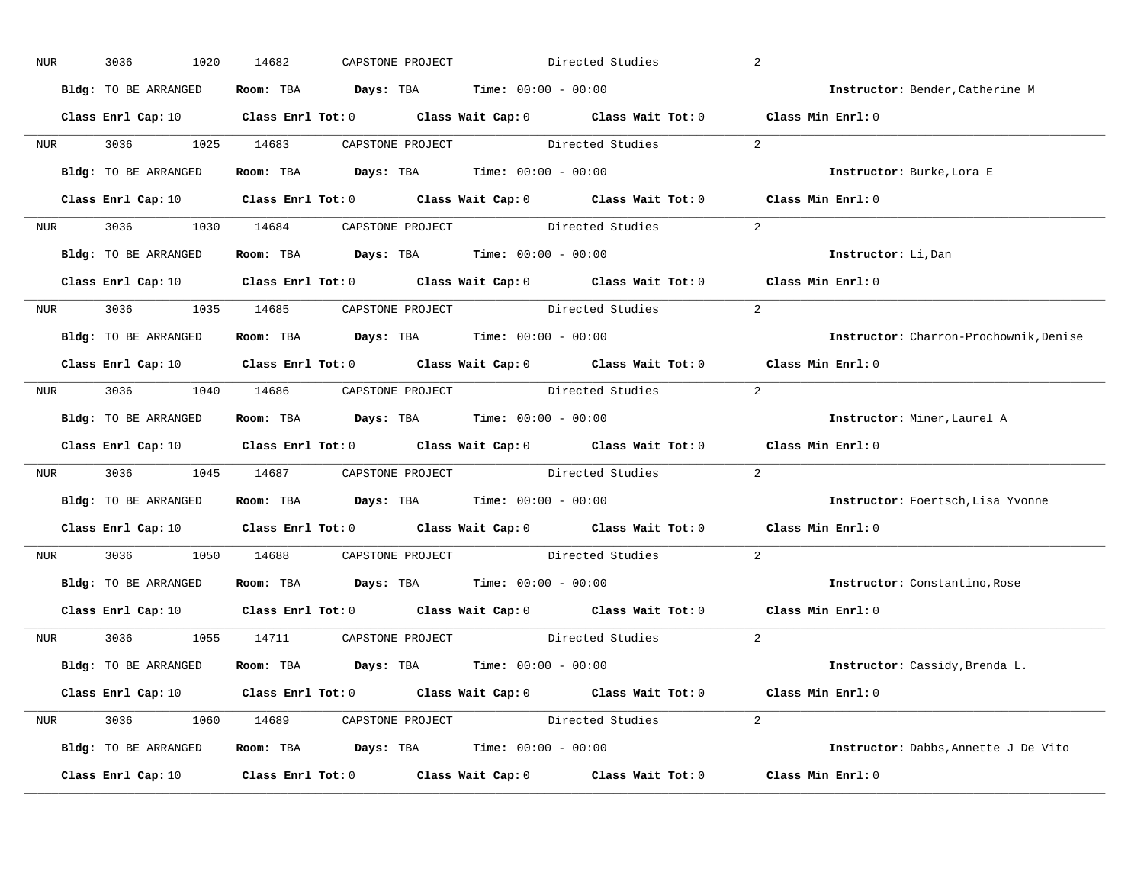| NUR        | 3036<br>1020         | 14682                                                                                               | CAPSTONE PROJECT | Directed Studies                                                                                                               | 2                                      |
|------------|----------------------|-----------------------------------------------------------------------------------------------------|------------------|--------------------------------------------------------------------------------------------------------------------------------|----------------------------------------|
|            | Bldg: TO BE ARRANGED | Room: TBA $Days:$ TBA $Time: 00:00 - 00:00$                                                         |                  |                                                                                                                                | Instructor: Bender, Catherine M        |
|            |                      |                                                                                                     |                  | Class Enrl Cap: 10 $\qquad$ Class Enrl Tot: 0 $\qquad$ Class Wait Cap: 0 $\qquad$ Class Wait Tot: 0 $\qquad$ Class Min Enrl: 0 |                                        |
|            |                      | NUR 3036 1025 14683 CAPSTONE PROJECT Directed Studies                                               |                  |                                                                                                                                | 2                                      |
|            | Bldg: TO BE ARRANGED | Room: TBA $Days:$ TBA Time: $00:00 - 00:00$                                                         |                  |                                                                                                                                | Instructor: Burke, Lora E              |
|            |                      |                                                                                                     |                  | Class Enrl Cap: 10 $\qquad$ Class Enrl Tot: 0 $\qquad$ Class Wait Cap: 0 $\qquad$ Class Wait Tot: 0 $\qquad$ Class Min Enrl: 0 |                                        |
|            |                      |                                                                                                     |                  | NUR 3036 1030 14684 CAPSTONE PROJECT Directed Studies 2                                                                        |                                        |
|            |                      | Bldg: TO BE ARRANGED Room: TBA Days: TBA Time: 00:00 - 00:00                                        |                  |                                                                                                                                | Instructor: Li, Dan                    |
|            |                      |                                                                                                     |                  | Class Enrl Cap: 10 $\qquad$ Class Enrl Tot: 0 $\qquad$ Class Wait Cap: 0 $\qquad$ Class Wait Tot: 0 $\qquad$ Class Min Enrl: 0 |                                        |
|            |                      | NUR 3036 1035 14685 CAPSTONE PROJECT Directed Studies                                               |                  |                                                                                                                                | 2                                      |
|            | Bldg: TO BE ARRANGED | Room: TBA $Days:$ TBA $Time: 00:00 - 00:00$                                                         |                  |                                                                                                                                | Instructor: Charron-Prochownik, Denise |
|            |                      |                                                                                                     |                  | Class Enrl Cap: 10 Class Enrl Tot: 0 Class Wait Cap: 0 Class Wait Tot: 0 Class Min Enrl: 0                                     |                                        |
|            |                      |                                                                                                     |                  | NUR 3036 1040 14686 CAPSTONE PROJECT Directed Studies                                                                          | 2                                      |
|            | Bldg: TO BE ARRANGED | Room: TBA $Days:$ TBA $Time: 00:00 - 00:00$                                                         |                  |                                                                                                                                | Instructor: Miner, Laurel A            |
|            |                      |                                                                                                     |                  | Class Enrl Cap: 10 $\qquad$ Class Enrl Tot: 0 $\qquad$ Class Wait Cap: 0 $\qquad$ Class Wait Tot: 0 $\qquad$ Class Min Enrl: 0 |                                        |
|            |                      | NUR 3036 1045 14687 CAPSTONE PROJECT Directed Studies                                               |                  |                                                                                                                                | 2                                      |
|            | Bldg: TO BE ARRANGED | Room: TBA $Days:$ TBA $Time: 00:00 - 00:00$                                                         |                  |                                                                                                                                | Instructor: Foertsch, Lisa Yvonne      |
|            |                      | Class Enrl Cap: 10 $\qquad$ Class Enrl Tot: 0 $\qquad$ Class Wait Cap: 0 $\qquad$ Class Wait Tot: 0 |                  |                                                                                                                                | Class Min Enrl: 0                      |
| <b>NUR</b> |                      | 3036 1050 14688 CAPSTONE PROJECT Directed Studies                                                   |                  |                                                                                                                                | $\overline{2}$                         |
|            |                      | Bldg: TO BE ARRANGED ROOM: TBA Days: TBA Time: 00:00 - 00:00                                        |                  |                                                                                                                                | Instructor: Constantino, Rose          |
|            |                      | Class Enrl Cap: 10 $\qquad$ Class Enrl Tot: 0 $\qquad$ Class Wait Cap: 0 $\qquad$ Class Wait Tot: 0 |                  |                                                                                                                                | Class Min Enrl: 0                      |
|            |                      | NUR 3036 1055 14711 CAPSTONE PROJECT Directed Studies                                               |                  |                                                                                                                                | 2                                      |
|            | Bldg: TO BE ARRANGED | Room: TBA $\rule{1em}{0.15mm}$ Days: TBA Time: $00:00 - 00:00$                                      |                  |                                                                                                                                | Instructor: Cassidy, Brenda L.         |
|            |                      |                                                                                                     |                  | Class Enrl Cap: 10 $\qquad$ Class Enrl Tot: 0 $\qquad$ Class Wait Cap: 0 $\qquad$ Class Wait Tot: 0 $\qquad$ Class Min Enrl: 0 |                                        |
|            |                      |                                                                                                     |                  | NUR 3036 1060 14689 CAPSTONE PROJECT Directed Studies 2                                                                        |                                        |
|            | Bldg: TO BE ARRANGED | Room: TBA $Days:$ TBA $Time: 00:00 - 00:00$                                                         |                  |                                                                                                                                | Instructor: Dabbs, Annette J De Vito   |
|            | Class Enrl Cap: 10   |                                                                                                     |                  | Class Enrl Tot: $0$ Class Wait Cap: $0$ Class Wait Tot: $0$ Class Min Enrl: $0$                                                |                                        |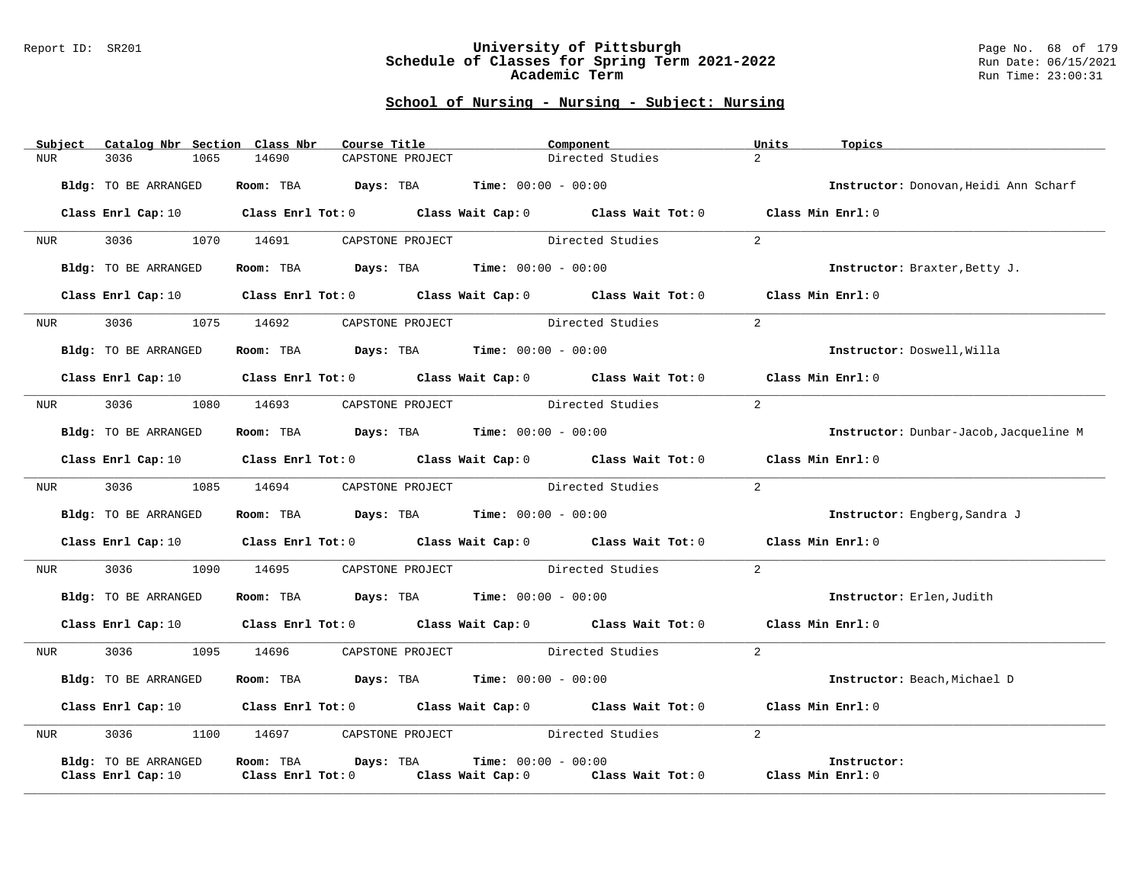#### Report ID: SR201 **University of Pittsburgh** Page No. 68 of 179 **Schedule of Classes for Spring Term 2021-2022** Run Date: 06/15/2021 **Academic Term** Run Time: 23:00:31

| Subject        | Catalog Nbr Section Class Nbr                         |                                            | Course Title     |                                                                                       | Component                                                                                                                      | Units             | Topics                                 |
|----------------|-------------------------------------------------------|--------------------------------------------|------------------|---------------------------------------------------------------------------------------|--------------------------------------------------------------------------------------------------------------------------------|-------------------|----------------------------------------|
| <b>NUR</b>     | 3036<br>1065                                          | 14690                                      | CAPSTONE PROJECT |                                                                                       | Directed Studies                                                                                                               | $\overline{2}$    |                                        |
|                | Bldg: TO BE ARRANGED                                  |                                            |                  | Room: TBA $Days:$ TBA $Time: 00:00 - 00:00$                                           |                                                                                                                                |                   | Instructor: Donovan, Heidi Ann Scharf  |
|                |                                                       |                                            |                  |                                                                                       | Class Enrl Cap: 10 $\qquad$ Class Enrl Tot: 0 $\qquad$ Class Wait Cap: 0 $\qquad$ Class Wait Tot: 0 $\qquad$ Class Min Enrl: 0 |                   |                                        |
| NUR <b>NUR</b> | 3036 1070 14691 CAPSTONE PROJECT Directed Studies     |                                            |                  |                                                                                       |                                                                                                                                | $\overline{2}$    |                                        |
|                | Bldg: TO BE ARRANGED                                  |                                            |                  | Room: TBA $Days:$ TBA Time: $00:00 - 00:00$                                           |                                                                                                                                |                   | Instructor: Braxter, Betty J.          |
|                |                                                       |                                            |                  |                                                                                       | Class Enrl Cap: 10 $\qquad$ Class Enrl Tot: 0 $\qquad$ Class Wait Cap: 0 $\qquad$ Class Wait Tot: 0 $\qquad$ Class Min Enrl: 0 |                   |                                        |
|                | NUR 3036 1075 14692 CAPSTONE PROJECT Directed Studies |                                            |                  |                                                                                       |                                                                                                                                | $\overline{2}$    |                                        |
|                | Bldg: TO BE ARRANGED                                  |                                            |                  | Room: TBA $\rule{1em}{0.15mm}$ Days: TBA Time: $00:00 - 00:00$                        |                                                                                                                                |                   | Instructor: Doswell, Willa             |
|                |                                                       |                                            |                  |                                                                                       | Class Enrl Cap: 10 $\qquad$ Class Enrl Tot: 0 $\qquad$ Class Wait Cap: 0 $\qquad$ Class Wait Tot: 0 $\qquad$ Class Min Enrl: 0 |                   |                                        |
| NUR            | 3036<br>1080                                          |                                            |                  | 14693 CAPSTONE PROJECT Directed Studies                                               |                                                                                                                                | 2                 |                                        |
|                | Bldg: TO BE ARRANGED                                  |                                            |                  | Room: TBA $\rule{1em}{0.15mm}$ Days: TBA $\qquad$ Time: $00:00 - 00:00$               |                                                                                                                                |                   | Instructor: Dunbar-Jacob, Jacqueline M |
|                |                                                       |                                            |                  |                                                                                       | Class Enrl Cap: 10 $\qquad$ Class Enrl Tot: 0 $\qquad$ Class Wait Cap: 0 $\qquad$ Class Wait Tot: 0 $\qquad$ Class Min Enrl: 0 |                   |                                        |
| <b>NUR</b>     | 3036 1085 14694 CAPSTONE PROJECT Directed Studies     |                                            |                  |                                                                                       |                                                                                                                                | 2                 |                                        |
|                | Bldg: TO BE ARRANGED                                  |                                            |                  | Room: TBA $Days:$ TBA $Time: 00:00 - 00:00$                                           |                                                                                                                                |                   | Instructor: Engberg, Sandra J          |
|                |                                                       |                                            |                  |                                                                                       | Class Enrl Cap: 10 $\qquad$ Class Enrl Tot: 0 $\qquad$ Class Wait Cap: 0 $\qquad$ Class Wait Tot: 0 $\qquad$ Class Min Enrl: 0 |                   |                                        |
|                | NUR 3036 1090 14695                                   |                                            |                  | CAPSTONE PROJECT Directed Studies                                                     |                                                                                                                                | $\overline{2}$    |                                        |
|                | Bldg: TO BE ARRANGED                                  |                                            |                  | Room: TBA $\rule{1em}{0.15mm}$ Days: TBA $\rule{1.5mm}{0.15mm}$ Time: $00:00 - 00:00$ |                                                                                                                                |                   | Instructor: Erlen, Judith              |
|                |                                                       |                                            |                  |                                                                                       | Class Enrl Cap: 10 $\qquad$ Class Enrl Tot: 0 $\qquad$ Class Wait Cap: 0 $\qquad$ Class Wait Tot: 0 $\qquad$ Class Min Enrl: 0 |                   |                                        |
| NUR            | 3036<br>1095                                          |                                            |                  | 14696 CAPSTONE PROJECT Directed Studies                                               |                                                                                                                                | $\overline{2}$    |                                        |
|                | Bldg: TO BE ARRANGED                                  |                                            |                  | Room: TBA $Days:$ TBA $Time: 00:00 - 00:00$                                           |                                                                                                                                |                   | Instructor: Beach, Michael D           |
|                |                                                       |                                            |                  |                                                                                       | Class Enrl Cap: 10 $\qquad$ Class Enrl Tot: 0 $\qquad$ Class Wait Cap: 0 $\qquad$ Class Wait Tot: 0 $\qquad$ Class Min Enrl: 0 |                   |                                        |
| NUR <b>NUR</b> | 3036 1100 14697 CAPSTONE PROJECT Directed Studies     |                                            |                  |                                                                                       |                                                                                                                                | 2                 |                                        |
|                | Bldg: TO BE ARRANGED<br>Class Enrl Cap: 10            | Room: TBA Days: TBA<br>Class Enrl Tot: $0$ |                  | <b>Time:</b> $00:00 - 00:00$                                                          | Class Wait Cap: 0 Class Wait Tot: 0                                                                                            | Class Min Enrl: 0 | Instructor:                            |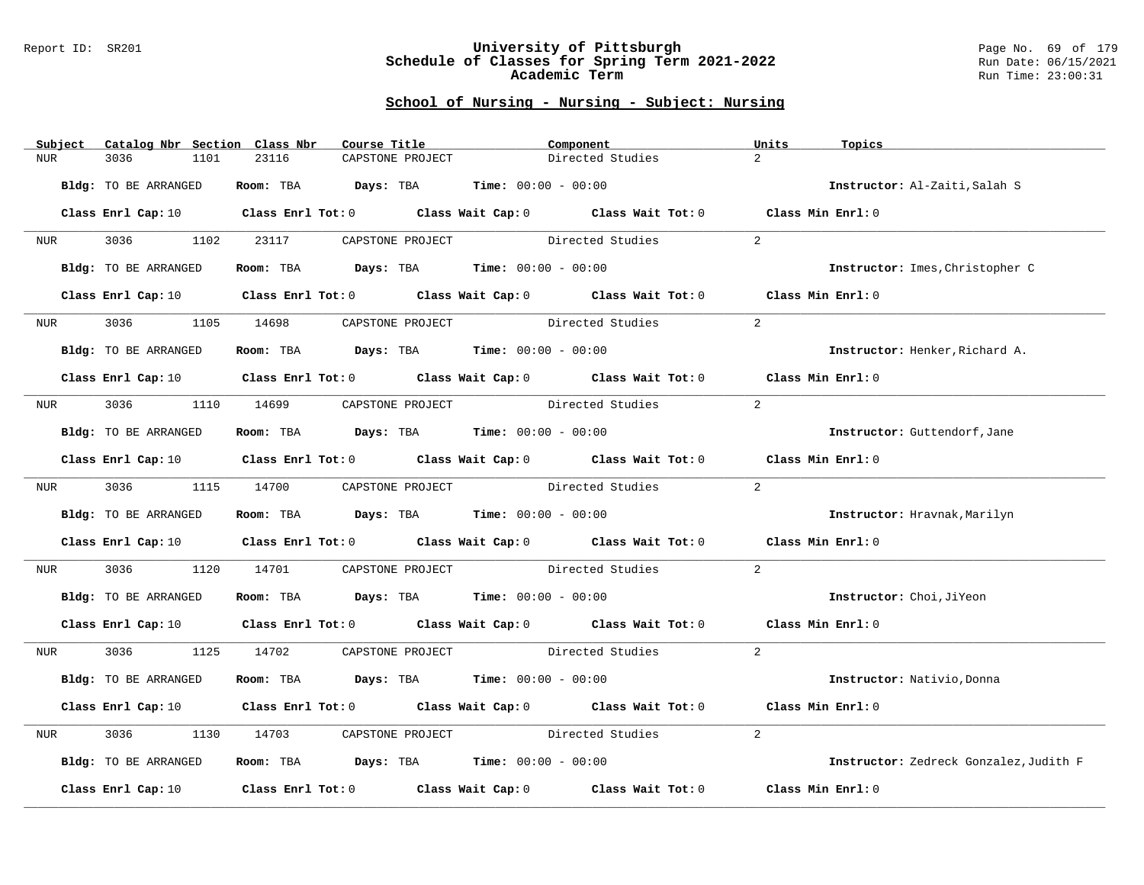#### Report ID: SR201 **University of Pittsburgh** Page No. 69 of 179 **Schedule of Classes for Spring Term 2021-2022** Run Date: 06/15/2021 **Academic Term** Run Time: 23:00:31

| Subject          | Catalog Nbr Section Class Nbr | Course Title              | Component                                                                                                                      | Units          | Topics                                 |
|------------------|-------------------------------|---------------------------|--------------------------------------------------------------------------------------------------------------------------------|----------------|----------------------------------------|
| NUR.             | 3036<br>1101                  | 23116<br>CAPSTONE PROJECT | Directed Studies                                                                                                               | $\overline{2}$ |                                        |
|                  | Bldg: TO BE ARRANGED          |                           | Room: TBA $Days:$ TBA $Time: 00:00 - 00:00$                                                                                    |                | Instructor: Al-Zaiti, Salah S          |
|                  |                               |                           | Class Enrl Cap: 10 $\qquad$ Class Enrl Tot: 0 $\qquad$ Class Wait Cap: 0 $\qquad$ Class Wait Tot: 0 $\qquad$ Class Min Enrl: 0 |                |                                        |
|                  |                               |                           | NUR 3036 1102 23117 CAPSTONE PROJECT Directed Studies                                                                          | 2              |                                        |
|                  | Bldg: TO BE ARRANGED          |                           | Room: TBA $Days:$ TBA $Time: 00:00 - 00:00$                                                                                    |                | Instructor: Imes, Christopher C        |
|                  | Class Enrl Cap: 10            |                           | Class Enrl Tot: 0 Class Wait Cap: 0 Class Wait Tot: 0 Class Min Enrl: 0                                                        |                |                                        |
| NUR <sub>p</sub> | 3036 700                      | 1105 14698                | CAPSTONE PROJECT Directed Studies                                                                                              | $\overline{2}$ |                                        |
|                  | Bldg: TO BE ARRANGED          |                           | Room: TBA $Days:$ TBA $Time: 00:00 - 00:00$                                                                                    |                | Instructor: Henker, Richard A.         |
|                  |                               |                           | Class Enrl Cap: 10 $\qquad$ Class Enrl Tot: 0 $\qquad$ Class Wait Cap: 0 $\qquad$ Class Wait Tot: 0 $\qquad$ Class Min Enrl: 0 |                |                                        |
| NUR <b>NUR</b>   |                               |                           | 3036 1110 14699 CAPSTONE PROJECT Directed Studies                                                                              | 2              |                                        |
|                  | Bldg: TO BE ARRANGED          |                           | Room: TBA Days: TBA Time: $00:00 - 00:00$                                                                                      |                | Instructor: Guttendorf, Jane           |
|                  |                               |                           | Class Enrl Cap: 10 Class Enrl Tot: 0 Class Wait Cap: 0 Class Wait Tot: 0 Class Min Enrl: 0                                     |                |                                        |
|                  |                               |                           | NUR 3036 1115 14700 CAPSTONE PROJECT Directed Studies                                                                          | 2              |                                        |
|                  | Bldg: TO BE ARRANGED          |                           | Room: TBA $\rule{1em}{0.15mm}$ Days: TBA $\rule{1.5mm}{0.15mm}$ Time: $00:00 - 00:00$                                          |                | Instructor: Hravnak, Marilyn           |
|                  |                               |                           | Class Enrl Cap: 10 $\qquad$ Class Enrl Tot: 0 $\qquad$ Class Wait Cap: 0 $\qquad$ Class Wait Tot: 0                            |                | Class Min Enrl: 0                      |
| NUR              | 3036 300<br>1120              |                           | 14701 CAPSTONE PROJECT Directed Studies                                                                                        | 2              |                                        |
|                  | Bldg: TO BE ARRANGED          |                           | Room: TBA $Days:$ TBA $Time: 00:00 - 00:00$                                                                                    |                | Instructor: Choi, JiYeon               |
|                  |                               |                           | Class Enrl Cap: 10 Class Enrl Tot: 0 Class Wait Cap: 0 Class Wait Tot: 0 Class Min Enrl: 0                                     |                |                                        |
| NUR <b>NUR</b>   |                               |                           | 3036 1125 14702 CAPSTONE PROJECT Directed Studies                                                                              | 2              |                                        |
|                  | Bldg: TO BE ARRANGED          |                           | Room: TBA $Days:$ TBA $Time: 00:00 - 00:00$                                                                                    |                | Instructor: Nativio, Donna             |
|                  |                               |                           | Class Enrl Cap: 10 $\qquad$ Class Enrl Tot: 0 $\qquad$ Class Wait Cap: 0 $\qquad$ Class Wait Tot: 0                            |                | Class Min Enrl: 0                      |
| NUR              | 3036<br>1130                  | 14703                     | CAPSTONE PROJECT Directed Studies                                                                                              | $\overline{a}$ |                                        |
|                  | Bldg: TO BE ARRANGED          |                           | Room: TBA $Days:$ TBA $Time: 00:00 - 00:00$                                                                                    |                | Instructor: Zedreck Gonzalez, Judith F |
|                  | Class Enrl Cap: 10            |                           | Class Enrl Tot: $0$ Class Wait Cap: $0$ Class Wait Tot: $0$                                                                    |                | Class Min Enrl: 0                      |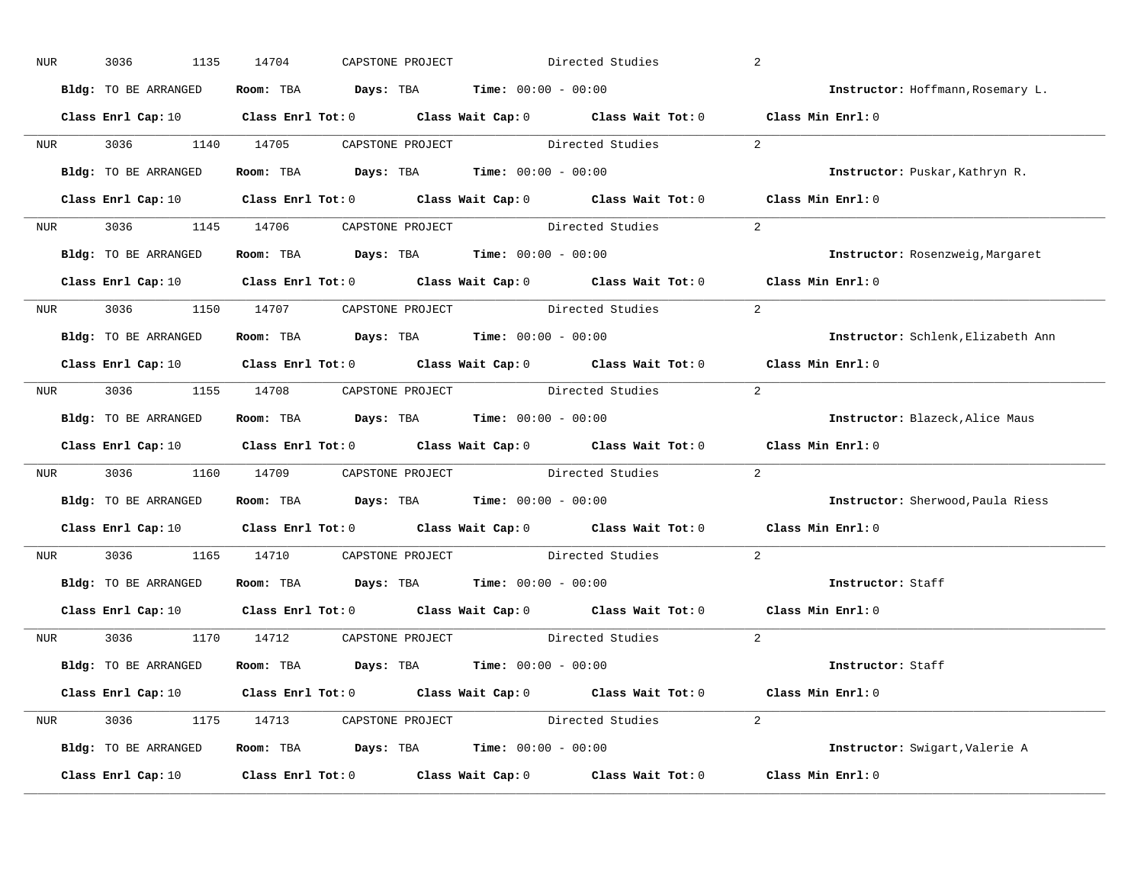| NUR        | 3036<br>1135         | 14704 | CAPSTONE PROJECT |                                                                                       | Directed Studies                                                                                                               | 2                                  |
|------------|----------------------|-------|------------------|---------------------------------------------------------------------------------------|--------------------------------------------------------------------------------------------------------------------------------|------------------------------------|
|            | Bldg: TO BE ARRANGED |       |                  | Room: TBA $Days: TBA$ Time: $00:00 - 00:00$                                           |                                                                                                                                | Instructor: Hoffmann, Rosemary L.  |
|            |                      |       |                  |                                                                                       | Class Enrl Cap: 10 $\qquad$ Class Enrl Tot: 0 $\qquad$ Class Wait Cap: 0 $\qquad$ Class Wait Tot: 0 $\qquad$ Class Min Enrl: 0 |                                    |
|            |                      |       |                  |                                                                                       | NUR 3036 1140 14705 CAPSTONE PROJECT Directed Studies 2                                                                        |                                    |
|            | Bldg: TO BE ARRANGED |       |                  | Room: TBA $Days:$ TBA Time: $00:00 - 00:00$                                           |                                                                                                                                | Instructor: Puskar, Kathryn R.     |
|            |                      |       |                  |                                                                                       | Class Enrl Cap: 10 $\qquad$ Class Enrl Tot: 0 $\qquad$ Class Wait Cap: 0 $\qquad$ Class Wait Tot: 0 $\qquad$ Class Min Enrl: 0 |                                    |
|            |                      |       |                  |                                                                                       | NUR 3036 1145 14706 CAPSTONE PROJECT Directed Studies 2                                                                        |                                    |
|            |                      |       |                  | Bldg: TO BE ARRANGED Room: TBA Days: TBA Time: 00:00 - 00:00                          |                                                                                                                                | Instructor: Rosenzweig, Margaret   |
|            |                      |       |                  |                                                                                       | Class Enrl Cap: 10 $\qquad$ Class Enrl Tot: 0 $\qquad$ Class Wait Cap: 0 $\qquad$ Class Wait Tot: 0 $\qquad$ Class Min Enrl: 0 |                                    |
|            |                      |       |                  | NUR 3036 1150 14707 CAPSTONE PROJECT Directed Studies                                 |                                                                                                                                | 2                                  |
|            | Bldg: TO BE ARRANGED |       |                  | Room: TBA $Days:$ TBA $Time: 00:00 - 00:00$                                           |                                                                                                                                | Instructor: Schlenk, Elizabeth Ann |
|            |                      |       |                  |                                                                                       | Class Enrl Cap: 10 $\qquad$ Class Enrl Tot: 0 $\qquad$ Class Wait Cap: 0 $\qquad$ Class Wait Tot: 0 $\qquad$ Class Min Enrl: 0 |                                    |
|            |                      |       |                  |                                                                                       | NUR 3036 1155 14708 CAPSTONE PROJECT Directed Studies                                                                          | 2                                  |
|            | Bldg: TO BE ARRANGED |       |                  | Room: TBA $Days:$ TBA $Time: 00:00 - 00:00$                                           |                                                                                                                                | Instructor: Blazeck, Alice Maus    |
|            |                      |       |                  |                                                                                       | Class Enrl Cap: 10 $\qquad$ Class Enrl Tot: 0 $\qquad$ Class Wait Cap: 0 $\qquad$ Class Wait Tot: 0 $\qquad$ Class Min Enrl: 0 |                                    |
|            |                      |       |                  |                                                                                       | NUR 3036 1160 14709 CAPSTONE PROJECT Directed Studies                                                                          | 2                                  |
|            | Bldg: TO BE ARRANGED |       |                  | Room: TBA $Days:$ TBA $Time: 00:00 - 00:00$                                           |                                                                                                                                | Instructor: Sherwood, Paula Riess  |
|            |                      |       |                  |                                                                                       | Class Enrl Cap: 10 $\qquad$ Class Enrl Tot: 0 $\qquad$ Class Wait Cap: 0 $\qquad$ Class Wait Tot: 0                            | Class Min Enrl: 0                  |
| <b>NUR</b> |                      |       |                  |                                                                                       | 3036 1165 14710 CAPSTONE PROJECT Directed Studies                                                                              | $\overline{a}$                     |
|            |                      |       |                  | Bldg: TO BE ARRANGED Room: TBA Days: TBA Time: 00:00 - 00:00                          |                                                                                                                                | Instructor: Staff                  |
|            |                      |       |                  |                                                                                       | Class Enrl Cap: 10 $\qquad$ Class Enrl Tot: 0 $\qquad$ Class Wait Cap: 0 $\qquad$ Class Wait Tot: 0                            | Class Min Enrl: 0                  |
|            |                      |       |                  |                                                                                       | NUR 3036 1170 14712 CAPSTONE PROJECT Directed Studies                                                                          | 2                                  |
|            | Bldg: TO BE ARRANGED |       |                  | Room: TBA $\rule{1em}{0.15mm}$ Days: TBA $\rule{1.5mm}{0.15mm}$ Time: $00:00 - 00:00$ |                                                                                                                                | Instructor: Staff                  |
|            |                      |       |                  |                                                                                       | Class Enrl Cap: 10 $\qquad$ Class Enrl Tot: 0 $\qquad$ Class Wait Cap: 0 $\qquad$ Class Wait Tot: 0 $\qquad$ Class Min Enrl: 0 |                                    |
|            |                      |       |                  |                                                                                       | NUR 3036 1175 14713 CAPSTONE PROJECT Directed Studies 2                                                                        |                                    |
|            | Bldg: TO BE ARRANGED |       |                  | Room: TBA $Days:$ TBA $Time: 00:00 - 00:00$                                           |                                                                                                                                | Instructor: Swigart, Valerie A     |
|            |                      |       |                  |                                                                                       | Class Enrl Cap: 10 $\qquad$ Class Enrl Tot: 0 $\qquad$ Class Wait Cap: 0 $\qquad$ Class Wait Tot: 0 $\qquad$ Class Min Enrl: 0 |                                    |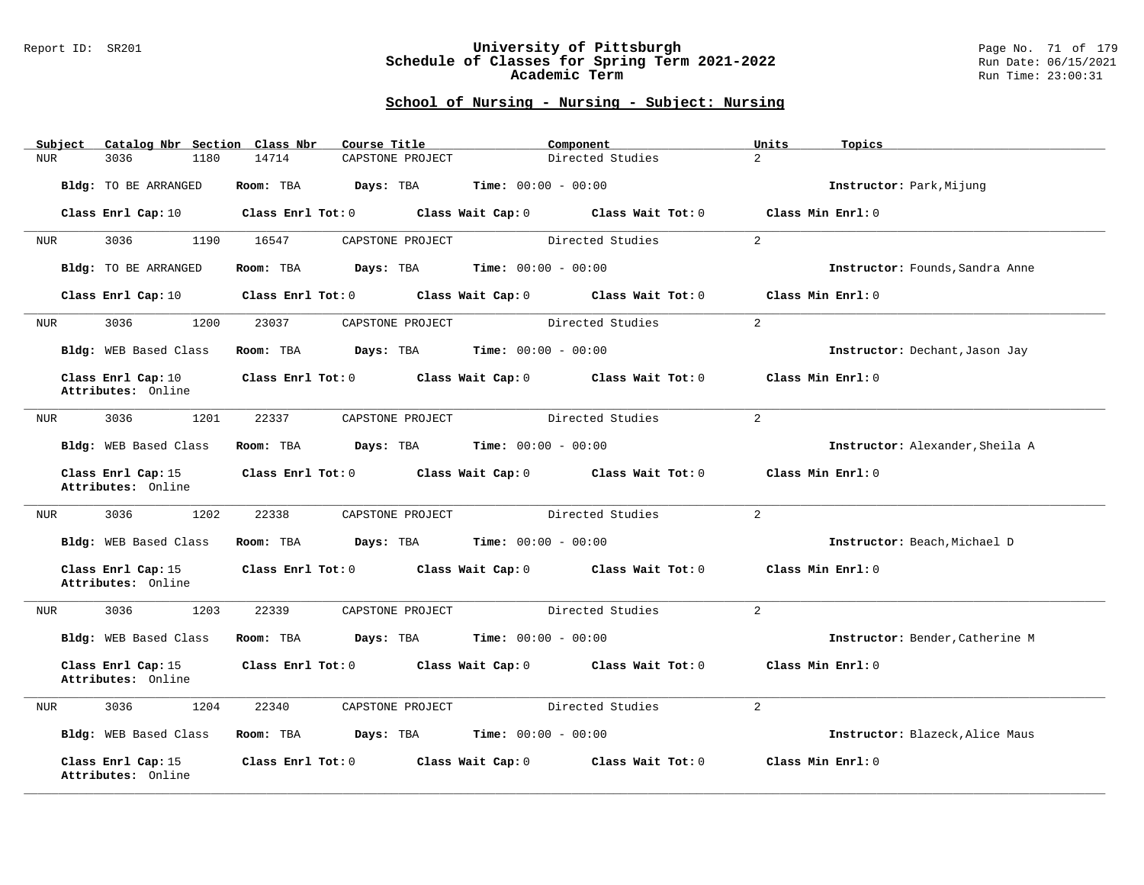### Report ID: SR201 **University of Pittsburgh** Page No. 71 of 179 **Schedule of Classes for Spring Term 2021-2022** Run Date: 06/15/2021 **Academic Term** Run Time: 23:00:31

| Subject | Catalog Nbr Section Class Nbr            |                                                       | Course Title     | Component                                     |                                     | Units          | Topics                          |
|---------|------------------------------------------|-------------------------------------------------------|------------------|-----------------------------------------------|-------------------------------------|----------------|---------------------------------|
| NUR     | 3036<br>1180                             | 14714                                                 | CAPSTONE PROJECT |                                               | Directed Studies                    | $\overline{2}$ |                                 |
|         | Bldg: TO BE ARRANGED                     | Room: TBA                                             | Days: TBA        | <b>Time:</b> $00:00 - 00:00$                  |                                     |                | Instructor: Park, Mijung        |
|         | Class Enrl Cap: 10                       | Class Enrl Tot: 0                                     |                  | Class Wait Cap: 0                             | Class Wait Tot: 0                   |                | Class Min Enrl: 0               |
| NUR     | 3036<br>1190                             | 16547                                                 | CAPSTONE PROJECT |                                               | Directed Studies                    | $\overline{a}$ |                                 |
|         | Bldg: TO BE ARRANGED                     | Room: TBA                                             |                  | <b>Days:</b> TBA <b>Time:</b> $00:00 - 00:00$ |                                     |                | Instructor: Founds, Sandra Anne |
|         | Class Enrl Cap: 10                       | Class Enrl Tot: 0                                     |                  | Class Wait Cap: 0                             | Class Wait Tot: 0                   |                | Class Min Enrl: 0               |
| NUR     | 1200<br>3036                             | 23037                                                 | CAPSTONE PROJECT |                                               | Directed Studies                    | $\overline{a}$ |                                 |
|         | Bldg: WEB Based Class                    | Room: TBA                                             | Days: TBA        | <b>Time:</b> $00:00 - 00:00$                  |                                     |                | Instructor: Dechant, Jason Jay  |
|         | Class Enrl Cap: 10<br>Attributes: Online | $Class$ $Enrl$ $Tot: 0$                               |                  | Class Wait Cap: 0                             | Class Wait Tot: 0                   |                | Class Min Enrl: 0               |
| NUR     | 1201<br>3036                             | 22337                                                 | CAPSTONE PROJECT |                                               | Directed Studies                    | $\overline{a}$ |                                 |
|         | Bldg: WEB Based Class                    | Room: TBA                                             | Days: TBA        | <b>Time:</b> $00:00 - 00:00$                  |                                     |                | Instructor: Alexander, Sheila A |
|         | Class Enrl Cap: 15<br>Attributes: Online | $Class$ $Enr1$ $Tot: 0$                               |                  |                                               | Class Wait Cap: 0 Class Wait Tot: 0 |                | Class Min Enrl: 0               |
| NUR     | 3036<br>1202                             | 22338                                                 | CAPSTONE PROJECT |                                               | Directed Studies                    | $\overline{2}$ |                                 |
|         | Bldg: WEB Based Class                    | Room: TBA                                             | Days: TBA        | <b>Time:</b> $00:00 - 00:00$                  |                                     |                | Instructor: Beach, Michael D    |
|         | Class Enrl Cap: 15<br>Attributes: Online | Class Enrl Tot: 0                                     |                  | Class Wait Cap: 0                             | Class Wait Tot: 0                   |                | Class Min Enrl: 0               |
| NUR     | 3036<br>1203                             | 22339                                                 | CAPSTONE PROJECT |                                               | Directed Studies                    | $\overline{2}$ |                                 |
|         | Bldg: WEB Based Class                    | Room: TBA                                             | Days: TBA        | <b>Time:</b> $00:00 - 00:00$                  |                                     |                | Instructor: Bender, Catherine M |
|         | Class Enrl Cap: 15<br>Attributes: Online | Class Enrl Tot: 0 Class Wait Cap: 0 Class Wait Tot: 0 |                  |                                               |                                     |                | Class Min Enrl: 0               |
| NUR     | 3036<br>1204                             | 22340                                                 | CAPSTONE PROJECT |                                               | Directed Studies                    | $\overline{a}$ |                                 |
|         | Bldg: WEB Based Class                    | Room: TBA                                             | Days: TBA        | <b>Time:</b> $00:00 - 00:00$                  |                                     |                | Instructor: Blazeck, Alice Maus |
|         | Class Enrl Cap: 15<br>Attributes: Online | Class Enrl Tot: 0                                     |                  | Class Wait Cap: 0                             | Class Wait Tot: 0                   |                | Class Min Enrl: 0               |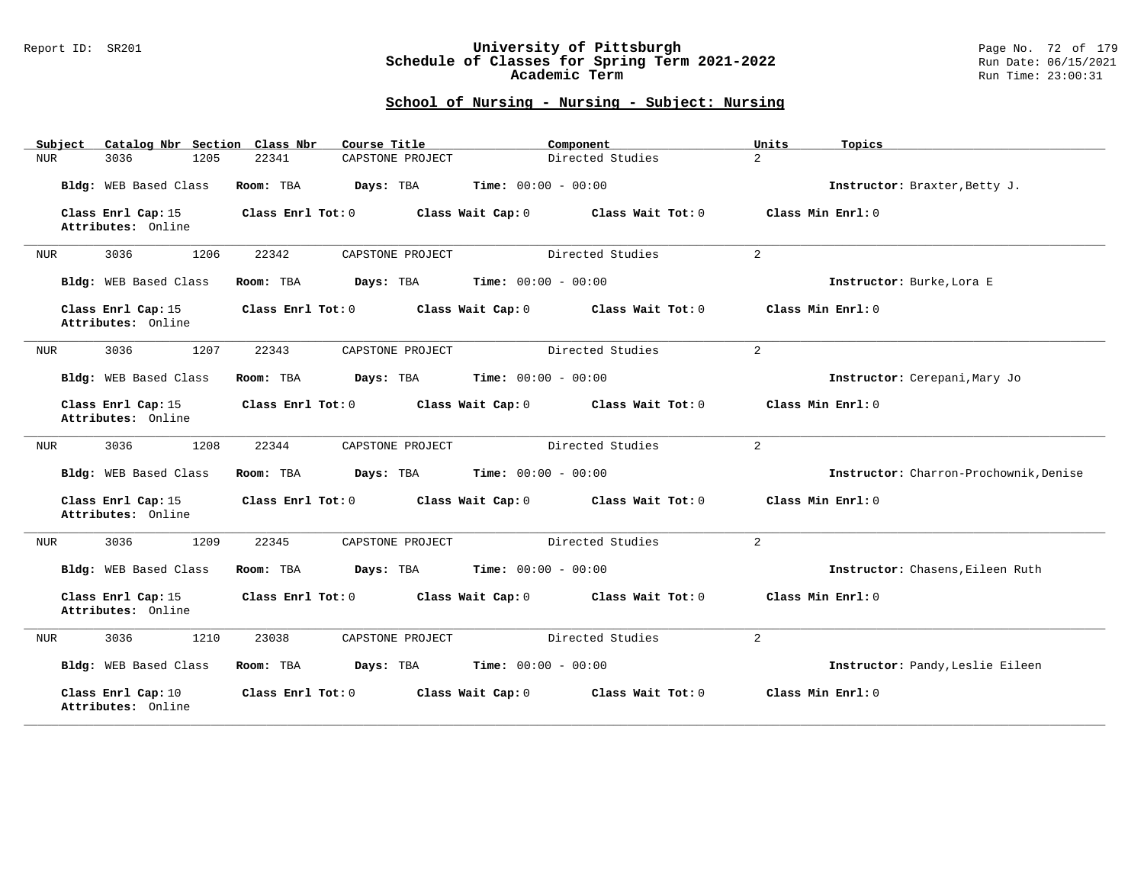### Report ID: SR201 **University of Pittsburgh** Page No. 72 of 179 **Schedule of Classes for Spring Term 2021-2022** Run Date: 06/15/2021 **Academic Term** Run Time: 23:00:31

| Catalog Nbr Section Class Nbr<br>Subject | Course Title                           | Component                          | Units<br>Topics                        |
|------------------------------------------|----------------------------------------|------------------------------------|----------------------------------------|
| 3036<br>1205<br>NUR                      | 22341<br>CAPSTONE PROJECT              | $\overline{a}$<br>Directed Studies |                                        |
| Bldg: WEB Based Class                    | Room: TBA<br>Days: TBA                 | <b>Time:</b> $00:00 - 00:00$       | Instructor: Braxter, Betty J.          |
| Class Enrl Cap: 15<br>Attributes: Online | Class Enrl Tot: 0<br>Class Wait Cap: 0 | Class Wait Tot: 0                  | Class Min Enrl: 0                      |
| 3036<br>1206<br>NUR                      | 22342<br>CAPSTONE PROJECT              | 2<br>Directed Studies              |                                        |
| Bldg: WEB Based Class                    | Room: TBA<br>Days: TBA                 | Time: $00:00 - 00:00$              | Instructor: Burke, Lora E              |
| Class Enrl Cap: 15<br>Attributes: Online | Class Enrl Tot: 0<br>Class Wait Cap: 0 | Class Wait Tot: 0                  | Class Min Enrl: 0                      |
| 1207<br>3036<br><b>NUR</b>               | 22343<br>CAPSTONE PROJECT              | $\overline{2}$<br>Directed Studies |                                        |
| Bldg: WEB Based Class                    | Room: TBA<br>Days: TBA                 | Time: $00:00 - 00:00$              | Instructor: Cerepani, Mary Jo          |
| Class Enrl Cap: 15<br>Attributes: Online | Class Enrl Tot: 0<br>Class Wait Cap: 0 | Class Wait Tot: 0                  | Class Min Enrl: 0                      |
| 1208<br>3036<br>NUR                      | 22344<br>CAPSTONE PROJECT              | $\overline{2}$<br>Directed Studies |                                        |
| Bldg: WEB Based Class                    | Room: TBA<br>Days: TBA                 | <b>Time:</b> $00:00 - 00:00$       | Instructor: Charron-Prochownik, Denise |
| Class Enrl Cap: 15<br>Attributes: Online | Class Enrl Tot: 0<br>Class Wait Cap: 0 | Class Wait Tot: 0                  | Class Min Enrl: 0                      |
| 3036<br>1209<br><b>NUR</b>               | 22345<br>CAPSTONE PROJECT              | Directed Studies<br>$\overline{2}$ |                                        |
| Bldg: WEB Based Class                    | Room: TBA<br>Days: TBA                 | <b>Time:</b> $00:00 - 00:00$       | Instructor: Chasens, Eileen Ruth       |
| Class Enrl Cap: 15<br>Attributes: Online | Class Enrl Tot: 0<br>Class Wait Cap: 0 | Class Wait Tot: 0                  | Class Min Enrl: 0                      |
| 3036<br>1210<br><b>NUR</b>               | 23038<br>CAPSTONE PROJECT              | $\overline{a}$<br>Directed Studies |                                        |
| Bldg: WEB Based Class                    | Room: TBA<br>Days: TBA                 | Time: $00:00 - 00:00$              | Instructor: Pandy, Leslie Eileen       |
| Class Enrl Cap: 10<br>Attributes: Online | Class Enrl Tot: 0<br>Class Wait Cap: 0 | Class Wait Tot: 0                  | Class Min Enrl: 0                      |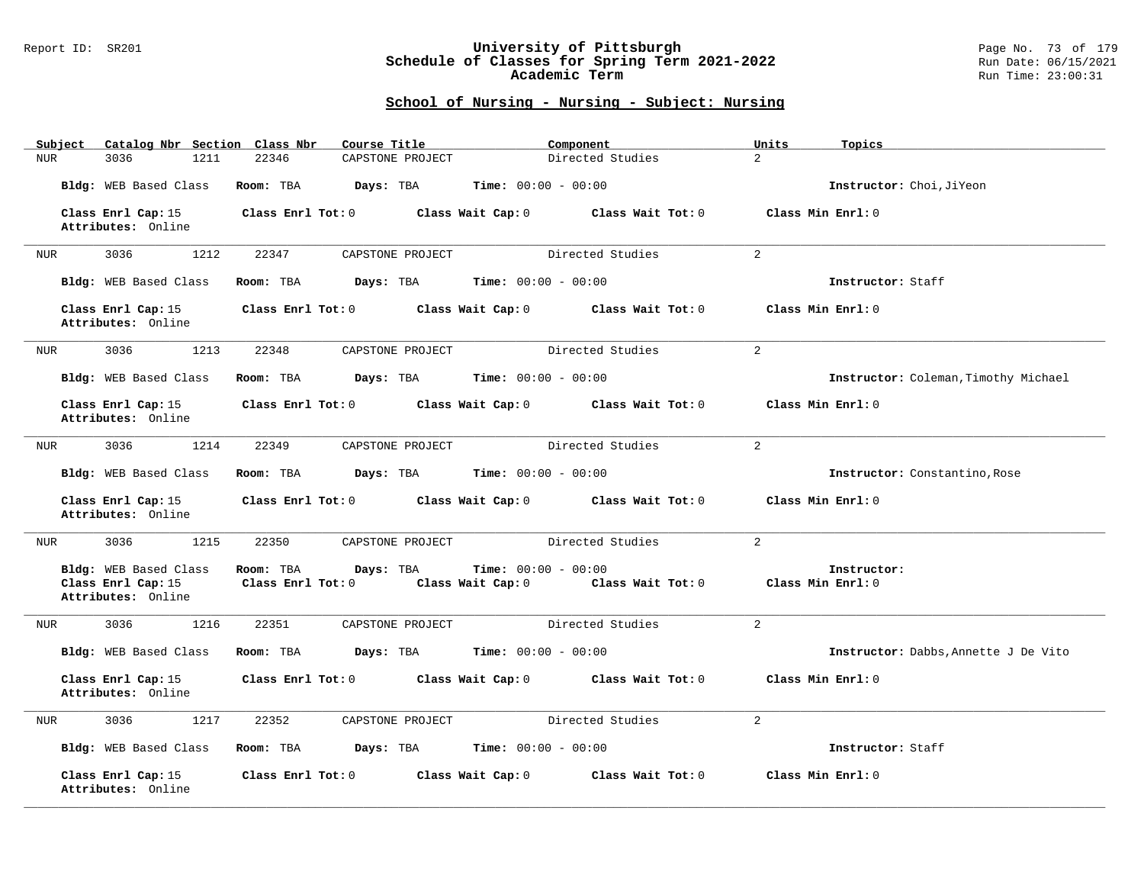### Report ID: SR201 **University of Pittsburgh** Page No. 73 of 179 **Schedule of Classes for Spring Term 2021-2022** Run Date: 06/15/2021 **Academic Term** Run Time: 23:00:31

| Subject | Catalog Nbr Section Class Nbr                                     | Course Title                                | Component                                                              | Units<br>Topics                      |
|---------|-------------------------------------------------------------------|---------------------------------------------|------------------------------------------------------------------------|--------------------------------------|
| NUR     | 3036<br>1211                                                      | 22346<br>CAPSTONE PROJECT                   | Directed Studies                                                       | $\overline{a}$                       |
|         | Bldg: WEB Based Class                                             | Room: TBA<br>Days: TBA                      | <b>Time:</b> $00:00 - 00:00$                                           | Instructor: Choi, JiYeon             |
|         | Class Enrl Cap: 15<br>Attributes: Online                          | Class Enrl Tot: $0$                         | Class Wait Cap: 0<br>Class Wait Tot: 0                                 | Class Min Enrl: 0                    |
| NUR     | 1212<br>3036                                                      | 22347<br>CAPSTONE PROJECT                   | Directed Studies                                                       | 2                                    |
|         | Bldg: WEB Based Class                                             | Room: TBA<br>Days: TBA                      | <b>Time:</b> $00:00 - 00:00$                                           | Instructor: Staff                    |
|         | Class Enrl Cap: 15<br>Attributes: Online                          | Class Enrl Tot: 0                           | Class Wait Tot: 0<br>Class Wait Cap: 0                                 | Class Min Enrl: 0                    |
| NUR     | 3036<br>1213                                                      | 22348<br>CAPSTONE PROJECT                   | Directed Studies                                                       | $\overline{2}$                       |
|         | Bldg: WEB Based Class                                             | Days: TBA<br>Room: TBA                      | <b>Time:</b> $00:00 - 00:00$                                           | Instructor: Coleman, Timothy Michael |
|         | Class Enrl Cap: 15<br>Attributes: Online                          | $Class$ $Enr1$ $Tot: 0$                     | Class Wait Cap: 0<br>Class Wait Tot: 0                                 | Class Min $Err1:0$                   |
| NUR     | 3036<br>1214                                                      | 22349<br>CAPSTONE PROJECT                   | Directed Studies                                                       | 2                                    |
|         | Bldg: WEB Based Class                                             | Days: TBA<br>Room: TBA                      | <b>Time:</b> $00:00 - 00:00$                                           | Instructor: Constantino, Rose        |
|         | Class Enrl Cap: 15<br>Attributes: Online                          | Class Enrl Tot: 0                           | Class Wait Tot: 0<br>Class Wait Cap: 0                                 | Class Min Enrl: 0                    |
| NUR     | 1215<br>3036                                                      | 22350<br>CAPSTONE PROJECT                   | Directed Studies                                                       | $\overline{2}$                       |
|         | Bldg: WEB Based Class<br>Class Enrl Cap: 15<br>Attributes: Online | Room: TBA<br>Days: TBA<br>Class Enrl Tot: 0 | <b>Time:</b> $00:00 - 00:00$<br>Class Wait Cap: 0<br>Class Wait Tot: 0 | Instructor:<br>Class Min Enrl: 0     |
| NUR     | 1216<br>3036                                                      | 22351<br>CAPSTONE PROJECT                   | Directed Studies                                                       | $\overline{a}$                       |
|         | Bldg: WEB Based Class                                             | Days: TBA<br>Room: TBA                      | <b>Time:</b> $00:00 - 00:00$                                           | Instructor: Dabbs, Annette J De Vito |
|         | Class Enrl Cap: 15<br>Attributes: Online                          | Class Enrl Tot: 0                           | Class Wait Cap: 0<br>Class Wait Tot: 0                                 | Class Min Enrl: 0                    |
| NUR     | 3036<br>1217                                                      | 22352<br>CAPSTONE PROJECT                   | Directed Studies                                                       | $\overline{2}$                       |
|         | Bldg: WEB Based Class                                             | Room: TBA<br>Days: TBA                      | <b>Time:</b> $00:00 - 00:00$                                           | Instructor: Staff                    |
|         | Class Enrl Cap: 15<br>Attributes: Online                          | Class Enrl Tot: 0                           | Class Wait Tot: 0<br>Class Wait Cap: 0                                 | Class Min Enrl: 0                    |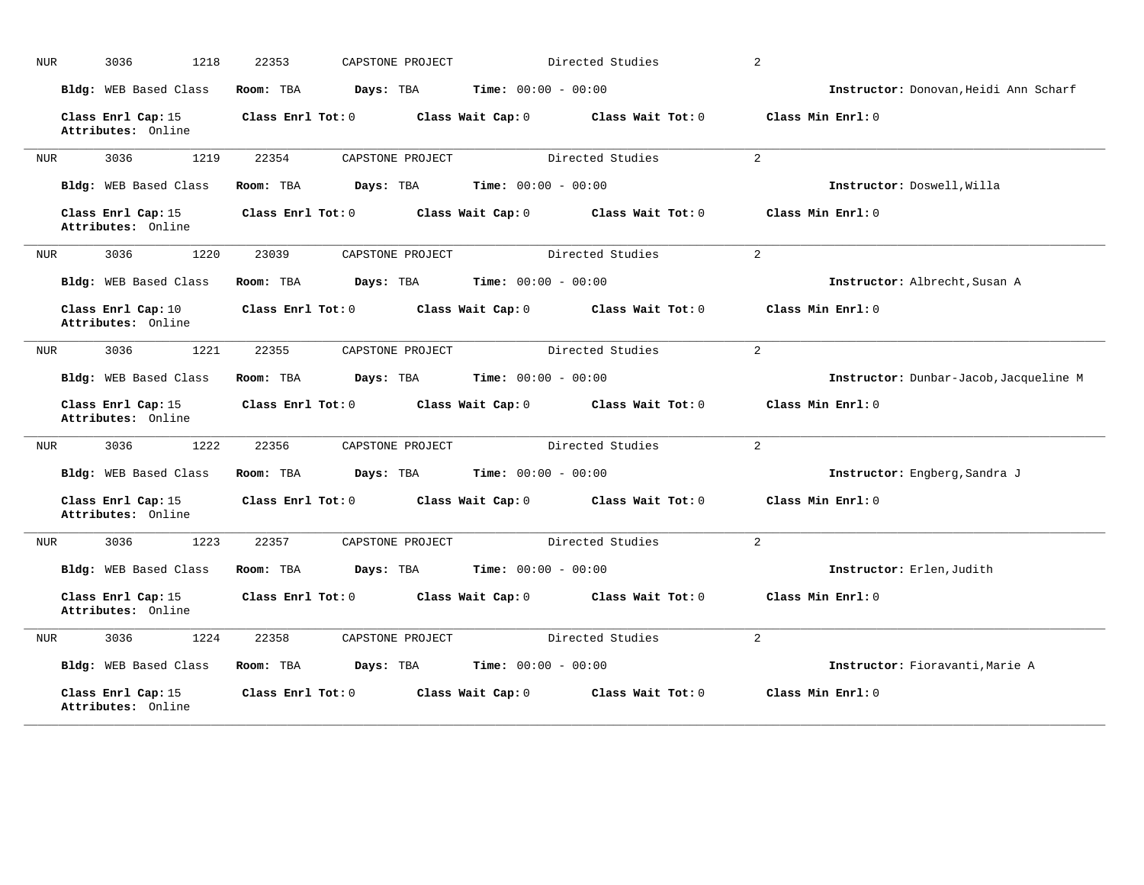| <b>NUR</b> | 3036<br>1218                             | 22353             | CAPSTONE PROJECT |                              | Directed Studies  | $\overline{2}$                         |
|------------|------------------------------------------|-------------------|------------------|------------------------------|-------------------|----------------------------------------|
|            | Bldg: WEB Based Class                    | Room: TBA         | Days: TBA        | <b>Time:</b> $00:00 - 00:00$ |                   | Instructor: Donovan, Heidi Ann Scharf  |
|            | Class Enrl Cap: 15<br>Attributes: Online | Class Enrl Tot: 0 |                  | Class Wait Cap: 0            | Class Wait Tot: 0 | Class Min Enrl: 0                      |
| <b>NUR</b> | 3036<br>1219                             | 22354             | CAPSTONE PROJECT |                              | Directed Studies  | 2                                      |
|            | Bldg: WEB Based Class                    | Room: TBA         | Days: TBA        | <b>Time:</b> $00:00 - 00:00$ |                   | Instructor: Doswell, Willa             |
|            | Class Enrl Cap: 15<br>Attributes: Online | Class Enrl Tot: 0 |                  | Class Wait Cap: 0            | Class Wait Tot: 0 | Class Min Enrl: 0                      |
| NUR        | 1220<br>3036                             | 23039             | CAPSTONE PROJECT |                              | Directed Studies  | $\overline{2}$                         |
|            | Bldg: WEB Based Class                    | Room: TBA         | Days: TBA        | Time: $00:00 - 00:00$        |                   | Instructor: Albrecht, Susan A          |
|            | Class Enrl Cap: 10<br>Attributes: Online | Class Enrl Tot: 0 |                  | Class Wait Cap: 0            | Class Wait Tot: 0 | Class Min Enrl: 0                      |
| <b>NUR</b> | 3036<br>1221                             | 22355             | CAPSTONE PROJECT |                              | Directed Studies  | $\overline{2}$                         |
|            | Bldg: WEB Based Class                    | Room: TBA         | Days: TBA        | <b>Time:</b> $00:00 - 00:00$ |                   | Instructor: Dunbar-Jacob, Jacqueline M |
|            | Class Enrl Cap: 15<br>Attributes: Online | Class Enrl Tot: 0 |                  | Class Wait Cap: 0            | Class Wait Tot: 0 | Class Min Enrl: 0                      |
| <b>NUR</b> | 3036<br>1222                             | 22356             | CAPSTONE PROJECT |                              | Directed Studies  | 2                                      |
|            | Bldg: WEB Based Class                    | Room: TBA         | Days: TBA        | Time: $00:00 - 00:00$        |                   | Instructor: Engberg, Sandra J          |
|            | Class Enrl Cap: 15<br>Attributes: Online | Class Enrl Tot: 0 |                  | Class Wait Cap: 0            | Class Wait Tot: 0 | Class Min Enrl: 0                      |
| <b>NUR</b> | 1223<br>3036                             | 22357             | CAPSTONE PROJECT |                              | Directed Studies  | $\overline{2}$                         |
|            | Bldg: WEB Based Class                    | Room: TBA         | Days: TBA        | Time: $00:00 - 00:00$        |                   | Instructor: Erlen, Judith              |
|            | Class Enrl Cap: 15<br>Attributes: Online | Class Enrl Tot: 0 |                  | Class Wait Cap: 0            | Class Wait Tot: 0 | Class Min Enrl: 0                      |
| <b>NUR</b> | 3036<br>1224                             | 22358             | CAPSTONE PROJECT |                              | Directed Studies  | $\overline{2}$                         |
|            | Bldg: WEB Based Class                    | Room: TBA         | Days: TBA        | <b>Time:</b> $00:00 - 00:00$ |                   | Instructor: Fioravanti, Marie A        |
|            | Class Enrl Cap: 15<br>Attributes: Online | Class Enrl Tot: 0 |                  | Class Wait Cap: 0            | Class Wait Tot: 0 | Class Min Enrl: 0                      |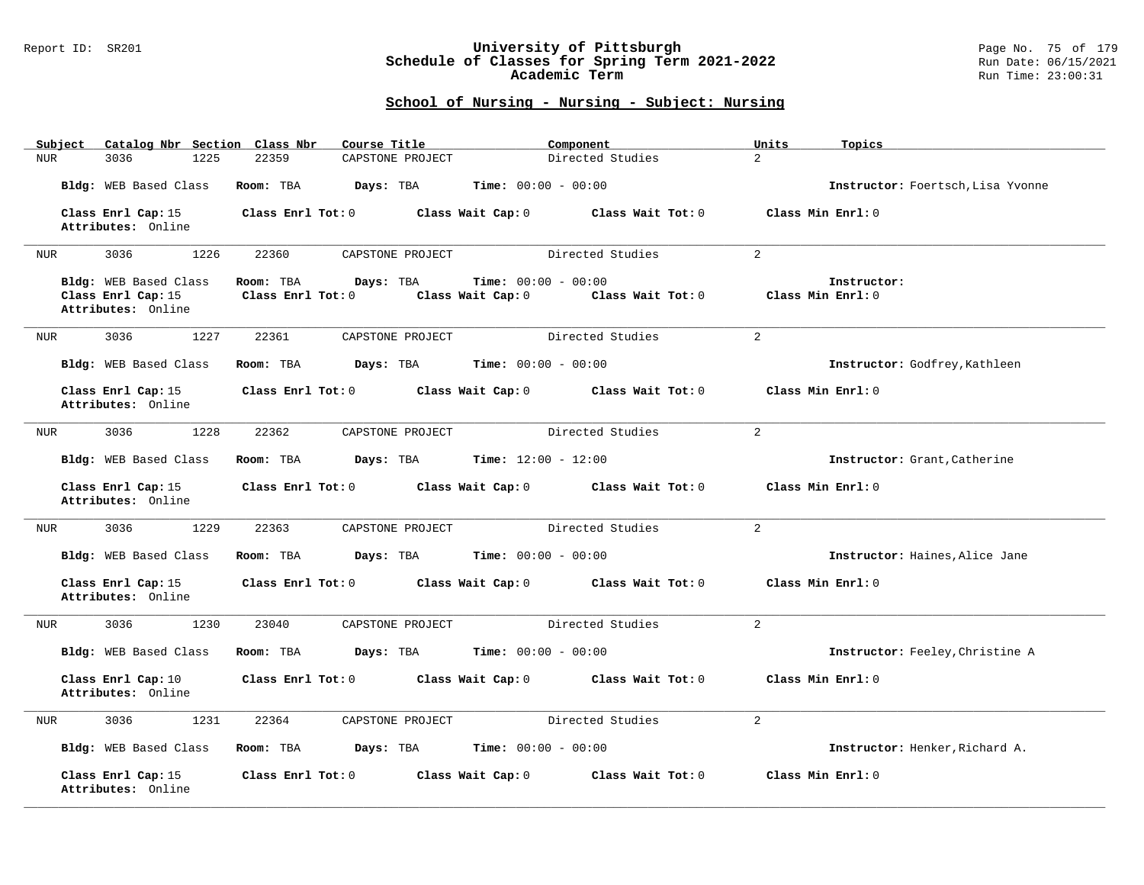### Report ID: SR201 **University of Pittsburgh** Page No. 75 of 179 **Schedule of Classes for Spring Term 2021-2022** Run Date: 06/15/2021 **Academic Term** Run Time: 23:00:31

| Catalog Nbr Section Class Nbr<br><u>Subject</u>                   | Course Title                                                     | Component                                         | Units<br>Topics                   |
|-------------------------------------------------------------------|------------------------------------------------------------------|---------------------------------------------------|-----------------------------------|
| 3036<br>1225<br>NUR                                               | 22359<br>CAPSTONE PROJECT                                        | Directed Studies                                  | $\overline{a}$                    |
| Bldg: WEB Based Class                                             | Room: TBA<br>Days: TBA                                           | <b>Time:</b> $00:00 - 00:00$                      | Instructor: Foertsch, Lisa Yvonne |
| Class Enrl Cap: 15<br>Attributes: Online                          | Class Enrl Tot: 0<br>Class Wait Cap: 0                           | Class Wait Tot: 0                                 | Class Min Enrl: 0                 |
| 3036<br>1226<br>NUR                                               | 22360<br>CAPSTONE PROJECT                                        | Directed Studies                                  | 2                                 |
| Bldg: WEB Based Class<br>Class Enrl Cap: 15<br>Attributes: Online | Room: TBA<br>Days: TBA<br>Class Enrl Tot: 0<br>Class Wait Cap: 0 | <b>Time:</b> $00:00 - 00:00$<br>Class Wait Tot: 0 | Instructor:<br>Class Min Enrl: 0  |
| <b>NUR</b><br>3036<br>1227                                        | 22361<br>CAPSTONE PROJECT                                        | Directed Studies                                  | $\overline{2}$                    |
| Bldg: WEB Based Class                                             | Room: TBA<br>Days: TBA                                           | <b>Time:</b> $00:00 - 00:00$                      | Instructor: Godfrey, Kathleen     |
| Class Enrl Cap: 15<br>Attributes: Online                          | Class Enrl Tot: 0<br>Class Wait Cap: 0                           | Class Wait Tot: 0                                 | Class Min Enrl: 0                 |
| 3036<br>1228<br>NUR                                               | 22362<br>CAPSTONE PROJECT                                        | Directed Studies                                  | $\overline{2}$                    |
| Bldg: WEB Based Class                                             | Room: TBA<br>Days: TBA                                           | <b>Time:</b> $12:00 - 12:00$                      | Instructor: Grant, Catherine      |
| Class Enrl Cap: 15<br>Attributes: Online                          | Class Enrl Tot: 0<br>Class Wait Cap: 0                           | Class Wait Tot: 0                                 | Class Min Enrl: 0                 |
| 3036<br>1229<br>NUR                                               | 22363<br>CAPSTONE PROJECT                                        | Directed Studies                                  | $\overline{2}$                    |
| Bldg: WEB Based Class                                             | Room: TBA<br>Days: TBA                                           | <b>Time:</b> $00:00 - 00:00$                      | Instructor: Haines, Alice Jane    |
| Class Enrl Cap: 15<br>Attributes: Online                          | Class Enrl Tot: 0<br>Class Wait Cap: 0                           | Class Wait Tot: $0$                               | Class Min Enrl: 0                 |
| 3036<br>1230<br>NUR                                               | 23040<br>CAPSTONE PROJECT                                        | Directed Studies                                  | $\overline{a}$                    |
| Bldg: WEB Based Class                                             | Room: TBA<br>Days: TBA                                           | <b>Time:</b> $00:00 - 00:00$                      | Instructor: Feeley, Christine A   |
| Class Enrl Cap: 10<br>Attributes: Online                          | Class Enrl Tot: 0<br>Class Wait Cap: 0                           | Class Wait Tot: 0                                 | Class Min Enrl: 0                 |
| 3036<br>1231<br>NUR                                               | 22364<br>CAPSTONE PROJECT                                        | Directed Studies                                  | $\overline{2}$                    |
| Bldg: WEB Based Class                                             | Room: TBA<br>Days: TBA                                           | <b>Time:</b> $00:00 - 00:00$                      | Instructor: Henker, Richard A.    |
| Class Enrl Cap: 15<br>Attributes: Online                          | Class Enrl Tot: 0<br>Class Wait Cap: 0                           | Class Wait Tot: 0                                 | Class Min Enrl: 0                 |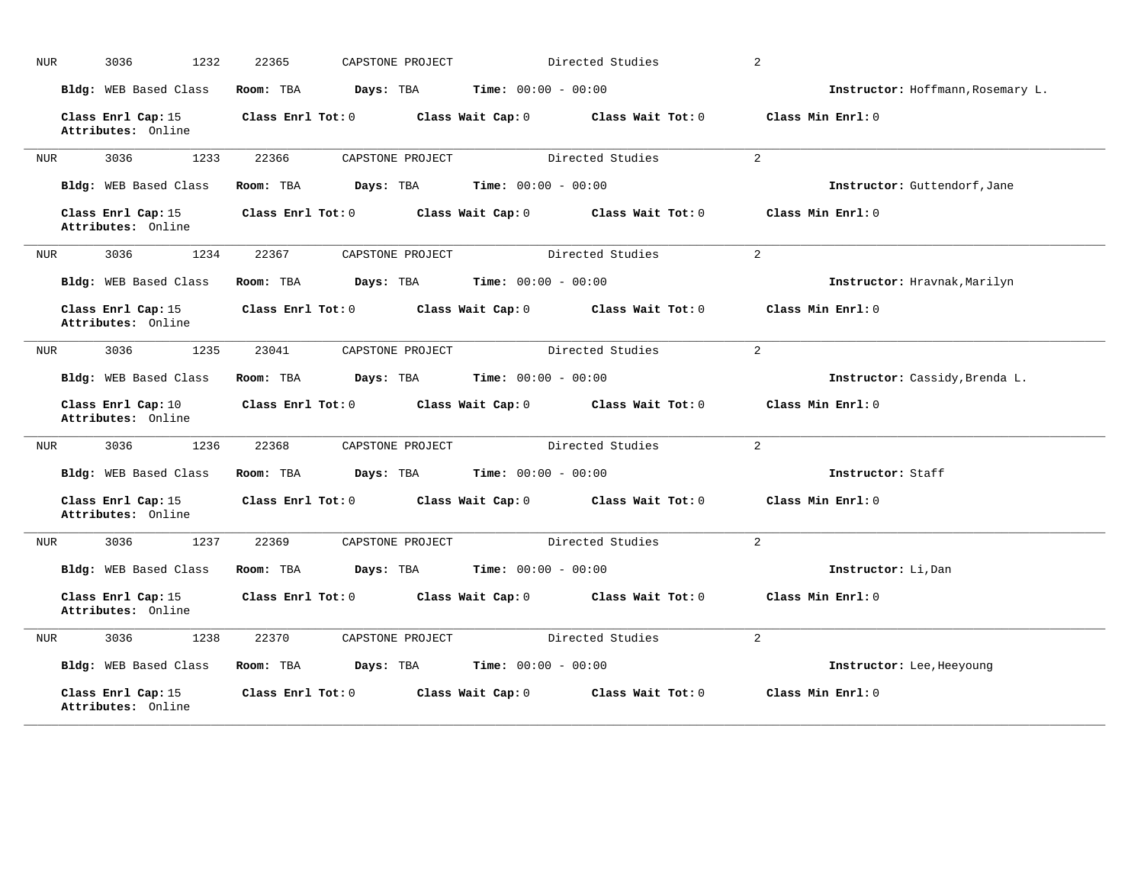| <b>NUR</b> | 3036<br>1232                             | 22365             | CAPSTONE PROJECT |                              | Directed Studies  | 2                                 |
|------------|------------------------------------------|-------------------|------------------|------------------------------|-------------------|-----------------------------------|
|            | <b>Bldg:</b> WEB Based Class             | Room: TBA         | Days: TBA        | <b>Time:</b> $00:00 - 00:00$ |                   | Instructor: Hoffmann, Rosemary L. |
|            | Class Enrl Cap: 15<br>Attributes: Online | Class Enrl Tot: 0 |                  | Class Wait Cap: 0            | Class Wait Tot: 0 | Class Min Enrl: 0                 |
| <b>NUR</b> | 3036<br>1233                             | 22366             | CAPSTONE PROJECT |                              | Directed Studies  | $\overline{2}$                    |
|            | Bldg: WEB Based Class                    | Room: TBA         | Days: TBA        | <b>Time:</b> $00:00 - 00:00$ |                   | Instructor: Guttendorf, Jane      |
|            | Class Enrl Cap: 15<br>Attributes: Online | Class Enrl Tot: 0 |                  | Class Wait Cap: 0            | Class Wait Tot: 0 | Class Min Enrl: 0                 |
| NUR        | 3036<br>1234                             | 22367             | CAPSTONE PROJECT |                              | Directed Studies  | $\overline{2}$                    |
|            | Bldg: WEB Based Class                    | Room: TBA         | Days: TBA        | <b>Time:</b> $00:00 - 00:00$ |                   | Instructor: Hravnak, Marilyn      |
|            | Class Enrl Cap: 15<br>Attributes: Online | Class Enrl Tot: 0 |                  | Class Wait Cap: 0            | Class Wait Tot: 0 | Class Min Enrl: 0                 |
| <b>NUR</b> | 3036<br>1235                             | 23041             | CAPSTONE PROJECT |                              | Directed Studies  | $\overline{2}$                    |
|            | Bldg: WEB Based Class                    | Room: TBA         | Days: TBA        | Time: $00:00 - 00:00$        |                   | Instructor: Cassidy, Brenda L.    |
|            | Class Enrl Cap: 10<br>Attributes: Online | Class Enrl Tot: 0 |                  | Class Wait Cap: 0            | Class Wait Tot: 0 | Class Min Enrl: 0                 |
| <b>NUR</b> | 3036<br>1236                             | 22368             | CAPSTONE PROJECT |                              | Directed Studies  | $\overline{2}$                    |
|            | Bldg: WEB Based Class                    | Room: TBA         | Days: TBA        | <b>Time:</b> $00:00 - 00:00$ |                   | Instructor: Staff                 |
|            | Class Enrl Cap: 15<br>Attributes: Online | Class Enrl Tot: 0 |                  | Class Wait Cap: 0            | Class Wait Tot: 0 | Class Min Enrl: 0                 |
| <b>NUR</b> | 1237<br>3036                             | 22369             | CAPSTONE PROJECT |                              | Directed Studies  | $\overline{2}$                    |
|            | Bldg: WEB Based Class                    | Room: TBA         | Days: TBA        | <b>Time:</b> $00:00 - 00:00$ |                   | Instructor: Li, Dan               |
|            | Class Enrl Cap: 15<br>Attributes: Online | Class Enrl Tot: 0 |                  | Class Wait Cap: 0            | Class Wait Tot: 0 | Class Min Enrl: 0                 |
| <b>NUR</b> | 3036<br>1238                             | 22370             | CAPSTONE PROJECT |                              | Directed Studies  | $\overline{2}$                    |
|            | Bldg: WEB Based Class                    | Room: TBA         | Days: TBA        | <b>Time:</b> $00:00 - 00:00$ |                   | Instructor: Lee, Heeyoung         |
|            | Class Enrl Cap: 15<br>Attributes: Online | Class Enrl Tot: 0 |                  | Class Wait Cap: 0            | Class Wait Tot: 0 | Class Min Enrl: 0                 |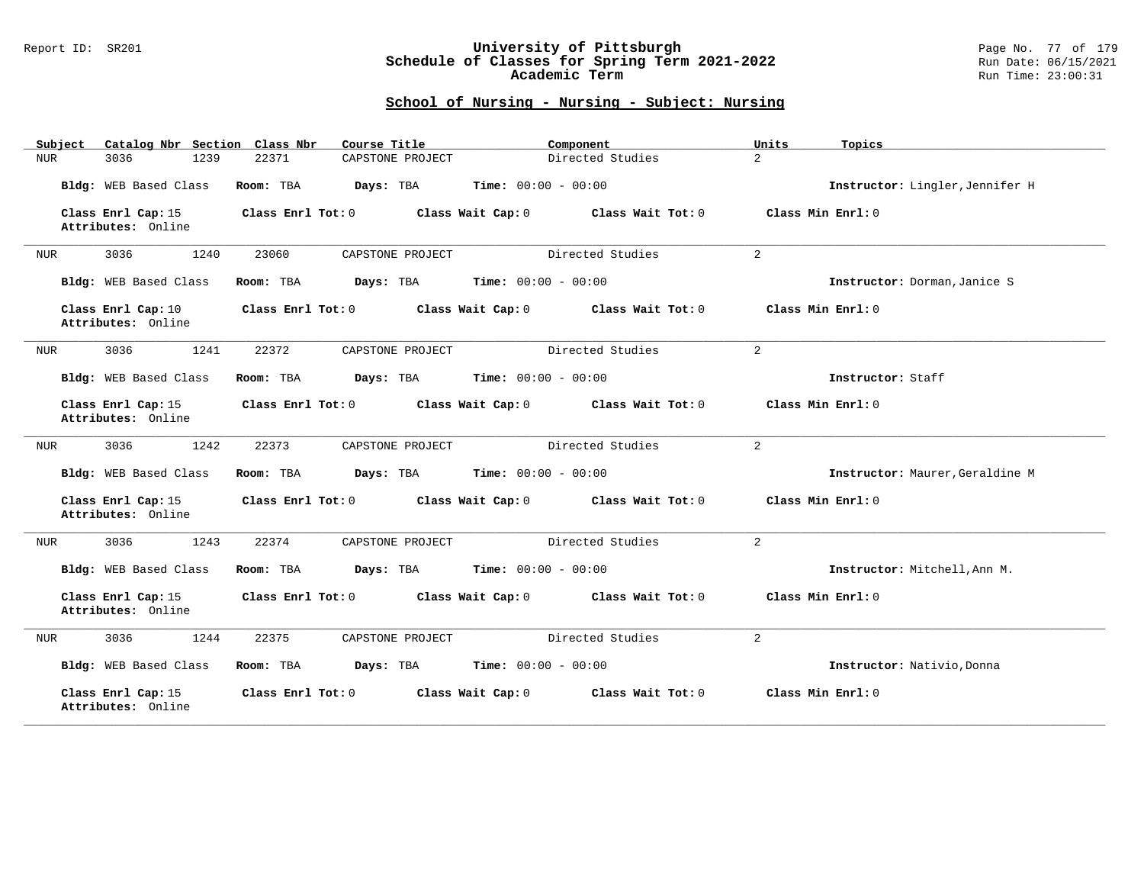### Report ID: SR201 **University of Pittsburgh** Page No. 77 of 179 **Schedule of Classes for Spring Term 2021-2022** Run Date: 06/15/2021 **Academic Term** Run Time: 23:00:31

| Catalog Nbr Section Class Nbr<br>Subject | Course Title              | Component                              | Units<br>Topics                 |
|------------------------------------------|---------------------------|----------------------------------------|---------------------------------|
| 3036<br>1239<br>NUR                      | 22371<br>CAPSTONE PROJECT | Directed Studies                       | $\overline{a}$                  |
| Bldg: WEB Based Class                    | Room: TBA<br>Days: TBA    | <b>Time:</b> $00:00 - 00:00$           | Instructor: Lingler, Jennifer H |
| Class Enrl Cap: 15<br>Attributes: Online | Class Enrl Tot: 0         | Class Wait Cap: 0<br>Class Wait Tot: 0 | Class Min Enrl: 0               |
| 3036<br>1240<br>NUR                      | 23060<br>CAPSTONE PROJECT | Directed Studies                       | 2                               |
| Bldg: WEB Based Class                    | Room: TBA<br>Days: TBA    | <b>Time:</b> $00:00 - 00:00$           | Instructor: Dorman, Janice S    |
| Class Enrl Cap: 10<br>Attributes: Online | Class Enrl Tot: 0         | Class Wait Cap: 0<br>Class Wait Tot: 0 | Class Min Enrl: 0               |
| 3036<br>1241<br>NUR                      | 22372<br>CAPSTONE PROJECT | Directed Studies                       | $\overline{a}$                  |
| Bldg: WEB Based Class                    | Room: TBA<br>Days: TBA    | <b>Time:</b> $00:00 - 00:00$           | Instructor: Staff               |
| Class Enrl Cap: 15<br>Attributes: Online | Class Enrl Tot: 0         | Class Wait Cap: 0<br>Class Wait Tot: 0 | Class Min Enrl: 0               |
| 3036<br>1242<br>NUR                      | 22373<br>CAPSTONE PROJECT | Directed Studies                       | $\overline{a}$                  |
| Bldg: WEB Based Class                    | Room: TBA<br>Days: TBA    | <b>Time:</b> $00:00 - 00:00$           | Instructor: Maurer, Geraldine M |
| Class Enrl Cap: 15<br>Attributes: Online | Class Enrl Tot: 0         | Class Wait Cap: 0<br>Class Wait Tot: 0 | Class Min Enrl: 0               |
| 3036<br>1243<br>NUR                      | 22374<br>CAPSTONE PROJECT | Directed Studies                       | 2                               |
| Bldg: WEB Based Class                    | Room: TBA<br>Days: TBA    | <b>Time:</b> $00:00 - 00:00$           | Instructor: Mitchell, Ann M.    |
| Class Enrl Cap: 15<br>Attributes: Online | Class Enrl Tot: 0         | Class Wait Tot: 0<br>Class Wait Cap: 0 | Class Min Enrl: 0               |
| 3036<br>1244<br>NUR                      | 22375<br>CAPSTONE PROJECT | Directed Studies                       | $\overline{a}$                  |
| Bldg: WEB Based Class                    | Room: TBA<br>Days: TBA    | <b>Time:</b> $00:00 - 00:00$           | Instructor: Nativio, Donna      |
| Class Enrl Cap: 15<br>Attributes: Online | Class Enrl Tot: 0         | Class Wait Cap: 0<br>Class Wait Tot: 0 | Class Min Enrl: 0               |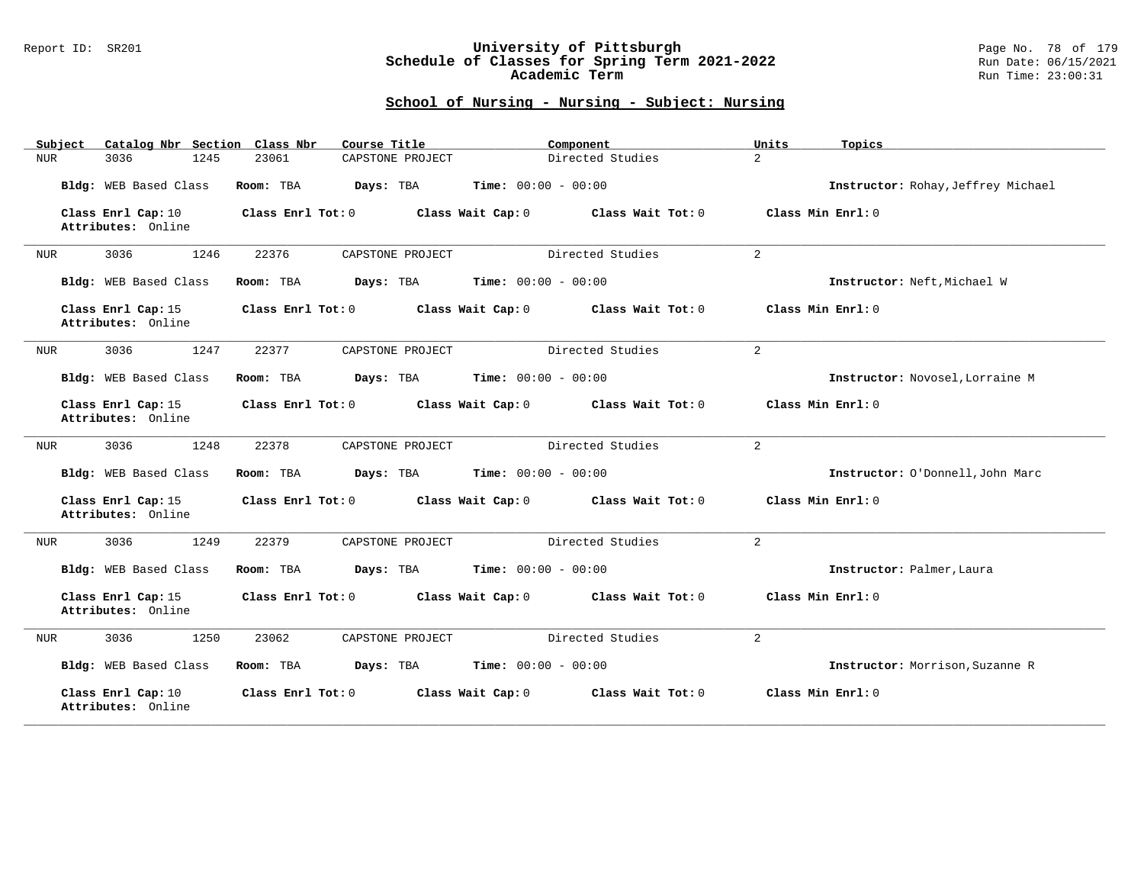### Report ID: SR201 **University of Pittsburgh** Page No. 78 of 179 **Schedule of Classes for Spring Term 2021-2022** Run Date: 06/15/2021 **Academic Term** Run Time: 23:00:31

| Catalog Nbr Section Class Nbr<br>Subject | Course Title                           | Component                    | Units<br>Topics                    |
|------------------------------------------|----------------------------------------|------------------------------|------------------------------------|
| 3036<br>1245<br>NUR                      | 23061<br>CAPSTONE PROJECT              | Directed Studies             | $\overline{a}$                     |
| Bldg: WEB Based Class                    | Room: TBA<br>Days: TBA                 | <b>Time:</b> $00:00 - 00:00$ | Instructor: Rohay, Jeffrey Michael |
| Class Enrl Cap: 10<br>Attributes: Online | Class Enrl Tot: 0<br>Class Wait Cap: 0 | Class Wait Tot: 0            | Class Min Enrl: 0                  |
| 3036<br>1246<br>NUR                      | 22376<br>CAPSTONE PROJECT              | Directed Studies             | 2                                  |
| Bldg: WEB Based Class                    | Room: TBA<br>Days: TBA                 | <b>Time:</b> $00:00 - 00:00$ | Instructor: Neft, Michael W        |
| Class Enrl Cap: 15<br>Attributes: Online | Class Enrl Tot: 0<br>Class Wait Cap: 0 | Class Wait Tot: 0            | Class Min Enrl: 0                  |
| 1247<br>3036<br>NUR                      | 22377<br>CAPSTONE PROJECT              | Directed Studies             | $\overline{a}$                     |
| Bldg: WEB Based Class                    | Room: TBA<br>Days: TBA                 | <b>Time:</b> $00:00 - 00:00$ | Instructor: Novosel, Lorraine M    |
| Class Enrl Cap: 15<br>Attributes: Online | Class Enrl Tot: 0<br>Class Wait Cap: 0 | Class Wait Tot: 0            | Class Min Enrl: 0                  |
| 3036<br>1248<br>NUR                      | 22378<br>CAPSTONE PROJECT              | Directed Studies             | 2                                  |
| Bldg: WEB Based Class                    | Room: TBA<br>Days: TBA                 | <b>Time:</b> $00:00 - 00:00$ | Instructor: O'Donnell, John Marc   |
| Class Enrl Cap: 15<br>Attributes: Online | Class Enrl Tot: 0<br>Class Wait Cap: 0 | Class Wait Tot: 0            | Class Min Enrl: 0                  |
| 3036<br>1249<br>NUR                      | 22379<br>CAPSTONE PROJECT              | Directed Studies             | 2                                  |
| Bldg: WEB Based Class                    | Room: TBA<br>Days: TBA                 | <b>Time:</b> $00:00 - 00:00$ | Instructor: Palmer, Laura          |
| Class Enrl Cap: 15<br>Attributes: Online | Class Enrl Tot: 0<br>Class Wait Cap: 0 | Class Wait Tot: 0            | Class Min Enrl: 0                  |
| 3036<br>1250<br><b>NUR</b>               | 23062<br>CAPSTONE PROJECT              | Directed Studies             | $\overline{2}$                     |
| Bldg: WEB Based Class                    | Days: TBA<br>Room: TBA                 | <b>Time:</b> $00:00 - 00:00$ | Instructor: Morrison, Suzanne R    |
| Class Enrl Cap: 10<br>Attributes: Online | Class Enrl Tot: 0<br>Class Wait Cap: 0 | Class Wait Tot: 0            | Class Min Enrl: 0                  |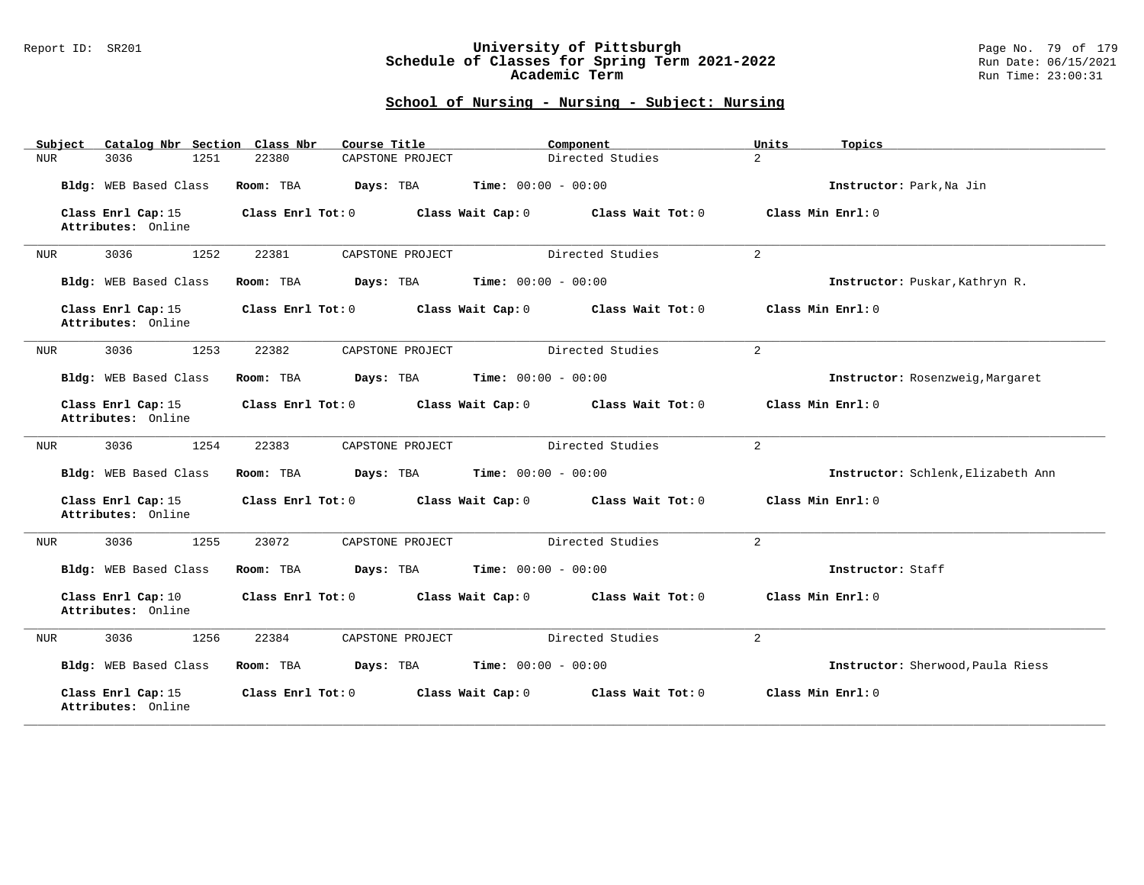### Report ID: SR201 **University of Pittsburgh** Page No. 79 of 179 **Schedule of Classes for Spring Term 2021-2022** Run Date: 06/15/2021 **Academic Term** Run Time: 23:00:31

| Catalog Nbr Section Class Nbr<br>Subject | Course Title              | Component                              | Units<br>Topics                    |
|------------------------------------------|---------------------------|----------------------------------------|------------------------------------|
| 3036<br>1251<br>NUR                      | 22380<br>CAPSTONE PROJECT | Directed Studies                       | $\overline{a}$                     |
| Bldg: WEB Based Class                    | Room: TBA<br>Days: TBA    | <b>Time:</b> $00:00 - 00:00$           | Instructor: Park, Na Jin           |
| Class Enrl Cap: 15<br>Attributes: Online | Class Enrl Tot: 0         | Class Wait Cap: 0<br>Class Wait Tot: 0 | Class Min Enrl: 0                  |
| 3036<br>1252<br>NUR                      | 22381<br>CAPSTONE PROJECT | Directed Studies                       | 2                                  |
| Bldg: WEB Based Class                    | Room: TBA<br>Days: TBA    | <b>Time:</b> $00:00 - 00:00$           | Instructor: Puskar, Kathryn R.     |
| Class Enrl Cap: 15<br>Attributes: Online | Class Enrl Tot: 0         | Class Wait Cap: 0<br>Class Wait Tot: 0 | Class Min Enrl: 0                  |
| 1253<br>3036<br>NUR                      | 22382<br>CAPSTONE PROJECT | Directed Studies                       | $\overline{2}$                     |
| Bldg: WEB Based Class                    | Room: TBA<br>Days: TBA    | <b>Time:</b> $00:00 - 00:00$           | Instructor: Rosenzweig, Margaret   |
| Class Enrl Cap: 15<br>Attributes: Online | Class Enrl Tot: 0         | Class Wait Cap: 0<br>Class Wait Tot: 0 | Class Min Enrl: 0                  |
| 3036<br>1254<br>NUR                      | 22383<br>CAPSTONE PROJECT | Directed Studies                       | $\overline{a}$                     |
| Bldg: WEB Based Class                    | Room: TBA<br>Days: TBA    | <b>Time:</b> $00:00 - 00:00$           | Instructor: Schlenk, Elizabeth Ann |
| Class Enrl Cap: 15<br>Attributes: Online | Class Enrl Tot: 0         | Class Wait Cap: 0<br>Class Wait Tot: 0 | Class Min Enrl: 0                  |
| 3036<br>1255<br>NUR                      | 23072<br>CAPSTONE PROJECT | Directed Studies                       | 2                                  |
| Bldg: WEB Based Class                    | Room: TBA<br>Days: TBA    | <b>Time:</b> $00:00 - 00:00$           | Instructor: Staff                  |
| Class Enrl Cap: 10<br>Attributes: Online | Class Enrl Tot: 0         | Class Wait Tot: 0<br>Class Wait Cap: 0 | Class Min Enrl: 0                  |
| 3036<br>1256<br><b>NUR</b>               | 22384<br>CAPSTONE PROJECT | Directed Studies                       | $\overline{a}$                     |
| Bldg: WEB Based Class                    | Room: TBA<br>Days: TBA    | <b>Time:</b> $00:00 - 00:00$           | Instructor: Sherwood, Paula Riess  |
| Class Enrl Cap: 15<br>Attributes: Online | Class Enrl Tot: 0         | Class Wait Cap: 0<br>Class Wait Tot: 0 | Class Min Enrl: 0                  |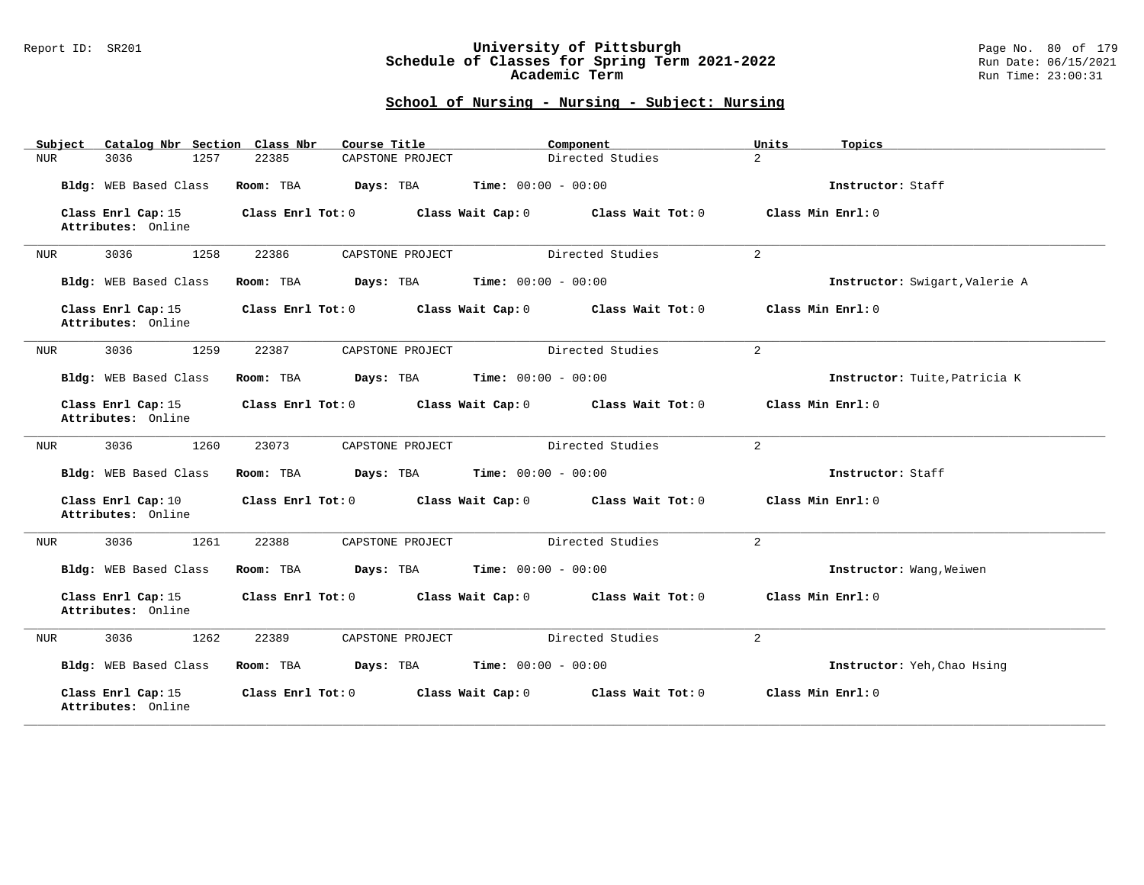### Report ID: SR201 **University of Pittsburgh** Page No. 80 of 179 **Schedule of Classes for Spring Term 2021-2022** Run Date: 06/15/2021 **Academic Term** Run Time: 23:00:31

| Subject<br>Catalog Nbr Section Class Nbr | Course Title              | Component                              | Units<br>Topics                |
|------------------------------------------|---------------------------|----------------------------------------|--------------------------------|
| <b>NUR</b><br>3036<br>1257               | 22385<br>CAPSTONE PROJECT | Directed Studies                       | $\overline{2}$                 |
| Bldg: WEB Based Class                    | Room: TBA<br>Days: TBA    | <b>Time:</b> $00:00 - 00:00$           | Instructor: Staff              |
| Class Enrl Cap: 15<br>Attributes: Online | Class Enrl Tot: 0         | Class Wait Cap: 0<br>Class Wait Tot: 0 | Class Min Enrl: 0              |
| 3036<br>1258<br>NUR                      | 22386<br>CAPSTONE PROJECT | Directed Studies                       | $\overline{a}$                 |
| Bldg: WEB Based Class                    | Room: TBA<br>Days: TBA    | <b>Time:</b> $00:00 - 00:00$           | Instructor: Swigart, Valerie A |
| Class Enrl Cap: 15<br>Attributes: Online | Class Enrl Tot: 0         | Class Wait Cap: 0<br>Class Wait Tot: 0 | Class Min Enrl: 0              |
| 3036<br>1259<br>NUR                      | 22387<br>CAPSTONE PROJECT | Directed Studies                       | $\overline{a}$                 |
| Bldg: WEB Based Class                    | Room: TBA<br>Days: TBA    | <b>Time:</b> $00:00 - 00:00$           | Instructor: Tuite, Patricia K  |
| Class Enrl Cap: 15<br>Attributes: Online | Class Enrl Tot: 0         | Class Wait Cap: 0<br>Class Wait Tot: 0 | Class Min Enrl: 0              |
| 3036<br>1260<br>NUR                      | 23073<br>CAPSTONE PROJECT | Directed Studies                       | 2                              |
| Bldg: WEB Based Class                    | Room: TBA<br>Days: TBA    | <b>Time:</b> $00:00 - 00:00$           | Instructor: Staff              |
| Class Enrl Cap: 10<br>Attributes: Online | Class Enrl Tot: 0         | Class Wait Cap: 0<br>Class Wait Tot: 0 | Class Min Enrl: 0              |
| 3036<br>1261<br>NUR                      | 22388<br>CAPSTONE PROJECT | Directed Studies                       | 2                              |
| Bldg: WEB Based Class                    | Days: TBA<br>Room: TBA    | <b>Time:</b> $00:00 - 00:00$           | Instructor: Wang, Weiwen       |
| Class Enrl Cap: 15<br>Attributes: Online | Class Enrl Tot: 0         | Class Wait Tot: 0<br>Class Wait Cap: 0 | Class Min Enrl: 0              |
| 3036<br>1262<br>NUR                      | 22389<br>CAPSTONE PROJECT | Directed Studies                       | $\overline{a}$                 |
| Bldg: WEB Based Class                    | Days: TBA<br>Room: TBA    | <b>Time:</b> $00:00 - 00:00$           | Instructor: Yeh, Chao Hsing    |
| Class Enrl Cap: 15<br>Attributes: Online | Class Enrl Tot: 0         | Class Wait Cap: 0<br>Class Wait Tot: 0 | Class Min Enrl: 0              |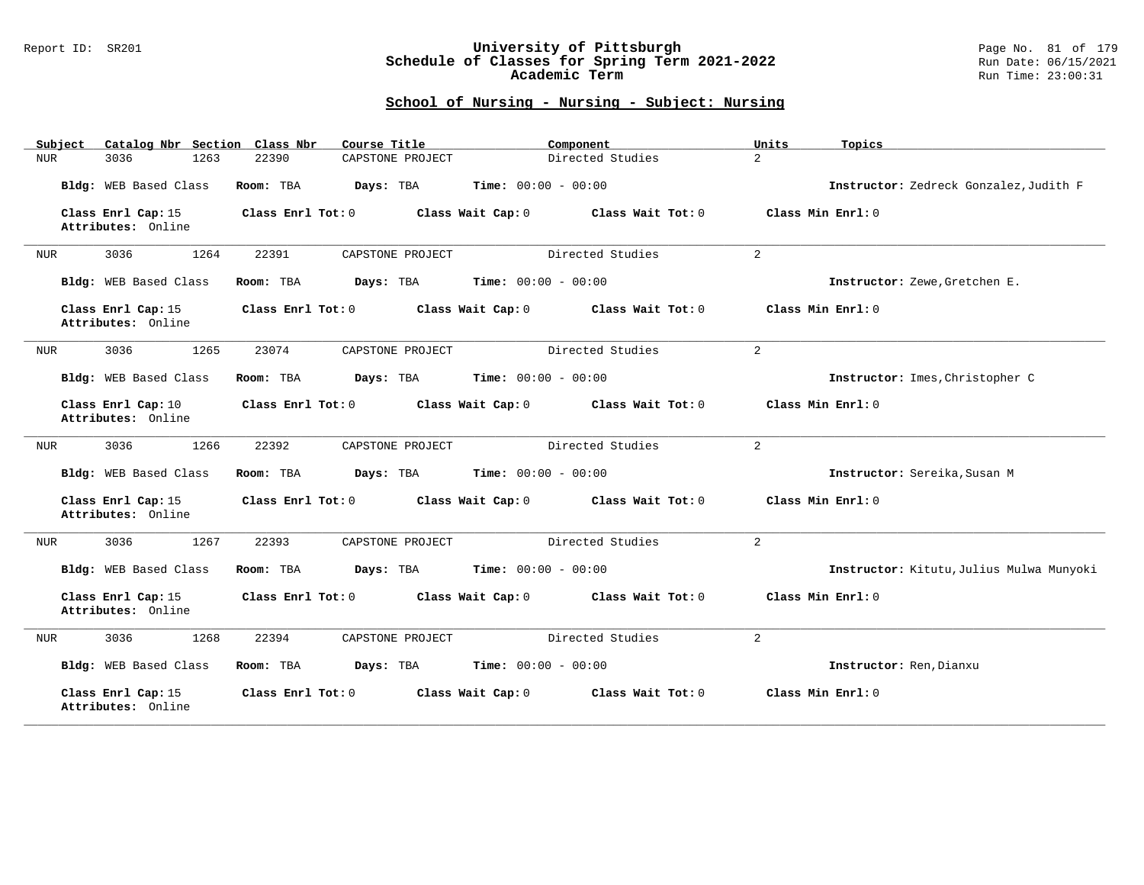### Report ID: SR201 **University of Pittsburgh** Page No. 81 of 179 **Schedule of Classes for Spring Term 2021-2022** Run Date: 06/15/2021 **Academic Term** Run Time: 23:00:31

| Catalog Nbr Section Class Nbr<br>Subject | Course Title                           | Component                    | Units<br>Topics                          |
|------------------------------------------|----------------------------------------|------------------------------|------------------------------------------|
| 1263<br>3036<br>NUR                      | 22390<br>CAPSTONE PROJECT              | Directed Studies             | $\overline{a}$                           |
| Bldg: WEB Based Class                    | Room: TBA<br>Days: TBA                 | <b>Time:</b> $00:00 - 00:00$ | Instructor: Zedreck Gonzalez, Judith F   |
| Class Enrl Cap: 15<br>Attributes: Online | Class Enrl Tot: 0<br>Class Wait Cap: 0 | Class Wait Tot: 0            | Class Min Enrl: 0                        |
| 3036<br>1264<br>NUR                      | 22391<br>CAPSTONE PROJECT              | Directed Studies             | 2                                        |
| Bldg: WEB Based Class                    | Room: TBA<br>Days: TBA                 | Time: $00:00 - 00:00$        | Instructor: Zewe, Gretchen E.            |
| Class Enrl Cap: 15<br>Attributes: Online | Class Enrl Tot: 0<br>Class Wait Cap: 0 | Class Wait Tot: 0            | Class Min Enrl: 0                        |
| 1265<br>3036<br><b>NUR</b>               | 23074<br>CAPSTONE PROJECT              | Directed Studies             | $\overline{2}$                           |
| Bldg: WEB Based Class                    | Room: TBA<br>Days: TBA                 | Time: $00:00 - 00:00$        | Instructor: Imes, Christopher C          |
| Class Enrl Cap: 10<br>Attributes: Online | Class Enrl Tot: 0<br>Class Wait Cap: 0 | Class Wait Tot: 0            | Class Min Enrl: 0                        |
| 3036<br>1266<br>NUR                      | 22392<br>CAPSTONE PROJECT              | Directed Studies             | $\overline{2}$                           |
| Bldg: WEB Based Class                    | Room: TBA<br>Days: TBA                 | Time: $00:00 - 00:00$        | Instructor: Sereika, Susan M             |
| Class Enrl Cap: 15<br>Attributes: Online | Class Enrl Tot: 0<br>Class Wait Cap: 0 | Class Wait Tot: 0            | Class Min Enrl: 0                        |
| 3036<br>1267<br><b>NUR</b>               | 22393<br>CAPSTONE PROJECT              | Directed Studies             | $\overline{a}$                           |
| Bldg: WEB Based Class                    | Room: TBA<br>Days: TBA                 | <b>Time:</b> $00:00 - 00:00$ | Instructor: Kitutu, Julius Mulwa Munyoki |
| Class Enrl Cap: 15<br>Attributes: Online | Class Enrl Tot: 0<br>Class Wait Cap: 0 | Class Wait Tot: 0            | Class Min Enrl: 0                        |
| 3036<br>1268<br><b>NUR</b>               | 22394<br>CAPSTONE PROJECT              | Directed Studies             | $\overline{a}$                           |
| Bldg: WEB Based Class                    | Room: TBA<br>Days: TBA                 | <b>Time:</b> $00:00 - 00:00$ | Instructor: Ren, Dianxu                  |
| Class Enrl Cap: 15<br>Attributes: Online | Class Enrl Tot: 0<br>Class Wait Cap: 0 | Class Wait Tot: 0            | Class Min Enrl: 0                        |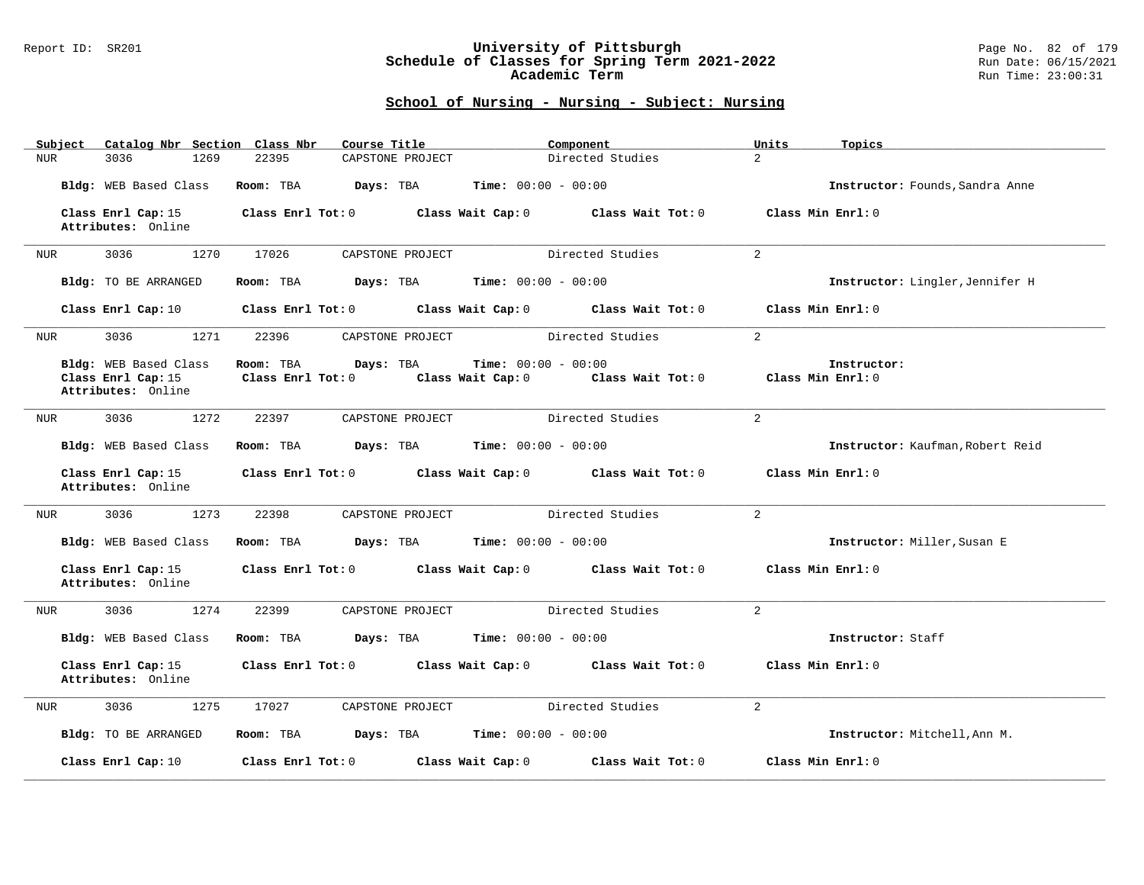### Report ID: SR201 **University of Pittsburgh** Page No. 82 of 179 **Schedule of Classes for Spring Term 2021-2022** Run Date: 06/15/2021 **Academic Term** Run Time: 23:00:31

| Catalog Nbr Section Class Nbr<br>Subject                          | Course Title                                | Component                                                         | Units<br>Topics                  |
|-------------------------------------------------------------------|---------------------------------------------|-------------------------------------------------------------------|----------------------------------|
| 3036<br>1269<br><b>NUR</b>                                        | 22395<br>CAPSTONE PROJECT                   | Directed Studies                                                  | $\overline{a}$                   |
| Bldg: WEB Based Class                                             | Room: TBA<br>Days: TBA                      | <b>Time:</b> $00:00 - 00:00$                                      | Instructor: Founds, Sandra Anne  |
| Class Enrl Cap: 15<br>Attributes: Online                          | Class Enrl Tot: 0                           | Class Wait Cap: 0<br>Class Wait Tot: 0                            | Class Min Enrl: 0                |
| 1270<br>3036<br>NUR                                               | 17026<br>CAPSTONE PROJECT                   | Directed Studies                                                  | $\overline{a}$                   |
| Bldg: TO BE ARRANGED                                              | Room: TBA                                   | <b>Days:</b> TBA <b>Time:</b> $00:00 - 00:00$                     | Instructor: Lingler, Jennifer H  |
| Class Enrl Cap: 10                                                | Class Enrl Tot: 0                           | Class Wait Cap: 0<br>Class Wait Tot: 0                            | Class Min Enrl: 0                |
| 1271<br>3036<br>NUR                                               | 22396<br>CAPSTONE PROJECT                   | Directed Studies                                                  | $\overline{a}$                   |
| Bldg: WEB Based Class<br>Class Enrl Cap: 15<br>Attributes: Online | Room: TBA<br>Days: TBA<br>Class Enrl Tot: 0 | Time: $00:00 - 00:00$<br>Class Wait Cap: 0<br>Class Wait Tot: $0$ | Instructor:<br>Class Min Enrl: 0 |
| 1272<br>3036<br>NUR                                               | 22397<br>CAPSTONE PROJECT                   | Directed Studies                                                  | $\overline{2}$                   |
| Bldg: WEB Based Class                                             | Room: TBA<br>Days: TBA                      | <b>Time:</b> $00:00 - 00:00$                                      | Instructor: Kaufman, Robert Reid |
| Class Enrl Cap: 15<br>Attributes: Online                          | Class Enrl Tot: 0                           | Class Wait Cap: 0<br>Class Wait Tot: 0                            | Class Min Enrl: 0                |
| 1273<br>3036<br>NUR                                               | 22398<br>CAPSTONE PROJECT                   | Directed Studies                                                  | $\overline{2}$                   |
| Bldg: WEB Based Class                                             | Room: TBA<br>Days: TBA                      | <b>Time:</b> $00:00 - 00:00$                                      | Instructor: Miller, Susan E      |
| Class Enrl Cap: 15<br>Attributes: Online                          | $Class$ $Enr1$ $Tot: 0$                     | Class Wait Cap: 0<br>Class Wait Tot: 0                            | Class Min Enrl: 0                |
| 1274<br>3036<br>NUR                                               | 22399<br>CAPSTONE PROJECT                   | Directed Studies                                                  | $\overline{2}$                   |
| Bldg: WEB Based Class                                             | Room: TBA<br>Days: TBA                      | <b>Time:</b> $00:00 - 00:00$                                      | Instructor: Staff                |
| Class Enrl Cap: 15<br>Attributes: Online                          | Class Enrl Tot: 0                           | Class Wait Cap: 0<br>Class Wait Tot: 0                            | Class Min Enrl: 0                |
| 1275<br>3036<br>NUR                                               | 17027<br>CAPSTONE PROJECT                   | Directed Studies                                                  | $\overline{a}$                   |
| Bldg: TO BE ARRANGED                                              | Room: TBA<br>Days: TBA                      | <b>Time:</b> $00:00 - 00:00$                                      | Instructor: Mitchell, Ann M.     |
| Class Enrl Cap: 10                                                | Class Enrl Tot: 0                           | Class Wait Tot: 0<br>Class Wait Cap: 0                            | Class Min Enrl: 0                |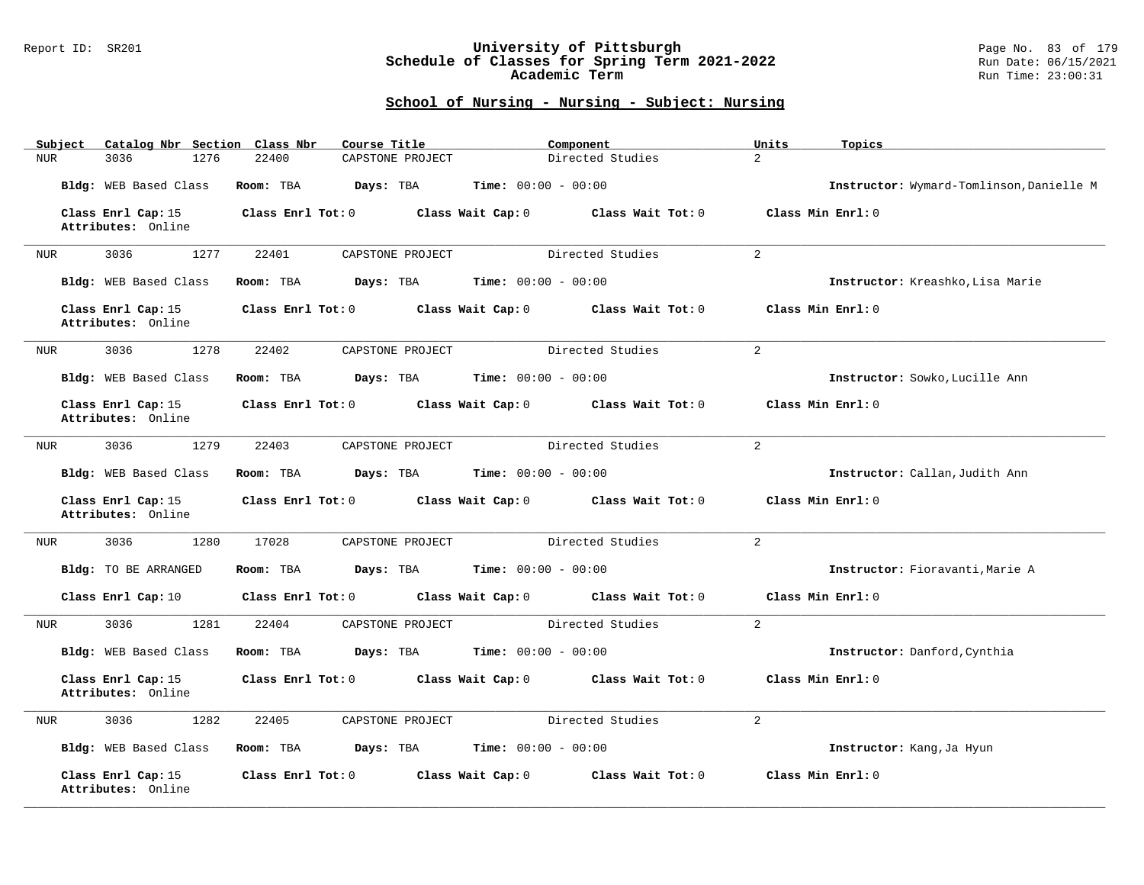### Report ID: SR201 **University of Pittsburgh** Page No. 83 of 179 **Schedule of Classes for Spring Term 2021-2022** Run Date: 06/15/2021 **Academic Term** Run Time: 23:00:31

| Subject    | Catalog Nbr Section Class Nbr            | Course Title              |                              | Component         | Topics<br>Units   |                                          |
|------------|------------------------------------------|---------------------------|------------------------------|-------------------|-------------------|------------------------------------------|
| <b>NUR</b> | 3036<br>1276                             | 22400<br>CAPSTONE PROJECT |                              | Directed Studies  | $\overline{a}$    |                                          |
|            | Bldg: WEB Based Class                    | Room: TBA<br>Days: TBA    | <b>Time:</b> $00:00 - 00:00$ |                   |                   | Instructor: Wymard-Tomlinson, Danielle M |
|            | Class Enrl Cap: 15<br>Attributes: Online | Class Enrl Tot: 0         | Class Wait Cap: 0            | Class Wait Tot: 0 | Class Min Enrl: 0 |                                          |
| NUR        | 1277<br>3036                             | 22401<br>CAPSTONE PROJECT |                              | Directed Studies  | $\overline{2}$    |                                          |
|            | Bldg: WEB Based Class                    | Room: TBA<br>Days: TBA    | <b>Time:</b> $00:00 - 00:00$ |                   |                   | Instructor: Kreashko, Lisa Marie         |
|            | Class Enrl Cap: 15<br>Attributes: Online | Class Enrl Tot: 0         | Class Wait Cap: 0            | Class Wait Tot: 0 | Class Min Enrl: 0 |                                          |
| <b>NUR</b> | 3036<br>1278                             | 22402<br>CAPSTONE PROJECT |                              | Directed Studies  | $\overline{2}$    |                                          |
|            | Bldg: WEB Based Class                    | Room: TBA<br>Days: TBA    | <b>Time:</b> $00:00 - 00:00$ |                   |                   | Instructor: Sowko, Lucille Ann           |
|            | Class Enrl Cap: 15<br>Attributes: Online | Class Enrl Tot: 0         | Class Wait Cap: 0            | Class Wait Tot: 0 | Class Min Enrl: 0 |                                          |
| <b>NUR</b> | 3036<br>1279                             | 22403<br>CAPSTONE PROJECT |                              | Directed Studies  | $\overline{2}$    |                                          |
|            | Bldg: WEB Based Class                    | Room: TBA<br>Days: TBA    | <b>Time:</b> $00:00 - 00:00$ |                   |                   | Instructor: Callan, Judith Ann           |
|            | Class Enrl Cap: 15<br>Attributes: Online | Class Enrl Tot: 0         | Class Wait Cap: 0            | Class Wait Tot: 0 | Class Min Enrl: 0 |                                          |
| NUR        | 3036<br>1280                             | 17028<br>CAPSTONE PROJECT |                              | Directed Studies  | $\overline{2}$    |                                          |
|            | Bldg: TO BE ARRANGED                     | Room: TBA<br>Days: TBA    | <b>Time:</b> $00:00 - 00:00$ |                   |                   | Instructor: Fioravanti, Marie A          |
|            | Class Enrl Cap: 10                       | Class Enrl Tot: 0         | Class Wait Cap: 0            | Class Wait Tot: 0 | Class Min Enrl: 0 |                                          |
| NUR        | 3036<br>1281                             | 22404<br>CAPSTONE PROJECT |                              | Directed Studies  | $\overline{a}$    |                                          |
|            | Bldg: WEB Based Class                    | Room: TBA<br>Days: TBA    | <b>Time:</b> $00:00 - 00:00$ |                   |                   | Instructor: Danford, Cynthia             |
|            | Class Enrl Cap: 15<br>Attributes: Online | Class Enrl Tot: 0         | Class Wait Cap: 0            | Class Wait Tot: 0 | Class Min Enrl: 0 |                                          |
| NUR        | 3036<br>1282                             | 22405<br>CAPSTONE PROJECT |                              | Directed Studies  | $\overline{2}$    |                                          |
|            | Bldg: WEB Based Class                    | Room: TBA<br>Days: TBA    | <b>Time:</b> $00:00 - 00:00$ |                   |                   | Instructor: Kang, Ja Hyun                |
|            | Class Enrl Cap: 15<br>Attributes: Online | Class Enrl Tot: 0         | Class Wait Cap: 0            | Class Wait Tot: 0 | Class Min Enrl: 0 |                                          |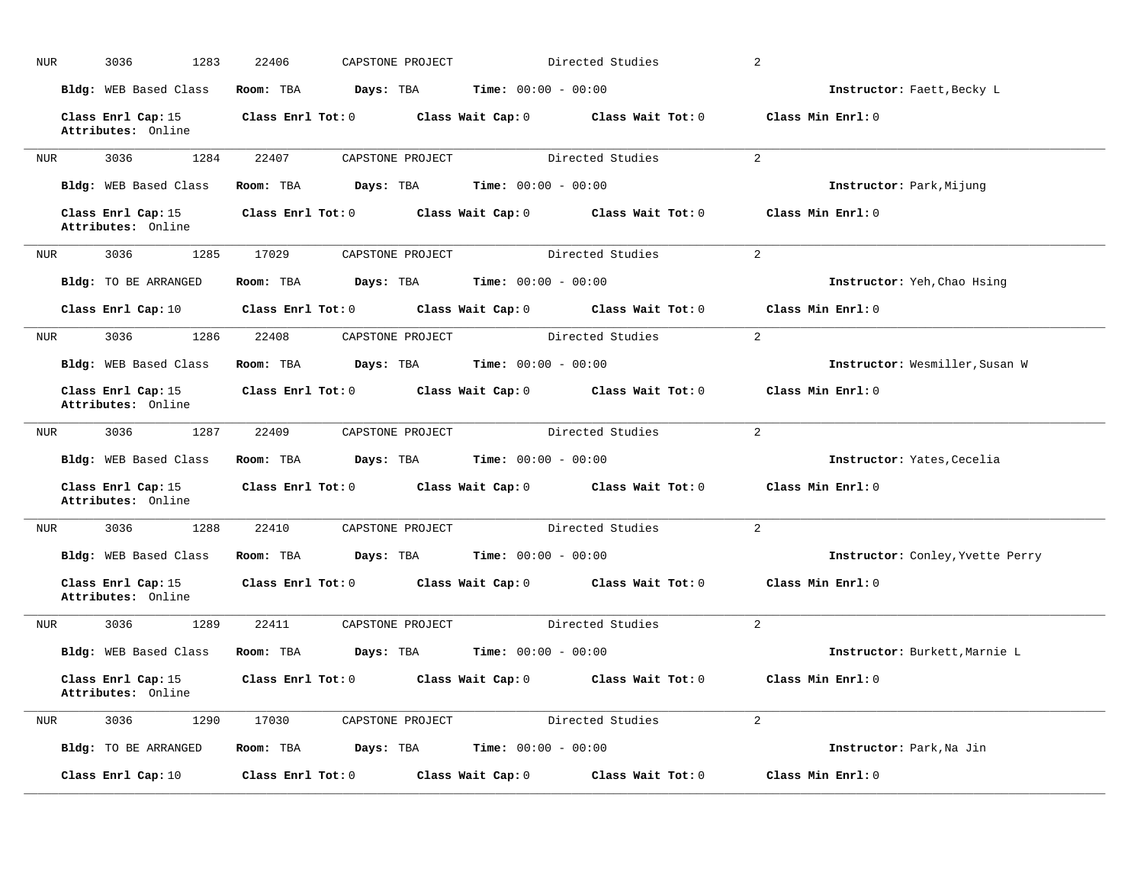| <b>NUR</b> | 3036<br>1283                             | 22406                   | CAPSTONE PROJECT        |                              | Directed Studies                    | 2                                |
|------------|------------------------------------------|-------------------------|-------------------------|------------------------------|-------------------------------------|----------------------------------|
|            | Bldg: WEB Based Class                    | Room: TBA               | Days: TBA               | <b>Time:</b> $00:00 - 00:00$ |                                     | Instructor: Faett, Becky L       |
|            | Class Enrl Cap: 15<br>Attributes: Online | Class Enrl Tot: 0       |                         | Class Wait Cap: 0            | Class Wait Tot: 0                   | Class Min Enrl: 0                |
| <b>NUR</b> | 3036<br>1284                             | 22407                   | CAPSTONE PROJECT        |                              | Directed Studies                    | $\overline{2}$                   |
|            | Bldg: WEB Based Class                    | Room: TBA               | Days: TBA               | <b>Time:</b> $00:00 - 00:00$ |                                     | Instructor: Park, Mijung         |
|            | Class Enrl Cap: 15<br>Attributes: Online |                         | $Class$ $Enr1$ $Tot: 0$ |                              | Class Wait Cap: 0 Class Wait Tot: 0 | Class Min Enrl: 0                |
| NUR        | 3036<br>1285                             | 17029                   | CAPSTONE PROJECT        |                              | Directed Studies                    | $\overline{2}$                   |
|            | Bldg: TO BE ARRANGED                     | Room: TBA               | Days: TBA               | <b>Time:</b> $00:00 - 00:00$ |                                     | Instructor: Yeh, Chao Hsing      |
|            | Class Enrl Cap: 10                       | $Class$ $Enr1$ $Tot: 0$ |                         | Class Wait Cap: 0            | Class Wait Tot: 0                   | Class Min Enrl: 0                |
| <b>NUR</b> | 3036<br>1286                             | 22408                   | CAPSTONE PROJECT        |                              | Directed Studies                    | $\overline{2}$                   |
|            | Bldg: WEB Based Class                    | Room: TBA               | Days: TBA               | <b>Time:</b> $00:00 - 00:00$ |                                     | Instructor: Wesmiller, Susan W   |
|            | Class Enrl Cap: 15<br>Attributes: Online |                         | $Class$ $Enrl$ $Tot: 0$ |                              | Class Wait Cap: 0 Class Wait Tot: 0 | Class Min Enrl: 0                |
| <b>NUR</b> | 3036<br>1287                             | 22409                   | CAPSTONE PROJECT        |                              | Directed Studies                    | $\overline{2}$                   |
|            | Bldg: WEB Based Class                    | Room: TBA               | Days: TBA               | <b>Time:</b> $00:00 - 00:00$ |                                     | Instructor: Yates, Cecelia       |
|            | Class Enrl Cap: 15<br>Attributes: Online |                         | $Class$ $Enr1$ $Tot: 0$ | Class Wait Cap: 0            | Class Wait Tot: 0                   | Class Min Enrl: 0                |
| NUR        | 3036<br>1288                             | 22410                   | CAPSTONE PROJECT        |                              | Directed Studies                    | 2                                |
|            | Bldg: WEB Based Class                    | Room: TBA               | Days: TBA               | <b>Time:</b> $00:00 - 00:00$ |                                     | Instructor: Conley, Yvette Perry |
|            | Class Enrl Cap: 15<br>Attributes: Online |                         | Class Enrl Tot: 0       | Class Wait Cap: 0            | Class Wait Tot: 0                   | Class Min Enrl: 0                |
| <b>NUR</b> | 3036<br>1289                             | 22411                   | CAPSTONE PROJECT        |                              | Directed Studies                    | $\overline{2}$                   |
|            | Bldg: WEB Based Class                    | Room: TBA               | Days: TBA               | <b>Time:</b> $00:00 - 00:00$ |                                     | Instructor: Burkett, Marnie L    |
|            | Class Enrl Cap: 15<br>Attributes: Online | Class Enrl Tot: 0       |                         |                              | Class Wait Cap: 0 Class Wait Tot: 0 | Class Min Enrl: 0                |
| NUR        | 3036<br>1290                             | 17030                   | CAPSTONE PROJECT        |                              | Directed Studies                    | 2                                |
|            | Bldg: TO BE ARRANGED                     | Room: TBA               | Days: TBA               | <b>Time:</b> $00:00 - 00:00$ |                                     | Instructor: Park, Na Jin         |
|            | Class Enrl Cap: 10                       | Class Enrl Tot: 0       |                         | Class Wait Cap: 0            | Class Wait Tot: 0                   | Class Min Enrl: 0                |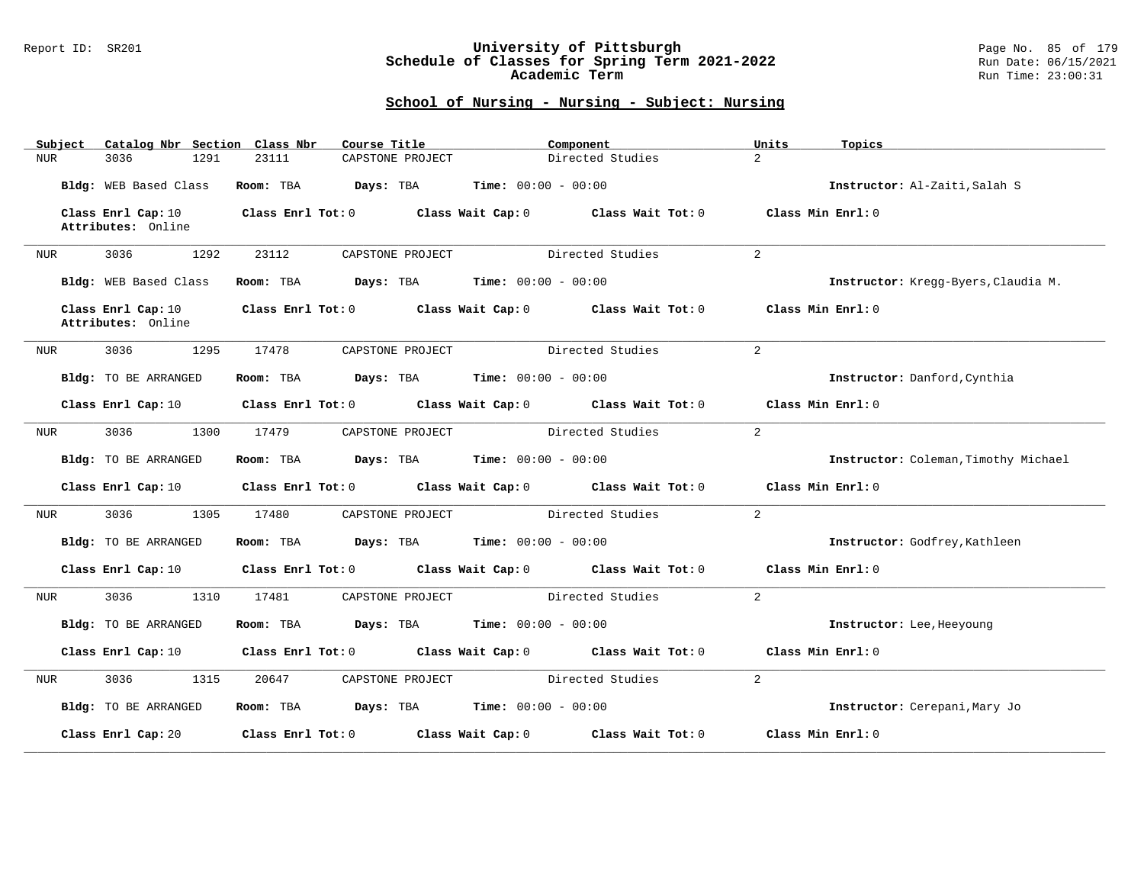### Report ID: SR201 **University of Pittsburgh** Page No. 85 of 179 **Schedule of Classes for Spring Term 2021-2022** Run Date: 06/15/2021 **Academic Term** Run Time: 23:00:31

| Subject                                  | Catalog Nbr Section Class Nbr<br>Course Title | Component                                                                       | Units<br>Topics                      |
|------------------------------------------|-----------------------------------------------|---------------------------------------------------------------------------------|--------------------------------------|
| 3036<br>1291<br>NUR                      | 23111<br>CAPSTONE PROJECT                     | Directed Studies                                                                | $\overline{a}$                       |
| Bldg: WEB Based Class                    | Room: TBA                                     | <b>Days:</b> TBA <b>Time:</b> $00:00 - 00:00$                                   | Instructor: Al-Zaiti, Salah S        |
| Class Enrl Cap: 10<br>Attributes: Online |                                               | Class Enrl Tot: 0 Class Wait Cap: 0 Class Wait Tot: 0                           | Class Min Enrl: 0                    |
| 3036<br>1292<br>NUR                      | 23112<br>CAPSTONE PROJECT                     | Directed Studies                                                                | $\overline{a}$                       |
| Bldg: WEB Based Class                    | Room: TBA                                     | <b>Days:</b> TBA <b>Time:</b> $00:00 - 00:00$                                   | Instructor: Kregg-Byers, Claudia M.  |
| Class Enrl Cap: 10<br>Attributes: Online |                                               | Class Enrl Tot: 0 Class Wait Cap: 0 Class Wait Tot: 0                           | Class Min Enrl: 0                    |
| 3036<br>1295<br>NUR                      | 17478<br>CAPSTONE PROJECT                     | Directed Studies                                                                | $\overline{2}$                       |
| Bldg: TO BE ARRANGED                     | Room: TBA                                     | $\texttt{Days:}$ TBA $\texttt{Time:}$ 00:00 - 00:00                             | Instructor: Danford, Cynthia         |
| Class Enrl Cap: 10                       |                                               | Class Enrl Tot: $0$ Class Wait Cap: $0$ Class Wait Tot: $0$                     | Class Min Enrl: 0                    |
| 3036<br>1300<br>NUR                      | 17479<br>CAPSTONE PROJECT                     | Directed Studies                                                                | 2                                    |
| Bldg: TO BE ARRANGED                     | Room: TBA                                     | <b>Days:</b> TBA <b>Time:</b> $00:00 - 00:00$                                   | Instructor: Coleman, Timothy Michael |
| Class Enrl Cap: 10                       | $Class$ $Enr1$ $Tot: 0$                       | Class Wait Cap: 0 Class Wait Tot: 0                                             | Class Min Enrl: 0                    |
| 3036<br>1305<br>NUR                      | 17480<br>CAPSTONE PROJECT                     | Directed Studies                                                                | $\overline{a}$                       |
| Bldg: TO BE ARRANGED                     | Room: TBA                                     | <b>Days:</b> TBA <b>Time:</b> $00:00 - 00:00$                                   | Instructor: Godfrey, Kathleen        |
| Class Enrl Cap: 10                       |                                               | Class Enrl Tot: $0$ Class Wait Cap: $0$ Class Wait Tot: $0$ Class Min Enrl: $0$ |                                      |
| 3036<br>1310<br>NUR                      | 17481<br>CAPSTONE PROJECT                     | Directed Studies                                                                | $\overline{2}$                       |
| Bldg: TO BE ARRANGED                     | Room: TBA                                     | <b>Days:</b> TBA <b>Time:</b> $00:00 - 00:00$                                   | Instructor: Lee, Heeyoung            |
| Class Enrl Cap: 10                       |                                               | Class Enrl Tot: $0$ Class Wait Cap: $0$ Class Wait Tot: $0$                     | Class Min Enrl: 0                    |
| 3036<br>1315<br>NUR                      | 20647<br>CAPSTONE PROJECT                     | Directed Studies                                                                | $\overline{a}$                       |
| Bldg: TO BE ARRANGED                     | Room: TBA                                     | <b>Days:</b> TBA <b>Time:</b> $00:00 - 00:00$                                   | Instructor: Cerepani, Mary Jo        |
| Class Enrl Cap: 20                       | Class Enrl Tot: 0 Class Wait Cap: 0           | Class Wait Tot: 0                                                               | Class Min Enrl: 0                    |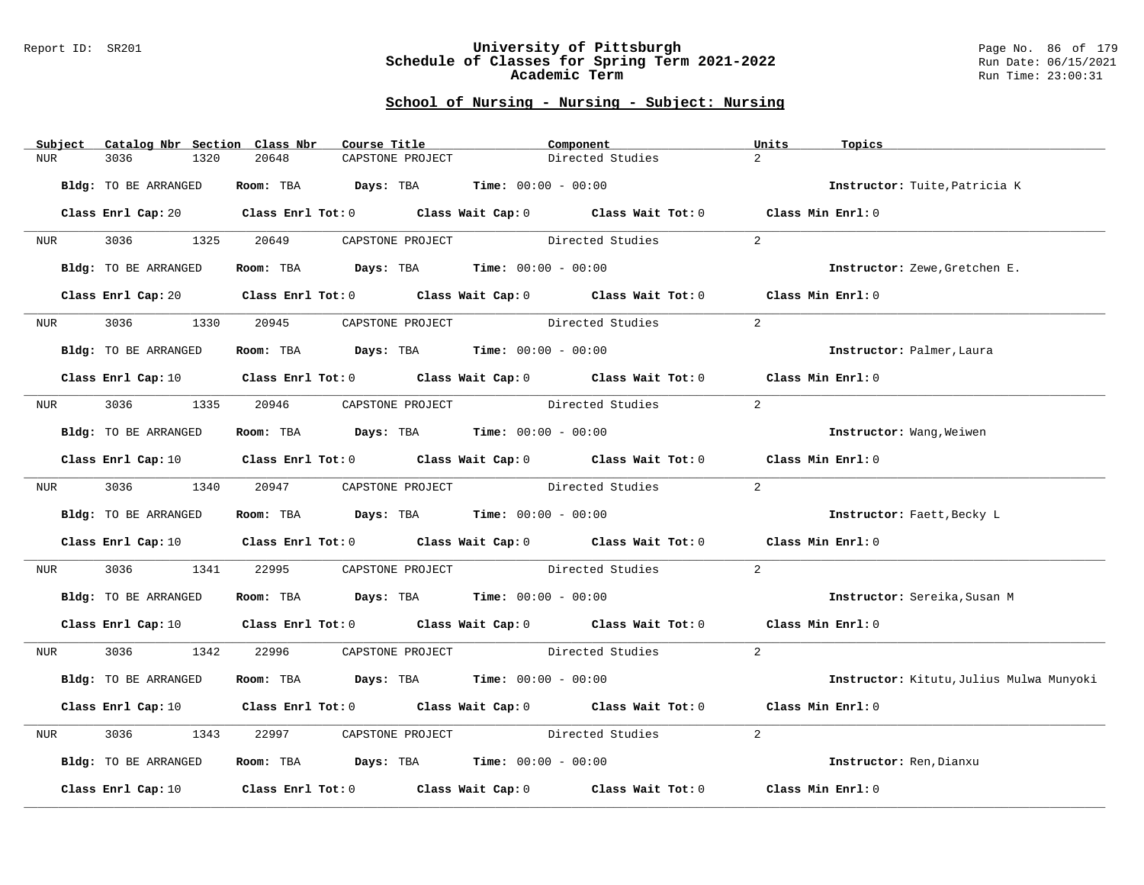#### Report ID: SR201 **University of Pittsburgh** Page No. 86 of 179 **Schedule of Classes for Spring Term 2021-2022** Run Date: 06/15/2021 **Academic Term** Run Time: 23:00:31

|            | Subject          |                                      |      | Catalog Nbr Section Class Nbr | Course Title |                  |                                                                | Component                                                                                                                      | Units             | Topics                                   |
|------------|------------------|--------------------------------------|------|-------------------------------|--------------|------------------|----------------------------------------------------------------|--------------------------------------------------------------------------------------------------------------------------------|-------------------|------------------------------------------|
| <b>NUR</b> |                  | 3036                                 | 1320 | 20648                         |              | CAPSTONE PROJECT |                                                                | Directed Studies                                                                                                               | 2                 |                                          |
|            |                  | Bldg: TO BE ARRANGED                 |      |                               |              |                  | Room: TBA $\rule{1em}{0.15mm}$ Days: TBA Time: $00:00 - 00:00$ |                                                                                                                                |                   | Instructor: Tuite, Patricia K            |
|            |                  |                                      |      |                               |              |                  |                                                                | Class Enrl Cap: 20 Class Enrl Tot: 0 Class Wait Cap: 0 Class Wait Tot: 0 Class Min Enrl: 0                                     |                   |                                          |
|            |                  |                                      |      |                               |              |                  |                                                                |                                                                                                                                |                   |                                          |
|            | NUR <sub>p</sub> | 3036 1325                            |      |                               |              |                  |                                                                |                                                                                                                                | $2^{1}$           |                                          |
|            |                  | Bldg: TO BE ARRANGED                 |      |                               |              |                  | Room: TBA $Days:$ TBA $Time: 00:00 - 00:00$                    |                                                                                                                                |                   | Instructor: Zewe, Gretchen E.            |
|            |                  |                                      |      |                               |              |                  |                                                                | Class Enrl Cap: 20 Class Enrl Tot: 0 Class Wait Cap: 0 Class Wait Tot: 0 Class Min Enrl: 0                                     |                   |                                          |
|            | <b>NUR</b>       | 3036 300                             | 1330 | 20945                         |              |                  |                                                                | CAPSTONE PROJECT Directed Studies                                                                                              | $\overline{a}$    |                                          |
|            |                  | Bldg: TO BE ARRANGED                 |      |                               |              |                  | Room: TBA $Days:$ TBA $Time: 00:00 - 00:00$                    |                                                                                                                                |                   | Instructor: Palmer, Laura                |
|            |                  |                                      |      |                               |              |                  |                                                                | Class Enrl Cap: 10 $\qquad$ Class Enrl Tot: 0 $\qquad$ Class Wait Cap: 0 $\qquad$ Class Wait Tot: 0 $\qquad$ Class Min Enrl: 0 |                   |                                          |
|            |                  |                                      |      |                               |              |                  |                                                                | NUR 3036 1335 20946 CAPSTONE PROJECT Directed Studies                                                                          | $2^{1}$           |                                          |
|            |                  | Bldg: TO BE ARRANGED                 |      |                               |              |                  | Room: TBA $Days:$ TBA Time: $00:00 - 00:00$                    |                                                                                                                                |                   | Instructor: Wang, Weiwen                 |
|            |                  |                                      |      |                               |              |                  |                                                                | Class Enrl Cap: 10 $\qquad$ Class Enrl Tot: 0 $\qquad$ Class Wait Cap: 0 $\qquad$ Class Wait Tot: 0 $\qquad$ Class Min Enrl: 0 |                   |                                          |
|            |                  | NUR 3036 1340 20947 CAPSTONE PROJECT |      |                               |              |                  |                                                                | Directed Studies                                                                                                               | 2                 |                                          |
|            |                  | Bldg: TO BE ARRANGED                 |      |                               |              |                  | Room: TBA $Days:$ TBA $Time: 00:00 - 00:00$                    |                                                                                                                                |                   | Instructor: Faett, Becky L               |
|            |                  |                                      |      |                               |              |                  |                                                                | Class Enrl Cap: 10 Class Enrl Tot: 0 Class Wait Cap: 0 Class Wait Tot: 0 Class Min Enrl: 0                                     |                   |                                          |
|            | <b>NUR</b>       |                                      |      |                               |              |                  |                                                                | 3036 1341 22995 CAPSTONE PROJECT Directed Studies                                                                              | 2                 |                                          |
|            |                  | Bldg: TO BE ARRANGED                 |      |                               |              |                  | Room: TBA $\rule{1em}{0.15mm}$ Days: TBA Time: $00:00 - 00:00$ |                                                                                                                                |                   | Instructor: Sereika, Susan M             |
|            |                  |                                      |      |                               |              |                  |                                                                | Class Enrl Cap: 10 $\qquad$ Class Enrl Tot: 0 $\qquad$ Class Wait Cap: 0 $\qquad$ Class Wait Tot: 0 $\qquad$ Class Min Enrl: 0 |                   |                                          |
|            |                  |                                      |      |                               |              |                  |                                                                | NUR 3036 1342 22996 CAPSTONE PROJECT Directed Studies                                                                          | $\overline{2}$    |                                          |
|            |                  | Bldg: TO BE ARRANGED                 |      |                               |              |                  | Room: TBA $Days:$ TBA $Time: 00:00 - 00:00$                    |                                                                                                                                |                   | Instructor: Kitutu, Julius Mulwa Munyoki |
|            |                  |                                      |      |                               |              |                  |                                                                | Class Enrl Cap: 10 $\qquad$ Class Enrl Tot: 0 $\qquad$ Class Wait Cap: 0 $\qquad$ Class Wait Tot: 0 $\qquad$ Class Min Enrl: 0 |                   |                                          |
| NUR        |                  | 3036                                 | 1343 | 22997                         |              |                  |                                                                | CAPSTONE PROJECT Directed Studies                                                                                              | 2                 |                                          |
|            |                  | Bldg: TO BE ARRANGED                 |      |                               |              |                  | Room: TBA $Days:$ TBA $Time: 00:00 - 00:00$                    |                                                                                                                                |                   | Instructor: Ren, Dianxu                  |
|            |                  |                                      |      |                               |              |                  |                                                                | Class Enrl Cap: 10 $\qquad$ Class Enrl Tot: 0 $\qquad$ Class Wait Cap: 0 $\qquad$ Class Wait Tot: 0                            | Class Min Enrl: 0 |                                          |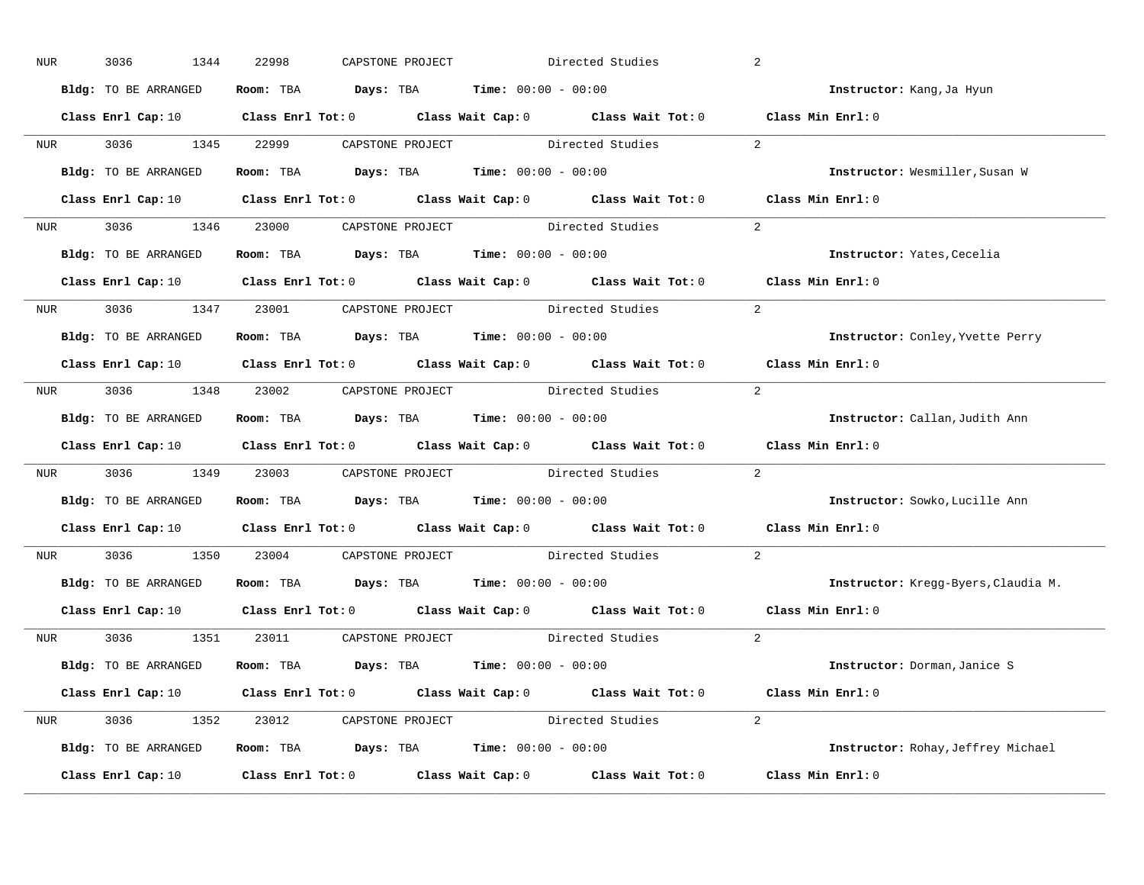| NUR        | 3036<br>1344         | 22998<br>CAPSTONE PROJECT                                                             | Directed Studies                                                                                                               | 2                                   |
|------------|----------------------|---------------------------------------------------------------------------------------|--------------------------------------------------------------------------------------------------------------------------------|-------------------------------------|
|            | Bldg: TO BE ARRANGED | Room: TBA $Days:$ TBA $Time: 00:00 - 00:00$                                           |                                                                                                                                | Instructor: Kang, Ja Hyun           |
|            |                      |                                                                                       | Class Enrl Cap: 10 $\qquad$ Class Enrl Tot: 0 $\qquad$ Class Wait Cap: 0 $\qquad$ Class Wait Tot: 0 $\qquad$ Class Min Enrl: 0 |                                     |
|            | NUR 3036 1345 22999  |                                                                                       | CAPSTONE PROJECT Directed Studies                                                                                              | 2                                   |
|            | Bldg: TO BE ARRANGED | Room: TBA $Days:$ TBA Time: $00:00 - 00:00$                                           |                                                                                                                                | Instructor: Wesmiller, Susan W      |
|            |                      |                                                                                       | Class Enrl Cap: 10 $\qquad$ Class Enrl Tot: 0 $\qquad$ Class Wait Cap: 0 $\qquad$ Class Wait Tot: 0 $\qquad$ Class Min Enrl: 0 |                                     |
|            |                      |                                                                                       | NUR 3036 1346 23000 CAPSTONE PROJECT Directed Studies 2                                                                        |                                     |
|            | Bldg: TO BE ARRANGED | Room: TBA $Days:$ TBA $Time: 00:00 - 00:00$                                           |                                                                                                                                | Instructor: Yates, Cecelia          |
|            |                      |                                                                                       | Class Enrl Cap: 10 $\qquad$ Class Enrl Tot: 0 $\qquad$ Class Wait Cap: 0 $\qquad$ Class Wait Tot: 0 $\qquad$ Class Min Enrl: 0 |                                     |
|            |                      | NUR 3036 1347 23001 CAPSTONE PROJECT Directed Studies                                 |                                                                                                                                | 2                                   |
|            | Bldg: TO BE ARRANGED | Room: TBA $Days:$ TBA $Time: 00:00 - 00:00$                                           |                                                                                                                                | Instructor: Conley, Yvette Perry    |
|            |                      |                                                                                       | Class Enrl Cap: 10 Class Enrl Tot: 0 Class Wait Cap: 0 Class Wait Tot: 0 Class Min Enrl: 0                                     |                                     |
|            |                      |                                                                                       | NUR 3036 1348 23002 CAPSTONE PROJECT Directed Studies                                                                          | 2                                   |
|            | Bldg: TO BE ARRANGED | Room: TBA $Days:$ TBA $Time: 00:00 - 00:00$                                           |                                                                                                                                | Instructor: Callan, Judith Ann      |
|            |                      |                                                                                       | Class Enrl Cap: 10 $\qquad$ Class Enrl Tot: 0 $\qquad$ Class Wait Cap: 0 $\qquad$ Class Wait Tot: 0 $\qquad$ Class Min Enrl: 0 |                                     |
|            |                      | NUR 3036 1349 23003 CAPSTONE PROJECT Directed Studies                                 |                                                                                                                                | 2                                   |
|            | Bldg: TO BE ARRANGED | Room: TBA $Days:$ TBA $Time: 00:00 - 00:00$                                           |                                                                                                                                | Instructor: Sowko, Lucille Ann      |
|            |                      |                                                                                       | Class Enrl Cap: 10 $\qquad$ Class Enrl Tot: 0 $\qquad$ Class Wait Cap: 0 $\qquad$ Class Wait Tot: 0                            | Class Min Enrl: 0                   |
| <b>NUR</b> |                      |                                                                                       | 3036 1350 23004 CAPSTONE PROJECT Directed Studies                                                                              | $\overline{2}$                      |
|            |                      | Bldg: TO BE ARRANGED Room: TBA Days: TBA Time: 00:00 - 00:00                          |                                                                                                                                | Instructor: Kregg-Byers, Claudia M. |
|            |                      |                                                                                       | Class Enrl Cap: 10 $\qquad$ Class Enrl Tot: 0 $\qquad$ Class Wait Cap: 0 $\qquad$ Class Wait Tot: 0                            | Class Min Enrl: 0                   |
|            |                      |                                                                                       | NUR 3036 1351 23011 CAPSTONE PROJECT Directed Studies                                                                          | 2                                   |
|            | Bldg: TO BE ARRANGED | Room: TBA $\rule{1em}{0.15mm}$ Days: TBA $\rule{1.5mm}{0.15mm}$ Time: $00:00 - 00:00$ |                                                                                                                                | Instructor: Dorman, Janice S        |
|            |                      |                                                                                       | Class Enrl Cap: 10 $\qquad$ Class Enrl Tot: 0 $\qquad$ Class Wait Cap: 0 $\qquad$ Class Wait Tot: 0 $\qquad$ Class Min Enrl: 0 |                                     |
|            |                      |                                                                                       | NUR 3036 1352 23012 CAPSTONE PROJECT Directed Studies                                                                          | 2                                   |
|            | Bldg: TO BE ARRANGED | Room: TBA $Days: TBA$ Time: $00:00 - 00:00$                                           |                                                                                                                                | Instructor: Rohay, Jeffrey Michael  |
|            | Class Enrl Cap: 10   |                                                                                       | Class Enrl Tot: $0$ Class Wait Cap: $0$ Class Wait Tot: $0$ Class Min Enrl: $0$                                                |                                     |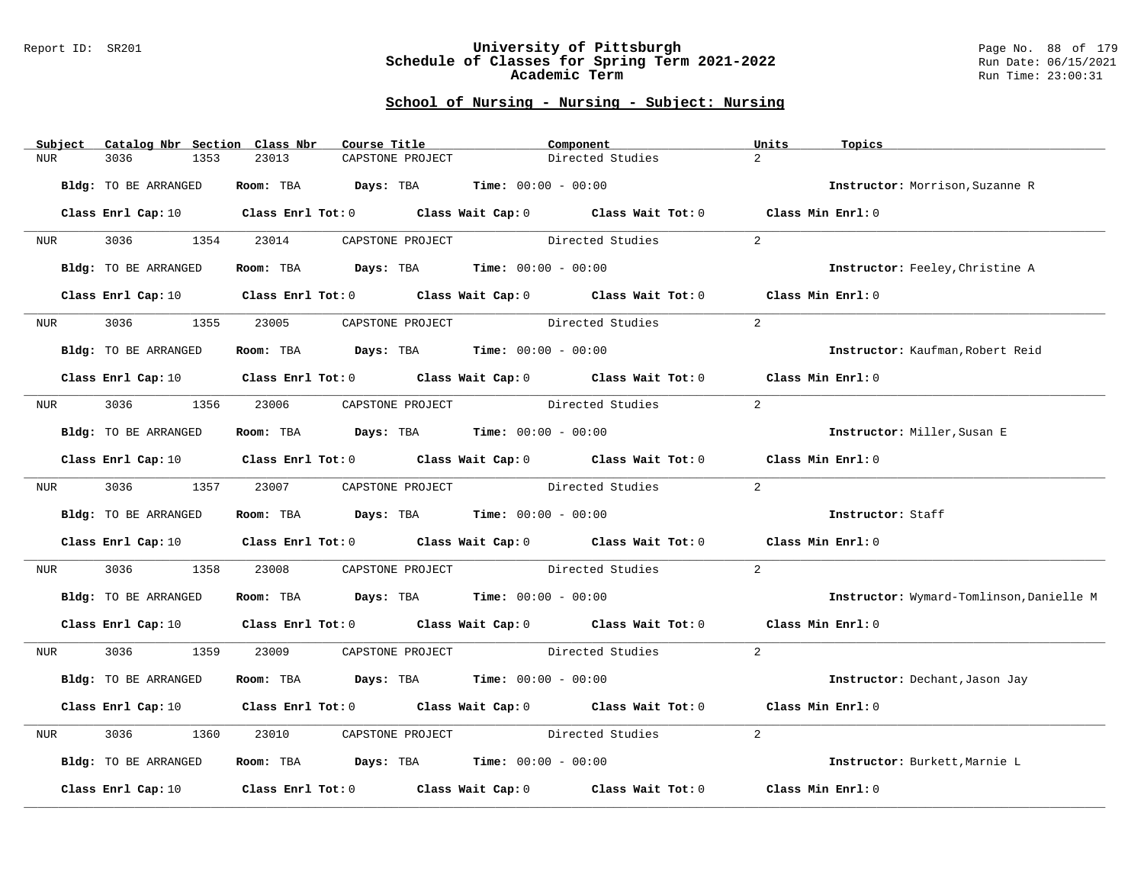#### Report ID: SR201 **University of Pittsburgh** Page No. 88 of 179 **Schedule of Classes for Spring Term 2021-2022** Run Date: 06/15/2021 **Academic Term** Run Time: 23:00:31

|            | Subject          | Catalog Nbr Section Class Nbr                     |      |       | Course Title |                  |                                                                | Component |                                                                                                                                | Units          | Topics                                   |
|------------|------------------|---------------------------------------------------|------|-------|--------------|------------------|----------------------------------------------------------------|-----------|--------------------------------------------------------------------------------------------------------------------------------|----------------|------------------------------------------|
| <b>NUR</b> |                  | 3036                                              | 1353 | 23013 |              | CAPSTONE PROJECT |                                                                |           | Directed Studies                                                                                                               | $\overline{2}$ |                                          |
|            |                  | Bldg: TO BE ARRANGED                              |      |       |              |                  | Room: TBA $Days:$ TBA Time: $00:00 - 00:00$                    |           |                                                                                                                                |                | Instructor: Morrison, Suzanne R          |
|            |                  |                                                   |      |       |              |                  |                                                                |           | Class Enrl Cap: 10 $\qquad$ Class Enrl Tot: 0 $\qquad$ Class Wait Cap: 0 $\qquad$ Class Wait Tot: 0 $\qquad$ Class Min Enrl: 0 |                |                                          |
|            | NUR <sub>p</sub> | 3036 700                                          | 1354 | 23014 |              |                  |                                                                |           | CAPSTONE PROJECT Directed Studies                                                                                              | 2              |                                          |
|            |                  | Bldg: TO BE ARRANGED                              |      |       |              |                  | Room: TBA $Days:$ TBA $Time: 00:00 - 00:00$                    |           |                                                                                                                                |                | Instructor: Feeley, Christine A          |
|            |                  |                                                   |      |       |              |                  |                                                                |           | Class Enrl Cap: 10 $\qquad$ Class Enrl Tot: 0 $\qquad$ Class Wait Cap: 0 $\qquad$ Class Wait Tot: 0                            |                | Class Min Enrl: 0                        |
|            | <b>NUR</b>       | 3036                                              | 1355 | 23005 |              |                  | CAPSTONE PROJECT Directed Studies                              |           |                                                                                                                                | $\overline{a}$ |                                          |
|            |                  | Bldg: TO BE ARRANGED                              |      |       |              |                  | Room: TBA $Days:$ TBA $Time: 00:00 - 00:00$                    |           |                                                                                                                                |                | Instructor: Kaufman, Robert Reid         |
|            |                  |                                                   |      |       |              |                  |                                                                |           | Class Enrl Cap: 10 $\qquad$ Class Enrl Tot: 0 $\qquad$ Class Wait Cap: 0 $\qquad$ Class Wait Tot: 0 $\qquad$ Class Min Enrl: 0 |                |                                          |
|            | NUR <sub>e</sub> | 3036 1356 23006 CAPSTONE PROJECT Directed Studies |      |       |              |                  |                                                                |           |                                                                                                                                | $2^{1}$        |                                          |
|            |                  | Bldg: TO BE ARRANGED                              |      |       |              |                  | Room: TBA Days: TBA Time: $00:00 - 00:00$                      |           |                                                                                                                                |                | Instructor: Miller, Susan E              |
|            |                  |                                                   |      |       |              |                  |                                                                |           | Class Enrl Cap: 10 $\qquad$ Class Enrl Tot: 0 $\qquad$ Class Wait Cap: 0 $\qquad$ Class Wait Tot: 0                            |                | Class Min Enrl: 0                        |
|            | NUR <sub>p</sub> | 3036 1357 23007 CAPSTONE PROJECT                  |      |       |              |                  |                                                                |           | Directed Studies                                                                                                               | $\overline{2}$ |                                          |
|            |                  | Bldg: TO BE ARRANGED                              |      |       |              |                  | Room: TBA $Days:$ TBA $Time: 00:00 - 00:00$                    |           |                                                                                                                                |                | Instructor: Staff                        |
|            |                  |                                                   |      |       |              |                  |                                                                |           | Class Enrl Cap: 10 $\qquad$ Class Enrl Tot: 0 $\qquad$ Class Wait Cap: 0 $\qquad$ Class Wait Tot: 0                            |                | Class Min Enrl: 0                        |
| NUR        |                  | 3036 70                                           | 1358 | 23008 |              |                  |                                                                |           | CAPSTONE PROJECT Directed Studies                                                                                              | $\overline{a}$ |                                          |
|            |                  | Bldg: TO BE ARRANGED                              |      |       |              |                  | Room: TBA $\rule{1em}{0.15mm}$ Days: TBA Time: $00:00 - 00:00$ |           |                                                                                                                                |                | Instructor: Wymard-Tomlinson, Danielle M |
|            |                  |                                                   |      |       |              |                  |                                                                |           | Class Enrl Cap: 10 $\qquad$ Class Enrl Tot: 0 $\qquad$ Class Wait Cap: 0 $\qquad$ Class Wait Tot: 0 $\qquad$ Class Min Enrl: 0 |                |                                          |
|            | NUR <sub>p</sub> | 3036 1359                                         |      |       |              |                  |                                                                |           | 23009 CAPSTONE PROJECT Directed Studies                                                                                        | $\overline{2}$ |                                          |
|            |                  | Bldg: TO BE ARRANGED                              |      |       |              |                  | Room: TBA $Days:$ TBA $Time: 00:00 - 00:00$                    |           |                                                                                                                                |                | Instructor: Dechant, Jason Jay           |
|            |                  |                                                   |      |       |              |                  |                                                                |           | Class Enrl Cap: 10 $\qquad$ Class Enrl Tot: 0 $\qquad$ Class Wait Cap: 0 $\qquad$ Class Wait Tot: 0                            |                | Class Min Enrl: 0                        |
| NUR        |                  | 3036                                              | 1360 | 23010 |              |                  | CAPSTONE PROJECT Directed Studies                              |           |                                                                                                                                | 2              |                                          |
|            |                  | Bldg: TO BE ARRANGED                              |      |       |              |                  | Room: TBA $Days:$ TBA $Time: 00:00 - 00:00$                    |           |                                                                                                                                |                | Instructor: Burkett, Marnie L            |
|            |                  | Class Enrl Cap: 10                                |      |       |              |                  |                                                                |           | Class Enrl Tot: $0$ Class Wait Cap: $0$ Class Wait Tot: $0$                                                                    |                | Class Min Enrl: 0                        |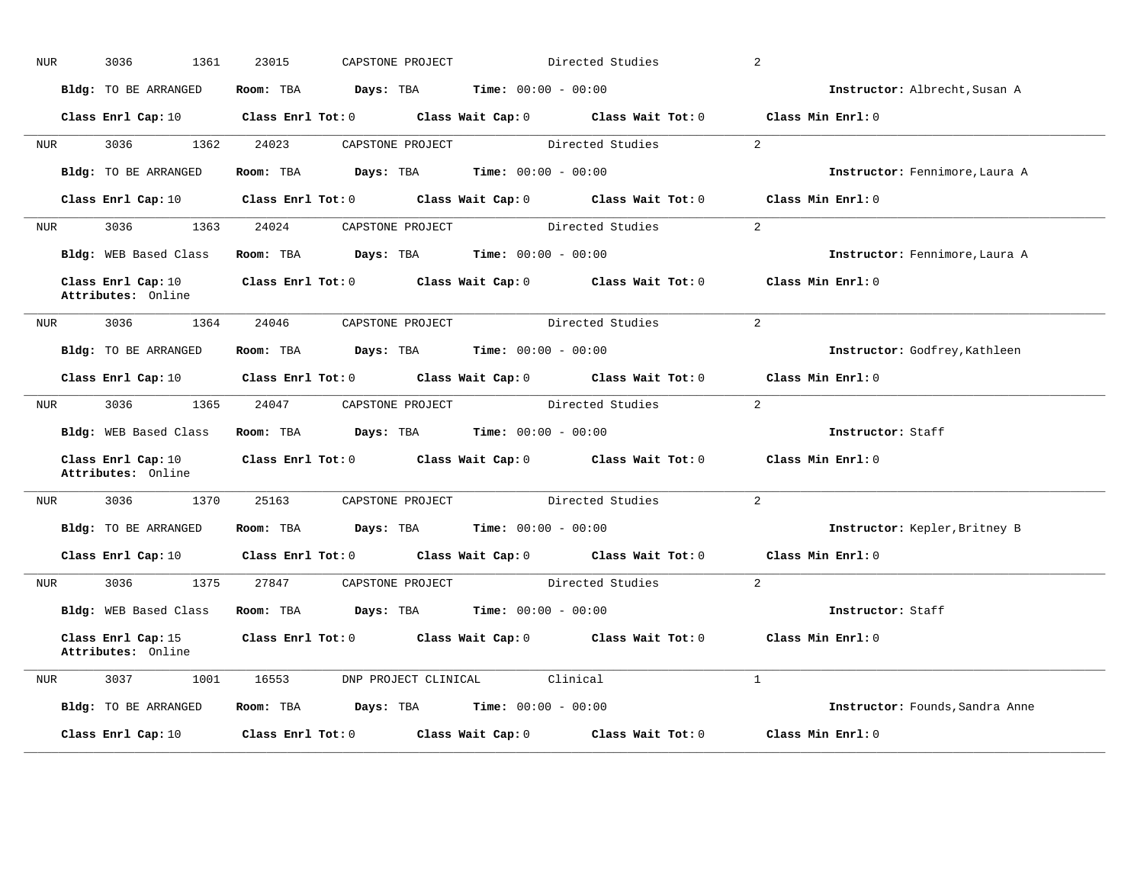| <b>NUR</b> | 3036<br>1361                             | 23015<br>CAPSTONE PROJECT     | Directed Studies                         | $\overline{2}$                  |
|------------|------------------------------------------|-------------------------------|------------------------------------------|---------------------------------|
|            | Bldg: TO BE ARRANGED                     | Days: TBA<br>Room: TBA        | <b>Time:</b> $00:00 - 00:00$             | Instructor: Albrecht, Susan A   |
|            | Class Enrl Cap: 10                       | $Class$ $Enrl$ $Tot: 0$       | Class Wait Cap: 0<br>Class Wait Tot: 0   | Class Min Enrl: 0               |
| NUR        | 3036<br>1362                             | 24023<br>CAPSTONE PROJECT     | Directed Studies                         | 2                               |
|            | Bldg: TO BE ARRANGED                     | Room: TBA<br>Days: TBA        | <b>Time:</b> $00:00 - 00:00$             | Instructor: Fennimore, Laura A  |
|            | Class Enrl Cap: 10                       | Class Enrl Tot: 0             | Class Wait Tot: $0$<br>Class Wait Cap: 0 | Class Min Enrl: 0               |
| <b>NUR</b> | 3036<br>1363                             | 24024<br>CAPSTONE PROJECT     | Directed Studies                         | 2                               |
|            | Bldg: WEB Based Class                    | Days: TBA<br>Room: TBA        | $Time: 00:00 - 00:00$                    | Instructor: Fennimore, Laura A  |
|            | Class Enrl Cap: 10<br>Attributes: Online | $Class$ $Enr1$ $Tot: 0$       | Class Wait Cap: 0 Class Wait Tot: 0      | Class Min Enrl: 0               |
| NUR        | 3036<br>1364                             | 24046<br>CAPSTONE PROJECT     | Directed Studies                         | $\overline{2}$                  |
|            | Bldg: TO BE ARRANGED                     | Room: TBA<br>Days: TBA        | <b>Time:</b> $00:00 - 00:00$             | Instructor: Godfrey, Kathleen   |
|            | Class Enrl Cap: 10                       | Class Enrl Tot: 0             | Class Wait Cap: 0 Class Wait Tot: 0      | Class Min Enrl: 0               |
| NUR        | 3036<br>1365                             | 24047<br>CAPSTONE PROJECT     | Directed Studies                         | 2                               |
|            | Bldg: WEB Based Class                    | Room: TBA<br>Days: TBA        | <b>Time:</b> $00:00 - 00:00$             | Instructor: Staff               |
|            | Class Enrl Cap: 10<br>Attributes: Online | Class Enrl Tot: 0             | Class Wait Cap: 0 Class Wait Tot: 0      | Class Min Enrl: 0               |
| NUR        | 1370<br>3036                             | 25163<br>CAPSTONE PROJECT     | Directed Studies                         | $\overline{2}$                  |
|            | Bldg: TO BE ARRANGED                     | Days: TBA<br>Room: TBA        | <b>Time:</b> $00:00 - 00:00$             | Instructor: Kepler, Britney B   |
|            | Class Enrl Cap: 10                       | Class Enrl Tot: 0             | Class Wait Tot: 0<br>Class Wait Cap: 0   | Class Min Enrl: 0               |
| <b>NUR</b> | 3036<br>1375                             | 27847<br>CAPSTONE PROJECT     | Directed Studies                         | $\overline{2}$                  |
|            | Bldg: WEB Based Class                    | Room: TBA<br>Days: TBA        | <b>Time:</b> $00:00 - 00:00$             | Instructor: Staff               |
|            | Class Enrl Cap: 15<br>Attributes: Online | Class Enrl Tot: 0             | Class Wait Cap: 0 Class Wait Tot: 0      | Class Min Enrl: 0               |
| <b>NUR</b> | 3037<br>1001                             | 16553<br>DNP PROJECT CLINICAL | Clinical                                 | $\mathbf{1}$                    |
|            |                                          | Room: TBA<br>Days: TBA        | $Time: 00:00 - 00:00$                    | Instructor: Founds, Sandra Anne |
|            | Bldg: TO BE ARRANGED                     |                               |                                          |                                 |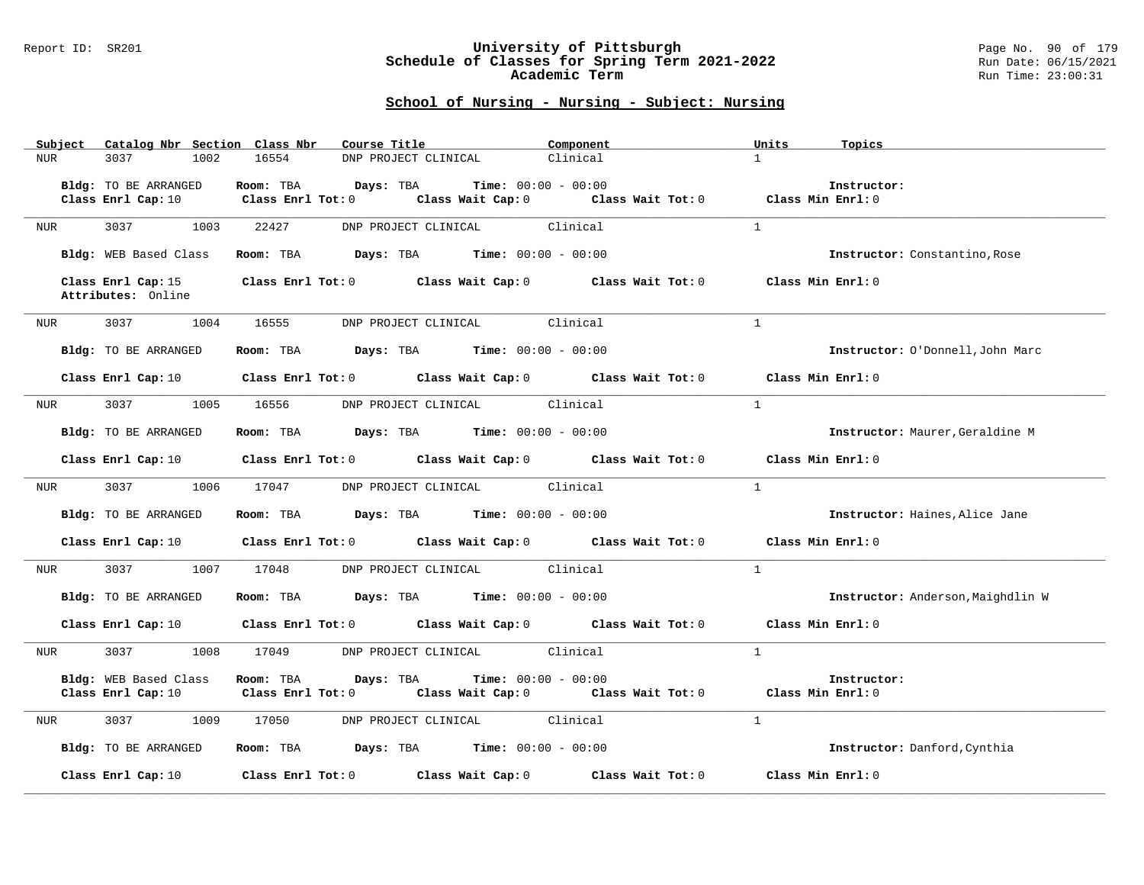#### Report ID: SR201 **University of Pittsburgh** Page No. 90 of 179 **Schedule of Classes for Spring Term 2021-2022** Run Date: 06/15/2021 **Academic Term** Run Time: 23:00:31

| Subject          | Catalog Nbr Section Class Nbr               | Course Title                                                                                                                   |                                                                                | Component                                             | Units<br>Topics                   |  |
|------------------|---------------------------------------------|--------------------------------------------------------------------------------------------------------------------------------|--------------------------------------------------------------------------------|-------------------------------------------------------|-----------------------------------|--|
| <b>NUR</b>       | 3037<br>1002                                | 16554                                                                                                                          | DNP PROJECT CLINICAL                                                           | Clinical                                              | $\mathbf{1}$                      |  |
|                  |                                             |                                                                                                                                |                                                                                |                                                       |                                   |  |
|                  | Bldg: TO BE ARRANGED                        | Room: TBA<br>Days: TBA                                                                                                         | <b>Time:</b> $00:00 - 00:00$                                                   |                                                       | Instructor:                       |  |
|                  | Class Enrl Cap: 10                          | Class Enrl Tot: 0                                                                                                              |                                                                                | Class Wait Cap: 0 Class Wait Tot: 0 Class Min Enrl: 0 |                                   |  |
|                  |                                             |                                                                                                                                |                                                                                |                                                       |                                   |  |
| NUR              | 3037<br>1003                                | 22427                                                                                                                          | DNP PROJECT CLINICAL                                                           | Clinical                                              | $\mathbf{1}$                      |  |
|                  |                                             |                                                                                                                                |                                                                                |                                                       |                                   |  |
|                  | Bldg: WEB Based Class                       |                                                                                                                                | Room: TBA $Days:$ TBA $Time: 00:00 - 00:00$                                    |                                                       | Instructor: Constantino, Rose     |  |
|                  |                                             |                                                                                                                                | Class Enrl Tot: 0 Class Wait Cap: 0 Class Wait Tot: 0                          |                                                       | Class Min Enrl: 0                 |  |
|                  | Class Enrl Cap: 15<br>Attributes: Online    |                                                                                                                                |                                                                                |                                                       |                                   |  |
|                  |                                             |                                                                                                                                |                                                                                |                                                       |                                   |  |
|                  | NUR 3037<br>1004                            | 16555                                                                                                                          | DNP PROJECT CLINICAL Clinical                                                  |                                                       | $\mathbf{1}$                      |  |
|                  |                                             |                                                                                                                                |                                                                                |                                                       |                                   |  |
|                  | Bldg: TO BE ARRANGED                        |                                                                                                                                | <b>Room:</b> TBA <b>Days:</b> TBA <b>Time:</b> 00:00 - 00:00                   |                                                       | Instructor: O'Donnell, John Marc  |  |
|                  |                                             |                                                                                                                                |                                                                                |                                                       |                                   |  |
|                  | Class Enrl Cap: 10                          |                                                                                                                                | Class Enrl Tot: 0 Class Wait Cap: 0 Class Wait Tot: 0                          |                                                       | Class Min Enrl: 0                 |  |
|                  |                                             |                                                                                                                                |                                                                                |                                                       |                                   |  |
| NUR              | 3037<br>1005                                | 16556                                                                                                                          | DNP PROJECT CLINICAL Clinical                                                  |                                                       | $\mathbf{1}$                      |  |
|                  |                                             |                                                                                                                                |                                                                                |                                                       |                                   |  |
|                  | Bldg: TO BE ARRANGED                        |                                                                                                                                | Room: TBA $Days:$ TBA $Time: 00:00 - 00:00$                                    |                                                       | Instructor: Maurer, Geraldine M   |  |
|                  |                                             |                                                                                                                                |                                                                                |                                                       |                                   |  |
|                  |                                             | Class Enrl Cap: 10 $\qquad$ Class Enrl Tot: 0 $\qquad$ Class Wait Cap: 0 $\qquad$ Class Wait Tot: 0 $\qquad$ Class Min Enrl: 0 |                                                                                |                                                       |                                   |  |
|                  |                                             | 3037 1006 17047 DNP PROJECT CLINICAL Clinical                                                                                  |                                                                                |                                                       | $\mathbf{1}$                      |  |
| NUR              |                                             |                                                                                                                                |                                                                                |                                                       |                                   |  |
|                  | Bldg: TO BE ARRANGED                        |                                                                                                                                | Room: TBA $Days:$ TBA $Time: 00:00 - 00:00$                                    |                                                       | Instructor: Haines, Alice Jane    |  |
|                  |                                             |                                                                                                                                |                                                                                |                                                       |                                   |  |
|                  |                                             | Class Enrl Cap: 10 Class Enrl Tot: 0 Class Wait Cap: 0 Class Wait Tot: 0                                                       |                                                                                |                                                       | Class Min Enrl: 0                 |  |
|                  |                                             |                                                                                                                                |                                                                                |                                                       |                                   |  |
| NUR <sub>p</sub> | 3037                                        | 1007 17048                                                                                                                     | DNP PROJECT CLINICAL Clinical                                                  |                                                       | $\mathbf{1}$                      |  |
|                  |                                             |                                                                                                                                |                                                                                |                                                       |                                   |  |
|                  | Bldg: TO BE ARRANGED                        |                                                                                                                                | Room: TBA $Days:$ TBA $Time: 00:00 - 00:00$                                    |                                                       | Instructor: Anderson, Maighdlin W |  |
|                  |                                             |                                                                                                                                |                                                                                |                                                       |                                   |  |
|                  | Class Enrl Cap: 10                          |                                                                                                                                | Class Enrl Tot: 0 Class Wait Cap: 0 Class Wait Tot: 0                          |                                                       | Class Min Enrl: 0                 |  |
|                  |                                             |                                                                                                                                |                                                                                |                                                       |                                   |  |
| NUR              | 3037<br>1008                                | 17049                                                                                                                          | DNP PROJECT CLINICAL                                                           | Clinical                                              | $\mathbf{1}$                      |  |
|                  |                                             |                                                                                                                                |                                                                                |                                                       |                                   |  |
|                  | Bldg: WEB Based Class<br>Class Enrl Cap: 10 | Room: TBA<br>Days: TBA                                                                                                         | $Time: 00:00 - 00:00$<br>Class Enrl Tot: 0 Class Wait Cap: 0 Class Wait Tot: 0 |                                                       | Instructor:<br>Class Min Enrl: 0  |  |
|                  |                                             |                                                                                                                                |                                                                                |                                                       |                                   |  |
| NUR              | 3037<br>1009                                | 17050                                                                                                                          | DNP PROJECT CLINICAL Clinical                                                  |                                                       | $\mathbf{1}$                      |  |
|                  |                                             |                                                                                                                                |                                                                                |                                                       |                                   |  |
|                  | Bldg: TO BE ARRANGED                        |                                                                                                                                | Room: TBA $Days:$ TBA $Time: 00:00 - 00:00$                                    |                                                       | Instructor: Danford, Cynthia      |  |
|                  |                                             |                                                                                                                                |                                                                                |                                                       |                                   |  |
|                  | Class Enrl Cap: 10                          |                                                                                                                                | Class Enrl Tot: 0 Class Wait Cap: 0 Class Wait Tot: 0                          |                                                       | Class Min Enrl: 0                 |  |
|                  |                                             |                                                                                                                                |                                                                                |                                                       |                                   |  |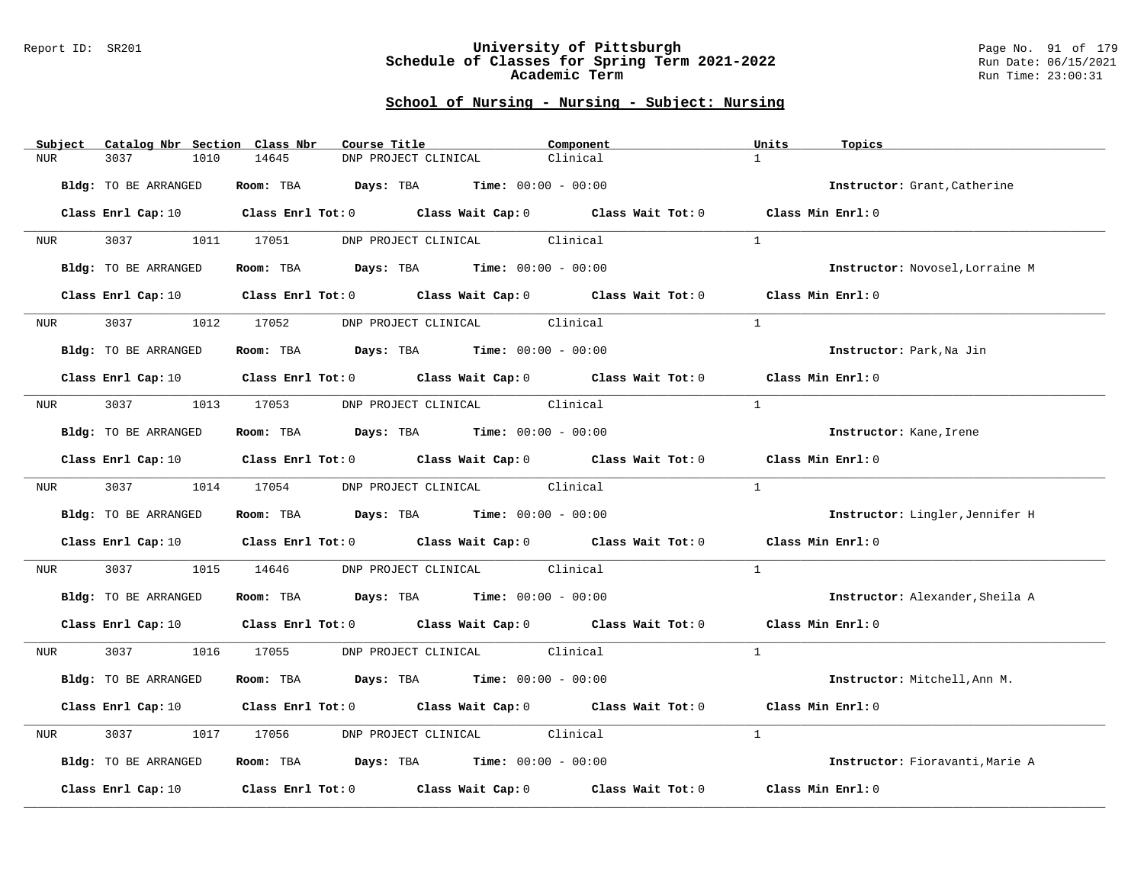#### Report ID: SR201 **University of Pittsburgh** Page No. 91 of 179 **Schedule of Classes for Spring Term 2021-2022** Run Date: 06/15/2021 **Academic Term** Run Time: 23:00:31

| Subject          | Catalog Nbr Section Class Nbr |            | Course Title                                                   | Component                                                                                                                      | Units<br>Topics                 |
|------------------|-------------------------------|------------|----------------------------------------------------------------|--------------------------------------------------------------------------------------------------------------------------------|---------------------------------|
| NUR.             | 3037<br>1010                  | 14645      | DNP PROJECT CLINICAL                                           | Clinical                                                                                                                       | $\mathbf{1}$                    |
|                  | Bldg: TO BE ARRANGED          |            | Room: TBA $Days:$ TBA $Time: 00:00 - 00:00$                    |                                                                                                                                | Instructor: Grant, Catherine    |
|                  |                               |            |                                                                | Class Enrl Cap: 10 $\qquad$ Class Enrl Tot: 0 $\qquad$ Class Wait Cap: 0 $\qquad$ Class Wait Tot: 0 $\qquad$ Class Min Enrl: 0 |                                 |
| <b>NUR</b>       |                               |            | 3037 1011 17051 DNP PROJECT CLINICAL Clinical                  |                                                                                                                                | $\mathbf{1}$                    |
|                  | Bldg: TO BE ARRANGED          |            | Room: TBA $Days:$ TBA $Time: 00:00 - 00:00$                    |                                                                                                                                | Instructor: Novosel, Lorraine M |
|                  | Class Enrl Cap: 10            |            |                                                                | Class Enrl Tot: 0 Class Wait Cap: 0 Class Wait Tot: 0                                                                          | Class Min Enrl: 0               |
| NUR <b>NUR</b>   | 3037 30<br>1012               | 17052      | DNP PROJECT CLINICAL Clinical                                  |                                                                                                                                | $\mathbf{1}$                    |
|                  | Bldg: TO BE ARRANGED          |            | Room: TBA $Days:$ TBA $Time: 00:00 - 00:00$                    |                                                                                                                                | Instructor: Park, Na Jin        |
|                  |                               |            |                                                                | Class Enrl Cap: 10 $\qquad$ Class Enrl Tot: 0 $\qquad$ Class Wait Cap: 0 $\qquad$ Class Wait Tot: 0 $\qquad$ Class Min Enrl: 0 |                                 |
| NUR <sub>e</sub> |                               |            | 3037 1013 17053 DNP PROJECT CLINICAL Clinical                  |                                                                                                                                | $\mathbf{1}$                    |
|                  | Bldg: TO BE ARRANGED          |            | Room: TBA $Days: TBA$ Time: $00:00 - 00:00$                    |                                                                                                                                | Instructor: Kane, Irene         |
|                  |                               |            |                                                                | Class Enrl Cap: 10 Class Enrl Tot: 0 Class Wait Cap: 0 Class Wait Tot: 0 Class Min Enrl: 0                                     |                                 |
| NUR <sub>e</sub> |                               |            | 3037 1014 17054 DNP PROJECT CLINICAL Clinical                  |                                                                                                                                | $\mathbf{1}$                    |
|                  | Bldg: TO BE ARRANGED          |            | Room: TBA $Days:$ TBA $Time: 00:00 - 00:00$                    |                                                                                                                                | Instructor: Lingler, Jennifer H |
|                  |                               |            |                                                                | Class Enrl Cap: 10 Class Enrl Tot: 0 Class Wait Cap: 0 Class Wait Tot: 0                                                       | Class Min $Enr1:0$              |
| NUR              | 3037                          | 1015 14646 | DNP PROJECT CLINICAL Clinical                                  |                                                                                                                                | $\mathbf{1}$                    |
|                  | Bldg: TO BE ARRANGED          |            | Room: TBA $\rule{1em}{0.15mm}$ Days: TBA Time: $00:00 - 00:00$ |                                                                                                                                | Instructor: Alexander, Sheila A |
|                  |                               |            |                                                                | Class Enrl Cap: 10 Class Enrl Tot: 0 Class Wait Cap: 0 Class Wait Tot: 0 Class Min Enrl: 0                                     |                                 |
| NUR <sub>p</sub> |                               |            | 3037 1016 17055 DNP PROJECT CLINICAL Clinical                  |                                                                                                                                | $\overline{1}$                  |
|                  | Bldg: TO BE ARRANGED          |            | Room: TBA $Days:$ TBA $Time: 00:00 - 00:00$                    |                                                                                                                                | Instructor: Mitchell, Ann M.    |
|                  |                               |            |                                                                | Class Enrl Cap: 10 $\qquad$ Class Enrl Tot: 0 $\qquad$ Class Wait Cap: 0 $\qquad$ Class Wait Tot: 0 $\qquad$ Class Min Enrl: 0 |                                 |
| NUR              | 3037<br>1017                  | 17056      | DNP PROJECT CLINICAL Clinical                                  |                                                                                                                                | $\mathbf{1}$                    |
|                  | Bldg: TO BE ARRANGED          |            | Room: TBA $Days:$ TBA $Time: 00:00 - 00:00$                    |                                                                                                                                | Instructor: Fioravanti, Marie A |
|                  | Class Enrl Cap: 10            |            |                                                                | Class Enrl Tot: $0$ Class Wait Cap: $0$ Class Wait Tot: $0$                                                                    | Class Min Enrl: 0               |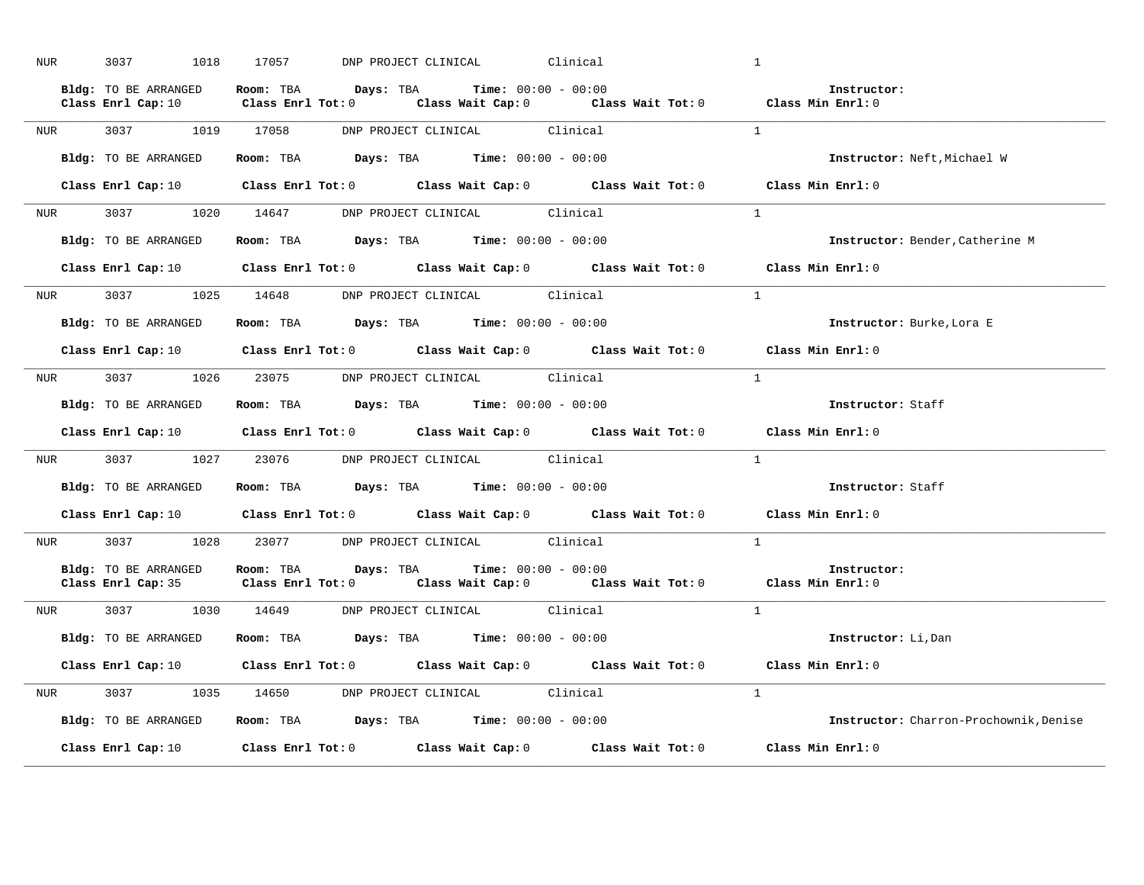| NUR <sub>p</sub> | 3037<br>1018         | 17057<br>DNP PROJECT CLINICAL                                                                                                                                                 | Clinical | $\mathbf{1}$                           |
|------------------|----------------------|-------------------------------------------------------------------------------------------------------------------------------------------------------------------------------|----------|----------------------------------------|
|                  | Bldg: TO BE ARRANGED | Room: TBA $Days: TBA$ Time: $00:00 - 00:00$<br>Class Enrl Cap: 10 $\qquad$ Class Enrl Tot: 0 $\qquad$ Class Wait Cap: 0 $\qquad$ Class Wait Tot: 0 $\qquad$ Class Min Enrl: 0 |          | Instructor:                            |
|                  |                      | NUR 3037 1019 17058 DNP PROJECT CLINICAL Clinical                                                                                                                             |          | $\overline{1}$                         |
|                  | Bldg: TO BE ARRANGED | Room: TBA $Days:$ TBA Time: $00:00 - 00:00$                                                                                                                                   |          | Instructor: Neft, Michael W            |
|                  |                      | Class Enrl Cap: 10 $\qquad$ Class Enrl Tot: 0 $\qquad$ Class Wait Cap: 0 $\qquad$ Class Wait Tot: 0 $\qquad$ Class Min Enrl: 0                                                |          |                                        |
|                  |                      | NUR 3037 1020 14647 DNP PROJECT CLINICAL Clinical                                                                                                                             |          | $\mathbf{1}$                           |
|                  | Bldg: TO BE ARRANGED | Room: TBA $Days:$ TBA $Time: 00:00 - 00:00$                                                                                                                                   |          | Instructor: Bender, Catherine M        |
|                  |                      | Class Enrl Cap: 10 $\qquad$ Class Enrl Tot: 0 $\qquad$ Class Wait Cap: 0 $\qquad$ Class Wait Tot: 0 $\qquad$ Class Min Enrl: 0                                                |          |                                        |
|                  |                      | NUR 3037 1025 14648 DNP PROJECT CLINICAL Clinical                                                                                                                             |          | $\sim$ 1                               |
|                  |                      | Bldg: TO BE ARRANGED Room: TBA Days: TBA Time: 00:00 - 00:00                                                                                                                  |          | Instructor: Burke, Lora E              |
|                  |                      | Class Enrl Cap: 10 $\qquad$ Class Enrl Tot: 0 $\qquad$ Class Wait Cap: 0 $\qquad$ Class Wait Tot: 0 $\qquad$ Class Min Enrl: 0                                                |          |                                        |
|                  |                      | NUR 3037 1026 23075 DNP PROJECT CLINICAL Clinical                                                                                                                             |          | $\overline{1}$                         |
|                  | Bldg: TO BE ARRANGED | Room: TBA Days: TBA Time: $00:00 - 00:00$                                                                                                                                     |          | Instructor: Staff                      |
|                  |                      | Class Enrl Cap: 10 Class Enrl Tot: 0 Class Wait Cap: 0 Class Wait Tot: 0 Class Min Enrl: 0                                                                                    |          |                                        |
| NUR <sub>e</sub> |                      | 3037 1027 23076 DNP PROJECT CLINICAL Clinical                                                                                                                                 |          | $\mathbf{1}$                           |
|                  |                      | Bldg: TO BE ARRANGED Room: TBA Days: TBA Time: 00:00 - 00:00                                                                                                                  |          | Instructor: Staff                      |
|                  |                      | Class Enrl Cap: 10 $\qquad$ Class Enrl Tot: 0 $\qquad$ Class Wait Cap: 0 $\qquad$ Class Wait Tot: 0 $\qquad$ Class Min Enrl: 0                                                |          |                                        |
|                  |                      | NUR 3037 1028 23077 DNP PROJECT CLINICAL Clinical                                                                                                                             |          | $\overline{1}$                         |
|                  | Bldg: TO BE ARRANGED | Room: TBA $Days:$ TBA $Time: 00:00 - 00:00$<br>Class Enrl Cap: 35 Class Enrl Tot: 0 Class Wait Cap: 0 Class Wait Tot: 0 Class Min Enrl: 0                                     |          | Instructor:                            |
|                  |                      | NUR 3037 1030 14649 DNP PROJECT CLINICAL Clinical                                                                                                                             |          | $\overline{1}$                         |
|                  |                      | Bldg: TO BE ARRANGED Room: TBA Days: TBA Time: 00:00 - 00:00                                                                                                                  |          | Instructor: Li, Dan                    |
|                  |                      | Class Enrl Cap: 10 $\qquad$ Class Enrl Tot: 0 $\qquad$ Class Wait Cap: 0 $\qquad$ Class Wait Tot: 0 $\qquad$ Class Min Enrl: 0                                                |          |                                        |
|                  |                      | NUR 3037 1035 14650 DNP PROJECT CLINICAL Clinical                                                                                                                             |          | $\overline{1}$                         |
|                  | Bldg: TO BE ARRANGED | Room: TBA $Days:$ TBA $Time: 00:00 - 00:00$                                                                                                                                   |          | Instructor: Charron-Prochownik, Denise |
|                  | Class Enrl Cap: 10   | Class Enrl Tot: $0$ Class Wait Cap: $0$ Class Wait Tot: $0$ Class Min Enrl: $0$                                                                                               |          |                                        |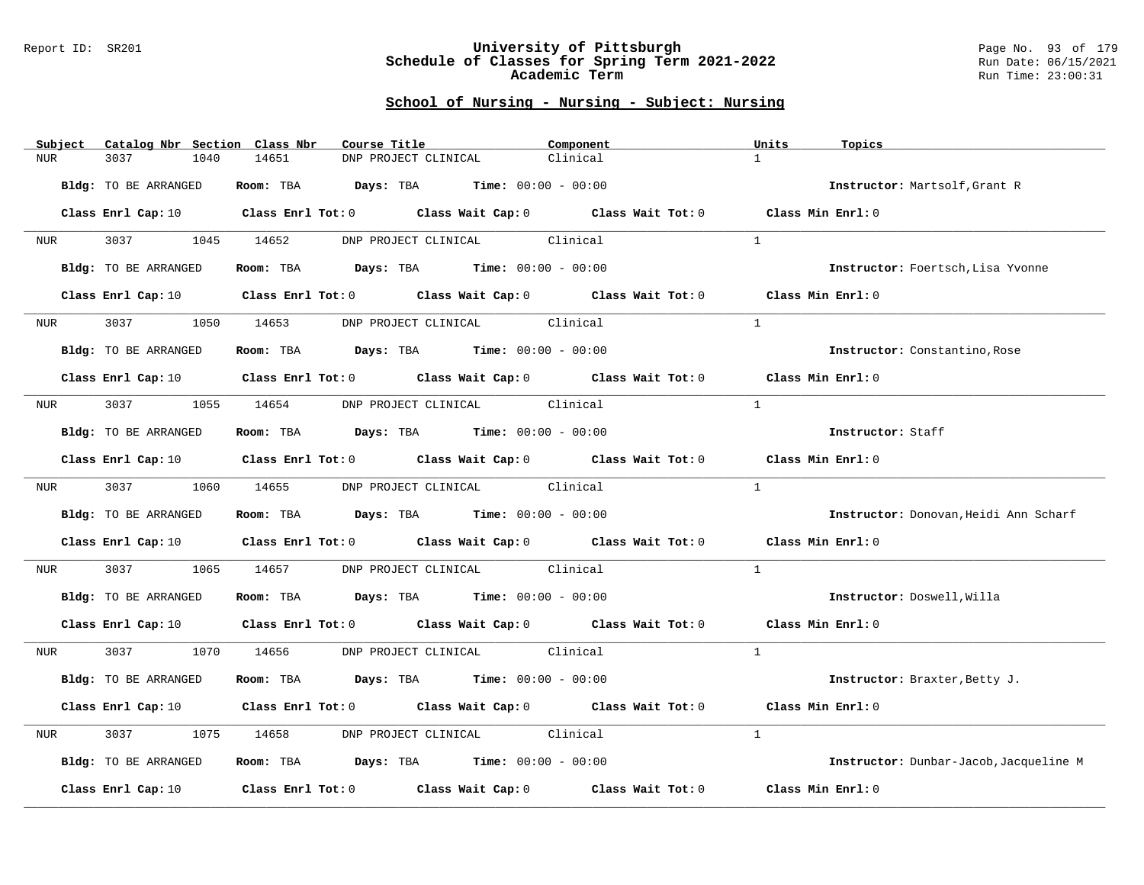#### Report ID: SR201 **University of Pittsburgh** Page No. 93 of 179 **Schedule of Classes for Spring Term 2021-2022** Run Date: 06/15/2021 **Academic Term** Run Time: 23:00:31

| Subject          | Catalog Nbr Section Class Nbr | Course Title                                                   | Component                                                                                                                      | Units<br>Topics                        |
|------------------|-------------------------------|----------------------------------------------------------------|--------------------------------------------------------------------------------------------------------------------------------|----------------------------------------|
| <b>NUR</b>       | 3037<br>1040                  | 14651<br>DNP PROJECT CLINICAL                                  | Clinical                                                                                                                       | $\mathbf{1}$                           |
|                  | Bldg: TO BE ARRANGED          | Room: TBA $Days:$ TBA $Time: 00:00 - 00:00$                    |                                                                                                                                | Instructor: Martsolf, Grant R          |
|                  |                               |                                                                | Class Enrl Cap: 10 $\qquad$ Class Enrl Tot: 0 $\qquad$ Class Wait Cap: 0 $\qquad$ Class Wait Tot: 0 $\qquad$ Class Min Enrl: 0 |                                        |
|                  |                               | NUR 3037 1045 14652 DNP PROJECT CLINICAL Clinical              |                                                                                                                                | $\mathbf{1}$                           |
|                  | Bldg: TO BE ARRANGED          | Room: TBA $Days:$ TBA $Time: 00:00 - 00:00$                    |                                                                                                                                | Instructor: Foertsch, Lisa Yvonne      |
|                  | Class Enrl Cap: 10            |                                                                | Class Enrl Tot: 0 Class Wait Cap: 0 Class Wait Tot: 0 Class Min Enrl: 0                                                        |                                        |
| NUR <sub>p</sub> | 3037 30                       | 1050 14653 DNP PROJECT CLINICAL Clinical                       |                                                                                                                                | $\mathbf{1}$                           |
|                  | Bldg: TO BE ARRANGED          | Room: TBA $Days:$ TBA $Time: 00:00 - 00:00$                    |                                                                                                                                | <b>Instructor:</b> Constantino, Rose   |
|                  |                               |                                                                | Class Enrl Cap: 10 $\qquad$ Class Enrl Tot: 0 $\qquad$ Class Wait Cap: 0 $\qquad$ Class Wait Tot: 0 $\qquad$ Class Min Enrl: 0 |                                        |
|                  |                               | NUR 3037 1055 14654 DNP PROJECT CLINICAL Clinical              |                                                                                                                                | $\mathbf{1}$                           |
|                  | Bldg: TO BE ARRANGED          | Room: TBA $Days:$ TBA Time: $00:00 - 00:00$                    |                                                                                                                                | Instructor: Staff                      |
|                  |                               |                                                                | Class Enrl Cap: 10 Class Enrl Tot: 0 Class Wait Cap: 0 Class Wait Tot: 0 Class Min Enrl: 0                                     |                                        |
|                  |                               | NUR 3037 1060 14655 DNP PROJECT CLINICAL Clinical              |                                                                                                                                | $\overline{1}$                         |
|                  | Bldg: TO BE ARRANGED          | Room: TBA $\rule{1em}{0.15mm}$ Days: TBA Time: $00:00 - 00:00$ |                                                                                                                                | Instructor: Donovan, Heidi Ann Scharf  |
|                  |                               |                                                                | Class Enrl Cap: 10 Class Enrl Tot: 0 Class Wait Cap: 0 Class Wait Tot: 0                                                       | Class Min Enrl: 0                      |
| NUR <sub>p</sub> | 3037                          | 1065 14657 DNP PROJECT CLINICAL Clinical                       |                                                                                                                                | $\mathbf{1}$                           |
|                  | Bldg: TO BE ARRANGED          | Room: TBA Days: TBA Time: $00:00 - 00:00$                      |                                                                                                                                | Instructor: Doswell, Willa             |
|                  |                               |                                                                | Class Enrl Cap: 10 Class Enrl Tot: 0 Class Wait Cap: 0 Class Wait Tot: 0 Class Min Enrl: 0                                     |                                        |
|                  |                               | NUR 3037 1070 14656 DNP PROJECT CLINICAL Clinical              |                                                                                                                                | $\overline{1}$                         |
|                  | Bldg: TO BE ARRANGED          | Room: TBA $Days:$ TBA $Time: 00:00 - 00:00$                    |                                                                                                                                | Instructor: Braxter, Betty J.          |
|                  |                               |                                                                | Class Enrl Cap: 10 $\qquad$ Class Enrl Tot: 0 $\qquad$ Class Wait Cap: 0 $\qquad$ Class Wait Tot: 0 $\qquad$ Class Min Enrl: 0 |                                        |
| NUR              | 3037<br>1075                  | 14658                                                          | DNP PROJECT CLINICAL Clinical                                                                                                  | 1                                      |
|                  | Bldg: TO BE ARRANGED          | Room: TBA $Days:$ TBA $Time: 00:00 - 00:00$                    |                                                                                                                                | Instructor: Dunbar-Jacob, Jacqueline M |
|                  | Class Enrl Cap: 10            |                                                                | Class Enrl Tot: $0$ Class Wait Cap: $0$ Class Wait Tot: $0$                                                                    | Class Min Enrl: 0                      |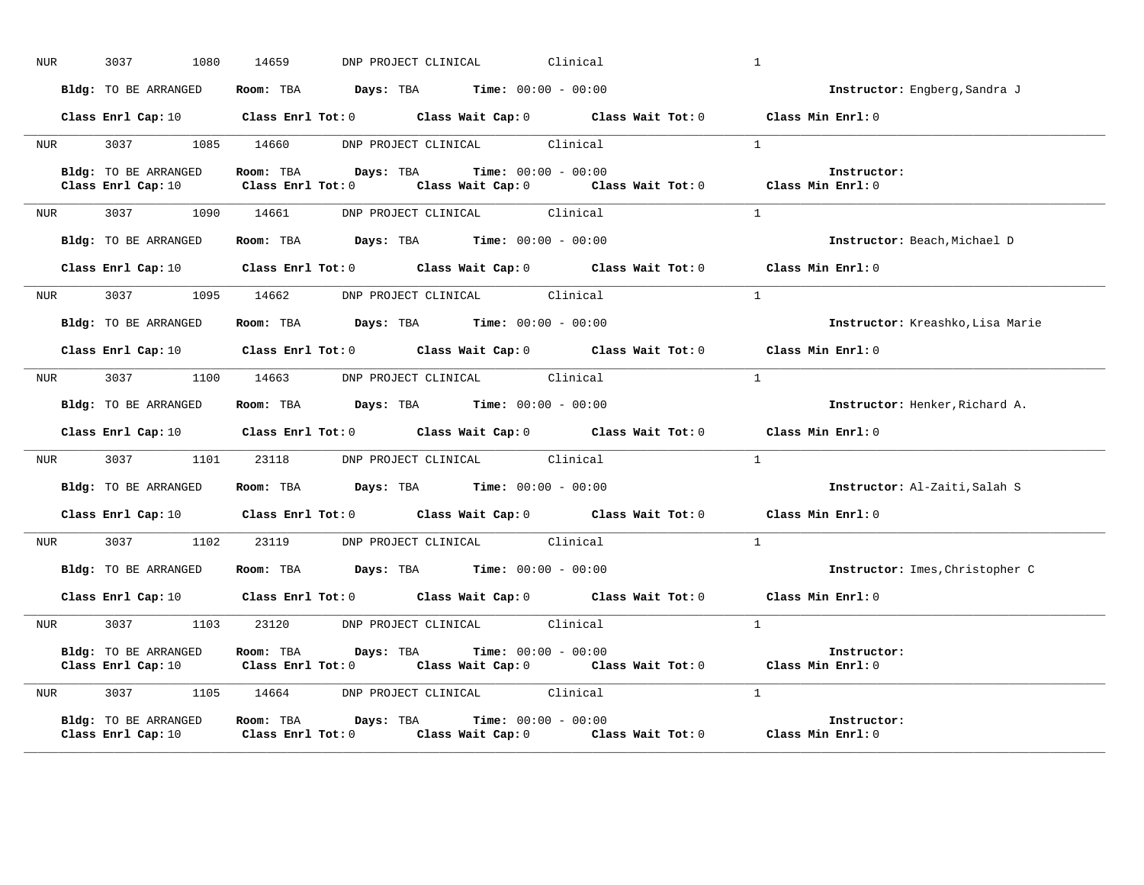| NUR        | 3037 300<br>1080                           | DNP PROJECT CLINICAL Clinical<br>14659                                                                                                                                        | $\mathbf{1}$                         |
|------------|--------------------------------------------|-------------------------------------------------------------------------------------------------------------------------------------------------------------------------------|--------------------------------------|
|            | Bldg: TO BE ARRANGED                       | Room: TBA $Days:$ TBA $Time: 00:00 - 00:00$                                                                                                                                   | <b>Instructor:</b> Engberg, Sandra J |
|            |                                            | Class Enrl Cap: 10 $\qquad$ Class Enrl Tot: 0 $\qquad$ Class Wait Cap: 0 $\qquad$ Class Wait Tot: 0 $\qquad$ Class Min Enrl: 0                                                |                                      |
|            |                                            | NUR 3037 1085 14660 DNP PROJECT CLINICAL Clinical                                                                                                                             | $\overline{1}$                       |
|            | Bldg: TO BE ARRANGED<br>Class Enrl Cap: 10 | Room: TBA Days: TBA Time: $00:00 - 00:00$<br>Class Enrl Tot: 0 Class Wait Cap: 0 Class Wait Tot: 0 Class Min Enrl: 0                                                          | Instructor:                          |
|            |                                            | NUR 3037 1090 14661 DNP PROJECT CLINICAL Clinical                                                                                                                             | $\frac{1}{2}$                        |
|            |                                            | Bldg: TO BE ARRANGED ROOM: TBA Days: TBA Time: 00:00 - 00:00                                                                                                                  | Instructor: Beach, Michael D         |
|            |                                            | Class Enrl Cap: 10 $\qquad$ Class Enrl Tot: 0 $\qquad$ Class Wait Cap: 0 $\qquad$ Class Wait Tot: 0 $\qquad$ Class Min Enrl: 0                                                |                                      |
|            |                                            | NUR 3037 1095 14662 DNP PROJECT CLINICAL Clinical                                                                                                                             | $\overline{1}$                       |
|            | Bldg: TO BE ARRANGED                       | Room: TBA $Days:$ TBA $Time: 00:00 - 00:00$                                                                                                                                   | Instructor: Kreashko, Lisa Marie     |
|            |                                            | Class Enrl Cap: 10 $\qquad$ Class Enrl Tot: 0 $\qquad$ Class Wait Cap: 0 $\qquad$ Class Wait Tot: 0 $\qquad$ Class Min Enrl: 0                                                |                                      |
| <b>NUR</b> |                                            | 3037 1100 14663 DNP PROJECT CLINICAL Clinical                                                                                                                                 | $\mathbf{1}$                         |
|            | Bldg: TO BE ARRANGED                       | Room: TBA $Days:$ TBA $Time: 00:00 - 00:00$                                                                                                                                   | Instructor: Henker, Richard A.       |
|            |                                            | Class Enrl Cap: 10 $\qquad$ Class Enrl Tot: 0 $\qquad$ Class Wait Cap: 0 $\qquad$ Class Wait Tot: 0 $\qquad$ Class Min Enrl: 0                                                |                                      |
|            |                                            | NUR 3037 1101 23118 DNP PROJECT CLINICAL Clinical                                                                                                                             | $\overline{1}$                       |
|            | Bldg: TO BE ARRANGED                       | <b>Room:</b> TBA $\qquad \qquad$ <b>Days:</b> TBA $\qquad \qquad$ <b>Time:</b> $00:00 - 00:00$                                                                                | Instructor: Al-Zaiti, Salah S        |
|            |                                            | Class Enrl Cap: 10 Class Enrl Tot: 0 Class Wait Cap: 0 Class Wait Tot: 0 Class Min Enrl: 0                                                                                    |                                      |
|            |                                            | NUR 3037 1102 23119 DNP PROJECT CLINICAL Clinical                                                                                                                             | 1                                    |
|            |                                            | Bldg: TO BE ARRANGED Room: TBA Days: TBA Time: 00:00 - 00:00                                                                                                                  | Instructor: Imes, Christopher C      |
|            |                                            | Class Enrl Cap: 10 $\qquad$ Class Enrl Tot: 0 $\qquad$ Class Wait Cap: 0 $\qquad$ Class Wait Tot: 0 $\qquad$ Class Min Enrl: 0                                                |                                      |
|            |                                            | NUR 3037 1103 23120 DNP PROJECT CLINICAL Clinical                                                                                                                             | $\overline{1}$                       |
|            | Bldg: TO BE ARRANGED                       | Room: TBA $Days:$ TBA $Time: 00:00 - 00:00$<br>Class Enrl Cap: 10 $\qquad$ Class Enrl Tot: 0 $\qquad$ Class Wait Cap: 0 $\qquad$ Class Wait Tot: 0 $\qquad$ Class Min Enrl: 0 | Instructor:                          |
| <b>NUR</b> |                                            | 3037 1105 14664 DNP PROJECT CLINICAL Clinical                                                                                                                                 | $\mathbf{1}$                         |
|            | Bldg: TO BE ARRANGED<br>Class Enrl Cap: 10 | <b>Room:</b> TBA $Days: TBA$ <b>Time:</b> $00:00 - 00:00$<br>Class Enrl Tot: $0$ Class Wait Cap: $0$ Class Wait Tot: $0$ Class Min Enrl: $0$                                  | Instructor:                          |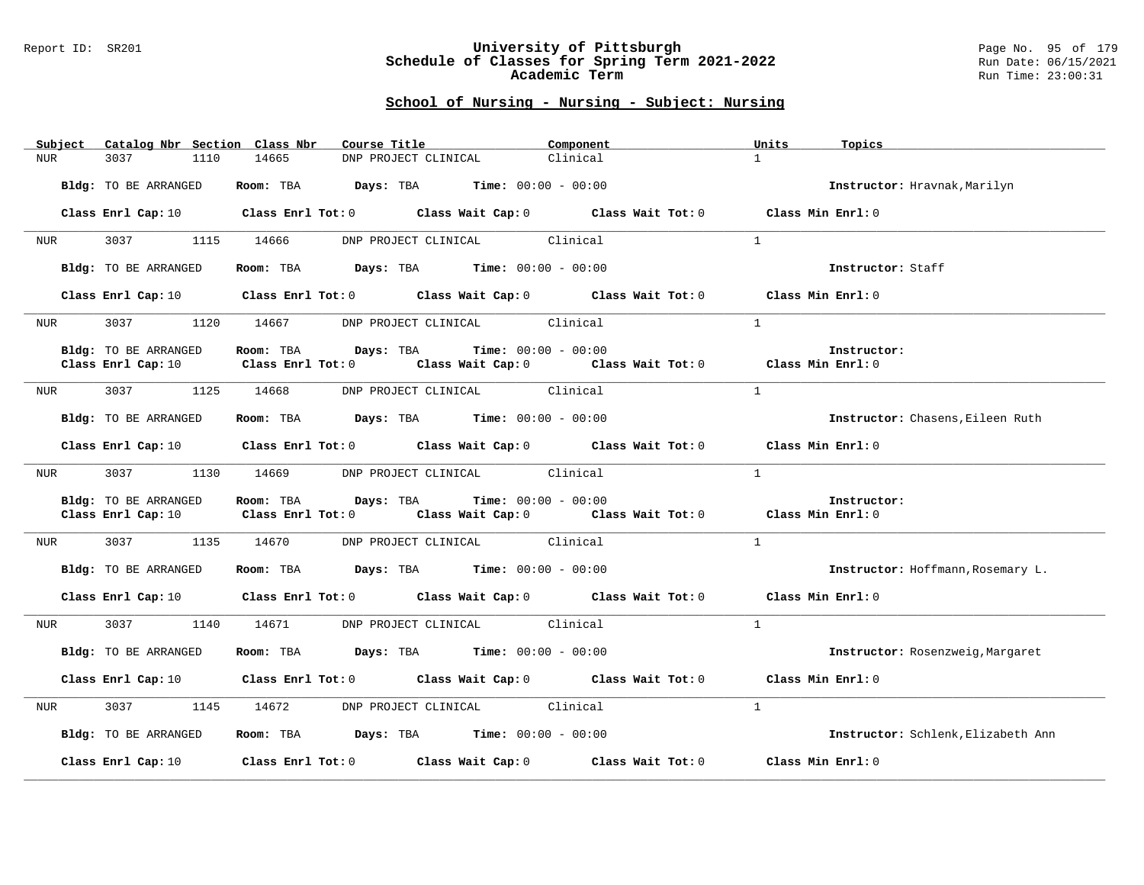#### Report ID: SR201 **University of Pittsburgh** Page No. 95 of 179 **Schedule of Classes for Spring Term 2021-2022** Run Date: 06/15/2021 **Academic Term** Run Time: 23:00:31

| Subject          | Catalog Nbr Section Class Nbr | Course Title                                                                                                                   | Component | Units<br>Topics                    |
|------------------|-------------------------------|--------------------------------------------------------------------------------------------------------------------------------|-----------|------------------------------------|
| <b>NUR</b>       | 3037<br>1110                  | 14665<br>DNP PROJECT CLINICAL                                                                                                  | Clinical  | $\mathbf{1}$                       |
|                  |                               |                                                                                                                                |           |                                    |
|                  | Bldg: TO BE ARRANGED          | Room: TBA $Days:$ TBA $Time: 00:00 - 00:00$                                                                                    |           | Instructor: Hravnak, Marilyn       |
|                  |                               |                                                                                                                                |           |                                    |
|                  |                               | Class Enrl Cap: 10 $\qquad$ Class Enrl Tot: 0 $\qquad$ Class Wait Cap: 0 $\qquad$ Class Wait Tot: 0 $\qquad$ Class Min Enrl: 0 |           |                                    |
|                  |                               |                                                                                                                                |           |                                    |
| NUR <sub>p</sub> | 3037 1115 14666               | DNP PROJECT CLINICAL Clinical                                                                                                  |           | $\mathbf{1}$                       |
|                  |                               |                                                                                                                                |           |                                    |
|                  | Bldg: TO BE ARRANGED          | Room: TBA $Days:$ TBA $Time: 00:00 - 00:00$                                                                                    |           | Instructor: Staff                  |
|                  |                               |                                                                                                                                |           |                                    |
|                  |                               | Class Enrl Cap: 10 $\qquad$ Class Enrl Tot: 0 $\qquad$ Class Wait Cap: 0 $\qquad$ Class Wait Tot: 0 $\qquad$ Class Min Enrl: 0 |           |                                    |
|                  |                               |                                                                                                                                |           |                                    |
| NUR <sub>p</sub> |                               | 3037 1120 14667 DNP PROJECT CLINICAL Clinical                                                                                  |           | $\mathbf{1}$                       |
|                  |                               |                                                                                                                                |           |                                    |
|                  | Bldg: TO BE ARRANGED          | Room: TBA $Days:$ TBA $Time: 00:00 - 00:00$                                                                                    |           | Instructor:                        |
|                  |                               | Class Enrl Cap: 10 $\qquad$ Class Enrl Tot: 0 $\qquad$ Class Wait Cap: 0 $\qquad$ Class Wait Tot: 0 $\qquad$ Class Min Enrl: 0 |           |                                    |
|                  |                               |                                                                                                                                |           |                                    |
| NUR <sub>p</sub> | 3037 1125 14668               | DNP PROJECT CLINICAL Clinical                                                                                                  |           | $\overline{1}$                     |
|                  |                               |                                                                                                                                |           |                                    |
|                  | Bldg: TO BE ARRANGED          | Room: TBA $Days:$ TBA $Time: 00:00 - 00:00$                                                                                    |           | Instructor: Chasens, Eileen Ruth   |
|                  |                               |                                                                                                                                |           |                                    |
|                  |                               | Class Enrl Cap: 10 Class Enrl Tot: 0 Class Wait Cap: 0 Class Wait Tot: 0 Class Min Enrl: 0                                     |           |                                    |
|                  |                               |                                                                                                                                |           |                                    |
| NUR <sub>p</sub> |                               | 3037 1130 14669 DNP PROJECT CLINICAL Clinical                                                                                  |           | $\overline{1}$                     |
|                  |                               |                                                                                                                                |           |                                    |
|                  | Bldg: TO BE ARRANGED          | Room: TBA $Days:$ TBA $Time: 00:00 - 00:00$                                                                                    |           | Instructor:                        |
|                  | Class Enrl Cap: 10            | Class Enrl Tot: $0$ Class Wait Cap: $0$ Class Wait Tot: $0$ Class Min Enrl: $0$                                                |           |                                    |
|                  |                               |                                                                                                                                |           |                                    |
|                  |                               |                                                                                                                                |           | $\mathbf{1}$                       |
| NUR <sub>p</sub> | 3037 1135 14670               | DNP PROJECT CLINICAL Clinical                                                                                                  |           |                                    |
|                  |                               |                                                                                                                                |           |                                    |
|                  | Bldg: TO BE ARRANGED          | Room: TBA $Days:$ TBA $Time: 00:00 - 00:00$                                                                                    |           | Instructor: Hoffmann, Rosemary L.  |
|                  |                               |                                                                                                                                |           |                                    |
|                  |                               | Class Enrl Cap: 10 $\qquad$ Class Enrl Tot: 0 $\qquad$ Class Wait Cap: 0 $\qquad$ Class Wait Tot: 0                            |           | Class Min Enrl: 0                  |
|                  |                               |                                                                                                                                |           |                                    |
| NUR              | 3037<br>1140                  | 14671 DNP PROJECT CLINICAL Clinical                                                                                            |           | $\mathbf{1}$                       |
|                  |                               |                                                                                                                                |           |                                    |
|                  | Bldg: TO BE ARRANGED          | Room: TBA $Days:$ TBA $Time: 00:00 - 00:00$                                                                                    |           | Instructor: Rosenzweig, Margaret   |
|                  |                               |                                                                                                                                |           |                                    |
|                  |                               | Class Enrl Cap: 10 $\qquad$ Class Enrl Tot: 0 $\qquad$ Class Wait Cap: 0 $\qquad$ Class Wait Tot: 0                            |           | Class Min Enrl: 0                  |
|                  |                               |                                                                                                                                |           |                                    |
| NUR <sub>p</sub> |                               | 3037 1145 14672 DNP PROJECT CLINICAL Clinical                                                                                  |           | $\mathbf{1}$                       |
|                  |                               |                                                                                                                                |           |                                    |
|                  | Bldg: TO BE ARRANGED          | Room: TBA $Days:$ TBA $Time: 00:00 - 00:00$                                                                                    |           | Instructor: Schlenk, Elizabeth Ann |
|                  |                               |                                                                                                                                |           |                                    |
|                  | Class Enrl Cap: 10            | Class Enrl Tot: $0$ Class Wait Cap: $0$ Class Wait Tot: $0$                                                                    |           | Class Min Enrl: 0                  |
|                  |                               |                                                                                                                                |           |                                    |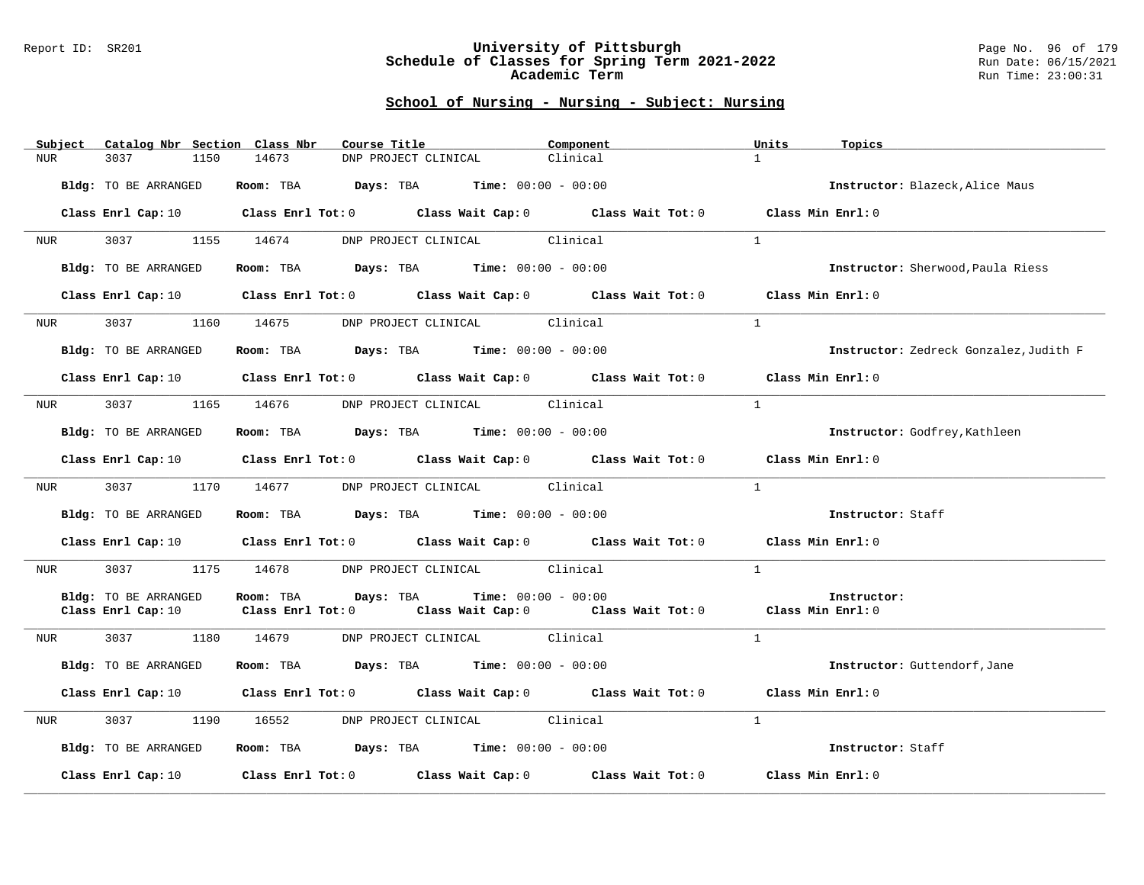#### Report ID: SR201 **University of Pittsburgh** Page No. 96 of 179 **Schedule of Classes for Spring Term 2021-2022** Run Date: 06/15/2021 **Academic Term** Run Time: 23:00:31

| Subject              | Catalog Nbr Section Class Nbr<br>Course Title <b>Source Search</b>                                                             | Component                     | Units<br>Topics                        |
|----------------------|--------------------------------------------------------------------------------------------------------------------------------|-------------------------------|----------------------------------------|
| 3037<br>1150<br>NUR  | 14673<br>DNP PROJECT CLINICAL                                                                                                  | Clinical                      | $\mathbf{1}$                           |
| Bldg: TO BE ARRANGED | Room: TBA $Days:$ TBA $Time: 00:00 - 00:00$                                                                                    |                               | Instructor: Blazeck, Alice Maus        |
|                      | Class Enrl Cap: 10 $\qquad$ Class Enrl Tot: 0 $\qquad$ Class Wait Cap: 0 $\qquad$ Class Wait Tot: 0 $\qquad$ Class Min Enrl: 0 |                               |                                        |
|                      | NUR 3037 1155 14674 DNP PROJECT CLINICAL Clinical                                                                              |                               | $\mathbf{1}$                           |
| Bldg: TO BE ARRANGED | Room: TBA $\rule{1em}{0.15mm}$ Days: TBA $\rule{1.15mm}]{0.15mm}$ Time: $0.0100 - 0.0100$                                      |                               | Instructor: Sherwood, Paula Riess      |
|                      | Class Enrl Cap: 10 $\qquad$ Class Enrl Tot: 0 $\qquad$ Class Wait Cap: 0 $\qquad$ Class Wait Tot: 0 $\qquad$ Class Min Enrl: 0 |                               |                                        |
|                      | NUR 3037 1160 14675 DNP PROJECT CLINICAL Clinical                                                                              |                               | $\mathbf{1}$                           |
| Bldg: TO BE ARRANGED | Room: TBA $Days:$ TBA Time: $00:00 - 00:00$                                                                                    |                               | Instructor: Zedreck Gonzalez, Judith F |
|                      | Class Enrl Cap: 10 $\qquad$ Class Enrl Tot: 0 $\qquad$ Class Wait Cap: 0 $\qquad$ Class Wait Tot: 0 $\qquad$ Class Min Enrl: 0 |                               |                                        |
| 3037<br>NUR          | 1165 14676 DNP PROJECT CLINICAL Clinical                                                                                       |                               | $\mathbf{1}$                           |
| Bldg: TO BE ARRANGED | Room: TBA $Days:$ TBA $Time: 00:00 - 00:00$                                                                                    |                               | Instructor: Godfrey, Kathleen          |
|                      | Class Enrl Cap: 10 $\qquad$ Class Enrl Tot: 0 $\qquad$ Class Wait Cap: 0 $\qquad$ Class Wait Tot: 0 $\qquad$ Class Min Enrl: 0 |                               |                                        |
|                      | NUR 3037 1170 14677 DNP PROJECT CLINICAL Clinical                                                                              |                               | $\mathbf{1}$                           |
| Bldg: TO BE ARRANGED | Room: TBA $\rule{1em}{0.15mm}$ Days: TBA Time: $00:00 - 00:00$                                                                 |                               | Instructor: Staff                      |
|                      | Class Enrl Cap: 10 Class Enrl Tot: 0 Class Wait Cap: 0 Class Wait Tot: 0 Class Min Enrl: 0                                     |                               |                                        |
|                      | NUR 3037 1175 14678 DNP PROJECT CLINICAL Clinical                                                                              |                               | $\overline{1}$                         |
| Bldg: TO BE ARRANGED | Room: TBA Days: TBA                                                                                                            | <b>Time:</b> $00:00 - 00:00$  | Instructor:                            |
| Class Enrl Cap: 10   | Class Enrl Tot: 0 $\qquad$ Class Wait Cap: 0 $\qquad$ Class Wait Tot: 0 $\qquad$ Class Min Enrl: 0                             |                               |                                        |
| NUR 3037 1180 14679  |                                                                                                                                | DNP PROJECT CLINICAL Clinical | $\overline{1}$                         |
| Bldg: TO BE ARRANGED | Room: TBA $Days:$ TBA Time: $00:00 - 00:00$                                                                                    |                               | Instructor: Guttendorf, Jane           |
|                      | Class Enrl Cap: 10 $\qquad$ Class Enrl Tot: 0 $\qquad$ Class Wait Cap: 0 $\qquad$ Class Wait Tot: 0 $\qquad$ Class Min Enrl: 0 |                               |                                        |
| 3037 30<br>NUR       | 1190 16552 DNP PROJECT CLINICAL Clinical                                                                                       |                               | $\overline{1}$                         |
| Bldg: TO BE ARRANGED | Room: TBA $Days:$ TBA $Time: 00:00 - 00:00$                                                                                    |                               | Instructor: Staff                      |
|                      | Class Enrl Cap: 10 $\qquad$ Class Enrl Tot: 0 $\qquad$ Class Wait Cap: 0 $\qquad$ Class Wait Tot: 0                            |                               | Class Min Enrl: 0                      |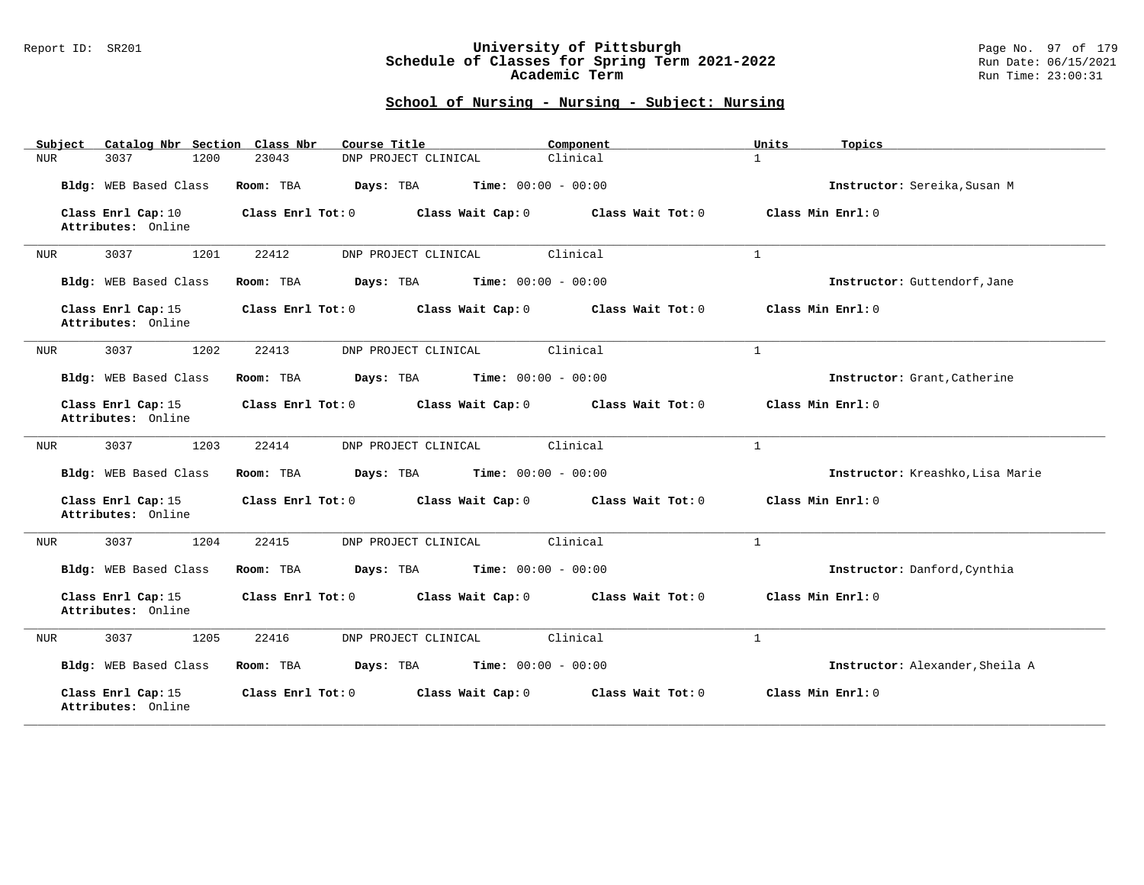### Report ID: SR201 **University of Pittsburgh** Page No. 97 of 179 **Schedule of Classes for Spring Term 2021-2022** Run Date: 06/15/2021 **Academic Term** Run Time: 23:00:31

| Catalog Nbr Section Class Nbr<br>Subject | Course Title                                           | Component         | Units<br>Topics                  |
|------------------------------------------|--------------------------------------------------------|-------------------|----------------------------------|
| 3037<br>1200<br>NUR                      | 23043<br>DNP PROJECT CLINICAL                          | Clinical          | $\mathbf{1}$                     |
| Bldg: WEB Based Class                    | <b>Time:</b> $00:00 - 00:00$<br>Room: TBA<br>Days: TBA |                   | Instructor: Sereika, Susan M     |
| Class Enrl Cap: 10<br>Attributes: Online | Class Enrl Tot: 0<br>Class Wait Cap: 0                 | Class Wait Tot: 0 | Class Min Enrl: 0                |
| 3037<br>1201<br><b>NUR</b>               | 22412<br>DNP PROJECT CLINICAL                          | Clinical          | $\mathbf{1}$                     |
| Bldg: WEB Based Class                    | Time: $00:00 - 00:00$<br>Room: TBA<br>Days: TBA        |                   | Instructor: Guttendorf, Jane     |
| Class Enrl Cap: 15<br>Attributes: Online | Class Enrl Tot: 0<br>Class Wait Cap: 0                 | Class Wait Tot: 0 | Class Min Enrl: 0                |
| 1202<br>3037<br><b>NUR</b>               | 22413<br>DNP PROJECT CLINICAL                          | Clinical          | $\mathbf{1}$                     |
| Bldg: WEB Based Class                    | Days: TBA<br><b>Time:</b> $00:00 - 00:00$<br>Room: TBA |                   | Instructor: Grant, Catherine     |
| Class Enrl Cap: 15<br>Attributes: Online | Class Enrl Tot: 0<br>Class Wait Cap: 0                 | Class Wait Tot: 0 | Class Min Enrl: 0                |
| 3037<br>1203<br>NUR                      | 22414<br>DNP PROJECT CLINICAL                          | Clinical          | $\mathbf{1}$                     |
| Bldg: WEB Based Class                    | Room: TBA<br>Days: TBA<br><b>Time:</b> $00:00 - 00:00$ |                   | Instructor: Kreashko, Lisa Marie |
| Class Enrl Cap: 15<br>Attributes: Online | Class Enrl Tot: 0<br>Class Wait Cap: 0                 | Class Wait Tot: 0 | Class Min Enrl: 0                |
| 1204<br>3037<br>NUR                      | 22415<br>DNP PROJECT CLINICAL                          | Clinical          | $\mathbf{1}$                     |
| Bldg: WEB Based Class                    | Days: TBA<br><b>Time:</b> $00:00 - 00:00$<br>Room: TBA |                   | Instructor: Danford, Cynthia     |
| Class Enrl Cap: 15<br>Attributes: Online | Class Enrl Tot: 0<br>Class Wait Cap: 0                 | Class Wait Tot: 0 | Class Min Enrl: 0                |
| 1205<br>3037<br><b>NUR</b>               | 22416<br>DNP PROJECT CLINICAL                          | Clinical          | $\mathbf{1}$                     |
| Bldg: WEB Based Class                    | <b>Time:</b> $00:00 - 00:00$<br>Room: TBA<br>Days: TBA |                   | Instructor: Alexander, Sheila A  |
| Class Enrl Cap: 15<br>Attributes: Online | Class Enrl Tot: 0<br>Class Wait Cap: 0                 | Class Wait Tot: 0 | Class Min Enrl: 0                |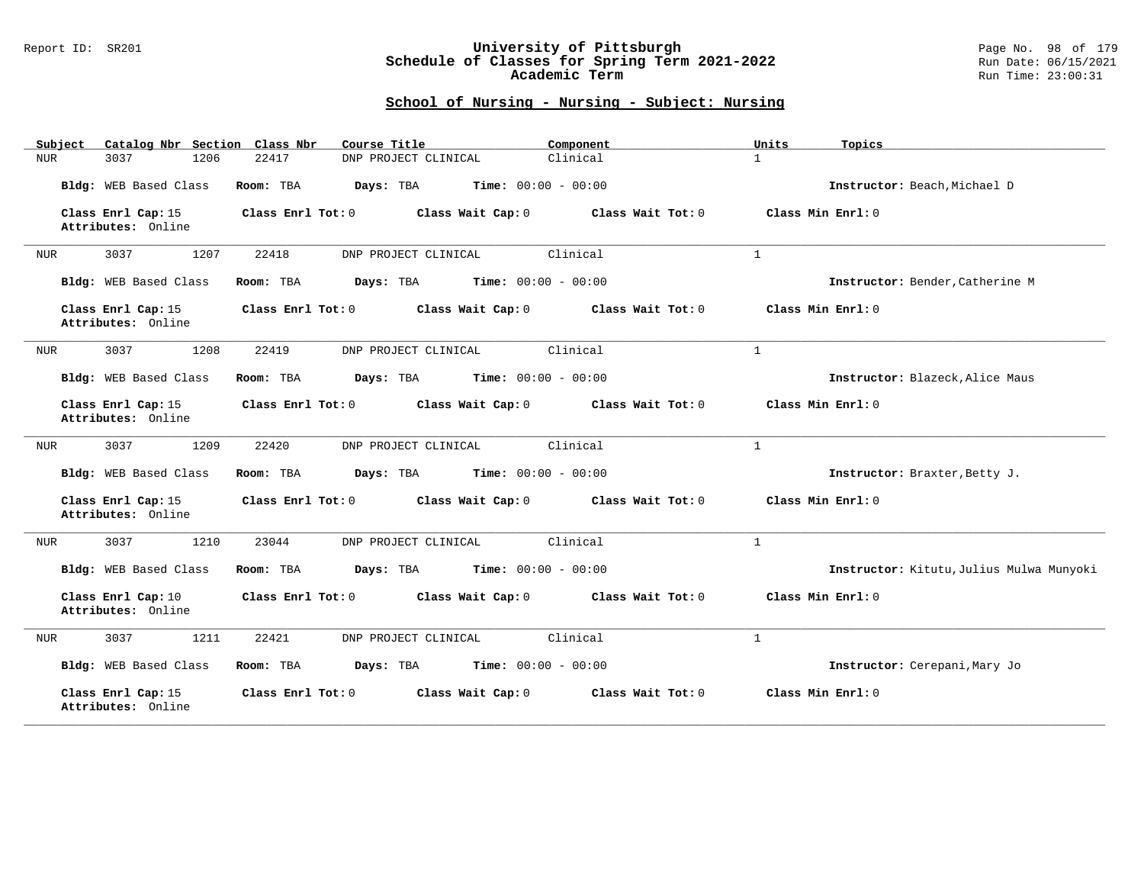### Report ID: SR201 **University of Pittsburgh** Page No. 98 of 179 **Schedule of Classes for Spring Term 2021-2022** Run Date: 06/15/2021 **Academic Term** Run Time: 23:00:31

| Catalog Nbr Section Class Nbr<br>Subject | Course Title                                           | Component         | Units<br>Topics                          |
|------------------------------------------|--------------------------------------------------------|-------------------|------------------------------------------|
| 1206<br>3037<br>NUR                      | 22417<br>DNP PROJECT CLINICAL                          | Clinical          | $\mathbf{1}$                             |
| Bldg: WEB Based Class                    | <b>Time:</b> $00:00 - 00:00$<br>Room: TBA<br>Days: TBA |                   | Instructor: Beach, Michael D             |
| Class Enrl Cap: 15<br>Attributes: Online | Class Enrl Tot: 0<br>Class Wait Cap: 0                 | Class Wait Tot: 0 | Class Min Enrl: 0                        |
| 3037<br>1207<br><b>NUR</b>               | DNP PROJECT CLINICAL<br>22418                          | Clinical          | $\mathbf{1}$                             |
| Bldg: WEB Based Class                    | Time: $00:00 - 00:00$<br>Room: TBA<br>Days: TBA        |                   | Instructor: Bender, Catherine M          |
| Class Enrl Cap: 15<br>Attributes: Online | Class Enrl Tot: 0<br>Class Wait Cap: 0                 | Class Wait Tot: 0 | Class Min Enrl: 0                        |
| 1208<br>3037<br><b>NUR</b>               | 22419<br>DNP PROJECT CLINICAL                          | Clinical          | $\mathbf{1}$                             |
| Bldg: WEB Based Class                    | Days: TBA<br><b>Time:</b> $00:00 - 00:00$<br>Room: TBA |                   | Instructor: Blazeck, Alice Maus          |
| Class Enrl Cap: 15<br>Attributes: Online | Class Enrl Tot: 0<br>Class Wait Cap: 0                 | Class Wait Tot: 0 | Class Min Enrl: 0                        |
| 3037<br>1209<br>NUR                      | 22420<br>DNP PROJECT CLINICAL                          | Clinical          | $\mathbf{1}$                             |
| Bldg: WEB Based Class                    | Room: TBA<br>Days: TBA<br><b>Time:</b> $00:00 - 00:00$ |                   | Instructor: Braxter, Betty J.            |
| Class Enrl Cap: 15<br>Attributes: Online | Class Enrl Tot: 0<br>Class Wait Cap: 0                 | Class Wait Tot: 0 | Class Min Enrl: 0                        |
| 1210<br>3037<br><b>NUR</b>               | 23044<br>DNP PROJECT CLINICAL                          | Clinical          | $\mathbf{1}$                             |
| Bldg: WEB Based Class                    | Days: TBA<br><b>Time:</b> $00:00 - 00:00$<br>Room: TBA |                   | Instructor: Kitutu, Julius Mulwa Munyoki |
| Class Enrl Cap: 10<br>Attributes: Online | Class Enrl Tot: 0<br>Class Wait Cap: 0                 | Class Wait Tot: 0 | Class Min Enrl: 0                        |
| 1211<br>3037<br><b>NUR</b>               | 22421<br>DNP PROJECT CLINICAL                          | Clinical          | $\mathbf{1}$                             |
| Bldg: WEB Based Class                    | <b>Time:</b> $00:00 - 00:00$<br>Room: TBA<br>Days: TBA |                   | Instructor: Cerepani, Mary Jo            |
| Class Enrl Cap: 15<br>Attributes: Online | Class Enrl Tot: 0<br>Class Wait Cap: 0                 | Class Wait Tot: 0 | Class Min Enrl: 0                        |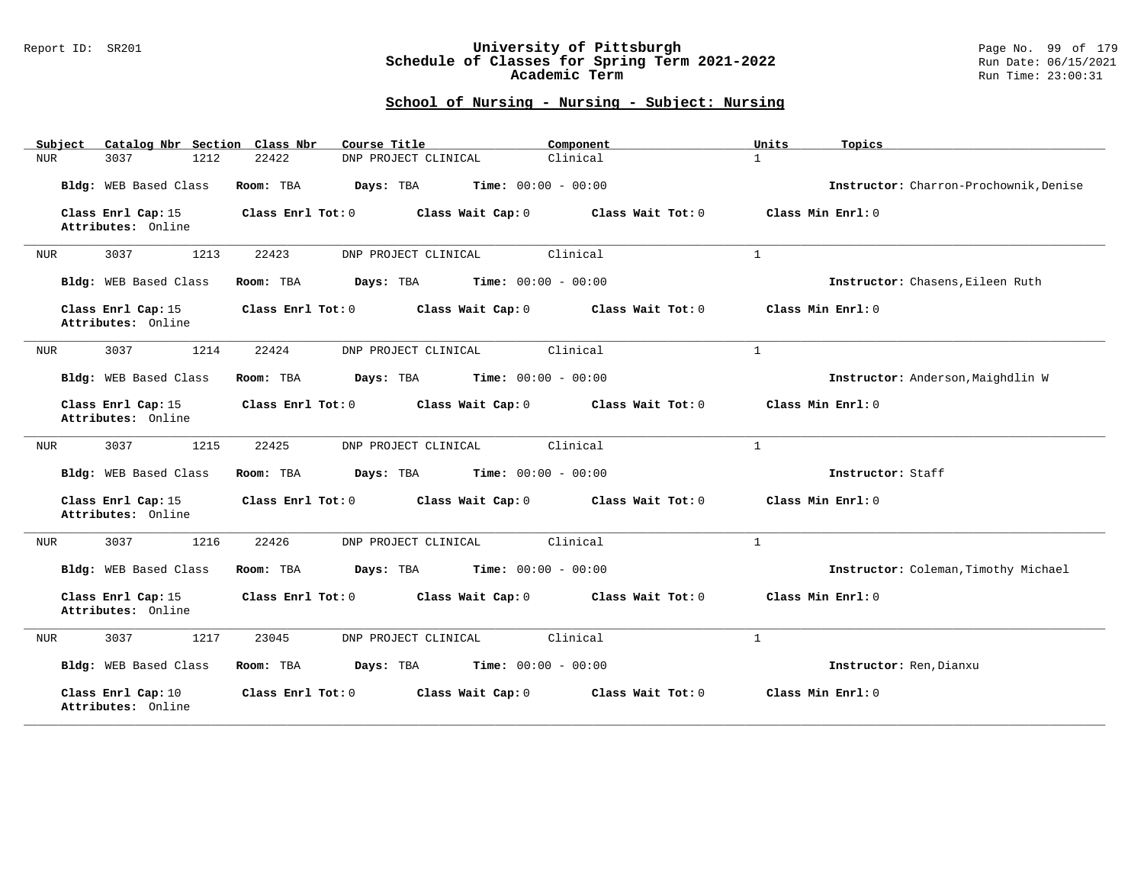### Report ID: SR201 **University of Pittsburgh** Page No. 99 of 179 **Schedule of Classes for Spring Term 2021-2022** Run Date: 06/15/2021 **Academic Term** Run Time: 23:00:31

| Catalog Nbr Section Class Nbr<br>Subject | Course Title                                           | Component         | Units<br>Topics                        |
|------------------------------------------|--------------------------------------------------------|-------------------|----------------------------------------|
| 3037<br>1212<br>NUR                      | 22422<br>DNP PROJECT CLINICAL                          | Clinical          | $\mathbf{1}$                           |
| Bldg: WEB Based Class                    | <b>Time:</b> $00:00 - 00:00$<br>Room: TBA<br>Days: TBA |                   | Instructor: Charron-Prochownik, Denise |
| Class Enrl Cap: 15<br>Attributes: Online | Class Enrl Tot: 0<br>Class Wait Cap: 0                 | Class Wait Tot: 0 | Class Min Enrl: 0                      |
| 3037<br>1213<br><b>NUR</b>               | 22423<br>DNP PROJECT CLINICAL                          | Clinical          | $\mathbf{1}$                           |
| Bldg: WEB Based Class                    | Time: $00:00 - 00:00$<br>Room: TBA<br>Days: TBA        |                   | Instructor: Chasens, Eileen Ruth       |
| Class Enrl Cap: 15<br>Attributes: Online | Class Enrl Tot: 0<br>Class Wait Cap: 0                 | Class Wait Tot: 0 | Class Min Enrl: 0                      |
| 1214<br>3037<br><b>NUR</b>               | 22424<br>DNP PROJECT CLINICAL                          | Clinical          | $\mathbf{1}$                           |
| Bldg: WEB Based Class                    | Days: TBA<br><b>Time:</b> $00:00 - 00:00$<br>Room: TBA |                   | Instructor: Anderson, Maighdlin W      |
| Class Enrl Cap: 15<br>Attributes: Online | Class Enrl Tot: 0<br>Class Wait Cap: 0                 | Class Wait Tot: 0 | Class Min Enrl: 0                      |
| 3037<br>1215<br>NUR                      | 22425<br>DNP PROJECT CLINICAL                          | Clinical          | $\mathbf{1}$                           |
| Bldg: WEB Based Class                    | Room: TBA<br>Days: TBA<br><b>Time:</b> $00:00 - 00:00$ |                   | Instructor: Staff                      |
| Class Enrl Cap: 15<br>Attributes: Online | Class Enrl Tot: 0<br>Class Wait Cap: 0                 | Class Wait Tot: 0 | Class Min Enrl: 0                      |
| 1216<br>3037<br>NUR                      | 22426<br>DNP PROJECT CLINICAL                          | Clinical          | $\mathbf{1}$                           |
| Bldg: WEB Based Class                    | <b>Time:</b> $00:00 - 00:00$<br>Room: TBA<br>Days: TBA |                   | Instructor: Coleman, Timothy Michael   |
| Class Enrl Cap: 15<br>Attributes: Online | Class Enrl Tot: 0<br>Class Wait Cap: 0                 | Class Wait Tot: 0 | Class Min Enrl: 0                      |
| 3037<br>1217<br><b>NUR</b>               | 23045<br>DNP PROJECT CLINICAL                          | Clinical          | $\mathbf{1}$                           |
| Bldg: WEB Based Class                    | <b>Time:</b> $00:00 - 00:00$<br>Room: TBA<br>Days: TBA |                   | Instructor: Ren, Dianxu                |
| Class Enrl Cap: 10<br>Attributes: Online | Class Enrl Tot: 0<br>Class Wait Cap: 0                 | Class Wait Tot: 0 | Class Min Enrl: 0                      |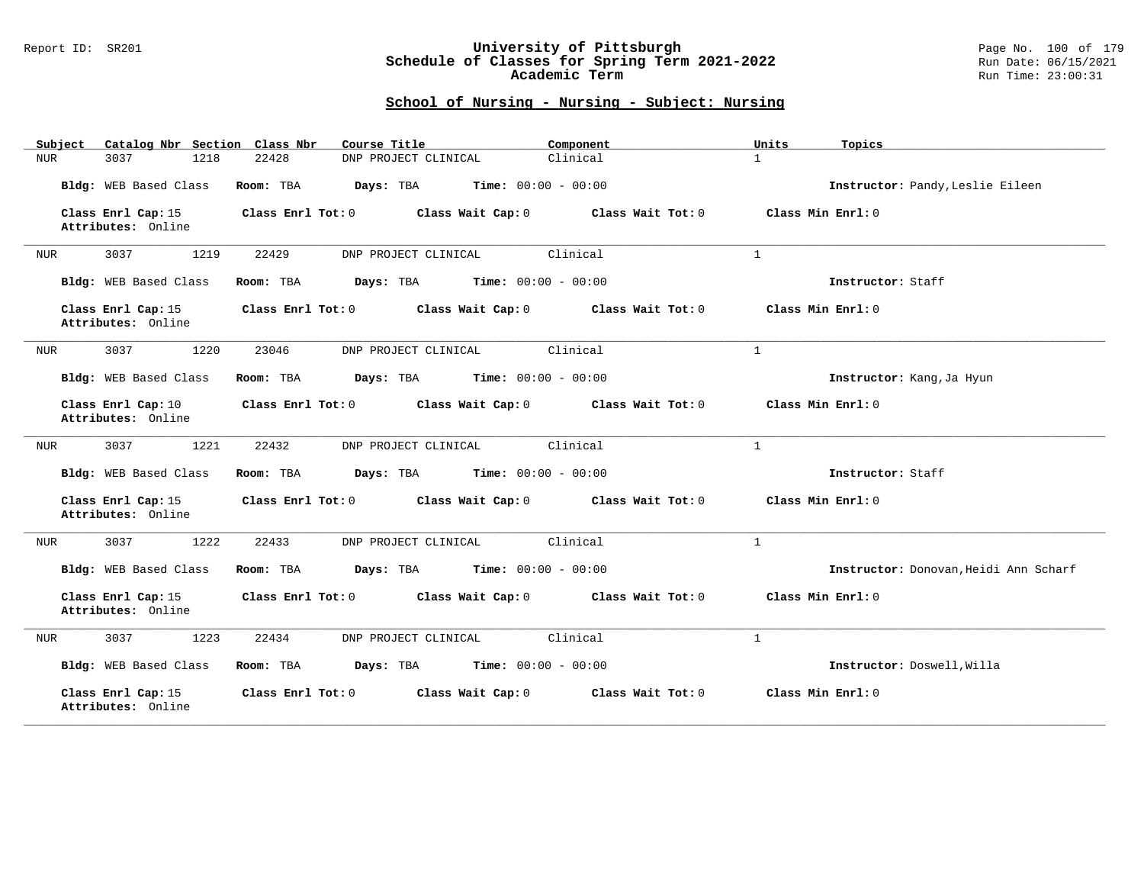### Report ID: SR201 **University of Pittsburgh** Page No. 100 of 179 **Schedule of Classes for Spring Term 2021-2022** Run Date: 06/15/2021 **Academic Term** Run Time: 23:00:31

| Catalog Nbr Section Class Nbr<br>Subject | Course Title                                           | Component           | Units<br>Topics                       |
|------------------------------------------|--------------------------------------------------------|---------------------|---------------------------------------|
| 3037<br>1218<br>NUR                      | DNP PROJECT CLINICAL<br>22428                          | Clinical            | $\mathbf{1}$                          |
| Bldg: WEB Based Class                    | Room: TBA<br>Days: TBA<br><b>Time:</b> $00:00 - 00:00$ |                     | Instructor: Pandy, Leslie Eileen      |
| Class Enrl Cap: 15<br>Attributes: Online | Class Enrl Tot: 0<br>Class Wait Cap: 0                 | Class Wait Tot: 0   | Class Min Enrl: 0                     |
| 1219<br>3037<br>NUR                      | 22429<br>DNP PROJECT CLINICAL                          | Clinical            | $\mathbf{1}$                          |
| Bldg: WEB Based Class                    | <b>Time:</b> $00:00 - 00:00$<br>Room: TBA<br>Days: TBA |                     | Instructor: Staff                     |
| Class Enrl Cap: 15<br>Attributes: Online | Class Enrl Tot: 0<br>Class Wait Cap: 0                 | Class Wait Tot: 0   | Class Min $Enrl: 0$                   |
| 3037<br>1220<br>NUR                      | 23046<br>DNP PROJECT CLINICAL                          | Clinical            | $\mathbf{1}$                          |
| Bldg: WEB Based Class                    | <b>Time:</b> $00:00 - 00:00$<br>Room: TBA<br>Days: TBA |                     | Instructor: Kang, Ja Hyun             |
| Class Enrl Cap: 10<br>Attributes: Online | Class Enrl Tot: 0<br>Class Wait Cap: 0                 | Class Wait $Tot: 0$ | Class Min Enrl: 0                     |
| 1221<br>3037<br>NUR                      | 22432<br>DNP PROJECT CLINICAL                          | Clinical            | $\mathbf{1}$                          |
| Bldg: WEB Based Class                    | Room: TBA<br>Days: TBA<br><b>Time:</b> $00:00 - 00:00$ |                     | Instructor: Staff                     |
| Class Enrl Cap: 15<br>Attributes: Online | Class Enrl Tot: 0<br>Class Wait Cap: 0                 | Class Wait Tot: 0   | Class Min Enrl: 0                     |
| 3037<br>1222<br>NUR                      | 22433<br>DNP PROJECT CLINICAL                          | Clinical            | $\mathbf{1}$                          |
| Bldg: WEB Based Class                    | <b>Time:</b> $00:00 - 00:00$<br>Room: TBA<br>Days: TBA |                     | Instructor: Donovan, Heidi Ann Scharf |
| Class Enrl Cap: 15<br>Attributes: Online | Class Enrl Tot: 0<br>Class Wait Cap: 0                 | Class Wait Tot: 0   | Class Min Enrl: 0                     |
| 3037<br>1223<br>NUR                      | 22434<br>DNP PROJECT CLINICAL                          | Clinical            | $\mathbf{1}$                          |
| Bldg: WEB Based Class                    | Room: TBA<br>Days: TBA<br><b>Time:</b> $00:00 - 00:00$ |                     | Instructor: Doswell, Willa            |
| Class Enrl Cap: 15<br>Attributes: Online | Class Enrl Tot: 0<br>Class Wait Cap: 0                 | Class Wait Tot: 0   | Class Min Enrl: 0                     |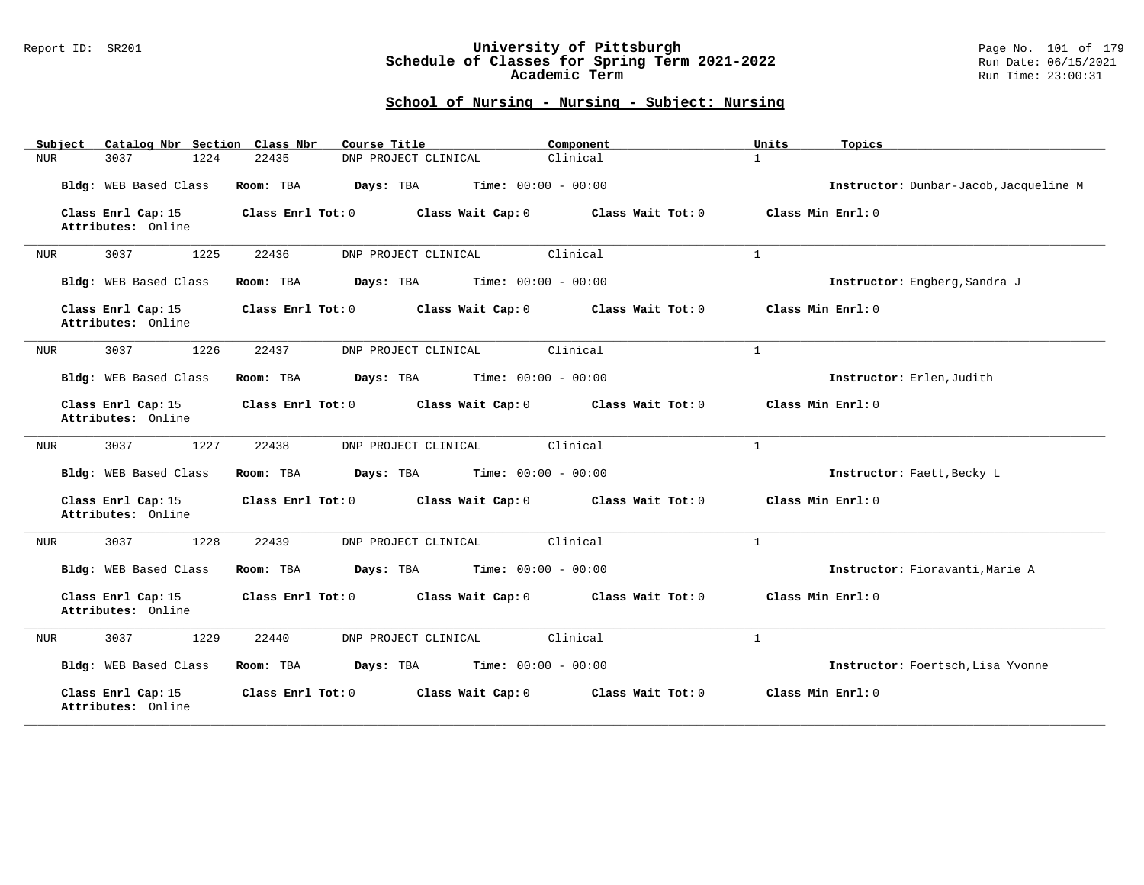### Report ID: SR201 **University of Pittsburgh** Page No. 101 of 179 **Schedule of Classes for Spring Term 2021-2022** Run Date: 06/15/2021 **Academic Term** Run Time: 23:00:31

| Catalog Nbr Section Class Nbr<br>Subject | Course Title                                           | Component         | Units<br>Topics                        |
|------------------------------------------|--------------------------------------------------------|-------------------|----------------------------------------|
| 1224<br>3037<br>NUR                      | 22435<br>DNP PROJECT CLINICAL                          | Clinical          | $\mathbf{1}$                           |
| Bldg: WEB Based Class                    | <b>Time:</b> $00:00 - 00:00$<br>Room: TBA<br>Days: TBA |                   | Instructor: Dunbar-Jacob, Jacqueline M |
| Class Enrl Cap: 15<br>Attributes: Online | Class Enrl Tot: 0<br>Class Wait Cap: 0                 | Class Wait Tot: 0 | Class Min Enrl: 0                      |
| 3037<br>1225<br>NUR                      | DNP PROJECT CLINICAL<br>22436                          | Clinical          | $\mathbf{1}$                           |
| Bldg: WEB Based Class                    | Time: $00:00 - 00:00$<br>Room: TBA<br>Days: TBA        |                   | Instructor: Engberg, Sandra J          |
| Class Enrl Cap: 15<br>Attributes: Online | Class Enrl Tot: 0<br>Class Wait Cap: 0                 | Class Wait Tot: 0 | Class Min Enrl: 0                      |
| 1226<br>3037<br>NUR                      | 22437<br>DNP PROJECT CLINICAL                          | Clinical          | $\mathbf{1}$                           |
| Bldg: WEB Based Class                    | Time: $00:00 - 00:00$<br>Room: TBA<br>Days: TBA        |                   | Instructor: Erlen, Judith              |
| Class Enrl Cap: 15<br>Attributes: Online | Class Enrl Tot: 0<br>Class Wait Cap: 0                 | Class Wait Tot: 0 | Class Min Enrl: 0                      |
| 1227<br>3037<br>NUR                      | 22438<br>DNP PROJECT CLINICAL                          | Clinical          | $\mathbf{1}$                           |
| Bldg: WEB Based Class                    | Time: $00:00 - 00:00$<br>Days: TBA<br>Room: TBA        |                   | Instructor: Faett, Becky L             |
| Class Enrl Cap: 15<br>Attributes: Online | Class Enrl Tot: 0<br>Class Wait Cap: 0                 | Class Wait Tot: 0 | Class Min Enrl: 0                      |
| 1228<br>3037<br>NUR                      | 22439<br>DNP PROJECT CLINICAL                          | Clinical          | $\mathbf{1}$                           |
| Bldg: WEB Based Class                    | Room: TBA<br>Days: TBA<br><b>Time:</b> $00:00 - 00:00$ |                   | Instructor: Fioravanti, Marie A        |
| Class Enrl Cap: 15<br>Attributes: Online | Class Enrl Tot: 0<br>Class Wait Cap: 0                 | Class Wait Tot: 0 | Class Min Enrl: 0                      |
| 3037<br>1229<br>NUR                      | 22440<br>DNP PROJECT CLINICAL                          | Clinical          | $\mathbf{1}$                           |
| Bldg: WEB Based Class                    | <b>Time:</b> $00:00 - 00:00$<br>Room: TBA<br>Days: TBA |                   | Instructor: Foertsch, Lisa Yvonne      |
| Class Enrl Cap: 15<br>Attributes: Online | Class Enrl Tot: 0<br>Class Wait Cap: 0                 | Class Wait Tot: 0 | Class Min Enrl: 0                      |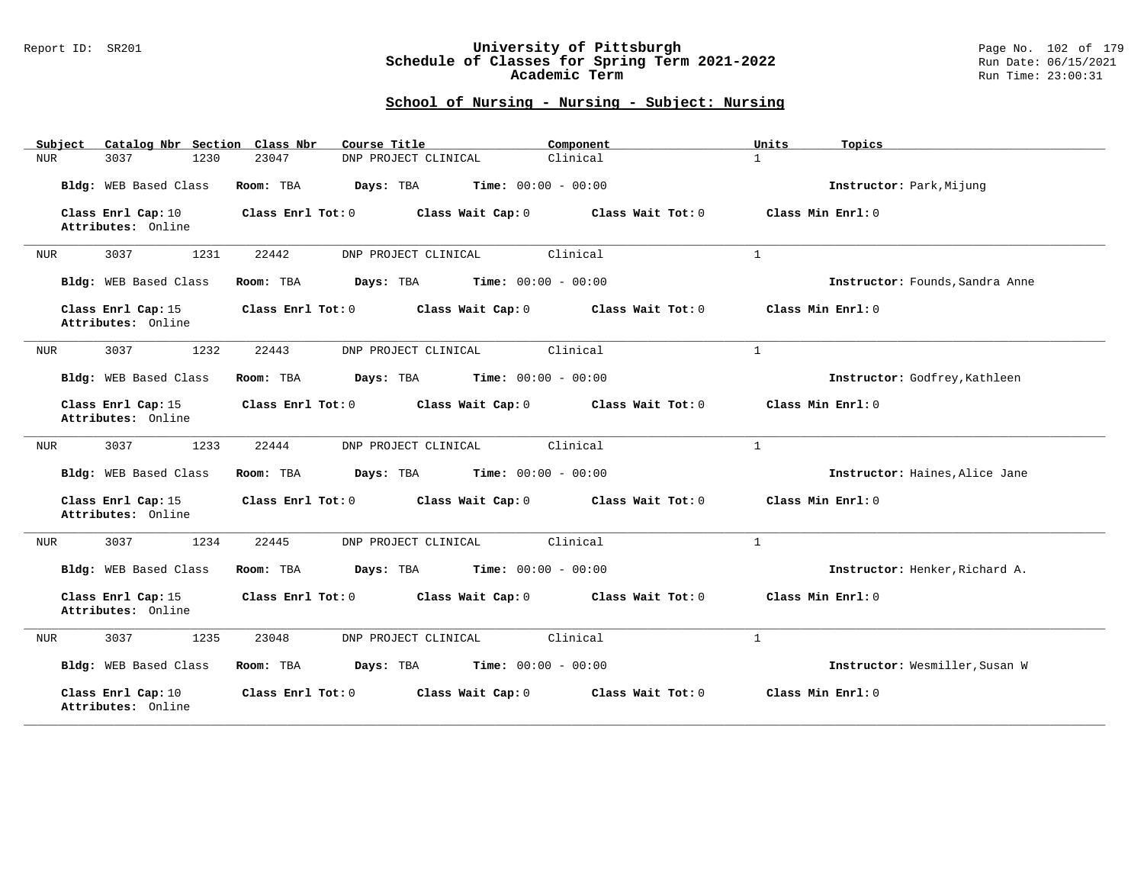### Report ID: SR201 **University of Pittsburgh** Page No. 102 of 179 **Schedule of Classes for Spring Term 2021-2022** Run Date: 06/15/2021 **Academic Term** Run Time: 23:00:31

| Catalog Nbr Section Class Nbr<br>Subject | Course Title                                           | Component         | Units<br>Topics                 |
|------------------------------------------|--------------------------------------------------------|-------------------|---------------------------------|
| 3037<br>1230<br>NUR                      | 23047<br>DNP PROJECT CLINICAL                          | Clinical          | $\mathbf{1}$                    |
| Bldg: WEB Based Class                    | <b>Time:</b> $00:00 - 00:00$<br>Room: TBA<br>Days: TBA |                   | Instructor: Park, Mijung        |
| Class Enrl Cap: 10<br>Attributes: Online | Class Enrl Tot: 0<br>Class Wait Cap: 0                 | Class Wait Tot: 0 | Class Min Enrl: 0               |
| 3037<br>1231<br>NUR                      | 22442<br>DNP PROJECT CLINICAL                          | Clinical          | $\mathbf{1}$                    |
| Bldg: WEB Based Class                    | Time: $00:00 - 00:00$<br>Room: TBA<br>Days: TBA        |                   | Instructor: Founds, Sandra Anne |
| Class Enrl Cap: 15<br>Attributes: Online | Class Enrl Tot: 0<br>Class Wait Cap: 0                 | Class Wait Tot: 0 | Class Min Enrl: 0               |
| 1232<br>3037<br>NUR                      | 22443<br>DNP PROJECT CLINICAL                          | Clinical          | $\mathbf{1}$                    |
| Bldg: WEB Based Class                    | Days: TBA<br><b>Time:</b> $00:00 - 00:00$<br>Room: TBA |                   | Instructor: Godfrey, Kathleen   |
| Class Enrl Cap: 15<br>Attributes: Online | Class Enrl Tot: 0<br>Class Wait Cap: 0                 | Class Wait Tot: 0 | Class Min Enrl: 0               |
| 3037<br>1233<br>NUR                      | 22444<br>DNP PROJECT CLINICAL                          | Clinical          | $\mathbf{1}$                    |
| Bldg: WEB Based Class                    | Time: $00:00 - 00:00$<br>Room: TBA<br>Days: TBA        |                   | Instructor: Haines, Alice Jane  |
| Class Enrl Cap: 15<br>Attributes: Online | Class Enrl Tot: 0<br>Class Wait Cap: 0                 | Class Wait Tot: 0 | Class Min Enrl: 0               |
| 1234<br>3037<br>NUR                      | 22445<br>DNP PROJECT CLINICAL                          | Clinical          | $\mathbf{1}$                    |
| Bldg: WEB Based Class                    | Days: TBA<br><b>Time:</b> $00:00 - 00:00$<br>Room: TBA |                   | Instructor: Henker, Richard A.  |
| Class Enrl Cap: 15<br>Attributes: Online | Class Enrl Tot: 0<br>Class Wait Cap: 0                 | Class Wait Tot: 0 | Class Min Enrl: 0               |
| 3037<br>1235<br>NUR                      | 23048<br>DNP PROJECT CLINICAL                          | Clinical          | $\mathbf{1}$                    |
| Bldg: WEB Based Class                    | <b>Time:</b> $00:00 - 00:00$<br>Room: TBA<br>Days: TBA |                   | Instructor: Wesmiller, Susan W  |
| Class Enrl Cap: 10<br>Attributes: Online | Class Enrl Tot: 0<br>Class Wait Cap: 0                 | Class Wait Tot: 0 | Class Min Enrl: 0               |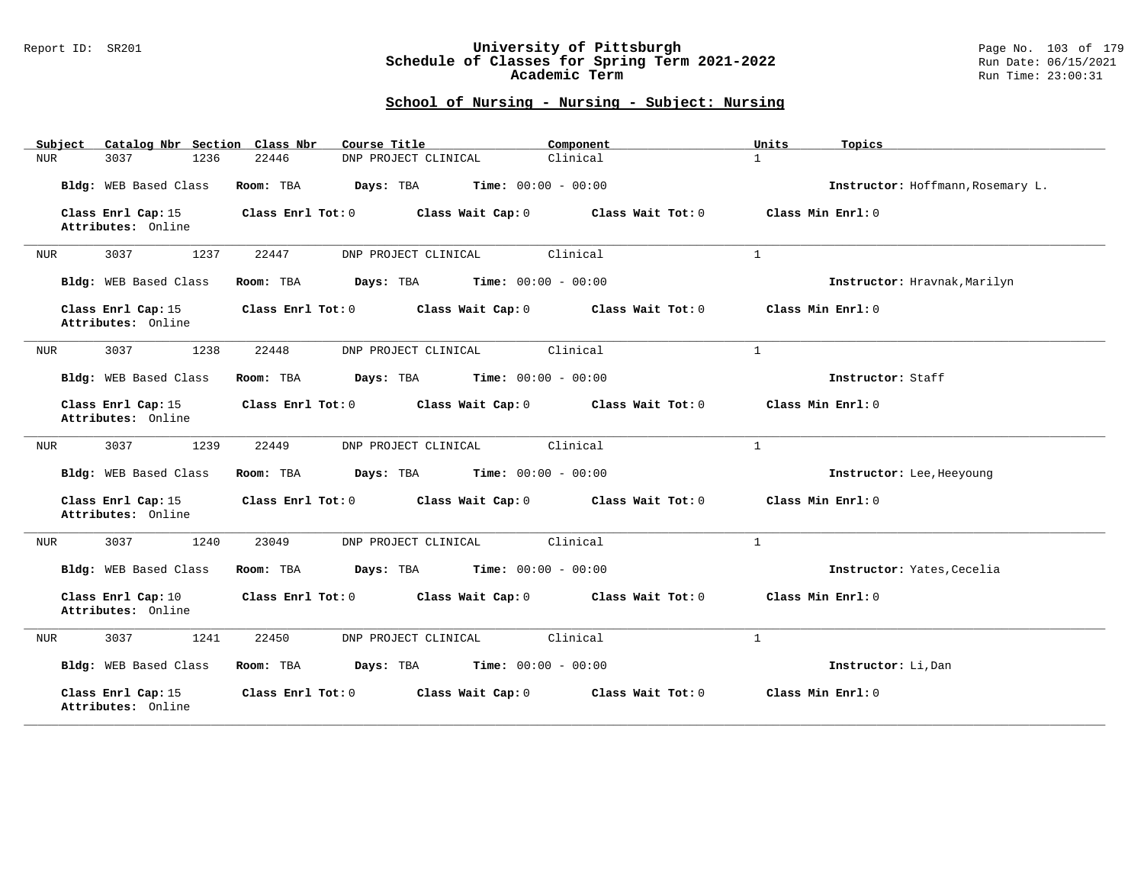### Report ID: SR201 **University of Pittsburgh** Page No. 103 of 179 **Schedule of Classes for Spring Term 2021-2022** Run Date: 06/15/2021 **Academic Term** Run Time: 23:00:31

| Catalog Nbr Section Class Nbr<br>Subject | Course Title                                           | Component         | Units<br>Topics                   |
|------------------------------------------|--------------------------------------------------------|-------------------|-----------------------------------|
| 3037<br>1236<br>NUR                      | DNP PROJECT CLINICAL<br>22446                          | Clinical          | $\mathbf{1}$                      |
| Bldg: WEB Based Class                    | Room: TBA<br>Days: TBA<br><b>Time:</b> $00:00 - 00:00$ |                   | Instructor: Hoffmann, Rosemary L. |
| Class Enrl Cap: 15<br>Attributes: Online | Class Enrl Tot: 0<br>Class Wait Cap: 0                 | Class Wait Tot: 0 | Class Min Enrl: 0                 |
| 3037<br>1237<br>NUR                      | 22447<br>DNP PROJECT CLINICAL                          | Clinical          | $\mathbf{1}$                      |
| Bldg: WEB Based Class                    | Days: TBA<br><b>Time:</b> $00:00 - 00:00$<br>Room: TBA |                   | Instructor: Hravnak, Marilyn      |
| Class Enrl Cap: 15<br>Attributes: Online | Class Enrl Tot: 0<br>Class Wait Cap: 0                 | Class Wait Tot: 0 | Class Min $Enrl: 0$               |
| 3037<br>1238<br>NUR                      | 22448<br>DNP PROJECT CLINICAL                          | Clinical          | $\mathbf{1}$                      |
| Bldg: WEB Based Class                    | <b>Time:</b> $00:00 - 00:00$<br>Room: TBA<br>Days: TBA |                   | Instructor: Staff                 |
| Class Enrl Cap: 15<br>Attributes: Online | Class Enrl Tot: 0<br>Class Wait Cap: 0                 | Class Wait Tot: 0 | Class Min Enrl: 0                 |
| 1239<br>3037<br>NUR                      | DNP PROJECT CLINICAL<br>22449                          | Clinical          | $\mathbf{1}$                      |
| Bldg: WEB Based Class                    | Days: TBA<br><b>Time:</b> $00:00 - 00:00$<br>Room: TBA |                   | Instructor: Lee, Heeyoung         |
| Class Enrl Cap: 15<br>Attributes: Online | Class Enrl Tot: 0<br>Class Wait Cap: 0                 | Class Wait Tot: 0 | Class Min Enrl: 0                 |
| 3037<br>1240<br>NUR                      | 23049<br>DNP PROJECT CLINICAL                          | Clinical          | $\mathbf{1}$                      |
| Bldg: WEB Based Class                    | <b>Time:</b> $00:00 - 00:00$<br>Room: TBA<br>Days: TBA |                   | Instructor: Yates, Cecelia        |
| Class Enrl Cap: 10<br>Attributes: Online | Class Enrl Tot: 0<br>Class Wait Cap: 0                 | Class Wait Tot: 0 | Class Min Enrl: 0                 |
| 3037<br>1241<br>NUR                      | 22450<br>DNP PROJECT CLINICAL                          | Clinical          | $\mathbf{1}$                      |
| Bldg: WEB Based Class                    | <b>Time:</b> $00:00 - 00:00$<br>Room: TBA<br>Days: TBA |                   | Instructor: Li, Dan               |
| Class Enrl Cap: 15<br>Attributes: Online | Class Enrl Tot: 0<br>Class Wait Cap: 0                 | Class Wait Tot: 0 | Class Min Enrl: 0                 |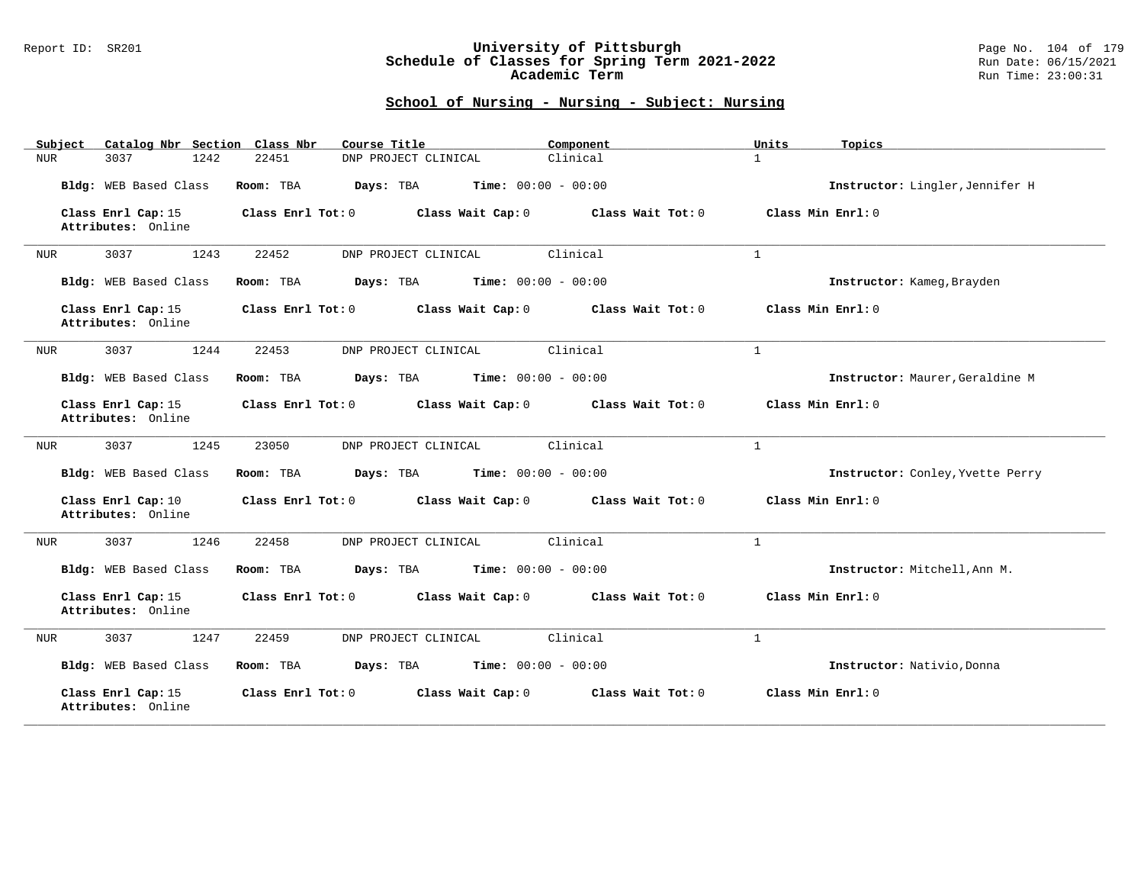### Report ID: SR201 **University of Pittsburgh** Page No. 104 of 179 **Schedule of Classes for Spring Term 2021-2022** Run Date: 06/15/2021 **Academic Term** Run Time: 23:00:31

| Catalog Nbr Section Class Nbr<br>Subject | Course Title                                           | Component         | Units<br>Topics                  |
|------------------------------------------|--------------------------------------------------------|-------------------|----------------------------------|
| 1242<br>3037<br>NUR                      | 22451<br>DNP PROJECT CLINICAL                          | Clinical          | $\mathbf{1}$                     |
| Bldg: WEB Based Class                    | <b>Time:</b> $00:00 - 00:00$<br>Room: TBA<br>Days: TBA |                   | Instructor: Lingler, Jennifer H  |
| Class Enrl Cap: 15<br>Attributes: Online | Class Enrl Tot: 0<br>Class Wait Cap: 0                 | Class Wait Tot: 0 | Class Min Enrl: 0                |
| 3037<br>1243<br>NUR                      | 22452<br>DNP PROJECT CLINICAL                          | Clinical          | $\mathbf{1}$                     |
| Bldg: WEB Based Class                    | Time: $00:00 - 00:00$<br>Room: TBA<br>Days: TBA        |                   | Instructor: Kameg, Brayden       |
| Class Enrl Cap: 15<br>Attributes: Online | Class Enrl Tot: 0<br>Class Wait Cap: 0                 | Class Wait Tot: 0 | Class Min Enrl: 0                |
| 1244<br>3037<br>NUR                      | 22453<br>DNP PROJECT CLINICAL                          | Clinical          | $\mathbf{1}$                     |
| Bldg: WEB Based Class                    | Days: TBA<br><b>Time:</b> $00:00 - 00:00$<br>Room: TBA |                   | Instructor: Maurer, Geraldine M  |
| Class Enrl Cap: 15<br>Attributes: Online | Class Enrl Tot: 0<br>Class Wait Cap: 0                 | Class Wait Tot: 0 | Class Min Enrl: 0                |
| 3037<br>1245<br>NUR                      | 23050<br>DNP PROJECT CLINICAL                          | Clinical          | $\mathbf{1}$                     |
| Bldg: WEB Based Class                    | Room: TBA<br>Days: TBA<br><b>Time:</b> $00:00 - 00:00$ |                   | Instructor: Conley, Yvette Perry |
| Class Enrl Cap: 10<br>Attributes: Online | Class Enrl Tot: 0<br>Class Wait Cap: 0                 | Class Wait Tot: 0 | Class Min Enrl: 0                |
| 3037<br>1246<br>NUR                      | 22458<br>DNP PROJECT CLINICAL                          | Clinical          | $\mathbf{1}$                     |
| Bldg: WEB Based Class                    | Room: TBA<br>Days: TBA<br><b>Time:</b> $00:00 - 00:00$ |                   | Instructor: Mitchell, Ann M.     |
| Class Enrl Cap: 15<br>Attributes: Online | Class Enrl Tot: 0<br>Class Wait Cap: 0                 | Class Wait Tot: 0 | Class Min Enrl: 0                |
| 3037<br>1247<br><b>NUR</b>               | 22459<br>DNP PROJECT CLINICAL                          | Clinical          | $\mathbf{1}$                     |
| Bldg: WEB Based Class                    | <b>Time:</b> $00:00 - 00:00$<br>Room: TBA<br>Days: TBA |                   | Instructor: Nativio, Donna       |
| Class Enrl Cap: 15<br>Attributes: Online | Class Enrl Tot: 0<br>Class Wait Cap: 0                 | Class Wait Tot: 0 | Class Min Enrl: 0                |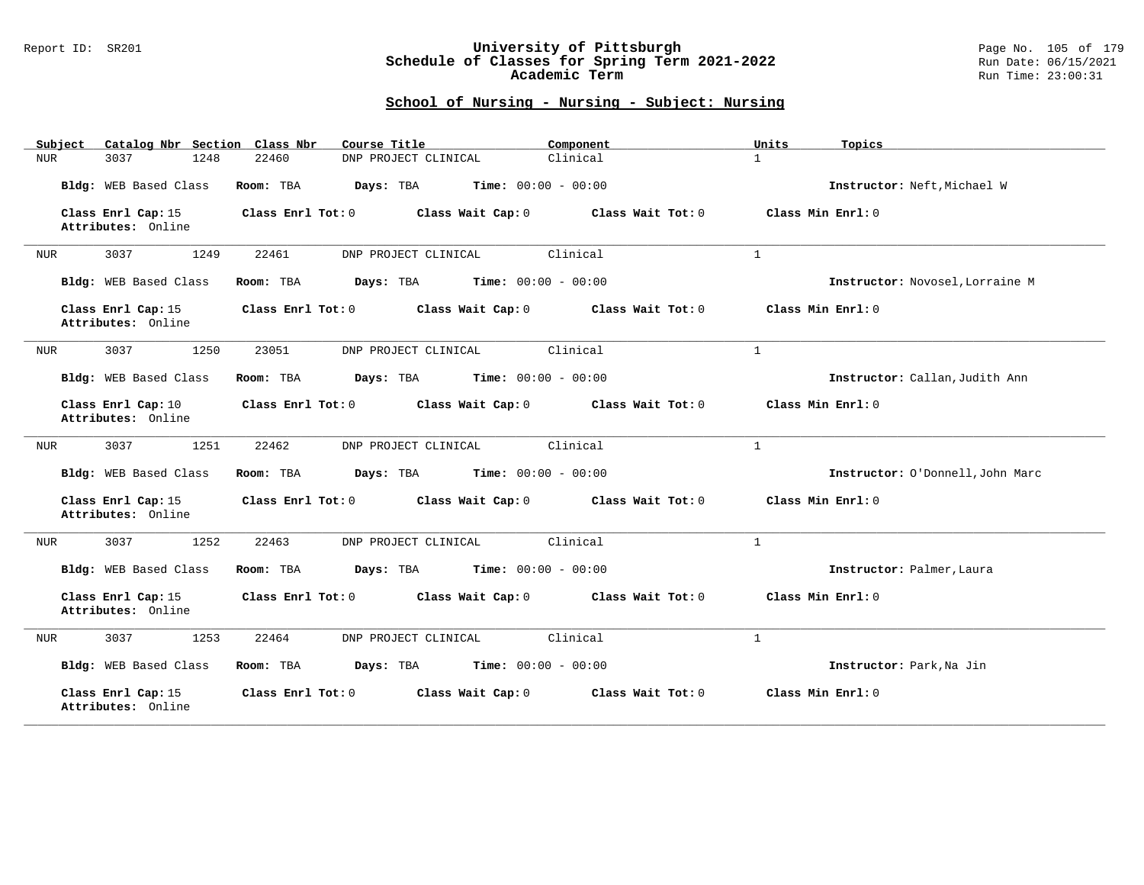### Report ID: SR201 **University of Pittsburgh** Page No. 105 of 179 **Schedule of Classes for Spring Term 2021-2022** Run Date: 06/15/2021 **Academic Term** Run Time: 23:00:31

| Catalog Nbr Section Class Nbr<br>Subject | Course Title                                           | Component         | Units<br>Topics                  |
|------------------------------------------|--------------------------------------------------------|-------------------|----------------------------------|
| 3037<br>1248<br>NUR                      | DNP PROJECT CLINICAL<br>22460                          | Clinical          | $\mathbf{1}$                     |
| Bldg: WEB Based Class                    | Room: TBA<br>Days: TBA<br><b>Time:</b> $00:00 - 00:00$ |                   | Instructor: Neft, Michael W      |
| Class Enrl Cap: 15<br>Attributes: Online | Class Enrl Tot: 0<br>Class Wait Cap: 0                 | Class Wait Tot: 0 | Class Min Enrl: 0                |
| 3037<br>1249<br>NUR                      | 22461<br>DNP PROJECT CLINICAL                          | Clinical          | $\mathbf{1}$                     |
| Bldg: WEB Based Class                    | <b>Time:</b> $00:00 - 00:00$<br>Room: TBA<br>Days: TBA |                   | Instructor: Novosel, Lorraine M  |
| Class Enrl Cap: 15<br>Attributes: Online | Class Enrl Tot: 0<br>Class Wait Cap: 0                 | Class Wait Tot: 0 | Class Min $Enr1: 0$              |
| 3037<br>1250<br>NUR                      | 23051<br>DNP PROJECT CLINICAL                          | Clinical          | $\mathbf{1}$                     |
| Bldg: WEB Based Class                    | <b>Time:</b> $00:00 - 00:00$<br>Room: TBA<br>Days: TBA |                   | Instructor: Callan, Judith Ann   |
| Class Enrl Cap: 10<br>Attributes: Online | Class Enrl Tot: 0<br>Class Wait Cap: 0                 | Class Wait Tot: 0 | Class Min Enrl: 0                |
| 1251<br>3037<br>NUR                      | DNP PROJECT CLINICAL<br>22462                          | Clinical          | $\mathbf{1}$                     |
| Bldg: WEB Based Class                    | <b>Time:</b> $00:00 - 00:00$<br>Room: TBA<br>Days: TBA |                   | Instructor: O'Donnell, John Marc |
| Class Enrl Cap: 15<br>Attributes: Online | Class Enrl Tot: 0<br>Class Wait Cap: 0                 | Class Wait Tot: 0 | Class Min Enrl: 0                |
| 3037<br>1252<br>NUR                      | DNP PROJECT CLINICAL<br>22463                          | Clinical          | $\mathbf{1}$                     |
| Bldg: WEB Based Class                    | <b>Time:</b> $00:00 - 00:00$<br>Room: TBA<br>Days: TBA |                   | Instructor: Palmer, Laura        |
| Class Enrl Cap: 15<br>Attributes: Online | Class Enrl Tot: 0<br>Class Wait Cap: 0                 | Class Wait Tot: 0 | Class Min Enrl: 0                |
| 3037<br>1253<br>NUR                      | 22464<br>DNP PROJECT CLINICAL                          | Clinical          | $\mathbf{1}$                     |
| Bldg: WEB Based Class                    | Room: TBA<br>Days: TBA<br><b>Time:</b> $00:00 - 00:00$ |                   | Instructor: Park, Na Jin         |
| Class Enrl Cap: 15<br>Attributes: Online | Class Enrl Tot: 0<br>Class Wait Cap: 0                 | Class Wait Tot: 0 | Class Min Enrl: 0                |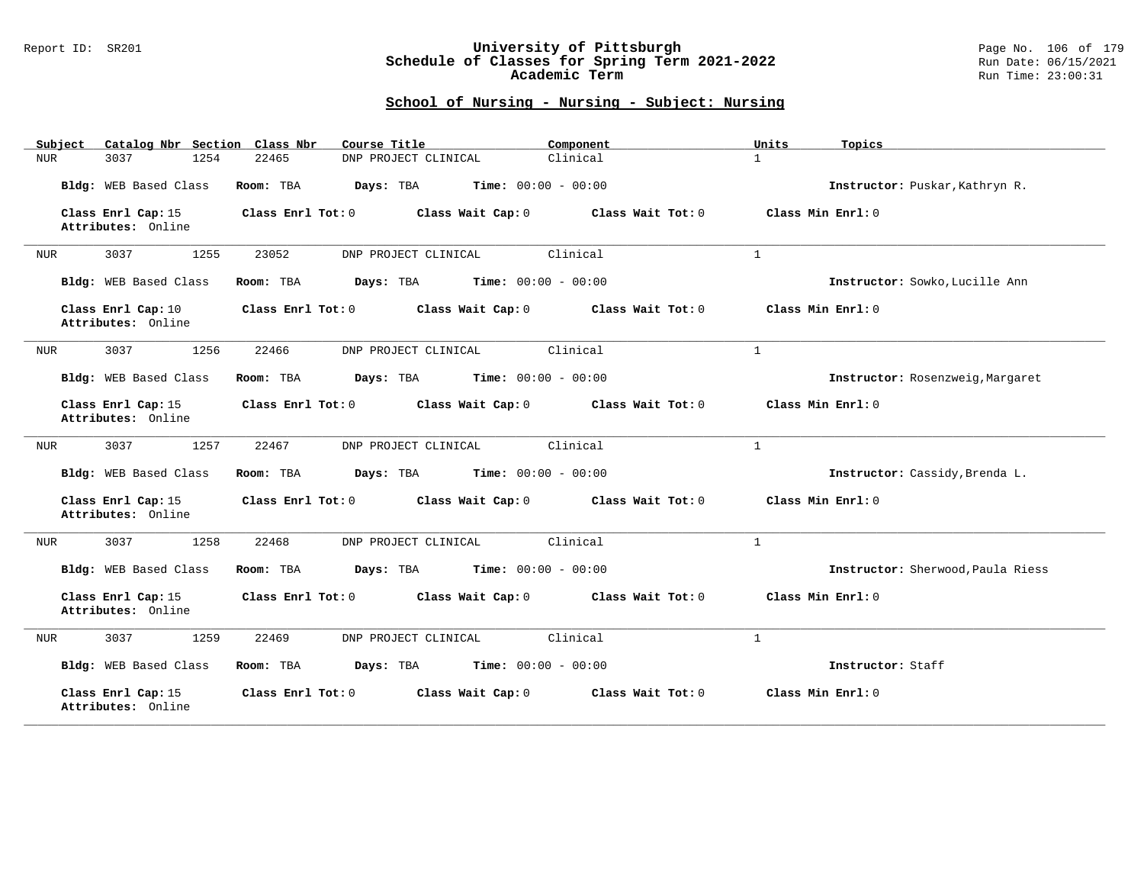### Report ID: SR201 **University of Pittsburgh** Page No. 106 of 179 **Schedule of Classes for Spring Term 2021-2022** Run Date: 06/15/2021 **Academic Term** Run Time: 23:00:31

| Catalog Nbr Section Class Nbr<br>Subject | Course Title                                           | Component           | Units<br>Topics                   |
|------------------------------------------|--------------------------------------------------------|---------------------|-----------------------------------|
| 3037<br>1254<br>NUR                      | DNP PROJECT CLINICAL<br>22465                          | Clinical            | $\mathbf{1}$                      |
| Bldg: WEB Based Class                    | Room: TBA<br>Days: TBA<br><b>Time:</b> $00:00 - 00:00$ |                     | Instructor: Puskar, Kathryn R.    |
| Class Enrl Cap: 15<br>Attributes: Online | Class Enrl Tot: 0<br>Class Wait Cap: 0                 | Class Wait Tot: 0   | Class Min Enrl: 0                 |
| 1255<br>3037<br>NUR                      | 23052<br>DNP PROJECT CLINICAL                          | Clinical            | $\mathbf{1}$                      |
| Bldg: WEB Based Class                    | Time: $00:00 - 00:00$<br>Room: TBA<br>Days: TBA        |                     | Instructor: Sowko, Lucille Ann    |
| Class Enrl Cap: 10<br>Attributes: Online | Class Enrl Tot: 0<br>Class Wait Cap: 0                 | Class Wait Tot: 0   | Class Min Enrl: 0                 |
| 3037<br>1256<br>NUR                      | 22466<br>DNP PROJECT CLINICAL                          | Clinical            | $\mathbf{1}$                      |
| Bldg: WEB Based Class                    | <b>Time:</b> $00:00 - 00:00$<br>Room: TBA<br>Days: TBA |                     | Instructor: Rosenzweig, Margaret  |
| Class Enrl Cap: 15<br>Attributes: Online | Class Enr1 Tot: 0<br>Class Wait Cap: 0                 | Class Wait $Tot: 0$ | Class Min Enrl: 0                 |
| 1257<br>3037<br>NUR                      | 22467<br>DNP PROJECT CLINICAL                          | Clinical            | $\mathbf{1}$                      |
| Bldg: WEB Based Class                    | Time: $00:00 - 00:00$<br>Room: TBA<br>Days: TBA        |                     | Instructor: Cassidy, Brenda L.    |
| Class Enrl Cap: 15<br>Attributes: Online | Class Wait Cap: 0<br>Class Enrl Tot: 0                 | Class Wait Tot: 0   | Class Min Enrl: 0                 |
| 3037<br>1258<br>NUR                      | DNP PROJECT CLINICAL<br>22468                          | Clinical            | $\mathbf{1}$                      |
| Bldg: WEB Based Class                    | <b>Time:</b> $00:00 - 00:00$<br>Room: TBA<br>Days: TBA |                     | Instructor: Sherwood, Paula Riess |
| Class Enrl Cap: 15<br>Attributes: Online | Class Enrl Tot: 0<br>Class Wait Cap: 0                 | Class Wait Tot: 0   | Class Min Enrl: 0                 |
| 3037<br>1259<br>NUR                      | 22469<br>DNP PROJECT CLINICAL                          | Clinical            | $\mathbf{1}$                      |
| Bldg: WEB Based Class                    | Room: TBA<br>Days: TBA<br><b>Time:</b> $00:00 - 00:00$ |                     | Instructor: Staff                 |
| Class Enrl Cap: 15<br>Attributes: Online | Class Enrl Tot: 0<br>Class Wait Cap: 0                 | Class Wait Tot: 0   | Class Min Enrl: 0                 |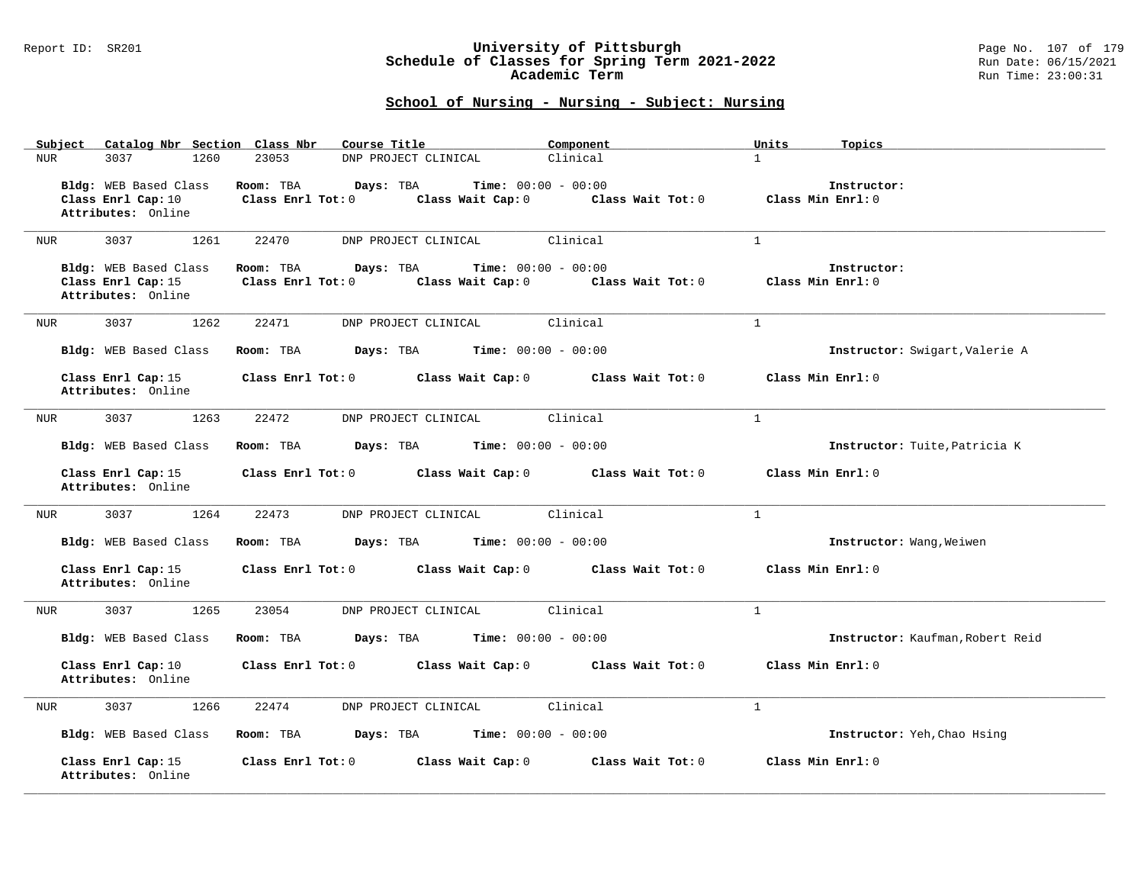### Report ID: SR201 **University of Pittsburgh** Page No. 107 of 179 **Schedule of Classes for Spring Term 2021-2022** Run Date: 06/15/2021 **Academic Term** Run Time: 23:00:31

| Catalog Nbr Section Class Nbr<br>Subject                          | Course Title                                                                                     | Component<br>Units                  | Topics                           |
|-------------------------------------------------------------------|--------------------------------------------------------------------------------------------------|-------------------------------------|----------------------------------|
| <b>NUR</b><br>3037<br>1260                                        | 23053<br>DNP PROJECT CLINICAL                                                                    | $\mathbf{1}$<br>Clinical            |                                  |
| Bldg: WEB Based Class<br>Class Enrl Cap: 10<br>Attributes: Online | Room: TBA<br>Days: TBA<br><b>Time:</b> $00:00 - 00:00$<br>Class Enrl Tot: 0<br>Class Wait Cap: 0 | Class Wait Tot: 0                   | Instructor:<br>Class Min Enrl: 0 |
| 3037<br>1261<br>NUR                                               | 22470<br>DNP PROJECT CLINICAL                                                                    | Clinical<br>$\mathbf{1}$            |                                  |
| Bldg: WEB Based Class<br>Class Enrl Cap: 15<br>Attributes: Online | Room: TBA<br>Days: TBA<br><b>Time:</b> $00:00 - 00:00$<br>Class Enrl Tot: 0<br>Class Wait Cap: 0 | Class Wait Tot: 0                   | Instructor:<br>Class Min Enrl: 0 |
| 3037<br>1262<br>NUR                                               | 22471<br>DNP PROJECT CLINICAL                                                                    | Clinical<br>$\mathbf{1}$            |                                  |
| Bldg: WEB Based Class                                             | <b>Time:</b> $00:00 - 00:00$<br>Room: TBA<br>Days: TBA                                           |                                     | Instructor: Swigart, Valerie A   |
| Class Enrl Cap: 15<br>Attributes: Online                          | Class Enrl Tot: 0<br>Class Wait Cap: 0                                                           | Class Wait Tot: 0                   | Class Min Enrl: 0                |
| 3037<br>1263<br>NUR                                               | 22472<br>DNP PROJECT CLINICAL                                                                    | Clinical<br>$\mathbf{1}$            |                                  |
| Bldg: WEB Based Class                                             | Days: TBA<br><b>Time:</b> $00:00 - 00:00$<br>Room: TBA                                           |                                     | Instructor: Tuite, Patricia K    |
| Class Enrl Cap: 15<br>Attributes: Online                          | Class Enrl Tot: 0                                                                                | Class Wait Cap: 0 Class Wait Tot: 0 | Class Min Enrl: 0                |
| 3037<br>1264<br>NUR                                               | 22473<br>DNP PROJECT CLINICAL                                                                    | Clinical<br>$\mathbf{1}$            |                                  |
| Bldg: WEB Based Class                                             | <b>Time:</b> $00:00 - 00:00$<br>Room: TBA<br>Days: TBA                                           |                                     | Instructor: Wang, Weiwen         |
| Class Enrl Cap: 15<br>Attributes: Online                          | Class Enrl Tot: 0<br>Class Wait Cap: 0                                                           | Class Wait Tot: 0                   | Class Min Enrl: 0                |
| 1265<br>3037<br>NUR                                               | 23054<br>DNP PROJECT CLINICAL                                                                    | $\mathbf{1}$<br>Clinical            |                                  |
| Bldg: WEB Based Class                                             | Room: TBA<br>Days: TBA<br><b>Time:</b> $00:00 - 00:00$                                           |                                     | Instructor: Kaufman, Robert Reid |
| Class Enrl Cap: 10<br>Attributes: Online                          | Class Enrl Tot: 0 Class Wait Cap: 0 Class Wait Tot: 0                                            |                                     | Class Min Enrl: 0                |
| 3037<br>1266<br>NUR                                               | 22474<br>DNP PROJECT CLINICAL                                                                    | Clinical<br>$\mathbf{1}$            |                                  |
| Bldg: WEB Based Class                                             | <b>Time:</b> $00:00 - 00:00$<br>Room: TBA<br>Days: TBA                                           |                                     | Instructor: Yeh, Chao Hsing      |
| Class Enrl Cap: 15<br>Attributes: Online                          | Class Enrl Tot: 0<br>Class Wait Cap: 0                                                           | Class Wait Tot: 0                   | Class Min Enrl: 0                |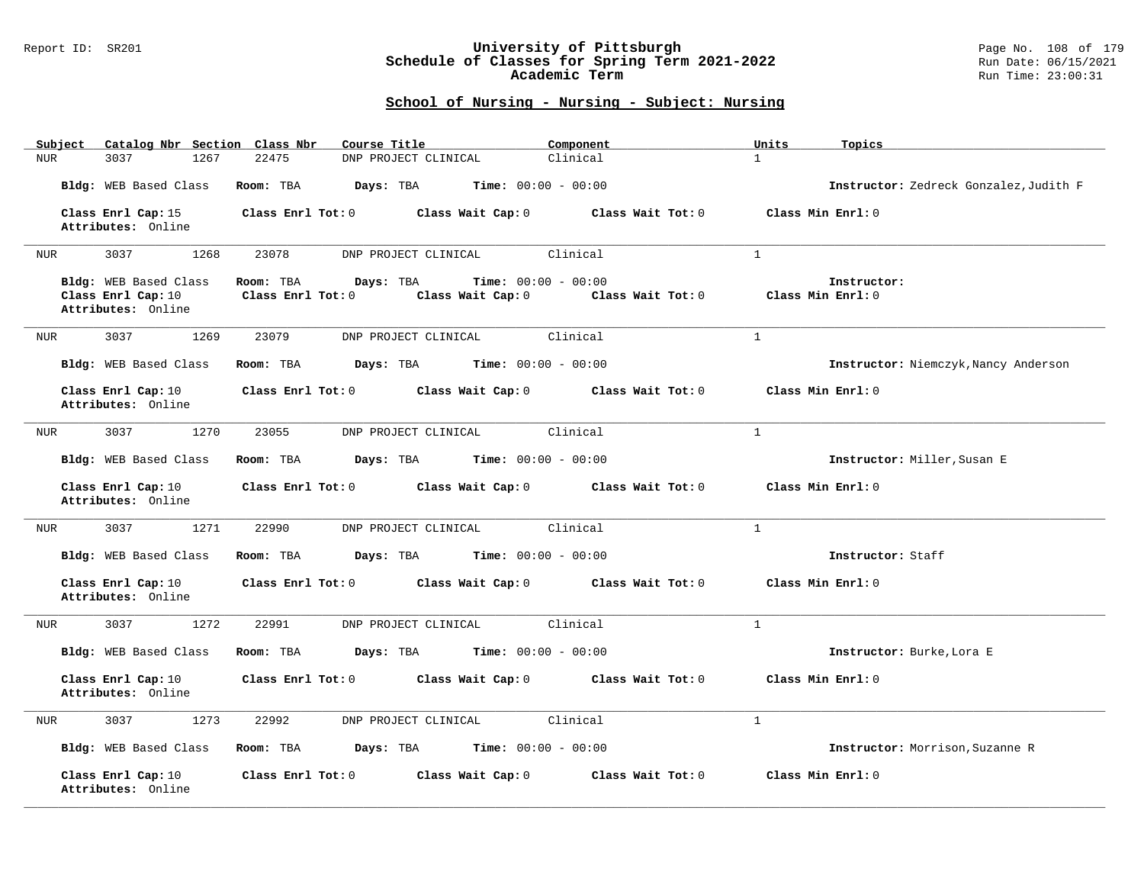### Report ID: SR201 **University of Pittsburgh** Page No. 108 of 179 **Schedule of Classes for Spring Term 2021-2022** Run Date: 06/15/2021 **Academic Term** Run Time: 23:00:31

| Catalog Nbr Section Class Nbr<br>Subject                          | Course Title                                                                              | Component         | Units<br>Topics                        |
|-------------------------------------------------------------------|-------------------------------------------------------------------------------------------|-------------------|----------------------------------------|
| 3037<br>1267<br>NUR                                               | 22475<br>DNP PROJECT CLINICAL                                                             | Clinical          | $\mathbf{1}$                           |
| Bldg: WEB Based Class                                             | <b>Time:</b> $00:00 - 00:00$<br>Room: TBA<br>Days: TBA                                    |                   | Instructor: Zedreck Gonzalez, Judith F |
| Class Enrl Cap: 15<br>Attributes: Online                          | Class Wait Cap: 0<br>Class Enrl Tot: 0                                                    | Class Wait Tot: 0 | Class Min Enrl: 0                      |
| 3037<br>1268<br>NUR                                               | 23078<br>DNP PROJECT CLINICAL                                                             | Clinical          | $\mathbf{1}$                           |
| Bldg: WEB Based Class<br>Class Enrl Cap: 10<br>Attributes: Online | Time: $00:00 - 00:00$<br>Room: TBA<br>Days: TBA<br>Class Enrl Tot: 0<br>Class Wait Cap: 0 | Class Wait Tot: 0 | Instructor:<br>Class Min Enrl: 0       |
| 3037<br>1269<br>NUR                                               | 23079<br>DNP PROJECT CLINICAL                                                             | Clinical          | $\mathbf{1}$                           |
| Bldg: WEB Based Class                                             | Room: TBA<br>Days: TBA<br><b>Time:</b> $00:00 - 00:00$                                    |                   | Instructor: Niemczyk, Nancy Anderson   |
| Class Enrl Cap: 10<br>Attributes: Online                          | Class Enrl Tot: 0<br>Class Wait Cap: 0                                                    | Class Wait Tot: 0 | Class Min Enrl: 0                      |
| 3037<br>1270<br>NUR                                               | 23055<br>DNP PROJECT CLINICAL                                                             | Clinical          | $\mathbf{1}$                           |
| Bldg: WEB Based Class                                             | Room: TBA<br>Days: TBA<br><b>Time:</b> $00:00 - 00:00$                                    |                   | Instructor: Miller, Susan E            |
| Class Enrl Cap: 10<br>Attributes: Online                          | Class Enrl Tot: 0<br>Class Wait Cap: 0                                                    | Class Wait Tot: 0 | Class Min Enrl: 0                      |
| 3037<br>1271<br>NUR                                               | 22990<br>DNP PROJECT CLINICAL                                                             | Clinical          | $\mathbf{1}$                           |
| Bldg: WEB Based Class                                             | <b>Time:</b> $00:00 - 00:00$<br>Room: TBA<br>Days: TBA                                    |                   | Instructor: Staff                      |
| Class Enrl Cap: 10<br>Attributes: Online                          | Class Enrl Tot: 0<br>Class Wait Cap: 0                                                    | Class Wait Tot: 0 | Class Min Enrl: 0                      |
| 3037<br>1272<br>NUR                                               | 22991<br>DNP PROJECT CLINICAL                                                             | Clinical          | $\mathbf{1}$                           |
| Bldg: WEB Based Class                                             | <b>Time:</b> $00:00 - 00:00$<br>Room: TBA<br>Days: TBA                                    |                   | Instructor: Burke, Lora E              |
| Class Enrl Cap: 10<br>Attributes: Online                          | Class Enrl Tot: 0<br>Class Wait Cap: 0                                                    | Class Wait Tot: 0 | Class Min Enrl: 0                      |
| 3037<br>1273<br>NUR                                               | 22992<br>DNP PROJECT CLINICAL                                                             | Clinical          | $\mathbf{1}$                           |
| Bldg: WEB Based Class                                             | <b>Time:</b> $00:00 - 00:00$<br>Room: TBA<br>Days: TBA                                    |                   | Instructor: Morrison, Suzanne R        |
| Class Enrl Cap: 10<br>Attributes: Online                          | Class Enrl Tot: 0<br>Class Wait Cap: 0                                                    | Class Wait Tot: 0 | Class Min Enrl: 0                      |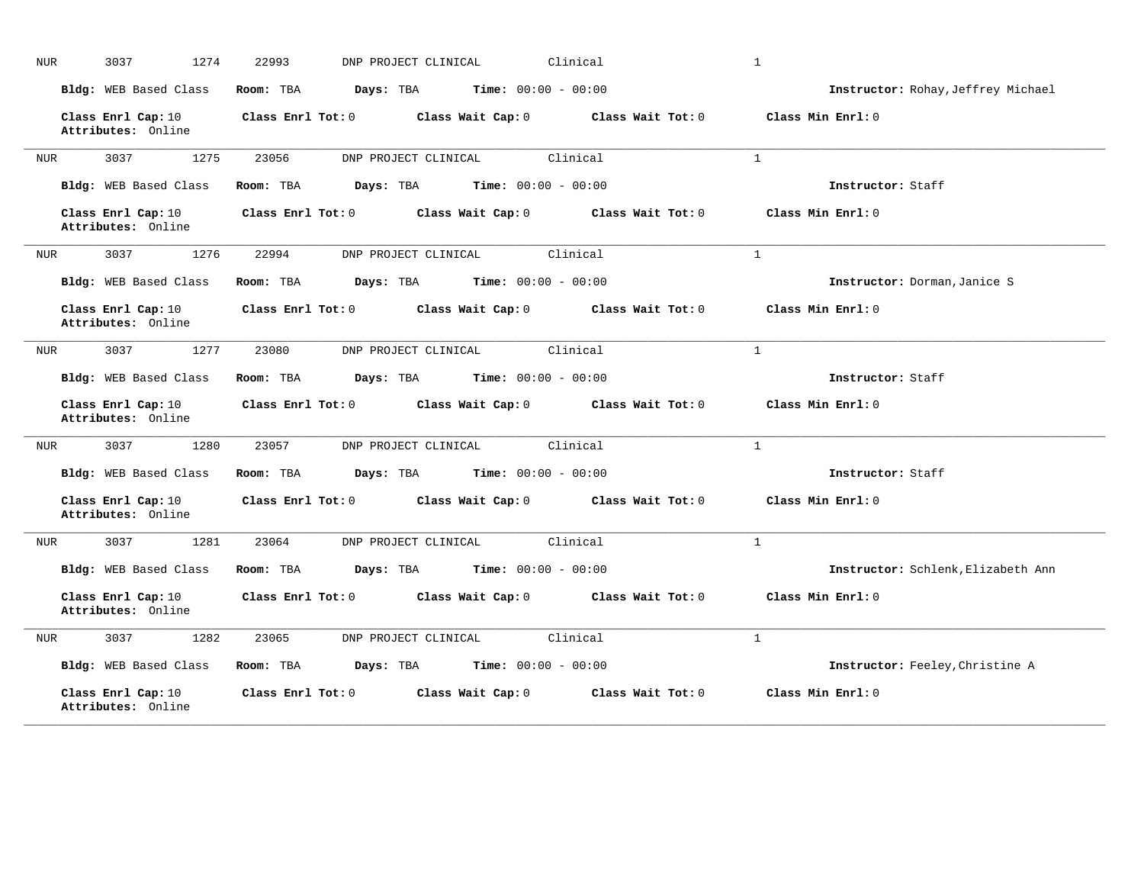| <b>NUR</b> | 3037<br>1274                             | 22993             | DNP PROJECT CLINICAL | Clinical                     | $\mathbf{1}$                       |
|------------|------------------------------------------|-------------------|----------------------|------------------------------|------------------------------------|
|            | Bldg: WEB Based Class                    | Room: TBA         | Days: TBA            | <b>Time:</b> $00:00 - 00:00$ | Instructor: Rohay, Jeffrey Michael |
|            | Class Enrl Cap: 10<br>Attributes: Online | Class Enrl Tot: 0 | Class Wait Cap: 0    | Class Wait Tot: 0            | Class Min Enrl: 0                  |
| <b>NUR</b> | 1275<br>3037                             | 23056             | DNP PROJECT CLINICAL | Clinical                     | $\mathbf{1}$                       |
|            | Bldg: WEB Based Class                    | Room: TBA         | Days: TBA            | <b>Time:</b> $00:00 - 00:00$ | Instructor: Staff                  |
|            | Class Enrl Cap: 10<br>Attributes: Online | Class Enrl Tot: 0 | Class Wait Cap: 0    | Class Wait Tot: 0            | Class Min Enrl: 0                  |
| <b>NUR</b> | 3037<br>1276                             | 22994             | DNP PROJECT CLINICAL | Clinical                     | $\mathbf{1}$                       |
|            | <b>Bldg:</b> WEB Based Class             | Room: TBA         | Days: TBA            | Time: $00:00 - 00:00$        | Instructor: Dorman, Janice S       |
|            | Class Enrl Cap: 10<br>Attributes: Online | Class Enrl Tot: 0 | Class Wait Cap: 0    | Class Wait Tot: 0            | Class Min Enrl: 0                  |
| <b>NUR</b> | 3037<br>1277                             | 23080             | DNP PROJECT CLINICAL | Clinical                     | $\mathbf{1}$                       |
|            | Bldg: WEB Based Class                    | Room: TBA         | Days: TBA            | <b>Time:</b> $00:00 - 00:00$ | Instructor: Staff                  |
|            | Class Enrl Cap: 10<br>Attributes: Online | Class Enrl Tot: 0 | Class Wait Cap: 0    | Class Wait Tot: 0            | Class Min Enrl: 0                  |
| <b>NUR</b> | 3037<br>1280                             | 23057             | DNP PROJECT CLINICAL | Clinical                     | $\mathbf{1}$                       |
|            | Bldg: WEB Based Class                    | Room: TBA         | Days: TBA            | <b>Time:</b> $00:00 - 00:00$ | Instructor: Staff                  |
|            | Class Enrl Cap: 10<br>Attributes: Online | Class Enrl Tot: 0 | Class Wait Cap: 0    | Class Wait Tot: 0            | Class Min Enrl: 0                  |
| <b>NUR</b> | 3037<br>1281                             | 23064             | DNP PROJECT CLINICAL | Clinical                     | $\mathbf{1}$                       |
|            | Bldg: WEB Based Class                    | Room: TBA         | Days: TBA            | Time: $00:00 - 00:00$        | Instructor: Schlenk, Elizabeth Ann |
|            | Class Enrl Cap: 10<br>Attributes: Online | Class Enrl Tot: 0 | Class Wait Cap: 0    | Class Wait Tot: 0            | Class Min Enrl: 0                  |
| <b>NUR</b> | 3037<br>1282                             | 23065             | DNP PROJECT CLINICAL | Clinical                     | $\mathbf{1}$                       |
|            | Bldg: WEB Based Class                    | Room: TBA         | Days: TBA            | <b>Time:</b> $00:00 - 00:00$ | Instructor: Feeley, Christine A    |
|            | Class Enrl Cap: 10<br>Attributes: Online | Class Enrl Tot: 0 | Class Wait Cap: 0    | Class Wait Tot: 0            | Class Min Enrl: 0                  |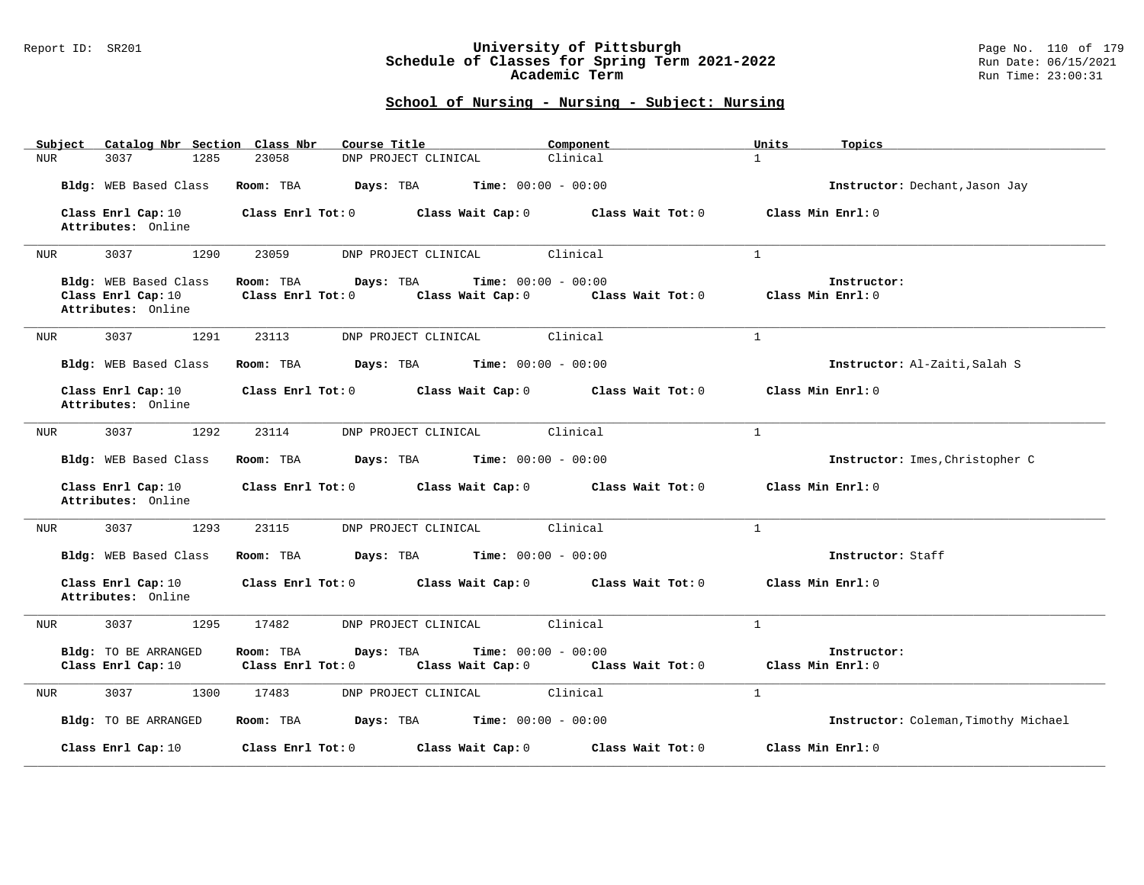#### Report ID: SR201 **University of Pittsburgh** Page No. 110 of 179 **Schedule of Classes for Spring Term 2021-2022** Run Date: 06/15/2021 **Academic Term** Run Time: 23:00:31

| Subject<br>Catalog Nbr Section Class Nbr                          | Course Title                                                                                     | Component                           | Units<br>Topics                      |
|-------------------------------------------------------------------|--------------------------------------------------------------------------------------------------|-------------------------------------|--------------------------------------|
| 3037<br>1285<br>NUR                                               | 23058<br>DNP PROJECT CLINICAL                                                                    | Clinical                            | $\mathbf{1}$                         |
| Bldg: WEB Based Class                                             | Room: TBA<br>$\texttt{Davis:}$ TBA $\texttt{Time:}$ 00:00 - 00:00                                |                                     | Instructor: Dechant, Jason Jay       |
| Class Enrl Cap: 10<br>Attributes: Online                          | Class Enrl Tot: 0 Class Wait Cap: 0 Class Wait Tot: 0                                            |                                     | Class Min Enrl: 0                    |
| 3037<br>1290<br>NUR                                               | 23059<br>DNP PROJECT CLINICAL                                                                    | Clinical                            | $\mathbf{1}$                         |
| Bldg: WEB Based Class<br>Class Enrl Cap: 10<br>Attributes: Online | Room: TBA<br>Days: TBA<br><b>Time:</b> $00:00 - 00:00$<br>Class Enrl Tot: 0<br>Class Wait Cap: 0 | Class Wait Tot: 0 Class Min Enrl: 0 | Instructor:                          |
| 3037<br>1291<br>NUR                                               | 23113<br>DNP PROJECT CLINICAL                                                                    | Clinical                            | $\mathbf{1}$                         |
| Bldg: WEB Based Class                                             | <b>Days:</b> TBA <b>Time:</b> $00:00 - 00:00$<br>Room: TBA                                       |                                     | Instructor: Al-Zaiti, Salah S        |
| Class Enrl Cap: 10<br>Attributes: Online                          | Class Enrl Tot: 0 Class Wait Cap: 0 Class Wait Tot: 0                                            |                                     | Class Min Enrl: 0                    |
| 3037<br>1292<br>NUR                                               | 23114<br>DNP PROJECT CLINICAL                                                                    | Clinical                            | $\mathbf{1}$                         |
| Bldg: WEB Based Class                                             | $Days: TBA$ Time: $00:00 - 00:00$<br>Room: TBA                                                   |                                     | Instructor: Imes, Christopher C      |
| Class Enrl Cap: 10<br>Attributes: Online                          | Class Enrl Tot: 0 Class Wait Cap: 0 Class Wait Tot: 0                                            |                                     | Class Min Enrl: 0                    |
| 3037<br>1293<br>NUR                                               | 23115<br>DNP PROJECT CLINICAL                                                                    | Clinical                            | $\mathbf{1}$                         |
| Bldg: WEB Based Class                                             | Room: TBA<br>Days: TBA<br>$Time: 00:00 - 00:00$                                                  |                                     | Instructor: Staff                    |
| Class Enrl Cap: 10<br>Attributes: Online                          | Class Enrl Tot: 0 Class Wait Cap: 0 Class Wait Tot: 0                                            |                                     | Class Min Enrl: 0                    |
| 3037<br>1295<br>NUR                                               | 17482<br>DNP PROJECT CLINICAL                                                                    | Clinical                            | $\mathbf{1}$                         |
| Bldg: TO BE ARRANGED<br>Class Enrl Cap: 10                        | <b>Time:</b> $00:00 - 00:00$<br>Room: TBA<br>Days: TBA<br>$Class$ $Enr1$ $Tot: 0$                | Class Wait Cap: 0 Class Wait Tot: 0 | Instructor:<br>Class Min Enrl: 0     |
| 3037<br>1300<br>NUR                                               | DNP PROJECT CLINICAL<br>17483                                                                    | Clinical                            | $\mathbf{1}$                         |
| Bldg: TO BE ARRANGED                                              | $Time: 00:00 - 00:00$<br>Room: TBA<br>Days: TBA                                                  |                                     | Instructor: Coleman, Timothy Michael |
| Class Enrl Cap: 10                                                | Class Enrl Tot: 0<br>Class Wait Cap: 0                                                           | Class Wait Tot: 0                   | Class Min Enrl: 0                    |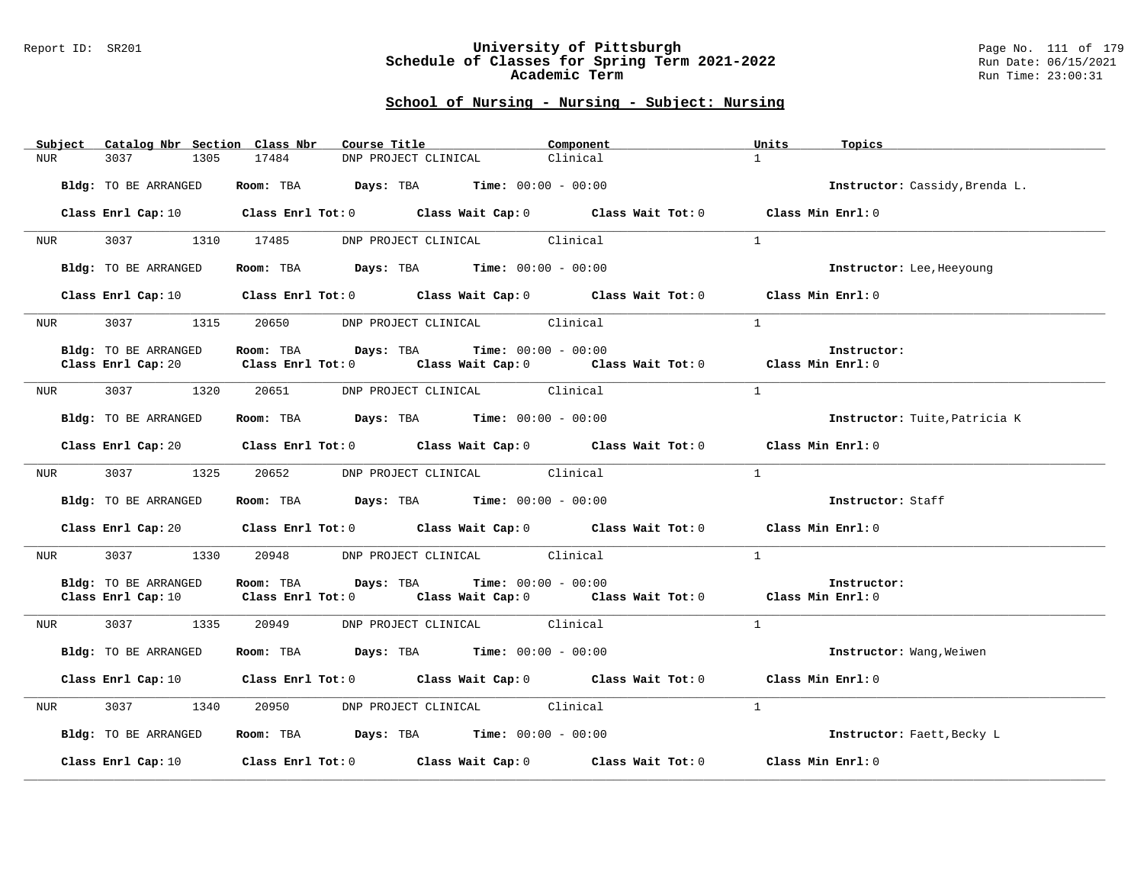#### Report ID: SR201 **University of Pittsburgh** Page No. 111 of 179 **Schedule of Classes for Spring Term 2021-2022** Run Date: 06/15/2021 **Academic Term** Run Time: 23:00:31

| Subject<br>Catalog Nbr Section Class Nbr | Course Title <b>Source Search</b>                                                                                                                                             | Component | Units<br>Topics                |
|------------------------------------------|-------------------------------------------------------------------------------------------------------------------------------------------------------------------------------|-----------|--------------------------------|
| 3037<br>1305<br><b>NUR</b>               | 17484<br>DNP PROJECT CLINICAL                                                                                                                                                 | Clinical  | $\mathbf{1}$                   |
| Bldg: TO BE ARRANGED                     | Room: TBA $Days:$ TBA $Time: 00:00 - 00:00$                                                                                                                                   |           | Instructor: Cassidy, Brenda L. |
|                                          | Class Enrl Cap: 10 $\qquad$ Class Enrl Tot: 0 $\qquad$ Class Wait Cap: 0 $\qquad$ Class Wait Tot: 0 $\qquad$ Class Min Enrl: 0                                                |           |                                |
|                                          | NUR 3037 1310 17485 DNP PROJECT CLINICAL Clinical                                                                                                                             |           | $\mathbf{1}$                   |
| <b>Bldg:</b> TO BE ARRANGED              | Room: TBA $Days: TBA$ Time: $00:00 - 00:00$                                                                                                                                   |           | Instructor: Lee, Heeyoung      |
|                                          | Class Enrl Cap: 10 $\qquad$ Class Enrl Tot: 0 $\qquad$ Class Wait Cap: 0 $\qquad$ Class Wait Tot: 0 $\qquad$ Class Min Enrl: 0                                                |           |                                |
| 3037 1315<br><b>NUR</b>                  | 20650 DNP PROJECT CLINICAL Clinical                                                                                                                                           |           | $\mathbf{1}$                   |
| Bldg: TO BE ARRANGED                     | <b>Room:</b> TBA <b>Days:</b> TBA <b>Time:</b> 00:00 - 00:00                                                                                                                  |           | Instructor:                    |
| Class Enrl Cap: 20                       | Class Enrl Tot: 0 $\qquad$ Class Wait Cap: 0 $\qquad$ Class Wait Tot: 0 $\qquad$ Class Min Enrl: 0                                                                            |           |                                |
| 3037 1320<br><b>NUR</b>                  | 20651 DNP PROJECT CLINICAL Clinical                                                                                                                                           |           | $\mathbf{1}$                   |
| Bldg: TO BE ARRANGED                     | Room: TBA $Days:$ TBA $Time: 00:00 - 00:00$                                                                                                                                   |           | Instructor: Tuite, Patricia K  |
|                                          | Class Enrl Cap: 20 Class Enrl Tot: 0 Class Wait Cap: 0 Class Wait Tot: 0 Class Min Enrl: 0                                                                                    |           |                                |
| NUR <b>NUR</b>                           | 3037 1325 20652 DNP PROJECT CLINICAL Clinical                                                                                                                                 |           | $\overline{1}$                 |
| Bldg: TO BE ARRANGED                     | Room: TBA $Days:$ TBA $Time: 00:00 - 00:00$                                                                                                                                   |           | Instructor: Staff              |
|                                          | Class Enrl Cap: 20 Class Enrl Tot: 0 Class Wait Cap: 0 Class Wait Tot: 0 Class Min Enrl: 0                                                                                    |           |                                |
| 3037 30<br>1330<br>NUR <sub>p</sub>      | 20948 DNP PROJECT CLINICAL Clinical                                                                                                                                           |           | $\mathbf{1}$                   |
| Bldg: TO BE ARRANGED                     | Room: TBA $Days:$ TBA $Time: 00:00 - 00:00$<br>Class Enrl Cap: 10 $\qquad$ Class Enrl Tot: 0 $\qquad$ Class Wait Cap: 0 $\qquad$ Class Wait Tot: 0 $\qquad$ Class Min Enrl: 0 |           | Instructor:                    |
| 3037 1335<br>NUR <sub>p</sub>            | 20949 DNP PROJECT CLINICAL Clinical                                                                                                                                           |           | $\mathbf{1}$                   |
| Bldg: TO BE ARRANGED                     | Room: TBA $Days:$ TBA $Time: 00:00 - 00:00$                                                                                                                                   |           | Instructor: Wang, Weiwen       |
|                                          | Class Enrl Cap: 10 $\qquad$ Class Enrl Tot: 0 $\qquad$ Class Wait Cap: 0 $\qquad$ Class Wait Tot: 0 $\qquad$ Class Min Enrl: 0                                                |           |                                |
| NUR <sub>p</sub>                         | 3037 1340 20950 DNP PROJECT CLINICAL Clinical                                                                                                                                 |           | $\mathbf{1}$                   |
| Bldg: TO BE ARRANGED                     | Room: TBA $\rule{1em}{0.15mm}$ Days: TBA Time: $00:00 - 00:00$                                                                                                                |           | Instructor: Faett, Becky L     |
|                                          | Class Enrl Cap: 10 $\qquad$ Class Enrl Tot: 0 $\qquad$ Class Wait Cap: 0 $\qquad$ Class Wait Tot: 0 $\qquad$ Class Min Enrl: 0                                                |           |                                |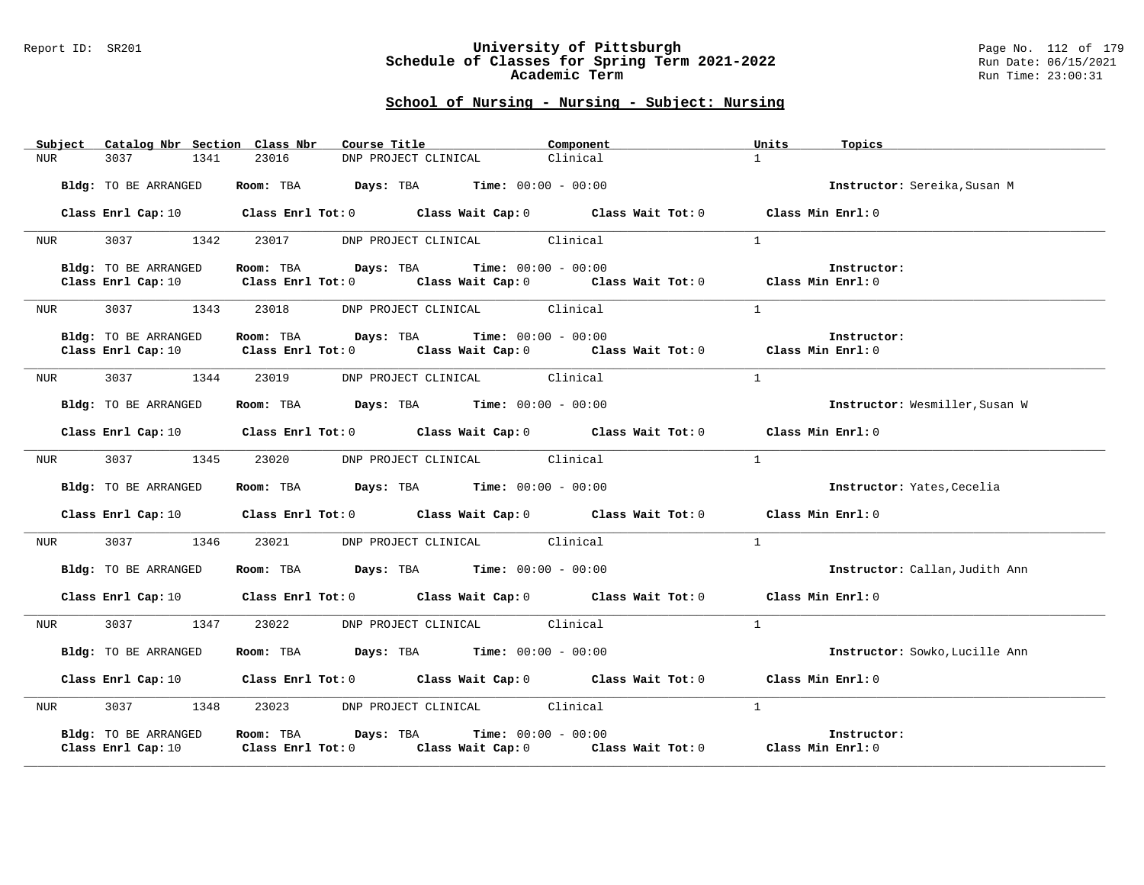#### Report ID: SR201 **University of Pittsburgh** Page No. 112 of 179 **Schedule of Classes for Spring Term 2021-2022** Run Date: 06/15/2021 **Academic Term** Run Time: 23:00:31

| Subject          | Catalog Nbr Section Class Nbr              | Course Title                                                                                                                                                                  | Component | Units<br>Topics                |
|------------------|--------------------------------------------|-------------------------------------------------------------------------------------------------------------------------------------------------------------------------------|-----------|--------------------------------|
| NUR              | 1341<br>3037                               | 23016<br>DNP PROJECT CLINICAL                                                                                                                                                 | Clinical  | $\mathbf{1}$                   |
|                  | Bldg: TO BE ARRANGED                       | Room: TBA $Days:$ TBA Time: $00:00 - 00:00$                                                                                                                                   |           | Instructor: Sereika, Susan M   |
|                  |                                            | Class Enrl Cap: 10 Class Enrl Tot: 0 Class Wait Cap: 0 Class Wait Tot: 0 Class Min Enrl: 0                                                                                    |           |                                |
| NUR              | 3037<br>1342                               | DNP PROJECT CLINICAL Clinical<br>23017                                                                                                                                        |           | $\mathbf{1}$                   |
|                  | Bldg: TO BE ARRANGED                       | Room: TBA $Days:$ TBA $Time: 00:00 - 00:00$<br>Class Enrl Cap: 10 $\qquad$ Class Enrl Tot: 0 $\qquad$ Class Wait Cap: 0 $\qquad$ Class Wait Tot: 0 $\qquad$ Class Min Enrl: 0 |           | Instructor:                    |
| NUR <sub>e</sub> | 3037<br>1343                               | 23018 DNP PROJECT CLINICAL Clinical                                                                                                                                           |           | $\mathbf{1}$                   |
|                  | Bldg: TO BE ARRANGED                       | Room: TBA $Days: TBA$ Time: $00:00 - 00:00$<br>Class Enrl Cap: 10 $\qquad$ Class Enrl Tot: 0 $\qquad$ Class Wait Cap: 0 $\qquad$ Class Wait Tot: 0 $\qquad$ Class Min Enrl: 0 |           | Instructor:                    |
| NUR <sub>u</sub> | 3037<br>1344                               | DNP PROJECT CLINICAL Clinical<br>23019                                                                                                                                        |           | $\mathbf{1}$                   |
|                  | Bldg: TO BE ARRANGED                       | Room: TBA $Days:$ TBA $Time: 00:00 - 00:00$                                                                                                                                   |           | Instructor: Wesmiller, Susan W |
|                  |                                            | Class Enrl Cap: 10 Class Enrl Tot: 0 Class Wait Cap: 0 Class Wait Tot: 0 Class Min Enrl: 0                                                                                    |           |                                |
| NUR              | 3037<br>1345 23020                         | DNP PROJECT CLINICAL Clinical                                                                                                                                                 |           | $\mathbf{1}$                   |
|                  | Bldg: TO BE ARRANGED                       | Room: TBA $Days:$ TBA Time: $00:00 - 00:00$                                                                                                                                   |           | Instructor: Yates, Cecelia     |
|                  |                                            | Class Enrl Cap: 10 $\qquad$ Class Enrl Tot: 0 $\qquad$ Class Wait Cap: 0 $\qquad$ Class Wait Tot: 0 $\qquad$ Class Min Enrl: 0                                                |           |                                |
| NUR <b>NUR</b>   |                                            | 3037 1346 23021 DNP PROJECT CLINICAL Clinical                                                                                                                                 |           | $\mathbf{1}$                   |
|                  | Bldg: TO BE ARRANGED                       | <b>Room:</b> TBA $Days:$ TBA $Time: 00:00 - 00:00$                                                                                                                            |           | Instructor: Callan, Judith Ann |
|                  |                                            | Class Enrl Cap: 10 $\qquad$ Class Enrl Tot: 0 $\qquad$ Class Wait Cap: 0 $\qquad$ Class Wait Tot: 0 $\qquad$ Class Min Enrl: 0                                                |           |                                |
| NUR <b>NUR</b>   |                                            | 3037 1347 23022 DNP PROJECT CLINICAL Clinical                                                                                                                                 |           | $\mathbf{1}$                   |
|                  |                                            | Bldg: TO BE ARRANGED Room: TBA Days: TBA Time: 00:00 - 00:00                                                                                                                  |           | Instructor: Sowko, Lucille Ann |
|                  |                                            | Class Enrl Cap: 10 $\qquad$ Class Enrl Tot: 0 $\qquad$ Class Wait Cap: 0 $\qquad$ Class Wait Tot: 0 $\qquad$ Class Min Enrl: 0                                                |           |                                |
| <b>NUR</b>       | 3037 1348                                  | 23023 DNP PROJECT CLINICAL Clinical                                                                                                                                           |           | 1                              |
|                  | Bldg: TO BE ARRANGED<br>Class Enrl Cap: 10 | Room: TBA $Days:$ TBA $Time: 00:00 - 00:00$<br>Class Enrl Tot: $0$ Class Wait Cap: $0$ Class Wait Tot: $0$ Class Min Enrl: $0$                                                |           | Instructor:                    |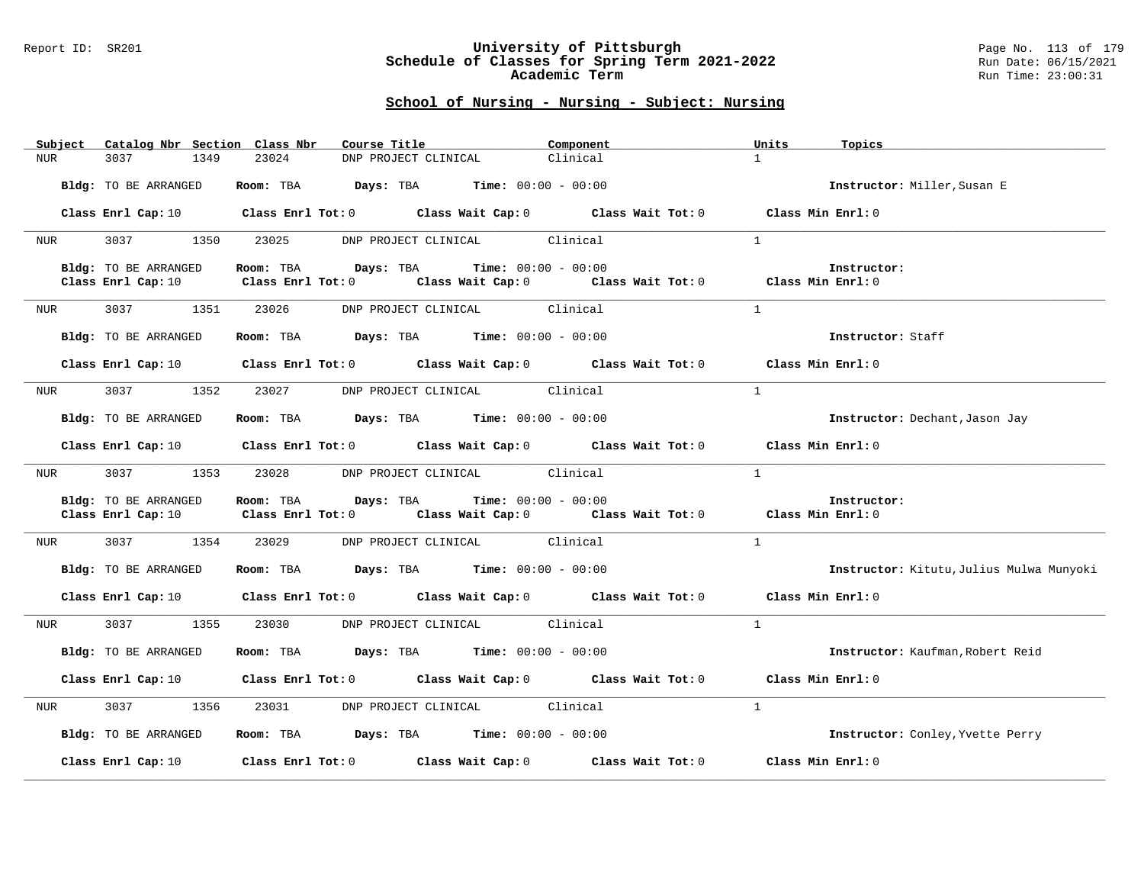#### Report ID: SR201 **University of Pittsburgh** Page No. 113 of 179 **Schedule of Classes for Spring Term 2021-2022** Run Date: 06/15/2021 **Academic Term** Run Time: 23:00:31

| Subject          | Catalog Nbr Section Class Nbr | Course Title                                                                                                                                                                                 | Component                                             | Units<br>Topics                          |
|------------------|-------------------------------|----------------------------------------------------------------------------------------------------------------------------------------------------------------------------------------------|-------------------------------------------------------|------------------------------------------|
| NUR              | 3037<br>1349                  | 23024<br>DNP PROJECT CLINICAL                                                                                                                                                                | Clinical                                              | $\mathbf{1}$                             |
|                  | Bldg: TO BE ARRANGED          | Room: TBA $Days:$ TBA $Time: 00:00 - 00:00$                                                                                                                                                  |                                                       | Instructor: Miller, Susan E              |
|                  |                               | Class Enrl Cap: 10 $\qquad$ Class Enrl Tot: 0 $\qquad$ Class Wait Cap: 0 $\qquad$ Class Wait Tot: 0 $\qquad$ Class Min Enrl: 0                                                               |                                                       |                                          |
| NUR <sub>i</sub> | 3037 1350                     | DNP PROJECT CLINICAL Clinical<br>23025                                                                                                                                                       |                                                       | $\mathbf{1}$                             |
|                  | Bldg: TO BE ARRANGED          | Room: TBA $Days:$ TBA $Time: 00:00 - 00:00$<br>Class Enrl Cap: $10$ Class Enrl Tot: $0$                                                                                                      | Class Wait Cap: 0 Class Wait Tot: 0 Class Min Enrl: 0 | Instructor:                              |
|                  |                               |                                                                                                                                                                                              |                                                       |                                          |
| NUR <sub>p</sub> | 3037 1351 23026               | DNP PROJECT CLINICAL Clinical                                                                                                                                                                |                                                       | $\mathbf{1}$                             |
|                  | Bldg: TO BE ARRANGED          | Room: TBA $Days:$ TBA $Time: 00:00 - 00:00$                                                                                                                                                  |                                                       | Instructor: Staff                        |
|                  |                               | Class Enrl Cap: 10 $\qquad$ Class Enrl Tot: 0 $\qquad$ Class Wait Cap: 0 $\qquad$ Class Wait Tot: 0 $\qquad$ Class Min Enrl: 0                                                               |                                                       |                                          |
| NUR <sub>p</sub> | 3037 1352                     | 23027 DNP PROJECT CLINICAL Clinical                                                                                                                                                          |                                                       | $\mathbf{1}$                             |
|                  | Bldg: TO BE ARRANGED          | Room: TBA $\rule{1em}{0.15mm}$ Days: TBA $\rule{1.15mm}]{0.15mm}$ Time: $0.0100 - 0.0100$                                                                                                    |                                                       | Instructor: Dechant, Jason Jay           |
|                  |                               | Class Enrl Cap: 10 $\qquad$ Class Enrl Tot: 0 $\qquad$ Class Wait Cap: 0 $\qquad$ Class Wait Tot: 0 $\qquad$ Class Min Enrl: 0                                                               |                                                       |                                          |
| <b>NUR</b>       | 3037 1353                     | 23028<br>DNP PROJECT CLINICAL Clinical                                                                                                                                                       |                                                       | $\overline{1}$                           |
|                  | Bldg: TO BE ARRANGED          | <b>Days:</b> TBA <b>Time:</b> $00:00 - 00:00$<br>Room: TBA<br>Class Enrl Cap: 10 $\qquad$ Class Enrl Tot: 0 $\qquad$ Class Wait Cap: 0 $\qquad$ Class Wait Tot: 0 $\qquad$ Class Min Enrl: 0 |                                                       | Instructor:                              |
| NUR <sub>p</sub> | 3037 1354                     | 23029<br>DNP PROJECT CLINICAL Clinical                                                                                                                                                       |                                                       | $\overline{1}$                           |
|                  | Bldg: TO BE ARRANGED          | Room: TBA $Days:$ TBA $Time: 00:00 - 00:00$                                                                                                                                                  |                                                       | Instructor: Kitutu, Julius Mulwa Munyoki |
|                  |                               | Class Enrl Cap: 10 $\qquad$ Class Enrl Tot: 0 $\qquad$ Class Wait Cap: 0 $\qquad$ Class Wait Tot: 0 $\qquad$ Class Min Enrl: 0                                                               |                                                       |                                          |
| NUR <b>NUR</b>   | 3037<br>1355                  | DNP PROJECT CLINICAL Clinical<br>23030                                                                                                                                                       |                                                       | $\mathbf{1}$                             |
|                  | Bldg: TO BE ARRANGED          | Room: TBA $Days:$ TBA $Time: 00:00 - 00:00$                                                                                                                                                  |                                                       | Instructor: Kaufman, Robert Reid         |
|                  |                               | Class Enrl Cap: 10 $\qquad$ Class Enrl Tot: 0 $\qquad$ Class Wait Cap: 0 $\qquad$ Class Wait Tot: 0 $\qquad$ Class Min Enrl: 0                                                               |                                                       |                                          |
| NUR <b>NUR</b>   | 3037 1356                     | 23031 DNP PROJECT CLINICAL Clinical                                                                                                                                                          |                                                       | $\mathbf{1}$                             |
|                  | Bldg: TO BE ARRANGED          | Room: TBA $Days:$ TBA Time: $00:00 - 00:00$                                                                                                                                                  |                                                       | Instructor: Conley, Yvette Perry         |
|                  | Class Enrl Cap: 10            | Class Enrl Tot: $0$ Class Wait Cap: $0$ Class Wait Tot: $0$                                                                                                                                  |                                                       | Class Min Enrl: 0                        |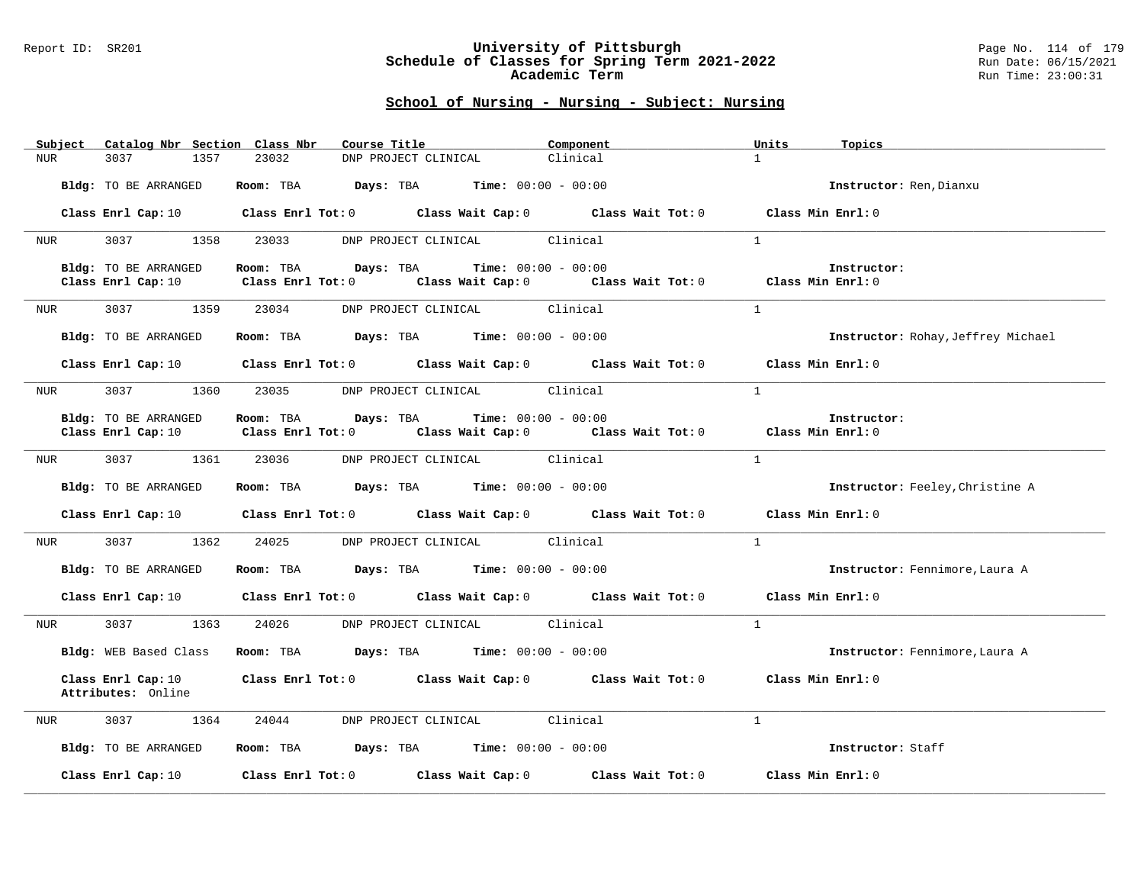#### Report ID: SR201 **University of Pittsburgh** Page No. 114 of 179 **Schedule of Classes for Spring Term 2021-2022** Run Date: 06/15/2021 **Academic Term** Run Time: 23:00:31

| Subject<br>Catalog Nbr Section Class Nbr | Course Title                                                             | Component                                                                                                                      | Units<br>Topics                    |
|------------------------------------------|--------------------------------------------------------------------------|--------------------------------------------------------------------------------------------------------------------------------|------------------------------------|
| 3037<br>1357<br>NUR                      | 23032<br>DNP PROJECT CLINICAL                                            | Clinical                                                                                                                       | $\mathbf{1}$                       |
| Bldg: TO BE ARRANGED                     | Room: TBA $Days:$ TBA $Time: 00:00 - 00:00$                              |                                                                                                                                | Instructor: Ren, Dianxu            |
|                                          |                                                                          | Class Enrl Cap: 10 $\qquad$ Class Enrl Tot: 0 $\qquad$ Class Wait Cap: 0 $\qquad$ Class Wait Tot: 0 $\qquad$ Class Min Enrl: 0 |                                    |
| 3037 1358<br>NUR <sub>p</sub>            | 23033 DNP PROJECT CLINICAL Clinical                                      |                                                                                                                                | $\overline{1}$                     |
| Bldg: TO BE ARRANGED                     | Room: TBA $Days:$ TBA $Time: 00:00 - 00:00$                              |                                                                                                                                | Instructor:                        |
| Class Enrl Cap: 10                       | $Class$ $Enr1$ $Tot: 0$                                                  | Class Wait Cap: $0$ Class Wait Tot: $0$ Class Min Enrl: $0$                                                                    |                                    |
| 3037 1359<br>NUR <b>NUR</b>              | DNP PROJECT CLINICAL Clinical<br>23034                                   |                                                                                                                                | $\mathbf{1}$                       |
| Bldg: TO BE ARRANGED                     | Room: TBA $Days:$ TBA $Time: 00:00 - 00:00$                              |                                                                                                                                | Instructor: Rohay, Jeffrey Michael |
|                                          | Class Enrl Cap: 10 Class Enrl Tot: 0 Class Wait Cap: 0 Class Wait Tot: 0 |                                                                                                                                | Class Min Enrl: 0                  |
| 3037<br>1360<br>NUR <sub>tion</sub>      | 23035<br>DNP PROJECT CLINICAL Clinical                                   |                                                                                                                                | $\mathbf{1}$                       |
| Bldg: TO BE ARRANGED                     | Room: TBA $Days:$ TBA $Time: 00:00 - 00:00$                              |                                                                                                                                | Instructor:                        |
| Class Enrl Cap: 10                       | Class Enrl Tot: $0$ Class Wait Cap: $0$ Class Wait Tot: $0$              |                                                                                                                                | Class Min Enrl: 0                  |
| 3037<br>1361<br>NUR <sub>p</sub>         | DNP PROJECT CLINICAL Clinical<br>23036                                   |                                                                                                                                | $\mathbf{1}$                       |
| Bldg: TO BE ARRANGED                     | Room: TBA $Days: TBA$ Time: $00:00 - 00:00$                              |                                                                                                                                | Instructor: Feeley, Christine A    |
|                                          |                                                                          | Class Enrl Cap: 10 Class Enrl Tot: 0 Class Wait Cap: 0 Class Wait Tot: 0 Class Min Enrl: 0                                     |                                    |
| NUR <sub>p</sub>                         | 3037 1362 24025 DNP PROJECT CLINICAL Clinical                            |                                                                                                                                | $\mathbf{1}$                       |
| Bldg: TO BE ARRANGED                     | Room: TBA $Days:$ TBA $Time: 00:00 - 00:00$                              |                                                                                                                                | Instructor: Fennimore, Laura A     |
|                                          |                                                                          | Class Enrl Cap: 10 $\qquad$ Class Enrl Tot: 0 $\qquad$ Class Wait Cap: 0 $\qquad$ Class Wait Tot: 0 $\qquad$ Class Min Enrl: 0 |                                    |
| 3037 1363<br>NUR <sub>p</sub>            | DNP PROJECT CLINICAL Clinical<br>24026                                   |                                                                                                                                | $\mathbf{1}$                       |
| Bldg: WEB Based Class                    | Room: TBA $Days:$ TBA $Time: 00:00 - 00:00$                              |                                                                                                                                | Instructor: Fennimore, Laura A     |
| Class Enrl Cap: 10<br>Attributes: Online |                                                                          | Class Enrl Tot: $0$ Class Wait Cap: $0$ Class Wait Tot: $0$ Class Min Enrl: $0$                                                |                                    |
| 3037<br>1364<br>NUR                      | DNP PROJECT CLINICAL Clinical<br>24044                                   |                                                                                                                                | $\mathbf{1}$                       |
| Bldg: TO BE ARRANGED                     | Room: TBA $Days:$ TBA Time: $00:00 - 00:00$                              |                                                                                                                                | Instructor: Staff                  |
| Class Enrl Cap: 10                       |                                                                          | Class Enrl Tot: 0 $\qquad$ Class Wait Cap: 0 $\qquad$ Class Wait Tot: 0 $\qquad$ Class Min Enrl: 0                             |                                    |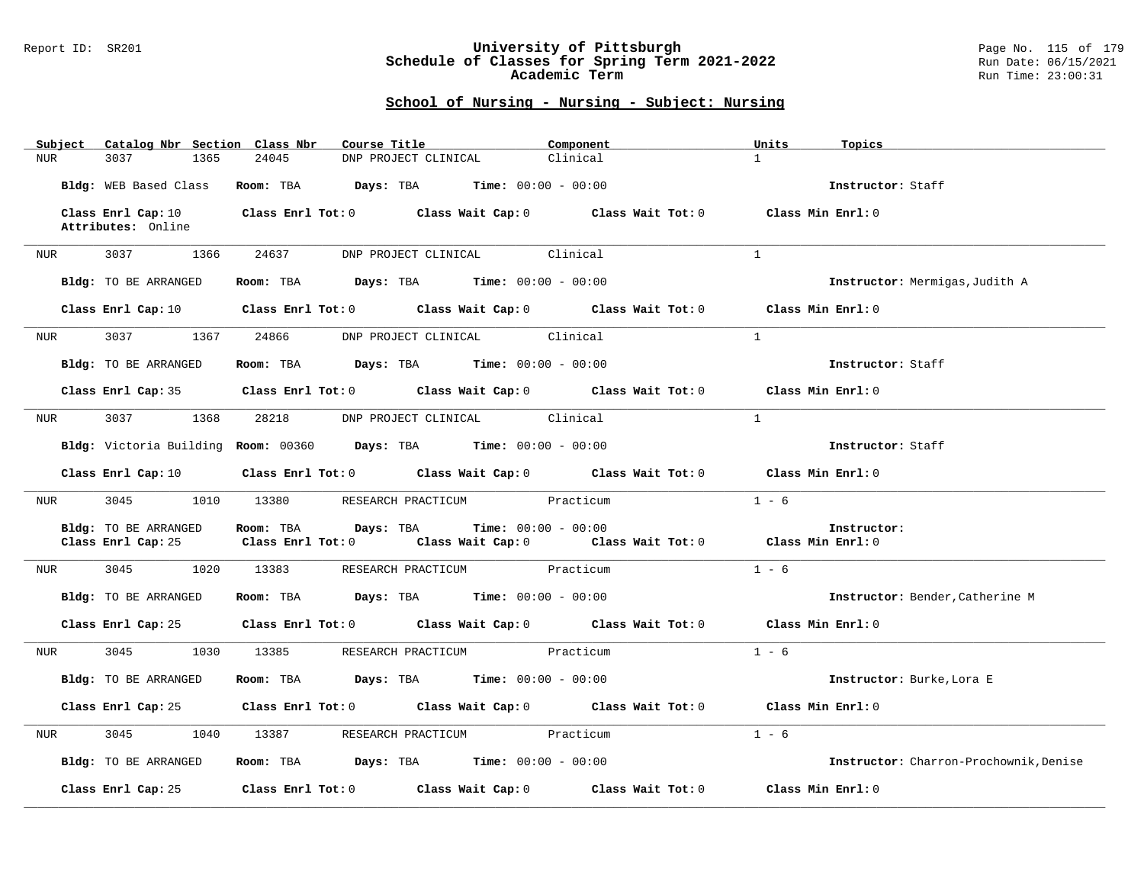#### Report ID: SR201 **University of Pittsburgh** Page No. 115 of 179 **Schedule of Classes for Spring Term 2021-2022** Run Date: 06/15/2021 **Academic Term** Run Time: 23:00:31

|                  | Subject Catalog Nbr Section Class Nbr      | Course Title                                                                                                                   | Component | Units<br>Topics                        |
|------------------|--------------------------------------------|--------------------------------------------------------------------------------------------------------------------------------|-----------|----------------------------------------|
| NUR              | 3037<br>1365                               | 24045<br>DNP PROJECT CLINICAL                                                                                                  | Clinical  | $\mathbf{1}$                           |
|                  | Bldg: WEB Based Class                      | Room: TBA $Days:$ TBA $Time: 00:00 - 00:00$                                                                                    |           | Instructor: Staff                      |
|                  | Class Enrl Cap: 10<br>Attributes: Online   | Class Enrl Tot: $0$ Class Wait Cap: $0$ Class Wait Tot: $0$ Class Min Enrl: $0$                                                |           |                                        |
| NUR <b>NUR</b>   | 3037 1366                                  | DNP PROJECT CLINICAL Clinical<br>24637                                                                                         |           | $\mathbf{1}$                           |
|                  | Bldg: TO BE ARRANGED                       | Room: TBA $Days:$ TBA $Time: 00:00 - 00:00$                                                                                    |           | Instructor: Mermigas, Judith A         |
|                  |                                            | Class Enrl Cap: 10 Class Enrl Tot: 0 Class Wait Cap: 0 Class Wait Tot: 0 Class Min Enrl: 0                                     |           |                                        |
| NUR              | 3037<br>1367                               | DNP PROJECT CLINICAL Clinical<br>24866 200                                                                                     |           | 1                                      |
|                  | Bldg: TO BE ARRANGED                       | Room: TBA $Days:$ TBA Time: $00:00 - 00:00$                                                                                    |           | Instructor: Staff                      |
|                  |                                            | Class Enrl Cap: 35 Class Enrl Tot: 0 Class Wait Cap: 0 Class Wait Tot: 0 Class Min Enrl: 0                                     |           |                                        |
| NUR              | 3037 1368                                  | DNP PROJECT CLINICAL Clinical<br>28218                                                                                         |           | $\mathbf{1}$                           |
|                  |                                            | Bldg: Victoria Building Room: 00360 Days: TBA Time: 00:00 - 00:00                                                              |           | Instructor: Staff                      |
|                  | Class Enrl Cap: 10                         | Class Enrl Tot: 0 Class Wait Cap: 0 Class Wait Tot: 0                                                                          |           | Class Min Enrl: 0                      |
| NUR              | 3045<br>1010                               | RESEARCH PRACTICUM Practicum<br>13380                                                                                          |           | $1 - 6$                                |
|                  | Bldg: TO BE ARRANGED<br>Class Enrl Cap: 25 | Room: TBA $Days:$ TBA $Time: 00:00 - 00:00$<br>Class Enrl Tot: $0$ Class Wait Cap: $0$ Class Wait Tot: $0$ Class Min Enrl: $0$ |           | Instructor:                            |
| NUR              | 3045<br>1020                               | RESEARCH PRACTICUM Practicum<br>13383                                                                                          |           | $1 - 6$                                |
|                  | Bldg: TO BE ARRANGED                       | Room: TBA $\rule{1em}{0.15mm}$ Days: TBA $\rule{1.5mm}{0.15mm}$ Time: $00:00 - 00:00$                                          |           | Instructor: Bender, Catherine M        |
|                  |                                            | Class Enrl Cap: 25 Class Enrl Tot: 0 Class Wait Cap: 0 Class Wait Tot: 0 Class Min Enrl: 0                                     |           |                                        |
| NUR <sub>i</sub> | 3045 1030 13385                            | RESEARCH PRACTICUM Practicum                                                                                                   |           | $1 - 6$                                |
|                  | Bldg: TO BE ARRANGED                       | Room: TBA $Days:$ TBA $Time: 00:00 - 00:00$                                                                                    |           | Instructor: Burke, Lora E              |
|                  |                                            | Class Enrl Cap: 25 Class Enrl Tot: 0 Class Wait Cap: 0 Class Wait Tot: 0                                                       |           | Class Min Enrl: 0                      |
| NUR              | 3045<br>1040                               | RESEARCH PRACTICUM Practicum<br>13387                                                                                          |           | $1 - 6$                                |
|                  | Bldg: TO BE ARRANGED                       | Room: TBA $Days:$ TBA $Time: 00:00 - 00:00$                                                                                    |           | Instructor: Charron-Prochownik, Denise |
|                  | Class Enrl Cap: 25                         | Class Enrl Tot: $0$ Class Wait Cap: $0$ Class Wait Tot: $0$                                                                    |           | Class Min Enrl: 0                      |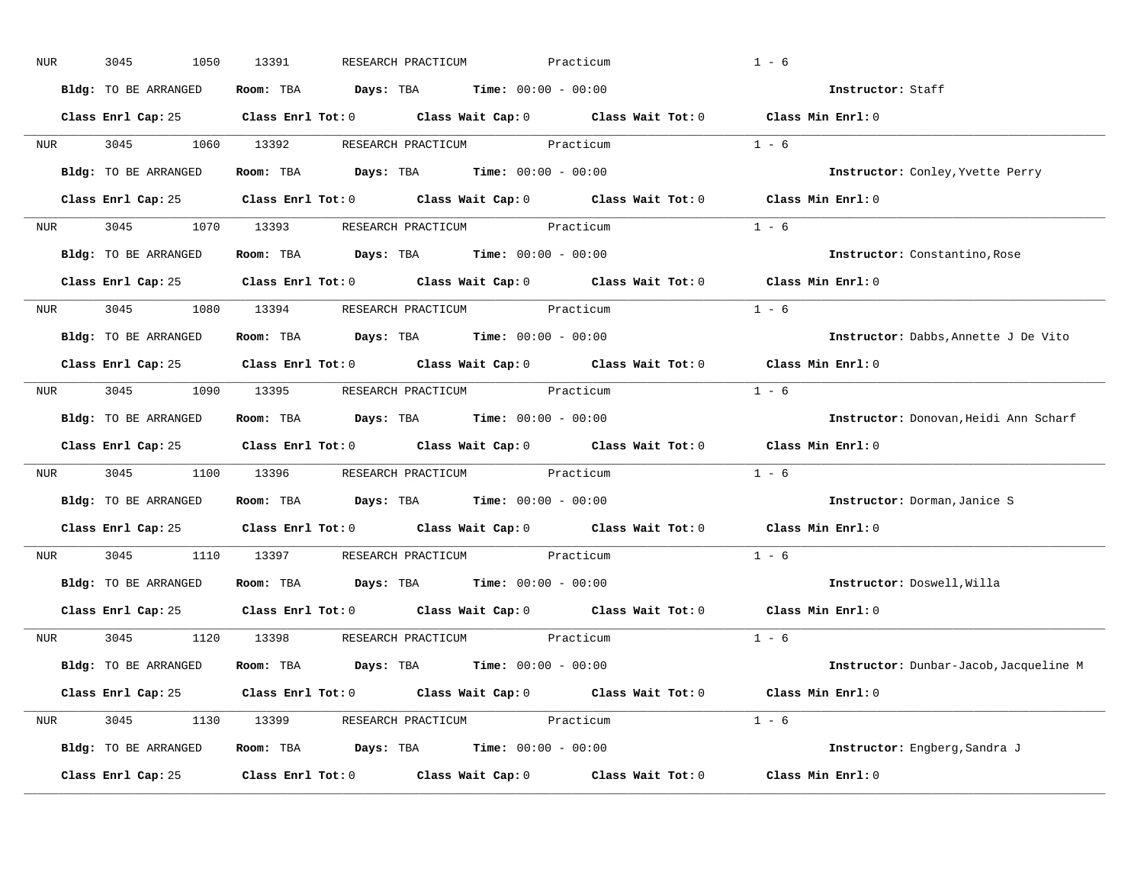| NUR |            | 3045<br>1050         | 13391<br>RESEARCH PRACTICUM                                                                | Practicum | $1 - 6$                                |
|-----|------------|----------------------|--------------------------------------------------------------------------------------------|-----------|----------------------------------------|
|     |            | Bldg: TO BE ARRANGED | Room: TBA $Days:$ TBA $Time: 00:00 - 00:00$                                                |           | Instructor: Staff                      |
|     |            |                      | Class Enrl Cap: 25 Class Enrl Tot: 0 Class Wait Cap: 0 Class Wait Tot: 0 Class Min Enrl: 0 |           |                                        |
|     |            |                      | NUR 3045 1060 13392 RESEARCH PRACTICUM Practicum                                           |           | $1 - 6$                                |
|     |            | Bldg: TO BE ARRANGED | Room: TBA $\rule{1em}{0.15mm}$ Days: TBA Time: $00:00 - 00:00$                             |           | Instructor: Conley, Yvette Perry       |
|     |            |                      | Class Enrl Cap: 25 Class Enrl Tot: 0 Class Wait Cap: 0 Class Wait Tot: 0 Class Min Enrl: 0 |           |                                        |
|     |            |                      | NUR 3045 1070 13393 RESEARCH PRACTICUM Practicum                                           |           | $1 - 6$                                |
|     |            |                      | Bldg: TO BE ARRANGED Room: TBA Days: TBA Time: 00:00 - 00:00                               |           | Instructor: Constantino, Rose          |
|     |            |                      | Class Enrl Cap: 25 $\hbox{Class Enrl Tot:0}$ Class Wait Cap: 0 $\hbox{Class Naitr O}$      |           | Class Min Enrl: 0                      |
|     |            |                      | NUR 3045 1080 13394 RESEARCH PRACTICUM Practicum                                           |           | $1 - 6$                                |
|     |            | Bldg: TO BE ARRANGED | Room: TBA $\rule{1em}{0.15mm}$ Days: TBA $\rule{1.15mm}]{0.15mm}$ Time: $0.000 - 0.0000$   |           | Instructor: Dabbs, Annette J De Vito   |
|     |            |                      | Class Enrl Cap: 25 Class Enrl Tot: 0 Class Wait Cap: 0 Class Wait Tot: 0                   |           | Class Min $Enr1:0$                     |
|     |            |                      | NUR 3045 1090 13395 RESEARCH PRACTICUM Practicum                                           |           | $1 - 6$                                |
|     |            | Bldg: TO BE ARRANGED | Room: TBA $\rule{1em}{0.15mm}$ Days: TBA Time: $00:00 - 00:00$                             |           | Instructor: Donovan, Heidi Ann Scharf  |
|     |            |                      | Class Enrl Cap: 25 Class Enrl Tot: 0 Class Wait Cap: 0 Class Wait Tot: 0                   |           | Class Min Enrl: 0                      |
|     |            |                      | NUR 3045 1100 13396 RESEARCH PRACTICUM Practicum                                           |           | $1 - 6$                                |
|     |            | Bldg: TO BE ARRANGED | Room: TBA $Days:$ TBA Time: $00:00 - 00:00$                                                |           | Instructor: Dorman, Janice S           |
|     |            |                      | Class Enrl Cap: 25 Class Enrl Tot: 0 Class Wait Cap: 0 Class Wait Tot: 0                   |           | Class Min Enrl: 0                      |
|     | <b>NUR</b> |                      | 3045 1110 13397 RESEARCH PRACTICUM Practicum                                               |           | $1 - 6$                                |
|     |            | Bldg: TO BE ARRANGED | Room: TBA $\rule{1em}{0.15mm}$ Days: TBA $\rule{1.15mm}]{0.15mm}$ Time: $0.000 - 0.0000$   |           | Instructor: Doswell, Willa             |
|     |            | Class Enrl Cap: 25   | Class Enrl Tot: $0$ Class Wait Cap: $0$ Class Wait Tot: $0$                                |           | Class Min Enrl: 0                      |
|     |            |                      | NUR 3045 1120 13398 RESEARCH PRACTICUM Practicum                                           |           | $1 - 6$                                |
|     |            | Bldg: TO BE ARRANGED | Room: TBA $Days:$ TBA $Time: 00:00 - 00:00$                                                |           | Instructor: Dunbar-Jacob, Jacqueline M |
|     |            |                      | Class Enrl Cap: 25 Class Enrl Tot: 0 Class Wait Cap: 0 Class Wait Tot: 0 Class Min Enrl: 0 |           |                                        |
|     |            |                      | NUR 3045 1130 13399 RESEARCH PRACTICUM Practicum                                           |           | $1 - 6$                                |
|     |            | Bldg: TO BE ARRANGED | Room: TBA $Days: TBA$ Time: $00:00 - 00:00$                                                |           | Instructor: Engberg, Sandra J          |
|     |            | Class Enrl Cap: 25   | Class Enrl Tot: $0$ Class Wait Cap: $0$ Class Wait Tot: $0$ Class Min Enrl: $0$            |           |                                        |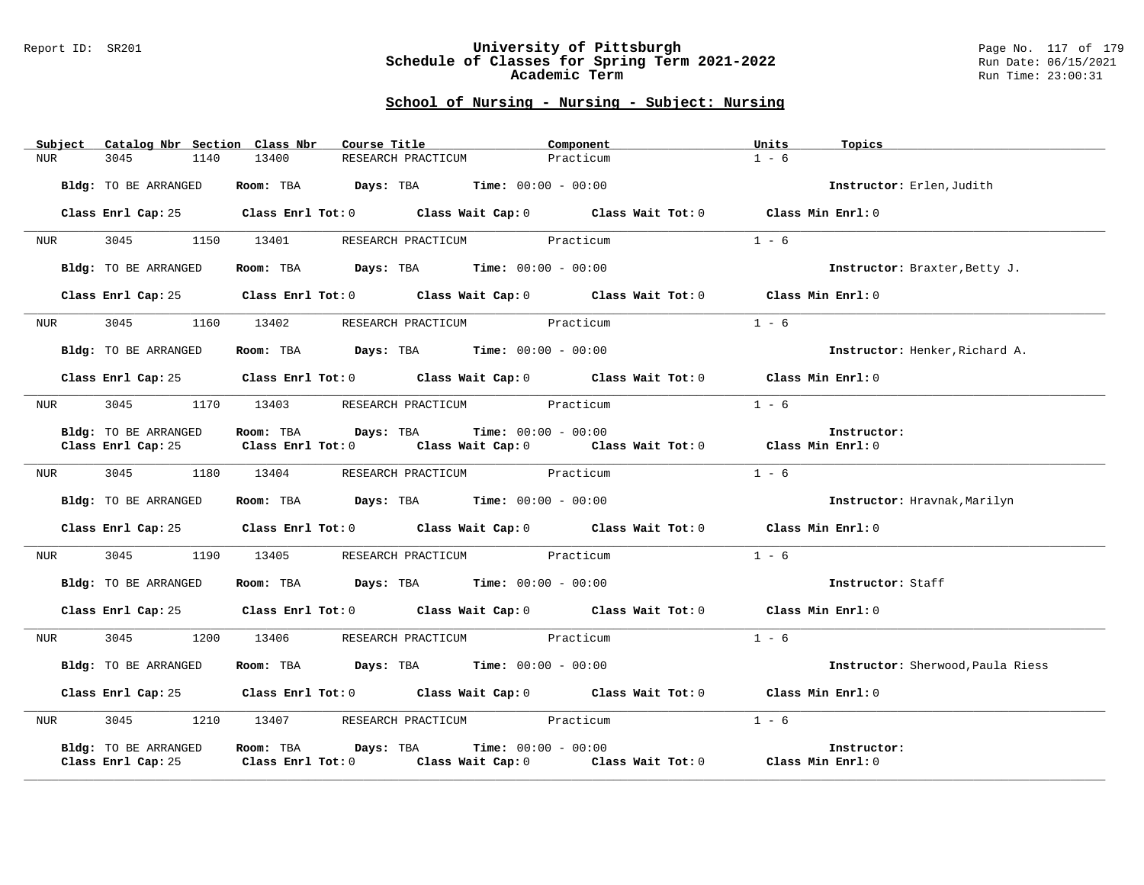#### Report ID: SR201 **University of Pittsburgh** Page No. 117 of 179 **Schedule of Classes for Spring Term 2021-2022** Run Date: 06/15/2021 **Academic Term** Run Time: 23:00:31

| Subject             | Catalog Nbr Section Class Nbr | Course Title | Component                                                                                  | Units<br>Topics                |                                   |
|---------------------|-------------------------------|--------------|--------------------------------------------------------------------------------------------|--------------------------------|-----------------------------------|
| <b>NUR</b>          | 3045<br>1140                  | 13400        | RESEARCH PRACTICUM<br>Practicum                                                            | $1 - 6$                        |                                   |
|                     |                               |              |                                                                                            |                                |                                   |
|                     | Bldg: TO BE ARRANGED          |              | Room: TBA $Days:$ TBA $Time: 00:00 - 00:00$                                                | Instructor: Erlen, Judith      |                                   |
|                     |                               |              |                                                                                            |                                |                                   |
|                     |                               |              | Class Enrl Cap: 25 Class Enrl Tot: 0 Class Wait Cap: 0 Class Wait Tot: 0 Class Min Enrl: 0 |                                |                                   |
|                     |                               |              |                                                                                            |                                |                                   |
| NUR <sub>i</sub>    |                               |              | 3045 1150 13401 RESEARCH PRACTICUM Practicum                                               | $1 - 6$                        |                                   |
|                     |                               |              |                                                                                            |                                |                                   |
|                     | Bldg: TO BE ARRANGED          |              | Room: TBA $Days:$ TBA $Time:$ 00:00 - 00:00                                                | Instructor: Braxter, Betty J.  |                                   |
|                     |                               |              |                                                                                            |                                |                                   |
|                     |                               |              | Class Enrl Cap: 25 Class Enrl Tot: 0 Class Wait Cap: 0 Class Wait Tot: 0 Class Min Enrl: 0 |                                |                                   |
|                     |                               |              |                                                                                            |                                |                                   |
| NUR <sub>tion</sub> |                               |              | 3045 1160 13402 RESEARCH PRACTICUM Practicum                                               | $1 - 6$                        |                                   |
|                     |                               |              |                                                                                            |                                |                                   |
|                     | Bldg: TO BE ARRANGED          |              | Room: TBA $Days:$ TBA $Time: 00:00 - 00:00$                                                | Instructor: Henker, Richard A. |                                   |
|                     |                               |              |                                                                                            |                                |                                   |
|                     |                               |              | Class Enrl Cap: 25 Class Enrl Tot: 0 Class Wait Cap: 0 Class Wait Tot: 0 Class Min Enrl: 0 |                                |                                   |
|                     |                               |              |                                                                                            |                                |                                   |
|                     |                               |              | 3045 1170 13403 RESEARCH PRACTICUM Practicum                                               | $1 - 6$                        |                                   |
| NUR <b>NUR</b>      |                               |              |                                                                                            |                                |                                   |
|                     | Bldg: TO BE ARRANGED          |              | Room: TBA $Days:$ TBA $Time: 00:00 - 00:00$                                                | Instructor:                    |                                   |
|                     |                               |              | Class Enrl Tot: $0$ Class Wait Cap: $0$ Class Wait Tot: $0$ Class Min Enrl: $0$            |                                |                                   |
|                     | Class Enrl Cap: 25            |              |                                                                                            |                                |                                   |
|                     | NUR 3045 1180 13404           |              | RESEARCH PRACTICUM Practicum                                                               | $1 - 6$                        |                                   |
|                     |                               |              |                                                                                            |                                |                                   |
|                     |                               |              |                                                                                            |                                |                                   |
|                     | Bldg: TO BE ARRANGED          |              | Room: TBA $\rule{1em}{0.15mm}$ Days: TBA Time: $00:00 - 00:00$                             | Instructor: Hravnak, Marilyn   |                                   |
|                     |                               |              |                                                                                            |                                |                                   |
|                     |                               |              | Class Enrl Cap: 25 Class Enrl Tot: 0 Class Wait Cap: 0 Class Wait Tot: 0 Class Min Enrl: 0 |                                |                                   |
|                     |                               |              |                                                                                            |                                |                                   |
| NUR                 | 3045<br>1190                  |              | 13405 RESEARCH PRACTICUM Practicum                                                         | $1 - 6$                        |                                   |
|                     |                               |              |                                                                                            |                                |                                   |
|                     | Bldg: TO BE ARRANGED          |              | Room: TBA $Days:$ TBA $Time: 00:00 - 00:00$                                                | Instructor: Staff              |                                   |
|                     |                               |              |                                                                                            |                                |                                   |
|                     |                               |              | Class Enrl Cap: 25 Class Enrl Tot: 0 Class Wait Cap: 0 Class Wait Tot: 0 Class Min Enrl: 0 |                                |                                   |
|                     |                               |              |                                                                                            |                                |                                   |
| NUR <b>NUR</b>      |                               |              | 3045 1200 13406 RESEARCH PRACTICUM Practicum                                               | $1 - 6$                        |                                   |
|                     |                               |              |                                                                                            |                                |                                   |
|                     | Bldg: TO BE ARRANGED          |              | Room: TBA $Days:$ TBA Time: $00:00 - 00:00$                                                |                                | Instructor: Sherwood, Paula Riess |
|                     |                               |              |                                                                                            |                                |                                   |
|                     |                               |              | Class Enrl Cap: 25 Class Enrl Tot: 0 Class Wait Cap: 0 Class Wait Tot: 0 Class Min Enrl: 0 |                                |                                   |
|                     |                               |              |                                                                                            |                                |                                   |
| NUR <sub>p</sub>    |                               |              | 3045 1210 13407 RESEARCH PRACTICUM Practicum                                               | $1 - 6$                        |                                   |
|                     |                               |              |                                                                                            |                                |                                   |
|                     | Bldg: TO BE ARRANGED          |              | Room: TBA $Days:$ TBA $Time: 00:00 - 00:00$                                                | Instructor:                    |                                   |
|                     | Class Enrl Cap: 25            |              | Class Enrl Tot: $0$ Class Wait Cap: $0$ Class Wait Tot: $0$ Class Min Enrl: $0$            |                                |                                   |
|                     |                               |              |                                                                                            |                                |                                   |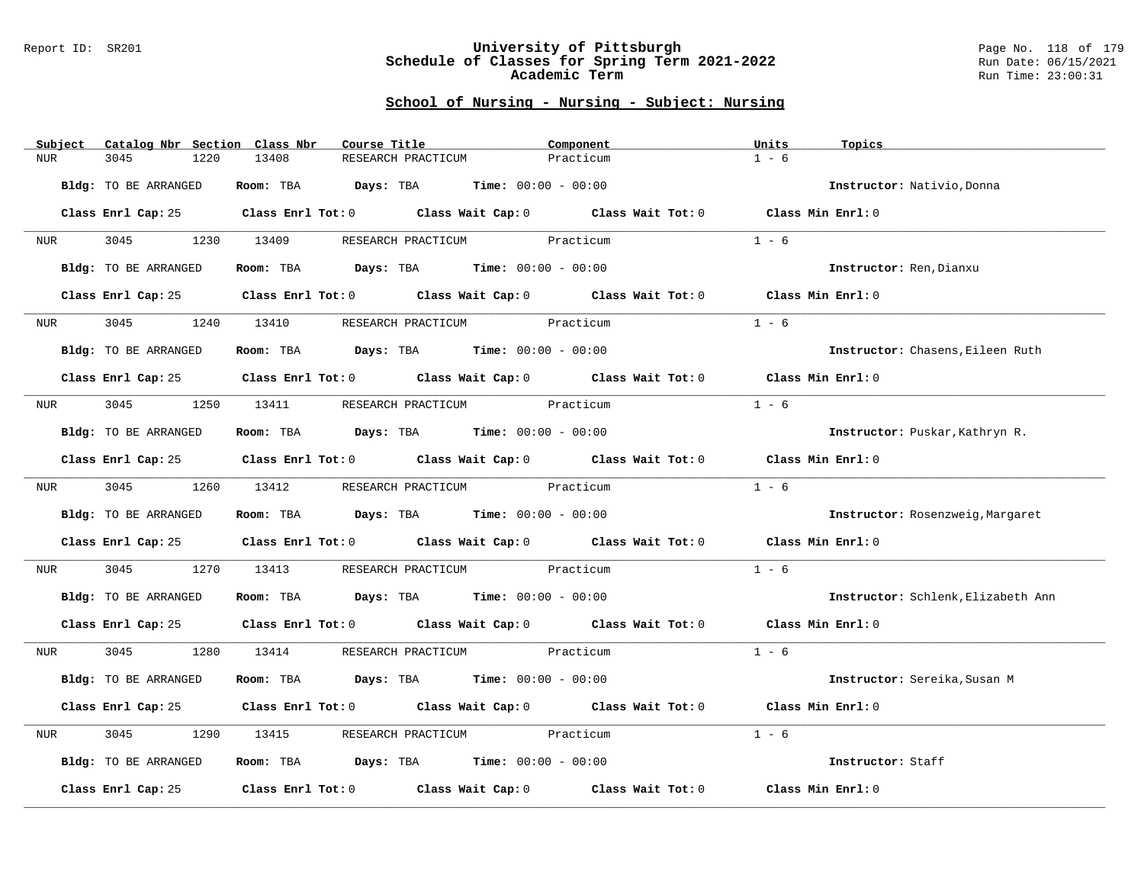#### Report ID: SR201 **University of Pittsburgh** Page No. 118 of 179 **Schedule of Classes for Spring Term 2021-2022** Run Date: 06/15/2021 **Academic Term** Run Time: 23:00:31

| Subject<br>Catalog Nbr Section Class Nbr | Course Title                                                                               | Component | Units<br>Topics                    |
|------------------------------------------|--------------------------------------------------------------------------------------------|-----------|------------------------------------|
| 3045<br>1220<br>NUR                      | 13408<br>RESEARCH PRACTICUM                                                                | Practicum | $1 - 6$                            |
| Bldg: TO BE ARRANGED                     | Room: TBA $Days:$ TBA $Time: 00:00 - 00:00$                                                |           | Instructor: Nativio, Donna         |
|                                          | Class Enrl Cap: 25 Class Enrl Tot: 0 Class Wait Cap: 0 Class Wait Tot: 0 Class Min Enrl: 0 |           |                                    |
| 3045<br><b>NUR</b>                       | 1230 13409<br>RESEARCH PRACTICUM Practicum                                                 |           | $1 - 6$                            |
| Bldg: TO BE ARRANGED                     | Room: TBA $Days:$ TBA $Time: 00:00 - 00:00$                                                |           | Instructor: Ren, Dianxu            |
|                                          | Class Enrl Cap: 25 Class Enrl Tot: 0 Class Wait Cap: 0 Class Wait Tot: 0 Class Min Enrl: 0 |           |                                    |
| 3045<br>1240<br>NUR <sub>i</sub>         | RESEARCH PRACTICUM Practicum<br>13410                                                      |           | $1 - 6$                            |
| <b>Bldg:</b> TO BE ARRANGED              | Room: TBA $Days:$ TBA $Time: 00:00 - 00:00$                                                |           | Instructor: Chasens, Eileen Ruth   |
|                                          | Class Enrl Cap: 25 Class Enrl Tot: 0 Class Wait Cap: 0 Class Wait Tot: 0 Class Min Enrl: 0 |           |                                    |
| 3045 1250 13411<br>NUR <sub>i</sub>      | RESEARCH PRACTICUM Practicum                                                               |           | $1 - 6$                            |
| Bldg: TO BE ARRANGED                     | Room: TBA $Days:$ TBA Time: $00:00 - 00:00$                                                |           | Instructor: Puskar, Kathryn R.     |
|                                          | Class Enrl Cap: 25 Class Enrl Tot: 0 Class Wait Cap: 0 Class Wait Tot: 0 Class Min Enrl: 0 |           |                                    |
|                                          | NUR 3045 1260 13412 RESEARCH PRACTICUM Practicum                                           |           | $1 - 6$                            |
| Bldg: TO BE ARRANGED                     | Room: TBA $Days:$ TBA $Time: 00:00 - 00:00$                                                |           | Instructor: Rosenzweig, Margaret   |
|                                          | Class Enrl Cap: 25 Class Enrl Tot: 0 Class Wait Cap: 0 Class Wait Tot: 0                   |           | Class Min Enrl: 0                  |
| 3045<br>1270<br>NUR                      | 13413 RESEARCH PRACTICUM Practicum                                                         |           | $1 - 6$                            |
| Bldg: TO BE ARRANGED                     | Room: TBA $Days:$ TBA $Time:$ $00:00 - 00:00$                                              |           | Instructor: Schlenk, Elizabeth Ann |
|                                          | Class Enrl Cap: 25 Class Enrl Tot: 0 Class Wait Cap: 0 Class Wait Tot: 0 Class Min Enrl: 0 |           |                                    |
| 3045<br>NUR <sub>e</sub>                 | 1280 13414<br>RESEARCH PRACTICUM Practicum                                                 |           | $1 - 6$                            |
| Bldg: TO BE ARRANGED                     | Room: TBA $Days:$ TBA $Time: 00:00 - 00:00$                                                |           | Instructor: Sereika, Susan M       |
|                                          | Class Enrl Cap: 25 Class Enrl Tot: 0 Class Wait Cap: 0 Class Wait Tot: 0                   |           | Class Min Enrl: 0                  |
| 3045<br>1290<br>NUR                      | RESEARCH PRACTICUM Practicum<br>13415                                                      |           | $1 - 6$                            |
| Bldg: TO BE ARRANGED                     | Room: TBA $Days:$ TBA $Time: 00:00 - 00:00$                                                |           | Instructor: Staff                  |
| Class Enrl Cap: 25                       | Class Enrl Tot: $0$ Class Wait Cap: $0$ Class Wait Tot: $0$                                |           | Class Min Enrl: 0                  |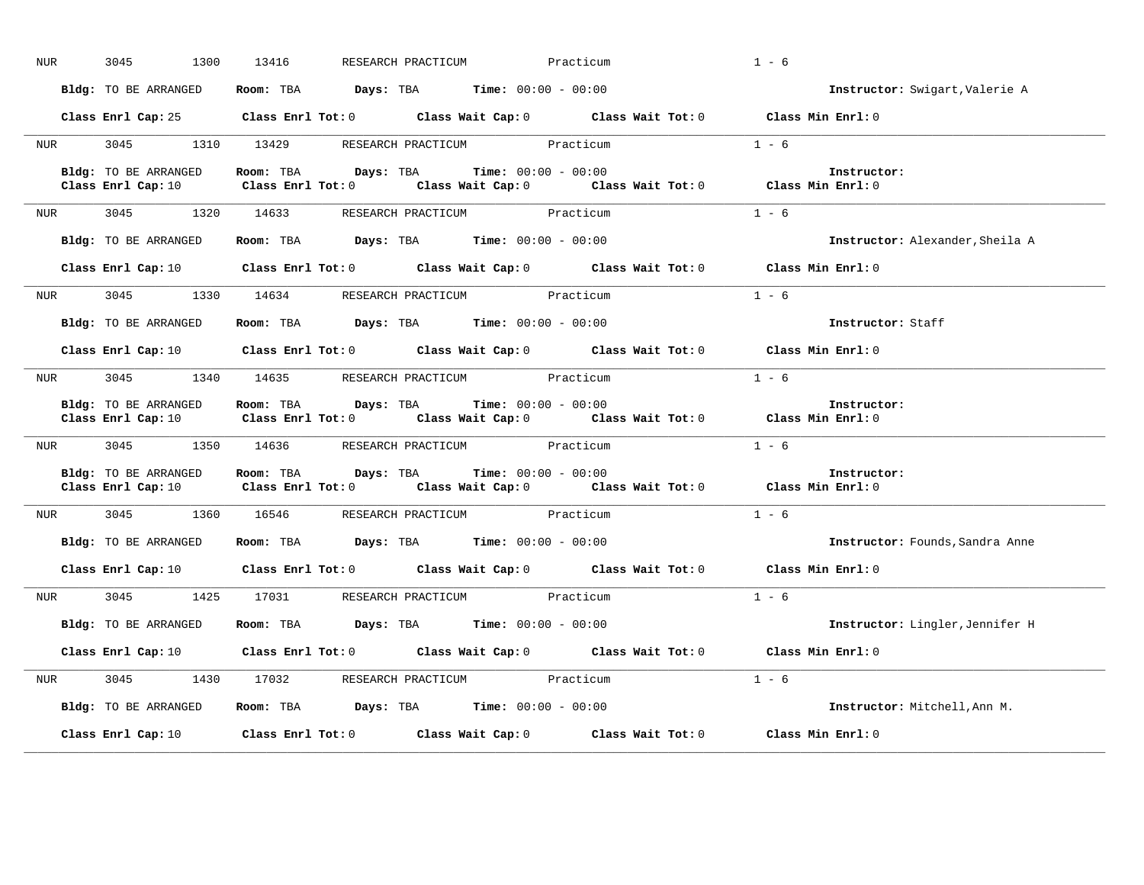| NUR              | 3045<br>1300                                      | 13416<br>RESEARCH PRACTICUM                                                                                                    | Practicum                                                                             | $1 - 6$                         |
|------------------|---------------------------------------------------|--------------------------------------------------------------------------------------------------------------------------------|---------------------------------------------------------------------------------------|---------------------------------|
|                  | Bldg: TO BE ARRANGED                              | Room: TBA $Days:$ TBA $Time: 00:00 - 00:00$                                                                                    |                                                                                       | Instructor: Swigart, Valerie A  |
|                  |                                                   | Class Enrl Cap: 25 Class Enrl Tot: 0 Class Wait Cap: 0 Class Wait Tot: 0 Class Min Enrl: 0                                     |                                                                                       |                                 |
| <b>NUR</b>       | 3045                                              | 1310 13429 RESEARCH PRACTICUM Practicum                                                                                        |                                                                                       | $1 - 6$                         |
|                  | Bldg: TO BE ARRANGED<br>Class Enrl Cap: 10        | Room: TBA<br>Days: TBA<br>Class Enrl Tot: 0 Class Wait Cap: 0 Class Wait Tot: 0 Class Min Enrl: 0                              | <b>Time:</b> $00:00 - 00:00$                                                          | Instructor:                     |
| NUR <sub>e</sub> | 3045 1320                                         | 14633<br>RESEARCH PRACTICUM Practicum                                                                                          |                                                                                       | $1 - 6$                         |
|                  | Bldg: TO BE ARRANGED                              | Room: TBA $Days:$ TBA $Time: 00:00 - 00:00$                                                                                    |                                                                                       | Instructor: Alexander, Sheila A |
|                  |                                                   | Class Enrl Cap: 10 $\qquad$ Class Enrl Tot: 0 $\qquad$ Class Wait Cap: 0 $\qquad$ Class Wait Tot: 0 $\qquad$ Class Min Enrl: 0 |                                                                                       |                                 |
| <b>NUR</b>       |                                                   | 3045 1330 14634 RESEARCH PRACTICUM Practicum                                                                                   |                                                                                       | $1 - 6$                         |
|                  | Bldg: TO BE ARRANGED                              | Room: TBA $Days:$ TBA $Time: 00:00 - 00:00$                                                                                    |                                                                                       | Instructor: Staff               |
|                  |                                                   | Class Enrl Cap: 10 $\qquad$ Class Enrl Tot: 0 $\qquad$ Class Wait Cap: 0 $\qquad$ Class Wait Tot: 0                            |                                                                                       | Class Min Enrl: 0               |
| <b>NUR</b>       | 3045<br>1340                                      | RESEARCH PRACTICUM Practicum<br>14635                                                                                          |                                                                                       | $1 - 6$                         |
|                  | <b>Bldg:</b> TO BE ARRANGED<br>Class Enrl Cap: 10 | Room: TBA<br>Days: TBA<br>Class Enrl Tot: $0$                                                                                  | <b>Time:</b> $00:00 - 00:00$<br>Class Wait Cap: 0 Class Wait Tot: 0 Class Min Enrl: 0 | Instructor:                     |
| NUR <sub>i</sub> | 3045 1350 14636                                   | RESEARCH PRACTICUM Practicum                                                                                                   |                                                                                       | $1 - 6$                         |
|                  | Bldg: TO BE ARRANGED<br>Class Enrl Cap: 10        | Room: TBA<br>Days: TBA<br>Class Enrl Tot: 0 $\qquad$ Class Wait Cap: 0 $\qquad$ Class Wait Tot: 0 $\qquad$ Class Min Enrl: 0   | <b>Time:</b> $00:00 - 00:00$                                                          | Instructor:                     |
| NUR <sub>e</sub> | 3045 1360 16546                                   | RESEARCH PRACTICUM Practicum                                                                                                   |                                                                                       | $1 - 6$                         |
|                  | Bldg: TO BE ARRANGED                              | Room: TBA $Days:$ TBA $Time: 00:00 - 00:00$                                                                                    |                                                                                       | Instructor: Founds, Sandra Anne |
|                  |                                                   | Class Enrl Cap: 10 $\qquad$ Class Enrl Tot: 0 $\qquad$ Class Wait Cap: 0 $\qquad$ Class Wait Tot: 0 $\qquad$ Class Min Enrl: 0 |                                                                                       |                                 |
| NUR <sub>p</sub> | 3045 1425                                         | 17031 RESEARCH PRACTICUM Practicum                                                                                             |                                                                                       | $1 - 6$                         |
|                  | Bldg: TO BE ARRANGED                              | Room: TBA $Days:$ TBA $Time: 00:00 - 00:00$                                                                                    |                                                                                       | Instructor: Lingler, Jennifer H |
|                  |                                                   | Class Enrl Cap: 10 		 Class Enrl Tot: 0 		 Class Wait Cap: 0 		 Class Wait Tot: 0                                              |                                                                                       | Class Min Enrl: 0               |
| NUR              | 3045<br>1430                                      | 17032<br>RESEARCH PRACTICUM Practicum                                                                                          |                                                                                       | $1 - 6$                         |
|                  | Bldg: TO BE ARRANGED                              | Room: TBA $Days: TBA$ Time: $00:00 - 00:00$                                                                                    |                                                                                       | Instructor: Mitchell, Ann M.    |
|                  | Class Enrl Cap: 10                                | Class Enrl Tot: 0 Class Wait Cap: 0 Class Wait Tot: 0                                                                          |                                                                                       | Class Min Enrl: 0               |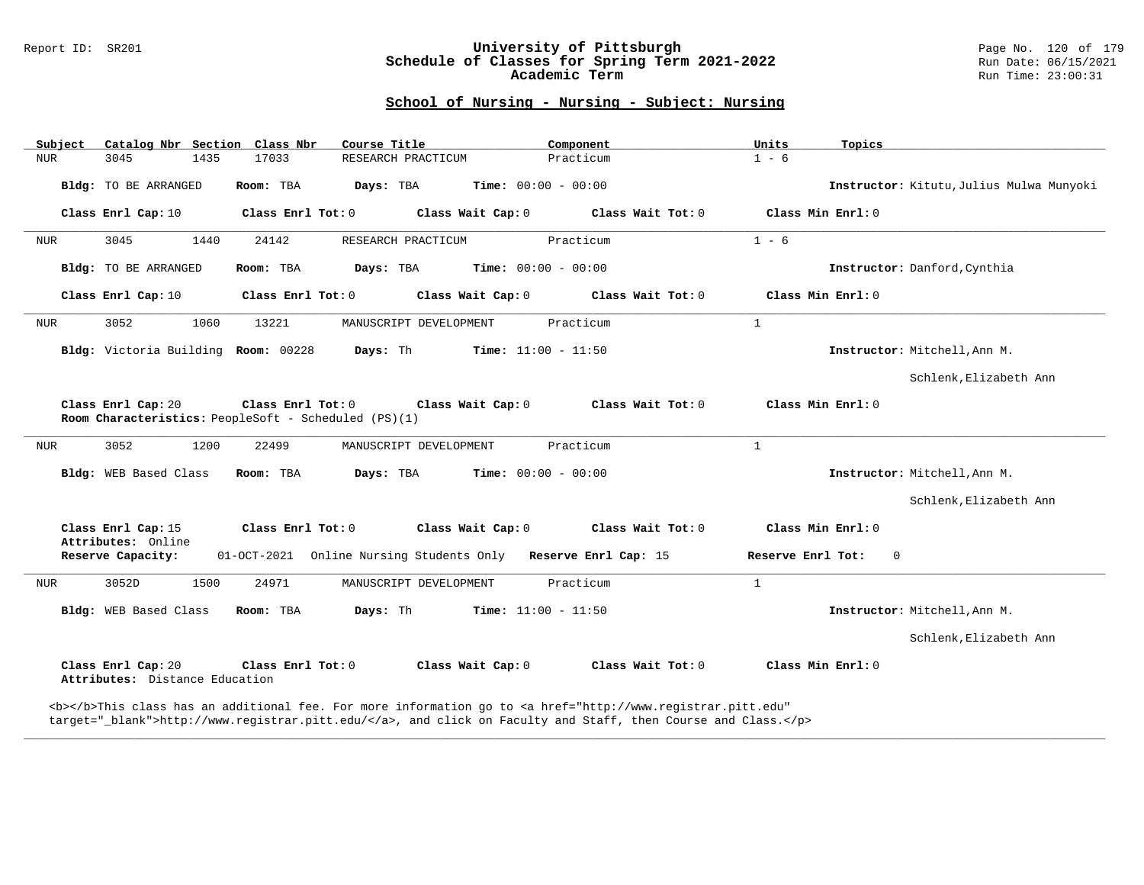#### Report ID: SR201 **University of Pittsburgh** Page No. 120 of 179 **Schedule of Classes for Spring Term 2021-2022** Run Date: 06/15/2021 **Academic Term** Run Time: 23:00:31

# **School of Nursing - Nursing - Subject: Nursing**

| Subject    | Catalog Nbr Section Class Nbr                        | Course Title                                                              | Component                                                     | Units                                                                                                                                                                                                                              | Topics                                   |
|------------|------------------------------------------------------|---------------------------------------------------------------------------|---------------------------------------------------------------|------------------------------------------------------------------------------------------------------------------------------------------------------------------------------------------------------------------------------------|------------------------------------------|
| <b>NUR</b> | 3045<br>1435                                         | 17033                                                                     | Practicum<br>RESEARCH PRACTICUM                               | $1 - 6$                                                                                                                                                                                                                            |                                          |
|            | Bldg: TO BE ARRANGED                                 | Days: TBA<br>Room: TBA                                                    | Time: $00:00 - 00:00$                                         |                                                                                                                                                                                                                                    | Instructor: Kitutu, Julius Mulwa Munyoki |
|            | Class Enrl Cap: 10                                   | Class Enrl Tot: 0                                                         | Class Wait Cap: 0                                             | Class Wait Tot: 0                                                                                                                                                                                                                  | Class Min Enrl: 0                        |
| NUR        | 3045<br>1440                                         | 24142                                                                     | Practicum<br>RESEARCH PRACTICUM                               | $1 - 6$                                                                                                                                                                                                                            |                                          |
|            | Bldg: TO BE ARRANGED                                 | Room: TBA<br>Days: TBA                                                    | <b>Time:</b> $00:00 - 00:00$                                  |                                                                                                                                                                                                                                    | Instructor: Danford, Cynthia             |
|            | Class Enrl Cap: 10                                   | Class Enrl Tot: 0                                                         | Class Wait Cap: 0                                             | Class Wait Tot: 0                                                                                                                                                                                                                  | Class Min Enrl: 0                        |
| NUR        | 3052<br>1060                                         | 13221                                                                     | Practicum<br>MANUSCRIPT DEVELOPMENT                           | $\mathbf{1}$                                                                                                                                                                                                                       |                                          |
|            | Bldg: Victoria Building Room: 00228                  | Days: Th                                                                  | <b>Time:</b> $11:00 - 11:50$                                  |                                                                                                                                                                                                                                    | Instructor: Mitchell, Ann M.             |
|            |                                                      |                                                                           |                                                               |                                                                                                                                                                                                                                    | Schlenk, Elizabeth Ann                   |
|            | Class Enrl Cap: 20                                   | Class Enrl Tot: 0<br>Room Characteristics: PeopleSoft - Scheduled (PS)(1) | Class Wait Cap: 0                                             | Class Wait Tot: 0                                                                                                                                                                                                                  | Class Min Enrl: 0                        |
| <b>NUR</b> | 3052<br>1200                                         | 22499                                                                     | Practicum<br>MANUSCRIPT DEVELOPMENT                           | $\mathbf{1}$                                                                                                                                                                                                                       |                                          |
|            | Bldg: WEB Based Class                                | Days: TBA<br>Room: TBA                                                    | <b>Time:</b> $00:00 - 00:00$                                  |                                                                                                                                                                                                                                    | Instructor: Mitchell, Ann M.             |
|            |                                                      |                                                                           |                                                               |                                                                                                                                                                                                                                    | Schlenk, Elizabeth Ann                   |
|            | Class Enrl Cap: 15<br>Attributes: Online             | Class Enrl Tot: 0                                                         | Class Wait Cap: 0                                             | Class Wait Tot: 0                                                                                                                                                                                                                  | Class Min Enrl: 0                        |
|            | Reserve Capacity:                                    |                                                                           | 01-OCT-2021 Online Nursing Students Only Reserve Enrl Cap: 15 |                                                                                                                                                                                                                                    | Reserve Enrl Tot:<br>$\Omega$            |
| <b>NUR</b> | 1500<br>3052D                                        | 24971                                                                     | Practicum<br>MANUSCRIPT DEVELOPMENT                           | $\mathbf{1}$                                                                                                                                                                                                                       |                                          |
|            | Bldg: WEB Based Class                                | Days: Th<br>Room: TBA                                                     | <b>Time:</b> $11:00 - 11:50$                                  |                                                                                                                                                                                                                                    | Instructor: Mitchell, Ann M.             |
|            |                                                      |                                                                           |                                                               |                                                                                                                                                                                                                                    | Schlenk, Elizabeth Ann                   |
|            | Class Enrl Cap: 20<br>Attributes: Distance Education | Class Enrl Tot: 0                                                         | Class Wait Cap: 0                                             | Class Wait Tot: $0$                                                                                                                                                                                                                | Class Min Enrl: 0                        |
|            |                                                      |                                                                           |                                                               | <b></b> This class has an additional fee. For more information go to <a <br="" href="http://www.registrar.pitt.edu">target="_blank"&gt;http://www.registrar.pitt.edu/</a> , and click on Faculty and Staff, then Course and Class. |                                          |

**\_\_\_\_\_\_\_\_\_\_\_\_\_\_\_\_\_\_\_\_\_\_\_\_\_\_\_\_\_\_\_\_\_\_\_\_\_\_\_\_\_\_\_\_\_\_\_\_\_\_\_\_\_\_\_\_\_\_\_\_\_\_\_\_\_\_\_\_\_\_\_\_\_\_\_\_\_\_\_\_\_\_\_\_\_\_\_\_\_\_\_\_\_\_\_\_\_\_\_\_\_\_\_\_\_\_\_\_\_\_\_\_\_\_\_\_\_\_\_\_\_\_\_\_\_\_\_\_\_\_\_\_\_\_\_\_\_\_\_\_\_\_\_\_\_\_\_\_\_\_\_\_\_\_\_\_**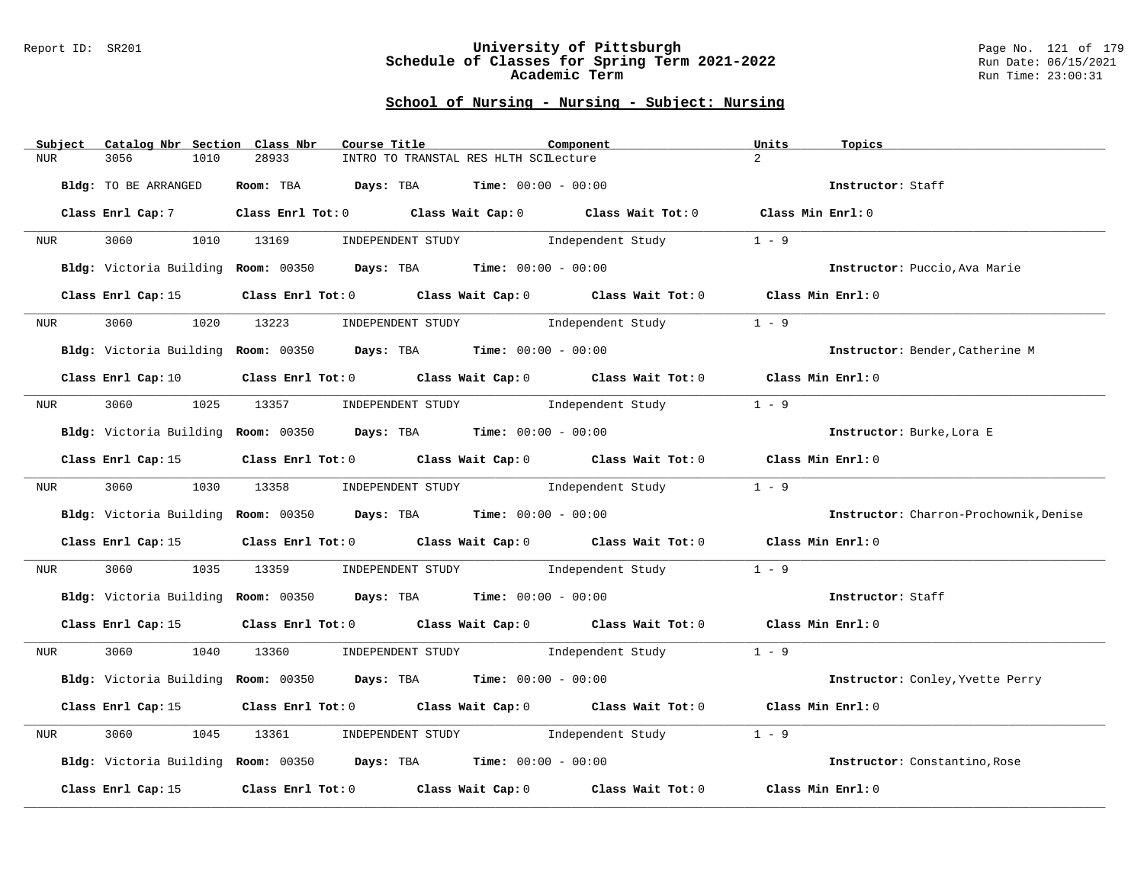#### Report ID: SR201 **University of Pittsburgh** Page No. 121 of 179 **Schedule of Classes for Spring Term 2021-2022** Run Date: 06/15/2021 **Academic Term** Run Time: 23:00:31

| Subject          | Catalog Nbr Section  | Class Nbr<br>Course Title |                                                                                                    | Component | Units<br>Topics                        |
|------------------|----------------------|---------------------------|----------------------------------------------------------------------------------------------------|-----------|----------------------------------------|
| <b>NUR</b>       | 3056<br>1010         | 28933                     | INTRO TO TRANSTAL RES HLTH SCILecture                                                              |           | $\overline{a}$                         |
|                  | Bldg: TO BE ARRANGED |                           | Room: TBA $Days:$ TBA $Time: 00:00 - 00:00$                                                        |           | Instructor: Staff                      |
|                  | Class Enrl Cap: 7    |                           | Class Enrl Tot: 0 Class Wait Cap: 0 Class Wait Tot: 0 Class Min Enrl: 0                            |           |                                        |
| <b>NUR</b>       | 3060 1010 13169      |                           | INDEPENDENT STUDY 1ndependent Study                                                                |           | $1 - 9$                                |
|                  |                      |                           | Bldg: Victoria Building Room: 00350 Days: TBA Time: 00:00 - 00:00                                  |           | Instructor: Puccio, Ava Marie          |
|                  | Class Enrl Cap: 15   |                           | Class Enrl Tot: 0 $\qquad$ Class Wait Cap: 0 $\qquad$ Class Wait Tot: 0 $\qquad$ Class Min Enrl: 0 |           |                                        |
| NUR <sub>e</sub> | 3060<br>1020         |                           | 13223 INDEPENDENT STUDY 1ndependent Study                                                          |           | $1 - 9$                                |
|                  |                      |                           | Bldg: Victoria Building Room: 00350 Days: TBA Time: 00:00 - 00:00                                  |           | Instructor: Bender, Catherine M        |
|                  | Class Enrl Cap: 10   |                           | Class Enrl Tot: 0 Class Wait Cap: 0 Class Wait Tot: 0 Class Min Enrl: 0                            |           |                                        |
| NUR              |                      |                           | 3060 1025 13357 INDEPENDENT STUDY Independent Study                                                |           | $1 - 9$                                |
|                  |                      |                           | Bldg: Victoria Building Room: 00350 Days: TBA Time: 00:00 - 00:00                                  |           | Instructor: Burke, Lora E              |
|                  | Class Enrl Cap: 15   |                           | Class Enrl Tot: $0$ Class Wait Cap: $0$ Class Wait Tot: $0$ Class Min Enrl: $0$                    |           |                                        |
|                  |                      |                           | NUR 3060 1030 13358 INDEPENDENT STUDY Independent Study                                            |           | $1 - 9$                                |
|                  |                      |                           | Bldg: Victoria Building Room: 00350 Days: TBA Time: 00:00 - 00:00                                  |           | Instructor: Charron-Prochownik, Denise |
|                  | Class Enrl Cap: 15   |                           | Class Enrl Tot: $0$ Class Wait Cap: $0$ Class Wait Tot: $0$ Class Min Enrl: $0$                    |           |                                        |
| NUR              | 3060 000             |                           | 1035 13359 INDEPENDENT STUDY Independent Study                                                     |           | $1 - 9$                                |
|                  |                      |                           | Bldg: Victoria Building Room: 00350 Days: TBA Time: 00:00 - 00:00                                  |           | Instructor: Staff                      |
|                  | Class Enrl Cap: 15   |                           | Class Enrl Tot: 0 Class Wait Cap: 0 Class Wait Tot: 0 Class Min Enrl: 0                            |           |                                        |
| NUR <sub>i</sub> |                      |                           | 3060 1040 13360 INDEPENDENT STUDY Independent Study 1 - 9                                          |           |                                        |
|                  |                      |                           | Bldg: Victoria Building Room: 00350 Days: TBA Time: 00:00 - 00:00                                  |           | Instructor: Conley, Yvette Perry       |
|                  | Class Enrl Cap: 15   |                           | Class Enrl Tot: 0 Class Wait Cap: 0 Class Wait Tot: 0 Class Min Enrl: 0                            |           |                                        |
| NUR              | 3060<br>1045         | 13361                     | INDEPENDENT STUDY 1ndependent Study                                                                |           | $1 - 9$                                |
|                  |                      |                           | Bldg: Victoria Building Room: 00350 Days: TBA Time: 00:00 - 00:00                                  |           | Instructor: Constantino, Rose          |
|                  | Class Enrl Cap: 15   |                           | Class Enrl Tot: $0$ Class Wait Cap: $0$ Class Wait Tot: $0$                                        |           | Class Min Enrl: 0                      |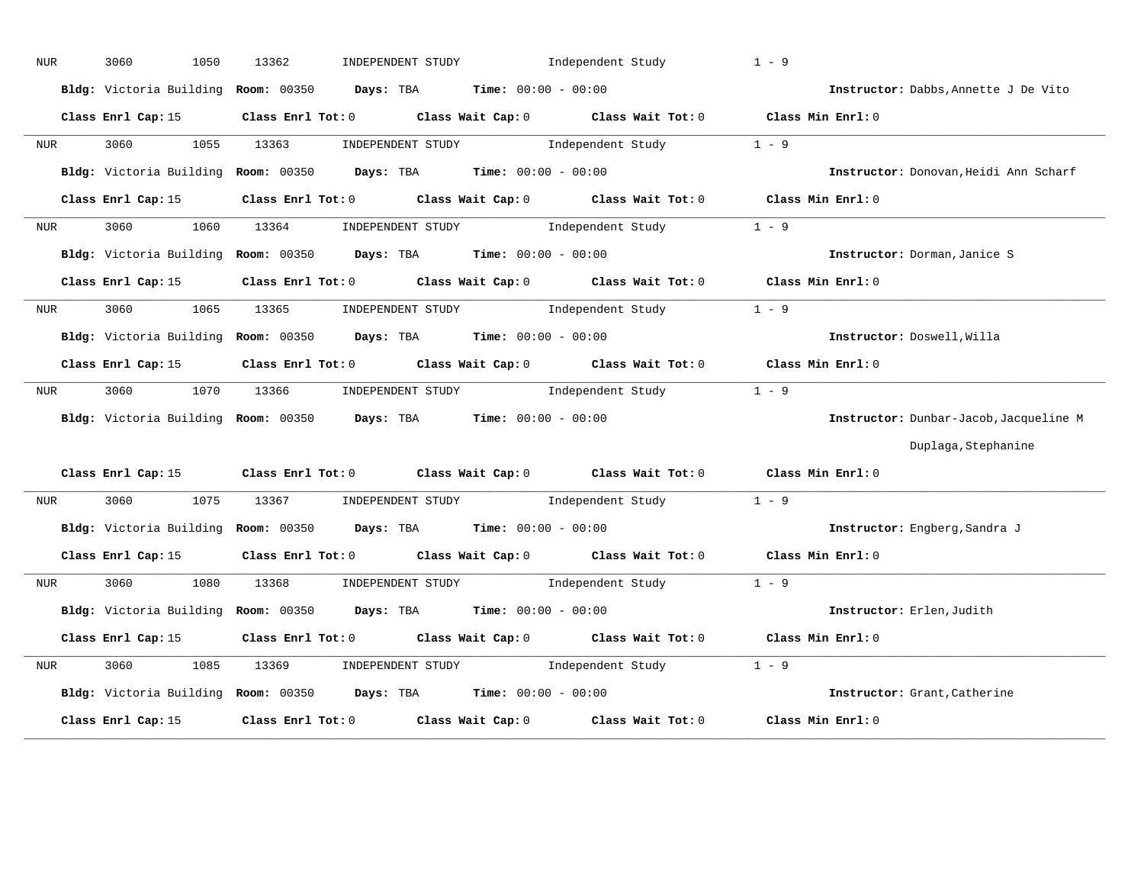| NUR              | 1050<br>3060       | 13362                                                             | INDEPENDENT STUDY Independent Study                                                                | $1 - 9$                                |
|------------------|--------------------|-------------------------------------------------------------------|----------------------------------------------------------------------------------------------------|----------------------------------------|
|                  |                    | Bldg: Victoria Building Room: 00350 Days: TBA Time: 00:00 - 00:00 |                                                                                                    | Instructor: Dabbs, Annette J De Vito   |
|                  | Class Enrl Cap: 15 |                                                                   | Class Enrl Tot: 0 $\qquad$ Class Wait Cap: 0 $\qquad$ Class Wait Tot: 0 $\qquad$ Class Min Enrl: 0 |                                        |
| NUR              | 3060 1055 13363    |                                                                   | INDEPENDENT STUDY 1ndependent Study                                                                | $1 - 9$                                |
|                  |                    | Bldg: Victoria Building Room: 00350 Days: TBA Time: 00:00 - 00:00 |                                                                                                    | Instructor: Donovan, Heidi Ann Scharf  |
|                  | Class Enrl Cap: 15 |                                                                   | Class Enrl Tot: 0 $\qquad$ Class Wait Cap: 0 $\qquad$ Class Wait Tot: 0 $\qquad$ Class Min Enrl: 0 |                                        |
| NUR <sub>p</sub> | 3060 000<br>1060   | 13364                                                             | INDEPENDENT STUDY 1ndependent Study                                                                | $1 - 9$                                |
|                  |                    | Bldg: Victoria Building Room: 00350 Days: TBA Time: 00:00 - 00:00 |                                                                                                    | Instructor: Dorman, Janice S           |
|                  | Class Enrl Cap: 15 |                                                                   | Class Enrl Tot: 0 Class Wait Cap: 0 Class Wait Tot: 0 Class Min Enrl: 0                            |                                        |
| NUR              | 3060 1065 13365    |                                                                   | INDEPENDENT STUDY 1 - 9                                                                            |                                        |
|                  |                    | Bldg: Victoria Building Room: 00350 Days: TBA Time: 00:00 - 00:00 |                                                                                                    | Instructor: Doswell, Willa             |
|                  | Class Enrl Cap: 15 |                                                                   | Class Enrl Tot: 0 $\qquad$ Class Wait Cap: 0 $\qquad$ Class Wait Tot: 0 $\qquad$ Class Min Enrl: 0 |                                        |
| NUR              | 3060<br>1070       | 13366                                                             | INDEPENDENT STUDY 1ndependent Study                                                                | $1 - 9$                                |
|                  |                    | Bldg: Victoria Building Room: 00350 Days: TBA Time: 00:00 - 00:00 |                                                                                                    | Instructor: Dunbar-Jacob, Jacqueline M |
|                  |                    |                                                                   |                                                                                                    | Duplaga, Stephanine                    |
|                  | Class Enrl Cap: 15 |                                                                   | Class Enrl Tot: 0 $\qquad$ Class Wait Cap: 0 $\qquad$ Class Wait Tot: 0 $\qquad$ Class Min Enrl: 0 |                                        |
| NUR              | 3060<br>1075       | INDEPENDENT STUDY<br>13367                                        | Independent Study                                                                                  | $1 - 9$                                |
|                  |                    | Bldg: Victoria Building Room: 00350 Days: TBA Time: 00:00 - 00:00 |                                                                                                    | Instructor: Engberg, Sandra J          |
|                  | Class Enrl Cap: 15 |                                                                   | Class Enrl Tot: 0 Class Wait Cap: 0 Class Wait Tot: 0 Class Min Enrl: 0                            |                                        |
| NUR              | 3060 1080          |                                                                   | 13368 INDEPENDENT STUDY Independent Study $1 - 9$                                                  |                                        |
|                  |                    | Bldg: Victoria Building Room: 00350 Days: TBA Time: 00:00 - 00:00 |                                                                                                    | Instructor: Erlen, Judith              |
|                  | Class Enrl Cap: 15 |                                                                   | Class Enrl Tot: 0 Class Wait Cap: 0 Class Wait Tot: 0 Class Min Enrl: 0                            |                                        |
| NUR              | 3060<br>1085       | 13369                                                             | INDEPENDENT STUDY Independent Study                                                                | $1 - 9$                                |
|                  |                    | Bldg: Victoria Building Room: 00350 Days: TBA Time: 00:00 - 00:00 |                                                                                                    | Instructor: Grant, Catherine           |
|                  | Class Enrl Cap: 15 |                                                                   | Class Enrl Tot: 0 Class Wait Cap: 0 Class Wait Tot: 0                                              | Class Min Enrl: 0                      |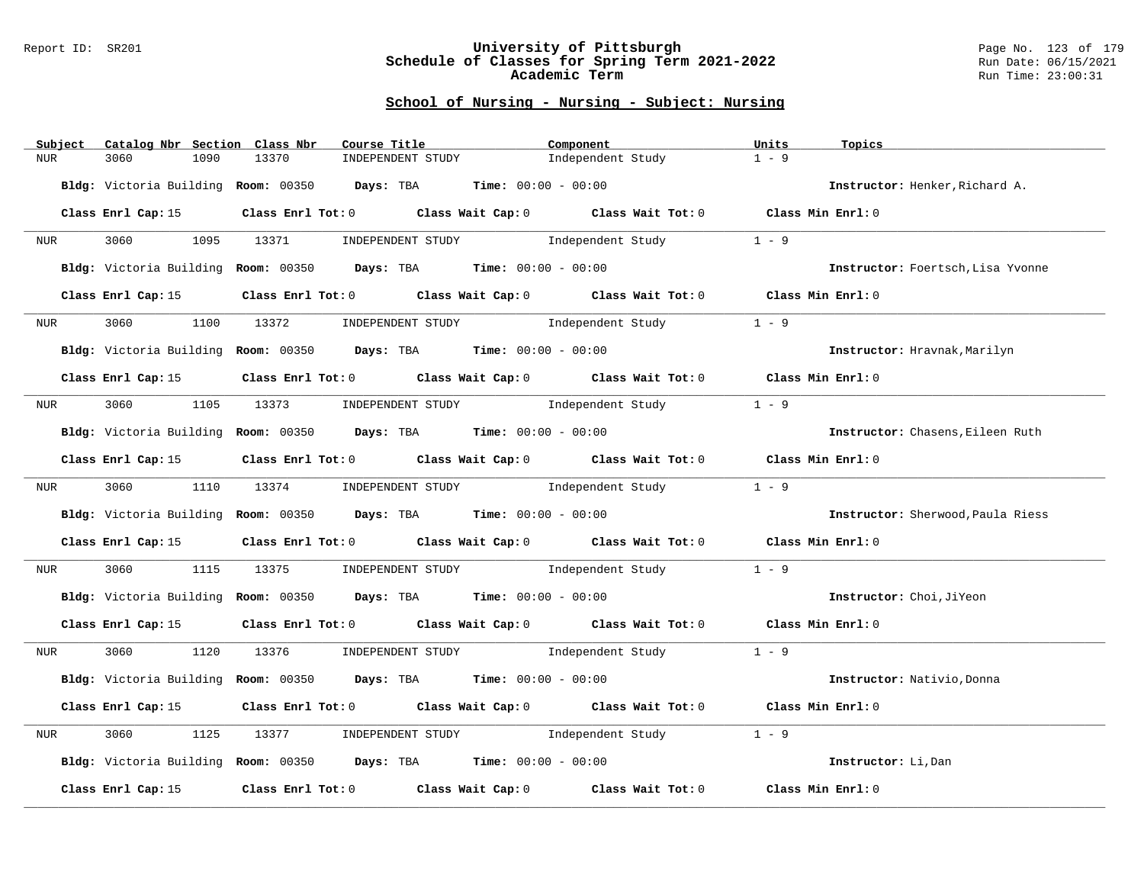#### Report ID: SR201 **University of Pittsburgh** Page No. 123 of 179 **Schedule of Classes for Spring Term 2021-2022** Run Date: 06/15/2021 **Academic Term** Run Time: 23:00:31

| Subject          | Catalog Nbr Section Class Nbr | Course Title                                                      | Component                                                                                       | Units<br>Topics                   |
|------------------|-------------------------------|-------------------------------------------------------------------|-------------------------------------------------------------------------------------------------|-----------------------------------|
| NUR              | 3060<br>1090                  | 13370<br>INDEPENDENT STUDY                                        | Independent Study                                                                               | $1 - 9$                           |
|                  |                               | Bldg: Victoria Building Room: 00350 Days: TBA Time: 00:00 - 00:00 |                                                                                                 | Instructor: Henker, Richard A.    |
|                  | Class Enrl Cap: 15            |                                                                   | Class Enrl Tot: 0 Class Wait Cap: 0 Class Wait Tot: 0 Class Min Enrl: 0                         |                                   |
| NUR              |                               |                                                                   | 3060 1095 13371 INDEPENDENT STUDY Independent Study                                             | $1 - 9$                           |
|                  |                               | Bldg: Victoria Building Room: 00350 Days: TBA Time: 00:00 - 00:00 |                                                                                                 | Instructor: Foertsch, Lisa Yvonne |
|                  | Class Enrl Cap: 15            |                                                                   | Class Enrl Tot: 0 Class Wait Cap: 0 Class Wait Tot: 0 Class Min Enrl: 0                         |                                   |
| <b>NUR</b>       | 3060<br>1100                  | 13372                                                             | INDEPENDENT STUDY 1ndependent Study                                                             | $1 - 9$                           |
|                  |                               | Bldg: Victoria Building Room: 00350 Days: TBA Time: 00:00 - 00:00 |                                                                                                 | Instructor: Hravnak, Marilyn      |
|                  | Class Enrl Cap: 15            |                                                                   | Class Enrl Tot: 0 Class Wait Cap: 0 Class Wait Tot: 0 Class Min Enrl: 0                         |                                   |
| NUR <sub>e</sub> |                               |                                                                   | 3060 1105 13373 INDEPENDENT STUDY Independent Study                                             | $1 - 9$                           |
|                  |                               | Bldg: Victoria Building Room: 00350 Days: TBA Time: 00:00 - 00:00 |                                                                                                 | Instructor: Chasens, Eileen Ruth  |
|                  | Class Enrl Cap: 15            |                                                                   | Class Enrl Tot: 0 Class Wait Cap: 0 Class Wait Tot: 0 Class Min Enrl: 0                         |                                   |
| NUR <sub>p</sub> | 3060 000                      |                                                                   | 1110 13374 INDEPENDENT STUDY Independent Study                                                  | $1 - 9$                           |
|                  |                               | Bldg: Victoria Building Room: 00350 Days: TBA Time: 00:00 - 00:00 |                                                                                                 | Instructor: Sherwood, Paula Riess |
|                  |                               |                                                                   | Class Enrl Cap: 15 (class Enrl Tot: 0 (class Wait Cap: 0 (class Wait Tot: 0 (class Min Enrl: 0) |                                   |
| NUR              | 3060                          |                                                                   | 1115 13375 INDEPENDENT STUDY Independent Study                                                  | $1 - 9$                           |
|                  |                               | Bldg: Victoria Building Room: 00350 Days: TBA Time: 00:00 - 00:00 |                                                                                                 | Instructor: Choi, JiYeon          |
|                  |                               |                                                                   | Class Enrl Cap: 15 (Class Enrl Tot: 0 (Class Wait Cap: 0 (Class Wait Tot: 0 (Class Min Enrl: 0) |                                   |
| NUR <b>NUR</b>   |                               |                                                                   | 3060 $1120$ 13376 INDEPENDENT STUDY Independent Study 1 - 9                                     |                                   |
|                  |                               | Bldg: Victoria Building Room: 00350 Days: TBA Time: 00:00 - 00:00 |                                                                                                 | Instructor: Nativio, Donna        |
|                  | Class Enrl Cap: 15            |                                                                   | Class Enrl Tot: 0 Class Wait Cap: 0 Class Wait Tot: 0 Class Min Enrl: 0                         |                                   |
| NUR              | 3060<br>1125                  | 13377                                                             | INDEPENDENT STUDY 1ndependent Study                                                             | $1 - 9$                           |
|                  |                               | Bldg: Victoria Building Room: 00350 Days: TBA Time: 00:00 - 00:00 |                                                                                                 | Instructor: Li, Dan               |
|                  | Class Enrl Cap: 15            |                                                                   | Class Enrl Tot: $0$ Class Wait Cap: $0$ Class Wait Tot: $0$                                     | Class Min Enrl: 0                 |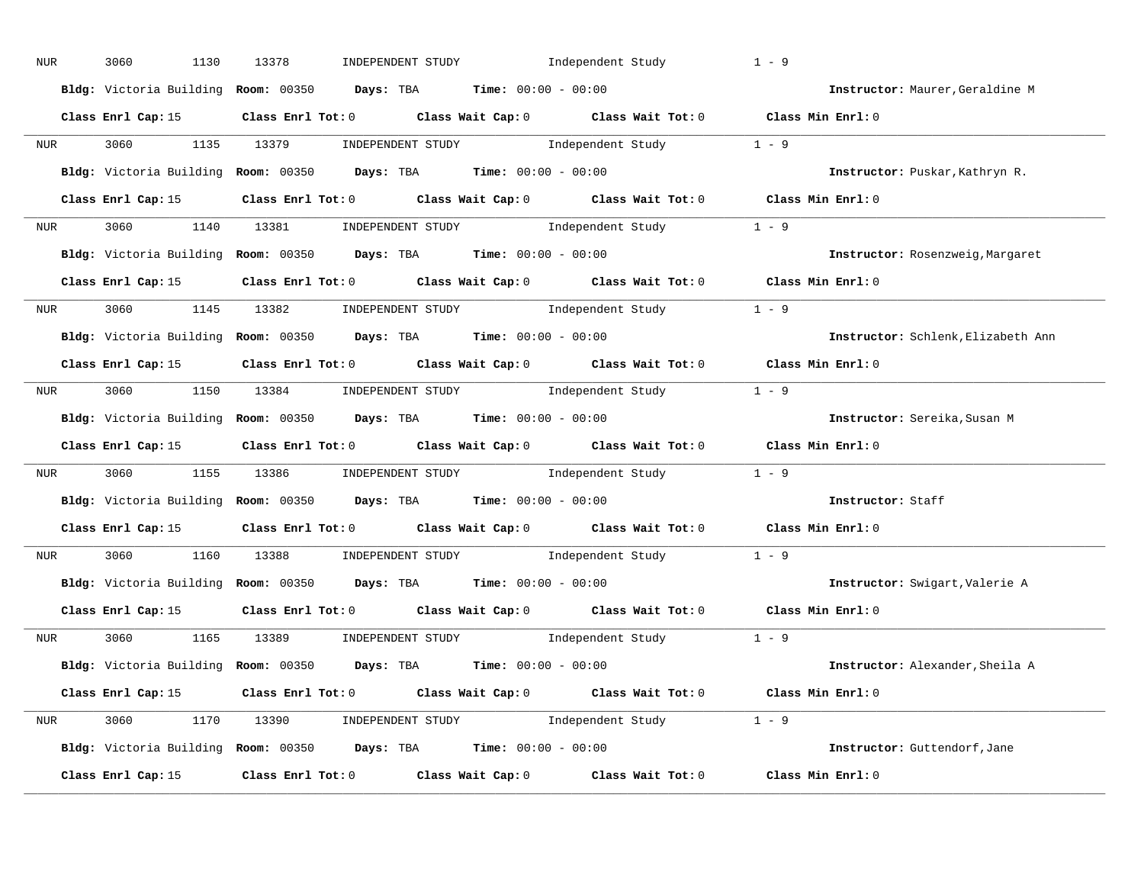| NUR              | 3060<br>1130       | INDEPENDENT STUDY 1ndependent Study<br>13378                                               | $1 - 9$                 |                                    |
|------------------|--------------------|--------------------------------------------------------------------------------------------|-------------------------|------------------------------------|
|                  |                    | Bldg: Victoria Building Room: 00350 Days: TBA Time: 00:00 - 00:00                          |                         | Instructor: Maurer, Geraldine M    |
|                  | Class Enrl Cap: 15 | Class Enrl Tot: 0 Class Wait Cap: 0 Class Wait Tot: 0 Class Min Enrl: 0                    |                         |                                    |
|                  |                    | NUR 3060 1135 13379 INDEPENDENT STUDY Independent Study 1 - 9                              |                         |                                    |
|                  |                    | Bldg: Victoria Building Room: 00350 Days: TBA Time: 00:00 - 00:00                          |                         | Instructor: Puskar, Kathryn R.     |
|                  |                    | Class Enrl Cap: 15 Class Enrl Tot: 0 Class Wait Cap: 0 Class Wait Tot: 0 Class Min Enrl: 0 |                         |                                    |
| NUR <sub>i</sub> |                    | 3060 1140 13381 INDEPENDENT STUDY Independent Study 1 - 9                                  |                         |                                    |
|                  |                    | Bldg: Victoria Building Room: 00350 Days: TBA Time: 00:00 - 00:00                          |                         | Instructor: Rosenzweig, Margaret   |
|                  |                    | Class Enrl Cap: 15 Class Enrl Tot: 0 Class Wait Cap: 0 Class Wait Tot: 0 Class Min Enrl: 0 |                         |                                    |
|                  |                    | NUR 3060 1145 13382 INDEPENDENT STUDY Independent Study 1 - 9                              |                         |                                    |
|                  |                    | Bldg: Victoria Building Room: 00350 Days: TBA Time: 00:00 - 00:00                          |                         | Instructor: Schlenk, Elizabeth Ann |
|                  | Class Enrl Cap: 15 | Class Enrl Tot: 0 Class Wait Cap: 0 Class Wait Tot: 0 Class Min Enrl: 0                    |                         |                                    |
| NUR <sub>p</sub> |                    | 3060 1150 13384 INDEPENDENT STUDY 1ndependent Study                                        | $1 - 9$                 |                                    |
|                  |                    | Bldg: Victoria Building Room: 00350 Days: TBA Time: 00:00 - 00:00                          |                         | Instructor: Sereika, Susan M       |
|                  | Class Enrl Cap: 15 | Class Enrl Tot: 0 Class Wait Cap: 0 Class Wait Tot: 0 Class Min Enrl: 0                    |                         |                                    |
| NUR <sub>p</sub> |                    | 3060 1155 13386 INDEPENDENT STUDY 1ndependent Study 1 - 9                                  |                         |                                    |
|                  |                    | Bldg: Victoria Building Room: 00350 Days: TBA Time: 00:00 - 00:00                          |                         | Instructor: Staff                  |
|                  |                    |                                                                                            |                         |                                    |
|                  |                    | Class Enrl Cap: 15 Class Enrl Tot: 0 Class Wait Cap: 0 Class Wait Tot: 0 Class Min Enrl: 0 |                         |                                    |
| NUR <sub>p</sub> | 3060               | 1160 13388 INDEPENDENT STUDY                                                               | Independent Study 1 - 9 |                                    |
|                  |                    | Bldg: Victoria Building Room: 00350 Days: TBA Time: 00:00 - 00:00                          |                         | Instructor: Swigart, Valerie A     |
|                  | Class Enrl Cap: 15 | Class Enrl Tot: 0 Class Wait Cap: 0 Class Wait Tot: 0                                      | Class Min Enrl: 0       |                                    |
|                  | NUR 3060           | 1165 13389 INDEPENDENT STUDY Independent Study 1 - 9                                       |                         |                                    |
|                  |                    | Bldg: Victoria Building Room: 00350 Days: TBA Time: 00:00 - 00:00                          |                         | Instructor: Alexander, Sheila A    |
|                  |                    | Class Enrl Cap: 15 Class Enrl Tot: 0 Class Wait Cap: 0 Class Wait Tot: 0 Class Min Enrl: 0 |                         |                                    |
|                  |                    | NUR 3060 1170 13390 INDEPENDENT STUDY Independent Study 1 - 9                              |                         |                                    |
|                  |                    | Bldg: Victoria Building Room: 00350 Days: TBA Time: 00:00 - 00:00                          |                         | Instructor: Guttendorf, Jane       |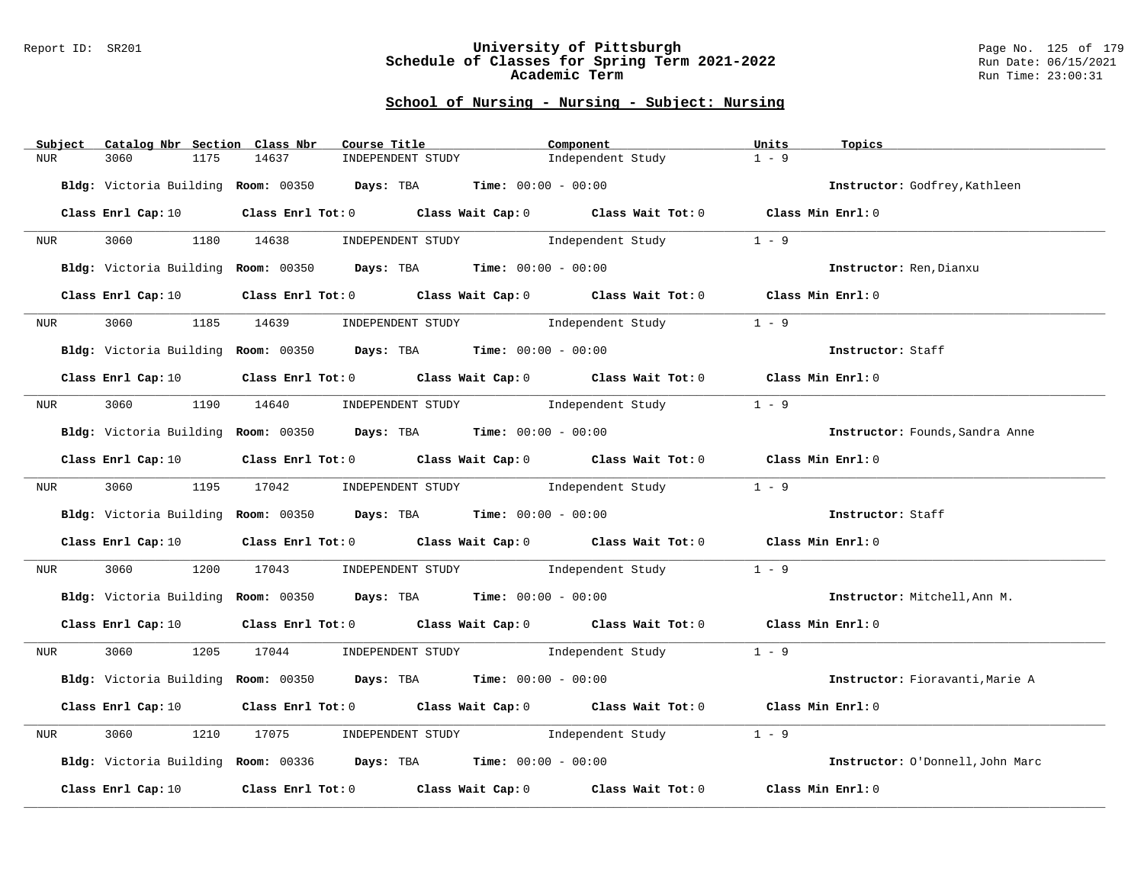#### Report ID: SR201 **University of Pittsburgh** Page No. 125 of 179 **Schedule of Classes for Spring Term 2021-2022** Run Date: 06/15/2021 **Academic Term** Run Time: 23:00:31

| Subject          | Catalog Nbr Section Class Nbr | Course Title                                                      | Component                                                                                          | Units<br>Topics                  |
|------------------|-------------------------------|-------------------------------------------------------------------|----------------------------------------------------------------------------------------------------|----------------------------------|
| <b>NUR</b>       | 3060<br>1175                  | 14637                                                             | Independent Study<br>INDEPENDENT STUDY                                                             | $1 - 9$                          |
|                  |                               | Bldg: Victoria Building Room: 00350 Days: TBA Time: 00:00 - 00:00 |                                                                                                    | Instructor: Godfrey, Kathleen    |
|                  | Class Enrl Cap: 10            |                                                                   | Class Enrl Tot: 0 Class Wait Cap: 0 Class Wait Tot: 0 Class Min Enrl: 0                            |                                  |
| NUR              | 3060 1180 14638               |                                                                   | INDEPENDENT STUDY                Independent Study                                                 | $1 - 9$                          |
|                  |                               | Bldg: Victoria Building Room: 00350 Days: TBA Time: 00:00 - 00:00 |                                                                                                    | Instructor: Ren, Dianxu          |
|                  | Class Enrl Cap: 10            |                                                                   | Class Enrl Tot: 0 $\qquad$ Class Wait Cap: 0 $\qquad$ Class Wait Tot: 0 $\qquad$ Class Min Enrl: 0 |                                  |
| NUR <sub>p</sub> | 3060<br>1185                  | 14639                                                             | INDEPENDENT STUDY 1ndependent Study                                                                | $1 - 9$                          |
|                  |                               | Bldg: Victoria Building Room: 00350 Days: TBA Time: 00:00 - 00:00 |                                                                                                    | Instructor: Staff                |
|                  | Class Enrl Cap: 10            |                                                                   | Class Enrl Tot: 0 Class Wait Cap: 0 Class Wait Tot: 0 Class Min Enrl: 0                            |                                  |
| NUR              |                               |                                                                   | 3060 1190 14640 INDEPENDENT STUDY 1ndependent Study                                                | $1 - 9$                          |
|                  |                               | Bldg: Victoria Building Room: 00350 Days: TBA Time: 00:00 - 00:00 |                                                                                                    | Instructor: Founds, Sandra Anne  |
|                  | Class Enrl Cap: 10            |                                                                   | Class Enrl Tot: 0 Class Wait Cap: 0 Class Wait Tot: 0 Class Min Enrl: 0                            |                                  |
| NUR <sub>p</sub> |                               |                                                                   | 3060 1195 17042 INDEPENDENT STUDY Independent Study                                                | $1 - 9$                          |
|                  |                               | Bldg: Victoria Building Room: 00350 Days: TBA Time: 00:00 - 00:00 |                                                                                                    | Instructor: Staff                |
|                  | Class Enrl Cap: 10            |                                                                   | Class Enrl Tot: $0$ Class Wait Cap: $0$ Class Wait Tot: $0$ Class Min Enrl: $0$                    |                                  |
| NUR              | 3060 000                      | 1200 17043                                                        | INDEPENDENT STUDY 1ndependent Study                                                                | $1 - 9$                          |
|                  |                               | Bldg: Victoria Building Room: 00350 Days: TBA Time: 00:00 - 00:00 |                                                                                                    | Instructor: Mitchell, Ann M.     |
|                  | Class Enrl Cap: 10            |                                                                   | Class Enrl Tot: 0 Class Wait Cap: 0 Class Wait Tot: 0 Class Min Enrl: 0                            |                                  |
| NUR              |                               |                                                                   | 3060 1205 17044 INDEPENDENT STUDY Independent Study 1 - 9                                          |                                  |
|                  |                               | Bldg: Victoria Building Room: 00350 Days: TBA Time: 00:00 - 00:00 |                                                                                                    | Instructor: Fioravanti, Marie A  |
|                  | Class Enrl Cap: 10            |                                                                   | Class Enrl Tot: 0 $\qquad$ Class Wait Cap: 0 $\qquad$ Class Wait Tot: 0 $\qquad$ Class Min Enrl: 0 |                                  |
| NUR              | 3060<br>1210                  | 17075                                                             | INDEPENDENT STUDY 1ndependent Study                                                                | $1 - 9$                          |
|                  |                               | Bldg: Victoria Building Room: 00336 Days: TBA Time: 00:00 - 00:00 |                                                                                                    | Instructor: O'Donnell, John Marc |
|                  | Class Enrl Cap: 10            |                                                                   | Class Enrl Tot: $0$ Class Wait Cap: $0$ Class Wait Tot: $0$                                        | Class Min Enrl: 0                |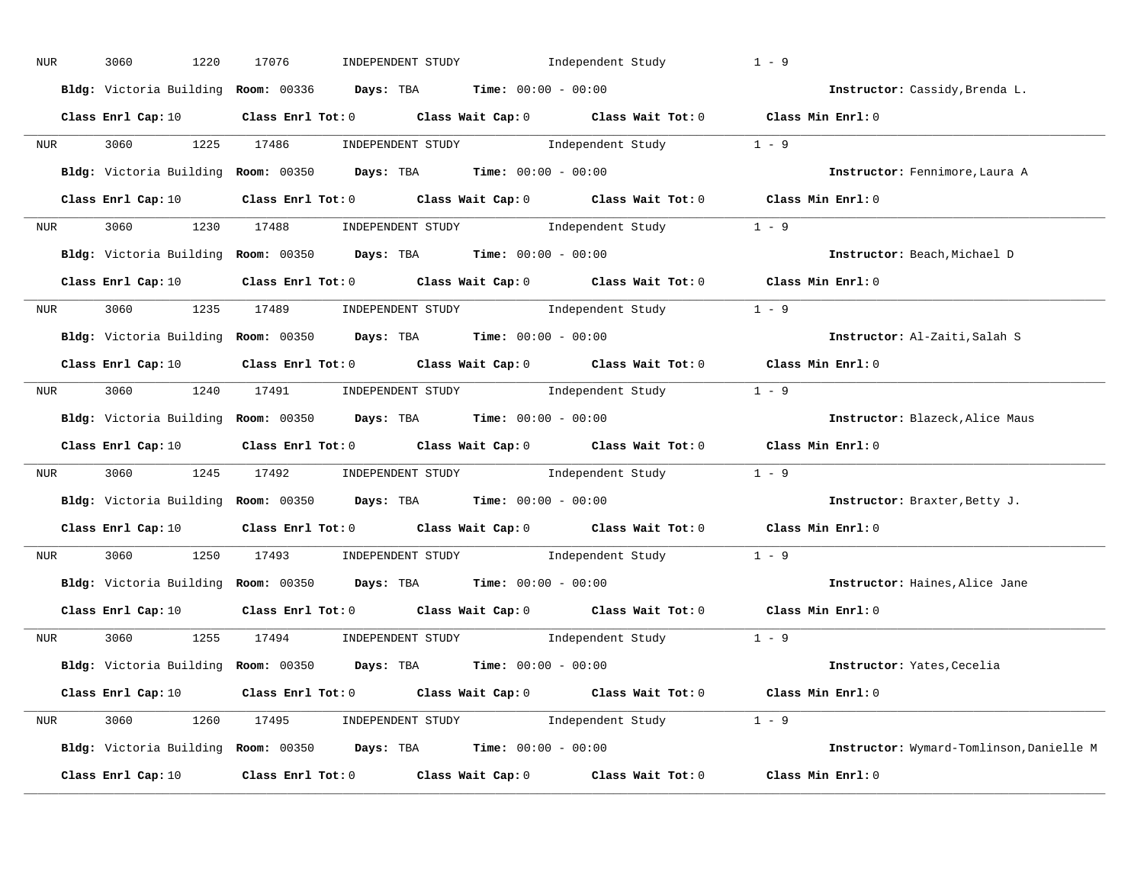| NUR              | 1220<br>3060        | INDEPENDENT STUDY 1ndependent Study<br>17076                                                                                   |                   | $1 - 9$                                  |
|------------------|---------------------|--------------------------------------------------------------------------------------------------------------------------------|-------------------|------------------------------------------|
|                  |                     | Bldg: Victoria Building Room: 00336 Days: TBA Time: 00:00 - 00:00                                                              |                   | Instructor: Cassidy, Brenda L.           |
|                  | Class Enrl Cap: 10  | Class Enrl Tot: 0 Class Wait Cap: 0 Class Wait Tot: 0 Class Min Enrl: 0                                                        |                   |                                          |
|                  | NUR 3060 1225 17486 | INDEPENDENT STUDY 1 - 9                                                                                                        |                   |                                          |
|                  |                     | Bldg: Victoria Building Room: 00350 Days: TBA Time: 00:00 - 00:00                                                              |                   | Instructor: Fennimore, Laura A           |
|                  | Class Enrl Cap: 10  | Class Enrl Tot: 0 Class Wait Cap: 0 Class Wait Tot: 0 Class Min Enrl: 0                                                        |                   |                                          |
| NUR <sub>p</sub> |                     | 3060 1230 17488 INDEPENDENT STUDY Independent Study 1 - 9                                                                      |                   |                                          |
|                  |                     | Bldg: Victoria Building Room: 00350 Days: TBA Time: 00:00 - 00:00                                                              |                   | Instructor: Beach, Michael D             |
|                  |                     | Class Enrl Cap: 10 $\qquad$ Class Enrl Tot: 0 $\qquad$ Class Wait Cap: 0 $\qquad$ Class Wait Tot: 0 $\qquad$ Class Min Enrl: 0 |                   |                                          |
| <b>NUR</b>       |                     | 3060 1235 17489 INDEPENDENT STUDY Independent Study 1 - 9                                                                      |                   |                                          |
|                  |                     | Bldg: Victoria Building Room: 00350 Days: TBA Time: 00:00 - 00:00                                                              |                   | Instructor: Al-Zaiti, Salah S            |
|                  | Class Enrl Cap: 10  | Class Enrl Tot: 0 Class Wait Cap: 0 Class Wait Tot: 0 Class Min Enrl: 0                                                        |                   |                                          |
| NUR <sub>p</sub> |                     | 3060 1240 17491 INDEPENDENT STUDY Independent Study                                                                            |                   | $1 - 9$                                  |
|                  |                     | Bldg: Victoria Building Room: 00350 Days: TBA Time: 00:00 - 00:00                                                              |                   | Instructor: Blazeck, Alice Maus          |
|                  | Class Enrl Cap: 10  | Class Enrl Tot: 0 Class Wait Cap: 0 Class Wait Tot: 0 Class Min Enrl: 0                                                        |                   |                                          |
| NUR              | 3060 000            | 1245 17492 INDEPENDENT STUDY 1ndependent Study 1 - 9                                                                           |                   |                                          |
|                  |                     | Bldg: Victoria Building Room: 00350 Days: TBA Time: 00:00 - 00:00                                                              |                   | Instructor: Braxter, Betty J.            |
|                  | Class Enrl Cap: 10  | Class Enrl Tot: 0 Class Wait Cap: 0 Class Wait Tot: 0 Class Min Enrl: 0                                                        |                   |                                          |
| NUR <sub>p</sub> | 3060 000            | 1250 17493 INDEPENDENT STUDY                                                                                                   | Independent Study | $1 - 9$                                  |
|                  |                     | Bldg: Victoria Building Room: 00350 Days: TBA Time: 00:00 - 00:00                                                              |                   | Instructor: Haines, Alice Jane           |
|                  | Class Enrl Cap: 10  | Class Enrl Tot: $0$ Class Wait Cap: $0$ Class Wait Tot: $0$                                                                    |                   | Class Min Enrl: 0                        |
| NUR <sub>i</sub> | 3060 000            | 1255 17494 INDEPENDENT STUDY Independent Study 1 - 9                                                                           |                   |                                          |
|                  |                     | Bldg: Victoria Building Room: 00350 Days: TBA Time: 00:00 - 00:00                                                              |                   | Instructor: Yates, Cecelia               |
|                  | Class Enrl Cap: 10  | Class Enrl Tot: 0 $\qquad$ Class Wait Cap: 0 $\qquad$ Class Wait Tot: 0 $\qquad$ Class Min Enrl: 0                             |                   |                                          |
|                  |                     | NUR 3060 1260 17495 INDEPENDENT STUDY Independent Study 1 - 9                                                                  |                   |                                          |
|                  |                     | Bldg: Victoria Building Room: 00350 Days: TBA Time: 00:00 - 00:00                                                              |                   | Instructor: Wymard-Tomlinson, Danielle M |
|                  |                     |                                                                                                                                |                   |                                          |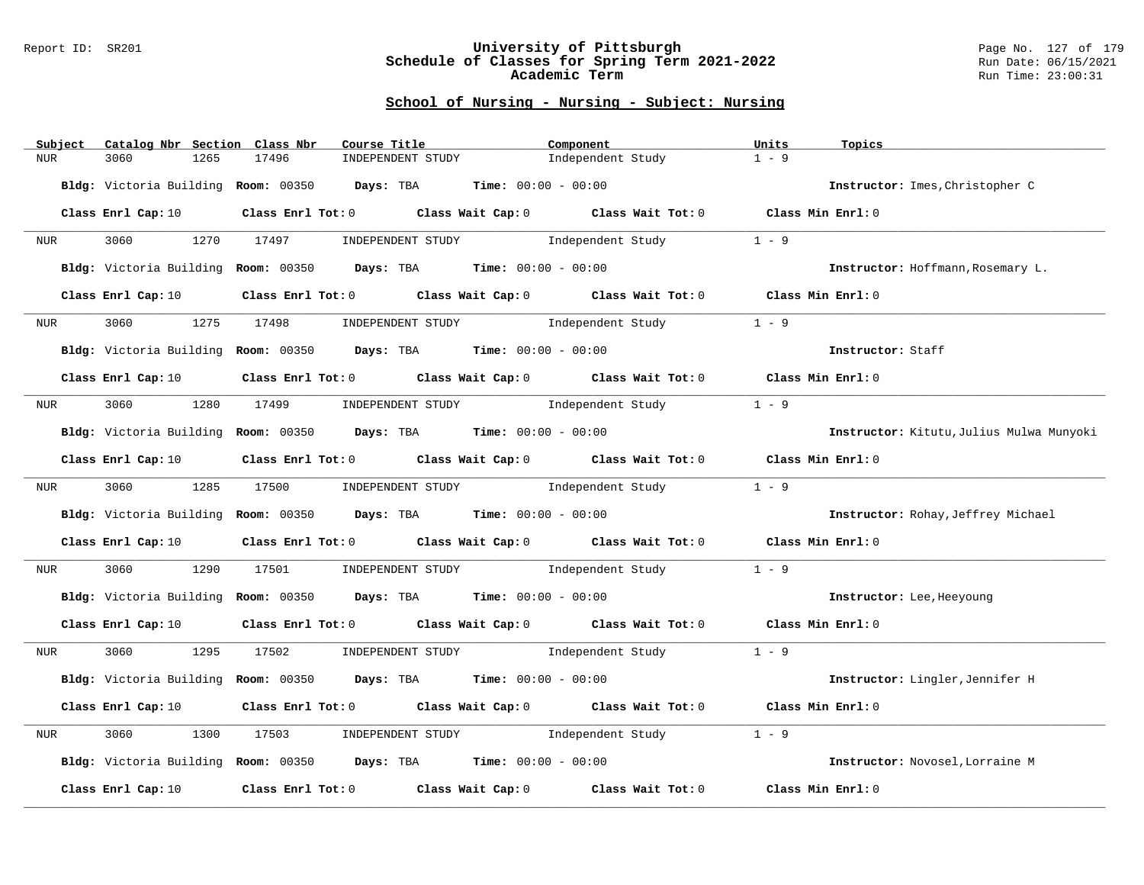#### Report ID: SR201 **University of Pittsburgh** Page No. 127 of 179 **Schedule of Classes for Spring Term 2021-2022** Run Date: 06/15/2021 **Academic Term** Run Time: 23:00:31

| Subject    | Catalog Nbr Section Class Nbr | Course Title                                                      | Component                                                                       | Units<br>Topics                          |
|------------|-------------------------------|-------------------------------------------------------------------|---------------------------------------------------------------------------------|------------------------------------------|
| <b>NUR</b> | 3060<br>1265                  | 17496<br>INDEPENDENT STUDY                                        | Independent Study                                                               | $1 - 9$                                  |
|            |                               | Bldg: Victoria Building Room: 00350 Days: TBA Time: 00:00 - 00:00 |                                                                                 | Instructor: Imes, Christopher C          |
|            | Class Enrl Cap: 10            |                                                                   | Class Enrl Tot: 0 Class Wait Cap: 0 Class Wait Tot: 0 Class Min Enrl: 0         |                                          |
| NUR        | 3060 1270 17497               |                                                                   | INDEPENDENT STUDY 1ndependent Study                                             | $1 - 9$                                  |
|            |                               | Bldg: Victoria Building Room: 00350 Days: TBA Time: 00:00 - 00:00 |                                                                                 | Instructor: Hoffmann, Rosemary L.        |
|            | Class Enrl Cap: 10            |                                                                   | Class Enrl Tot: 0 Class Wait Cap: 0 Class Wait Tot: 0 Class Min Enrl: 0         |                                          |
| NUR        | 1275<br>3060                  | 17498                                                             | INDEPENDENT STUDY Independent Study                                             | $1 - 9$                                  |
|            |                               | Bldg: Victoria Building Room: 00350 Days: TBA Time: 00:00 - 00:00 |                                                                                 | Instructor: Staff                        |
|            | Class Enrl Cap: 10            |                                                                   | Class Enrl Tot: $0$ Class Wait Cap: $0$ Class Wait Tot: $0$ Class Min Enrl: $0$ |                                          |
| NUR        |                               | 3060 1280 17499 INDEPENDENT STUDY Independent Study               |                                                                                 | $1 - 9$                                  |
|            |                               | Bldg: Victoria Building Room: 00350 Days: TBA Time: 00:00 - 00:00 |                                                                                 | Instructor: Kitutu, Julius Mulwa Munyoki |
|            | Class Enrl Cap: 10            |                                                                   | Class Enrl Tot: 0 Class Wait Cap: 0 Class Wait Tot: 0 Class Min Enrl: 0         |                                          |
| NUR        | 3060                          | 1285 17500 INDEPENDENT STUDY Independent Study                    |                                                                                 | $1 - 9$                                  |
|            |                               | Bldg: Victoria Building Room: 00350 Days: TBA Time: 00:00 - 00:00 |                                                                                 | Instructor: Rohay, Jeffrey Michael       |
|            | Class Enrl Cap: 10            |                                                                   | Class Enrl Tot: $0$ Class Wait Cap: $0$ Class Wait Tot: $0$ Class Min Enrl: $0$ |                                          |
| NUR        | 3060<br>1290                  | 17501                                                             | INDEPENDENT STUDY 1ndependent Study                                             | $1 - 9$                                  |
|            |                               | Bldg: Victoria Building Room: 00350 Days: TBA Time: 00:00 - 00:00 |                                                                                 | Instructor: Lee, Heeyoung                |
|            | Class Enrl Cap: 10            |                                                                   | Class Enrl Tot: 0 Class Wait Cap: 0 Class Wait Tot: 0 Class Min Enrl: 0         |                                          |
| NUR        | 3060 1295                     | 17502                                                             | INDEPENDENT STUDY 1 - 9                                                         |                                          |
|            |                               | Bldg: Victoria Building Room: 00350 Days: TBA Time: 00:00 - 00:00 |                                                                                 | Instructor: Lingler, Jennifer H          |
|            | Class Enrl Cap: 10            |                                                                   | Class Enrl Tot: 0 Class Wait Cap: 0 Class Wait Tot: 0 Class Min Enrl: 0         |                                          |
| NUR        | 3060<br>1300                  | 17503                                                             | INDEPENDENT STUDY 1ndependent Study                                             | $1 - 9$                                  |
|            |                               | Bldg: Victoria Building Room: 00350 Days: TBA Time: 00:00 - 00:00 |                                                                                 | Instructor: Novosel, Lorraine M          |
|            | Class Enrl Cap: 10            |                                                                   | Class Enrl Tot: $0$ Class Wait Cap: $0$ Class Wait Tot: $0$                     | Class Min Enrl: 0                        |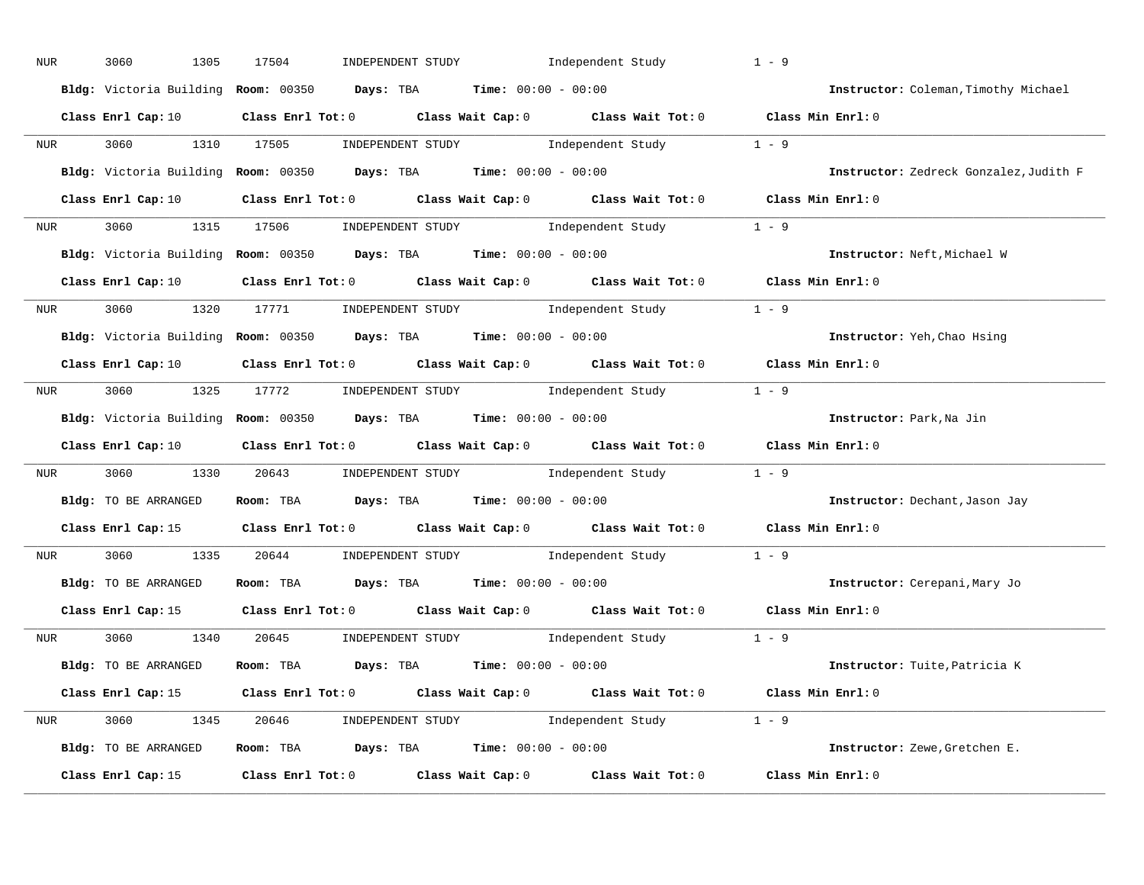| NUR              | 1305<br>3060         | INDEPENDENT STUDY 1ndependent Study<br>17504                                                                                   | $1 - 9$                                |
|------------------|----------------------|--------------------------------------------------------------------------------------------------------------------------------|----------------------------------------|
|                  |                      | Bldg: Victoria Building Room: 00350 Days: TBA Time: 00:00 - 00:00                                                              | Instructor: Coleman, Timothy Michael   |
|                  | Class Enrl Cap: 10   | Class Enrl Tot: 0 Class Wait Cap: 0 Class Wait Tot: 0 Class Min Enrl: 0                                                        |                                        |
|                  |                      | NUR 3060 1310 17505 INDEPENDENT STUDY Independent Study                                                                        | $1 - 9$                                |
|                  |                      | Bldg: Victoria Building Room: 00350 Days: TBA Time: 00:00 - 00:00                                                              | Instructor: Zedreck Gonzalez, Judith F |
|                  |                      | Class Enrl Cap: 10 $\qquad$ Class Enrl Tot: 0 $\qquad$ Class Wait Cap: 0 $\qquad$ Class Wait Tot: 0 $\qquad$ Class Min Enrl: 0 |                                        |
| NUR <sub>p</sub> |                      | 3060 1315 17506 INDEPENDENT STUDY Independent Study 1 - 9                                                                      |                                        |
|                  |                      | Bldg: Victoria Building Room: 00350 Days: TBA Time: 00:00 - 00:00                                                              | Instructor: Neft.Michael W             |
|                  |                      | Class Enrl Cap: 10 $\qquad$ Class Enrl Tot: 0 $\qquad$ Class Wait Cap: 0 $\qquad$ Class Wait Tot: 0 $\qquad$ Class Min Enrl: 0 |                                        |
|                  |                      | NUR 3060 1320 17771 INDEPENDENT STUDY Independent Study 1 - 9                                                                  |                                        |
|                  |                      | Bldg: Victoria Building Room: 00350 Days: TBA Time: 00:00 - 00:00                                                              | Instructor: Yeh, Chao Hsing            |
|                  | Class Enrl Cap: 10   | Class Enrl Tot: 0 Class Wait Cap: 0 Class Wait Tot: 0 Class Min Enrl: 0                                                        |                                        |
| NUR <sub>p</sub> |                      | 3060 1325 17772 INDEPENDENT STUDY Independent Study                                                                            | $1 - 9$                                |
|                  |                      | Bldg: Victoria Building Room: 00350 Days: TBA Time: 00:00 - 00:00                                                              | Instructor: Park, Na Jin               |
|                  | Class Enrl Cap: 10   | Class Enrl Tot: 0 Class Wait Cap: 0 Class Wait Tot: 0 Class Min Enrl: 0                                                        |                                        |
| NUR <sub>p</sub> |                      | 3060 1330 20643 INDEPENDENT STUDY 1ndependent Study 1 - 9                                                                      |                                        |
|                  | Bldg: TO BE ARRANGED | Room: TBA $\rule{1em}{0.15mm}$ Days: TBA Time: $00:00 - 00:00$                                                                 | Instructor: Dechant, Jason Jay         |
|                  |                      | Class Enrl Cap: 15 Class Enrl Tot: 0 Class Wait Cap: 0 Class Wait Tot: 0 Class Min Enrl: 0                                     |                                        |
| <b>NUR</b>       |                      | 3060 1335 20644 INDEPENDENT STUDY                                                                                              | Independent Study 1 - 9                |
|                  | Bldg: TO BE ARRANGED | Room: TBA $\rule{1em}{0.15mm}$ Days: TBA Time: $00:00 - 00:00$                                                                 | Instructor: Cerepani, Mary Jo          |
|                  | Class Enrl Cap: 15   | Class Enrl Tot: $0$ Class Wait Cap: $0$ Class Wait Tot: $0$                                                                    | Class Min Enrl: 0                      |
|                  |                      | NUR 3060 1340 20645 INDEPENDENT STUDY Independent Study 1 - 9                                                                  |                                        |
|                  |                      | Bldg: TO BE ARRANGED Room: TBA Days: TBA Time: 00:00 - 00:00                                                                   | Instructor: Tuite, Patricia K          |
|                  |                      | Class Enrl Cap: 15 Class Enrl Tot: 0 Class Wait Cap: 0 Class Wait Tot: 0 Class Min Enrl: 0                                     |                                        |
|                  |                      | NUR 3060 1345 20646 INDEPENDENT STUDY Independent Study 1 - 9                                                                  |                                        |
|                  | Bldg: TO BE ARRANGED | <b>Room:</b> TBA <b>Days:</b> TBA <b>Time:</b> 00:00 - 00:00                                                                   | Instructor: Zewe, Gretchen E.          |
|                  |                      | Class Enrl Cap: 15 Class Enrl Tot: 0 Class Wait Cap: 0 Class Wait Tot: 0 Class Min Enrl: 0                                     |                                        |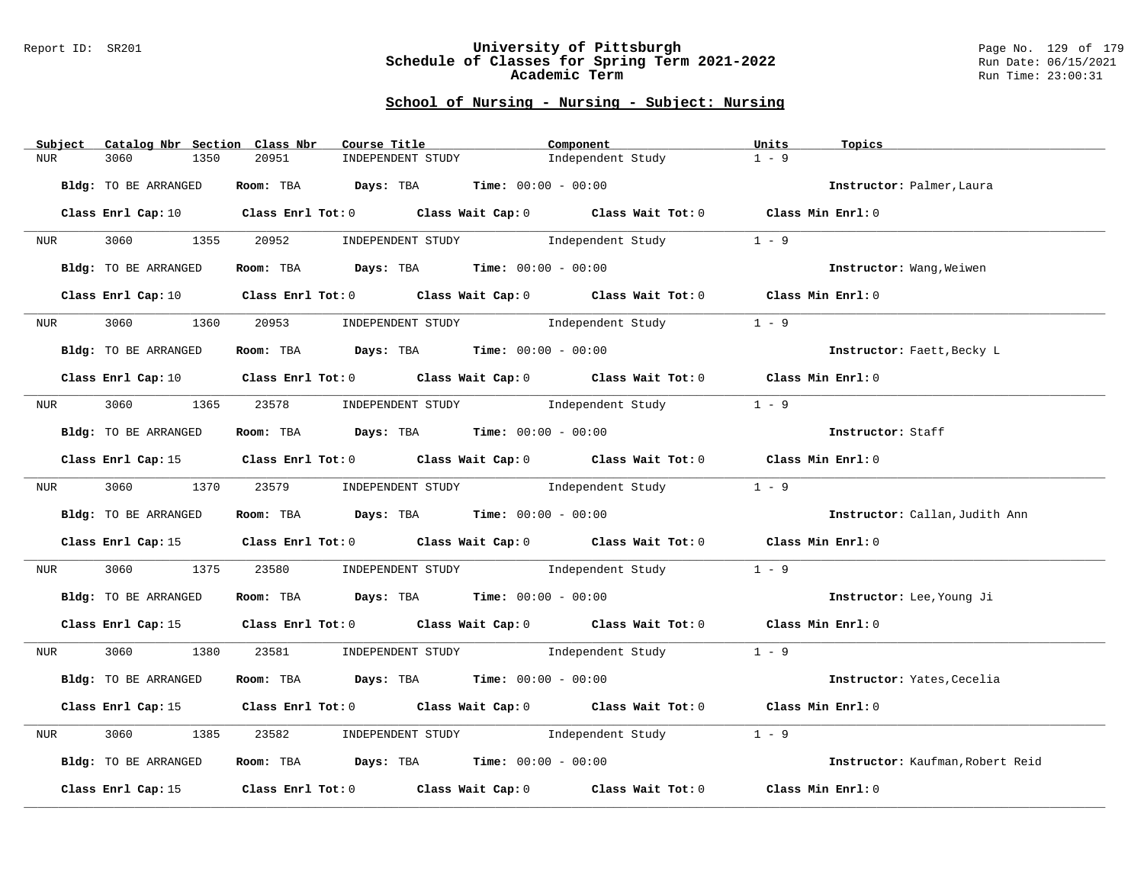#### Report ID: SR201 **University of Pittsburgh** Page No. 129 of 179 **Schedule of Classes for Spring Term 2021-2022** Run Date: 06/15/2021 **Academic Term** Run Time: 23:00:31

| Subject          | Catalog Nbr Section Class Nbr | Course Title                                | Component                                                                                                                      | Units<br>Topics                  |
|------------------|-------------------------------|---------------------------------------------|--------------------------------------------------------------------------------------------------------------------------------|----------------------------------|
| <b>NUR</b>       | 3060<br>1350                  | 20951<br>INDEPENDENT STUDY                  | Independent Study                                                                                                              | $1 - 9$                          |
|                  | Bldg: TO BE ARRANGED          | Room: TBA $Days:$ TBA $Time: 00:00 - 00:00$ |                                                                                                                                | Instructor: Palmer, Laura        |
|                  |                               |                                             | Class Enrl Cap: 10 $\qquad$ Class Enrl Tot: 0 $\qquad$ Class Wait Cap: 0 $\qquad$ Class Wait Tot: 0 $\qquad$ Class Min Enrl: 0 |                                  |
| NUR <sub>p</sub> |                               |                                             | 3060 1355 20952 INDEPENDENT STUDY Independent Study                                                                            | $1 - 9$                          |
|                  | Bldg: TO BE ARRANGED          | Room: TBA $Days:$ TBA $Time: 00:00 - 00:00$ |                                                                                                                                | Instructor: Wang, Weiwen         |
|                  | Class Enrl Cap: 10            |                                             | Class Enrl Tot: 0 Class Wait Cap: 0 Class Wait Tot: 0 Class Min Enrl: 0                                                        |                                  |
| <b>NUR</b>       | 3060<br>1360                  | 20953                                       | INDEPENDENT STUDY 1ndependent Study                                                                                            | $1 - 9$                          |
|                  | Bldg: TO BE ARRANGED          | Room: TBA $Days:$ TBA $Time: 00:00 - 00:00$ |                                                                                                                                | Instructor: Faett, Becky L       |
|                  |                               |                                             | Class Enrl Cap: 10 $\qquad$ Class Enrl Tot: 0 $\qquad$ Class Wait Cap: 0 $\qquad$ Class Wait Tot: 0 $\qquad$ Class Min Enrl: 0 |                                  |
|                  |                               |                                             | NUR 3060 1365 23578 INDEPENDENT STUDY Independent Study                                                                        | $1 - 9$                          |
|                  | Bldg: TO BE ARRANGED          | Room: TBA $Days:$ TBA $Time: 00:00 - 00:00$ |                                                                                                                                | Instructor: Staff                |
|                  |                               |                                             | Class Enrl Cap: 15 Class Enrl Tot: 0 Class Wait Cap: 0 Class Wait Tot: 0 Class Min Enrl: 0                                     |                                  |
| NUR <sub>p</sub> |                               |                                             | 3060 1370 23579 INDEPENDENT STUDY Independent Study                                                                            | $1 - 9$                          |
|                  | Bldg: TO BE ARRANGED          | Room: TBA $Days: TBA$ Time: $00:00 - 00:00$ |                                                                                                                                | Instructor: Callan, Judith Ann   |
|                  |                               |                                             | Class Enrl Cap: 15 (class Enrl Tot: 0 (class Wait Cap: 0 (class Wait Tot: 0 (class Min Enrl: 0)                                |                                  |
| NUR              |                               |                                             | 3060 1375 23580 INDEPENDENT STUDY Independent Study                                                                            | $1 - 9$                          |
|                  | Bldg: TO BE ARRANGED          | Room: TBA $Days:$ TBA Time: $00:00 - 00:00$ |                                                                                                                                | Instructor: Lee, Young Ji        |
|                  |                               |                                             | Class Enrl Cap: 15 Class Enrl Tot: 0 Class Wait Cap: 0 Class Wait Tot: 0 Class Min Enrl: 0                                     |                                  |
| NUR <sub>p</sub> | 3060 1380                     |                                             | 23581 INDEPENDENT STUDY Independent Study 1 - 9                                                                                |                                  |
|                  | Bldg: TO BE ARRANGED          | Room: TBA $Days:$ TBA $Time: 00:00 - 00:00$ |                                                                                                                                | Instructor: Yates, Cecelia       |
|                  |                               |                                             | Class Enrl Cap: 15 Class Enrl Tot: 0 Class Wait Cap: 0 Class Wait Tot: 0 Class Min Enrl: 0                                     |                                  |
| NUR              | 3060<br>1385                  | 23582                                       | INDEPENDENT STUDY 1ndependent Study                                                                                            | $1 - 9$                          |
|                  | Bldg: TO BE ARRANGED          | Room: TBA $Days:$ TBA Time: $00:00 - 00:00$ |                                                                                                                                | Instructor: Kaufman, Robert Reid |
|                  | Class Enrl Cap: 15            |                                             | Class Enrl Tot: 0 Class Wait Cap: 0 Class Wait Tot: 0 Class Min Enrl: 0                                                        |                                  |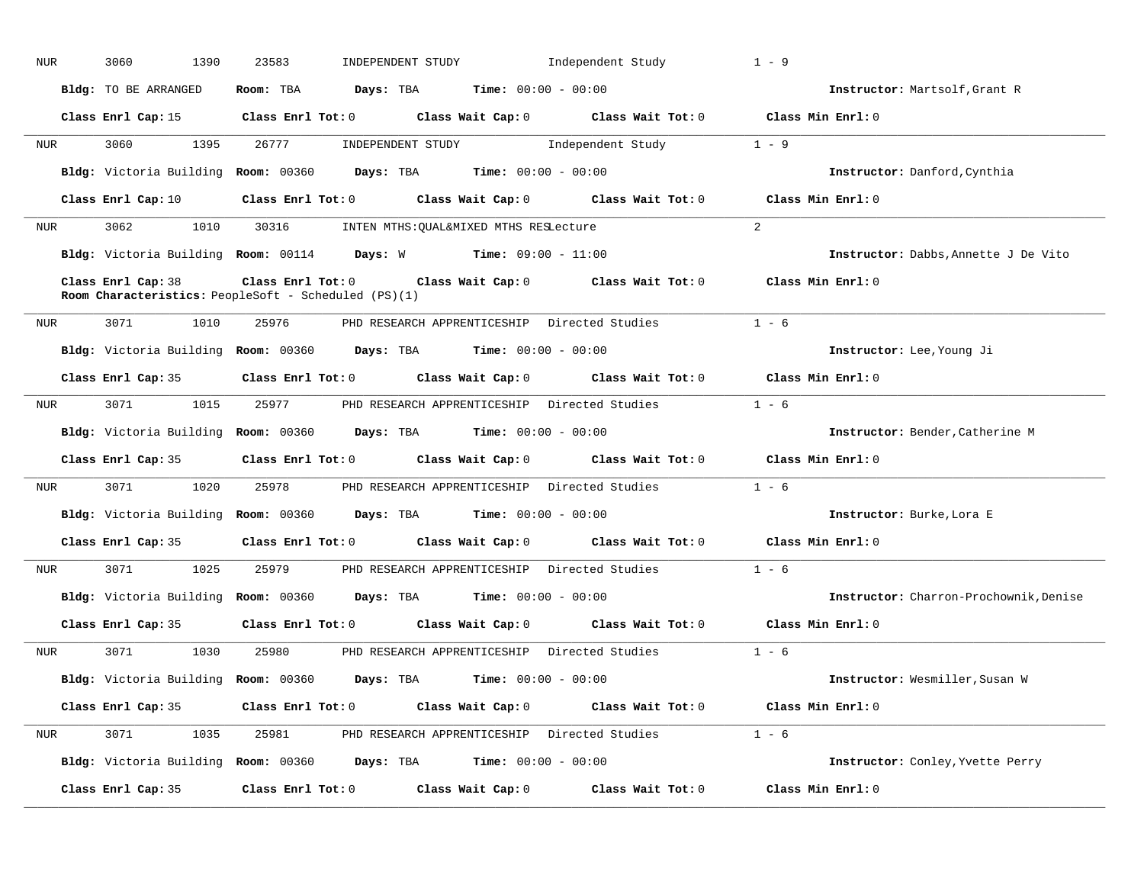| NUR              | 3060<br>1390         | 23583<br>Independent Study<br>INDEPENDENT STUDY                                                                                         | $1 - 9$                                |
|------------------|----------------------|-----------------------------------------------------------------------------------------------------------------------------------------|----------------------------------------|
|                  | Bldg: TO BE ARRANGED | $\texttt{DayS:}$ TBA $\texttt{Time:}$ 00:00 - 00:00<br>Room: TBA                                                                        | Instructor: Martsolf, Grant R          |
|                  |                      | Class Enrl Cap: 15 Class Enrl Tot: 0 Class Wait Cap: 0 Class Wait Tot: 0 Class Min Enrl: 0                                              |                                        |
| NUR              | 3060<br>1395         | INDEPENDENT STUDY 1 - 9<br>26777                                                                                                        |                                        |
|                  |                      | Bldg: Victoria Building Room: 00360 Days: TBA Time: 00:00 - 00:00                                                                       | Instructor: Danford, Cynthia           |
|                  | Class Enrl Cap: 10   | Class Enrl Tot: $0$ Class Wait Cap: $0$ Class Wait Tot: $0$ Class Min Enrl: $0$                                                         |                                        |
| NUR              | 3062 300             | 1010 30316 INTEN MTHS: QUAL&MIXED MTHS RESLecture                                                                                       | $\overline{2}$                         |
|                  |                      | Bldg: Victoria Building Room: 00114 Days: W Time: 09:00 - 11:00                                                                         | Instructor: Dabbs, Annette J De Vito   |
|                  | Class Enrl Cap: 38   | Class Enrl Tot: $0$ Class Wait Cap: $0$ Class Wait Tot: $0$ Class Min Enrl: $0$<br>Room Characteristics: PeopleSoft - Scheduled (PS)(1) |                                        |
| NUR              | 3071<br>1010         | 25976<br>PHD RESEARCH APPRENTICESHIP Directed Studies                                                                                   | $1 - 6$                                |
|                  |                      | Bldg: Victoria Building Room: 00360 Days: TBA Time: 00:00 - 00:00                                                                       | Instructor: Lee, Young Ji              |
|                  | Class Enrl Cap: 35   | Class Enrl Tot: 0 Class Wait Cap: 0 Class Wait Tot: 0                                                                                   | Class Min Enrl: 0                      |
| NUR              | 3071<br>1015         | 25977<br>PHD RESEARCH APPRENTICESHIP Directed Studies                                                                                   | $1 - 6$                                |
|                  |                      | Bldg: Victoria Building Room: 00360 Days: TBA Time: 00:00 - 00:00                                                                       | Instructor: Bender, Catherine M        |
|                  | Class Enrl Cap: 35   | Class Enrl Tot: 0 Class Wait Cap: 0 Class Wait Tot: 0                                                                                   | Class Min Enrl: 0                      |
| NUR <sub>p</sub> | 3071<br>1020         | 25978 PHD RESEARCH APPRENTICESHIP Directed Studies                                                                                      | $1 - 6$                                |
|                  |                      | Bldg: Victoria Building Room: 00360 Days: TBA Time: 00:00 - 00:00                                                                       | Instructor: Burke, Lora E              |
|                  | Class Enrl Cap: 35   | Class Enrl Tot: 0 Class Wait Cap: 0 Class Wait Tot: 0 Class Min Enrl: 0                                                                 |                                        |
| NUR              | 3071 1025 25979      | PHD RESEARCH APPRENTICESHIP Directed Studies 1 - 6                                                                                      |                                        |
|                  |                      | Bldg: Victoria Building Room: 00360 Days: TBA Time: 00:00 - 00:00                                                                       | Instructor: Charron-Prochownik, Denise |
|                  | Class Enrl Cap: 35   | Class Enrl Tot: $0$ Class Wait Cap: $0$ Class Wait Tot: $0$ Class Min Enrl: $0$                                                         |                                        |
| NUR              |                      | 3071 1030 25980 PHD RESEARCH APPRENTICESHIP Directed Studies 1 - 6                                                                      |                                        |
|                  |                      | Bldg: Victoria Building Room: 00360 Days: TBA Time: 00:00 - 00:00                                                                       | Instructor: Wesmiller, Susan W         |
|                  | Class Enrl Cap: 35   | Class Enrl Tot: $0$ Class Wait Cap: $0$ Class Wait Tot: $0$ Class Min Enrl: $0$                                                         |                                        |
| NUR              |                      | 3071 1035 25981 PHD RESEARCH APPRENTICESHIP Directed Studies 1 - 6                                                                      |                                        |
|                  |                      | Bldg: Victoria Building Room: 00360 Days: TBA Time: 00:00 - 00:00                                                                       | Instructor: Conley, Yvette Perry       |
|                  | Class Enrl Cap: 35   | $Class$ $Enrl$ $Tot: 0$<br>Class Wait Cap: $0$ Class Wait Tot: $0$                                                                      | Class Min Enrl: 0                      |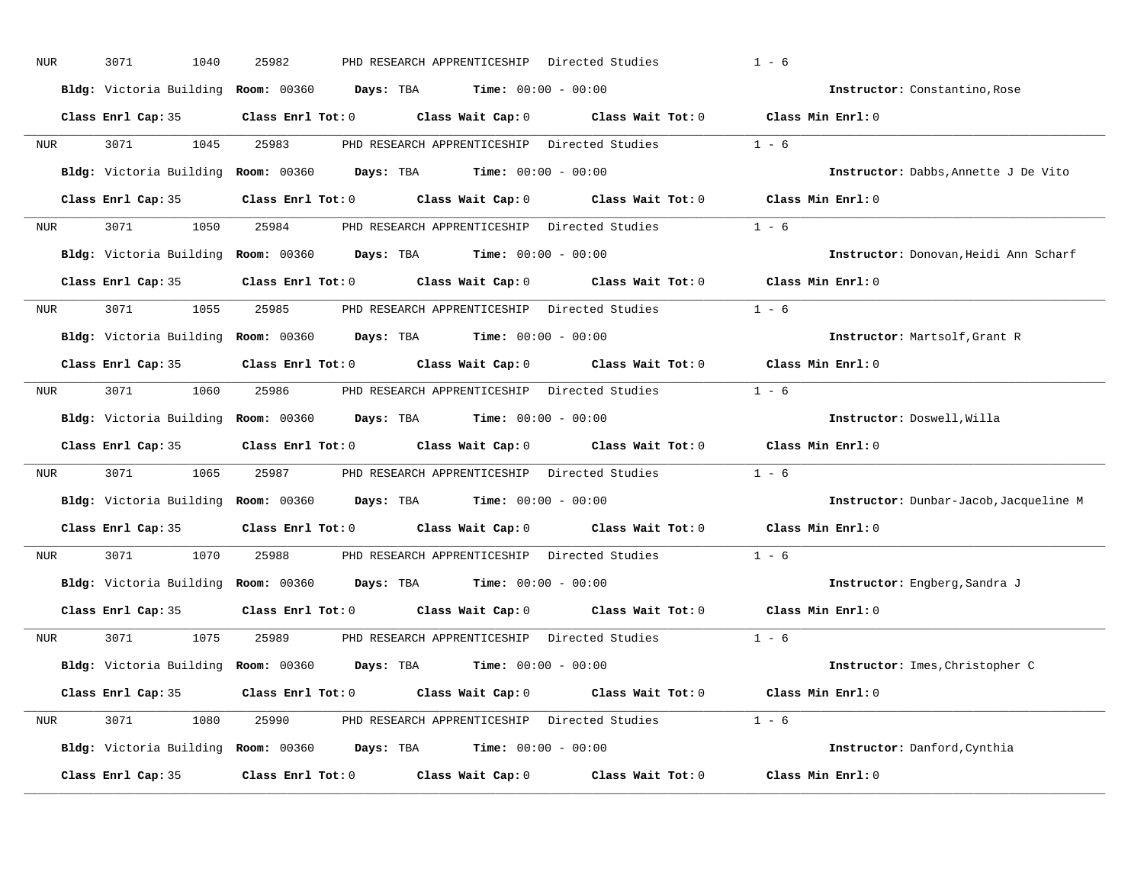| NUR | 3071<br>1040       | 25982<br>PHD RESEARCH APPRENTICESHIP Directed Studies                           | $1 - 6$                                |
|-----|--------------------|---------------------------------------------------------------------------------|----------------------------------------|
|     |                    | Bldg: Victoria Building Room: 00360 Days: TBA Time: 00:00 - 00:00               | Instructor: Constantino, Rose          |
|     | Class Enrl Cap: 35 | Class Enrl Tot: $0$ Class Wait Cap: $0$ Class Wait Tot: $0$ Class Min Enrl: $0$ |                                        |
| NUR | 3071 300<br>1045   | 25983<br>PHD RESEARCH APPRENTICESHIP Directed Studies                           | $1 - 6$                                |
|     |                    | Bldg: Victoria Building Room: 00360 Days: TBA Time: 00:00 - 00:00               | Instructor: Dabbs, Annette J De Vito   |
|     | Class Enrl Cap: 35 | Class Enrl Tot: 0 Class Wait Cap: 0 Class Wait Tot: 0 Class Min Enrl: 0         |                                        |
| NUR | 3071 1050          | 25984 PHD RESEARCH APPRENTICESHIP Directed Studies 1 - 6                        |                                        |
|     |                    | Bldg: Victoria Building Room: 00360 Days: TBA Time: 00:00 - 00:00               | Instructor: Donovan, Heidi Ann Scharf  |
|     | Class Enrl Cap: 35 | Class Enrl Tot: $0$ Class Wait Cap: $0$ Class Wait Tot: $0$                     | Class Min Enrl: 0                      |
| NUR | 3071<br>1055       | 25985 PHD RESEARCH APPRENTICESHIP Directed Studies                              | $1 - 6$                                |
|     |                    | Bldg: Victoria Building Room: 00360 Days: TBA Time: 00:00 - 00:00               | Instructor: Martsolf, Grant R          |
|     | Class Enrl Cap: 35 | Class Enrl Tot: 0 Class Wait Cap: 0 Class Wait Tot: 0                           | Class Min Enrl: 0                      |
| NUR |                    | 3071 1060 25986 PHD RESEARCH APPRENTICESHIP Directed Studies                    | $1 - 6$                                |
|     |                    | Bldg: Victoria Building Room: 00360 Days: TBA Time: 00:00 - 00:00               | Instructor: Doswell, Willa             |
|     | Class Enrl Cap: 35 | Class Enrl Tot: 0 Class Wait Cap: 0 Class Wait Tot: 0                           | Class Min Enrl: 0                      |
| NUR | 3071<br>1065       | 25987<br>PHD RESEARCH APPRENTICESHIP Directed Studies                           | $1 - 6$                                |
|     |                    | Bldg: Victoria Building Room: 00360 Days: TBA Time: 00:00 - 00:00               | Instructor: Dunbar-Jacob, Jacqueline M |
|     | Class Enrl Cap: 35 | Class Enrl Tot: 0 Class Wait Cap: 0 Class Wait Tot: 0                           | Class Min Enrl: 0                      |
| NUR | 3071<br>1070       | 25988<br>PHD RESEARCH APPRENTICESHIP Directed Studies                           | $1 - 6$                                |
|     |                    | Bldg: Victoria Building Room: 00360 Days: TBA Time: 00:00 - 00:00               | Instructor: Engberg, Sandra J          |
|     | Class Enrl Cap: 35 | Class Enrl Tot: 0 Class Wait Cap: 0 Class Wait Tot: 0                           | Class Min Enrl: 0                      |
| NUR | 3071<br>1075       | 25989<br>PHD RESEARCH APPRENTICESHIP Directed Studies                           | $1 - 6$                                |
|     |                    | Bldg: Victoria Building Room: 00360 Days: TBA Time: 00:00 - 00:00               | Instructor: Imes, Christopher C        |
|     | Class Enrl Cap: 35 | Class Enrl Tot: $0$ Class Wait Cap: $0$ Class Wait Tot: $0$ Class Min Enrl: $0$ |                                        |
| NUR |                    | 3071 1080 25990 PHD RESEARCH APPRENTICESHIP Directed Studies 1 - 6              |                                        |
|     |                    | Bldg: Victoria Building Room: 00360 Days: TBA Time: 00:00 - 00:00               | Instructor: Danford, Cynthia           |
|     | Class Enrl Cap: 35 | Class Enrl Tot: 0 Class Wait Cap: 0 Class Wait Tot: 0                           | Class Min Enrl: 0                      |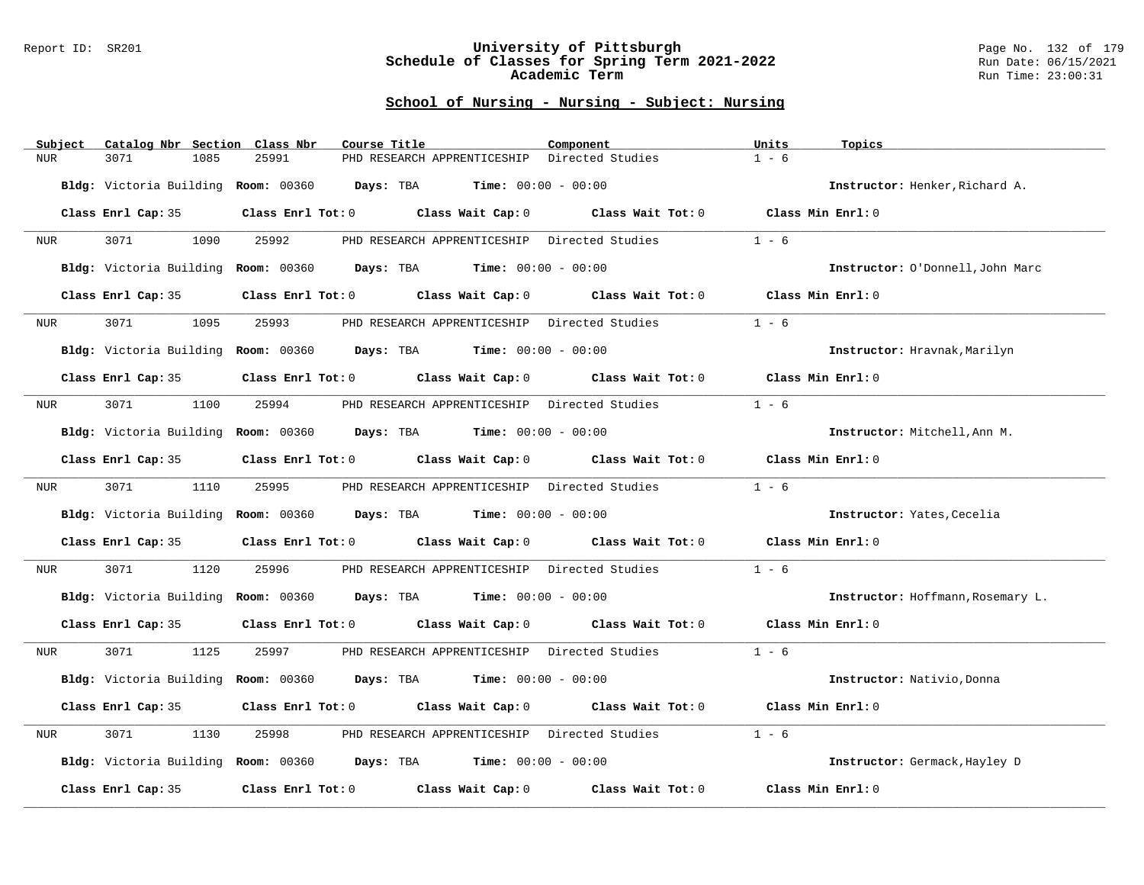#### Report ID: SR201 **University of Pittsburgh** Page No. 132 of 179 **Schedule of Classes for Spring Term 2021-2022** Run Date: 06/15/2021 **Academic Term** Run Time: 23:00:31

| Subject    | Catalog Nbr Section | Class Nbr<br>Course Title                                         | Component                                    | Units<br>Topics                   |
|------------|---------------------|-------------------------------------------------------------------|----------------------------------------------|-----------------------------------|
| NUR        | 3071<br>1085        | 25991<br>PHD RESEARCH APPRENTICESHIP                              | Directed Studies                             | $1 - 6$                           |
|            |                     | Bldg: Victoria Building Room: 00360 Days: TBA Time: 00:00 - 00:00 |                                              | Instructor: Henker, Richard A.    |
|            | Class Enrl Cap: 35  | $Class$ $Enrl$ $Tot: 0$<br>Class Wait Cap: 0                      | Class Wait Tot: 0                            | Class Min Enrl: 0                 |
| NUR        | 3071<br>1090        | 25992<br>PHD RESEARCH APPRENTICESHIP Directed Studies             |                                              | $1 - 6$                           |
|            |                     | Bldg: Victoria Building Room: 00360 Days: TBA Time: 00:00 - 00:00 |                                              | Instructor: O'Donnell, John Marc  |
|            | Class Enrl Cap: 35  | Class Enrl Tot: 0 Class Wait Cap: 0 Class Wait Tot: 0             |                                              | Class Min Enrl: 0                 |
| NUR        | 3071<br>1095        | 25993<br>PHD RESEARCH APPRENTICESHIP Directed Studies             |                                              | $1 - 6$                           |
|            |                     | Bldg: Victoria Building Room: 00360 Days: TBA Time: 00:00 - 00:00 |                                              | Instructor: Hravnak, Marilyn      |
|            | Class Enrl Cap: 35  | Class Enrl Tot: 0 Class Wait Cap: 0                               | Class Wait Tot: 0 Class Min Enrl: 0          |                                   |
| NUR        | 3071<br>1100        | 25994<br>PHD RESEARCH APPRENTICESHIP Directed Studies             |                                              | $1 - 6$                           |
|            |                     | Bldg: Victoria Building Room: 00360 Days: TBA Time: 00:00 - 00:00 |                                              | Instructor: Mitchell, Ann M.      |
|            | Class Enrl Cap: 35  | Class Enrl Tot: 0 Class Wait Cap: 0                               | Class Wait Tot: 0                            | Class Min Enrl: 0                 |
| NUR        | 3071<br>1110        | PHD RESEARCH APPRENTICESHIP Directed Studies<br>25995             |                                              | $1 - 6$                           |
|            |                     | Bldg: Victoria Building Room: 00360 Days: TBA Time: 00:00 - 00:00 |                                              | Instructor: Yates, Cecelia        |
|            | Class Enrl Cap: 35  | Class Enrl Tot: 0 Class Wait Cap: 0                               | Class Wait Tot: 0                            | Class Min Enrl: 0                 |
| NUR        | 3071<br>1120        | 25996<br>PHD RESEARCH APPRENTICESHIP Directed Studies             |                                              | $1 - 6$                           |
|            |                     | Bldg: Victoria Building Room: 00360 Days: TBA Time: 00:00 - 00:00 |                                              | Instructor: Hoffmann, Rosemary L. |
|            | Class Enrl Cap: 35  | Class Enrl Tot: 0 Class Wait Cap: 0                               | Class Wait Tot: 0                            | Class Min Enrl: 0                 |
| NUR        | 3071<br>1125        | 25997                                                             | PHD RESEARCH APPRENTICESHIP Directed Studies | $1 - 6$                           |
|            |                     | Bldg: Victoria Building Room: 00360 Days: TBA Time: 00:00 - 00:00 |                                              | Instructor: Nativio, Donna        |
|            | Class Enrl Cap: 35  | Class Enrl Tot: 0 Class Wait Cap: 0 Class Wait Tot: 0             |                                              | Class Min Enrl: 0                 |
| <b>NUR</b> | 3071<br>1130        | 25998<br>PHD RESEARCH APPRENTICESHIP Directed Studies             |                                              | $1 - 6$                           |
|            |                     | Bldg: Victoria Building Room: 00360 Days: TBA Time: 00:00 - 00:00 |                                              | Instructor: Germack, Hayley D     |
|            | Class Enrl Cap: 35  | Class Enrl Tot: 0<br>Class Wait Cap: 0                            | Class Wait Tot: 0                            | Class Min Enrl: 0                 |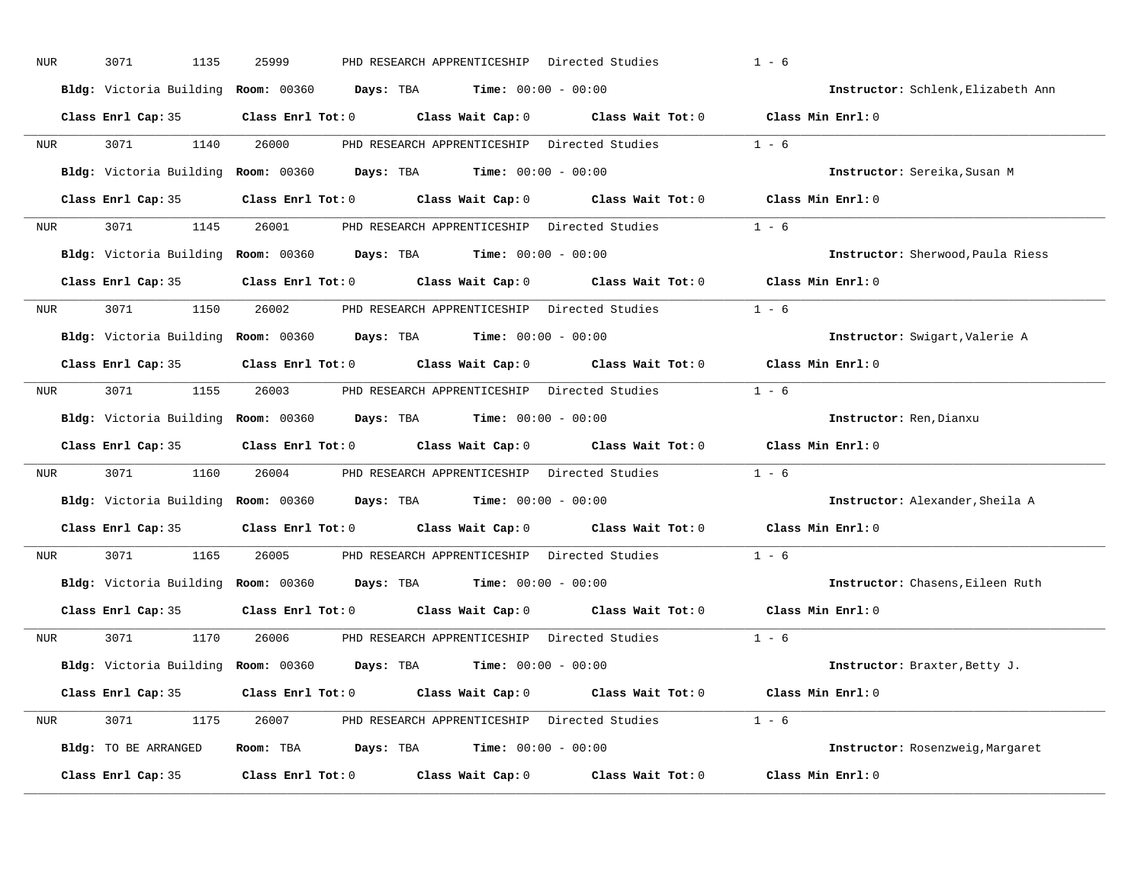| NUR | 3071<br>1135         | 25999<br>PHD RESEARCH APPRENTICESHIP Directed Studies                                              | $1 - 6$                            |
|-----|----------------------|----------------------------------------------------------------------------------------------------|------------------------------------|
|     |                      | Bldg: Victoria Building Room: 00360 Days: TBA Time: 00:00 - 00:00                                  | Instructor: Schlenk, Elizabeth Ann |
|     | Class Enrl Cap: 35   | Class Enrl Tot: $0$ Class Wait Cap: $0$ Class Wait Tot: $0$ Class Min Enrl: $0$                    |                                    |
| NUR | 3071 300             | 1140 26000<br>PHD RESEARCH APPRENTICESHIP Directed Studies                                         | $1 - 6$                            |
|     |                      | Bldg: Victoria Building Room: 00360 Days: TBA Time: 00:00 - 00:00                                  | Instructor: Sereika, Susan M       |
|     | Class Enrl Cap: 35   | Class Enrl Tot: 0 Class Wait Cap: 0 Class Wait Tot: 0 Class Min Enrl: 0                            |                                    |
| NUR | 3071 1145            | 26001 PHD RESEARCH APPRENTICESHIP Directed Studies 1 - 6                                           |                                    |
|     |                      | Bldg: Victoria Building Room: 00360 Days: TBA Time: 00:00 - 00:00                                  | Instructor: Sherwood, Paula Riess  |
|     | Class Enrl Cap: 35   | Class Enrl Tot: 0 Class Wait Cap: 0 Class Wait Tot: 0                                              | Class Min Enrl: 0                  |
| NUR | 3071<br>1150         | 26002 PHD RESEARCH APPRENTICESHIP Directed Studies                                                 | $1 - 6$                            |
|     |                      | Bldg: Victoria Building Room: 00360 Days: TBA Time: 00:00 - 00:00                                  | Instructor: Swigart, Valerie A     |
|     | Class Enrl Cap: 35   | Class Enrl Tot: 0 Class Wait Cap: 0 Class Wait Tot: 0                                              | Class Min Enrl: 0                  |
| NUR | 3071 1155            | 26003 PHD RESEARCH APPRENTICESHIP Directed Studies                                                 | $1 - 6$                            |
|     |                      | Bldg: Victoria Building Room: 00360 Days: TBA Time: 00:00 - 00:00                                  | Instructor: Ren, Dianxu            |
|     | Class Enrl Cap: 35   | Class Enrl Tot: 0 Class Wait Cap: 0 Class Wait Tot: 0                                              | Class Min Enrl: 0                  |
| NUR | 3071<br>1160         | 26004<br>PHD RESEARCH APPRENTICESHIP Directed Studies                                              | $1 - 6$                            |
|     |                      | Bldg: Victoria Building Room: 00360 Days: TBA Time: 00:00 - 00:00                                  | Instructor: Alexander, Sheila A    |
|     | Class Enrl Cap: 35   | Class Enrl Tot: 0 Class Wait Cap: 0 Class Wait Tot: 0                                              | Class Min Enrl: 0                  |
|     |                      |                                                                                                    |                                    |
| NUR | 3071<br>1165         | 26005<br>PHD RESEARCH APPRENTICESHIP Directed Studies                                              | $1 - 6$                            |
|     |                      | Bldg: Victoria Building Room: 00360 Days: TBA Time: 00:00 - 00:00                                  | Instructor: Chasens, Eileen Ruth   |
|     | Class Enrl Cap: 35   | Class Enrl Tot: 0 Class Wait Cap: 0 Class Wait Tot: 0                                              | Class Min Enrl: 0                  |
| NUR | 3071<br>1170         | 26006 700<br>PHD RESEARCH APPRENTICESHIP Directed Studies                                          | $1 - 6$                            |
|     |                      | Bldg: Victoria Building Room: 00360 Days: TBA Time: 00:00 - 00:00                                  | Instructor: Braxter, Betty J.      |
|     | Class Enrl Cap: 35   | Class Enrl Tot: 0 $\qquad$ Class Wait Cap: 0 $\qquad$ Class Wait Tot: 0 $\qquad$ Class Min Enrl: 0 |                                    |
| NUR |                      | 3071 1175 26007 PHD RESEARCH APPRENTICESHIP Directed Studies 1 - 6                                 |                                    |
|     | Bldg: TO BE ARRANGED | <b>Room:</b> TBA $\qquad \qquad$ Days: TBA $\qquad \qquad$ Time: $00:00 - 00:00$                   | Instructor: Rosenzweig, Margaret   |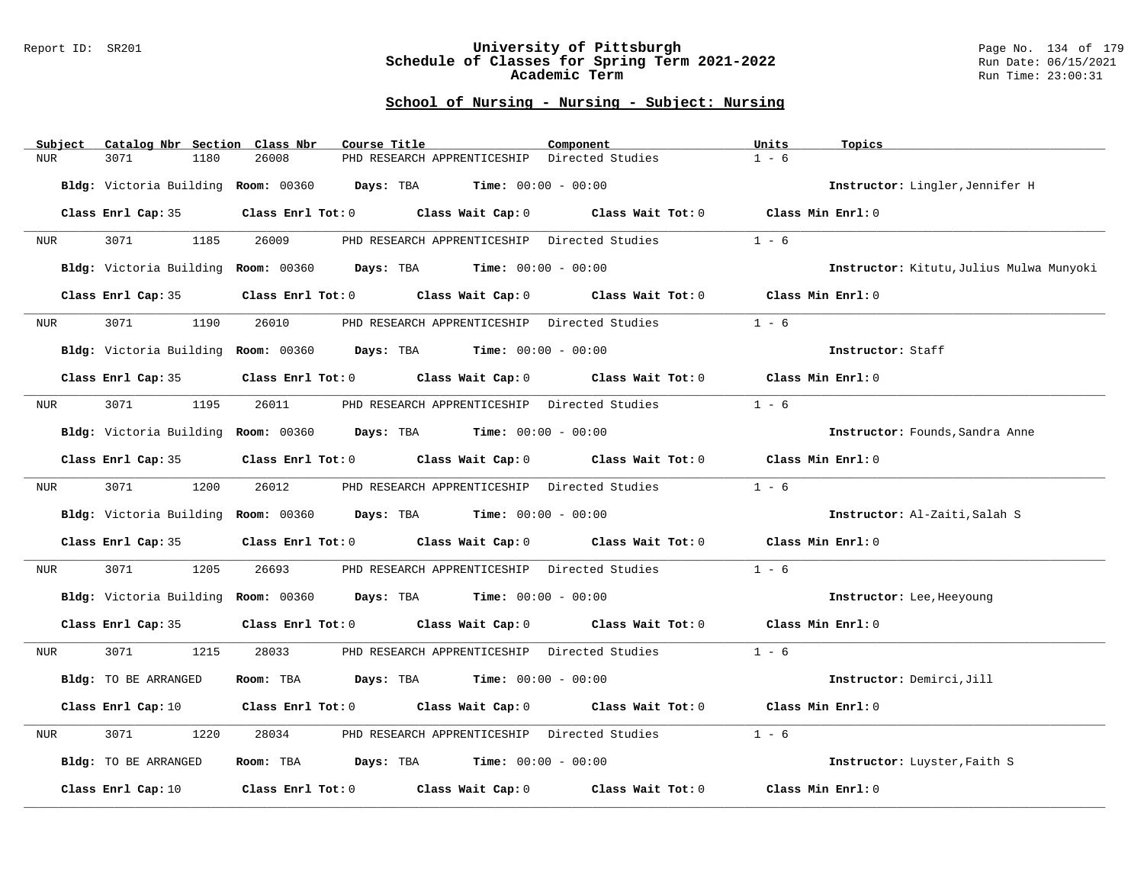#### Report ID: SR201 **University of Pittsburgh** Page No. 134 of 179 **Schedule of Classes for Spring Term 2021-2022** Run Date: 06/15/2021 **Academic Term** Run Time: 23:00:31

| Subject | Catalog Nbr Section  | Class Nbr<br>Course Title                                               | Component         | Units<br>Topics                          |
|---------|----------------------|-------------------------------------------------------------------------|-------------------|------------------------------------------|
| NUR.    | 3071<br>1180         | PHD RESEARCH APPRENTICESHIP<br>26008                                    | Directed Studies  | $1 - 6$                                  |
|         |                      | Bldg: Victoria Building Room: 00360 Days: TBA Time: 00:00 - 00:00       |                   | Instructor: Lingler, Jennifer H          |
|         | Class Enrl Cap: 35   | Class Enrl Tot: 0 Class Wait Cap: 0 Class Wait Tot: 0 Class Min Enrl: 0 |                   |                                          |
| NUR     | 3071<br>1185         | 26009<br>PHD RESEARCH APPRENTICESHIP Directed Studies                   |                   | $1 - 6$                                  |
|         |                      | Bldg: Victoria Building Room: 00360 Days: TBA Time: 00:00 - 00:00       |                   | Instructor: Kitutu, Julius Mulwa Munyoki |
|         | Class Enrl Cap: 35   | $Class$ $Enr1$ $Tot: 0$<br>Class Wait Cap: 0                            | Class Wait Tot: 0 | Class Min Enrl: 0                        |
| NUR     | 3071<br>1190         | 26010<br>PHD RESEARCH APPRENTICESHIP Directed Studies                   |                   | $1 - 6$                                  |
|         |                      | Bldg: Victoria Building Room: 00360 Days: TBA Time: 00:00 - 00:00       |                   | Instructor: Staff                        |
|         | Class Enrl Cap: 35   | Class Enrl Tot: 0 Class Wait Cap: 0 Class Wait Tot: 0 Class Min Enrl: 0 |                   |                                          |
| NUR     | 3071<br>1195         | PHD RESEARCH APPRENTICESHIP Directed Studies<br>26011                   |                   | $1 - 6$                                  |
|         |                      | Bldg: Victoria Building Room: 00360 Days: TBA Time: 00:00 - 00:00       |                   | Instructor: Founds, Sandra Anne          |
|         | Class Enrl Cap: 35   | Class Enrl Tot: 0 Class Wait Cap: 0                                     | Class Wait Tot: 0 | Class Min Enrl: 0                        |
| NUR     | 3071<br>1200         | 26012<br>PHD RESEARCH APPRENTICESHIP Directed Studies                   |                   | $1 - 6$                                  |
|         |                      | Bldg: Victoria Building Room: 00360 Days: TBA Time: 00:00 - 00:00       |                   | Instructor: Al-Zaiti, Salah S            |
|         | Class Enrl Cap: 35   | Class Enrl Tot: 0 Class Wait Cap: 0 Class Wait Tot: 0                   |                   | Class Min Enrl: 0                        |
| NUR     | 3071<br>1205         | 26693<br>PHD RESEARCH APPRENTICESHIP Directed Studies                   |                   | $1 - 6$                                  |
|         |                      | Bldg: Victoria Building Room: 00360 Days: TBA Time: 00:00 - 00:00       |                   | Instructor: Lee, Heeyoung                |
|         | Class Enrl Cap: 35   | Class Enrl Tot: 0 Class Wait Cap: 0 Class Wait Tot: 0 Class Min Enrl: 0 |                   |                                          |
| NUR     | 3071<br>1215         | 28033<br>PHD RESEARCH APPRENTICESHIP Directed Studies                   |                   | $1 - 6$                                  |
|         | Bldg: TO BE ARRANGED | $Days: TBA$ Time: $00:00 - 00:00$<br>Room: TBA                          |                   | Instructor: Demirci, Jill                |
|         | Class Enrl Cap: 10   | Class Enrl Tot: 0 Class Wait Cap: 0 Class Wait Tot: 0                   |                   | Class Min Enrl: 0                        |
| NUR     | 3071<br>1220         | 28034<br>PHD RESEARCH APPRENTICESHIP Directed Studies                   |                   | $1 - 6$                                  |
|         | Bldg: TO BE ARRANGED | $\texttt{DayS:}$ TBA $\texttt{Time:}$ 00:00 - 00:00<br>Room: TBA        |                   | Instructor: Luyster, Faith S             |
|         | Class Enrl Cap: 10   | Class Enrl Tot: 0<br>Class Wait Cap: 0                                  | Class Wait Tot: 0 | Class Min Enrl: 0                        |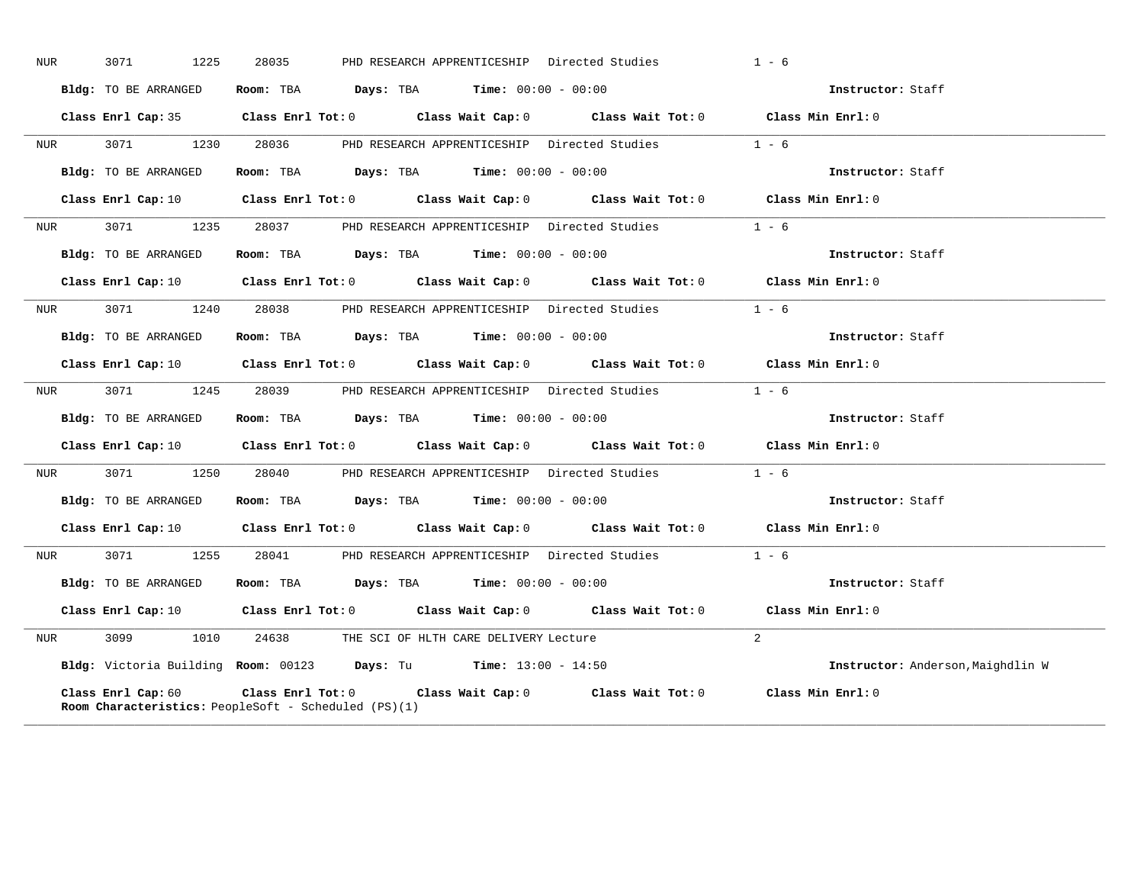| NUR              | 3071<br>1225         | 28035<br>PHD RESEARCH APPRENTICESHIP Directed Studies                                                                                          | $1 - 6$                           |
|------------------|----------------------|------------------------------------------------------------------------------------------------------------------------------------------------|-----------------------------------|
|                  | Bldg: TO BE ARRANGED | Room: TBA $Days:$ TBA Time: $00:00 - 00:00$                                                                                                    | Instructor: Staff                 |
|                  |                      | Class Enrl Cap: 35 Class Enrl Tot: 0 Class Wait Cap: 0 Class Wait Tot: 0 Class Min Enrl: 0                                                     |                                   |
|                  |                      | NUR 3071 1230 28036 PHD RESEARCH APPRENTICESHIP Directed Studies                                                                               | $1 - 6$                           |
|                  | Bldg: TO BE ARRANGED | Room: TBA $\rule{1em}{0.15mm}$ Days: TBA Time: $00:00 - 00:00$                                                                                 | Instructor: Staff                 |
|                  |                      | Class Enrl Cap: 10 Class Enrl Tot: 0 Class Wait Cap: 0 Class Wait Tot: 0 Class Min Enrl: 0                                                     |                                   |
|                  |                      | NUR 3071 1235 28037 PHD RESEARCH APPRENTICESHIP Directed Studies 1 - 6                                                                         |                                   |
|                  | Bldg: TO BE ARRANGED | Room: TBA $\rule{1em}{0.15mm}$ Days: TBA Time: $00:00 - 00:00$                                                                                 | Instructor: Staff                 |
|                  |                      | Class Enrl Cap: 10 $\qquad$ Class Enrl Tot: 0 $\qquad$ Class Wait Cap: 0 $\qquad$ Class Wait Tot: 0 $\qquad$ Class Min Enrl: 0                 |                                   |
| NUR <sub>p</sub> |                      | 3071 1240 28038 PHD RESEARCH APPRENTICESHIP Directed Studies 1 - 6                                                                             |                                   |
|                  | Bldg: TO BE ARRANGED | Room: TBA $\rule{1em}{0.15mm}$ Days: TBA Time: $00:00 - 00:00$                                                                                 | Instructor: Staff                 |
|                  |                      | Class Enrl Cap: 10 Class Enrl Tot: 0 Class Wait Cap: 0 Class Wait Tot: 0 Class Min Enrl: 0                                                     |                                   |
|                  |                      | NUR 3071 1245 28039 PHD RESEARCH APPRENTICESHIP Directed Studies 1 - 6                                                                         |                                   |
|                  | Bldg: TO BE ARRANGED | Room: TBA $Days:$ TBA $Time: 00:00 - 00:00$                                                                                                    | Instructor: Staff                 |
|                  |                      | Class Enrl Cap: 10 $\qquad$ Class Enrl Tot: 0 $\qquad$ Class Wait Cap: 0 $\qquad$ Class Wait Tot: 0 $\qquad$ Class Min Enrl: 0                 |                                   |
| <b>NUR</b>       |                      | 3071 1250 28040 PHD RESEARCH APPRENTICESHIP Directed Studies 1 - 6                                                                             |                                   |
|                  | Bldg: TO BE ARRANGED | Room: TBA $Days:$ TBA $Time:$ $00:00 - 00:00$                                                                                                  | Instructor: Staff                 |
|                  |                      | Class Enrl Cap: 10 Class Enrl Tot: 0 Class Wait Cap: 0 Class Wait Tot: 0 Class Min Enrl: 0                                                     |                                   |
|                  |                      | NUR 3071 1255 28041 PHD RESEARCH APPRENTICESHIP Directed Studies                                                                               | $1 - 6$                           |
|                  | Bldg: TO BE ARRANGED | Room: TBA $Days:$ TBA Time: $00:00 - 00:00$                                                                                                    | Instructor: Staff                 |
|                  |                      | Class Enrl Cap: 10 Class Enrl Tot: 0 Class Wait Cap: 0 Class Wait Tot: 0 Class Min Enrl: 0                                                     |                                   |
|                  |                      | NUR 3099 1010 24638 THE SCI OF HLTH CARE DELIVERY Lecture                                                                                      | 2 <sup>0</sup>                    |
|                  |                      | Bldg: Victoria Building Room: 00123 Days: Tu Time: 13:00 - 14:50                                                                               | Instructor: Anderson, Maighdlin W |
|                  | Class Enrl Cap: 60   | Class Enrl Tot: $0$ Class Wait Cap: $0$ Class Wait Tot: $0$ Class Min Enrl: $0$<br><b>Room Characteristics:</b> PeopleSoft - Scheduled (PS)(1) |                                   |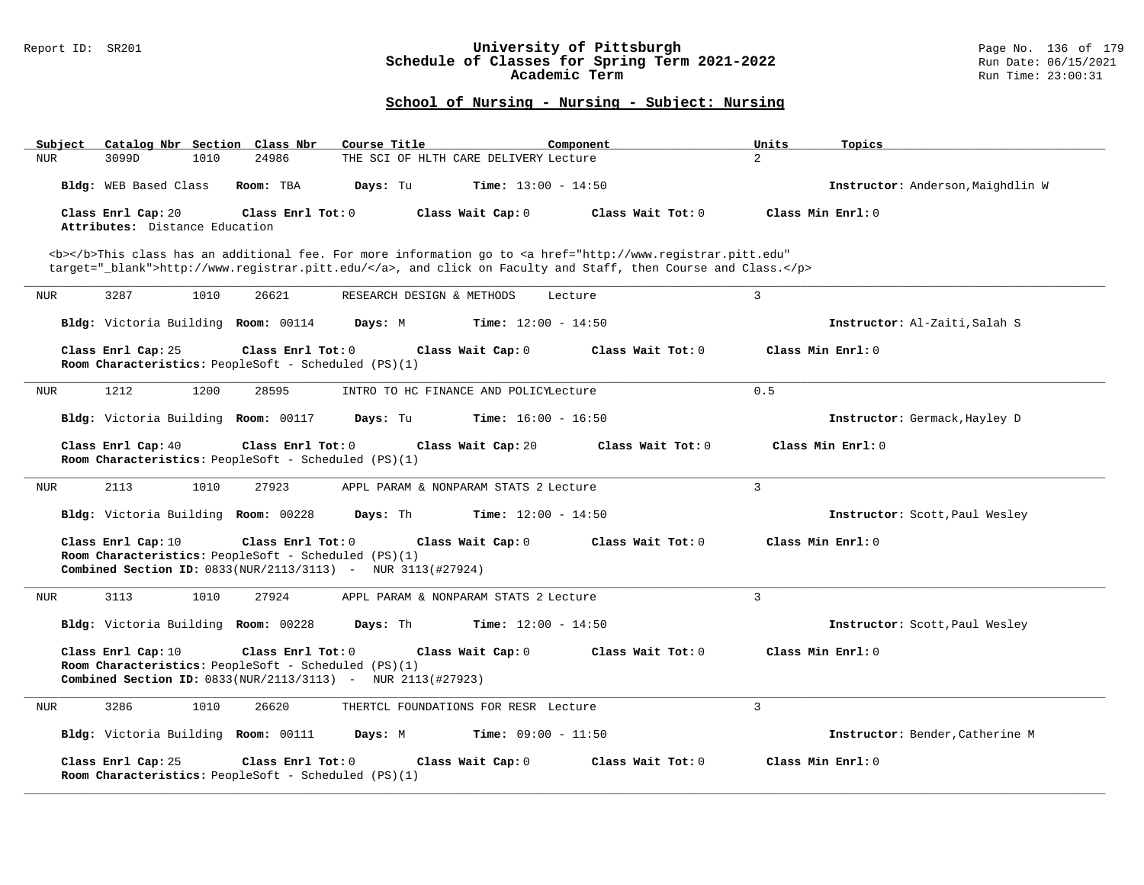#### Report ID: SR201 **University of Pittsburgh** Page No. 136 of 179 **Schedule of Classes for Spring Term 2021-2022** Run Date: 06/15/2021 **Academic Term** Run Time: 23:00:31

| Subject<br>Catalog Nbr Section Class Nbr             | Course Title                                                                                                                                                                                                                       | Component<br>Units        | Topics                            |
|------------------------------------------------------|------------------------------------------------------------------------------------------------------------------------------------------------------------------------------------------------------------------------------------|---------------------------|-----------------------------------|
| 3099D<br>1010<br><b>NUR</b>                          | 24986<br>THE SCI OF HLTH CARE DELIVERY Lecture                                                                                                                                                                                     | $\overline{a}$            |                                   |
| Bldg: WEB Based Class                                | Room: TBA<br><b>Time:</b> $13:00 - 14:50$<br>Days: Tu                                                                                                                                                                              |                           | Instructor: Anderson, Maighdlin W |
| Class Enrl Cap: 20<br>Attributes: Distance Education | Class Enrl Tot: 0<br>Class Wait Cap: 0                                                                                                                                                                                             | Class Wait Tot: 0         | Class Min $Enrl: 0$               |
|                                                      | <b></b> This class has an additional fee. For more information go to <a <br="" href="http://www.registrar.pitt.edu">target="_blank"&gt;http://www.registrar.pitt.edu/</a> , and click on Faculty and Staff, then Course and Class. |                           |                                   |
| 3287<br>1010<br><b>NUR</b>                           | 26621<br>RESEARCH DESIGN & METHODS                                                                                                                                                                                                 | $\overline{3}$<br>Lecture |                                   |
| Bldg: Victoria Building Room: 00114                  | Days: M<br><b>Time:</b> $12:00 - 14:50$                                                                                                                                                                                            |                           | Instructor: Al-Zaiti, Salah S     |
| Class Enrl Cap: 25                                   | Class Enrl Tot: 0<br>Class Wait Cap: 0<br>Room Characteristics: PeopleSoft - Scheduled (PS)(1)                                                                                                                                     | Class Wait $Tot: 0$       | Class Min Enrl: 0                 |
| 1212<br>1200<br>NUR                                  | 28595<br>INTRO TO HC FINANCE AND POLICYLecture                                                                                                                                                                                     | 0.5                       |                                   |
| Bldg: Victoria Building Room: 00117                  | Days: Tu<br><b>Time:</b> $16:00 - 16:50$                                                                                                                                                                                           |                           | Instructor: Germack, Hayley D     |
| Class Enrl Cap: 40                                   | Class Enrl Tot: 0<br>Class Wait Cap: 20<br>Room Characteristics: PeopleSoft - Scheduled (PS)(1)                                                                                                                                    | Class Wait Tot: 0         | Class Min Enrl: 0                 |
| 2113<br>1010<br>NUR                                  | APPL PARAM & NONPARAM STATS 2 Lecture<br>27923                                                                                                                                                                                     | $\overline{3}$            |                                   |
| Bldg: Victoria Building Room: 00228                  | Days: Th<br><b>Time:</b> $12:00 - 14:50$                                                                                                                                                                                           |                           | Instructor: Scott, Paul Wesley    |
| Class Enrl Cap: 10                                   | Class Enrl Tot: 0<br>Class Wait Cap: 0<br>Room Characteristics: PeopleSoft - Scheduled (PS)(1)<br><b>Combined Section ID:</b> $0833(NUR/2113/3113)$ - NUR $3113(#27924)$                                                           | Class Wait $Tot: 0$       | Class Min Enrl: 0                 |
| 3113<br>1010<br><b>NUR</b>                           | 27924<br>APPL PARAM & NONPARAM STATS 2 Lecture                                                                                                                                                                                     | $\overline{3}$            |                                   |
| Bldg: Victoria Building Room: 00228                  | Days: Th<br><b>Time:</b> $12:00 - 14:50$                                                                                                                                                                                           |                           | Instructor: Scott, Paul Wesley    |
| Class Enrl Cap: 10                                   | Class Enrl Tot: 0<br>Class Wait Cap: 0<br>Room Characteristics: PeopleSoft - Scheduled (PS)(1)<br><b>Combined Section ID:</b> 0833(NUR/2113/3113) - NUR 2113(#27923)                                                               | Class Wait Tot: 0         | Class Min Enrl: 0                 |
| 3286<br>1010<br>NUR                                  | 26620<br>THERTCL FOUNDATIONS FOR RESR Lecture                                                                                                                                                                                      | 3                         |                                   |
| Bldg: Victoria Building Room: 00111                  | Days: M<br><b>Time:</b> $09:00 - 11:50$                                                                                                                                                                                            |                           | Instructor: Bender, Catherine M   |
| Class Enrl Cap: 25                                   | Class Enrl Tot: 0<br>Class Wait Cap: 0<br>Room Characteristics: PeopleSoft - Scheduled (PS)(1)                                                                                                                                     | Class Wait Tot: 0         | Class Min Enrl: 0                 |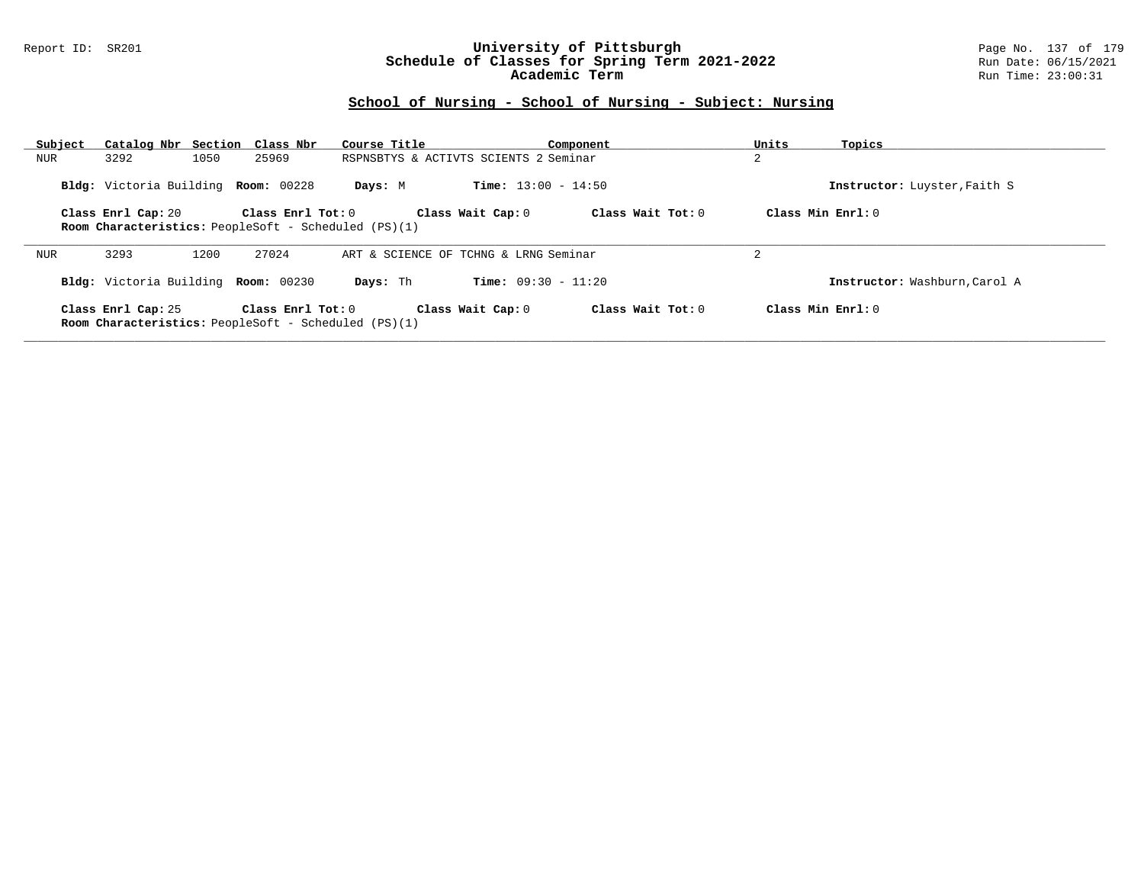#### Report ID: SR201 **University of Pittsburgh** Page No. 137 of 179 **Schedule of Classes for Spring Term 2021-2022** Run Date: 06/15/2021 **Academic Term** Run Time: 23:00:31

| Subject                                                                                                                                                                | Catalog Nbr Section Class Nbr                                                     |                   | Course Title                          |                              | Component         | Units          | Topics                        |
|------------------------------------------------------------------------------------------------------------------------------------------------------------------------|-----------------------------------------------------------------------------------|-------------------|---------------------------------------|------------------------------|-------------------|----------------|-------------------------------|
| NUR                                                                                                                                                                    | 3292<br>1050                                                                      | 25969             | RSPNSBTYS & ACTIVTS SCIENTS 2 Seminar |                              |                   | $\overline{a}$ |                               |
|                                                                                                                                                                        | Bldg: Victoria Building Room: 00228                                               |                   | Days: M                               | <b>Time:</b> $13:00 - 14:50$ |                   |                | Instructor: Luyster, Faith S  |
| Class Min $Enrl: 0$<br>$Class$ $Enr1$ $Tot: 0$<br>Class Wait Cap: 0<br>Class Wait Tot: 0<br>Class Enrl Cap: 20<br>Room Characteristics: PeopleSoft - Scheduled (PS)(1) |                                                                                   |                   |                                       |                              |                   |                |                               |
| NUR                                                                                                                                                                    | 3293<br>1200                                                                      | 27024             | ART & SCIENCE OF TCHNG & LRNG Seminar |                              |                   | 2              |                               |
|                                                                                                                                                                        | Bldg: Victoria Building Room: 00230                                               |                   | Days: Th                              | <b>Time:</b> $09:30 - 11:20$ |                   |                | Instructor: Washburn, Carol A |
|                                                                                                                                                                        | Class Enrl Cap: 25<br><b>Room Characteristics:</b> PeopleSoft - Scheduled (PS)(1) | Class Enrl Tot: 0 |                                       | Class Wait Cap: 0            | Class Wait Tot: 0 |                | Class Min Enrl: 0             |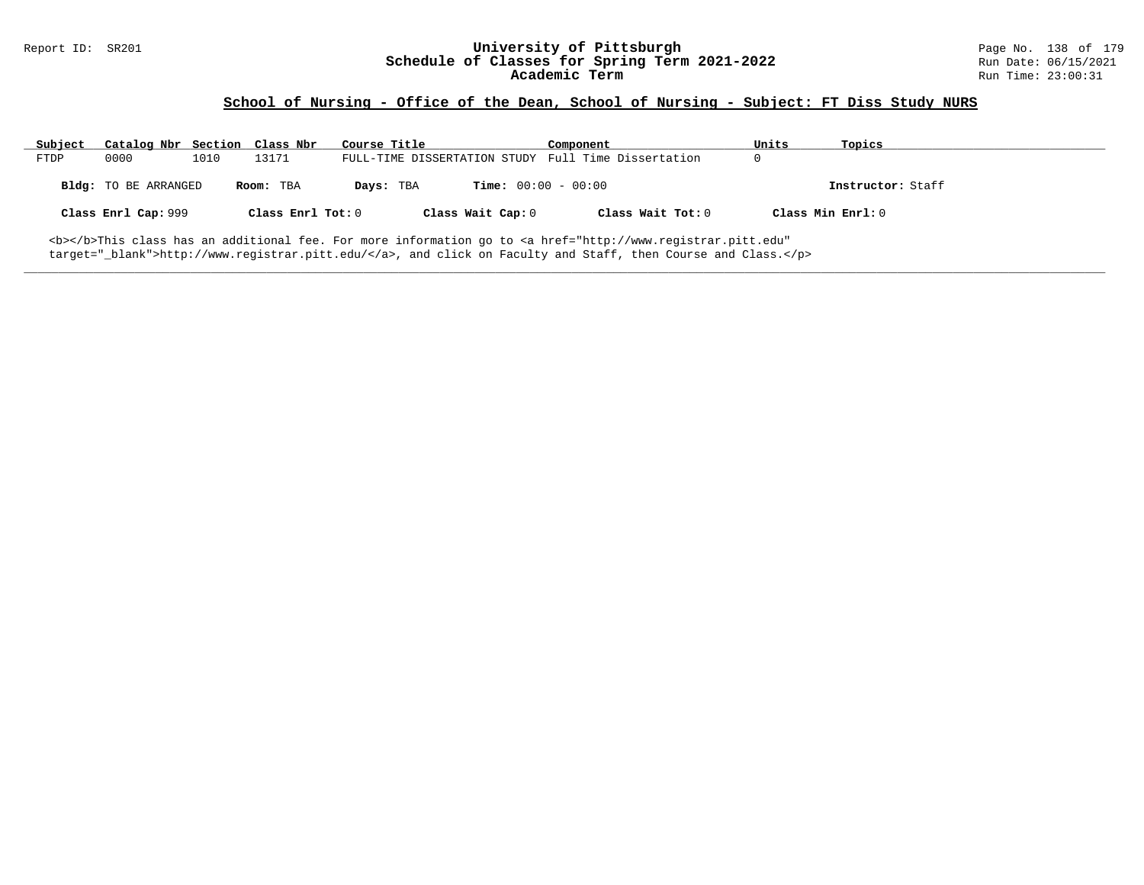# Report ID: SR201 **1998 Mixersity of Pittsburgh University of Pittsburgh** Page No. 138 of 179<br>**Schedule of Classes for Spring Term 2021-2022** Run Date: 06/15/2021 Schedule of Classes for Spring Term 2021-2022<br>Academic Term

### **School of Nursing - Office of the Dean, School of Nursing - Subject: FT Diss Study NURS**

| Subject                                                                                                                      | Catalog Nbr Section Class Nbr |      |                   | Course Title |                              | Component                                           | Units       | Topics            |  |
|------------------------------------------------------------------------------------------------------------------------------|-------------------------------|------|-------------------|--------------|------------------------------|-----------------------------------------------------|-------------|-------------------|--|
| FTDP                                                                                                                         | 0000                          | 1010 | 13171             |              |                              | FULL-TIME DISSERTATION STUDY Full Time Dissertation | $\mathbf 0$ |                   |  |
|                                                                                                                              | Bldg: TO BE ARRANGED          |      | Room: TBA         | Days: TBA    | <b>Time:</b> $00:00 - 00:00$ |                                                     |             | Instructor: Staff |  |
|                                                                                                                              | Class Enrl Cap: 999           |      | Class Enrl Tot: 0 |              | Class Wait Cap: 0            | Class Wait Tot: 0                                   |             | Class Min Enrl: 0 |  |
| <b></b> This class has an additional fee. For more information go to <a <="" href="http://www.registrar.pitt.edu" td=""></a> |                               |      |                   |              |                              |                                                     |             |                   |  |

**\_\_\_\_\_\_\_\_\_\_\_\_\_\_\_\_\_\_\_\_\_\_\_\_\_\_\_\_\_\_\_\_\_\_\_\_\_\_\_\_\_\_\_\_\_\_\_\_\_\_\_\_\_\_\_\_\_\_\_\_\_\_\_\_\_\_\_\_\_\_\_\_\_\_\_\_\_\_\_\_\_\_\_\_\_\_\_\_\_\_\_\_\_\_\_\_\_\_\_\_\_\_\_\_\_\_\_\_\_\_\_\_\_\_\_\_\_\_\_\_\_\_\_\_\_\_\_\_\_\_\_\_\_\_\_\_\_\_\_\_\_\_\_\_\_\_\_\_\_\_\_\_\_\_\_\_**

target="\_blank">http://www.registrar.pitt.edu/</a>, and click on Faculty and Staff, then Course and Class.</p>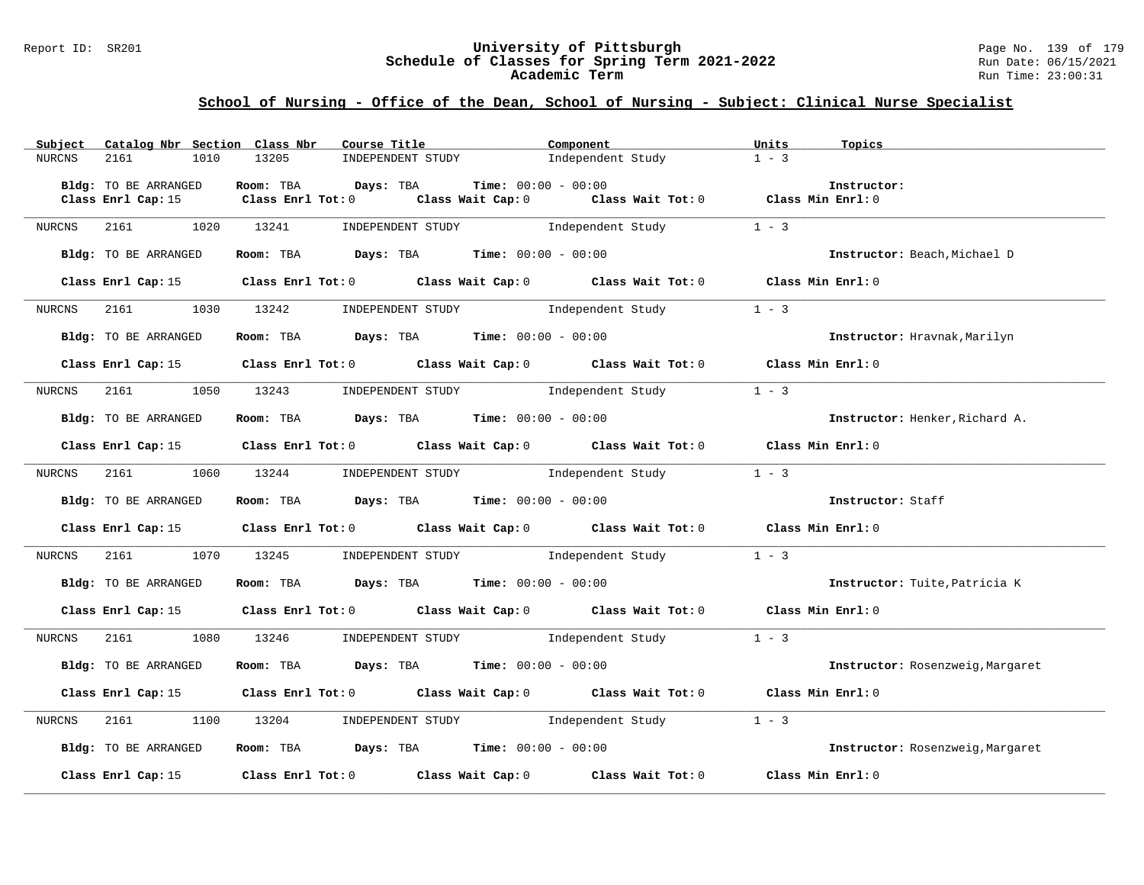#### Report ID: SR201 **University of Pittsburgh** Page No. 139 of 179 **Schedule of Classes for Spring Term 2021-2022** Run Date: 06/15/2021 **Academic Term** Run Time: 23:00:31

| Subject       | Catalog Nbr Section Class Nbr | Course Title <b>Source Search</b>                                                     | Component                                                                                       | Units<br>Topics                  |
|---------------|-------------------------------|---------------------------------------------------------------------------------------|-------------------------------------------------------------------------------------------------|----------------------------------|
| <b>NURCNS</b> | 2161<br>1010                  | 13205<br>INDEPENDENT STUDY                                                            | Independent Study                                                                               | $1 - 3$                          |
|               |                               |                                                                                       |                                                                                                 |                                  |
|               | Bldg: TO BE ARRANGED          | Room: TBA Days: TBA                                                                   | <b>Time:</b> $00:00 - 00:00$                                                                    | Instructor:                      |
|               | Class Enrl Cap: 15            |                                                                                       | Class Enrl Tot: $0$ Class Wait Cap: $0$ Class Wait Tot: $0$ Class Min Enrl: $0$                 |                                  |
|               |                               |                                                                                       |                                                                                                 |                                  |
| NURCNS        | 2161                          | 1020 13241                                                                            | INDEPENDENT STUDY 1ndependent Study                                                             | $1 - 3$                          |
|               |                               |                                                                                       |                                                                                                 |                                  |
|               | Bldg: TO BE ARRANGED          | Room: TBA $Days:$ TBA $Time: 00:00 - 00:00$                                           |                                                                                                 | Instructor: Beach, Michael D     |
|               |                               |                                                                                       | Class Enrl Cap: 15 Class Enrl Tot: 0 Class Wait Cap: 0 Class Wait Tot: 0 Class Min Enrl: 0      |                                  |
|               |                               |                                                                                       |                                                                                                 |                                  |
|               |                               |                                                                                       | NURCNS 2161 1030 13242 INDEPENDENT STUDY Independent Study 1 - 3                                |                                  |
|               |                               |                                                                                       |                                                                                                 |                                  |
|               | Bldg: TO BE ARRANGED          | Room: TBA $Days:$ TBA $Time: 00:00 - 00:00$                                           |                                                                                                 | Instructor: Hravnak, Marilyn     |
|               |                               |                                                                                       |                                                                                                 |                                  |
|               |                               |                                                                                       | Class Enrl Cap: 15 Class Enrl Tot: 0 Class Wait Cap: 0 Class Wait Tot: 0 Class Min Enrl: 0      |                                  |
|               |                               |                                                                                       |                                                                                                 |                                  |
| NURCNS        |                               |                                                                                       | 2161 1050 13243 INDEPENDENT STUDY Independent Study                                             | $1 - 3$                          |
|               |                               |                                                                                       |                                                                                                 |                                  |
|               | Bldg: TO BE ARRANGED          | Room: TBA $Days:$ TBA $Time:$ 00:00 - 00:00                                           |                                                                                                 | Instructor: Henker, Richard A.   |
|               |                               |                                                                                       |                                                                                                 |                                  |
|               |                               |                                                                                       | Class Enrl Cap: 15 (Class Enrl Tot: 0 (Class Wait Cap: 0 (Class Wait Tot: 0 (Class Min Enrl: 0) |                                  |
|               |                               |                                                                                       |                                                                                                 |                                  |
| NURCNS        | 2161                          |                                                                                       | 1060 13244 INDEPENDENT STUDY Independent Study                                                  | $1 - 3$                          |
|               | Bldg: TO BE ARRANGED          | Room: TBA $Days:$ TBA $Time:$ $00:00 - 00:00$                                         |                                                                                                 | Instructor: Staff                |
|               |                               |                                                                                       |                                                                                                 |                                  |
|               |                               |                                                                                       | Class Enrl Cap: 15 Class Enrl Tot: 0 Class Wait Cap: 0 Class Wait Tot: 0 Class Min Enrl: 0      |                                  |
|               |                               |                                                                                       |                                                                                                 |                                  |
|               |                               |                                                                                       | NURCNS 2161 1070 13245 INDEPENDENT STUDY Independent Study 1 - 3                                |                                  |
|               |                               |                                                                                       |                                                                                                 |                                  |
|               | Bldg: TO BE ARRANGED          | Room: TBA $Days:$ TBA $Time: 00:00 - 00:00$                                           |                                                                                                 | Instructor: Tuite, Patricia K    |
|               |                               |                                                                                       |                                                                                                 |                                  |
|               |                               |                                                                                       | Class Enrl Cap: 15 (Class Enrl Tot: 0 (Class Wait Cap: 0 (Class Wait Tot: 0 (Class Min Enrl: 0  |                                  |
|               |                               |                                                                                       |                                                                                                 |                                  |
| NURCNS        |                               |                                                                                       | 2161 1080 13246 INDEPENDENT STUDY Independent Study                                             | $1 - 3$                          |
|               |                               |                                                                                       |                                                                                                 |                                  |
|               | Bldg: TO BE ARRANGED          | Room: TBA $Days:$ TBA $Time: 00:00 - 00:00$                                           |                                                                                                 | Instructor: Rosenzweig, Margaret |
|               |                               |                                                                                       |                                                                                                 |                                  |
|               |                               |                                                                                       | Class Enrl Cap: 15 (Class Enrl Tot: 0 (Class Wait Cap: 0 (Class Wait Tot: 0 (Class Min Enrl: 0) |                                  |
| NURCNS        | 2161 200                      |                                                                                       | 1100 13204 INDEPENDENT STUDY Independent Study $1 - 3$                                          |                                  |
|               |                               |                                                                                       |                                                                                                 |                                  |
|               | Bldg: TO BE ARRANGED          | Room: TBA $\rule{1em}{0.15mm}$ Days: TBA $\rule{1.5mm}{0.15mm}$ Time: $00:00 - 00:00$ |                                                                                                 | Instructor: Rosenzweig, Margaret |
|               |                               |                                                                                       |                                                                                                 |                                  |
|               |                               |                                                                                       | Class Enrl Cap: 15 Class Enrl Tot: 0 Class Wait Cap: 0 Class Wait Tot: 0 Class Min Enrl: 0      |                                  |
|               |                               |                                                                                       |                                                                                                 |                                  |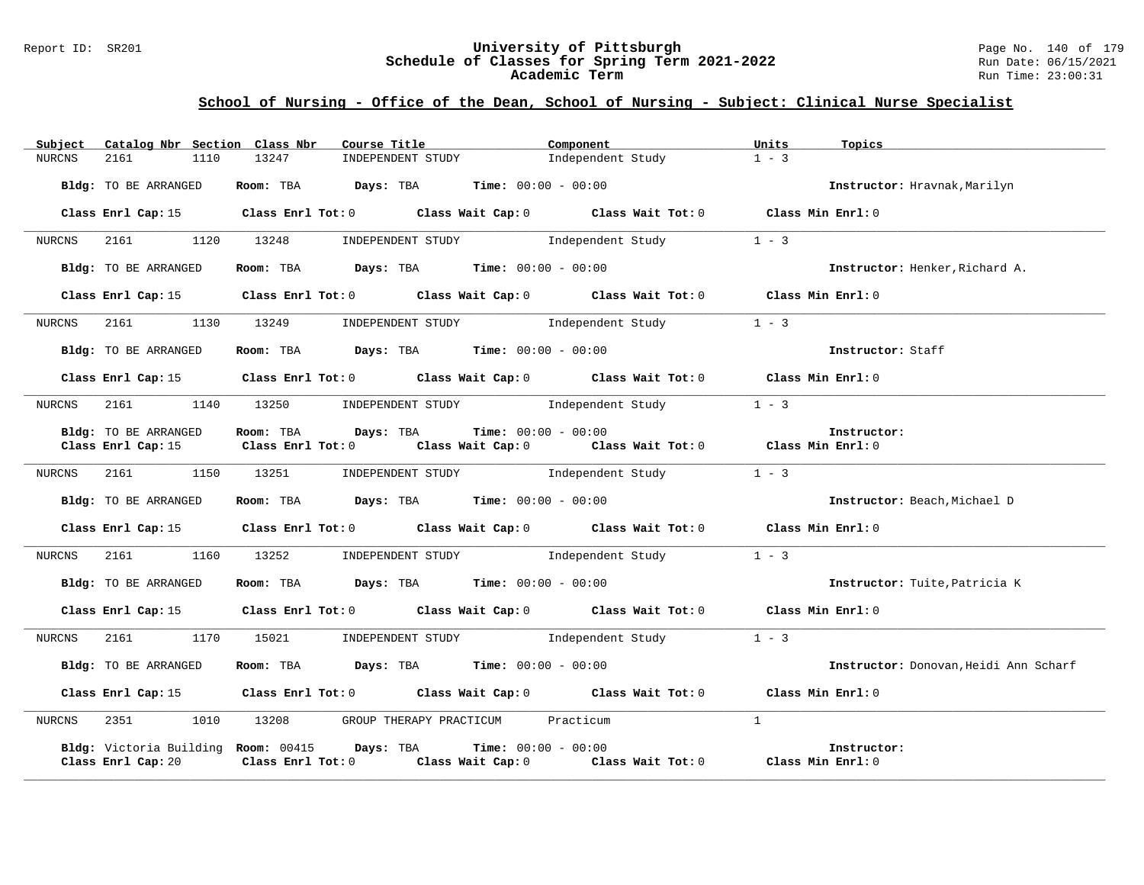#### Report ID: SR201 **University of Pittsburgh** Page No. 140 of 179 **Schedule of Classes for Spring Term 2021-2022** Run Date: 06/15/2021 **Academic Term** Run Time: 23:00:31

| Subject<br>Catalog Nbr Section Class Nbr | Course Title                                                   | Component                                                                                                       | Units<br>Topics                       |
|------------------------------------------|----------------------------------------------------------------|-----------------------------------------------------------------------------------------------------------------|---------------------------------------|
| 1110<br><b>NURCNS</b><br>2161            | 13247<br>INDEPENDENT STUDY                                     | Independent Study                                                                                               | $1 - 3$                               |
| Bldg: TO BE ARRANGED                     | Room: TBA $Days:$ TBA $Time: 00:00 - 00:00$                    |                                                                                                                 | Instructor: Hravnak, Marilyn          |
|                                          |                                                                |                                                                                                                 |                                       |
|                                          |                                                                | Class Enrl Cap: 15 Class Enrl Tot: 0 Class Wait Cap: 0 Class Wait Tot: 0 Class Min Enrl: 0                      |                                       |
| NURCNS                                   | 2161 1120 13248 INDEPENDENT STUDY Independent Study            |                                                                                                                 | $1 - 3$                               |
| Bldg: TO BE ARRANGED                     | Room: TBA $Days:$ TBA Time: $00:00 - 00:00$                    |                                                                                                                 | Instructor: Henker, Richard A.        |
|                                          |                                                                | Class Enrl Cap: 15 Class Enrl Tot: 0 Class Wait Cap: 0 Class Wait Tot: 0 Class Min Enrl: 0                      |                                       |
| NURCNS                                   |                                                                | 2161 1130 13249 INDEPENDENT STUDY Independent Study 1 - 3                                                       |                                       |
| Bldg: TO BE ARRANGED                     | Room: TBA $Days:$ TBA $Time: 00:00 - 00:00$                    |                                                                                                                 | Instructor: Staff                     |
|                                          |                                                                | Class Enrl Cap: 15 Class Enrl Tot: 0 Class Wait Cap: 0 Class Wait Tot: 0 Class Min Enrl: 0                      |                                       |
| NURCNS                                   |                                                                | 2161 1140 13250 INDEPENDENT STUDY Independent Study 1 - 3                                                       |                                       |
| Bldg: TO BE ARRANGED                     | Room: TBA Days: TBA                                            | <b>Time:</b> $00:00 - 00:00$                                                                                    | Instructor:                           |
|                                          |                                                                | Class Enrl Cap: 15 Class Enrl Tot: 0 Class Wait Cap: 0 Class Wait Tot: 0 Class Min Enrl: 0                      |                                       |
|                                          |                                                                |                                                                                                                 |                                       |
| NURCNS 2161 1150 13251                   |                                                                | INDEPENDENT STUDY 1 - 3                                                                                         |                                       |
| Bldg: TO BE ARRANGED                     | Room: TBA $Days:$ TBA Time: $00:00 - 00:00$                    |                                                                                                                 | Instructor: Beach, Michael D          |
|                                          |                                                                | Class Enrl Cap: 15 Class Enrl Tot: 0 Class Wait Cap: 0 Class Wait Tot: 0 Class Min Enrl: 0                      |                                       |
| 2161<br>1160<br>NURCNS                   |                                                                | 13252 INDEPENDENT STUDY 1ndependent Study                                                                       | $1 - 3$                               |
| Bldg: TO BE ARRANGED                     | Room: TBA $\rule{1em}{0.15mm}$ Days: TBA Time: $00:00 - 00:00$ |                                                                                                                 | Instructor: Tuite, Patricia K         |
|                                          |                                                                | Class Enrl Cap: 15 Class Enrl Tot: 0 Class Wait Cap: 0 Class Wait Tot: 0 Class Min Enrl: 0                      |                                       |
| 2161<br>NURCNS                           |                                                                | 1170 15021 INDEPENDENT STUDY Independent Study                                                                  | $1 - 3$                               |
| Bldg: TO BE ARRANGED                     | Room: TBA $\rule{1em}{0.15mm}$ Days: TBA Time: $00:00 - 00:00$ |                                                                                                                 | Instructor: Donovan, Heidi Ann Scharf |
|                                          |                                                                | Class Enrl Cap: 15 Class Enrl Tot: 0 Class Wait Cap: 0 Class Wait Tot: 0 Class Min Enrl: 0                      |                                       |
| NURCNS                                   | 2351 1010 13208 GROUP THERAPY PRACTICUM Practicum              |                                                                                                                 | $\mathbf{1}$                          |
| Class Enrl Cap: 20                       | Bldg: Victoria Building Room: 00415 Days: TBA                  | <b>Time:</b> $00:00 - 00:00$<br>Class Enrl Tot: $0$ Class Wait Cap: $0$ Class Wait Tot: $0$ Class Min Enrl: $0$ | Instructor:                           |
|                                          |                                                                |                                                                                                                 |                                       |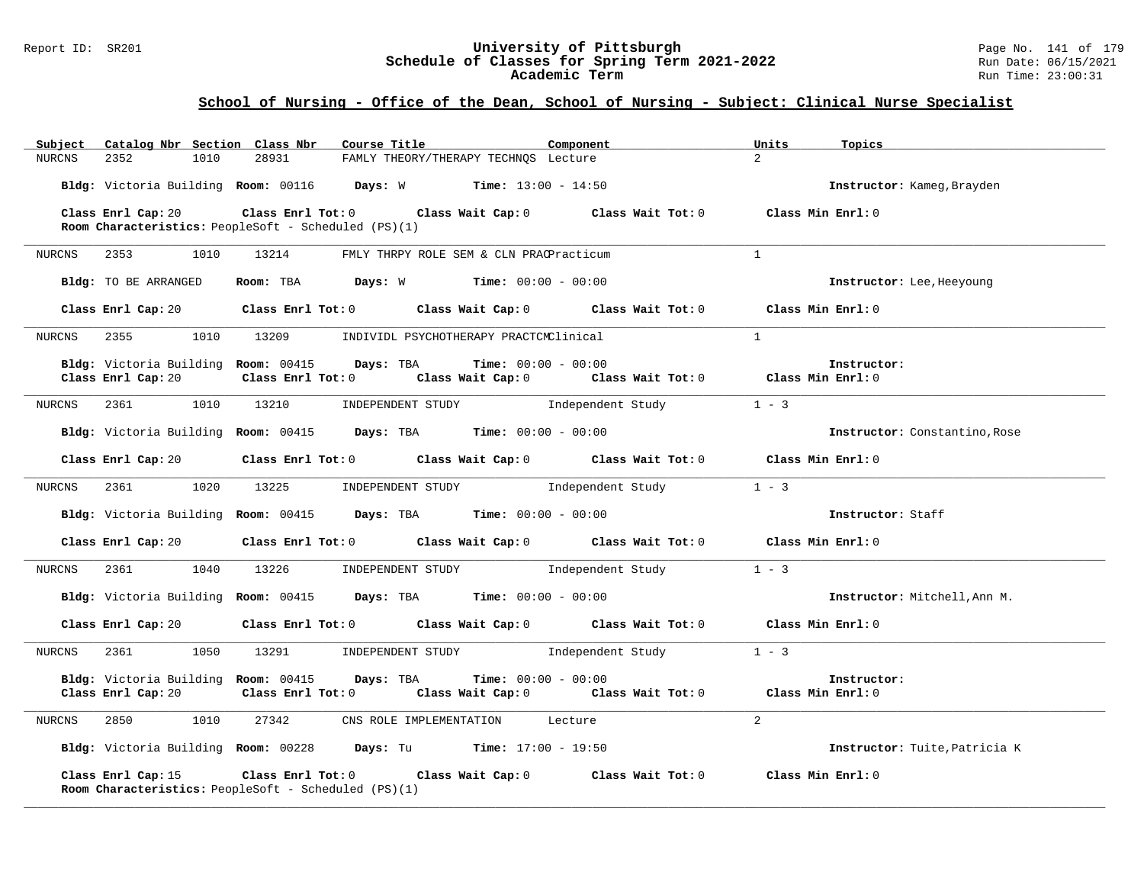#### Report ID: SR201 **University of Pittsburgh** Page No. 141 of 179 **Schedule of Classes for Spring Term 2021-2022** Run Date: 06/15/2021 **Academic Term** Run Time: 23:00:31

| Subject       |                      | Catalog Nbr Section Class Nbr                                     | Course Title                                               |                              | Component                                                                                          | Units<br>Topics           |                               |
|---------------|----------------------|-------------------------------------------------------------------|------------------------------------------------------------|------------------------------|----------------------------------------------------------------------------------------------------|---------------------------|-------------------------------|
| <b>NURCNS</b> | 2352                 | 1010<br>28931                                                     | FAMLY THEORY/THERAPY TECHNOS Lecture                       |                              |                                                                                                    | $\overline{2}$            |                               |
|               |                      | Bldg: Victoria Building Room: 00116 Days: W Time: 13:00 - 14:50   |                                                            |                              |                                                                                                    |                           | Instructor: Kameg, Brayden    |
|               | Class Enrl Cap: 20   |                                                                   |                                                            |                              | Class Enrl Tot: 0 Class Wait Cap: 0 Class Wait Tot: 0                                              | Class Min $Err1:0$        |                               |
|               |                      | Room Characteristics: PeopleSoft - Scheduled (PS)(1)              |                                                            |                              |                                                                                                    |                           |                               |
|               | NURCNS 2353          | 1010<br>13214                                                     | FMLY THRPY ROLE SEM & CLN PRACPracticum                    |                              |                                                                                                    | $\overline{1}$            |                               |
|               | Bldg: TO BE ARRANGED |                                                                   | <b>Room:</b> TBA <b>Days:</b> W <b>Time:</b> 00:00 - 00:00 |                              |                                                                                                    | Instructor: Lee, Heeyoung |                               |
|               | Class Enrl Cap: 20   |                                                                   |                                                            |                              | Class Enrl Tot: 0 Class Wait Cap: 0 Class Wait Tot: 0 Class Min Enrl: 0                            |                           |                               |
| NURCNS        | 2355                 | 1010<br>13209                                                     | INDIVIDL PSYCHOTHERAPY PRACTCMClinical                     |                              |                                                                                                    | $\mathbf{1}$              |                               |
|               |                      | Bldg: Victoria Building Room: 00415 Days: TBA Time: 00:00 - 00:00 |                                                            |                              |                                                                                                    | Instructor:               |                               |
|               | Class Enrl Cap: 20   |                                                                   |                                                            |                              | Class Enrl Tot: 0 Class Wait Cap: 0 Class Wait Tot: 0 Class Min Enrl: 0                            |                           |                               |
| NURCNS        | 2361                 | 1010<br>13210                                                     |                                                            |                              | INDEPENDENT STUDY 1ndependent Study                                                                | $1 - 3$                   |                               |
|               |                      | Bldg: Victoria Building Room: 00415 Days: TBA Time: 00:00 - 00:00 |                                                            |                              |                                                                                                    |                           | Instructor: Constantino, Rose |
|               | Class Enrl Cap: 20   |                                                                   |                                                            |                              | Class Enrl Tot: 0 $\qquad$ Class Wait Cap: 0 $\qquad$ Class Wait Tot: 0 $\qquad$ Class Min Enrl: 0 |                           |                               |
| NURCNS        |                      | 2361 1020 13225                                                   |                                                            |                              | INDEPENDENT STUDY 1 - 3                                                                            |                           |                               |
|               |                      | Bldg: Victoria Building Room: 00415 Days: TBA Time: 00:00 - 00:00 |                                                            |                              |                                                                                                    | Instructor: Staff         |                               |
|               | Class Enrl Cap: 20   |                                                                   |                                                            |                              | Class Enrl Tot: $0$ Class Wait Cap: $0$ Class Wait Tot: $0$ Class Min Enrl: $0$                    |                           |                               |
| NURCNS        | 2361                 | 1040<br>13226                                                     |                                                            |                              | INDEPENDENT STUDY 1ndependent Study                                                                | $1 - 3$                   |                               |
|               |                      | Bldg: Victoria Building Room: 00415 Days: TBA Time: 00:00 - 00:00 |                                                            |                              |                                                                                                    |                           | Instructor: Mitchell, Ann M.  |
|               | Class Enrl Cap: 20   |                                                                   |                                                            |                              | Class Enrl Tot: 0 Class Wait Cap: 0 Class Wait Tot: 0 Class Min Enrl: 0                            |                           |                               |
| NURCNS        | 2361 1050            |                                                                   | 13291 INDEPENDENT STUDY 1ndependent Study                  |                              |                                                                                                    | $1 - 3$                   |                               |
|               |                      | Bldg: Victoria Building Room: 00415 Days: TBA                     |                                                            | <b>Time:</b> $00:00 - 00:00$ |                                                                                                    | Instructor:               |                               |
|               | Class Enrl Cap: 20   |                                                                   |                                                            |                              | Class Enrl Tot: 0 $\qquad$ Class Wait Cap: 0 $\qquad$ Class Wait Tot: 0 $\qquad$ Class Min Enrl: 0 |                           |                               |
| NURCNS        | 2850 728             | 1010 27342                                                        | CNS ROLE IMPLEMENTATION Lecture                            |                              |                                                                                                    | 2                         |                               |
|               |                      | Bldg: Victoria Building Room: 00228 Days: Tu Time: 17:00 - 19:50  |                                                            |                              |                                                                                                    |                           | Instructor: Tuite, Patricia K |
|               | Class Enrl Cap: 15   | Room Characteristics: PeopleSoft - Scheduled (PS)(1)              |                                                            |                              | Class Enrl Tot: $0$ Class Wait Cap: $0$ Class Wait Tot: $0$ Class Min Enrl: $0$                    |                           |                               |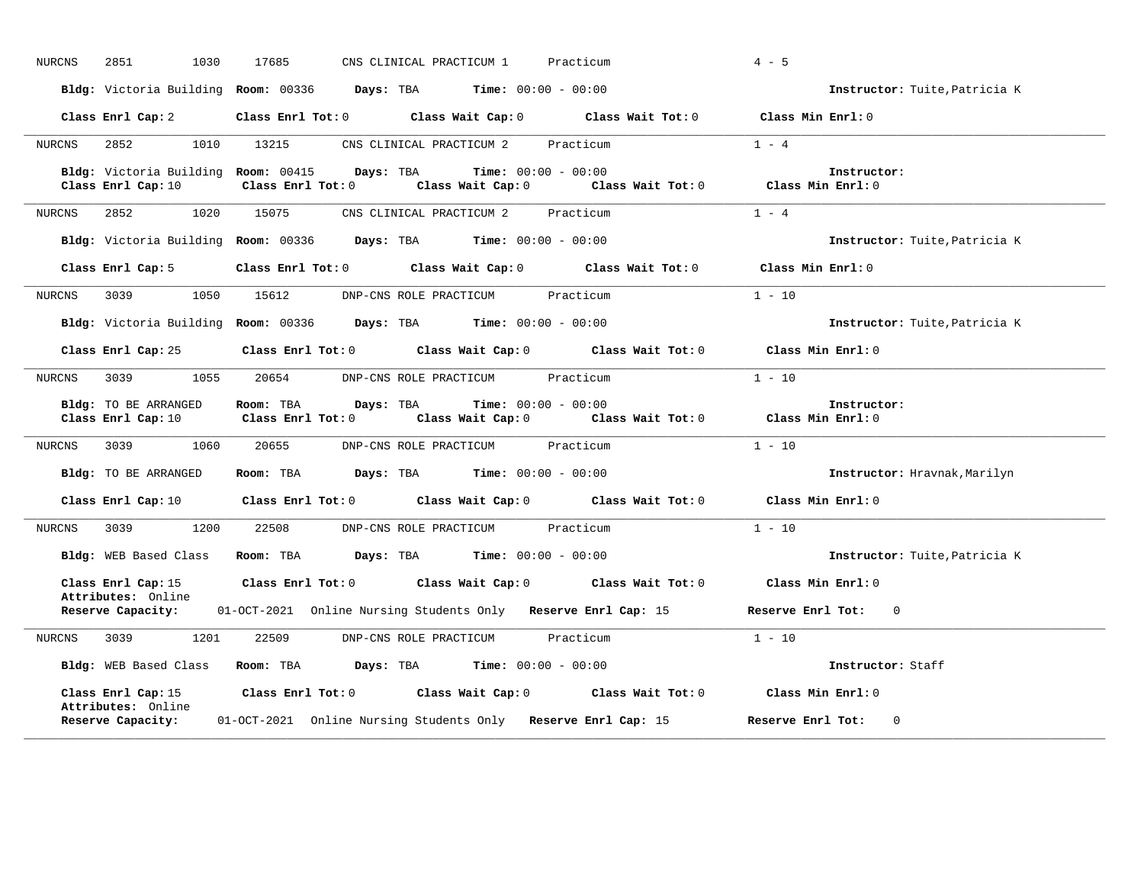| <b>NURCNS</b> | 2851<br>1030                                              | 17685<br>CNS CLINICAL PRACTICUM 1                                                                | $4 - 5$<br>Practicum                                  |
|---------------|-----------------------------------------------------------|--------------------------------------------------------------------------------------------------|-------------------------------------------------------|
|               | Bldg: Victoria Building Room: 00336                       | <b>Time:</b> $00:00 - 00:00$<br>Days: TBA                                                        | Instructor: Tuite, Patricia K                         |
|               |                                                           | Class Enrl Cap: 2 Class Enrl Tot: 0 Class Wait Cap: 0                                            | Class Wait Tot: 0<br>Class Min Enrl: 0                |
| NURCNS        | 2852<br>1010                                              | 13215<br>CNS CLINICAL PRACTICUM 2                                                                | $1 - 4$<br>Practicum                                  |
|               | Bldg: Victoria Building Room: 00415<br>Class Enrl Cap: 10 | Days: TBA<br><b>Time:</b> $00:00 - 00:00$<br>Class Enrl Tot: 0<br>Class Wait Cap: 0              | Instructor:<br>Class Wait Tot: 0<br>Class Min Enrl: 0 |
| NURCNS        | 2852<br>1020                                              | 15075<br>CNS CLINICAL PRACTICUM 2                                                                | $1 - 4$<br>Practicum                                  |
|               |                                                           | Bldg: Victoria Building Room: 00336 Days: TBA Time: 00:00 - 00:00                                | Instructor: Tuite, Patricia K                         |
|               | Class Enrl Cap: 5                                         | Class Enrl Tot: 0 Class Wait Cap: 0 Class Wait Tot: 0                                            | Class Min Enrl: 0                                     |
| NURCNS        | 3039<br>1050                                              | 15612<br>DNP-CNS ROLE PRACTICUM                                                                  | Practicum<br>$1 - 10$                                 |
|               |                                                           | Bldg: Victoria Building Room: 00336 Days: TBA Time: 00:00 - 00:00                                | Instructor: Tuite, Patricia K                         |
|               | Class Enrl Cap: 25                                        | Class Enrl Tot: 0 Class Wait Cap: 0 Class Wait Tot: 0                                            | Class Min $Err1:0$                                    |
| NURCNS        | 3039<br>1055                                              | 20654<br>DNP-CNS ROLE PRACTICUM                                                                  | $1 - 10$<br>Practicum                                 |
|               | Bldg: TO BE ARRANGED<br>Class Enrl Cap: 10                | <b>Time:</b> $00:00 - 00:00$<br>Room: TBA<br>Days: TBA<br>Class Enrl Tot: 0<br>Class Wait Cap: 0 | Instructor:<br>Class Wait Tot: 0<br>Class Min Enrl: 0 |
| NURCNS        | 3039<br>1060                                              | 20655<br>DNP-CNS ROLE PRACTICUM                                                                  | $1 - 10$<br>Practicum                                 |
|               | Bldg: TO BE ARRANGED                                      | Room: TBA Days: TBA<br><b>Time:</b> $00:00 - 00:00$                                              | Instructor: Hravnak, Marilyn                          |
|               | Class Enrl Cap: 10                                        | $Class$ $Enrl$ $Tot: 0$<br>Class Wait Cap: 0 Class Wait Tot: 0                                   | Class Min Enrl: 0                                     |
| NURCNS        | 1200<br>3039                                              | 22508<br>DNP-CNS ROLE PRACTICUM                                                                  | $1 - 10$<br>Practicum                                 |
|               | Bldg: WEB Based Class Room: TBA                           | Days: TBA<br><b>Time:</b> $00:00 - 00:00$                                                        | Instructor: Tuite, Patricia K                         |
|               | Class Enrl Cap: 15<br>Attributes: Online                  | Class Enrl Tot: 0 Class Wait Cap: 0 Class Wait Tot: 0                                            | Class Min Enrl: 0                                     |
|               | Reserve Capacity:                                         | 01-OCT-2021 Online Nursing Students Only Reserve Enrl Cap: 15                                    | Reserve Enrl Tot: 0                                   |
| NURCNS        | 3039<br>1201                                              | 22509<br>DNP-CNS ROLE PRACTICUM                                                                  | $1 - 10$<br>Practicum                                 |
|               | Bldg: WEB Based Class Room: TBA                           | Days: TBA<br><b>Time:</b> $00:00 - 00:00$                                                        | Instructor: Staff                                     |
|               | Class Enrl Cap: 15<br>Attributes: Online                  | Class Enrl Tot: $0$ Class Wait Cap: $0$ Class Wait Tot: $0$                                      | Class Min Enrl: 0                                     |
|               | Reserve Capacity:                                         | 01-OCT-2021 Online Nursing Students Only Reserve Enrl Cap: 15                                    | Reserve Enrl Tot: 0                                   |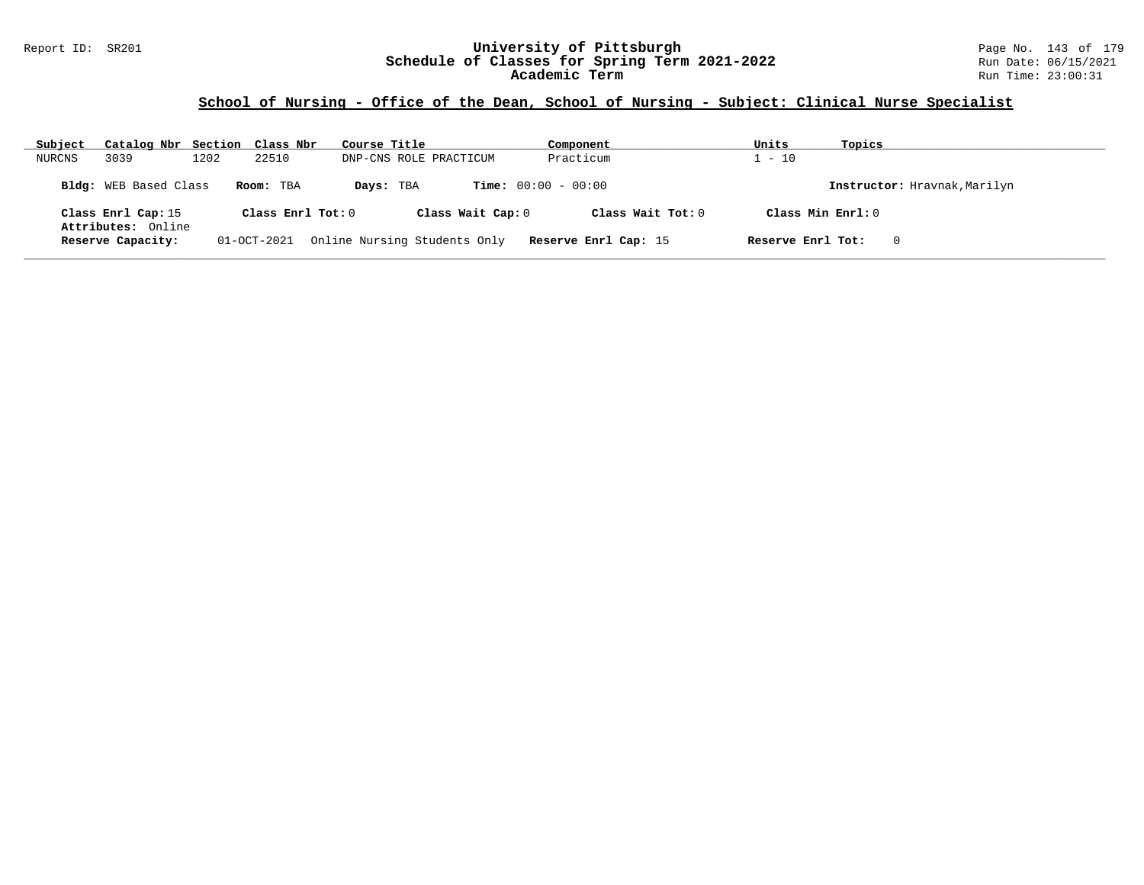#### Report ID: SR201 **University of Pittsburgh** Page No. 143 of 179 **Schedule of Classes for Spring Term 2021-2022** Run Date: 06/15/2021 **Academic Term** Run Time: 23:00:31

| Subject | Catalog Nbr Section Class Nbr            |      |                   | Course Title |                              | Component                    | Units               | Topics                       |
|---------|------------------------------------------|------|-------------------|--------------|------------------------------|------------------------------|---------------------|------------------------------|
| NURCNS  | 3039                                     | 1202 | 22510             |              | DNP-CNS ROLE PRACTICUM       | Practicum                    | $-10$               |                              |
|         | Bldg: WEB Based Class                    |      | Room: TBA         | Days: TBA    |                              | <b>Time:</b> $00:00 - 00:00$ |                     | Instructor: Hravnak, Marilyn |
|         | Class Enrl Cap: 15<br>Attributes: Online |      | Class Enrl Tot: 0 |              | Class Wait Cap: 0            | Class Wait $Tot: 0$          | Class Min $Enrl: 0$ |                              |
|         | Reserve Capacity:                        |      | 01-OCT-2021       |              | Online Nursing Students Only | Reserve Enrl Cap: 15         | Reserve Enrl Tot:   | 0                            |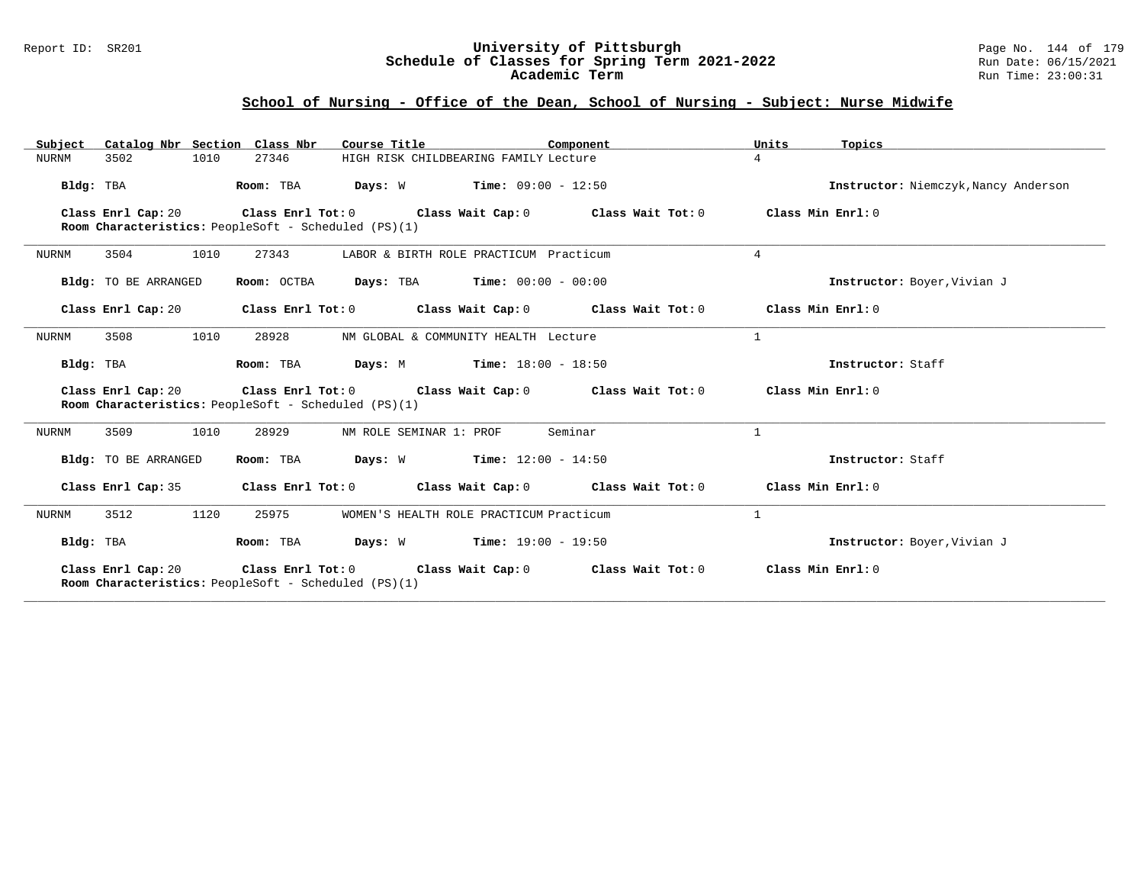#### Report ID: SR201 **University of Pittsburgh** Page No. 144 of 179 **Schedule of Classes for Spring Term 2021-2022** Run Date: 06/15/2021 **Academic Term** Run Time: 23:00:31

# **School of Nursing - Office of the Dean, School of Nursing - Subject: Nurse Midwife**

| Subject Catalog Nbr Section Class Nbr | Course Title                                                                                                                                               | Component | Units<br>Topics                      |
|---------------------------------------|------------------------------------------------------------------------------------------------------------------------------------------------------------|-----------|--------------------------------------|
| 3502<br>1010<br>NURNM                 | 27346<br>HIGH RISK CHILDBEARING FAMILY Lecture                                                                                                             |           | $\overline{4}$                       |
| Bldg: TBA                             | <b>Days:</b> W <b>Time:</b> $09:00 - 12:50$<br>Room: TBA                                                                                                   |           | Instructor: Niemczyk, Nancy Anderson |
|                                       | Class Enrl Cap: 20 Class Enrl Tot: 0 Class Wait Cap: 0 Class Wait Tot: 0 Class Min Enrl: 0<br>Room Characteristics: PeopleSoft - Scheduled (PS)(1)         |           |                                      |
| 1010<br><b>NURNM</b><br>3504          | 27343<br>LABOR & BIRTH ROLE PRACTICUM Practicum                                                                                                            |           | $\overline{4}$                       |
| Bldg: TO BE ARRANGED                  | <b>Days:</b> TBA <b>Time:</b> $00:00 - 00:00$<br>Room: OCTBA                                                                                               |           | Instructor: Boyer, Vivian J          |
| Class Enrl Cap: 20                    | Class Enrl Tot: $0$ Class Wait Cap: $0$ Class Wait Tot: $0$                                                                                                |           | Class Min Enrl: 0                    |
| NURNM<br>3508<br>1010                 | 28928<br>NM GLOBAL & COMMUNITY HEALTH Lecture                                                                                                              |           | $\mathbf{1}$                         |
| Bldg: TBA                             | Room: TBA $Days: M$ Time: $18:00 - 18:50$                                                                                                                  |           | Instructor: Staff                    |
| Class Enrl Cap: 20                    | Class Enrl Tot: 0 $\qquad$ Class Wait Cap: 0 $\qquad$ Class Wait Tot: 0 $\qquad$ Class Min Enrl: 0<br>Room Characteristics: PeopleSoft - Scheduled (PS)(1) |           |                                      |
| 3509<br>1010<br>NURNM                 | 28929<br>NM ROLE SEMINAR 1: PROF                                                                                                                           | Seminar   | $\mathbf{1}$                         |
| Bldg: TO BE ARRANGED                  | Room: TBA $\rule{1em}{0.15mm}$ Days: W Time: 12:00 - 14:50                                                                                                 |           | Instructor: Staff                    |
| Class Enrl Cap: 35                    | Class Enrl Tot: $0$ Class Wait Cap: $0$ Class Wait Tot: $0$                                                                                                |           | Class Min Enrl: 0                    |
| 1120<br>3512<br>NURNM                 | 25975<br>WOMEN'S HEALTH ROLE PRACTICUM Practicum                                                                                                           |           | $\mathbf{1}$                         |
| Bldg: TBA                             | <b>Days:</b> W <b>Time:</b> $19:00 - 19:50$<br>Room: TBA                                                                                                   |           | Instructor: Boyer, Vivian J          |
| Class Enrl Cap: 20                    | Class Enrl Tot: $0$ Class Wait Cap: $0$ Class Wait Tot: $0$<br>Room Characteristics: PeopleSoft - Scheduled (PS)(1)                                        |           | Class Min Enrl: 0                    |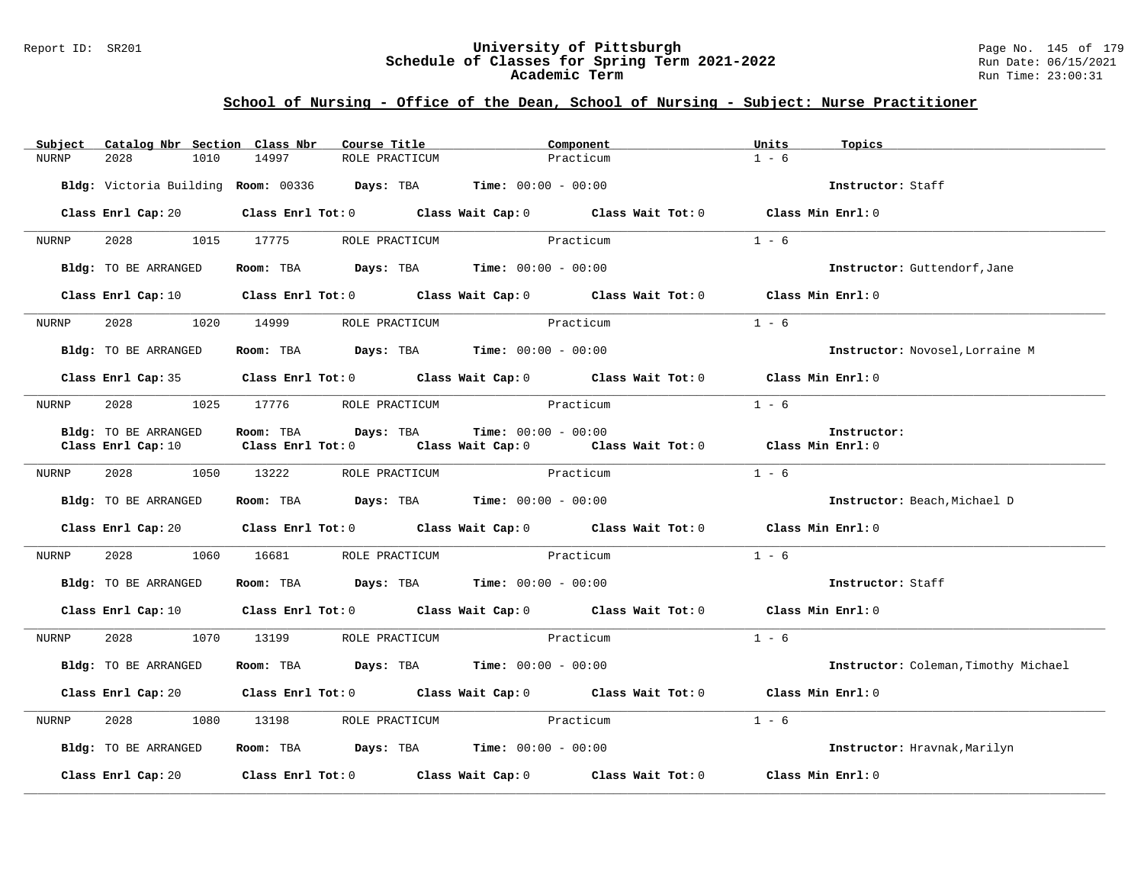### Report ID: SR201 **University of Pittsburgh** Page No. 145 of 179 **Schedule of Classes for Spring Term 2021-2022** Run Date: 06/15/2021 **Academic Term** Run Time: 23:00:31

| Subject | Catalog Nbr Section Class Nbr | Course Title                                                                                                                   | Component                    | Units   | Topics                               |
|---------|-------------------------------|--------------------------------------------------------------------------------------------------------------------------------|------------------------------|---------|--------------------------------------|
| NURNP   | 2028<br>1010                  | 14997<br>ROLE PRACTICUM                                                                                                        | Practicum                    | $1 - 6$ |                                      |
|         |                               | Bldg: Victoria Building Room: 00336 Days: TBA Time: 00:00 - 00:00                                                              |                              |         | Instructor: Staff                    |
|         |                               | Class Enrl Cap: 20 Class Enrl Tot: 0 Class Wait Cap: 0 Class Wait Tot: 0 Class Min Enrl: 0                                     |                              |         |                                      |
| NURNP   | 2028 1015 17775               | ROLE PRACTICUM                                                                                                                 | Practicum                    | $1 - 6$ |                                      |
|         | Bldg: TO BE ARRANGED          | Room: TBA $Days:$ TBA $Time: 00:00 - 00:00$                                                                                    |                              |         | Instructor: Guttendorf, Jane         |
|         |                               | Class Enrl Cap: 10 $\qquad$ Class Enrl Tot: 0 $\qquad$ Class Wait Cap: 0 $\qquad$ Class Wait Tot: 0 $\qquad$ Class Min Enrl: 0 |                              |         |                                      |
| NURNP   | 2028 1020 14999               |                                                                                                                                | ROLE PRACTICUM Practicum     | $1 - 6$ |                                      |
|         | Bldg: TO BE ARRANGED          | Room: TBA $Days:$ TBA $Time: 00:00 - 00:00$                                                                                    |                              |         | Instructor: Novosel, Lorraine M      |
|         |                               | Class Enrl Cap: 35 Class Enrl Tot: 0 Class Wait Cap: 0 Class Wait Tot: 0 Class Min Enrl: 0                                     |                              |         |                                      |
| NURNP   | 2028<br>1025                  | 17776<br>ROLE PRACTICUM                                                                                                        | Practicum                    | $1 - 6$ |                                      |
|         | Bldg: TO BE ARRANGED          | Room: TBA Days: TBA                                                                                                            | <b>Time:</b> $00:00 - 00:00$ |         | Instructor:                          |
|         | Class Enrl Cap: 10            | Class Enrl Tot: $0$ Class Wait Cap: $0$ Class Wait Tot: $0$ Class Min Enrl: $0$                                                |                              |         |                                      |
| NURNP   | 2028                          | 1050 13222<br>ROLE PRACTICUM                                                                                                   | Practicum                    | $1 - 6$ |                                      |
|         | Bldg: TO BE ARRANGED          | Room: TBA $Days:$ TBA $Time: 00:00 - 00:00$                                                                                    |                              |         | Instructor: Beach, Michael D         |
|         |                               | Class Enrl Cap: 20 Class Enrl Tot: 0 Class Wait Cap: 0 Class Wait Tot: 0 Class Min Enrl: 0                                     |                              |         |                                      |
| NURNP   |                               | 2028 1060 16681 ROLE PRACTICUM Practicum                                                                                       |                              | $1 - 6$ |                                      |
|         | Bldg: TO BE ARRANGED          | Room: TBA $Days:$ TBA $Time: 00:00 - 00:00$                                                                                    |                              |         | Instructor: Staff                    |
|         |                               | Class Enrl Cap: 10 Class Enrl Tot: 0 Class Wait Cap: 0 Class Wait Tot: 0 Class Min Enrl: 0                                     |                              |         |                                      |
| NURNP   | 2028 — 2021                   | 1070 13199<br>ROLE PRACTICUM                                                                                                   | Practicum                    | $1 - 6$ |                                      |
|         | Bldg: TO BE ARRANGED          | Room: TBA $Days: TBA$ Time: $00:00 - 00:00$                                                                                    |                              |         | Instructor: Coleman, Timothy Michael |
|         |                               | Class Enrl Cap: 20 Class Enrl Tot: 0 Class Wait Cap: 0 Class Wait Tot: 0 Class Min Enrl: 0                                     |                              |         |                                      |
| NURNP   | 1080                          | 13198                                                                                                                          | ROLE PRACTICUM Practicum     | $1 - 6$ |                                      |
|         | Bldg: TO BE ARRANGED          | Room: TBA Days: TBA Time: $00:00 - 00:00$                                                                                      |                              |         | Instructor: Hravnak, Marilyn         |
|         | Class Enrl Cap: 20            | Class Enrl Tot: $0$ Class Wait Cap: $0$ Class Wait Tot: $0$ Class Min Enrl: $0$                                                |                              |         |                                      |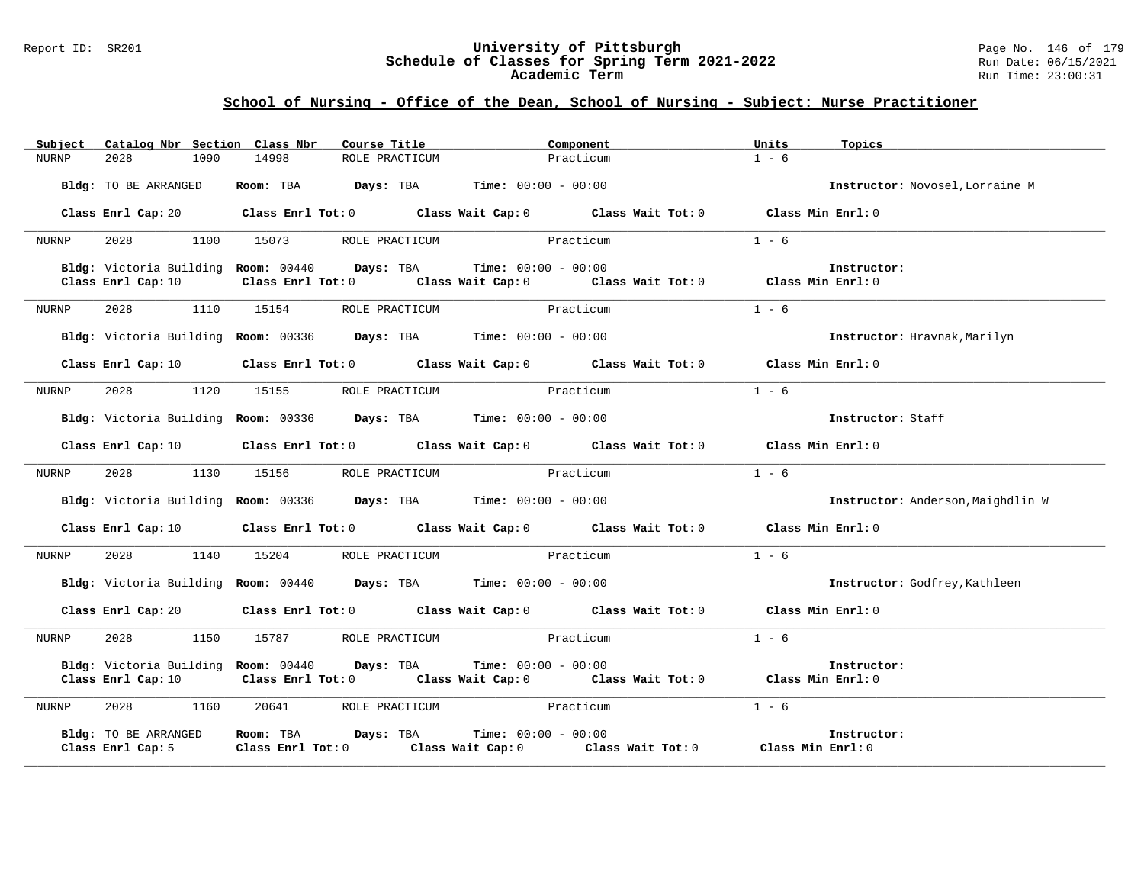### Report ID: SR201 **University of Pittsburgh** Page No. 146 of 179 **Schedule of Classes for Spring Term 2021-2022** Run Date: 06/15/2021 **Academic Term** Run Time: 23:00:31

| Subject | Catalog Nbr Section Class Nbr             | Course Title                                                      | Component                                                                                                                      | Units<br>Topics                   |
|---------|-------------------------------------------|-------------------------------------------------------------------|--------------------------------------------------------------------------------------------------------------------------------|-----------------------------------|
| NURNP   | 2028<br>1090                              | 14998<br>ROLE PRACTICUM                                           | Practicum                                                                                                                      | $1 - 6$                           |
|         | Bldg: TO BE ARRANGED                      | Room: TBA $Days:$ TBA $Time: 00:00 - 00:00$                       |                                                                                                                                | Instructor: Novosel, Lorraine M   |
|         |                                           |                                                                   | Class Enrl Cap: 20 Class Enrl Tot: 0 Class Wait Cap: 0 Class Wait Tot: 0 Class Min Enrl: 0                                     |                                   |
| NURNP   | 2028<br>1100                              | 15073<br>ROLE PRACTICUM                                           | Practicum                                                                                                                      | $1 - 6$                           |
|         | Class Enrl Cap: 10                        | Bldg: Victoria Building Room: 00440 Days: TBA Time: 00:00 - 00:00 | Class Enrl Tot: $0$ Class Wait Cap: $0$ Class Wait Tot: $0$ Class Min Enrl: $0$                                                | Instructor:                       |
| NURNP   | 2028<br>1110                              | 15154<br>ROLE PRACTICUM                                           | Practicum                                                                                                                      | $1 - 6$                           |
|         |                                           | Bldg: Victoria Building Room: 00336 Days: TBA Time: 00:00 - 00:00 |                                                                                                                                | Instructor: Hravnak, Marilyn      |
|         | Class Enrl Cap: 10                        |                                                                   | Class Enrl Tot: 0 Class Wait Cap: 0 Class Wait Tot: 0 Class Min Enrl: 0                                                        |                                   |
| NURNP   | 1120<br>2028                              | 15155<br>ROLE PRACTICUM                                           | Practicum                                                                                                                      | $1 - 6$                           |
|         |                                           | Bldg: Victoria Building Room: 00336 Days: TBA Time: 00:00 - 00:00 |                                                                                                                                | Instructor: Staff                 |
|         |                                           |                                                                   | Class Enrl Cap: 10 $\qquad$ Class Enrl Tot: 0 $\qquad$ Class Wait Cap: 0 $\qquad$ Class Wait Tot: 0 $\qquad$ Class Min Enrl: 0 |                                   |
| NURNP   |                                           | 2028 1130 15156 ROLE PRACTICUM Practicum                          |                                                                                                                                | $1 - 6$                           |
|         |                                           | Bldg: Victoria Building Room: 00336 Days: TBA Time: 00:00 - 00:00 |                                                                                                                                | Instructor: Anderson, Maighdlin W |
|         | Class Enrl Cap: 10                        |                                                                   | Class Enrl Tot: 0 $\qquad$ Class Wait Cap: 0 $\qquad$ Class Wait Tot: 0 $\qquad$ Class Min Enrl: 0                             |                                   |
| NURNP   | 2028 — 2021<br>1140                       | 15204 ROLE PRACTICUM                                              | Practicum                                                                                                                      | $1 - 6$                           |
|         |                                           | Bldg: Victoria Building Room: 00440 Days: TBA Time: 00:00 - 00:00 |                                                                                                                                | Instructor: Godfrey, Kathleen     |
|         | Class Enrl Cap: 20                        |                                                                   | Class Enrl Tot: 0 $\qquad$ Class Wait Cap: 0 $\qquad$ Class Wait Tot: 0 $\qquad$ Class Min Enrl: 0                             |                                   |
| NURNP   | 2028<br>1150                              | 15787 ROLE PRACTICUM                                              | Practicum                                                                                                                      | $1 - 6$                           |
|         | Class Enrl Cap: 10                        | Bldg: Victoria Building Room: 00440 Days: TBA Time: 00:00 - 00:00 | Class Enrl Tot: $0$ Class Wait Cap: $0$ Class Wait Tot: $0$ Class Min Enrl: $0$                                                | Instructor:                       |
| NURNP   | 2028 1160                                 | 20641 ROLE PRACTICUM                                              | Practicum                                                                                                                      | $1 - 6$                           |
|         | Bldg: TO BE ARRANGED<br>Class Enrl Cap: 5 | Room: TBA $Days:$ TBA $Time: 00:00 - 00:00$                       | Class Enrl Tot: $0$ Class Wait Cap: $0$ Class Wait Tot: $0$ Class Min Enrl: $0$                                                | Instructor:                       |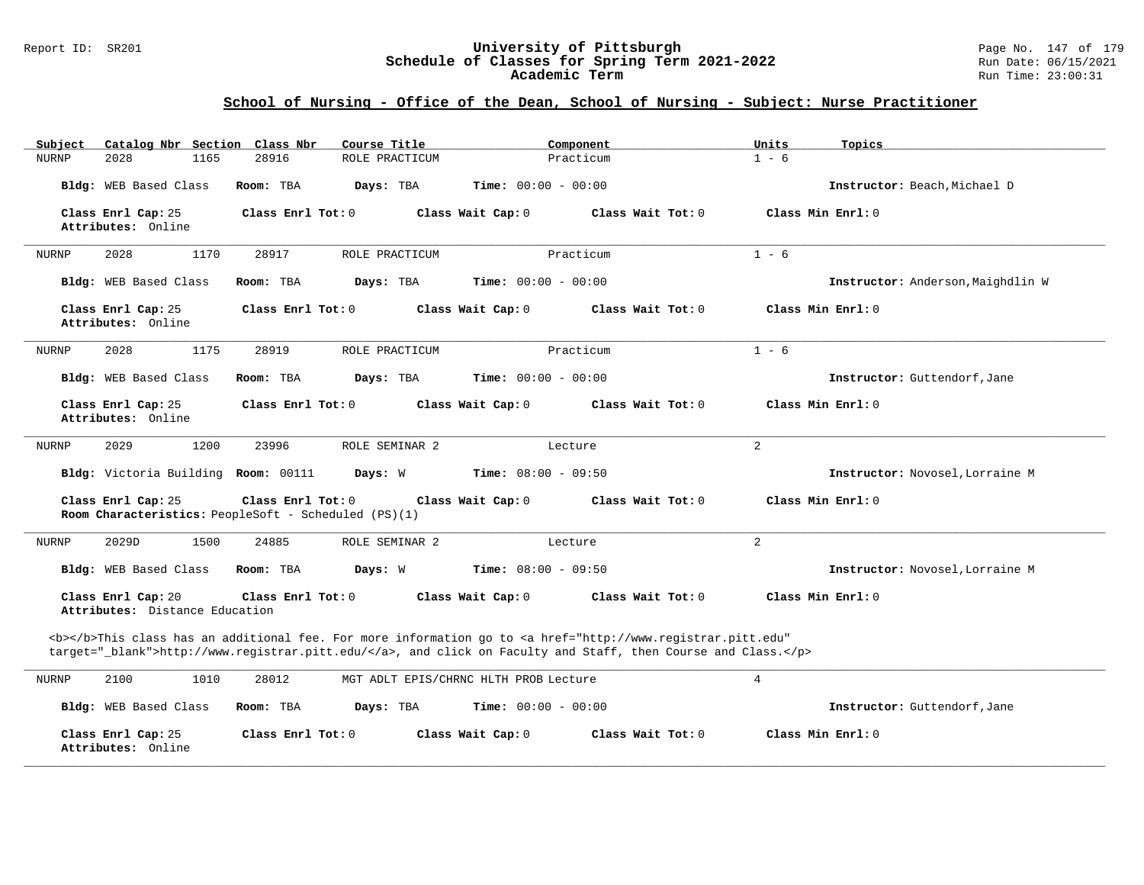### Report ID: SR201 **University of Pittsburgh** Page No. 147 of 179 **Schedule of Classes for Spring Term 2021-2022** Run Date: 06/15/2021 **Academic Term** Run Time: 23:00:31

| Catalog Nbr Section Class Nbr<br>Subject<br><b>NURNP</b><br>2028<br>1165 | Course Title<br>28916<br>ROLE PRACTICUM                                   | Component<br>Practicum                                                                                                                                                                                                             | Units<br>Topics<br>$1 - 6$        |
|--------------------------------------------------------------------------|---------------------------------------------------------------------------|------------------------------------------------------------------------------------------------------------------------------------------------------------------------------------------------------------------------------------|-----------------------------------|
| Bldg: WEB Based Class                                                    | Room: TBA<br>Days: TBA                                                    | <b>Time:</b> $00:00 - 00:00$                                                                                                                                                                                                       | Instructor: Beach, Michael D      |
| Class Enrl Cap: 25<br>Attributes: Online                                 | Class Enrl Tot: 0                                                         | Class Wait Cap: 0<br>Class Wait Tot: 0                                                                                                                                                                                             | Class Min Enrl: 0                 |
| 1170<br>2028<br>NURNP                                                    | 28917<br>ROLE PRACTICUM                                                   | Practicum                                                                                                                                                                                                                          | $1 - 6$                           |
| Bldg: WEB Based Class                                                    | Room: TBA<br>Days: TBA                                                    | <b>Time:</b> $00:00 - 00:00$                                                                                                                                                                                                       | Instructor: Anderson, Maighdlin W |
| Class Enrl Cap: 25<br>Attributes: Online                                 | Class Enrl Tot: $0$                                                       | Class Wait Cap: 0<br>Class Wait $Tot: 0$                                                                                                                                                                                           | Class Min Enrl: 0                 |
| 2028<br>1175<br><b>NURNP</b>                                             | 28919<br>ROLE PRACTICUM                                                   | Practicum                                                                                                                                                                                                                          | $1 - 6$                           |
| Bldg: WEB Based Class                                                    | Room: TBA<br>Days: TBA                                                    | Time: $00:00 - 00:00$                                                                                                                                                                                                              | Instructor: Guttendorf, Jane      |
| Class Enrl Cap: 25<br>Attributes: Online                                 | Class Enrl Tot: 0                                                         | Class Wait Cap: 0<br>Class Wait Tot: 0                                                                                                                                                                                             | Class Min Enrl: 0                 |
| 2029<br>1200<br><b>NURNP</b>                                             | 23996<br>ROLE SEMINAR 2                                                   | Lecture                                                                                                                                                                                                                            | $\overline{2}$                    |
| Bldg: Victoria Building Room: 00111                                      | Days: W                                                                   | <b>Time:</b> $08:00 - 09:50$                                                                                                                                                                                                       | Instructor: Novosel, Lorraine M   |
| Class Enrl Cap: 25                                                       | Class Enrl Tot: 0<br>Room Characteristics: PeopleSoft - Scheduled (PS)(1) | Class Wait Tot: 0<br>Class Wait Cap: 0                                                                                                                                                                                             | Class Min Enrl: 0                 |
| 2029D<br>1500<br>NURNP                                                   | 24885<br>ROLE SEMINAR 2                                                   | Lecture                                                                                                                                                                                                                            | 2                                 |
| Bldg: WEB Based Class                                                    | Room: TBA<br>Days: W                                                      | <b>Time:</b> $08:00 - 09:50$                                                                                                                                                                                                       | Instructor: Novosel, Lorraine M   |
| Class Enrl Cap: 20<br>Attributes: Distance Education                     | Class Enrl Tot: 0                                                         | Class Wait Cap: 0<br>Class Wait Tot: 0                                                                                                                                                                                             | Class Min Enrl: 0                 |
|                                                                          |                                                                           | <b></b> This class has an additional fee. For more information go to <a <br="" href="http://www.registrar.pitt.edu">target="_blank"&gt;http://www.registrar.pitt.edu/</a> , and click on Faculty and Staff, then Course and Class. |                                   |
| 2100<br>1010<br><b>NURNP</b>                                             | 28012                                                                     | MGT ADLT EPIS/CHRNC HLTH PROB Lecture                                                                                                                                                                                              | $\overline{4}$                    |
| Bldg: WEB Based Class                                                    | Room: TBA<br>Days: TBA                                                    | Time: $00:00 - 00:00$                                                                                                                                                                                                              | Instructor: Guttendorf, Jane      |
| Class Enrl Cap: 25<br>Attributes: Online                                 | Class Enrl Tot: 0                                                         | Class Wait Cap: 0<br>Class Wait Tot: 0                                                                                                                                                                                             | Class Min Enrl: 0                 |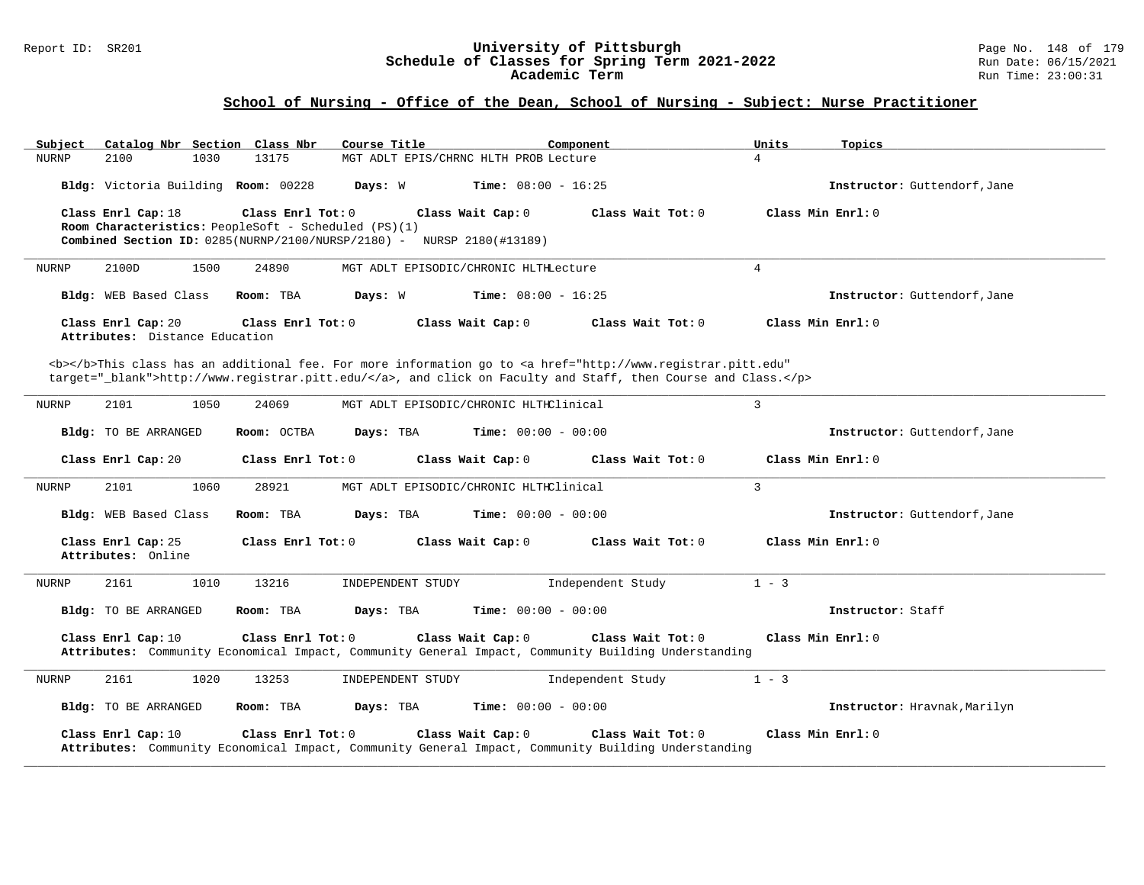### Report ID: SR201 **University of Pittsburgh** Page No. 148 of 179 **Schedule of Classes for Spring Term 2021-2022** Run Date: 06/15/2021 **Academic Term** Run Time: 23:00:31

| Catalog Nbr Section Class Nbr<br>Subject             | Course Title                                                                                                                                   | Component         | Units<br>Topics              |
|------------------------------------------------------|------------------------------------------------------------------------------------------------------------------------------------------------|-------------------|------------------------------|
| <b>NURNP</b><br>2100<br>1030                         | 13175<br>MGT ADLT EPIS/CHRNC HLTH PROB Lecture                                                                                                 |                   | $\overline{4}$               |
| Bldg: Victoria Building Room: 00228                  | Days: W<br><b>Time:</b> $08:00 - 16:25$                                                                                                        |                   | Instructor: Guttendorf, Jane |
| Class Enrl Cap: 18                                   | Class Enrl Tot: 0<br>Class Wait Cap: 0                                                                                                         | Class Wait Tot: 0 | Class Min Enrl: 0            |
| Room Characteristics: PeopleSoft - Scheduled (PS)(1) | <b>Combined Section ID:</b> $0285(NURNP/2100/NURSP/2180)$ - NURSP 2180(#13189)                                                                 |                   |                              |
|                                                      |                                                                                                                                                |                   |                              |
| 2100D<br>NURNP<br>1500                               | 24890<br>MGT ADLT EPISODIC/CHRONIC HLTHLecture                                                                                                 |                   | $\overline{4}$               |
| Bldg: WEB Based Class                                | Time: $08:00 - 16:25$<br>Room: TBA<br>Days: W                                                                                                  |                   | Instructor: Guttendorf, Jane |
| Class Enrl Cap: 20<br>Attributes: Distance Education | Class Enrl Tot: 0<br>Class Wait Cap: 0                                                                                                         | Class Wait Tot: 0 | Class Min Enrl: 0            |
|                                                      | <b></b> This class has an additional fee. For more information go to <a <="" href="http://www.registrar.pitt.edu" td=""><td></td><td></td></a> |                   |                              |
|                                                      | target="_blank">http://www.registrar.pitt.edu/, and click on Faculty and Staff, then Course and Class.                                         |                   |                              |
|                                                      |                                                                                                                                                |                   | $\overline{3}$               |
| 2101<br>1050<br>NURNP                                | MGT ADLT EPISODIC/CHRONIC HLTHClinical<br>24069                                                                                                |                   |                              |
| Bldg: TO BE ARRANGED                                 | Room: OCTBA<br><b>Time:</b> $00:00 - 00:00$<br>Days: TBA                                                                                       |                   | Instructor: Guttendorf, Jane |
| Class Enrl Cap: 20                                   | Class Enrl Tot: 0<br>Class Wait Cap: 0                                                                                                         | Class Wait Tot: 0 | Class Min Enrl: 0            |
| <b>NURNP</b><br>2101<br>1060                         | 28921<br>MGT ADLT EPISODIC/CHRONIC HLTHClinical                                                                                                |                   | $\overline{3}$               |
| Bldg: WEB Based Class                                | Room: TBA<br>Days: TBA<br><b>Time:</b> $00:00 - 00:00$                                                                                         |                   | Instructor: Guttendorf, Jane |
| Class Enrl Cap: 25<br>Attributes: Online             | Class Enrl Tot: 0<br>Class Wait Cap: 0                                                                                                         | Class Wait Tot: 0 | Class Min Enrl: 0            |
| 2161<br>1010<br>NURNP                                | 13216<br>INDEPENDENT STUDY                                                                                                                     | Independent Study | $1 - 3$                      |
| <b>Bldg:</b> TO BE ARRANGED                          | Room: TBA<br><b>Time:</b> $00:00 - 00:00$<br>Days: TBA                                                                                         |                   | Instructor: Staff            |
| Class Enrl Cap: 10                                   | Class Enrl Tot: 0<br>Class Wait Cap: 0<br>Attributes: Community Economical Impact, Community General Impact, Community Building Understanding  | Class Wait Tot: 0 | Class Min Enrl: 0            |
| <b>NURNP</b><br>2161<br>1020                         | 13253<br>INDEPENDENT STUDY                                                                                                                     | Independent Study | $1 - 3$                      |
| Bldg: TO BE ARRANGED                                 | <b>Time:</b> $00:00 - 00:00$<br>Room: TBA<br>Days: TBA                                                                                         |                   | Instructor: Hravnak, Marilyn |
| Class Enrl Cap: 10                                   | Class Enrl Tot: 0<br>Class Wait Cap: 0<br>Attributes: Community Economical Impact, Community General Impact, Community Building Understanding  | Class Wait Tot: 0 | Class Min Enrl: 0            |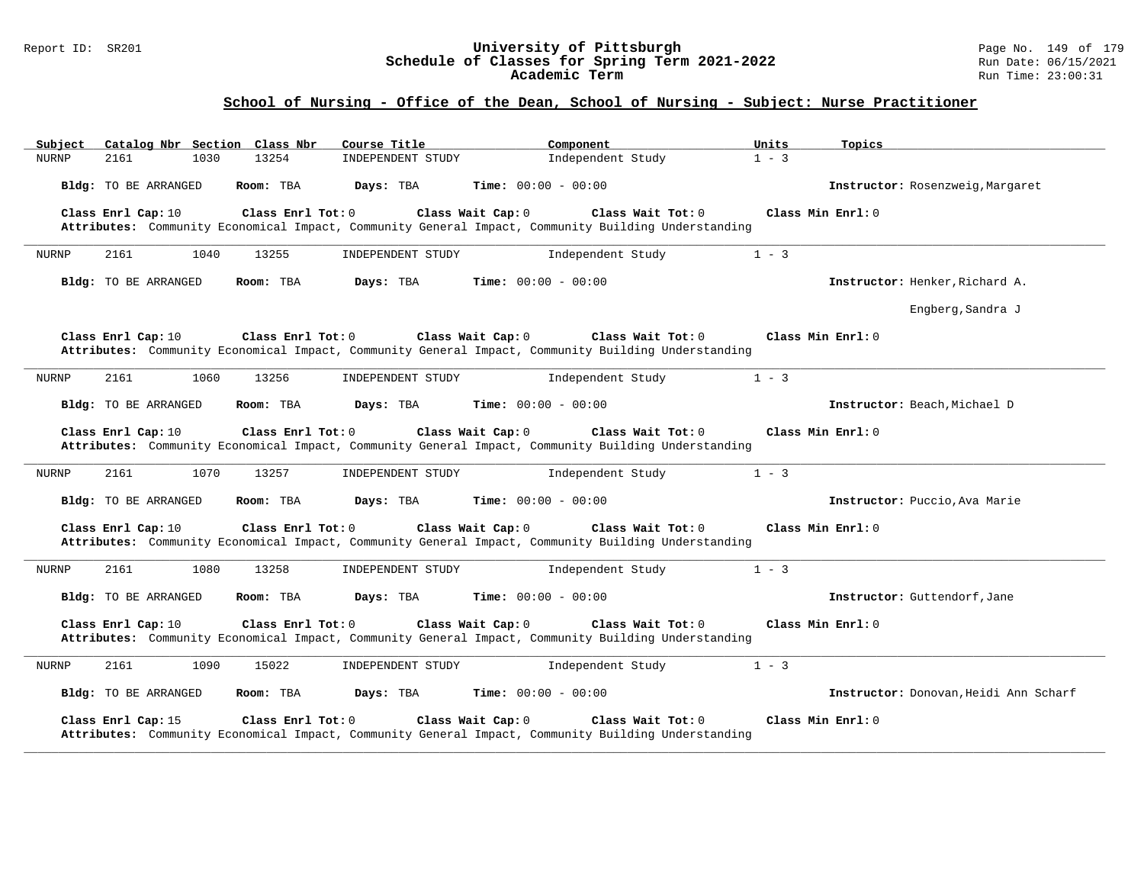### Report ID: SR201 **University of Pittsburgh** Page No. 149 of 179 **Schedule of Classes for Spring Term 2021-2022** Run Date: 06/15/2021 **Academic Term** Run Time: 23:00:31

| Subject<br>Catalog Nbr Section Class Nbr                                                                                                         | Course Title      | Component                    | Units<br>Topics                       |
|--------------------------------------------------------------------------------------------------------------------------------------------------|-------------------|------------------------------|---------------------------------------|
| <b>NURNP</b><br>2161<br>1030<br>13254                                                                                                            | INDEPENDENT STUDY | Independent Study            | $1 - 3$                               |
| Bldg: TO BE ARRANGED<br>Room: TBA                                                                                                                | Days: TBA         | <b>Time:</b> $00:00 - 00:00$ | Instructor: Rosenzweig, Margaret      |
| Class Enrl Cap: 10<br>Class Enrl Tot: 0<br>Attributes: Community Economical Impact, Community General Impact, Community Building Understanding   | Class Wait Cap: 0 | Class Wait Tot: 0            | Class Min Enrl: 0                     |
| 2161<br>1040<br>13255<br>NURNP                                                                                                                   | INDEPENDENT STUDY | Independent Study            | $1 - 3$                               |
| Room: TBA<br>Bldg: TO BE ARRANGED                                                                                                                | Days: TBA         | <b>Time:</b> $00:00 - 00:00$ | Instructor: Henker, Richard A.        |
|                                                                                                                                                  |                   |                              | Engberg, Sandra J                     |
| Class Enrl Cap: 10<br>Class Enrl Tot: $0$<br>Attributes: Community Economical Impact, Community General Impact, Community Building Understanding | Class Wait Cap: 0 | Class Wait Tot: 0            | Class Min Enrl: 0                     |
| 2161<br><b>NURNP</b><br>1060<br>13256                                                                                                            | INDEPENDENT STUDY | Independent Study            | $1 - 3$                               |
| Bldg: TO BE ARRANGED<br>Room: TBA                                                                                                                | Davs: TBA         | <b>Time:</b> $00:00 - 00:00$ | Instructor: Beach, Michael D          |
| Class Enrl Cap: 10<br>Class Enrl Tot: 0<br>Attributes: Community Economical Impact, Community General Impact, Community Building Understanding   | Class Wait Cap: 0 | Class Wait Tot: 0            | Class Min Enrl: 0                     |
| 2161<br><b>NURNP</b><br>1070<br>13257                                                                                                            | INDEPENDENT STUDY | Independent Study            | $1 - 3$                               |
| Bldg: TO BE ARRANGED<br>Room: TBA                                                                                                                | Days: TBA         | Time: $00:00 - 00:00$        | Instructor: Puccio, Ava Marie         |
| Class Enrl Cap: 10<br>Class Enrl Tot: 0<br>Attributes: Community Economical Impact, Community General Impact, Community Building Understanding   | Class Wait Cap: 0 | Class Wait Tot: 0            | Class Min Enrl: 0                     |
| 2161<br>1080<br>13258<br><b>NURNP</b>                                                                                                            | INDEPENDENT STUDY | Independent Study            | $1 - 3$                               |
| Bldg: TO BE ARRANGED<br>Room: TBA                                                                                                                | Days: TBA         | <b>Time:</b> $00:00 - 00:00$ | Instructor: Guttendorf, Jane          |
| Class Enrl Cap: 10<br>Class Enrl Tot: 0<br>Attributes: Community Economical Impact, Community General Impact, Community Building Understanding   | Class Wait Cap: 0 | Class Wait Tot: 0            | Class Min Enrl: 0                     |
| 15022<br><b>NURNP</b><br>2161<br>1090                                                                                                            | INDEPENDENT STUDY | Independent Study            | $1 - 3$                               |
| Bldg: TO BE ARRANGED<br>Room: TBA                                                                                                                | Days: TBA         | Time: $00:00 - 00:00$        | Instructor: Donovan, Heidi Ann Scharf |
| Class Enrl Cap: 15<br>Class Enrl Tot: 0<br>Attributes: Community Economical Impact, Community General Impact, Community Building Understanding   | Class Wait Cap: 0 | Class Wait Tot: 0            | Class Min Enrl: 0                     |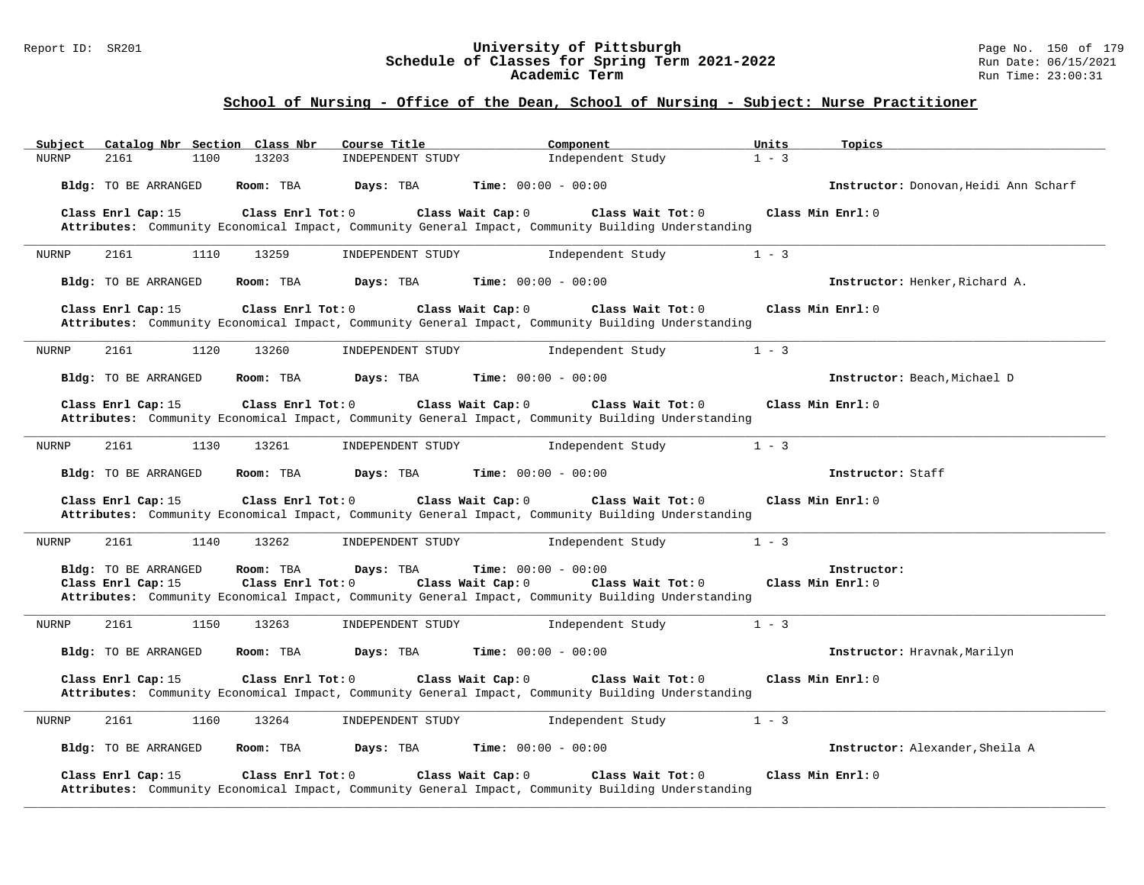### Report ID: SR201 **University of Pittsburgh** Page No. 150 of 179 **Schedule of Classes for Spring Term 2021-2022** Run Date: 06/15/2021 **Academic Term** Run Time: 23:00:31

## **School of Nursing - Office of the Dean, School of Nursing - Subject: Nurse Practitioner**

| Subject      |                      |      | Catalog Nbr Section Class Nbr | Course Title      | Component                                                                                                                                     | Units             | Topics                                |
|--------------|----------------------|------|-------------------------------|-------------------|-----------------------------------------------------------------------------------------------------------------------------------------------|-------------------|---------------------------------------|
| <b>NURNP</b> | 2161                 | 1100 | 13203                         | INDEPENDENT STUDY | Independent Study                                                                                                                             | $1 - 3$           |                                       |
|              | Bldg: TO BE ARRANGED |      | Room: TBA                     | Days: TBA         | <b>Time:</b> $00:00 - 00:00$                                                                                                                  |                   | Instructor: Donovan, Heidi Ann Scharf |
|              | Class Enrl Cap: 15   |      | Class Enrl Tot: 0             |                   | Class Wait Cap: 0<br>Class Wait Tot: 0<br>Attributes: Community Economical Impact, Community General Impact, Community Building Understanding | Class Min Enrl: 0 |                                       |
| NURNP        | 2161                 | 1110 | 13259                         | INDEPENDENT STUDY | Independent Study                                                                                                                             | $1 - 3$           |                                       |
|              | Bldg: TO BE ARRANGED |      | Room: TBA                     | Days: TBA         | <b>Time:</b> $00:00 - 00:00$                                                                                                                  |                   | Instructor: Henker, Richard A.        |
|              | Class Enrl Cap: 15   |      | Class Enrl Tot: 0             |                   | Class Wait Cap: 0<br>Class Wait Tot: 0<br>Attributes: Community Economical Impact, Community General Impact, Community Building Understanding | Class Min Enrl: 0 |                                       |
| <b>NURNP</b> | 2161                 | 1120 | 13260                         | INDEPENDENT STUDY | Independent Study                                                                                                                             | $1 - 3$           |                                       |
|              | Bldg: TO BE ARRANGED |      | Room: TBA                     | Days: TBA         | <b>Time:</b> $00:00 - 00:00$                                                                                                                  |                   | Instructor: Beach, Michael D          |
|              | Class Enrl Cap: 15   |      | Class Enrl Tot: 0             |                   | Class Wait Cap: 0<br>Class Wait Tot: 0<br>Attributes: Community Economical Impact, Community General Impact, Community Building Understanding | Class Min Enrl: 0 |                                       |
| <b>NURNP</b> | 2161                 | 1130 | 13261                         | INDEPENDENT STUDY | Independent Study                                                                                                                             | $1 - 3$           |                                       |
|              | Bldg: TO BE ARRANGED |      | Room: TBA                     | Days: TBA         | Time: $00:00 - 00:00$                                                                                                                         |                   | Instructor: Staff                     |
|              | Class Enrl Cap: 15   |      | Class Enrl Tot: 0             |                   | Class Wait Cap: 0<br>Class Wait Tot: 0<br>Attributes: Community Economical Impact, Community General Impact, Community Building Understanding | Class Min Enrl: 0 |                                       |
| NURNP        | 2161                 | 1140 | 13262                         | INDEPENDENT STUDY | Independent Study                                                                                                                             | $1 - 3$           |                                       |
|              | Bldg: TO BE ARRANGED |      | Room: TBA                     | Days: TBA         | Time: $00:00 - 00:00$                                                                                                                         |                   | Instructor:                           |
|              | Class Enrl Cap: 15   |      | Class Enrl Tot: 0             |                   | Class Wait Cap: 0<br>Class Wait Tot: 0<br>Attributes: Community Economical Impact, Community General Impact, Community Building Understanding | Class Min Enrl: 0 |                                       |
| <b>NURNP</b> | 2161                 | 1150 | 13263                         | INDEPENDENT STUDY | Independent Study                                                                                                                             | $1 - 3$           |                                       |
|              | Bldg: TO BE ARRANGED |      | Room: TBA                     | Days: TBA         | <b>Time:</b> $00:00 - 00:00$                                                                                                                  |                   | Instructor: Hravnak, Marilyn          |
|              | Class Enrl Cap: 15   |      | Class Enrl Tot: 0             |                   | Class Wait Cap: 0<br>Class Wait Tot: 0<br>Attributes: Community Economical Impact, Community General Impact, Community Building Understanding | Class Min Enrl: 0 |                                       |
| NURNP        | 2161                 | 1160 | 13264                         | INDEPENDENT STUDY | Independent Study                                                                                                                             | $1 - 3$           |                                       |
|              | Bldg: TO BE ARRANGED |      | Room: TBA                     | Days: TBA         | <b>Time:</b> $00:00 - 00:00$                                                                                                                  |                   | Instructor: Alexander, Sheila A       |
|              | Class Enrl Cap: 15   |      | Class Enrl Tot: 0             |                   | Class Wait Cap: 0<br>Class Wait Tot: 0<br>Attributes: Community Economical Impact, Community General Impact, Community Building Understanding | Class Min Enrl: 0 |                                       |

**\_\_\_\_\_\_\_\_\_\_\_\_\_\_\_\_\_\_\_\_\_\_\_\_\_\_\_\_\_\_\_\_\_\_\_\_\_\_\_\_\_\_\_\_\_\_\_\_\_\_\_\_\_\_\_\_\_\_\_\_\_\_\_\_\_\_\_\_\_\_\_\_\_\_\_\_\_\_\_\_\_\_\_\_\_\_\_\_\_\_\_\_\_\_\_\_\_\_\_\_\_\_\_\_\_\_\_\_\_\_\_\_\_\_\_\_\_\_\_\_\_\_\_\_\_\_\_\_\_\_\_\_\_\_\_\_\_\_\_\_\_\_\_\_\_\_\_\_\_\_\_\_\_\_\_\_**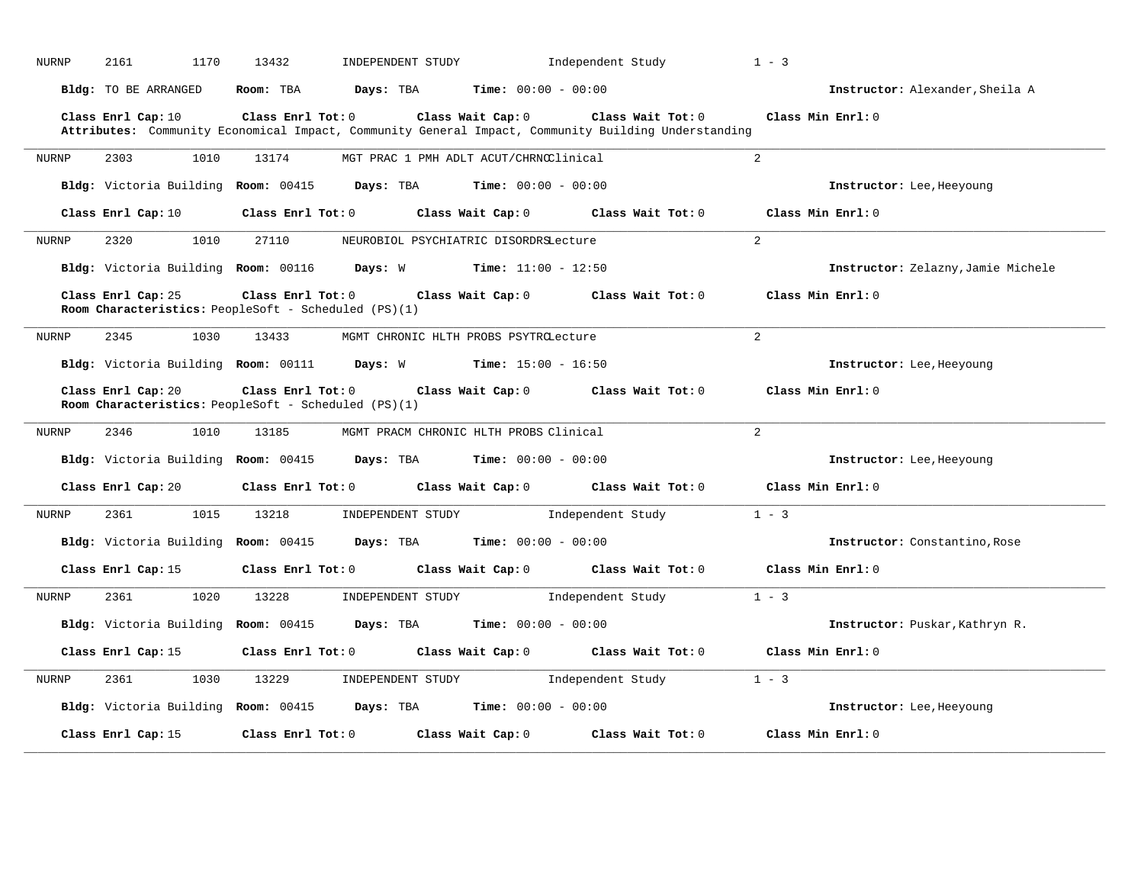| <b>NURNP</b>          | 2161               |                                     |                   |                                                      |                   |                                        |                                                                                                                          |                                    |
|-----------------------|--------------------|-------------------------------------|-------------------|------------------------------------------------------|-------------------|----------------------------------------|--------------------------------------------------------------------------------------------------------------------------|------------------------------------|
|                       |                    | <b>Bldg:</b> TO BE ARRANGED         | Room: TBA         | Days: TBA                                            |                   | <b>Time:</b> $00:00 - 00:00$           |                                                                                                                          | Instructor: Alexander, Sheila A    |
|                       | Class Enrl Cap: 10 |                                     | Class Enrl Tot: 0 |                                                      |                   | Class Wait Cap: 0                      | Class Wait Tot: 0<br>Attributes: Community Economical Impact, Community General Impact, Community Building Understanding | Class Min Enrl: 0                  |
| NURNP                 | 2303               | 1010                                | 13174             |                                                      |                   | MGT PRAC 1 PMH ADLT ACUT/CHRNCClinical |                                                                                                                          | $\overline{2}$                     |
|                       |                    | Bldg: Victoria Building Room: 00415 |                   | Days: TBA                                            |                   | <b>Time:</b> $00:00 - 00:00$           |                                                                                                                          | Instructor: Lee, Heeyoung          |
|                       |                    | Class Enrl Cap: 10                  | Class Enrl Tot: 0 |                                                      |                   | Class Wait Cap: 0                      | Class Wait Tot: 0                                                                                                        | Class Min Enrl: 0                  |
| NURNP                 | 2320               | 1010                                | 27110             |                                                      |                   | NEUROBIOL PSYCHIATRIC DISORDRSLecture  |                                                                                                                          | 2                                  |
|                       |                    | Bldg: Victoria Building Room: 00116 |                   |                                                      | Days: W           | <b>Time:</b> $11:00 - 12:50$           |                                                                                                                          | Instructor: Zelazny, Jamie Michele |
|                       | Class Enrl Cap: 25 |                                     | Class Enrl Tot: 0 | Room Characteristics: PeopleSoft - Scheduled (PS)(1) |                   | Class Wait Cap: 0                      | Class Wait Tot: 0                                                                                                        | Class Min Enrl: 0                  |
| <b>NURNP</b>          | 2345               | 1030                                | 13433             |                                                      |                   | MGMT CHRONIC HLTH PROBS PSYTRCLecture  |                                                                                                                          | $\overline{2}$                     |
|                       |                    |                                     |                   | Days: W                                              |                   | <b>Time:</b> $15:00 - 16:50$           |                                                                                                                          | Instructor: Lee, Heeyoung          |
|                       |                    | Bldg: Victoria Building Room: 00111 |                   |                                                      |                   |                                        |                                                                                                                          |                                    |
|                       | Class Enrl Cap: 20 |                                     | Class Enrl Tot: 0 | Room Characteristics: PeopleSoft - Scheduled (PS)(1) |                   | Class Wait Cap: 0                      | Class Wait $Tot: 0$                                                                                                      | Class Min Enrl: 0                  |
| NURNP                 | 2346               | 1010                                | 13185             |                                                      |                   | MGMT PRACM CHRONIC HLTH PROBS Clinical |                                                                                                                          | $\overline{2}$                     |
|                       |                    | Bldg: Victoria Building Room: 00415 |                   | Days: TBA                                            |                   | <b>Time:</b> $00:00 - 00:00$           |                                                                                                                          | Instructor: Lee, Heeyoung          |
|                       | Class Enrl Cap: 20 |                                     |                   | $Class$ $Enr1$ $Tot: 0$                              |                   | Class Wait Cap: 0                      | Class Wait Tot: 0                                                                                                        | Class Min Enrl: 0                  |
|                       | 2361               | 1015                                | 13218             |                                                      | INDEPENDENT STUDY |                                        | Independent Study                                                                                                        | $1 - 3$                            |
|                       |                    | Bldg: Victoria Building Room: 00415 |                   | Days: TBA                                            |                   | <b>Time:</b> $00:00 - 00:00$           |                                                                                                                          | Instructor: Constantino, Rose      |
|                       | Class Enrl Cap: 15 |                                     |                   | $Class$ $Enr1$ $Tot: 0$                              |                   | Class Wait Cap: 0                      | Class Wait Tot: 0                                                                                                        | Class Min Enrl: 0                  |
|                       | 2361               | 1020                                | 13228             |                                                      | INDEPENDENT STUDY |                                        | Independent Study                                                                                                        | $1 - 3$                            |
| NURNP<br><b>NURNP</b> |                    | Bldg: Victoria Building Room: 00415 |                   | Days: TBA                                            |                   | <b>Time:</b> $00:00 - 00:00$           |                                                                                                                          | Instructor: Puskar, Kathryn R.     |
|                       | Class Enrl Cap: 15 |                                     | Class Enrl Tot: 0 |                                                      |                   | Class Wait Cap: 0                      | Class Wait Tot: 0                                                                                                        | Class Min Enrl: 0                  |
| <b>NURNP</b>          | 2361               | 1030                                | 13229             |                                                      | INDEPENDENT STUDY |                                        | Independent Study                                                                                                        | $1 - 3$                            |
|                       |                    | Bldg: Victoria Building Room: 00415 |                   | Days: TBA                                            |                   | <b>Time:</b> $00:00 - 00:00$           |                                                                                                                          | Instructor: Lee, Heeyoung          |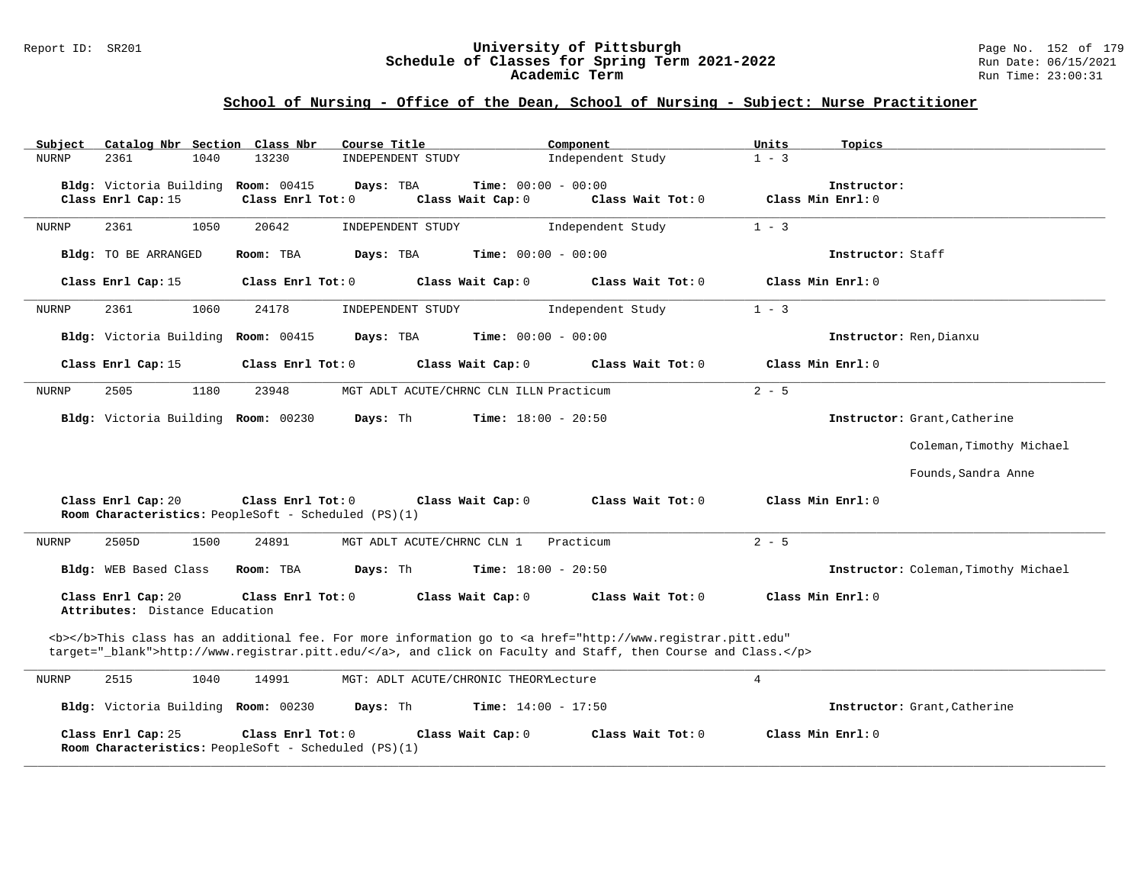### Report ID: SR201 **University of Pittsburgh** Page No. 152 of 179 **Schedule of Classes for Spring Term 2021-2022** Run Date: 06/15/2021 **Academic Term** Run Time: 23:00:31

| Subject                                              | Catalog Nbr Section Class Nbr                                             | Course Title                            | Component                                                                                                                                                                                                                          | Units<br>Topics                  |                                      |
|------------------------------------------------------|---------------------------------------------------------------------------|-----------------------------------------|------------------------------------------------------------------------------------------------------------------------------------------------------------------------------------------------------------------------------------|----------------------------------|--------------------------------------|
| 2361<br><b>NURNP</b>                                 | 13230<br>1040                                                             | INDEPENDENT STUDY                       | Independent Study                                                                                                                                                                                                                  | $1 - 3$                          |                                      |
| Class Enrl Cap: 15                                   | Bldg: Victoria Building Room: 00415<br>Class Enrl Tot: 0                  | Days: TBA<br>Class Wait Cap: 0          | <b>Time:</b> $00:00 - 00:00$<br>Class Wait Tot: 0                                                                                                                                                                                  | Instructor:<br>Class Min Enrl: 0 |                                      |
| 2361<br><b>NURNP</b>                                 | 1050<br>20642                                                             | INDEPENDENT STUDY                       | Independent Study                                                                                                                                                                                                                  | $1 - 3$                          |                                      |
| Bldg: TO BE ARRANGED                                 | Room: TBA                                                                 | Days: TBA                               | Time: $00:00 - 00:00$                                                                                                                                                                                                              |                                  | Instructor: Staff                    |
| Class Enrl Cap: 15                                   | Class Enrl Tot: 0                                                         | Class Wait Cap: 0                       | Class Wait $Tot: 0$                                                                                                                                                                                                                | $Class Min Ernst: 0$             |                                      |
| 2361<br>NURNP                                        | 1060<br>24178                                                             | INDEPENDENT STUDY                       | Independent Study                                                                                                                                                                                                                  | $1 - 3$                          |                                      |
|                                                      | Bldg: Victoria Building Room: 00415                                       | Days: TBA                               | <b>Time:</b> $00:00 - 00:00$                                                                                                                                                                                                       |                                  | Instructor: Ren, Dianxu              |
| Class Enrl Cap: 15                                   | Class Enrl Tot: 0                                                         | Class Wait Cap: 0                       | Class Wait Tot: 0                                                                                                                                                                                                                  | Class Min Enrl: 0                |                                      |
| 2505<br>NURNP                                        | 1180<br>23948                                                             | MGT ADLT ACUTE/CHRNC CLN ILLN Practicum |                                                                                                                                                                                                                                    | $2 - 5$                          |                                      |
|                                                      | Bldg: Victoria Building Room: 00230                                       | Days: Th                                | <b>Time:</b> $18:00 - 20:50$                                                                                                                                                                                                       |                                  | Instructor: Grant, Catherine         |
|                                                      |                                                                           |                                         |                                                                                                                                                                                                                                    |                                  | Coleman, Timothy Michael             |
|                                                      |                                                                           |                                         |                                                                                                                                                                                                                                    |                                  | Founds, Sandra Anne                  |
| Class Enrl Cap: 20                                   | Class Enrl Tot: 0<br>Room Characteristics: PeopleSoft - Scheduled (PS)(1) | Class Wait Cap: 0                       | Class Wait Tot: 0                                                                                                                                                                                                                  | Class Min $Enrl: 0$              |                                      |
| 2505D<br>NURNP                                       | 1500<br>24891                                                             | MGT ADLT ACUTE/CHRNC CLN 1              | Practicum                                                                                                                                                                                                                          | $2 - 5$                          |                                      |
| Bldg: WEB Based Class                                | Room: TBA                                                                 | Days: Th                                | <b>Time:</b> $18:00 - 20:50$                                                                                                                                                                                                       |                                  | Instructor: Coleman, Timothy Michael |
| Class Enrl Cap: 20<br>Attributes: Distance Education | Class Enrl Tot: 0                                                         | Class Wait Cap: 0                       | Class Wait Tot: 0                                                                                                                                                                                                                  | Class Min Enrl: 0                |                                      |
|                                                      |                                                                           |                                         | <b></b> This class has an additional fee. For more information go to <a <br="" href="http://www.registrar.pitt.edu">target="_blank"&gt;http://www.registrar.pitt.edu/</a> , and click on Faculty and Staff, then Course and Class. |                                  |                                      |
| 2515<br>NURNP                                        | 1040<br>14991                                                             | MGT: ADLT ACUTE/CHRONIC THEORYLecture   |                                                                                                                                                                                                                                    | $\overline{4}$                   |                                      |
|                                                      | Bldg: Victoria Building Room: 00230                                       | Days: Th                                | <b>Time:</b> $14:00 - 17:50$                                                                                                                                                                                                       |                                  | Instructor: Grant, Catherine         |
| Class Enrl Cap: 25                                   | Class Enrl Tot: 0<br>Room Characteristics: PeopleSoft - Scheduled (PS)(1) | Class Wait Cap: 0                       | Class Wait Tot: 0                                                                                                                                                                                                                  | Class Min Enrl: 0                |                                      |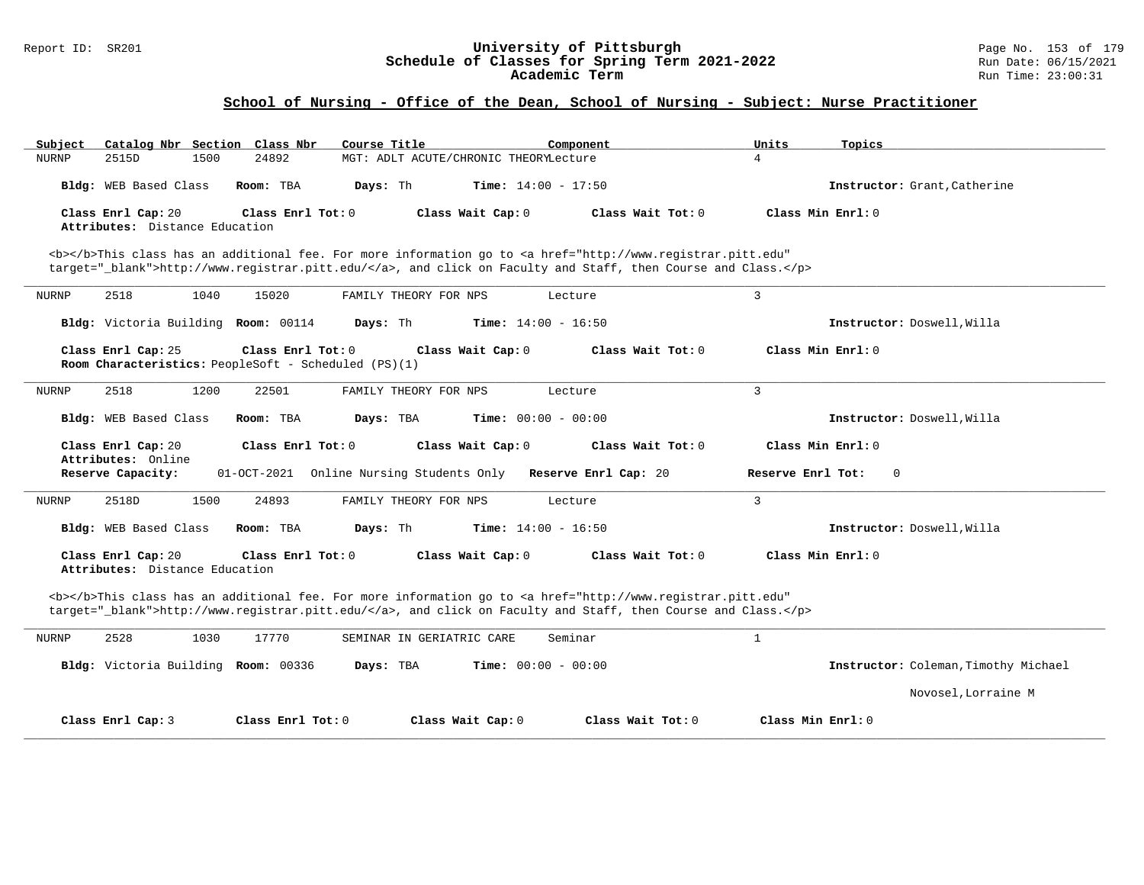### Report ID: SR201 **University of Pittsburgh** Page No. 153 of 179 **Schedule of Classes for Spring Term 2021-2022** Run Date: 06/15/2021 **Academic Term** Run Time: 23:00:31

| Subject                                              | Catalog Nbr Section Class Nbr<br>Course Title                                                                                                                                                                                      | Component                    | Units<br>Topics                      |
|------------------------------------------------------|------------------------------------------------------------------------------------------------------------------------------------------------------------------------------------------------------------------------------------|------------------------------|--------------------------------------|
| NURNP<br>2515D<br>1500                               | MGT: ADLT ACUTE/CHRONIC THEORYLecture<br>24892                                                                                                                                                                                     | 4                            |                                      |
| Bldg: WEB Based Class                                | Room: TBA<br>Days: Th                                                                                                                                                                                                              | <b>Time:</b> $14:00 - 17:50$ | Instructor: Grant, Catherine         |
| Class Enrl Cap: 20<br>Attributes: Distance Education | Class Enrl Tot: 0<br>Class Wait Cap: 0                                                                                                                                                                                             | Class Wait Tot: 0            | Class Min Enrl: 0                    |
|                                                      | <b></b> This class has an additional fee. For more information go to <a <br="" href="http://www.registrar.pitt.edu">target="_blank"&gt;http://www.registrar.pitt.edu/</a> , and click on Faculty and Staff, then Course and Class. |                              |                                      |
| NURNP<br>2518<br>1040                                | 15020<br>FAMILY THEORY FOR NPS                                                                                                                                                                                                     | 3<br>Lecture                 |                                      |
| Bldg: Victoria Building Room: 00114                  | Days: Th                                                                                                                                                                                                                           | <b>Time:</b> $14:00 - 16:50$ | Instructor: Doswell, Willa           |
| Class Enrl Cap: 25                                   | Class Enrl Tot: 0<br>Class Wait Cap: 0<br><b>Room Characteristics:</b> PeopleSoft - Scheduled (PS)(1)                                                                                                                              | Class Wait Tot: 0            | Class Min Enrl: 0                    |
| 2518<br>1200<br>NURNP                                | 22501<br>FAMILY THEORY FOR NPS                                                                                                                                                                                                     | $\mathbf{3}$<br>Lecture      |                                      |
| Bldg: WEB Based Class                                | Room: TBA<br>Days: TBA                                                                                                                                                                                                             | <b>Time:</b> $00:00 - 00:00$ | Instructor: Doswell, Willa           |
| Class Enrl Cap: 20                                   | Class Enrl Tot: $0$<br>Class Wait Cap: 0                                                                                                                                                                                           | Class Wait Tot: 0            | Class Min Enrl: 0                    |
|                                                      |                                                                                                                                                                                                                                    |                              |                                      |
| Attributes: Online<br>Reserve Capacity:              | 01-OCT-2021 Online Nursing Students Only Reserve Enrl Cap: 20                                                                                                                                                                      |                              | Reserve Enrl Tot:<br>$\Omega$        |
| 2518D<br>1500<br>NURNP                               | 24893<br>FAMILY THEORY FOR NPS                                                                                                                                                                                                     | $\mathbf{3}$<br>Lecture      |                                      |
| Bldg: WEB Based Class                                | Room: TBA<br>Days: Th                                                                                                                                                                                                              | <b>Time:</b> $14:00 - 16:50$ | Instructor: Doswell, Willa           |
| Class Enrl Cap: 20<br>Attributes: Distance Education | Class Enrl Tot: 0<br>Class Wait Cap: 0                                                                                                                                                                                             | Class Wait Tot: 0            | Class Min Enrl: 0                    |
|                                                      | <b></b> This class has an additional fee. For more information go to <a <br="" href="http://www.registrar.pitt.edu">target="_blank"&gt;http://www.registrar.pitt.edu/</a> , and click on Faculty and Staff, then Course and Class. |                              |                                      |
| 2528<br>1030<br>NURNP                                | 17770<br>SEMINAR IN GERIATRIC CARE                                                                                                                                                                                                 | $\mathbf{1}$<br>Seminar      |                                      |
| Bldg: Victoria Building Room: 00336                  | Days: TBA                                                                                                                                                                                                                          | <b>Time:</b> $00:00 - 00:00$ | Instructor: Coleman, Timothy Michael |
|                                                      |                                                                                                                                                                                                                                    |                              | Novosel, Lorraine M                  |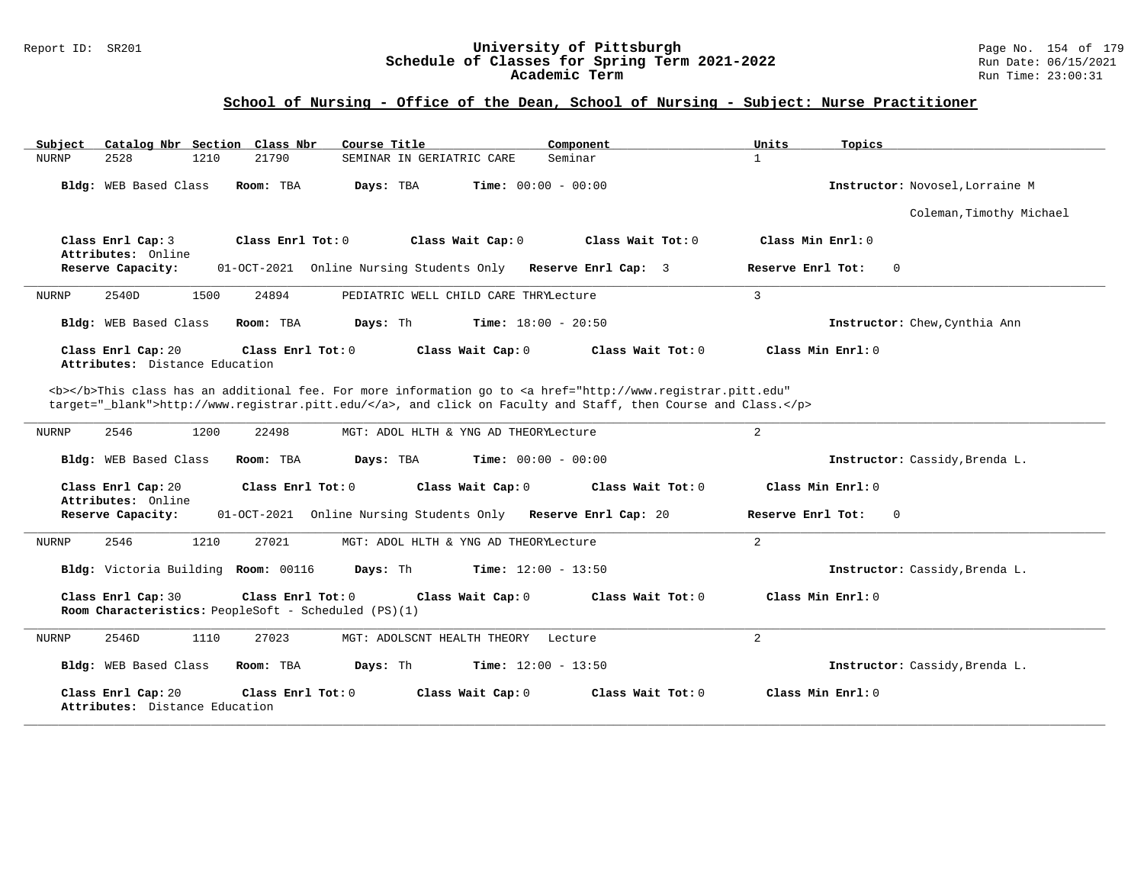### Report ID: SR201 **University of Pittsburgh** Page No. 154 of 179 **Schedule of Classes for Spring Term 2021-2022** Run Date: 06/15/2021 **Academic Term** Run Time: 23:00:31

| Catalog Nbr Section Class Nbr<br>Course Title<br>Component<br>Subject                                                                                                                                                              | Units<br>Topics                 |
|------------------------------------------------------------------------------------------------------------------------------------------------------------------------------------------------------------------------------------|---------------------------------|
| 2528<br>1210<br>21790<br>SEMINAR IN GERIATRIC CARE<br>Seminar<br>NURNP                                                                                                                                                             | $\mathbf{1}$                    |
| Bldg: WEB Based Class<br>Days: TBA<br><b>Time:</b> $00:00 - 00:00$<br>Room: TBA                                                                                                                                                    | Instructor: Novosel, Lorraine M |
|                                                                                                                                                                                                                                    | Coleman, Timothy Michael        |
| Class Enrl Cap: 3<br>Class Wait Cap: 0<br>Class Enrl Tot: 0<br>Class Wait Tot: 0<br>Attributes: Online                                                                                                                             | Class Min Enrl: 0               |
| Reserve Capacity:<br>01-OCT-2021 Online Nursing Students Only<br>Reserve Enrl Cap: 3                                                                                                                                               | $\Omega$<br>Reserve Enrl Tot:   |
| 1500<br>24894<br>PEDIATRIC WELL CHILD CARE THRYLecture<br><b>NURNP</b><br>2540D                                                                                                                                                    | 3                               |
| Bldg: WEB Based Class<br>Room: TBA<br>Days: Th<br><b>Time:</b> $18:00 - 20:50$                                                                                                                                                     | Instructor: Chew, Cynthia Ann   |
| Class Enrl Cap: 20<br>Class Enrl Tot: 0<br>Class Wait Cap: 0<br>Class Wait Tot: 0<br>Attributes: Distance Education                                                                                                                | Class Min Enrl: 0               |
| <b></b> This class has an additional fee. For more information go to <a <br="" href="http://www.registrar.pitt.edu">target="_blank"&gt;http://www.registrar.pitt.edu/</a> , and click on Faculty and Staff, then Course and Class. |                                 |
| 2546<br>1200<br>22498<br>MGT: ADOL HLTH & YNG AD THEORYLecture<br>NURNP                                                                                                                                                            | $\overline{2}$                  |
| Bldg: WEB Based Class<br>Room: TBA<br>Days: TBA<br><b>Time:</b> $00:00 - 00:00$                                                                                                                                                    | Instructor: Cassidy, Brenda L.  |
| Class Wait Cap: 0<br>Class Wait Tot: 0<br>Class Enrl Cap: 20<br>Class Enrl Tot: $0$<br>Attributes: Online                                                                                                                          | Class Min Enrl: 0               |
| 01-OCT-2021 Online Nursing Students Only Reserve Enrl Cap: 20<br>Reserve Capacity:                                                                                                                                                 | Reserve Enrl Tot:<br>0          |
| 2546<br>1210<br>27021<br>NURNP<br>MGT: ADOL HLTH & YNG AD THEORYLecture                                                                                                                                                            | 2                               |
| Bldg: Victoria Building Room: 00116<br>Days: Th<br><b>Time:</b> $12:00 - 13:50$                                                                                                                                                    | Instructor: Cassidy, Brenda L.  |
| Class Enrl Cap: 30<br>Class Enrl Tot: 0<br>Class Wait Cap: 0<br>Class Wait Tot: 0<br>Room Characteristics: PeopleSoft - Scheduled (PS)(1)                                                                                          | Class Min Enrl: 0               |
| <b>NURNP</b><br>2546D<br>1110<br>27023<br>MGT: ADOLSCNT HEALTH THEORY<br>Lecture                                                                                                                                                   | $\overline{2}$                  |
| Bldg: WEB Based Class<br>Room: TBA<br>Days: Th<br><b>Time:</b> $12:00 - 13:50$                                                                                                                                                     | Instructor: Cassidy, Brenda L.  |
| Class Enrl Cap: 20<br>Class Wait Tot: 0<br>Class Enrl Tot: 0<br>Class Wait Cap: 0<br>Attributes: Distance Education                                                                                                                | Class Min Enrl: 0               |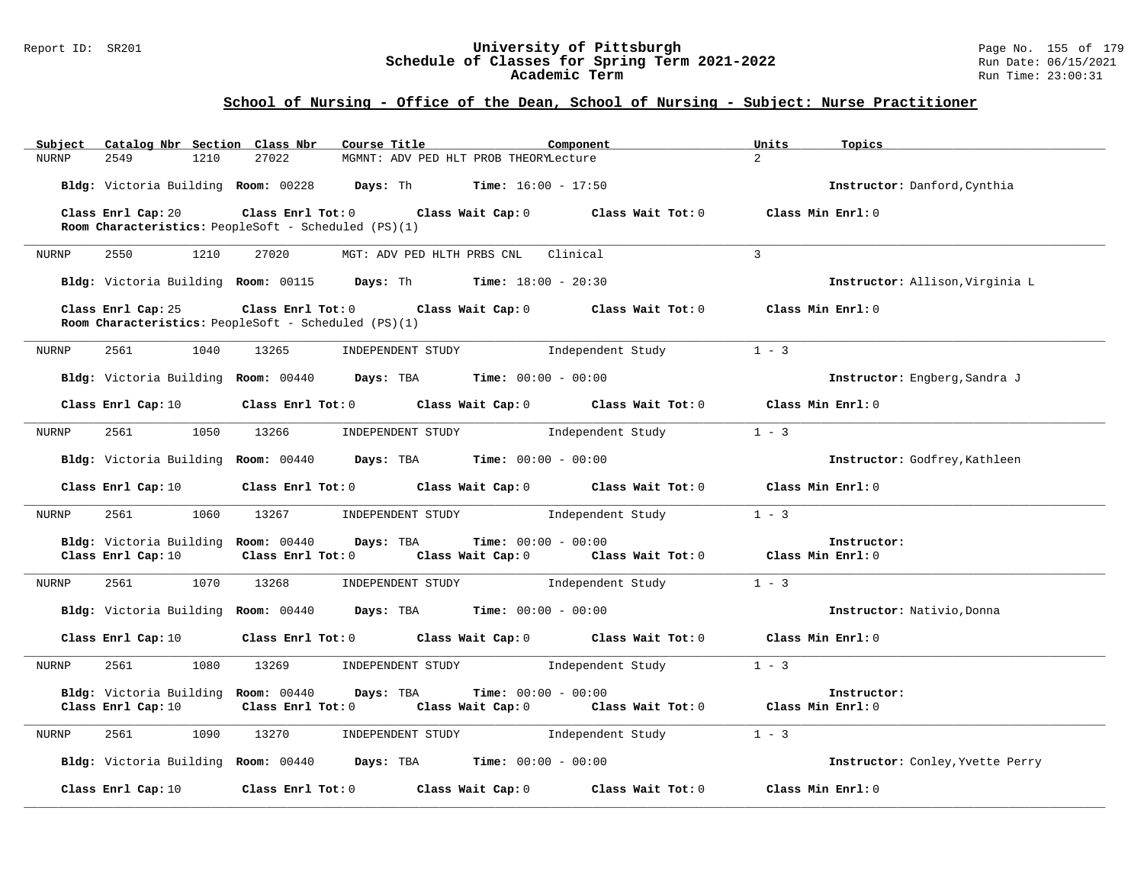### Report ID: SR201 **University of Pittsburgh** Page No. 155 of 179 **Schedule of Classes for Spring Term 2021-2022** Run Date: 06/15/2021 **Academic Term** Run Time: 23:00:31

| Catalog Nbr Section Class Nbr<br>Subject | Course Title                                                                                                  | Component                    | Units<br>Topics                  |
|------------------------------------------|---------------------------------------------------------------------------------------------------------------|------------------------------|----------------------------------|
| <b>NURNP</b><br>2549<br>1210             | 27022<br>MGMNT: ADV PED HLT PROB THEORYLecture                                                                |                              | 2 <sup>1</sup>                   |
|                                          | Bldg: Victoria Building Room: 00228 Days: Th Time: 16:00 - 17:50                                              |                              | Instructor: Danford, Cynthia     |
| Class Enrl Cap: 20                       | Class Enrl Tot: 0 Class Wait Cap: 0                                                                           | Class Wait Tot: 0            | Class Min Enrl: 0                |
|                                          | Room Characteristics: PeopleSoft - Scheduled (PS)(1)                                                          |                              |                                  |
| 2550<br>1210<br>NURNP                    | 27020<br>MGT: ADV PED HLTH PRBS CNL                                                                           | Clinical                     | 3                                |
|                                          | Bldg: Victoria Building Room: 00115 Days: Th Time: 18:00 - 20:30                                              |                              | Instructor: Allison, Virginia L  |
| Class Enrl Cap: 25                       | Class Enrl Tot: 0 Class Wait Cap: 0 Class Wait Tot: 0<br>Room Characteristics: PeopleSoft - Scheduled (PS)(1) |                              | Class Min Enrl: 0                |
| 2561<br>1040<br>NURNP                    | 13265<br>INDEPENDENT STUDY 1ndependent Study                                                                  |                              | $1 - 3$                          |
|                                          | Bldg: Victoria Building Room: 00440 Days: TBA Time: 00:00 - 00:00                                             |                              | Instructor: Engberg, Sandra J    |
| Class Enrl Cap: 10                       | Class Enrl Tot: 0 Class Wait Cap: 0                                                                           | Class Wait Tot: 0            | Class Min Enrl: 0                |
| 1050<br>2561<br>NURNP                    | 13266<br>INDEPENDENT STUDY                                                                                    | Independent Study            | $1 - 3$                          |
|                                          | Bldg: Victoria Building Room: 00440 Days: TBA Time: 00:00 - 00:00                                             |                              | Instructor: Godfrey, Kathleen    |
| Class Enrl Cap: 10                       | Class Enrl Tot: 0 Class Wait Cap: 0 Class Wait Tot: 0                                                         |                              | Class Min Enrl: 0                |
| 2561<br>1060<br>NURNP                    | 13267<br>INDEPENDENT STUDY                                                                                    | Independent Study            | $1 - 3$                          |
| Bldg: Victoria Building Room: 00440      | Days: TBA                                                                                                     | <b>Time:</b> $00:00 - 00:00$ | Instructor:                      |
| Class Enrl Cap: 10                       | Class Enrl Tot: 0 Class Wait Cap: 0 Class Wait Tot: 0 Class Min Enrl: 0                                       |                              |                                  |
| 2561<br>NURNP                            | 1070 13268<br>INDEPENDENT STUDY 1ndependent Study                                                             |                              | $1 - 3$                          |
| Bldg: Victoria Building Room: 00440      | <b>Days:</b> TBA <b>Time:</b> $00:00 - 00:00$                                                                 |                              | Instructor: Nativio, Donna       |
| Class Enrl Cap: 10                       | Class Enrl Tot: 0 Class Wait Cap: 0 Class Wait Tot: 0                                                         |                              | Class Min Enrl: 0                |
| 1080<br>2561<br>NURNP                    | 13269<br>INDEPENDENT STUDY                                                                                    | Independent Study            | $1 - 3$                          |
| Bldg: Victoria Building Room: 00440      | Days: TBA                                                                                                     | <b>Time:</b> $00:00 - 00:00$ | Instructor:                      |
| Class Enrl Cap: 10                       | Class Enrl Tot: 0 Class Wait Cap: 0 Class Wait Tot: 0                                                         |                              | Class Min Enrl: 0                |
| 2561<br>1090<br>NURNP                    | INDEPENDENT STUDY<br>13270                                                                                    | Independent Study            | $1 - 3$                          |
|                                          | Bldg: Victoria Building Room: 00440 Days: TBA Time: 00:00 - 00:00                                             |                              | Instructor: Conley, Yvette Perry |
| Class Enrl Cap: 10                       | Class Enrl Tot: 0<br>Class Wait Cap: 0                                                                        | Class Wait Tot: 0            | Class Min Enrl: 0                |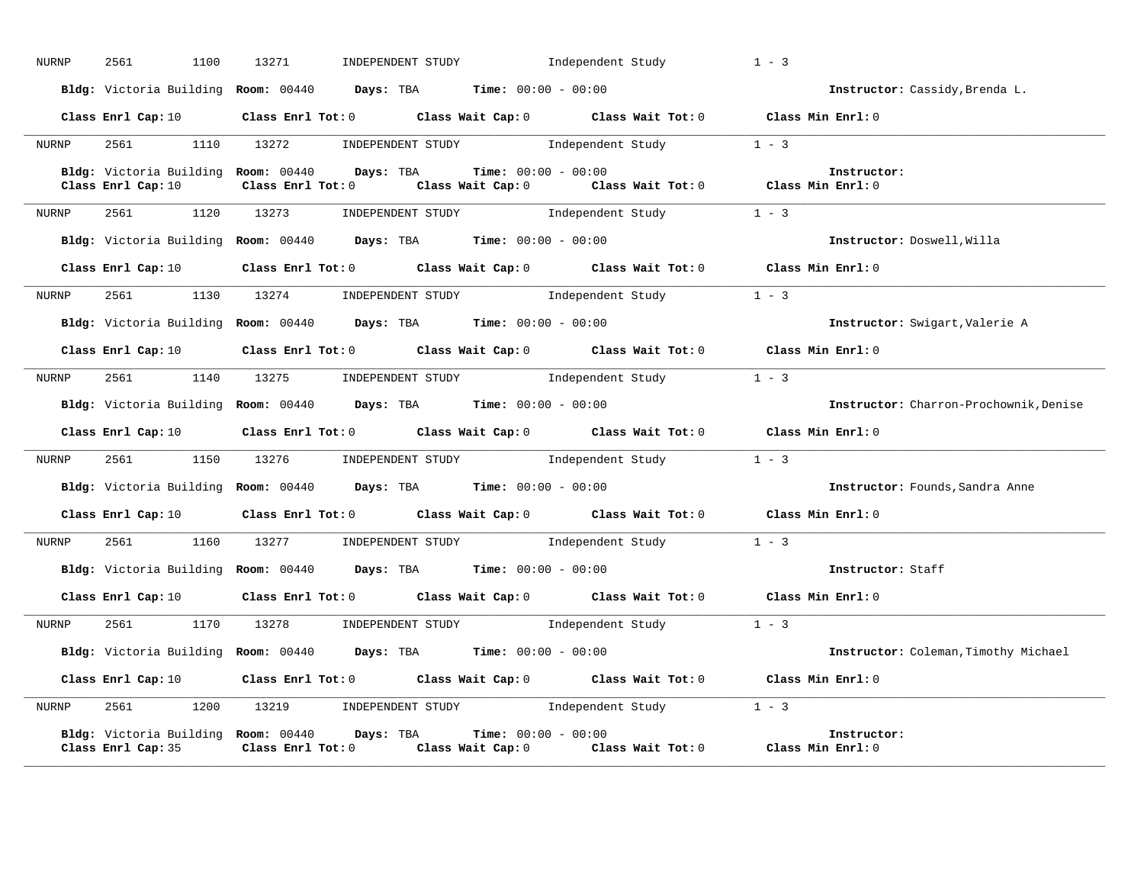| NURNP | 2561<br>1100       | INDEPENDENT STUDY 1ndependent Study<br>13271                                                                                                                                              | $1 - 3$                                |
|-------|--------------------|-------------------------------------------------------------------------------------------------------------------------------------------------------------------------------------------|----------------------------------------|
|       |                    | Bldg: Victoria Building Room: 00440 Days: TBA Time: 00:00 - 00:00                                                                                                                         | Instructor: Cassidy, Brenda L.         |
|       |                    | Class Enrl Cap: 10 $\qquad$ Class Enrl Tot: 0 $\qquad$ Class Wait Cap: 0 $\qquad$ Class Wait Tot: 0 $\qquad$ Class Min Enrl: 0                                                            |                                        |
| NURNP |                    | 2561 1110 13272 INDEPENDENT STUDY Independent Study 1 - 3                                                                                                                                 |                                        |
|       | Class Enrl Cap: 10 | Bldg: Victoria Building Room: 00440 Days: TBA Time: 00:00 - 00:00<br>Room: 00440 Days: TBA Time: 00:00 - 00:00<br>Class Enrl Tot: 0 Class Wait Cap: 0 Class Wait Tot: 0 Class Min Enrl: 0 | Instructor:                            |
| NURNP | 2561 200           | 1120 13273 INDEPENDENT STUDY Independent Study                                                                                                                                            | $1 - 3$                                |
|       |                    | Bldg: Victoria Building Room: 00440 Days: TBA Time: 00:00 - 00:00                                                                                                                         | Instructor: Doswell, Willa             |
|       |                    | Class Enrl Cap: 10 $\qquad$ Class Enrl Tot: 0 $\qquad$ Class Wait Cap: 0 $\qquad$ Class Wait Tot: 0 $\qquad$ Class Min Enrl: 0                                                            |                                        |
| NURNP |                    | 2561 1130 13274 INDEPENDENT STUDY Independent Study 1 - 3                                                                                                                                 |                                        |
|       |                    | Bldg: Victoria Building Room: 00440 Days: TBA Time: 00:00 - 00:00                                                                                                                         | Instructor: Swigart, Valerie A         |
|       |                    | Class Enrl Cap: 10 Class Enrl Tot: 0 Class Wait Cap: 0 Class Wait Tot: 0 Class Min Enrl: 0                                                                                                |                                        |
| NURNP |                    | 2561 1140 13275 INDEPENDENT STUDY Independent Study 1 - 3                                                                                                                                 |                                        |
|       |                    | Bldg: Victoria Building Room: 00440 Days: TBA Time: 00:00 - 00:00                                                                                                                         | Instructor: Charron-Prochownik, Denise |
|       | Class Enrl Cap: 10 | Class Enrl Tot: 0 Class Wait Cap: 0 Class Wait Tot: 0 Class Min Enrl: 0                                                                                                                   |                                        |
| NURNP | 2561               | 1150 13276 INDEPENDENT STUDY Independent Study 1 - 3                                                                                                                                      |                                        |
|       |                    | Bldg: Victoria Building Room: 00440 Days: TBA Time: 00:00 - 00:00                                                                                                                         | Instructor: Founds, Sandra Anne        |
|       |                    | Class Enrl Cap: 10 $\qquad$ Class Enrl Tot: 0 $\qquad$ Class Wait Cap: 0 $\qquad$ Class Wait Tot: 0 $\qquad$ Class Min Enrl: 0                                                            |                                        |
| NURNP |                    | 2561 1160 13277 INDEPENDENT STUDY Independent Study 1 - 3                                                                                                                                 |                                        |
|       |                    | Bldg: Victoria Building Room: 00440 Days: TBA Time: 00:00 - 00:00                                                                                                                         | Instructor: Staff                      |
|       |                    | Class Enrl Cap: 10 $\qquad$ Class Enrl Tot: 0 $\qquad$ Class Wait Cap: 0 $\qquad$ Class Wait Tot: 0 $\qquad$ Class Min Enrl: 0                                                            |                                        |
| NURNP |                    | 2561 1170 13278 INDEPENDENT STUDY Independent Study                                                                                                                                       | $1 - 3$                                |
|       |                    | Bldg: Victoria Building Room: 00440 Days: TBA Time: 00:00 - 00:00                                                                                                                         | Instructor: Coleman, Timothy Michael   |
|       | Class Enrl Cap: 10 | Class Enrl Tot: 0 $\qquad$ Class Wait Cap: 0 $\qquad$ Class Wait Tot: 0 $\qquad$ Class Min Enrl: 0                                                                                        |                                        |
| NURNP | 2561 200           | 1200 13219 INDEPENDENT STUDY Independent Study 1 - 3                                                                                                                                      |                                        |
|       | Class Enrl Cap: 35 | Bldg: Victoria Building Room: 00440 Days: TBA<br><b>Time:</b> $00:00 - 00:00$<br>Class Enrl Tot: 0 $\qquad$ Class Wait Cap: 0 $\qquad$ Class Wait Tot: 0 $\qquad$ Class Min Enrl: 0       | Instructor:                            |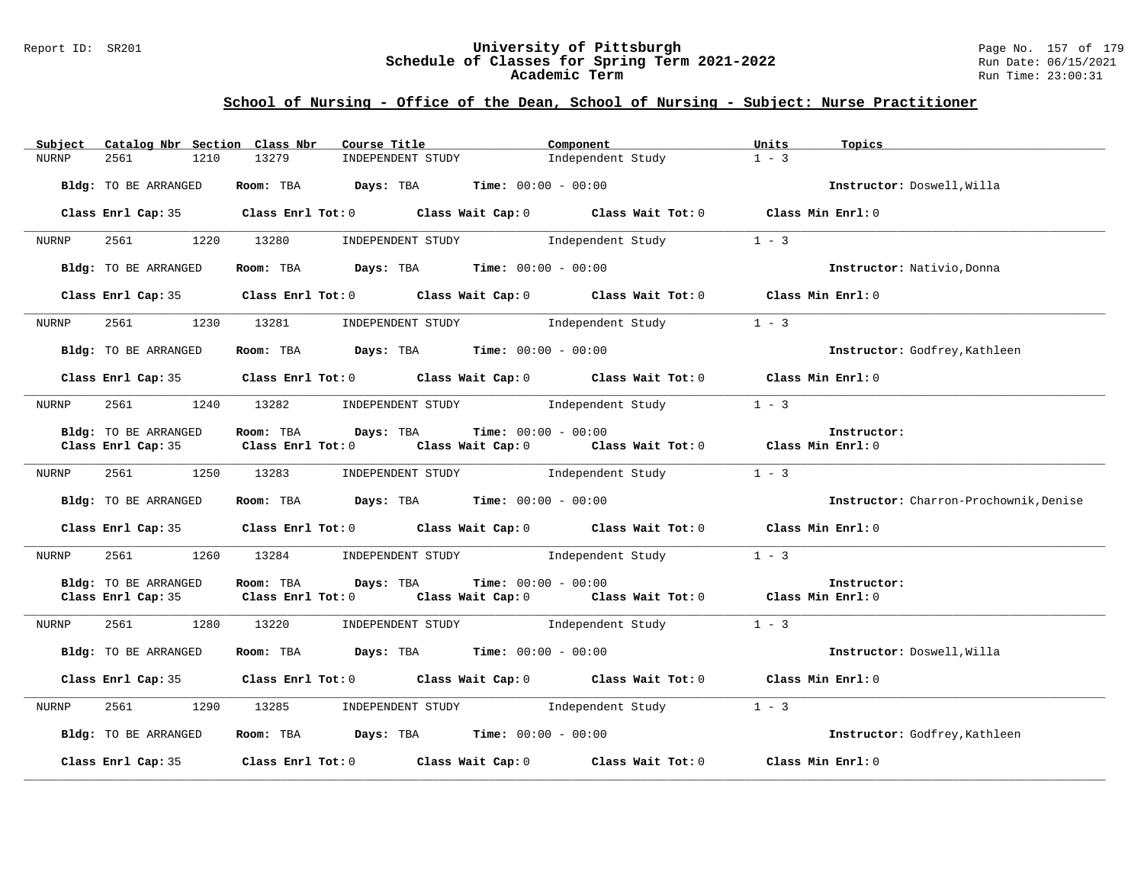### Report ID: SR201 **University of Pittsburgh** Page No. 157 of 179 **Schedule of Classes for Spring Term 2021-2022** Run Date: 06/15/2021 **Academic Term** Run Time: 23:00:31

| Subject      | Catalog Nbr Section Class Nbr              | Course Title                                                                    |                                     | Component                                                                                          | Units<br>Topics   |                                        |
|--------------|--------------------------------------------|---------------------------------------------------------------------------------|-------------------------------------|----------------------------------------------------------------------------------------------------|-------------------|----------------------------------------|
| <b>NURNP</b> | 2561<br>1210                               | 13279<br>INDEPENDENT STUDY                                                      |                                     | Independent Study                                                                                  | $1 - 3$           |                                        |
|              | Bldg: TO BE ARRANGED                       | Room: TBA $Days:$ TBA $Time: 00:00 - 00:00$                                     |                                     |                                                                                                    |                   | Instructor: Doswell, Willa             |
|              | Class Enrl Cap: 35                         |                                                                                 |                                     | Class Enrl Tot: 0 Class Wait Cap: 0 Class Wait Tot: 0 Class Min Enrl: 0                            |                   |                                        |
| NURNP        | 2561<br>1220                               | 13280                                                                           | INDEPENDENT STUDY 1ndependent Study |                                                                                                    | $1 - 3$           |                                        |
|              | Bldg: TO BE ARRANGED                       | Room: TBA $Days:$ TBA $Time: 00:00 - 00:00$                                     |                                     |                                                                                                    |                   | Instructor: Nativio, Donna             |
|              | Class Enrl Cap: 35                         |                                                                                 |                                     | Class Enrl Tot: 0 $\qquad$ Class Wait Cap: 0 $\qquad$ Class Wait Tot: 0 $\qquad$ Class Min Enrl: 0 |                   |                                        |
| NURNP        | 2561 200                                   | 1230 13281 INDEPENDENT STUDY 1ndependent Study                                  |                                     |                                                                                                    | $1 - 3$           |                                        |
|              | Bldg: TO BE ARRANGED                       | Room: TBA $Days: TBA$ Time: $00:00 - 00:00$                                     |                                     |                                                                                                    |                   | Instructor: Godfrey, Kathleen          |
|              | Class Enrl Cap: 35                         |                                                                                 |                                     | Class Enrl Tot: 0 $\qquad$ Class Wait Cap: 0 $\qquad$ Class Wait Tot: 0 $\qquad$ Class Min Enrl: 0 |                   |                                        |
| NURNP        | 2561 200                                   | 1240 13282                                                                      |                                     | INDEPENDENT STUDY 1ndependent Study                                                                | $1 - 3$           |                                        |
|              | Bldg: TO BE ARRANGED                       | Room: TBA<br>Days: TBA                                                          | <b>Time:</b> $00:00 - 00:00$        |                                                                                                    |                   | Instructor:                            |
|              | Class Enrl Cap: 35                         |                                                                                 |                                     | Class Enrl Tot: 0 $\qquad$ Class Wait Cap: 0 $\qquad$ Class Wait Tot: 0 $\qquad$ Class Min Enrl: 0 |                   |                                        |
| NURNP        | 2561 1250 13283                            |                                                                                 |                                     | INDEPENDENT STUDY 1ndependent Study                                                                | $1 - 3$           |                                        |
|              | Bldg: TO BE ARRANGED                       | Room: TBA $Days:$ TBA $Time: 00:00 - 00:00$                                     |                                     |                                                                                                    |                   | Instructor: Charron-Prochownik, Denise |
|              | Class Enrl Cap: 35                         | Class Enrl Tot: 0 Class Wait Cap: 0 Class Wait Tot: 0                           |                                     |                                                                                                    | Class Min Enrl: 0 |                                        |
| NURNP        | 2561<br>1260                               | 13284                                                                           | INDEPENDENT STUDY                   | Independent Study                                                                                  | $1 - 3$           |                                        |
|              | Bldg: TO BE ARRANGED<br>Class Enrl Cap: 35 | Room: TBA<br>Days: TBA<br>Class Enrl Tot: 0 Class Wait Cap: 0 Class Wait Tot: 0 | <b>Time:</b> $00:00 - 00:00$        |                                                                                                    | Class Min Enrl: 0 | Instructor:                            |
| NURNP        | 2561<br>1280                               | 13220                                                                           | INDEPENDENT STUDY                   | Independent Study                                                                                  | $1 - 3$           |                                        |
|              | Bldg: TO BE ARRANGED                       | Room: TBA $\rule{1em}{0.15mm}$ Days: TBA Time: $00:00 - 00:00$                  |                                     |                                                                                                    |                   | Instructor: Doswell, Willa             |
|              | Class Enrl Cap: 35                         |                                                                                 |                                     | Class Enrl Tot: 0 Class Wait Cap: 0 Class Wait Tot: 0 Class Min Enrl: 0                            |                   |                                        |
| NURNP        | 2561<br>1290                               | 13285 INDEPENDENT STUDY 1ndependent Study                                       |                                     |                                                                                                    | $1 - 3$           |                                        |
|              | Bldg: TO BE ARRANGED                       | Room: TBA $Days:$ TBA Time: $00:00 - 00:00$                                     |                                     |                                                                                                    |                   | Instructor: Godfrey, Kathleen          |
|              | Class Enrl Cap: 35                         | Class Enrl Tot: 0 Class Wait Cap: 0 Class Wait Tot: 0                           |                                     |                                                                                                    | Class Min Enrl: 0 |                                        |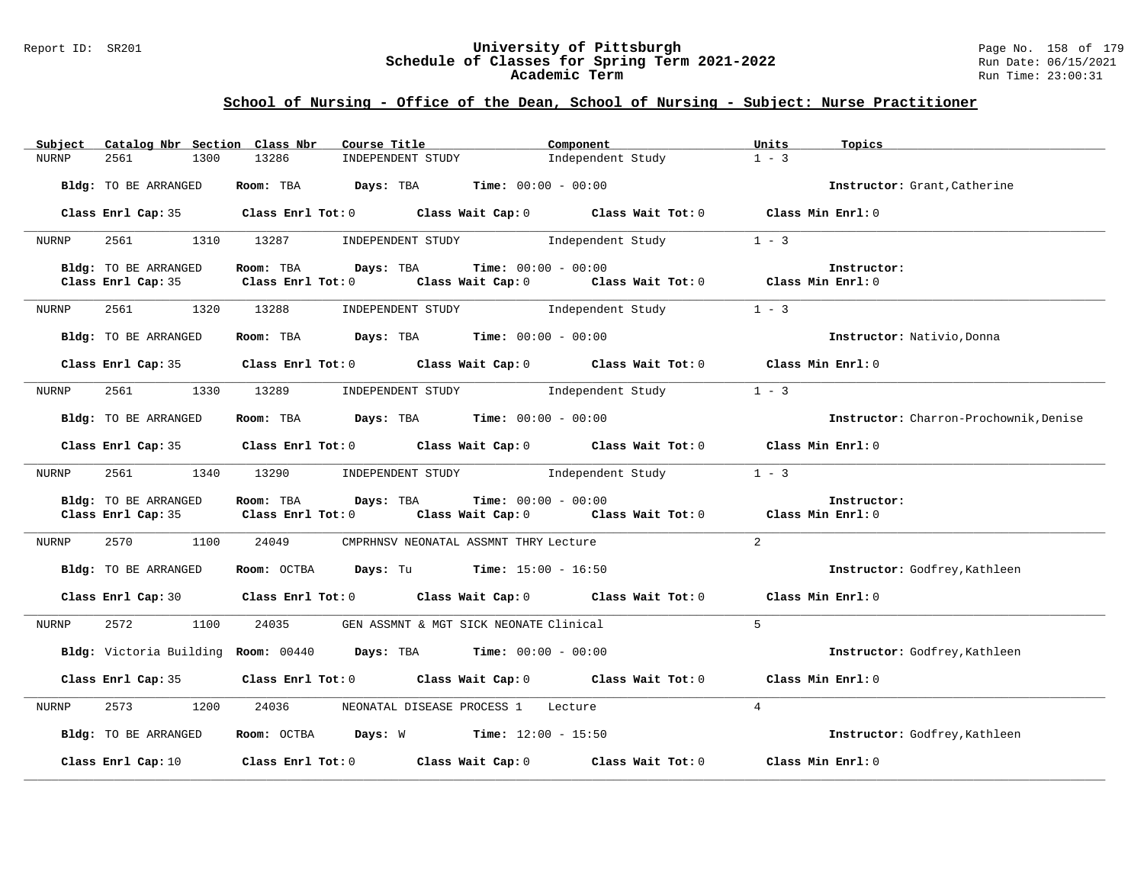### Report ID: SR201 **University of Pittsburgh** Page No. 158 of 179 **Schedule of Classes for Spring Term 2021-2022** Run Date: 06/15/2021 **Academic Term** Run Time: 23:00:31

| Subject      | Catalog Nbr Section Class Nbr              | Course Title                                                                                                                                                 | Component                                             | Units<br>Topics                        |
|--------------|--------------------------------------------|--------------------------------------------------------------------------------------------------------------------------------------------------------------|-------------------------------------------------------|----------------------------------------|
| <b>NURNP</b> | 2561<br>1300                               | 13286<br>INDEPENDENT STUDY                                                                                                                                   | Independent Study                                     | $1 - 3$                                |
|              | Bldg: TO BE ARRANGED                       | Room: TBA $Days:$ TBA Time: $00:00 - 00:00$                                                                                                                  |                                                       | Instructor: Grant, Catherine           |
|              | Class Enrl Cap: 35                         | Class Enrl Tot: 0 Class Wait Cap: 0 Class Wait Tot: 0 Class Min Enrl: 0                                                                                      |                                                       |                                        |
| NURNP        | 2561<br>1310                               | INDEPENDENT STUDY 1ndependent Study<br>13287                                                                                                                 |                                                       | $1 - 3$                                |
|              | Bldg: TO BE ARRANGED                       | <b>Time:</b> $00:00 - 00:00$<br>Room: TBA<br>Days: TBA                                                                                                       |                                                       | Instructor:                            |
|              | Class Enrl Cap: 35                         | $Class$ $Enr1$ $Tot: 0$                                                                                                                                      | Class Wait Cap: 0 Class Wait Tot: 0 Class Min Enrl: 0 |                                        |
| NURNP        | 2561                                       | 1320 13288<br>INDEPENDENT STUDY 1ndependent Study                                                                                                            |                                                       | $1 - 3$                                |
|              | Bldg: TO BE ARRANGED                       | Room: TBA $Days:$ TBA $Time: 00:00 - 00:00$                                                                                                                  |                                                       | Instructor: Nativio, Donna             |
|              |                                            | Class Enrl Cap: 35 Class Enrl Tot: 0 Class Wait Cap: 0 Class Wait Tot: 0 Class Min Enrl: 0                                                                   |                                                       |                                        |
| NURNP        |                                            | 2561 1330 13289 INDEPENDENT STUDY Independent Study 1 - 3                                                                                                    |                                                       |                                        |
|              | Bldg: TO BE ARRANGED                       | Room: TBA $Days: TBA$ Time: $00:00 - 00:00$                                                                                                                  |                                                       | Instructor: Charron-Prochownik, Denise |
|              | Class Enrl Cap: 35                         | Class Enrl Tot: 0 Class Wait Cap: 0 Class Wait Tot: 0 Class Min Enrl: 0                                                                                      |                                                       |                                        |
| NURNP        | 2561 1340 13290                            | INDEPENDENT STUDY 1ndependent Study                                                                                                                          |                                                       | $1 - 3$                                |
|              | Bldg: TO BE ARRANGED<br>Class Enrl Cap: 35 | Room: TBA<br>Days: TBA<br><b>Time:</b> $00:00 - 00:00$<br>Class Enrl Tot: 0 $\qquad$ Class Wait Cap: 0 $\qquad$ Class Wait Tot: 0 $\qquad$ Class Min Enrl: 0 |                                                       | Instructor:                            |
| NURNP        | 2570 1100 24049                            | CMPRHNSV NEONATAL ASSMNT THRY Lecture                                                                                                                        |                                                       | 2                                      |
|              | Bldg: TO BE ARRANGED                       | <b>Room:</b> OCTBA <b>Days:</b> Tu <b>Time:</b> $15:00 - 16:50$                                                                                              |                                                       | Instructor: Godfrey, Kathleen          |
|              | Class Enrl Cap: 30                         | Class Enrl Tot: 0 Class Wait Cap: 0 Class Wait Tot: 0                                                                                                        |                                                       | Class Min Enrl: 0                      |
| NURNP        | 2572<br>1100                               | 24035<br>GEN ASSMNT & MGT SICK NEONATE Clinical                                                                                                              |                                                       | 5                                      |
|              |                                            | Bldg: Victoria Building Room: 00440 Days: TBA Time: 00:00 - 00:00                                                                                            |                                                       | Instructor: Godfrey, Kathleen          |
|              | Class Enrl Cap: 35                         | Class Enrl Tot: 0 Class Wait Cap: 0 Class Wait Tot: 0                                                                                                        |                                                       | Class Min Enrl: 0                      |
| NURNP        | 2573<br>1200                               | 24036<br>NEONATAL DISEASE PROCESS 1 Lecture                                                                                                                  |                                                       | $\overline{4}$                         |
|              | Bldg: TO BE ARRANGED                       | <b>Room:</b> OCTBA <b>Days:</b> W <b>Time:</b> 12:00 - 15:50                                                                                                 |                                                       | Instructor: Godfrey, Kathleen          |
|              | Class Enrl Cap: 10                         | Class Enrl Tot: $0$ Class Wait Cap: $0$ Class Wait Tot: $0$                                                                                                  |                                                       | Class Min Enrl: 0                      |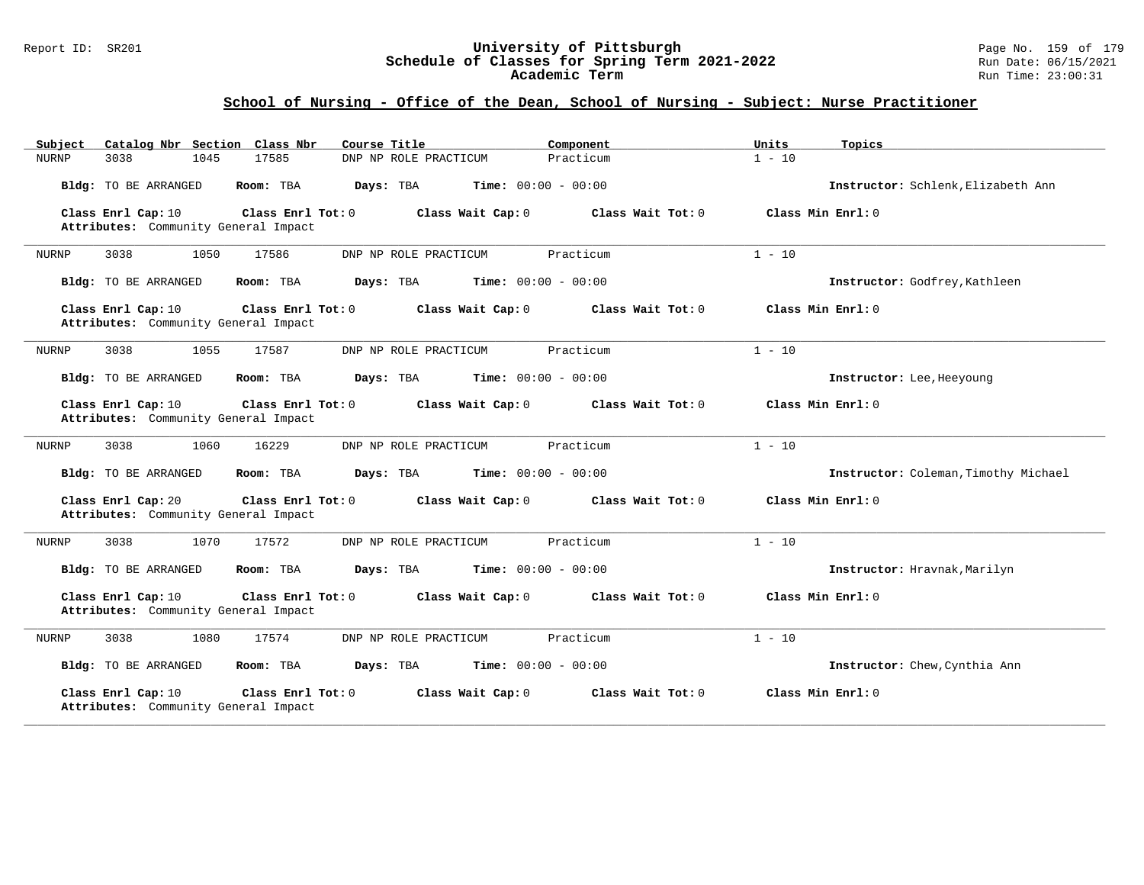### Report ID: SR201 **University of Pittsburgh** Page No. 159 of 179 **Schedule of Classes for Spring Term 2021-2022** Run Date: 06/15/2021 **Academic Term** Run Time: 23:00:31

| Catalog Nbr Section Class Nbr<br>Subject                                          | Course Title<br>Component                 | Units<br>Topics                      |
|-----------------------------------------------------------------------------------|-------------------------------------------|--------------------------------------|
| 3038<br>1045<br>17585<br><b>NURNP</b>                                             | Practicum<br>DNP NP ROLE PRACTICUM        | $1 - 10$                             |
| <b>Bldg:</b> TO BE ARRANGED<br>Room: TBA                                          | Time: $00:00 - 00:00$<br>Days: TBA        | Instructor: Schlenk, Elizabeth Ann   |
| Class Enrl Cap: 10<br>Class Enrl Tot: $0$<br>Attributes: Community General Impact | Class Wait Cap: 0<br>Class Wait $Tot: 0$  | Class Min $Enrl: 0$                  |
| 1050<br>3038<br>17586<br>NURNP                                                    | Practicum<br>DNP NP ROLE PRACTICUM        | $1 - 10$                             |
| Bldg: TO BE ARRANGED<br>Room: TBA                                                 | Time: $00:00 - 00:00$<br>Days: TBA        | Instructor: Godfrey, Kathleen        |
| Class Enrl Cap: 10<br>Class Enrl Tot: 0<br>Attributes: Community General Impact   | Class Wait Cap: 0<br>Class Wait Tot: 0    | Class Min Enrl: 0                    |
| 3038<br>1055<br>17587<br>NURNP                                                    | Practicum<br>DNP NP ROLE PRACTICUM        | $1 - 10$                             |
| Bldg: TO BE ARRANGED<br>Room: TBA                                                 | <b>Time:</b> $00:00 - 00:00$<br>Days: TBA | Instructor: Lee, Heeyoung            |
| Class Enrl Cap: 10<br>Class Enrl Tot: $0$<br>Attributes: Community General Impact | Class Wait Cap: 0<br>Class Wait Tot: 0    | Class Min Enrl: 0                    |
| 3038<br>1060<br>16229<br>NURNP                                                    | Practicum<br>DNP NP ROLE PRACTICUM        | $1 - 10$                             |
| <b>Bldg:</b> TO BE ARRANGED<br>Room: TBA                                          | Days: TBA<br><b>Time:</b> $00:00 - 00:00$ | Instructor: Coleman, Timothy Michael |
| Class Enrl Cap: 20<br>Class Enrl Tot: $0$<br>Attributes: Community General Impact | Class Wait Cap: 0<br>Class Wait Tot: 0    | Class Min Enrl: 0                    |
| <b>NURNP</b><br>3038<br>1070<br>17572                                             | DNP NP ROLE PRACTICUM<br>Practicum        | $1 - 10$                             |
| <b>Bldg:</b> TO BE ARRANGED<br>Room: TBA                                          | <b>Time:</b> $00:00 - 00:00$<br>Days: TBA | Instructor: Hravnak, Marilyn         |
| Class Enrl Cap: 10<br>Class Enrl Tot: $0$<br>Attributes: Community General Impact | Class Wait Tot: 0<br>Class Wait Cap: 0    | Class Min Enrl: 0                    |
| 3038<br>17574<br><b>NURNP</b><br>1080                                             | Practicum<br>DNP NP ROLE PRACTICUM        | $1 - 10$                             |
| Bldg: TO BE ARRANGED<br>Room: TBA                                                 | <b>Time:</b> $00:00 - 00:00$<br>Days: TBA | Instructor: Chew, Cynthia Ann        |
| Class Enrl Cap: 10<br>Class Enrl Tot: 0<br>Attributes: Community General Impact   | Class Wait Cap: 0<br>Class Wait Tot: 0    | Class Min Enrl: 0                    |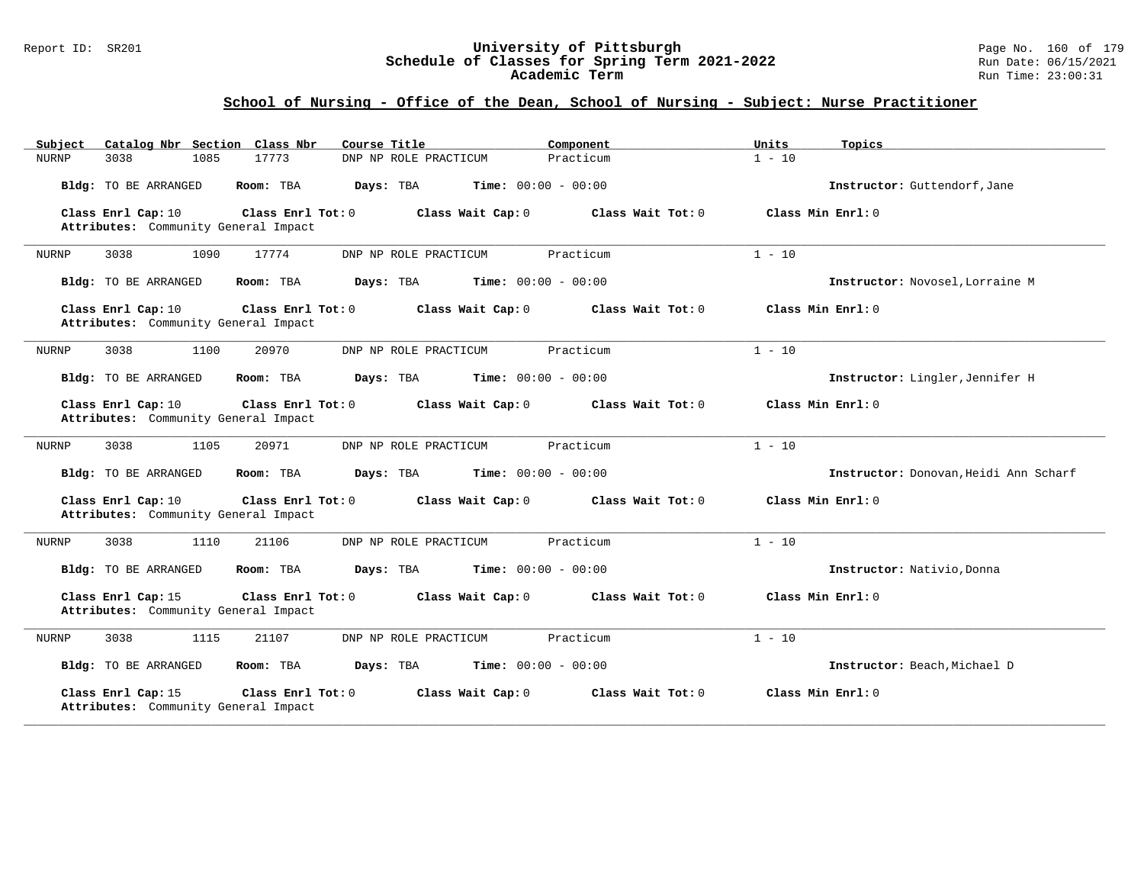### Report ID: SR201 **University of Pittsburgh** Page No. 160 of 179 **Schedule of Classes for Spring Term 2021-2022** Run Date: 06/15/2021 **Academic Term** Run Time: 23:00:31

| Catalog Nbr Section Class Nbr<br>Subject                                          | Course Title          | Component                    | Units<br>Topics                       |
|-----------------------------------------------------------------------------------|-----------------------|------------------------------|---------------------------------------|
| 3038<br>1085<br>17773<br><b>NURNP</b>                                             | DNP NP ROLE PRACTICUM | Practicum                    | $1 - 10$                              |
| <b>Bldg:</b> TO BE ARRANGED<br>Room: TBA                                          | Days: TBA             | Time: $00:00 - 00:00$        | Instructor: Guttendorf, Jane          |
| Class Enrl Cap: 10<br>Class Enrl Tot: $0$<br>Attributes: Community General Impact | Class Wait Cap: 0     | Class Wait $Tot: 0$          | Class Min $Enrl: 0$                   |
| 1090<br>17774<br>3038<br>NURNP                                                    | DNP NP ROLE PRACTICUM | Practicum                    | $1 - 10$                              |
| Bldg: TO BE ARRANGED<br>Room: TBA                                                 | Days: TBA             | <b>Time:</b> $00:00 - 00:00$ | Instructor: Novosel, Lorraine M       |
| Class Enrl Cap: 10<br>Class Enrl Tot: 0<br>Attributes: Community General Impact   | Class Wait Cap: 0     | Class Wait Tot: 0            | Class Min Enrl: 0                     |
| 20970<br>3038<br>1100<br>NURNP                                                    | DNP NP ROLE PRACTICUM | Practicum                    | $1 - 10$                              |
| Bldg: TO BE ARRANGED<br>Room: TBA                                                 | Days: TBA             | <b>Time:</b> $00:00 - 00:00$ | Instructor: Lingler, Jennifer H       |
| Class Enrl Cap: 10<br>Class Enrl Tot: 0<br>Attributes: Community General Impact   | Class Wait Cap: 0     | Class Wait Tot: 0            | Class Min Enrl: 0                     |
| 3038<br>1105<br>20971<br>NURNP                                                    | DNP NP ROLE PRACTICUM | Practicum                    | $1 - 10$                              |
| <b>Bldg:</b> TO BE ARRANGED<br>Room: TBA                                          | Days: TBA             | <b>Time:</b> $00:00 - 00:00$ | Instructor: Donovan, Heidi Ann Scharf |
| Class Enrl Cap: 10<br>Class Enrl Tot: 0<br>Attributes: Community General Impact   | Class Wait Cap: 0     | Class Wait Tot: 0            | Class Min Enrl: 0                     |
| 3038<br>1110<br>21106<br>NURNP                                                    | DNP NP ROLE PRACTICUM | Practicum                    | $1 - 10$                              |
| <b>Bldg:</b> TO BE ARRANGED<br>Room: TBA                                          | Days: TBA             | <b>Time:</b> $00:00 - 00:00$ | Instructor: Nativio, Donna            |
| Class Enrl Cap: 15<br>Class Enrl Tot: $0$<br>Attributes: Community General Impact | Class Wait Cap: 0     | Class Wait Tot: 0            | Class Min Enrl: 0                     |
| 3038<br>1115<br>21107<br><b>NURNP</b>                                             | DNP NP ROLE PRACTICUM | Practicum                    | $1 - 10$                              |
| Bldg: TO BE ARRANGED<br>Room: TBA                                                 | Days: TBA             | <b>Time:</b> $00:00 - 00:00$ | Instructor: Beach, Michael D          |
| Class Enrl Cap: 15<br>Class Enrl Tot: 0<br>Attributes: Community General Impact   | Class Wait Cap: 0     | Class Wait Tot: 0            | Class Min Enrl: 0                     |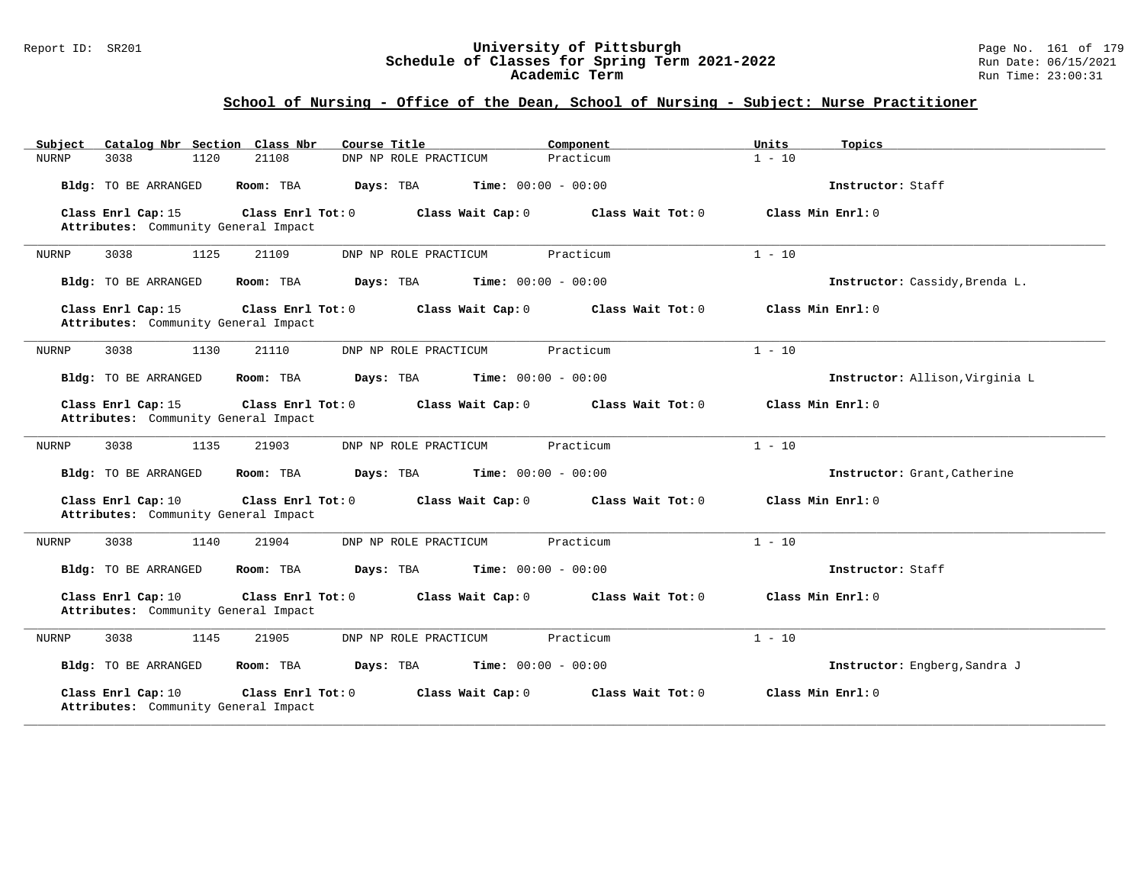### Report ID: SR201 **University of Pittsburgh** Page No. 161 of 179 **Schedule of Classes for Spring Term 2021-2022** Run Date: 06/15/2021 **Academic Term** Run Time: 23:00:31

| Catalog Nbr Section Class Nbr<br>Subject                                          | Course Title<br>Component                 | Units             | Topics                          |
|-----------------------------------------------------------------------------------|-------------------------------------------|-------------------|---------------------------------|
| 3038<br>1120<br>21108<br>NURNP                                                    | Practicum<br>DNP NP ROLE PRACTICUM        | $1 - 10$          |                                 |
| <b>Bldg:</b> TO BE ARRANGED<br>Room: TBA                                          | <b>Time:</b> $00:00 - 00:00$<br>Days: TBA |                   | Instructor: Staff               |
| Class Enrl Cap: 15<br>Class Enrl Tot: $0$<br>Attributes: Community General Impact | Class Wait Cap: 0                         | Class Wait Tot: 0 | Class Min $Enrl: 0$             |
| 3038<br>1125<br>21109<br>NURNP                                                    | Practicum<br>DNP NP ROLE PRACTICUM        | $1 - 10$          |                                 |
| Bldg: TO BE ARRANGED<br>Room: TBA                                                 | <b>Time:</b> $00:00 - 00:00$<br>Days: TBA |                   | Instructor: Cassidy, Brenda L.  |
| Class Enrl Cap: 15<br>Class Enrl Tot: 0<br>Attributes: Community General Impact   | Class Wait Cap: 0                         | Class Wait Tot: 0 | Class Min Enrl: 0               |
| 3038<br>1130<br>21110<br>NURNP                                                    | Practicum<br>DNP NP ROLE PRACTICUM        | $1 - 10$          |                                 |
| <b>Bldg:</b> TO BE ARRANGED<br>Room: TBA                                          | Time: $00:00 - 00:00$<br>Days: TBA        |                   | Instructor: Allison, Virginia L |
| Class Enrl Cap: 15<br>Class Enrl Tot: $0$<br>Attributes: Community General Impact | Class Wait Cap: 0                         | Class Wait Tot: 0 | Class Min Enrl: 0               |
| 3038<br>1135<br>21903<br>NURNP                                                    | Practicum<br>DNP NP ROLE PRACTICUM        | $1 - 10$          |                                 |
| Bldg: TO BE ARRANGED<br>Room: TBA                                                 | <b>Time:</b> $00:00 - 00:00$<br>Days: TBA |                   | Instructor: Grant, Catherine    |
| Class Enrl Cap: 10<br>Class Enrl Tot: 0<br>Attributes: Community General Impact   | Class Wait Cap: 0                         | Class Wait Tot: 0 | Class Min Enrl: 0               |
| <b>NURNP</b><br>3038<br>1140<br>21904                                             | Practicum<br>DNP NP ROLE PRACTICUM        | $1 - 10$          |                                 |
| <b>Bldg:</b> TO BE ARRANGED<br>Room: TBA                                          | <b>Time:</b> $00:00 - 00:00$<br>Days: TBA |                   | Instructor: Staff               |
| Class Enrl Cap: 10<br>Class Enrl Tot: $0$<br>Attributes: Community General Impact | Class Wait Cap: 0                         | Class Wait Tot: 0 | Class Min Enrl: 0               |
| 3038<br>1145<br>21905<br>NURNP                                                    | Practicum<br>DNP NP ROLE PRACTICUM        | $1 - 10$          |                                 |
| Bldg: TO BE ARRANGED<br>Room: TBA                                                 | <b>Time:</b> $00:00 - 00:00$<br>Days: TBA |                   | Instructor: Engberg, Sandra J   |
| Class Enrl Cap: 10<br>Class Enrl Tot: 0<br>Attributes: Community General Impact   | Class Wait Cap: 0                         | Class Wait Tot: 0 | Class Min Enrl: 0               |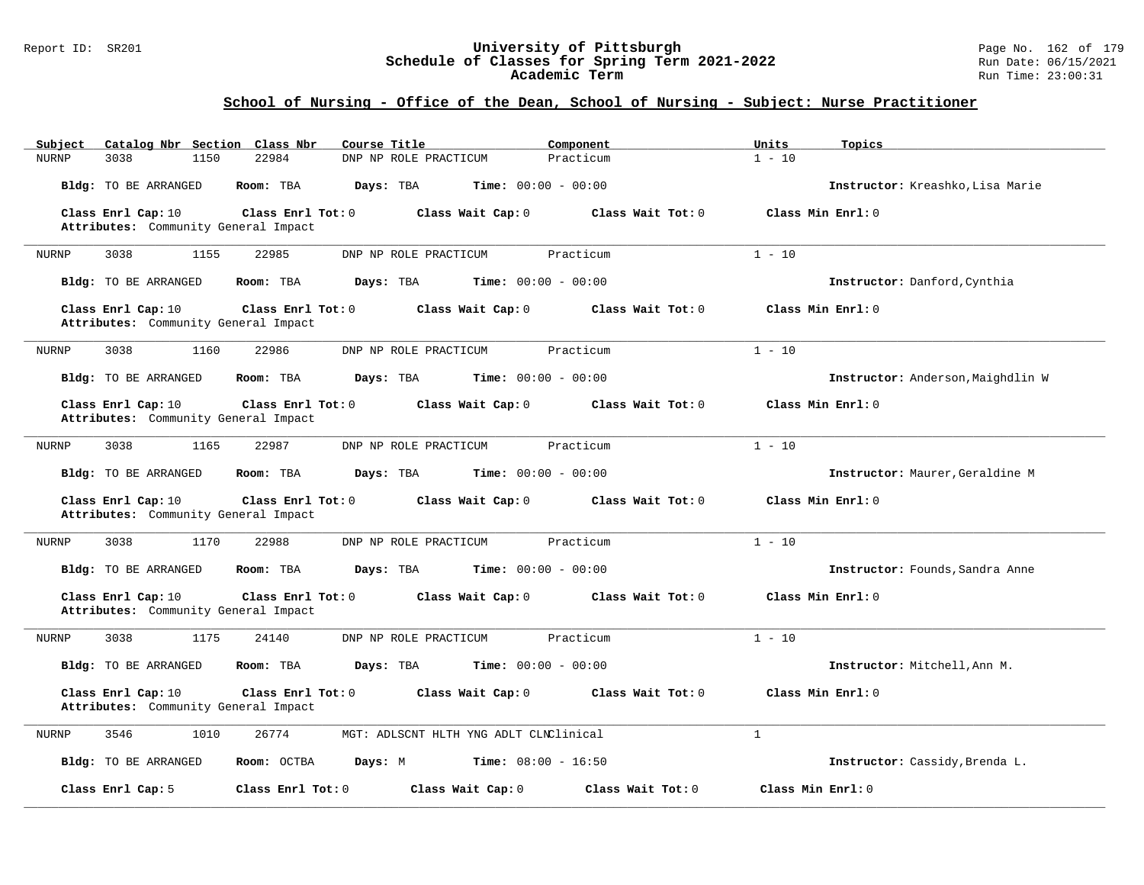### Report ID: SR201 **University of Pittsburgh** Page No. 162 of 179 **Schedule of Classes for Spring Term 2021-2022** Run Date: 06/15/2021 **Academic Term** Run Time: 23:00:31

| Catalog Nbr Section Class Nbr<br>Subject                   | Course Title                                    | Component                    | Units<br>Topics                   |
|------------------------------------------------------------|-------------------------------------------------|------------------------------|-----------------------------------|
| 3038<br><b>NURNP</b><br>1150                               | 22984<br>DNP NP ROLE PRACTICUM                  | Practicum                    | $1 - 10$                          |
| Bldg: TO BE ARRANGED                                       | Room: TBA<br>Days: TBA                          | <b>Time:</b> $00:00 - 00:00$ | Instructor: Kreashko, Lisa Marie  |
| Class Enrl Cap: 10<br>Attributes: Community General Impact | Class Enrl Tot: 0<br>Class Wait Cap: 0          | Class Wait Tot: 0            | Class Min Enrl: 0                 |
| <b>NURNP</b><br>3038<br>1155                               | 22985<br>DNP NP ROLE PRACTICUM                  | Practicum                    | $1 - 10$                          |
| <b>Bldg:</b> TO BE ARRANGED                                | Room: TBA<br>Days: TBA                          | <b>Time:</b> $00:00 - 00:00$ | Instructor: Danford, Cynthia      |
| Class Enrl Cap: 10<br>Attributes: Community General Impact | Class Enrl Tot: 0<br>Class Wait Cap: 0          | Class Wait $Tot: 0$          | Class Min Enrl: 0                 |
| 3038<br>1160<br>NURNP                                      | 22986<br>DNP NP ROLE PRACTICUM                  | Practicum                    | $1 - 10$                          |
| Bldg: TO BE ARRANGED                                       | Room: TBA<br>Days: TBA                          | Time: $00:00 - 00:00$        | Instructor: Anderson, Maighdlin W |
| Class Enrl Cap: 10<br>Attributes: Community General Impact | Class Enrl Tot: 0<br>Class Wait Cap: 0          | Class Wait Tot: 0            | Class Min Enrl: 0                 |
| 3038<br>1165<br><b>NURNP</b>                               | 22987<br>DNP NP ROLE PRACTICUM                  | Practicum                    | $1 - 10$                          |
| Bldg: TO BE ARRANGED                                       | Room: TBA<br>Days: TBA                          | <b>Time:</b> $00:00 - 00:00$ | Instructor: Maurer, Geraldine M   |
| Class Enrl Cap: 10<br>Attributes: Community General Impact | Class Enrl Tot: 0<br>Class Wait Cap: 0          | Class Wait Tot: 0            | Class Min Enrl: 0                 |
| 3038<br>1170<br>NURNP                                      | 22988<br>DNP NP ROLE PRACTICUM                  | Practicum                    | $1 - 10$                          |
| Bldg: TO BE ARRANGED                                       | Room: TBA<br>Days: TBA                          | Time: $00:00 - 00:00$        | Instructor: Founds, Sandra Anne   |
| Class Enrl Cap: 10<br>Attributes: Community General Impact | Class Enrl Tot: 0<br>Class Wait Cap: 0          | Class Wait Tot: 0            | Class Min Enrl: 0                 |
| <b>NURNP</b><br>3038<br>1175                               | 24140<br>DNP NP ROLE PRACTICUM                  | Practicum                    | $1 - 10$                          |
| Bldg: TO BE ARRANGED                                       | Room: TBA<br>Days: TBA                          | Time: $00:00 - 00:00$        | Instructor: Mitchell, Ann M.      |
| Class Enrl Cap: 10<br>Attributes: Community General Impact | Class Enrl Tot: 0<br>Class Wait Cap: 0          | Class Wait Tot: 0            | Class Min Enrl: 0                 |
| 3546<br><b>NURNP</b><br>1010                               | 26774<br>MGT: ADLSCNT HLTH YNG ADLT CLNClinical |                              | $\mathbf{1}$                      |
| Bldg: TO BE ARRANGED                                       | Room: OCTBA<br>Days: M                          | <b>Time:</b> $08:00 - 16:50$ | Instructor: Cassidy, Brenda L.    |
| Class Enrl Cap: 5                                          | Class Wait Cap: 0<br>Class Enrl Tot: 0          | Class Wait Tot: 0            | Class Min Enrl: 0                 |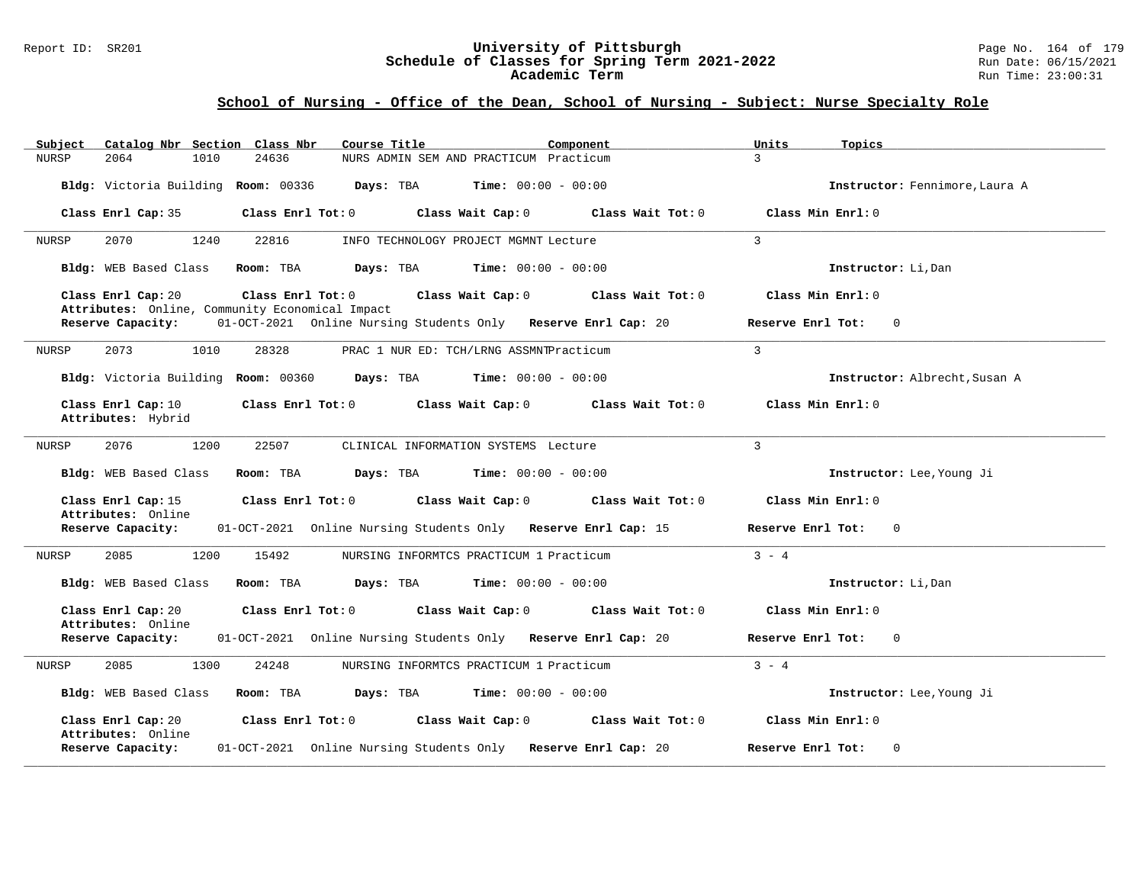### Report ID: SR201 **University of Pittsburgh** Page No. 164 of 179 **Schedule of Classes for Spring Term 2021-2022** Run Date: 06/15/2021 **Academic Term** Run Time: 23:00:31

| Subject<br>Catalog Nbr Section Class Nbr<br>Course Title<br>Component                                                                 | Units<br>Topics                |
|---------------------------------------------------------------------------------------------------------------------------------------|--------------------------------|
| 2064<br>1010<br>24636<br>NURS ADMIN SEM AND PRACTICUM Practicum<br><b>NURSP</b>                                                       | $\mathcal{R}$                  |
| Bldg: Victoria Building Room: 00336<br>Days: TBA<br><b>Time:</b> $00:00 - 00:00$                                                      | Instructor: Fennimore, Laura A |
| Class Enrl Cap: 35<br>Class Enrl Tot: 0<br>Class Wait Cap: 0<br>Class Wait $Tot: 0$                                                   | Class Min Enrl: 0              |
| 2070<br>1240<br>22816<br>NURSP<br>INFO TECHNOLOGY PROJECT MGMNT Lecture                                                               | $\mathbf{3}$                   |
| Bldg: WEB Based Class<br>Room: TBA<br>Days: TBA<br>$Time: 00:00 - 00:00$                                                              | Instructor: Li, Dan            |
| Class Enrl Cap: 20<br>Class Enrl Tot: 0<br>Class Wait Cap: 0<br>Class Wait Tot: 0                                                     | Class Min Enrl: 0              |
| Attributes: Online, Community Economical Impact<br>01-OCT-2021 Online Nursing Students Only Reserve Enrl Cap: 20<br>Reserve Capacity: | Reserve Enrl Tot:<br>$\Omega$  |
| 2073<br>1010<br>28328<br><b>NURSP</b><br>PRAC 1 NUR ED: TCH/LRNG ASSMNTPracticum                                                      | $\mathbf{3}$                   |
| Bldg: Victoria Building Room: 00360<br>Days: TBA<br>$Time: 00:00 - 00:00$                                                             | Instructor: Albrecht, Susan A  |
| Class Enrl Cap: 10<br>Class Enrl Tot: 0<br>Class Wait Cap: 0<br>Class Wait Tot: 0<br>Attributes: Hybrid                               | Class Min Enrl: 0              |
| 2076<br>1200<br>22507<br>NURSP<br>CLINICAL INFORMATION SYSTEMS Lecture                                                                | $\mathbf{3}$                   |
| <b>Time:</b> $00:00 - 00:00$<br>Bldg: WEB Based Class<br>Room: TBA<br>Days: TBA                                                       | Instructor: Lee, Young Ji      |
| Class Enrl Cap: 15<br>Class Enrl Tot: 0<br>Class Wait Cap: 0<br>Class Wait Tot: 0                                                     | Class Min Enrl: 0              |
| Attributes: Online<br>Reserve Capacity:<br>01-OCT-2021 Online Nursing Students Only Reserve Enrl Cap: 15                              | Reserve Enrl Tot:<br>$\Omega$  |
| 2085<br>15492<br>NURSING INFORMTCS PRACTICUM 1 Practicum<br>NURSP<br>1200                                                             | $3 - 4$                        |
| <b>Time:</b> $00:00 - 00:00$<br>Bldg: WEB Based Class<br>Room: TBA<br>Days: TBA                                                       | Instructor: Li, Dan            |
| Class Wait Cap: 0<br>Class Enrl Cap: 20<br>Class Enrl Tot: 0<br>Class Wait Tot: 0<br>Attributes: Online                               | Class Min Enrl: 0              |
| 01-OCT-2021 Online Nursing Students Only Reserve Enrl Cap: 20<br>Reserve Capacity:                                                    | Reserve Enrl Tot:<br>$\Omega$  |
| 2085<br>1300<br>24248<br>NURSING INFORMTCS PRACTICUM 1 Practicum<br>NURSP                                                             | $3 - 4$                        |
| Bldg: WEB Based Class<br>Room: TBA<br>Days: TBA<br><b>Time:</b> $00:00 - 00:00$                                                       | Instructor: Lee, Young Ji      |
| Class Enrl Cap: 20<br>Class Enrl Tot: $0$<br>Class Wait Cap: 0<br>Class Wait Tot: $0$                                                 | Class Min Enrl: 0              |
| Attributes: Online<br>Reserve Capacity:<br>01-OCT-2021 Online Nursing Students Only Reserve Enrl Cap: 20                              | Reserve Enrl Tot:<br>$\Omega$  |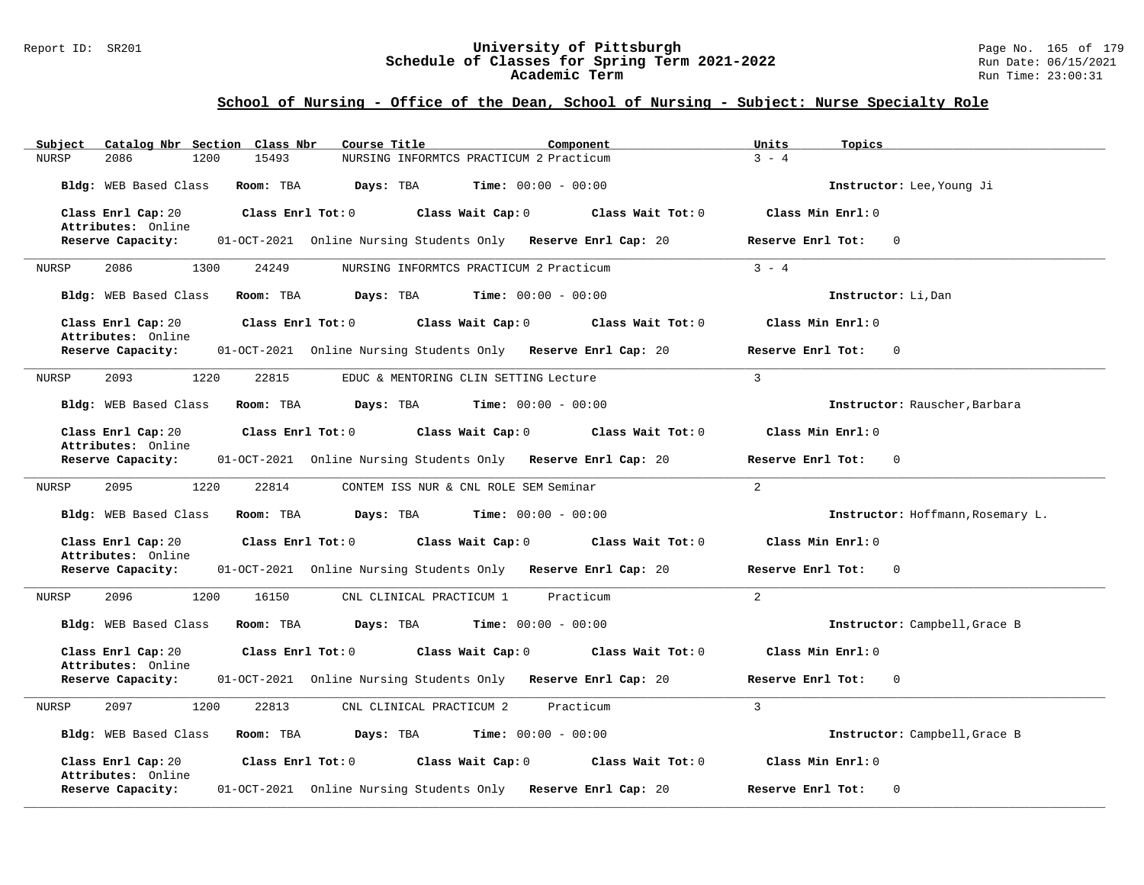### Report ID: SR201 **University of Pittsburgh** Page No. 165 of 179 **Schedule of Classes for Spring Term 2021-2022** Run Date: 06/15/2021 **Academic Term** Run Time: 23:00:31

| Catalog Nbr Section Class Nbr<br>Course Title<br>Subject<br>Component                                       | Units<br>Topics                   |
|-------------------------------------------------------------------------------------------------------------|-----------------------------------|
| <b>NURSP</b><br>2086<br>1200<br>15493<br>NURSING INFORMTCS PRACTICUM 2 Practicum                            | $3 - 4$                           |
| Bldg: WEB Based Class<br>Days: TBA<br><b>Time:</b> $00:00 - 00:00$<br>Room: TBA                             | Instructor: Lee, Young Ji         |
| Class Enrl Tot: 0<br>Class Wait Cap: 0<br>Class Enrl Cap: 20<br>Class Wait Tot: 0<br>Attributes: Online     | Class Min Enrl: 0                 |
| 01-OCT-2021 Online Nursing Students Only Reserve Enrl Cap: 20<br>Reserve Capacity:                          | Reserve Enrl Tot:<br>$\Omega$     |
| 2086<br>1300<br>24249<br>NURSING INFORMTCS PRACTICUM 2 Practicum<br>NURSP                                   | $3 - 4$                           |
| Bldg: WEB Based Class<br>Room: TBA<br>Days: TBA<br><b>Time:</b> $00:00 - 00:00$                             | Instructor: Li, Dan               |
| Class Enrl Tot: 0<br>Class Wait Cap: 0<br>Class Wait Tot: 0<br>Class Enrl Cap: 20<br>Attributes: Online     | Class Min Enrl: 0                 |
| Reserve Capacity:<br>01-OCT-2021 Online Nursing Students Only Reserve Enrl Cap: 20                          | Reserve Enrl Tot:<br>$\mathbf{0}$ |
| 2093<br>1220<br>22815<br>EDUC & MENTORING CLIN SETTING Lecture<br>NURSP                                     | $\overline{3}$                    |
| Bldg: WEB Based Class<br>Room: TBA<br>Days: TBA<br><b>Time:</b> $00:00 - 00:00$                             | Instructor: Rauscher, Barbara     |
| Class Enrl Cap: 20<br>Class Enrl Tot: 0<br>Class Wait Cap: 0<br>Class Wait Tot: 0<br>Attributes: Online     | Class Min Enrl: 0                 |
| Reserve Capacity:<br>01-OCT-2021 Online Nursing Students Only Reserve Enrl Cap: 20                          | Reserve Enrl Tot:<br>$\Omega$     |
| 2095<br>1220<br>22814<br>CONTEM ISS NUR & CNL ROLE SEM Seminar<br>NURSP                                     | 2                                 |
| Bldg: WEB Based Class<br>Room: TBA<br>Days: TBA<br><b>Time:</b> $00:00 - 00:00$                             | Instructor: Hoffmann, Rosemary L. |
| Class Enrl Cap: 20<br>Class Enrl Tot: 0<br>Class Wait Cap: 0<br>Class Wait Tot: 0<br>Attributes: Online     | Class Min Enrl: 0                 |
| Reserve Capacity:<br>01-OCT-2021 Online Nursing Students Only Reserve Enrl Cap: 20                          | Reserve Enrl Tot:<br>$\mathbf 0$  |
| 2096<br>1200<br>16150<br>CNL CLINICAL PRACTICUM 1<br>Practicum<br>NURSP                                     | 2                                 |
| Bldg: WEB Based Class<br>Room: TBA<br>Days: TBA<br><b>Time:</b> $00:00 - 00:00$                             | Instructor: Campbell, Grace B     |
| Class Enrl Cap: 20<br>Class Enrl Tot: 0<br>Class Wait Cap: 0<br>Class Wait Tot: 0<br>Attributes: Online     | Class Min Enrl: 0                 |
| 01-OCT-2021 Online Nursing Students Only Reserve Enrl Cap: 20<br>Reserve Capacity:                          | Reserve Enrl Tot:<br>$\Omega$     |
| 2097<br>1200<br>22813<br>NURSP<br>CNL CLINICAL PRACTICUM 2<br>Practicum                                     | 3                                 |
| Bldg: WEB Based Class<br>Time: $00:00 - 00:00$<br>Room: TBA<br>Days: TBA                                    | Instructor: Campbell, Grace B     |
| Class Enrl Cap: 20<br>Class $Enr1 Tot: 0$<br>Class Wait Cap: 0<br>Class Wait $Tot: 0$<br>Attributes: Online | Class Min $Enrl: 0$               |
| Reserve Capacity:<br>01-OCT-2021 Online Nursing Students Only Reserve Enrl Cap: 20                          | Reserve Enrl Tot:<br>$\mathbf 0$  |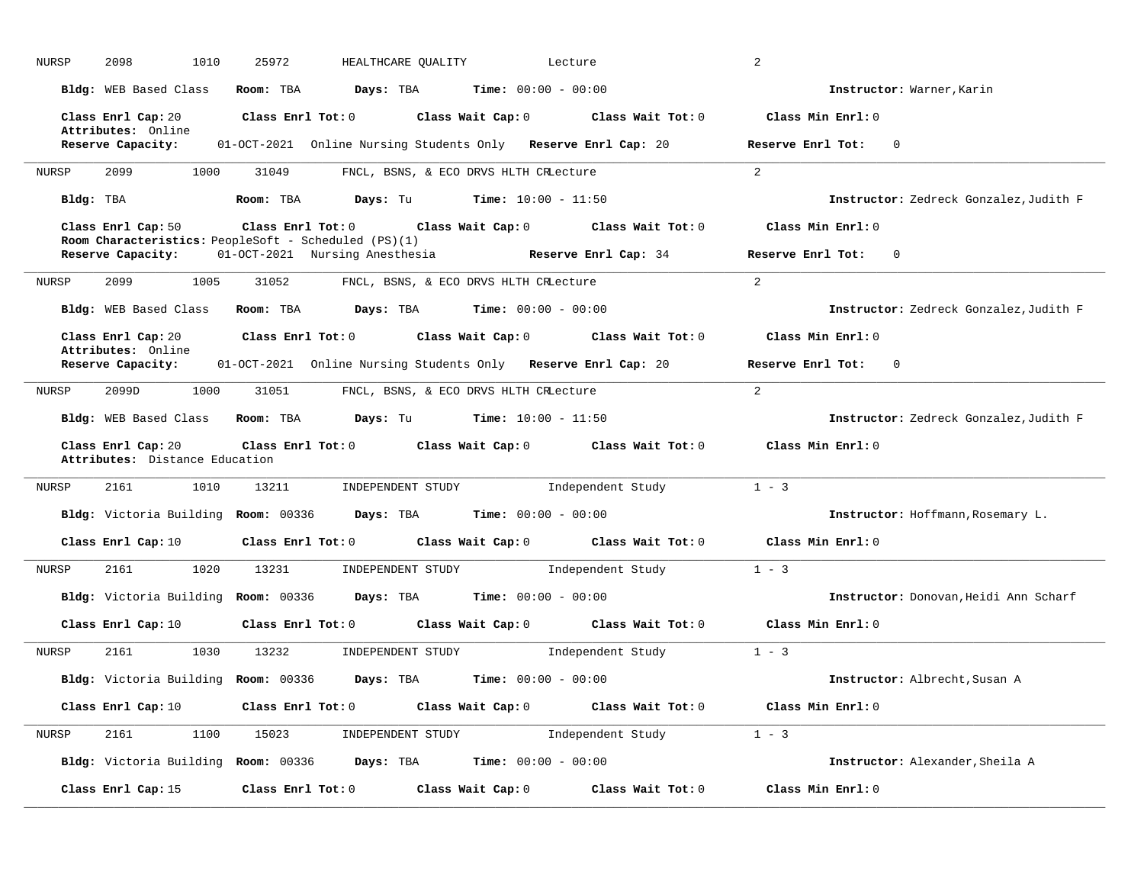| NURSP<br>2098<br>1010                                                                                                           | 25972<br>HEALTHCARE QUALITY                                                            | 2<br>Lecture                                   |                                        |
|---------------------------------------------------------------------------------------------------------------------------------|----------------------------------------------------------------------------------------|------------------------------------------------|----------------------------------------|
| Bldg: WEB Based Class                                                                                                           | Room: TBA<br>Days: TBA                                                                 | $Time: 00:00 - 00:00$                          | Instructor: Warner, Karin              |
| Class Enrl Cap: 20                                                                                                              | Class Enrl Tot: 0 Class Wait Cap: 0 Class Wait Tot: 0                                  |                                                | Class Min Enrl: 0                      |
| Attributes: Online<br>Reserve Capacity:                                                                                         | 01-OCT-2021 Online Nursing Students Only Reserve Enrl Cap: 20                          |                                                | Reserve Enrl Tot: 0                    |
| 2099<br>1000<br>NURSP                                                                                                           | 31049<br>FNCL, BSNS, & ECO DRVS HLTH CRLecture                                         | 2                                              |                                        |
| Bldg: TBA                                                                                                                       | <b>Days:</b> Tu <b>Time:</b> $10:00 - 11:50$<br>Room: TBA                              |                                                | Instructor: Zedreck Gonzalez, Judith F |
| Class Enrl Cap: 50                                                                                                              | Class Enrl Tot: $0$ Class Wait Cap: $0$ Class Wait Tot: $0$                            |                                                | Class Min Enrl: 0                      |
| Reserve Capacity:                                                                                                               | Room Characteristics: PeopleSoft - Scheduled (PS)(1)<br>01-OCT-2021 Nursing Anesthesia | Reserve Enrl Cap: 34                           | Reserve Enrl Tot: 0                    |
| 2099<br>1005<br>NURSP                                                                                                           | 31052<br>FNCL, BSNS, & ECO DRVS HLTH CRLecture                                         | 2                                              |                                        |
| Bldg: WEB Based Class                                                                                                           | Room: TBA $Days:$ TBA $Time: 00:00 - 00:00$                                            |                                                | Instructor: Zedreck Gonzalez, Judith F |
| Class Enrl Cap: 20<br>Attributes: Online                                                                                        | Class Enrl Tot: $0$ Class Wait Cap: $0$ Class Wait Tot: $0$                            |                                                | Class Min Enrl: 0                      |
| Reserve Capacity:                                                                                                               | 01-OCT-2021 Online Nursing Students Only Reserve Enrl Cap: 20                          |                                                | Reserve Enrl Tot: 0                    |
| 2099D and the set of the set of the set of the set of the set of the set of the set of the set of the set of t<br>1000<br>NURSP | 31051<br>FNCL, BSNS, & ECO DRVS HLTH CRLecture                                         | 2                                              |                                        |
| Bldg: WEB Based Class                                                                                                           | <b>Room:</b> TBA <b>Days:</b> Tu <b>Time:</b> $10:00 - 11:50$                          |                                                | Instructor: Zedreck Gonzalez, Judith F |
| Class Enrl Cap: 20<br>Attributes: Distance Education                                                                            | Class Enrl Tot: 0 Class Wait Cap: 0 Class Wait Tot: 0                                  |                                                | Class Min Enrl: 0                      |
| 2161<br>1010<br>NURSP                                                                                                           | 13211<br>INDEPENDENT STUDY                                                             | $1 - 3$<br>Independent Study                   |                                        |
|                                                                                                                                 | Bldg: Victoria Building Room: 00336 Days: TBA Time: 00:00 - 00:00                      |                                                | Instructor: Hoffmann, Rosemary L.      |
| Class Enrl Cap: 10                                                                                                              | $Class$ $Enrl$ $Tot: 0$                                                                | Class Wait Cap: 0 Class Wait Tot: 0            | Class Min Enrl: 0                      |
| 2161<br>1020<br>NURSP                                                                                                           | 13231                                                                                  | $1 - 3$<br>INDEPENDENT STUDY Independent Study |                                        |
| Bldg: Victoria Building Room: 00336                                                                                             | <b>Days:</b> TBA <b>Time:</b> $00:00 - 00:00$                                          |                                                | Instructor: Donovan, Heidi Ann Scharf  |
| Class Enrl Cap: 10                                                                                                              | Class Enrl Tot: $0$ Class Wait Cap: $0$ Class Wait Tot: $0$                            |                                                | Class Min $Enr1:0$                     |
| 2161 200<br>1030<br>NURSP                                                                                                       | 13232<br>INDEPENDENT STUDY                                                             | $1 - 3$<br>Independent Study                   |                                        |
|                                                                                                                                 | Bldg: Victoria Building Room: 00336 Days: TBA                                          | <b>Time:</b> $00:00 - 00:00$                   | Instructor: Albrecht, Susan A          |
| Class Enrl Cap: 10                                                                                                              | Class Enrl Tot: 0<br>Class Wait Cap: 0                                                 | Class Wait Tot: 0                              | Class Min Enrl: 0                      |
| 2161<br>1100<br>NURSP                                                                                                           | 15023<br>INDEPENDENT STUDY                                                             | $1 - 3$<br>Independent Study                   |                                        |
| <b>Bldg:</b> Victoria Building                                                                                                  | <b>Room: 00336</b><br>Days: TBA                                                        | <b>Time:</b> $00:00 - 00:00$                   | Instructor: Alexander, Sheila A        |
| Class Enrl Cap: 15                                                                                                              | Class Enrl Tot: 0<br>Class Wait Cap: 0                                                 | Class Wait Tot: 0                              | Class Min Enrl: 0                      |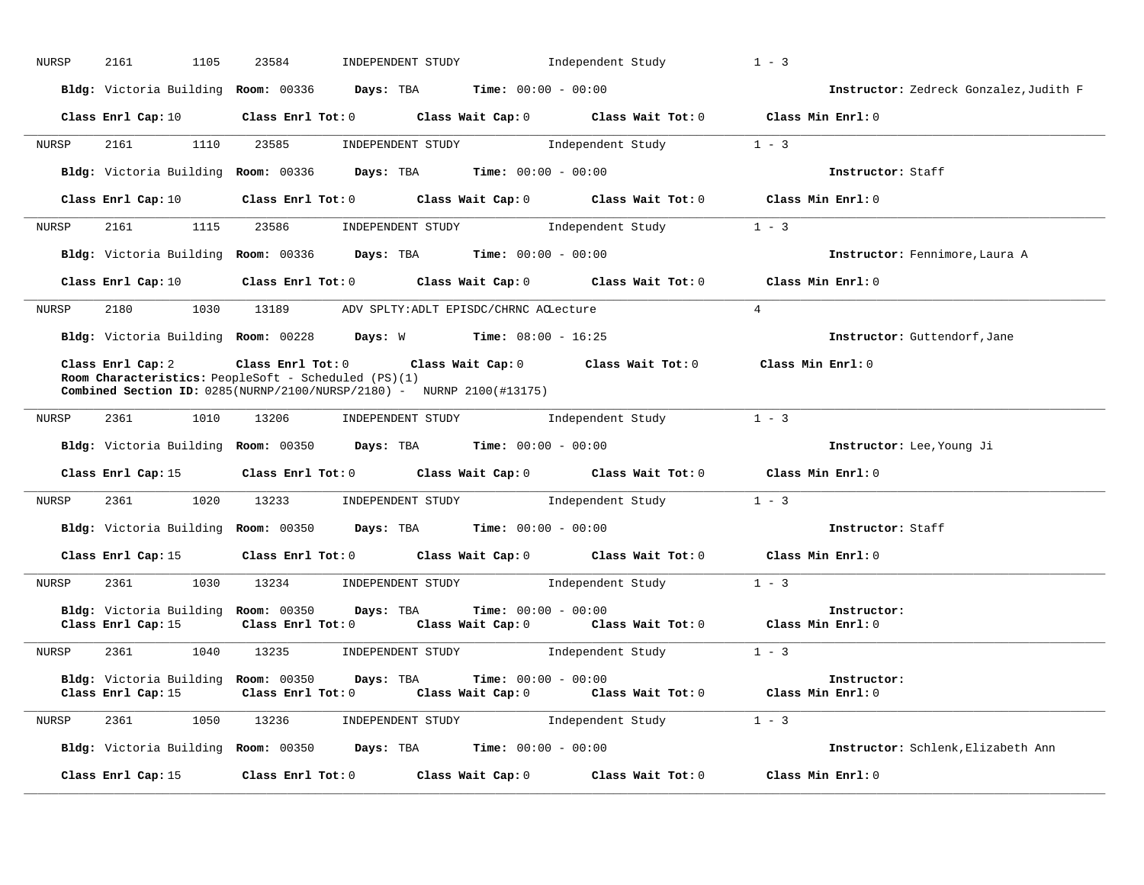| NURSP | 2161<br>1105       | 23584<br>INDEPENDENT STUDY                                                                                                                               | Independent Study            | $1 - 3$                                |
|-------|--------------------|----------------------------------------------------------------------------------------------------------------------------------------------------------|------------------------------|----------------------------------------|
|       |                    | Bldg: Victoria Building Room: 00336 Days: TBA Time: 00:00 - 00:00                                                                                        |                              | Instructor: Zedreck Gonzalez, Judith F |
|       | Class Enrl Cap: 10 | Class Enrl Tot: 0 Class Wait Cap: 0 Class Wait Tot: 0 Class Min Enrl: 0                                                                                  |                              |                                        |
| NURSP | 2161 200           | 1110 23585                                                                                                                                               | INDEPENDENT STUDY 1 - 3      |                                        |
|       |                    | Bldg: Victoria Building Room: 00336 Days: TBA Time: 00:00 - 00:00                                                                                        |                              | Instructor: Staff                      |
|       | Class Enrl Cap: 10 | Class Enrl Tot: 0 Class Wait Cap: 0 Class Wait Tot: 0 Class Min Enrl: 0                                                                                  |                              |                                        |
| NURSP |                    | 2161 1115 23586 INDEPENDENT STUDY Independent Study 1 - 3                                                                                                |                              |                                        |
|       |                    | Bldg: Victoria Building Room: 00336 Days: TBA Time: 00:00 - 00:00                                                                                        |                              | Instructor: Fennimore, Laura A         |
|       |                    | Class Enrl Cap: 10 Class Enrl Tot: 0 Class Wait Cap: 0 Class Wait Tot: 0 Class Min Enrl: 0                                                               |                              |                                        |
| NURSP |                    | 2180 1030 13189 ADV SPLTY: ADLT EPISDC/CHRNC ACLecture                                                                                                   |                              | $\overline{4}$                         |
|       |                    | Bldg: Victoria Building Room: 00228 Days: W Time: 08:00 - 16:25                                                                                          |                              | Instructor: Guttendorf, Jane           |
|       |                    | Class Enrl Cap: 2 Class Enrl Tot: 0 Class Wait Cap: 0 Class Wait Tot: 0 Class Min Enrl: 0<br><b>Room Characteristics:</b> PeopleSoft - Scheduled (PS)(1) |                              |                                        |
|       |                    | <b>Combined Section ID:</b> $0285(NURNP/2100/NURSP/2180)$ - NURNP $2100(\text{\#}13175)$                                                                 |                              |                                        |
| NURSP |                    | 2361 1010 13206 INDEPENDENT STUDY                                                                                                                        | Independent Study            | $1 - 3$                                |
|       |                    | Bldg: Victoria Building Room: 00350 Days: TBA Time: 00:00 - 00:00                                                                                        |                              | Instructor: Lee, Young Ji              |
|       |                    | Class Enrl Cap: 15 Class Enrl Tot: 0 Class Wait Cap: 0 Class Wait Tot: 0 Class Min Enrl: 0                                                               |                              |                                        |
| NURSP |                    | 2361 1020 13233 INDEPENDENT STUDY Independent Study 1 - 3                                                                                                |                              |                                        |
|       |                    | Bldg: Victoria Building Room: 00350 Days: TBA Time: 00:00 - 00:00                                                                                        |                              | Instructor: Staff                      |
|       | Class Enrl Cap: 15 | Class Enrl Tot: 0 Class Wait Cap: 0 Class Wait Tot: 0 Class Min Enrl: 0                                                                                  |                              |                                        |
| NURSP |                    | 2361 1030 13234 INDEPENDENT STUDY Independent Study 1 - 3                                                                                                |                              |                                        |
|       | Class Enrl Cap: 15 | Bldg: Victoria Building Room: 00350 Days: TBA<br>Class Enrl Tot: 0 $\qquad$ Class Wait Cap: 0 $\qquad$ Class Wait Tot: 0 $\qquad$ Class Min Enrl: 0      | <b>Time:</b> $00:00 - 00:00$ | Instructor:                            |
| NURSP | 2361<br>1040       | 13235 INDEPENDENT STUDY 1ndependent Study 1 - 3                                                                                                          |                              |                                        |
|       |                    | Bldg: Victoria Building Room: 00350 Days: TBA                                                                                                            | <b>Time:</b> $00:00 - 00:00$ | Instructor:                            |
|       | Class Enrl Cap: 15 | Class Enrl Tot: $0$ Class Wait Cap: $0$ Class Wait Tot: $0$ Class Min Enrl: $0$                                                                          |                              |                                        |
|       |                    |                                                                                                                                                          |                              |                                        |
| NURSP |                    | 2361 1050 13236 INDEPENDENT STUDY Independent Study 1 - 3                                                                                                |                              |                                        |
|       |                    | Bldg: Victoria Building Room: 00350 Days: TBA Time: 00:00 - 00:00                                                                                        |                              | Instructor: Schlenk, Elizabeth Ann     |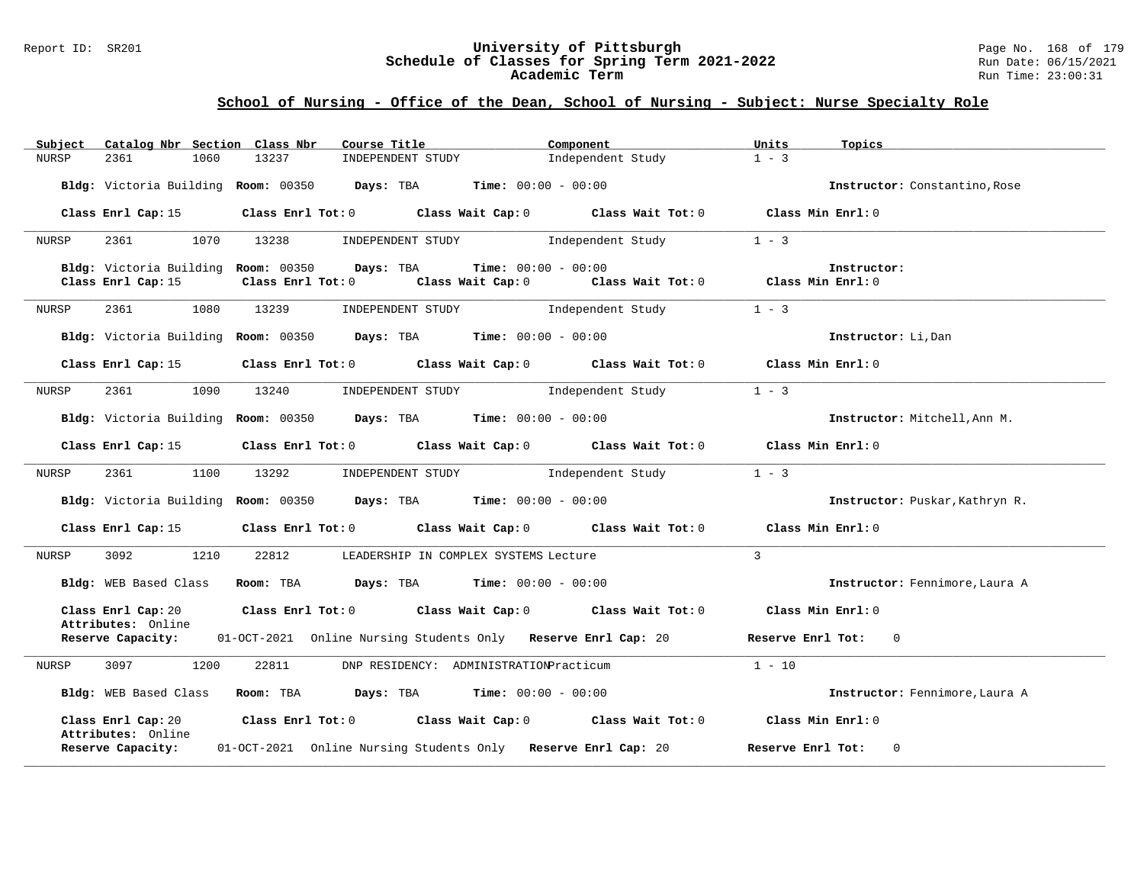### Report ID: SR201 **University of Pittsburgh** Page No. 168 of 179 **Schedule of Classes for Spring Term 2021-2022** Run Date: 06/15/2021 **Academic Term** Run Time: 23:00:31

| Subject | Catalog Nbr Section Class Nbr            | Course Title                                                       | Component                                                               | Units<br>Topics                     |
|---------|------------------------------------------|--------------------------------------------------------------------|-------------------------------------------------------------------------|-------------------------------------|
| NURSP   | 2361<br>1060                             | 13237<br>INDEPENDENT STUDY                                         | Independent Study                                                       | $1 - 3$                             |
|         |                                          | Bldg: Victoria Building Room: 00350 Days: TBA                      | <b>Time:</b> $00:00 - 00:00$                                            | Instructor: Constantino, Rose       |
|         | Class Enrl Cap: 15                       |                                                                    | Class Enrl Tot: 0 Class Wait Cap: 0 Class Wait Tot: 0                   | Class Min Enrl: 0                   |
| NURSP   | 2361<br>1070                             | INDEPENDENT STUDY<br>13238                                         | Independent Study                                                       | $1 - 3$                             |
|         | Class Enrl Cap: 15                       | Bldg: Victoria Building Room: 00350 Days: TBA<br>Class Enrl Tot: 0 | <b>Time:</b> $00:00 - 00:00$<br>Class Wait Cap: 0<br>Class Wait Tot: 0  | Instructor:<br>Class Min Enrl: 0    |
| NURSP   | 2361<br>1080                             | 13239                                                              | Independent Study<br>INDEPENDENT STUDY                                  | $1 - 3$                             |
|         |                                          | Bldg: Victoria Building Room: 00350 Days: TBA Time: 00:00 - 00:00  |                                                                         | Instructor: Li, Dan                 |
|         | Class Enrl Cap: 15                       |                                                                    | Class Enrl Tot: $0$ Class Wait Cap: $0$ Class Wait Tot: $0$             | Class Min Enrl: 0                   |
| NURSP   | 2361<br>1090                             | 13240                                                              | INDEPENDENT STUDY 1ndependent Study                                     | $1 - 3$                             |
|         |                                          | Bldg: Victoria Building Room: 00350 Days: TBA Time: 00:00 - 00:00  |                                                                         | Instructor: Mitchell, Ann M.        |
|         | Class Enrl Cap: 15                       |                                                                    | Class Enrl Tot: 0 Class Wait Cap: 0 Class Wait Tot: 0 Class Min Enrl: 0 |                                     |
| NURSP   | 2361<br>1100                             | 13292<br>INDEPENDENT STUDY                                         | Independent Study                                                       | $1 - 3$                             |
|         |                                          | Bldg: Victoria Building Room: 00350 Days: TBA Time: 00:00 - 00:00  |                                                                         | Instructor: Puskar, Kathryn R.      |
|         | Class Enrl Cap: 15                       | Class Enrl Tot: 0                                                  | Class Wait Cap: 0                                                       | Class Wait Tot: 0 Class Min Enrl: 0 |
| NURSP   | 1210<br>3092                             | 22812                                                              | LEADERSHIP IN COMPLEX SYSTEMS Lecture                                   | $\overline{3}$                      |
|         | Bldg: WEB Based Class                    | Room: TBA                                                          | <b>Days:</b> TBA <b>Time:</b> $00:00 - 00:00$                           | Instructor: Fennimore, Laura A      |
|         | Class Enrl Cap: 20<br>Attributes: Online |                                                                    | Class Enrl Tot: 0 Class Wait Cap: 0 Class Wait Tot: 0                   | Class Min $Enrl: 0$                 |
|         | Reserve Capacity:                        |                                                                    | 01-OCT-2021 Online Nursing Students Only Reserve Enrl Cap: 20           | Reserve Enrl Tot:<br>$\Omega$       |
| NURSP   | 3097<br>1200                             | 22811                                                              | DNP RESIDENCY: ADMINISTRATIONPracticum                                  | $1 - 10$                            |
|         | Bldg: WEB Based Class                    | Room: TBA                                                          | $\texttt{DayS:}$ TBA $\texttt{Time:}$ 00:00 - 00:00                     | Instructor: Fennimore, Laura A      |
|         | Class Enrl Cap: 20<br>Attributes: Online |                                                                    | Class Enrl Tot: $0$ Class Wait Cap: $0$ Class Wait Tot: $0$             | Class Min Enrl: 0                   |
|         | Reserve Capacity:                        |                                                                    | 01-OCT-2021 Online Nursing Students Only Reserve Enrl Cap: 20           | Reserve Enrl Tot:<br>$\Omega$       |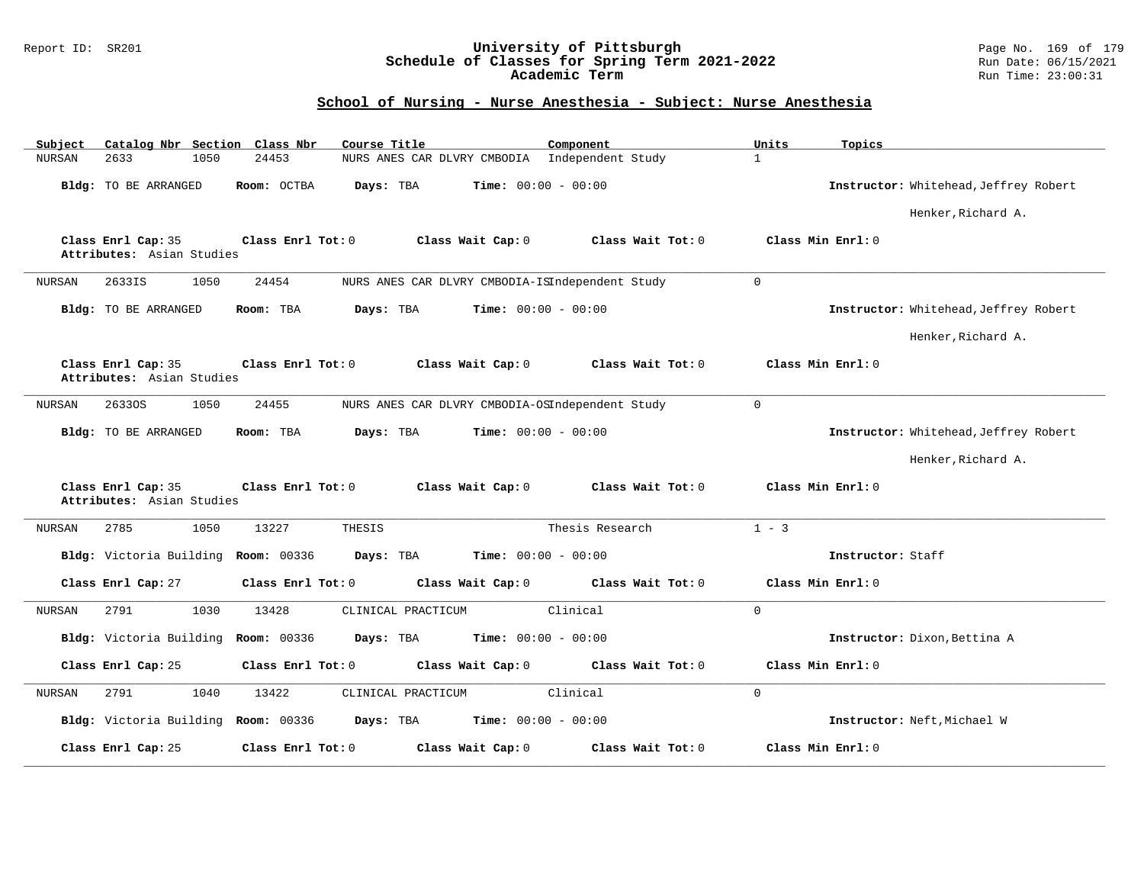### Report ID: SR201 **University of Pittsburgh** Page No. 169 of 179 **Schedule of Classes for Spring Term 2021-2022** Run Date: 06/15/2021 **Academic Term** Run Time: 23:00:31

| Subject<br>Catalog Nbr Section Class Nbr                             | Course Title                                    | Component         | Units<br>Topics                       |
|----------------------------------------------------------------------|-------------------------------------------------|-------------------|---------------------------------------|
| <b>NURSAN</b><br>2633<br>1050<br>24453                               | NURS ANES CAR DLVRY CMBODIA Independent Study   |                   | $\mathbf{1}$                          |
| Bldg: TO BE ARRANGED<br>Room: OCTBA                                  | <b>Time:</b> $00:00 - 00:00$<br>Days: TBA       |                   | Instructor: Whitehead, Jeffrey Robert |
|                                                                      |                                                 |                   | Henker, Richard A.                    |
| Class Enrl Cap: 35<br>Class Enrl Tot: 0<br>Attributes: Asian Studies | Class Wait Cap: 0                               | Class Wait Tot: 0 | Class Min Enrl: 0                     |
| 1050<br>24454<br>NURSAN<br>2633IS                                    | NURS ANES CAR DLVRY CMBODIA-ISIndependent Study |                   | $\mathbf 0$                           |
| Bldg: TO BE ARRANGED<br>Room: TBA                                    | <b>Time:</b> $00:00 - 00:00$<br>Days: TBA       |                   | Instructor: Whitehead, Jeffrey Robert |
|                                                                      |                                                 |                   | Henker, Richard A.                    |
| Class Enrl Cap: 35<br>Class Enrl Tot: 0<br>Attributes: Asian Studies | Class Wait Cap: 0                               | Class Wait Tot: 0 | Class Min Enrl: 0                     |
| 1050<br>24455<br>NURSAN<br>26330S                                    | NURS ANES CAR DLVRY CMBODIA-OSIndependent Study |                   | $\mathbf 0$                           |
| Bldg: TO BE ARRANGED<br>Room: TBA                                    | <b>Time:</b> $00:00 - 00:00$<br>Days: TBA       |                   | Instructor: Whitehead, Jeffrey Robert |
|                                                                      |                                                 |                   | Henker, Richard A.                    |
| Class Enrl Cap: 35<br>Class Enrl Tot: 0<br>Attributes: Asian Studies | Class Wait Cap: 0                               | Class Wait Tot: 0 | Class Min Enrl: 0                     |
| 2785<br>1050<br>13227<br>NURSAN                                      | THESIS                                          | Thesis Research   | $1 - 3$                               |
| Bldg: Victoria Building Room: 00336                                  | Days: TBA<br><b>Time:</b> $00:00 - 00:00$       |                   | Instructor: Staff                     |
| Class Enrl Cap: 27<br>Class Enrl Tot: 0                              | Class Wait Cap: 0                               | Class Wait Tot: 0 | Class Min Enrl: 0                     |
| 2791<br>1030<br>13428<br>NURSAN                                      | CLINICAL PRACTICUM                              | Clinical          | $\mathbf 0$                           |
| Bldg: Victoria Building Room: 00336                                  | Days: TBA<br><b>Time:</b> $00:00 - 00:00$       |                   | Instructor: Dixon, Bettina A          |
| Class Enrl Cap: 25<br>Class Enrl Tot: 0                              | Class Wait Cap: 0                               | Class Wait Tot: 0 | Class Min Enrl: 0                     |
| 2791<br>1040<br>13422<br>NURSAN                                      | CLINICAL PRACTICUM                              | Clinical          | $\Omega$                              |
| Bldg: Victoria Building Room: 00336                                  | Days: TBA<br><b>Time:</b> $00:00 - 00:00$       |                   | Instructor: Neft, Michael W           |
| Class Enrl Tot: 0<br>Class Enrl Cap: 25                              | Class Wait Cap: 0                               | Class Wait Tot: 0 | Class Min Enrl: 0                     |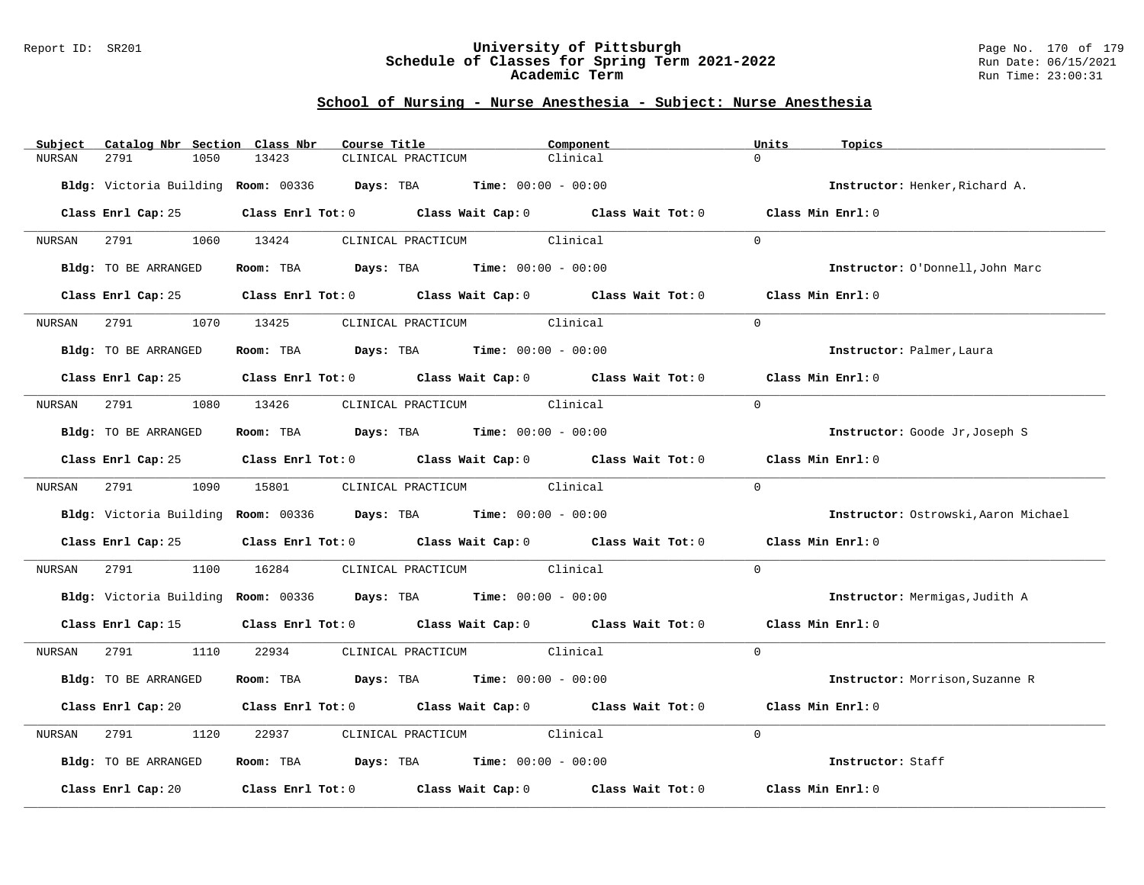#### Report ID: SR201 **University of Pittsburgh** Page No. 170 of 179 **Schedule of Classes for Spring Term 2021-2022** Run Date: 06/15/2021 **Academic Term** Run Time: 23:00:31

| Catalog Nbr Section Class Nbr<br>Subject | Course Title                                                                               | Component | Units<br>Topics                      |
|------------------------------------------|--------------------------------------------------------------------------------------------|-----------|--------------------------------------|
| <b>NURSAN</b><br>2791<br>1050            | 13423<br>CLINICAL PRACTICUM                                                                | Clinical  | $\Omega$                             |
|                                          | Bldg: Victoria Building Room: 00336 Days: TBA Time: 00:00 - 00:00                          |           | Instructor: Henker, Richard A.       |
|                                          | Class Enrl Cap: 25 Class Enrl Tot: 0 Class Wait Cap: 0 Class Wait Tot: 0 Class Min Enrl: 0 |           |                                      |
| NURSAN 2791                              | 1060 13424<br>CLINICAL PRACTICUM Clinical                                                  |           | $\Omega$                             |
| Bldg: TO BE ARRANGED                     | Room: TBA $Days:$ TBA $Time: 00:00 - 00:00$                                                |           | Instructor: O'Donnell, John Marc     |
|                                          | Class Enrl Cap: 25 Class Enrl Tot: 0 Class Wait Cap: 0 Class Wait Tot: 0                   |           | Class Min Enrl: 0                    |
| 1070<br>NURSAN<br>2791                   | CLINICAL PRACTICUM Clinical<br>13425                                                       |           | $\Omega$                             |
| Bldg: TO BE ARRANGED                     | Room: TBA $\rule{1em}{0.15mm}$ Days: TBA Time: $00:00 - 00:00$                             |           | Instructor: Palmer, Laura            |
|                                          | Class Enrl Cap: 25 Class Enrl Tot: 0 Class Wait Cap: 0 Class Wait Tot: 0 Class Min Enrl: 0 |           |                                      |
| NURSAN                                   | 2791 1080 13426 CLINICAL PRACTICUM Clinical                                                |           | $\Omega$                             |
| Bldg: TO BE ARRANGED                     | Room: TBA $Days:$ TBA $Time: 00:00 - 00:00$                                                |           | Instructor: Goode Jr, Joseph S       |
|                                          | Class Enrl Cap: 25 Class Enrl Tot: 0 Class Wait Cap: 0 Class Wait Tot: 0 Class Min Enrl: 0 |           |                                      |
| NURSAN                                   | 2791 1090 15801 CLINICAL PRACTICUM Clinical                                                |           | $\Omega$                             |
|                                          | Bldg: Victoria Building Room: 00336 Days: TBA Time: 00:00 - 00:00                          |           | Instructor: Ostrowski, Aaron Michael |
|                                          | Class Enrl Cap: 25 Class Enrl Tot: 0 Class Wait Cap: 0 Class Wait Tot: 0                   |           | Class Min Enrl: 0                    |
| 2791 200<br>1100<br>NURSAN               | 16284<br>CLINICAL PRACTICUM Clinical                                                       |           | $\Omega$                             |
|                                          | Bldg: Victoria Building Room: 00336 Days: TBA Time: 00:00 - 00:00                          |           | Instructor: Mermigas, Judith A       |
|                                          | Class Enrl Cap: 15 Class Enrl Tot: 0 Class Wait Cap: 0 Class Wait Tot: 0 Class Min Enrl: 0 |           |                                      |
| 2791 1110<br>NURSAN                      | 22934 CLINICAL PRACTICUM Clinical                                                          |           | $\Omega$                             |
| Bldg: TO BE ARRANGED                     | Room: TBA $Days: TBA$ Time: $00:00 - 00:00$                                                |           | Instructor: Morrison, Suzanne R      |
|                                          | Class Enrl Cap: 20 Class Enrl Tot: 0 Class Wait Cap: 0 Class Wait Tot: 0                   |           | Class Min Enrl: 0                    |
| 2791<br>1120<br>NURSAN                   | CLINICAL PRACTICUM Clinical<br>22937                                                       |           | $\Omega$                             |
| Bldg: TO BE ARRANGED                     | Room: TBA $Days:$ TBA $Time: 00:00 - 00:00$                                                |           | Instructor: Staff                    |
| Class Enrl Cap: 20                       | Class Enrl Tot: $0$ Class Wait Cap: $0$ Class Wait Tot: $0$                                |           | Class Min Enrl: 0                    |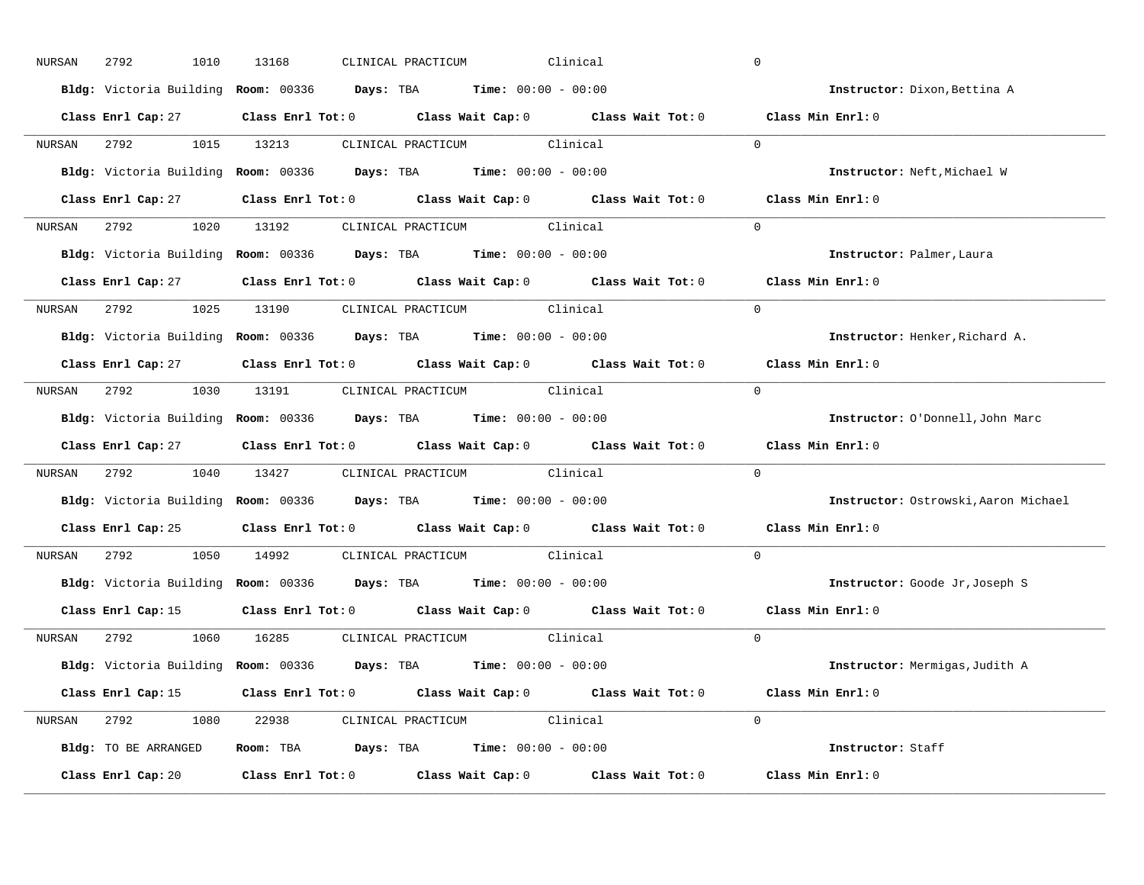| NURSAN | 2792<br>1010       | 13168 | CLINICAL PRACTICUM<br>Clinical                                                                      | $\mathbf 0$                           |
|--------|--------------------|-------|-----------------------------------------------------------------------------------------------------|---------------------------------------|
|        |                    |       | Bldg: Victoria Building Room: 00336 Days: TBA Time: 00:00 - 00:00                                   | Instructor: Dixon, Bettina A          |
|        | Class Enrl Cap: 27 |       | Class Enrl Tot: 0 $\qquad$ Class Wait Cap: 0 $\qquad$ Class Wait Tot: 0 $\qquad$ Class Min Enrl: 0  |                                       |
|        |                    |       | NURSAN 2792 1015 13213 CLINICAL PRACTICUM Clinical                                                  | $\Omega$                              |
|        |                    |       | Bldg: Victoria Building Room: 00336 Days: TBA Time: 00:00 - 00:00                                   | Instructor: Neft, Michael W           |
|        |                    |       | Class Enrl Cap: 27 Class Enrl Tot: 0 Class Wait Cap: 0 Class Wait Tot: 0 Class Min Enrl: 0          |                                       |
|        |                    |       | NURSAN 2792 1020 13192 CLINICAL PRACTICUM Clinical                                                  | $\Omega$                              |
|        |                    |       | Bldg: Victoria Building Room: 00336 Days: TBA Time: 00:00 - 00:00                                   | Instructor: Palmer, Laura             |
|        |                    |       | Class Enrl Cap: 27 (Class Enrl Tot: 0 (Class Wait Cap: 0 (Class Wait Tot: 0 (Class Min Enrl: 0)     |                                       |
|        |                    |       | NURSAN 2792 1025 13190 CLINICAL PRACTICUM Clinical                                                  | $\Omega$                              |
|        |                    |       | Bldg: Victoria Building Room: 00336 Days: TBA Time: 00:00 - 00:00                                   | Instructor: Henker, Richard A.        |
|        |                    |       | Class Enrl Cap: 27 $\qquad$ Class Enrl Tot: 0 $\qquad$ Class Wait Cap: 0 $\qquad$ Class Wait Tot: 0 | Class Min Enrl: 0                     |
|        |                    |       | NURSAN 2792 1030 13191 CLINICAL PRACTICUM Clinical                                                  | $\Omega$                              |
|        |                    |       | Bldg: Victoria Building Room: 00336 Days: TBA Time: 00:00 - 00:00                                   | Instructor: O'Donnell, John Marc      |
|        |                    |       |                                                                                                     |                                       |
|        | Class Enrl Cap: 27 |       | Class Enrl Tot: 0 Class Wait Cap: 0 Class Wait Tot: 0 Class Min Enrl: 0                             |                                       |
| NURSAN |                    |       | 2792 1040 13427 CLINICAL PRACTICUM Clinical                                                         | $\Omega$                              |
|        |                    |       | Bldg: Victoria Building Room: 00336 Days: TBA Time: 00:00 - 00:00                                   | Instructor: Ostrowski, Aaron Michael  |
|        |                    |       | Class Enrl Cap: 25 $\qquad$ Class Enrl Tot: 0 $\qquad$ Class Wait Cap: 0 $\qquad$ Class Wait Tot: 0 | Class Min Enrl: 0                     |
| NURSAN | 2792               |       | 1050 14992 CLINICAL PRACTICUM Clinical                                                              | $\Omega$                              |
|        |                    |       | Bldg: Victoria Building Room: 00336 Days: TBA Time: 00:00 - 00:00                                   | Instructor: Goode Jr, Joseph S        |
|        | Class Enrl Cap: 15 |       | Class Enrl Tot: 0 Class Wait Cap: 0 Class Wait Tot: 0 Class Min Enrl: 0                             |                                       |
|        |                    |       | NURSAN 2792 1060 16285 CLINICAL PRACTICUM Clinical                                                  | $\Omega$                              |
|        |                    |       | Bldg: Victoria Building Room: 00336 Days: TBA Time: 00:00 - 00:00                                   | <b>Instructor:</b> Mermigas, Judith A |
|        |                    |       | Class Enrl Cap: 15 Class Enrl Tot: 0 Class Wait Cap: 0 Class Wait Tot: 0 Class Min Enrl: 0          |                                       |
|        |                    |       | NURSAN 2792 1080 22938 CLINICAL PRACTICUM Clinical                                                  | $\Omega$                              |
|        |                    |       | Bldg: TO BE ARRANGED Room: TBA Days: TBA Time: 00:00 - 00:00                                        | Instructor: Staff                     |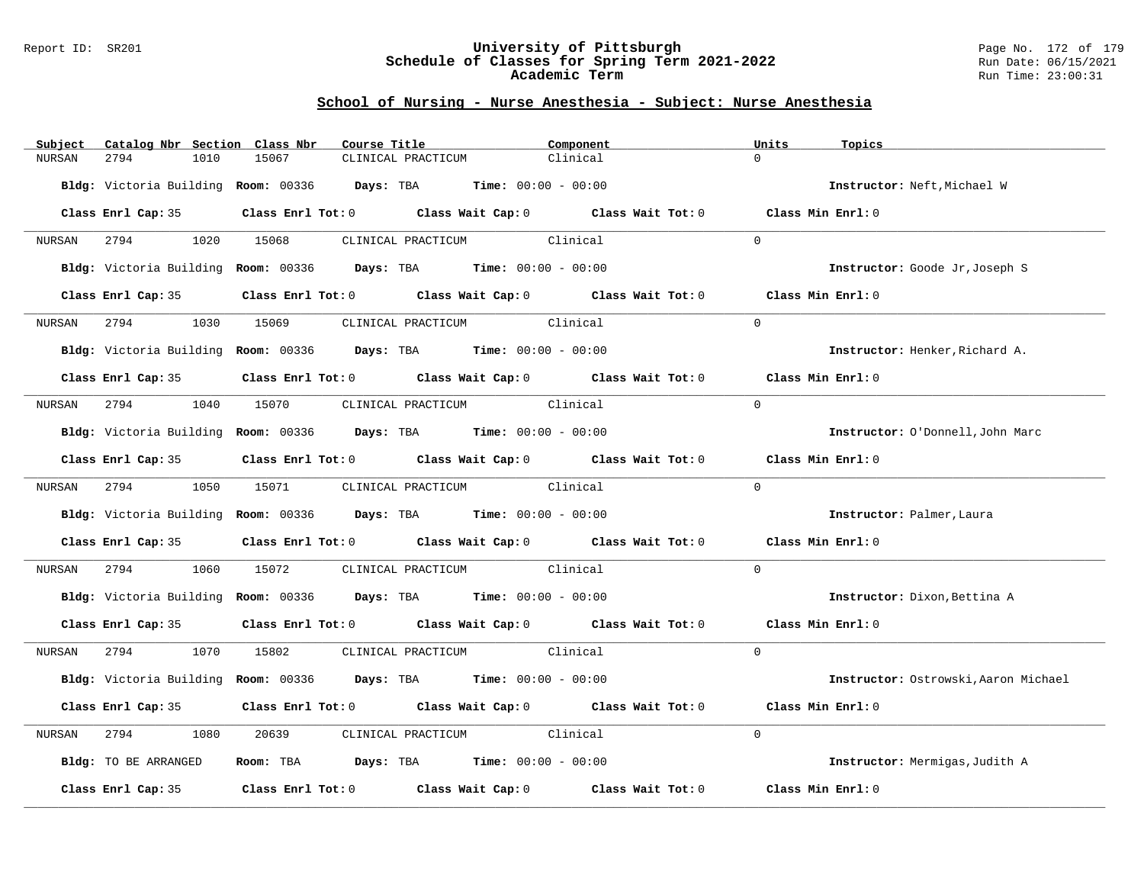#### Report ID: SR201 **University of Pittsburgh** Page No. 172 of 179 **Schedule of Classes for Spring Term 2021-2022** Run Date: 06/15/2021 **Academic Term** Run Time: 23:00:31

| Subject | Catalog Nbr Section Class Nbr | Course Title                                                             |                             | Component                                                                                  | Units<br>Topics                      |
|---------|-------------------------------|--------------------------------------------------------------------------|-----------------------------|--------------------------------------------------------------------------------------------|--------------------------------------|
| NURSAN  | 2794<br>1010                  | 15067                                                                    | CLINICAL PRACTICUM          | Clinical                                                                                   | $\Omega$                             |
|         |                               | Bldg: Victoria Building Room: 00336 Days: TBA Time: 00:00 - 00:00        |                             |                                                                                            | Instructor: Neft, Michael W          |
|         |                               |                                                                          |                             | Class Enrl Cap: 35 Class Enrl Tot: 0 Class Wait Cap: 0 Class Wait Tot: 0 Class Min Enrl: 0 |                                      |
|         | NURSAN 2794                   | 1020 15068                                                               | CLINICAL PRACTICUM Clinical |                                                                                            | $\Omega$                             |
|         |                               | Bldg: Victoria Building Room: 00336 Days: TBA Time: 00:00 - 00:00        |                             |                                                                                            | Instructor: Goode Jr, Joseph S       |
|         | Class Enrl Cap: 35            |                                                                          |                             | Class Enrl Tot: $0$ Class Wait Cap: $0$ Class Wait Tot: $0$                                | Class Min Enrl: 0                    |
| NURSAN  | 1030<br>2794                  | 15069                                                                    | CLINICAL PRACTICUM Clinical |                                                                                            | $\Omega$                             |
|         |                               | Bldg: Victoria Building Room: 00336 Days: TBA Time: 00:00 - 00:00        |                             |                                                                                            | Instructor: Henker, Richard A.       |
|         |                               |                                                                          |                             | Class Enrl Cap: 35 Class Enrl Tot: 0 Class Wait Cap: 0 Class Wait Tot: 0 Class Min Enrl: 0 |                                      |
| NURSAN  |                               | 2794 1040 15070 CLINICAL PRACTICUM Clinical                              |                             |                                                                                            | $\Omega$                             |
|         |                               | Bldg: Victoria Building Room: 00336 Days: TBA Time: 00:00 - 00:00        |                             |                                                                                            | Instructor: O'Donnell, John Marc     |
|         |                               |                                                                          |                             | Class Enrl Cap: 35 Class Enrl Tot: 0 Class Wait Cap: 0 Class Wait Tot: 0 Class Min Enrl: 0 |                                      |
|         |                               | NURSAN 2794 1050 15071 CLINICAL PRACTICUM Clinical                       |                             |                                                                                            | $\Omega$                             |
|         |                               | Bldg: Victoria Building Room: 00336 Days: TBA Time: 00:00 - 00:00        |                             |                                                                                            | Instructor: Palmer, Laura            |
|         |                               | Class Enrl Cap: 35 Class Enrl Tot: 0 Class Wait Cap: 0 Class Wait Tot: 0 |                             |                                                                                            | Class Min Enrl: 0                    |
| NURSAN  | 2794<br>1060                  | 15072                                                                    | CLINICAL PRACTICUM Clinical |                                                                                            | $\Omega$                             |
|         |                               | Bldg: Victoria Building Room: 00336 Days: TBA Time: 00:00 - 00:00        |                             |                                                                                            | Instructor: Dixon, Bettina A         |
|         |                               |                                                                          |                             | Class Enrl Cap: 35 Class Enrl Tot: 0 Class Wait Cap: 0 Class Wait Tot: 0 Class Min Enrl: 0 |                                      |
|         | NURSAN 2794 1070 15802        |                                                                          | CLINICAL PRACTICUM Clinical |                                                                                            | $\Omega$                             |
|         |                               | Bldg: Victoria Building Room: 00336 Days: TBA Time: 00:00 - 00:00        |                             |                                                                                            | Instructor: Ostrowski, Aaron Michael |
|         |                               |                                                                          |                             | Class Enrl Cap: 35 Class Enrl Tot: 0 Class Wait Cap: 0 Class Wait Tot: 0                   | Class Min Enrl: 0                    |
| NURSAN  | 2794<br>1080                  | 20639                                                                    | CLINICAL PRACTICUM Clinical |                                                                                            | $\Omega$                             |
|         | Bldg: TO BE ARRANGED          | Room: TBA $Days:$ TBA $Time: 00:00 - 00:00$                              |                             |                                                                                            | Instructor: Mermigas, Judith A       |
|         |                               |                                                                          |                             | Class Enrl Cap: 35 Class Enrl Tot: 0 Class Wait Cap: 0 Class Wait Tot: 0                   | Class Min Enrl: 0                    |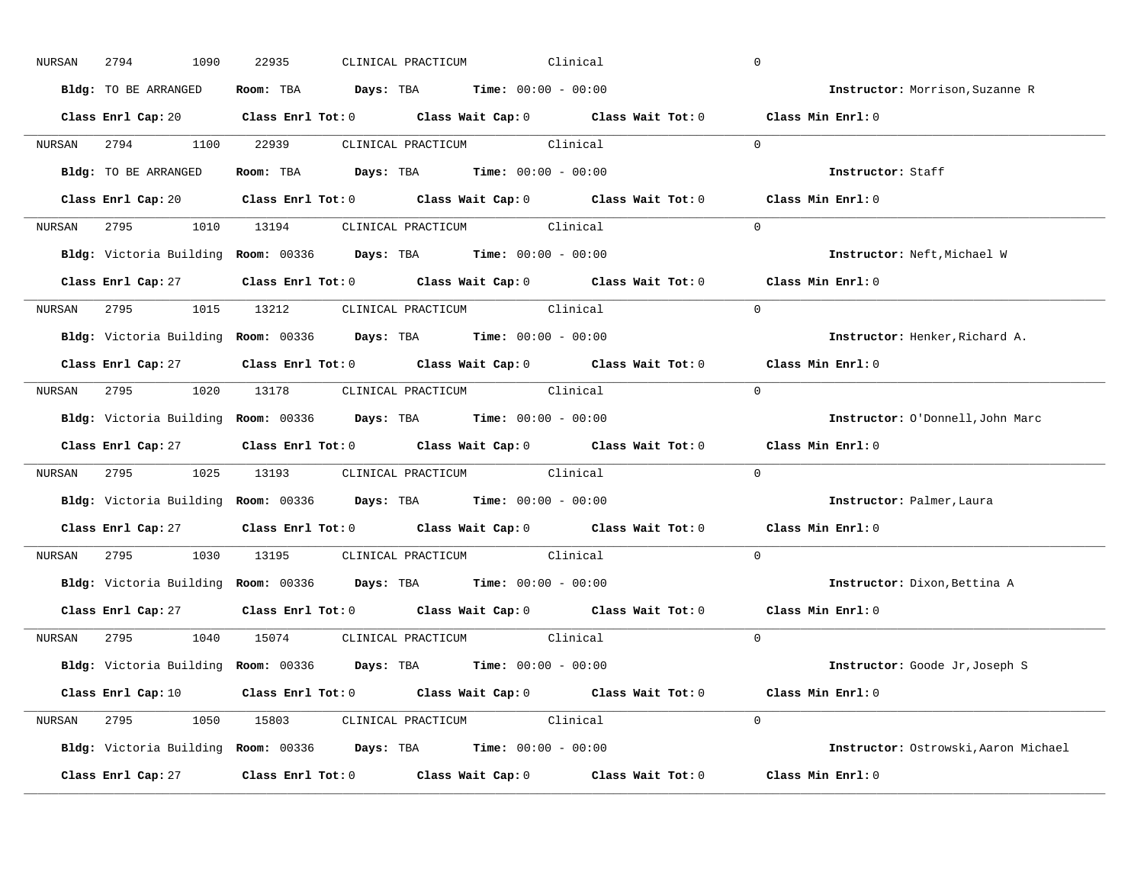| NURSAN | 2794<br>1090         | 22935<br>CLINICAL PRACTICUM                                                                                                    | Clinical | $\mathbf 0$                          |
|--------|----------------------|--------------------------------------------------------------------------------------------------------------------------------|----------|--------------------------------------|
|        | Bldg: TO BE ARRANGED | Room: TBA $Days: TBA$ Time: $00:00 - 00:00$                                                                                    |          | Instructor: Morrison, Suzanne R      |
|        |                      | Class Enrl Cap: 20 Class Enrl Tot: 0 Class Wait Cap: 0 Class Wait Tot: 0 Class Min Enrl: 0                                     |          |                                      |
|        |                      | NURSAN 2794 1100 22939 CLINICAL PRACTICUM Clinical                                                                             |          | $\Omega$                             |
|        | Bldg: TO BE ARRANGED | Room: TBA $Days:$ TBA Time: $00:00 - 00:00$                                                                                    |          | Instructor: Staff                    |
|        |                      | Class Enrl Cap: 20 Class Enrl Tot: 0 Class Wait Cap: 0 Class Wait Tot: 0 Class Min Enrl: 0                                     |          |                                      |
|        |                      | NURSAN 2795 1010 13194 CLINICAL PRACTICUM Clinical                                                                             |          | $\Omega$                             |
|        |                      | Bldg: Victoria Building Room: 00336 Days: TBA Time: 00:00 - 00:00                                                              |          | Instructor: Neft, Michael W          |
|        |                      | Class Enrl Cap: 27 Class Enrl Tot: 0 Class Wait Cap: 0 Class Wait Tot: 0 Class Min Enrl: 0                                     |          |                                      |
|        |                      | NURSAN 2795 1015 13212 CLINICAL PRACTICUM Clinical                                                                             |          | $\Omega$                             |
|        |                      | Bldg: Victoria Building Room: 00336 Days: TBA Time: 00:00 - 00:00                                                              |          | Instructor: Henker, Richard A.       |
|        |                      | Class Enrl Cap: 27 Class Enrl Tot: 0 Class Wait Cap: 0 Class Wait Tot: 0                                                       |          | Class Min Enrl: 0                    |
|        |                      | NURSAN 2795 1020 13178 CLINICAL PRACTICUM Clinical                                                                             |          | $\Omega$                             |
|        |                      | Bldg: Victoria Building Room: 00336 Days: TBA Time: 00:00 - 00:00                                                              |          | Instructor: O'Donnell, John Marc     |
|        | Class Enrl Cap: 27   | Class Enrl Tot: 0 Class Wait Cap: 0 Class Wait Tot: 0                                                                          |          | Class Min Enrl: 0                    |
| NURSAN |                      | 2795 1025 13193 CLINICAL PRACTICUM Clinical                                                                                    |          | $\Omega$                             |
|        |                      | Bldg: Victoria Building Room: 00336 Days: TBA Time: 00:00 - 00:00                                                              |          | Instructor: Palmer, Laura            |
|        |                      | Class Enrl Cap: 27 Class Enrl Tot: 0 Class Wait Cap: 0 Class Wait Tot: 0                                                       |          | Class Min Enrl: 0                    |
| NURSAN | 2795 200             | 1030 13195 CLINICAL PRACTICUM Clinical                                                                                         |          | $\Omega$                             |
|        |                      | Bldg: Victoria Building Room: 00336 Days: TBA Time: 00:00 - 00:00                                                              |          | Instructor: Dixon, Bettina A         |
|        | Class Enrl Cap: 27   | Class Enrl Tot: $0$ Class Wait Cap: $0$ Class Wait Tot: $0$                                                                    |          | Class Min Enrl: 0                    |
|        |                      | NURSAN 2795 1040 15074 CLINICAL PRACTICUM Clinical                                                                             |          | $\Omega$                             |
|        |                      | Bldg: Victoria Building Room: 00336 Days: TBA Time: 00:00 - 00:00                                                              |          | Instructor: Goode Jr, Joseph S       |
|        |                      | Class Enrl Cap: 10 $\qquad$ Class Enrl Tot: 0 $\qquad$ Class Wait Cap: 0 $\qquad$ Class Wait Tot: 0 $\qquad$ Class Min Enrl: 0 |          |                                      |
|        |                      | NURSAN 2795 1050 15803 CLINICAL PRACTICUM Clinical                                                                             |          | $\Omega$                             |
|        |                      |                                                                                                                                |          |                                      |
|        |                      | Bldg: Victoria Building Room: 00336 Days: TBA Time: 00:00 - 00:00                                                              |          | Instructor: Ostrowski, Aaron Michael |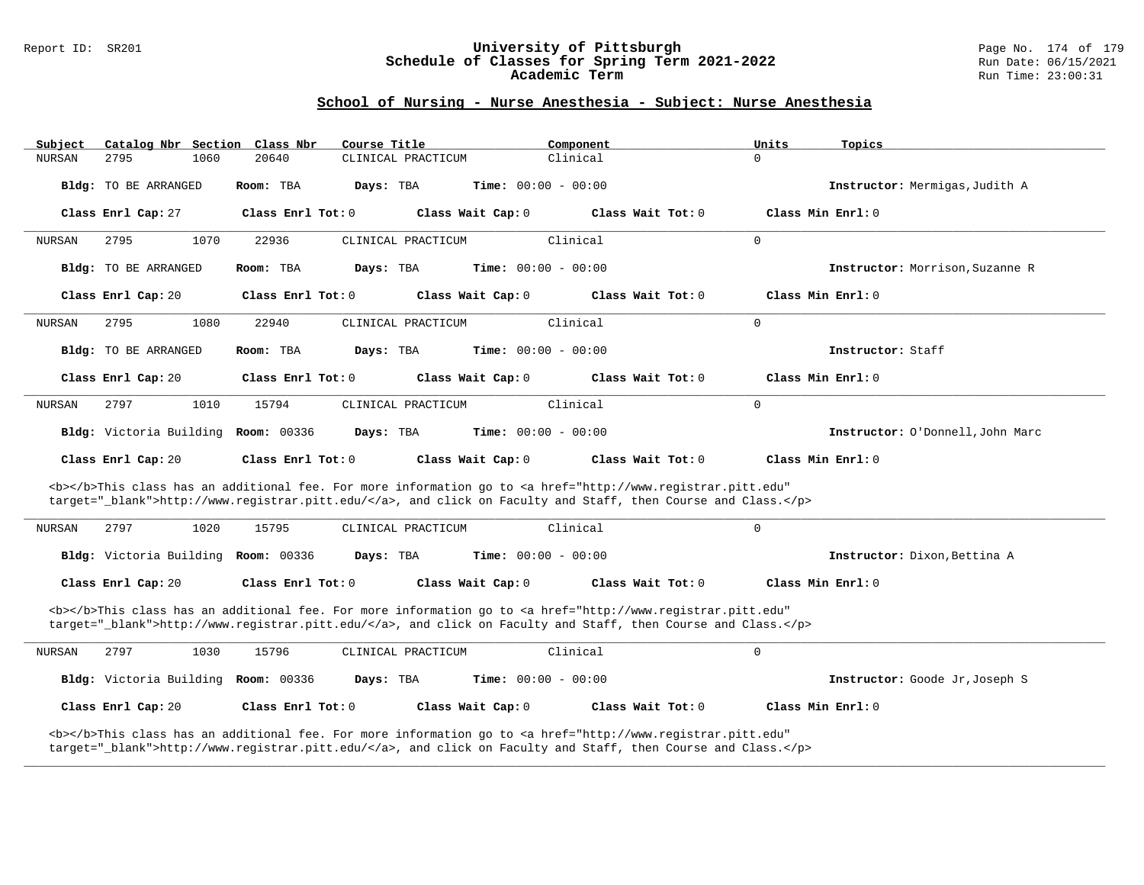### Report ID: SR201 **University of Pittsburgh** Page No. 174 of 179 **Schedule of Classes for Spring Term 2021-2022** Run Date: 06/15/2021 **Academic Term** Run Time: 23:00:31

# **School of Nursing - Nurse Anesthesia - Subject: Nurse Anesthesia**

| Subject       |                                     |      | Catalog Nbr Section Class Nbr | Course Title |                    |                              | Component                                                                                                                                                                                                                          | Units               | Topics                           |
|---------------|-------------------------------------|------|-------------------------------|--------------|--------------------|------------------------------|------------------------------------------------------------------------------------------------------------------------------------------------------------------------------------------------------------------------------------|---------------------|----------------------------------|
| <b>NURSAN</b> | 2795                                | 1060 | 20640                         |              | CLINICAL PRACTICUM |                              | Clinical                                                                                                                                                                                                                           | $\Omega$            |                                  |
|               | <b>Bldg:</b> TO BE ARRANGED         |      | Room: TBA                     | Days: TBA    |                    | <b>Time:</b> $00:00 - 00:00$ |                                                                                                                                                                                                                                    |                     | Instructor: Mermigas, Judith A   |
|               | Class Enrl Cap: 27                  |      | Class Enrl Tot: 0             |              |                    | Class Wait Cap: 0            | Class Wait Tot: 0                                                                                                                                                                                                                  | Class Min $Enrl: 0$ |                                  |
| NURSAN        | 2795                                | 1070 | 22936                         |              | CLINICAL PRACTICUM |                              | Clinical                                                                                                                                                                                                                           | 0                   |                                  |
|               | Bldg: TO BE ARRANGED                |      | Room: TBA                     | Days: TBA    |                    | <b>Time:</b> $00:00 - 00:00$ |                                                                                                                                                                                                                                    |                     | Instructor: Morrison, Suzanne R  |
|               | Class Enrl Cap: 20                  |      | Class Enrl Tot: 0             |              |                    | Class Wait Cap: 0            | Class Wait Tot: 0                                                                                                                                                                                                                  | Class Min $Enrl: 0$ |                                  |
| <b>NURSAN</b> | 2795                                | 1080 | 22940                         |              | CLINICAL PRACTICUM |                              | Clinical                                                                                                                                                                                                                           | $\mathbf 0$         |                                  |
|               | Bldg: TO BE ARRANGED                |      | Room: TBA                     | Days: TBA    |                    | <b>Time:</b> $00:00 - 00:00$ |                                                                                                                                                                                                                                    |                     | Instructor: Staff                |
|               | Class Enrl Cap: 20                  |      | Class Enrl Tot: 0             |              |                    | Class Wait Cap: 0            | Class Wait Tot: 0                                                                                                                                                                                                                  | Class Min Enrl: 0   |                                  |
| <b>NURSAN</b> | 2797                                | 1010 | 15794                         |              | CLINICAL PRACTICUM |                              | Clinical                                                                                                                                                                                                                           | 0                   |                                  |
|               | Bldg: Victoria Building Room: 00336 |      |                               | Days: TBA    |                    | Time: $00:00 - 00:00$        |                                                                                                                                                                                                                                    |                     | Instructor: O'Donnell, John Marc |
|               |                                     |      |                               |              |                    |                              |                                                                                                                                                                                                                                    |                     |                                  |
|               | Class Enrl Cap: 20                  |      | Class Enrl Tot: 0             |              |                    | Class Wait Cap: 0            | Class Wait Tot: 0                                                                                                                                                                                                                  | Class Min Enrl: 0   |                                  |
|               |                                     |      |                               |              |                    |                              | <b></b> This class has an additional fee. For more information go to <a <br="" href="http://www.registrar.pitt.edu">target="_blank"&gt;http://www.registrar.pitt.edu/</a> , and click on Faculty and Staff, then Course and Class. |                     |                                  |
| NURSAN        | 2797                                | 1020 | 15795                         |              | CLINICAL PRACTICUM |                              | Clinical                                                                                                                                                                                                                           | $\mathbf 0$         |                                  |
|               | Bldg: Victoria Building Room: 00336 |      |                               | Days: TBA    |                    | <b>Time:</b> $00:00 - 00:00$ |                                                                                                                                                                                                                                    |                     | Instructor: Dixon, Bettina A     |
|               | Class Enrl Cap: 20                  |      | Class Enrl Tot: 0             |              |                    | Class Wait Cap: 0            | Class Wait Tot: 0                                                                                                                                                                                                                  | Class Min Enrl: 0   |                                  |
|               |                                     |      |                               |              |                    |                              | <b></b> This class has an additional fee. For more information go to <a <br="" href="http://www.registrar.pitt.edu">target="_blank"&gt;http://www.registrar.pitt.edu/</a> , and click on Faculty and Staff, then Course and Class. |                     |                                  |
| <b>NURSAN</b> | 2797                                | 1030 | 15796                         |              | CLINICAL PRACTICUM |                              | Clinical                                                                                                                                                                                                                           | 0                   |                                  |
|               | Bldg: Victoria Building Room: 00336 |      |                               | Days: TBA    |                    | <b>Time:</b> $00:00 - 00:00$ |                                                                                                                                                                                                                                    |                     | Instructor: Goode Jr, Joseph S   |
|               | Class Enrl Cap: 20                  |      | Class Enrl Tot: 0             |              |                    | Class Wait Cap: 0            | Class Wait Tot: 0                                                                                                                                                                                                                  | Class Min Enrl: 0   |                                  |

**\_\_\_\_\_\_\_\_\_\_\_\_\_\_\_\_\_\_\_\_\_\_\_\_\_\_\_\_\_\_\_\_\_\_\_\_\_\_\_\_\_\_\_\_\_\_\_\_\_\_\_\_\_\_\_\_\_\_\_\_\_\_\_\_\_\_\_\_\_\_\_\_\_\_\_\_\_\_\_\_\_\_\_\_\_\_\_\_\_\_\_\_\_\_\_\_\_\_\_\_\_\_\_\_\_\_\_\_\_\_\_\_\_\_\_\_\_\_\_\_\_\_\_\_\_\_\_\_\_\_\_\_\_\_\_\_\_\_\_\_\_\_\_\_\_\_\_\_\_\_\_\_\_\_\_\_**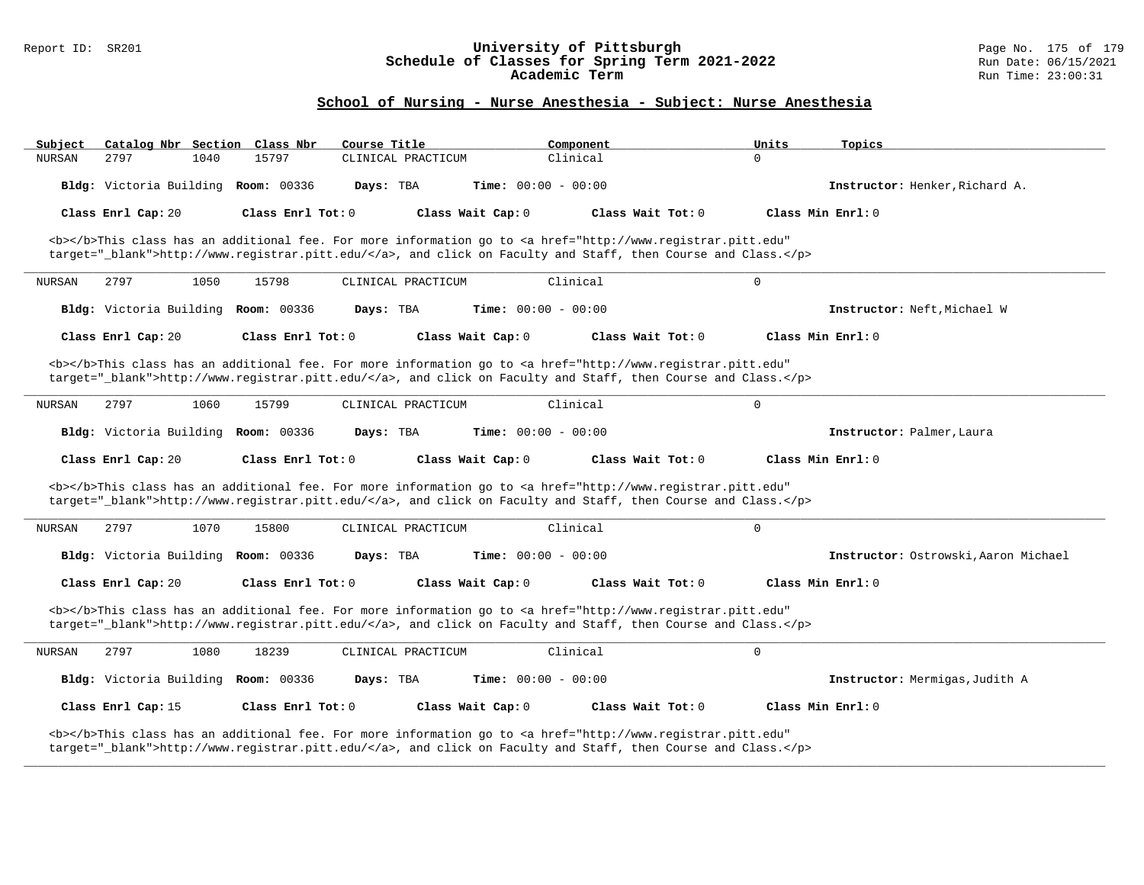### Report ID: SR201 **University of Pittsburgh** Page No. 175 of 179 **Schedule of Classes for Spring Term 2021-2022** Run Date: 06/15/2021 **Academic Term** Run Time: 23:00:31

| Catalog Nbr Section Class Nbr<br>Subject | Course Title                                                                                                                                                                                                                       | Component                    | Units<br>Topics                      |
|------------------------------------------|------------------------------------------------------------------------------------------------------------------------------------------------------------------------------------------------------------------------------------|------------------------------|--------------------------------------|
| 2797<br>1040<br><b>NURSAN</b>            | 15797<br>CLINICAL PRACTICUM                                                                                                                                                                                                        | Clinical                     | $\Omega$                             |
| Bldg: Victoria Building Room: 00336      | Days: TBA                                                                                                                                                                                                                          | <b>Time:</b> $00:00 - 00:00$ | Instructor: Henker, Richard A.       |
| Class Enrl Cap: 20                       | Class Enrl Tot: $0$<br>Class Wait Cap: 0                                                                                                                                                                                           | Class Wait $Tot: 0$          | Class Min $Enrl: 0$                  |
|                                          | <b></b> This class has an additional fee. For more information go to <a <br="" href="http://www.registrar.pitt.edu">target="_blank"&gt;http://www.registrar.pitt.edu/</a> , and click on Faculty and Staff, then Course and Class. |                              |                                      |
| 2797<br>1050<br><b>NURSAN</b>            | 15798<br>CLINICAL PRACTICUM                                                                                                                                                                                                        | Clinical                     | $\mathbf 0$                          |
| Bldg: Victoria Building Room: 00336      | Days: TBA                                                                                                                                                                                                                          | Time: $00:00 - 00:00$        | Instructor: Neft, Michael W          |
| Class Enrl Cap: 20                       | Class Enrl Tot: 0<br>Class Wait Cap: 0                                                                                                                                                                                             | Class Wait Tot: 0            | Class Min Enrl: 0                    |
|                                          | <b></b> This class has an additional fee. For more information go to <a <br="" href="http://www.registrar.pitt.edu">target="_blank"&gt;http://www.registrar.pitt.edu/</a> , and click on Faculty and Staff, then Course and Class. |                              |                                      |
| 2797<br>1060<br><b>NURSAN</b>            | 15799<br>CLINICAL PRACTICUM                                                                                                                                                                                                        | Clinical                     | $\mathbf 0$                          |
| <b>Bldg:</b> Victoria Building           | <b>Room: 00336</b><br>Days: TBA                                                                                                                                                                                                    | Time: $00:00 - 00:00$        | Instructor: Palmer, Laura            |
| Class Enrl Cap: 20                       | Class Enrl Tot: 0<br>Class Wait Cap: 0                                                                                                                                                                                             | Class Wait Tot: 0            | Class Min Enrl: 0                    |
|                                          | <b></b> This class has an additional fee. For more information go to <a <br="" href="http://www.registrar.pitt.edu">target="_blank"&gt;http://www.registrar.pitt.edu/</a> , and click on Faculty and Staff, then Course and Class. |                              |                                      |
| 2797<br>1070<br><b>NURSAN</b>            | 15800<br>CLINICAL PRACTICUM                                                                                                                                                                                                        | Clinical                     | $\mathbf 0$                          |
| Bldg: Victoria Building Room: 00336      | Days: TBA                                                                                                                                                                                                                          | <b>Time:</b> $00:00 - 00:00$ | Instructor: Ostrowski, Aaron Michael |
| Class Enrl Cap: 20                       | Class Enrl Tot: $0$<br>Class Wait Cap: 0                                                                                                                                                                                           | Class Wait $Tot: 0$          | Class Min $Enrl: 0$                  |
|                                          | <b></b> This class has an additional fee. For more information go to <a <br="" href="http://www.registrar.pitt.edu">target="_blank"&gt;http://www.registrar.pitt.edu/</a> , and click on Faculty and Staff, then Course and Class. |                              |                                      |
| 2797<br>1080<br><b>NURSAN</b>            | 18239<br>CLINICAL PRACTICUM                                                                                                                                                                                                        | Clinical                     | $\mathbf 0$                          |
| Bldg: Victoria Building                  | <b>Room: 00336</b><br>Days: TBA                                                                                                                                                                                                    | Time: $00:00 - 00:00$        | Instructor: Mermigas, Judith A       |
| Class Enrl Cap: 15                       | Class Enrl Tot: 0<br>Class Wait Cap: 0                                                                                                                                                                                             | Class Wait Tot: 0            | Class Min Enrl: 0                    |
|                                          | <b></b> This class has an additional fee. For more information go to <a <br="" href="http://www.registrar.pitt.edu">target="_blank"&gt;http://www.registrar.pitt.edu/</a> , and click on Faculty and Staff, then Course and Class. |                              |                                      |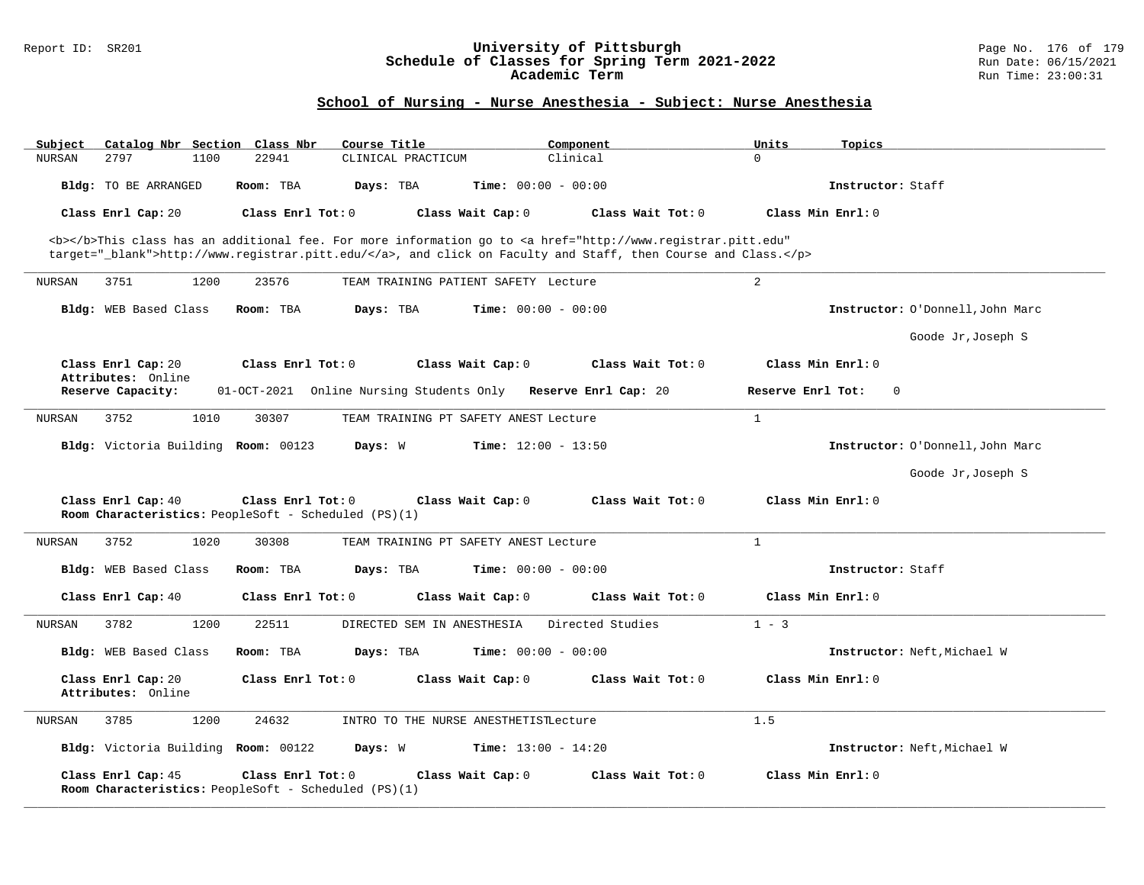### Report ID: SR201 **University of Pittsburgh** Page No. 176 of 179 **Schedule of Classes for Spring Term 2021-2022** Run Date: 06/15/2021 **Academic Term** Run Time: 23:00:31

| Subject<br>Catalog Nbr Section Class Nbr                                   | Course Title                                                                                                                                                                                                                       | Component                    | Units<br>Topics                  |
|----------------------------------------------------------------------------|------------------------------------------------------------------------------------------------------------------------------------------------------------------------------------------------------------------------------------|------------------------------|----------------------------------|
| 2797<br>1100<br>22941<br><b>NURSAN</b>                                     | CLINICAL PRACTICUM                                                                                                                                                                                                                 | Clinical                     | $\Omega$                         |
| Bldg: TO BE ARRANGED<br>Room: TBA                                          | Days: TBA                                                                                                                                                                                                                          | Time: $00:00 - 00:00$        | Instructor: Staff                |
| Class Enrl Cap: 20                                                         | Class Enrl Tot: 0<br>Class Wait Cap: 0                                                                                                                                                                                             | Class Wait Tot: 0            | Class Min Enrl: 0                |
|                                                                            |                                                                                                                                                                                                                                    |                              |                                  |
|                                                                            | <b></b> This class has an additional fee. For more information go to <a <br="" href="http://www.registrar.pitt.edu">target="_blank"&gt;http://www.registrar.pitt.edu/</a> , and click on Faculty and Staff, then Course and Class. |                              |                                  |
| 3751<br>1200<br>23576<br>NURSAN                                            | TEAM TRAINING PATIENT SAFETY Lecture                                                                                                                                                                                               |                              | 2                                |
| Bldg: WEB Based Class<br>Room: TBA                                         | Days: TBA                                                                                                                                                                                                                          | <b>Time:</b> $00:00 - 00:00$ | Instructor: O'Donnell, John Marc |
|                                                                            |                                                                                                                                                                                                                                    |                              | Goode Jr, Joseph S               |
| Class Enrl Cap: 20<br>Attributes: Online                                   | Class Enrl Tot: 0<br>Class Wait Cap: 0                                                                                                                                                                                             | Class Wait Tot: 0            | Class Min Enrl: 0                |
| Reserve Capacity:                                                          | 01-OCT-2021 Online Nursing Students Only Reserve Enrl Cap: 20                                                                                                                                                                      |                              | Reserve Enrl Tot:<br>0           |
| 1010<br><b>NURSAN</b><br>3752<br>30307                                     | TEAM TRAINING PT SAFETY ANEST Lecture                                                                                                                                                                                              |                              | $\mathbf{1}$                     |
| Bldg: Victoria Building Room: 00123                                        | Days: W                                                                                                                                                                                                                            | <b>Time:</b> $12:00 - 13:50$ | Instructor: O'Donnell, John Marc |
|                                                                            |                                                                                                                                                                                                                                    |                              | Goode Jr, Joseph S               |
| Class Enrl Cap: 40<br>Room Characteristics: PeopleSoft - Scheduled (PS)(1) | Class Wait Cap: 0<br>Class Enrl Tot: 0                                                                                                                                                                                             | Class Wait Tot: 0            | Class Min Enrl: 0                |
| 3752<br>1020<br>30308<br><b>NURSAN</b>                                     | TEAM TRAINING PT SAFETY ANEST Lecture                                                                                                                                                                                              |                              | $\mathbf{1}$                     |
| Bldg: WEB Based Class<br>Room: TBA                                         | Days: TBA                                                                                                                                                                                                                          | Time: $00:00 - 00:00$        | Instructor: Staff                |
| Class Enrl Cap: 40                                                         | Class Enrl Tot: $0$<br>Class Wait Cap: 0                                                                                                                                                                                           | Class Wait $Tot: 0$          | Class Min Enrl: 0                |
| 1200<br>22511<br><b>NURSAN</b><br>3782                                     | DIRECTED SEM IN ANESTHESIA                                                                                                                                                                                                         | Directed Studies             | $1 - 3$                          |
| Bldg: WEB Based Class<br>Room: TBA                                         | Days: TBA                                                                                                                                                                                                                          | <b>Time:</b> $00:00 - 00:00$ | Instructor: Neft, Michael W      |
| Class Enrl Cap: 20<br>Attributes: Online                                   | Class Enrl Tot: 0<br>Class Wait Cap: 0                                                                                                                                                                                             | Class Wait Tot: 0            | Class Min Enrl: 0                |
| 1200<br>24632<br>3785<br>NURSAN                                            | INTRO TO THE NURSE ANESTHETISTLecture                                                                                                                                                                                              |                              | 1.5                              |
| Bldg: Victoria Building Room: 00122                                        | Days: W                                                                                                                                                                                                                            | <b>Time:</b> $13:00 - 14:20$ | Instructor: Neft, Michael W      |
| Class Enrl Cap: 45<br>Room Characteristics: PeopleSoft - Scheduled (PS)(1) | Class Enrl Tot: 0<br>Class Wait Cap: 0                                                                                                                                                                                             | Class Wait Tot: 0            | Class Min Enrl: 0                |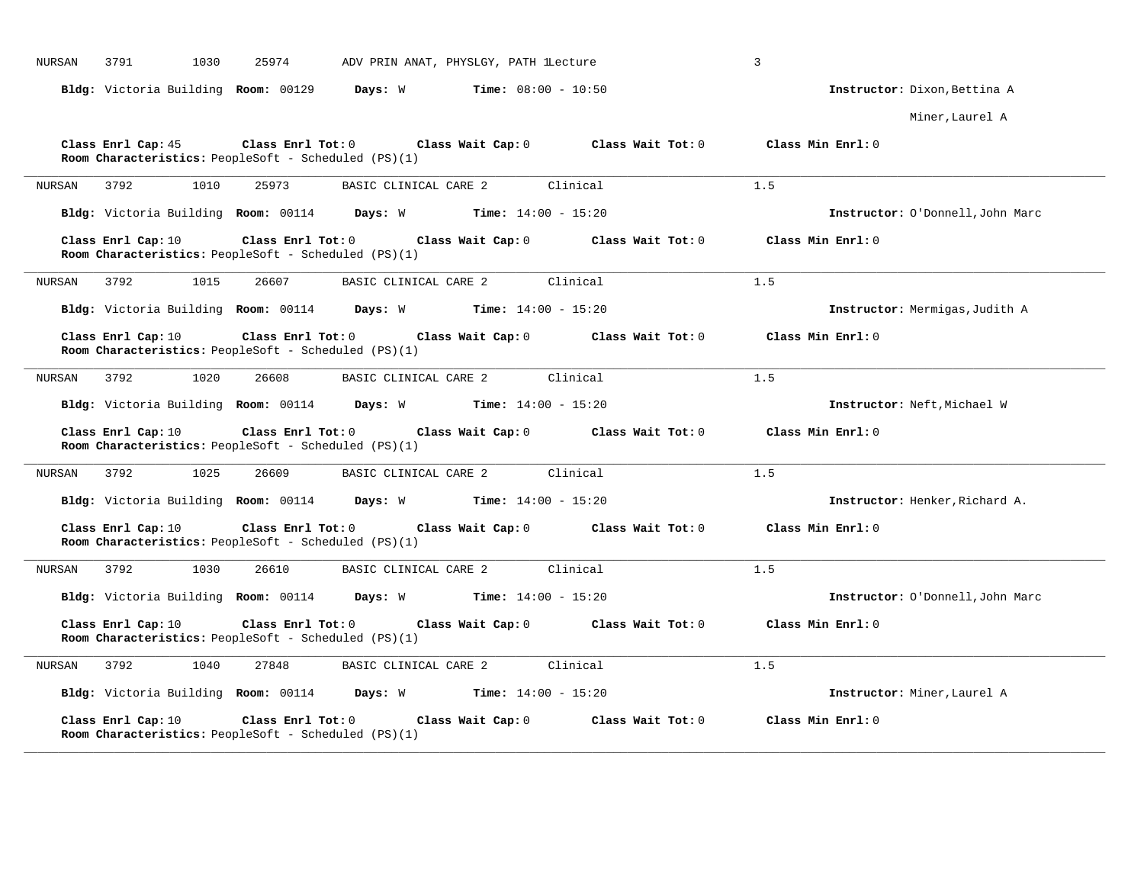| NURSAN<br>3791<br>1030<br>25974                                                                 | ADV PRIN ANAT, PHYSLGY, PATH lLecture                           | 3                                |
|-------------------------------------------------------------------------------------------------|-----------------------------------------------------------------|----------------------------------|
| Bldg: Victoria Building Room: 00129                                                             | Days: W<br><b>Time:</b> $08:00 - 10:50$                         | Instructor: Dixon, Bettina A     |
|                                                                                                 |                                                                 | Miner, Laurel A                  |
| Class Enrl Cap: 45<br>Room Characteristics: PeopleSoft - Scheduled (PS)(1)                      | Class Enrl Tot: 0 Class Wait Cap: 0<br>Class Wait Tot: 0        | Class Min Enrl: 0                |
| 3792<br>1010<br>25973<br>NURSAN                                                                 | Clinical<br>BASIC CLINICAL CARE 2                               | 1.5                              |
|                                                                                                 | Bldg: Victoria Building Room: 00114 Days: W Time: 14:00 - 15:20 | Instructor: O'Donnell, John Marc |
| Class Enrl Cap: 10<br>Class Enrl Tot: 0<br>Room Characteristics: PeopleSoft - Scheduled (PS)(1) | Class Wait Cap: 0 Class Wait Tot: 0                             | Class Min Enrl: 0                |
| NURSAN<br>3792<br>1015<br>26607                                                                 | BASIC CLINICAL CARE 2<br>Clinical                               | 1.5                              |
| Bldg: Victoria Building Room: 00114                                                             | Days: W<br><b>Time:</b> $14:00 - 15:20$                         | Instructor: Mermigas, Judith A   |
| Class Enrl Cap: 10<br>Class Enrl Tot: 0<br>Room Characteristics: PeopleSoft - Scheduled (PS)(1) | Class Wait Cap: 0 Class Wait Tot: 0                             | Class Min Enrl: 0                |
| 3792<br>1020<br>26608<br>NURSAN                                                                 | BASIC CLINICAL CARE 2<br>Clinical                               | 1.5                              |
|                                                                                                 | Bldg: Victoria Building Room: 00114 Days: W Time: 14:00 - 15:20 | Instructor: Neft, Michael W      |
| Class Enrl Cap: 10<br>Class Enrl Tot: 0<br>Room Characteristics: PeopleSoft - Scheduled (PS)(1) | Class Wait Cap: 0 Class Wait Tot: 0                             | Class Min Enrl: 0                |
| 3792<br>1025<br>26609<br>NURSAN                                                                 | Clinical<br>BASIC CLINICAL CARE 2                               | 1.5                              |
|                                                                                                 | Bldg: Victoria Building Room: 00114 Days: W Time: 14:00 - 15:20 | Instructor: Henker, Richard A.   |
| Class Enrl Cap: 10<br>Class Enrl Tot: 0<br>Room Characteristics: PeopleSoft - Scheduled (PS)(1) | Class Wait Cap: 0 Class Wait Tot: 0                             | Class Min Enrl: 0                |
| 3792<br>1030<br>26610<br>NURSAN                                                                 | Clinical<br>BASIC CLINICAL CARE 2                               | 1.5                              |
|                                                                                                 | Bldg: Victoria Building Room: 00114 Days: W Time: 14:00 - 15:20 | Instructor: O'Donnell, John Marc |
| Class Enrl Cap: 10<br>Class Enrl Tot: 0<br>Room Characteristics: PeopleSoft - Scheduled (PS)(1) | Class Wait Cap: 0 Class Wait Tot: 0                             | Class Min Enrl: 0                |
| 3792<br>NURSAN<br>1040<br>27848                                                                 | Clinical<br>BASIC CLINICAL CARE 2                               | 1.5                              |
| Bldg: Victoria Building Room: 00114                                                             | Days: W<br>$Time: 14:00 - 15:20$                                | Instructor: Miner, Laurel A      |
| Class Enrl Cap: 10<br>Class Enrl Tot: 0<br>Room Characteristics: PeopleSoft - Scheduled (PS)(1) | Class Wait Cap: 0<br>Class Wait Tot: 0                          | Class Min Enrl: 0                |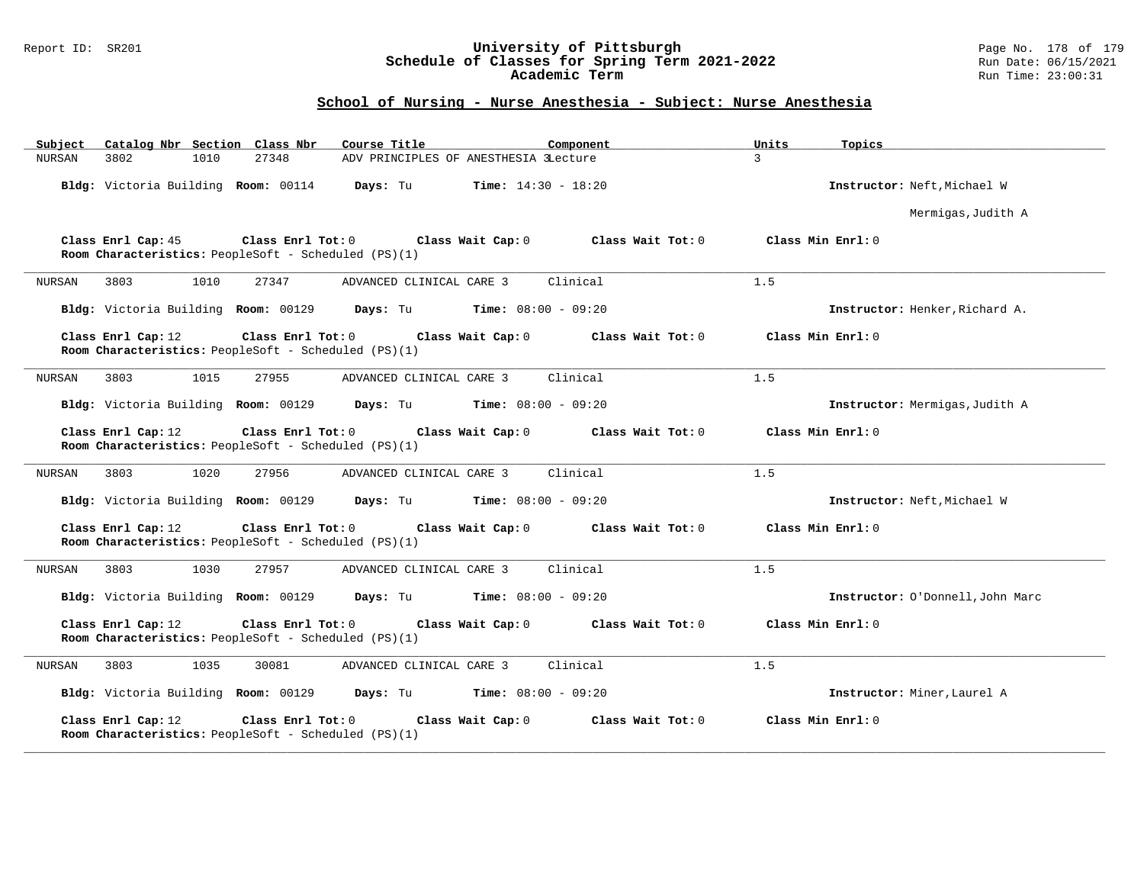### Report ID: SR201 **University of Pittsburgh** Page No. 178 of 179 **Schedule of Classes for Spring Term 2021-2022** Run Date: 06/15/2021 **Academic Term** Run Time: 23:00:31

| Catalog Nbr Section Class Nbr<br>Subject                                                        | Course Title                                 | Component           | Units<br>Topics                  |
|-------------------------------------------------------------------------------------------------|----------------------------------------------|---------------------|----------------------------------|
| 27348<br>3802<br>1010<br>NURSAN                                                                 | ADV PRINCIPLES OF ANESTHESIA 3Lecture        |                     | $\mathbf{R}$                     |
| Bldg: Victoria Building Room: 00114                                                             | Days: Tu<br><b>Time:</b> $14:30 - 18:20$     |                     | Instructor: Neft, Michael W      |
|                                                                                                 |                                              |                     | Mermigas, Judith A               |
| Class Enrl Cap: 45<br>Class Enrl Tot: 0<br>Room Characteristics: PeopleSoft - Scheduled (PS)(1) | Class Wait Cap: 0                            | Class Wait Tot: 0   | Class Min Enrl: 0                |
| 1010<br>NURSAN<br>3803<br>27347                                                                 | ADVANCED CLINICAL CARE 3                     | Clinical            | 1.5                              |
| Bldg: Victoria Building Room: 00129                                                             | Days: Tu<br><b>Time:</b> $08:00 - 09:20$     |                     | Instructor: Henker, Richard A.   |
| Class Enrl Tot: 0<br>Class Enrl Cap: 12<br>Room Characteristics: PeopleSoft - Scheduled (PS)(1) | Class Wait Cap: 0                            | Class Wait Tot: 0   | Class Min Enrl: 0                |
| NURSAN<br>3803<br>1015<br>27955                                                                 | ADVANCED CLINICAL CARE 3                     | Clinical            | 1.5                              |
| Bldg: Victoria Building Room: 00129                                                             | $Time: 08:00 - 09:20$<br>Days: Tu            |                     | Instructor: Mermigas, Judith A   |
| Class Enrl Cap: 12<br>Class Enrl Tot: 0<br>Room Characteristics: PeopleSoft - Scheduled (PS)(1) | Class Wait Cap: 0                            | Class Wait Tot: 0   | Class Min Enrl: 0                |
| 3803<br>1020<br>27956<br>NURSAN                                                                 | ADVANCED CLINICAL CARE 3                     | Clinical            | 1.5                              |
| Bldg: Victoria Building Room: 00129                                                             | $Time: 08:00 - 09:20$<br>Days: Tu            |                     | Instructor: Neft, Michael W      |
| Class Enrl Cap: 12<br>Class Enrl Tot: 0<br>Room Characteristics: PeopleSoft - Scheduled (PS)(1) | Class Wait Cap: 0                            | Class Wait Tot: 0   | Class Min Enrl: 0                |
| 3803<br>1030<br>NURSAN<br>27957                                                                 | ADVANCED CLINICAL CARE 3                     | Clinical            | 1.5                              |
| Bldg: Victoria Building Room: 00129                                                             | <b>Days:</b> Tu <b>Time:</b> $08:00 - 09:20$ |                     | Instructor: O'Donnell, John Marc |
| Class Enrl Cap: 12<br>Class Enrl Tot: 0<br>Room Characteristics: PeopleSoft - Scheduled (PS)(1) | Class Wait Cap: 0                            | Class Wait Tot: $0$ | Class Min Enrl: 0                |
| 3803<br>1035<br>30081<br>NURSAN                                                                 | ADVANCED CLINICAL CARE 3                     | Clinical            | 1.5                              |
| Bldg: Victoria Building Room: 00129                                                             | $Time: 08:00 - 09:20$<br>Days: Tu            |                     | Instructor: Miner, Laurel A      |
| Class Enrl Cap: 12<br>Class Enrl Tot: 0<br>Room Characteristics: PeopleSoft - Scheduled (PS)(1) | Class Wait Cap: 0                            | Class Wait Tot: 0   | Class Min Enrl: 0                |